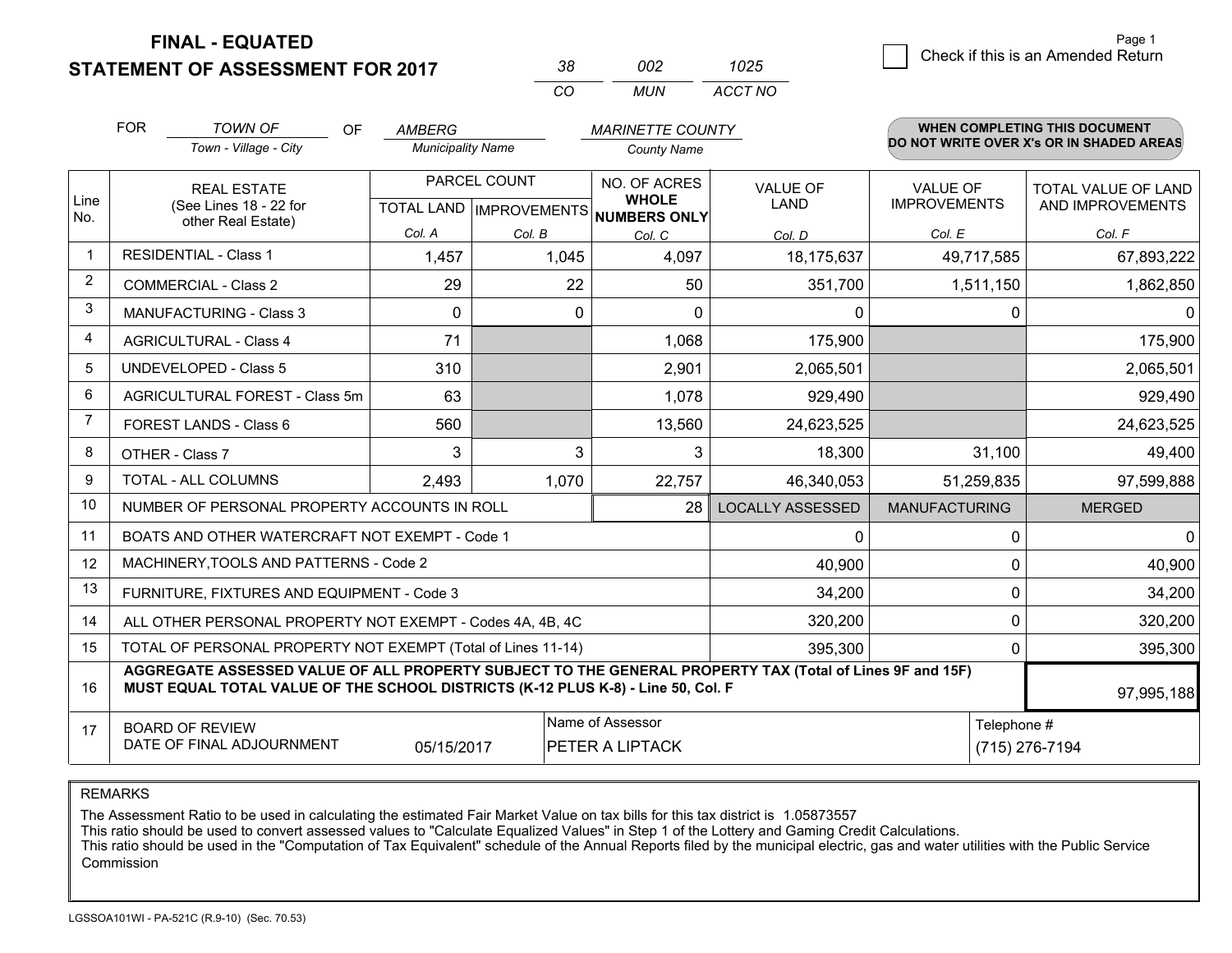**STATEMENT OF ASSESSMENT FOR 2017** 

| 38.      | nnə   | 1025    |
|----------|-------|---------|
| $\alpha$ | MI IN | ACCT NO |

|              | <b>FOR</b>                     | <b>TOWN OF</b><br><b>OF</b>                                                                                                                                                                  | AMBERG                   |              | <b>MARINETTE COUNTY</b>              |                                |                                        | WHEN COMPLETING THIS DOCUMENT            |
|--------------|--------------------------------|----------------------------------------------------------------------------------------------------------------------------------------------------------------------------------------------|--------------------------|--------------|--------------------------------------|--------------------------------|----------------------------------------|------------------------------------------|
|              |                                | Town - Village - City                                                                                                                                                                        | <b>Municipality Name</b> |              | <b>County Name</b>                   |                                |                                        | DO NOT WRITE OVER X's OR IN SHADED AREAS |
| Line         |                                | <b>REAL ESTATE</b><br>(See Lines 18 - 22 for                                                                                                                                                 |                          | PARCEL COUNT | NO. OF ACRES<br><b>WHOLE</b>         | <b>VALUE OF</b><br><b>LAND</b> | <b>VALUE OF</b><br><b>IMPROVEMENTS</b> | TOTAL VALUE OF LAND<br>AND IMPROVEMENTS  |
| No.          |                                | other Real Estate)                                                                                                                                                                           |                          |              | TOTAL LAND IMPROVEMENTS NUMBERS ONLY |                                |                                        |                                          |
|              |                                |                                                                                                                                                                                              | Col. A                   | Col. B       | Col. C                               | Col. D                         | Col. E                                 | Col. F                                   |
| $\mathbf{1}$ |                                | <b>RESIDENTIAL - Class 1</b>                                                                                                                                                                 | 1,457                    | 1,045        | 4,097                                | 18,175,637                     | 49,717,585                             | 67,893,222                               |
| 2            |                                | <b>COMMERCIAL - Class 2</b>                                                                                                                                                                  | 29                       | 22           | 50                                   | 351,700                        | 1,511,150                              | 1,862,850                                |
| 3            |                                | <b>MANUFACTURING - Class 3</b>                                                                                                                                                               | $\Omega$                 | $\mathbf{0}$ | $\Omega$                             | 0                              | $\Omega$                               | $\mathbf{0}$                             |
| 4            |                                | <b>AGRICULTURAL - Class 4</b>                                                                                                                                                                | 71                       |              | 1,068                                | 175,900                        |                                        | 175,900                                  |
| 5            |                                | <b>UNDEVELOPED - Class 5</b>                                                                                                                                                                 | 310                      |              | 2,901                                | 2,065,501                      |                                        | 2,065,501                                |
| 6            | AGRICULTURAL FOREST - Class 5m |                                                                                                                                                                                              | 63                       |              | 1,078                                | 929,490                        |                                        | 929,490                                  |
| 7            |                                | FOREST LANDS - Class 6                                                                                                                                                                       | 560                      |              | 13,560<br>24,623,525                 |                                |                                        | 24,623,525                               |
| 8            |                                | OTHER - Class 7                                                                                                                                                                              | 3                        | 3            | 3                                    | 18,300                         | 31,100                                 | 49,400                                   |
| 9            |                                | TOTAL - ALL COLUMNS                                                                                                                                                                          | 2,493                    | 1,070        | 22,757                               | 46,340,053                     | 51,259,835                             | 97,599,888                               |
| 10           |                                | NUMBER OF PERSONAL PROPERTY ACCOUNTS IN ROLL                                                                                                                                                 |                          |              | 28                                   | <b>LOCALLY ASSESSED</b>        | <b>MANUFACTURING</b>                   | <b>MERGED</b>                            |
| 11           |                                | BOATS AND OTHER WATERCRAFT NOT EXEMPT - Code 1                                                                                                                                               |                          |              |                                      | 0                              | 0                                      | $\mathbf 0$                              |
| 12           |                                | MACHINERY, TOOLS AND PATTERNS - Code 2                                                                                                                                                       |                          |              |                                      | 40,900                         | $\Omega$                               | 40,900                                   |
| 13           |                                | FURNITURE, FIXTURES AND EQUIPMENT - Code 3                                                                                                                                                   |                          |              |                                      | 34,200                         | 0                                      | 34,200                                   |
| 14           |                                | ALL OTHER PERSONAL PROPERTY NOT EXEMPT - Codes 4A, 4B, 4C                                                                                                                                    |                          |              |                                      | 320,200                        |                                        | $\mathbf 0$<br>320,200                   |
| 15           |                                | TOTAL OF PERSONAL PROPERTY NOT EXEMPT (Total of Lines 11-14)                                                                                                                                 |                          |              |                                      | 395,300                        | 0                                      | 395,300                                  |
| 16           |                                | AGGREGATE ASSESSED VALUE OF ALL PROPERTY SUBJECT TO THE GENERAL PROPERTY TAX (Total of Lines 9F and 15F)<br>MUST EQUAL TOTAL VALUE OF THE SCHOOL DISTRICTS (K-12 PLUS K-8) - Line 50, Col. F |                          |              |                                      |                                |                                        | 97,995,188                               |
| 17           |                                | <b>BOARD OF REVIEW</b>                                                                                                                                                                       |                          |              | Name of Assessor                     |                                | Telephone #                            |                                          |
|              |                                | DATE OF FINAL ADJOURNMENT                                                                                                                                                                    | 05/15/2017               |              | PETER A LIPTACK                      |                                |                                        | (715) 276-7194                           |

REMARKS

The Assessment Ratio to be used in calculating the estimated Fair Market Value on tax bills for this tax district is 1.05873557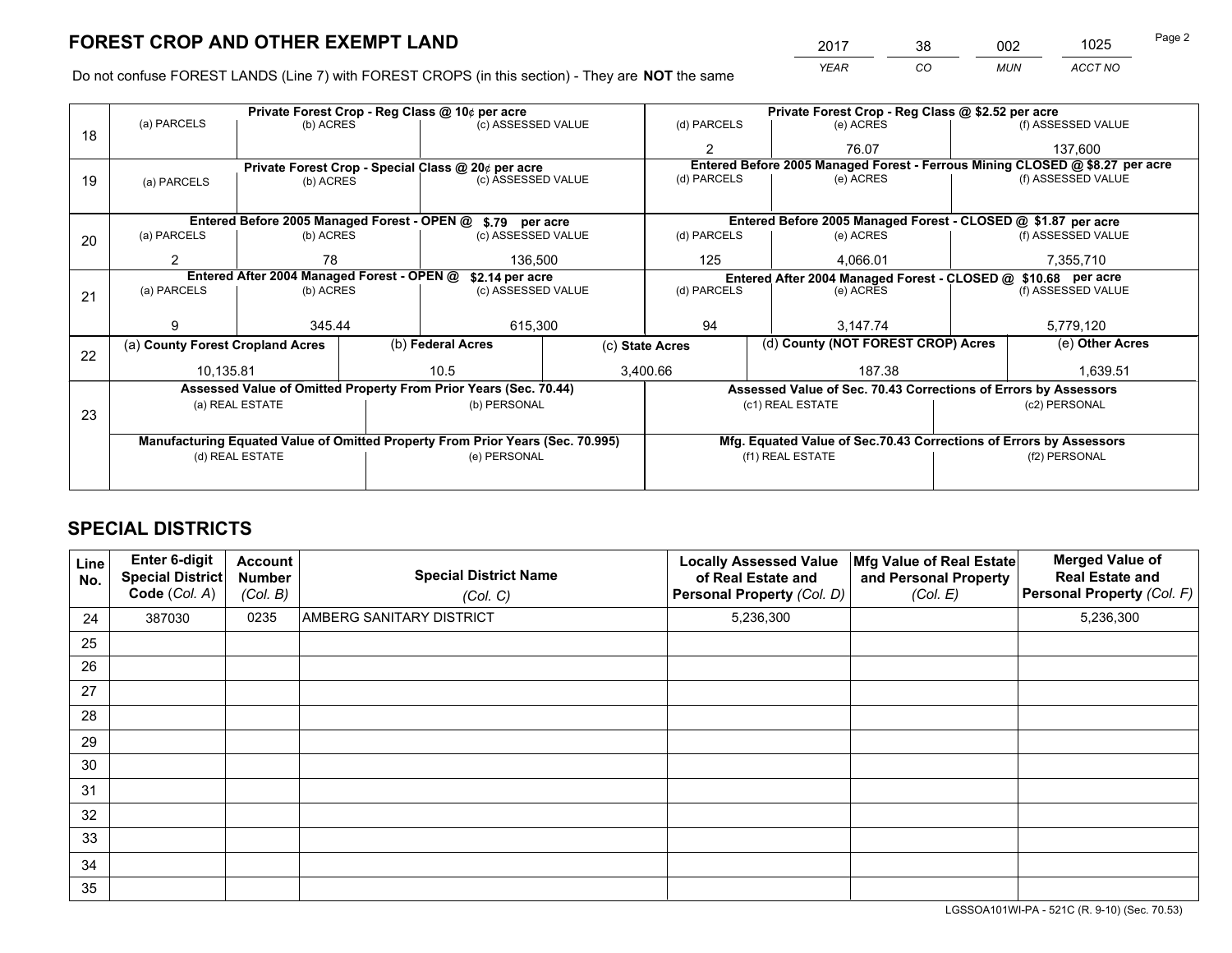*YEAR CO MUN ACCT NO* <sup>2017</sup> <sup>38</sup> <sup>002</sup> <sup>1025</sup> Page 2

Do not confuse FOREST LANDS (Line 7) with FOREST CROPS (in this section) - They are **NOT** the same

|    |                                                                                | Private Forest Crop - Reg Class @ 10¢ per acre                   |                   |                    |                 | Private Forest Crop - Reg Class @ \$2.52 per acre             |                  |                                                                    |               |                                                                              |  |
|----|--------------------------------------------------------------------------------|------------------------------------------------------------------|-------------------|--------------------|-----------------|---------------------------------------------------------------|------------------|--------------------------------------------------------------------|---------------|------------------------------------------------------------------------------|--|
| 18 | (a) PARCELS                                                                    | (b) ACRES                                                        |                   | (c) ASSESSED VALUE |                 | (d) PARCELS                                                   |                  | (e) ACRES                                                          |               | (f) ASSESSED VALUE                                                           |  |
|    |                                                                                |                                                                  |                   |                    |                 | $\mathbf{2}$                                                  |                  | 76.07                                                              |               | 137,600                                                                      |  |
|    |                                                                                | Private Forest Crop - Special Class @ 20¢ per acre               |                   |                    |                 |                                                               |                  |                                                                    |               | Entered Before 2005 Managed Forest - Ferrous Mining CLOSED @ \$8.27 per acre |  |
| 19 | (a) PARCELS                                                                    | (b) ACRES                                                        |                   | (c) ASSESSED VALUE |                 | (d) PARCELS                                                   |                  | (e) ACRES                                                          |               | (f) ASSESSED VALUE                                                           |  |
|    |                                                                                |                                                                  |                   |                    |                 |                                                               |                  |                                                                    |               |                                                                              |  |
|    |                                                                                | Entered Before 2005 Managed Forest - OPEN @ \$.79 per acre       |                   |                    |                 |                                                               |                  | Entered Before 2005 Managed Forest - CLOSED @ \$1.87 per acre      |               |                                                                              |  |
| 20 | (a) PARCELS                                                                    | (b) ACRES                                                        |                   | (c) ASSESSED VALUE |                 | (d) PARCELS                                                   |                  | (e) ACRES                                                          |               | (f) ASSESSED VALUE                                                           |  |
|    | 2                                                                              | 78                                                               |                   | 136,500            |                 | 125                                                           |                  | 4.066.01                                                           |               | 7,355,710                                                                    |  |
|    | Entered After 2004 Managed Forest - OPEN @<br>\$2.14 per acre                  |                                                                  |                   |                    |                 | Entered After 2004 Managed Forest - CLOSED @ \$10.68 per acre |                  |                                                                    |               |                                                                              |  |
| 21 | (a) PARCELS                                                                    | (b) ACRES                                                        |                   | (c) ASSESSED VALUE |                 | (d) PARCELS<br>(e) ACRES                                      |                  |                                                                    |               | (f) ASSESSED VALUE                                                           |  |
|    |                                                                                |                                                                  |                   |                    |                 |                                                               |                  |                                                                    |               |                                                                              |  |
|    | 9                                                                              | 345.44                                                           |                   | 615,300            |                 | 94                                                            |                  | 3,147.74                                                           |               | 5,779,120                                                                    |  |
| 22 | (a) County Forest Cropland Acres                                               |                                                                  | (b) Federal Acres |                    | (c) State Acres |                                                               |                  | (d) County (NOT FOREST CROP) Acres                                 |               | (e) Other Acres                                                              |  |
|    | 10.135.81                                                                      |                                                                  | 10.5              |                    |                 | 187.38<br>3,400.66                                            |                  |                                                                    |               | 1,639.51                                                                     |  |
|    |                                                                                | Assessed Value of Omitted Property From Prior Years (Sec. 70.44) |                   |                    |                 |                                                               |                  | Assessed Value of Sec. 70.43 Corrections of Errors by Assessors    |               |                                                                              |  |
|    |                                                                                | (a) REAL ESTATE                                                  |                   | (b) PERSONAL       |                 |                                                               | (c1) REAL ESTATE |                                                                    |               | (c2) PERSONAL                                                                |  |
| 23 |                                                                                |                                                                  |                   |                    |                 |                                                               |                  |                                                                    |               |                                                                              |  |
|    | Manufacturing Equated Value of Omitted Property From Prior Years (Sec. 70.995) |                                                                  |                   |                    |                 |                                                               |                  | Mfg. Equated Value of Sec.70.43 Corrections of Errors by Assessors |               |                                                                              |  |
|    |                                                                                | (d) REAL ESTATE                                                  |                   | (e) PERSONAL       |                 | (f1) REAL ESTATE                                              |                  |                                                                    | (f2) PERSONAL |                                                                              |  |
|    |                                                                                |                                                                  |                   |                    |                 |                                                               |                  |                                                                    |               |                                                                              |  |

## **SPECIAL DISTRICTS**

| Line<br>No. | Enter 6-digit<br>Special District<br>Code (Col. A) | <b>Account</b><br><b>Number</b><br>(Col. B) | <b>Special District Name</b><br>(Col. C) | <b>Locally Assessed Value</b><br>of Real Estate and<br>Personal Property (Col. D) | Mfg Value of Real Estate<br>and Personal Property<br>(Col. E) | <b>Merged Value of</b><br><b>Real Estate and</b><br>Personal Property (Col. F) |
|-------------|----------------------------------------------------|---------------------------------------------|------------------------------------------|-----------------------------------------------------------------------------------|---------------------------------------------------------------|--------------------------------------------------------------------------------|
| 24          | 387030                                             | 0235                                        | <b>AMBERG SANITARY DISTRICT</b>          | 5,236,300                                                                         |                                                               | 5,236,300                                                                      |
| 25          |                                                    |                                             |                                          |                                                                                   |                                                               |                                                                                |
| 26          |                                                    |                                             |                                          |                                                                                   |                                                               |                                                                                |
| 27          |                                                    |                                             |                                          |                                                                                   |                                                               |                                                                                |
| 28          |                                                    |                                             |                                          |                                                                                   |                                                               |                                                                                |
| 29          |                                                    |                                             |                                          |                                                                                   |                                                               |                                                                                |
| 30          |                                                    |                                             |                                          |                                                                                   |                                                               |                                                                                |
| 31          |                                                    |                                             |                                          |                                                                                   |                                                               |                                                                                |
| 32          |                                                    |                                             |                                          |                                                                                   |                                                               |                                                                                |
| 33          |                                                    |                                             |                                          |                                                                                   |                                                               |                                                                                |
| 34          |                                                    |                                             |                                          |                                                                                   |                                                               |                                                                                |
| 35          |                                                    |                                             |                                          |                                                                                   |                                                               |                                                                                |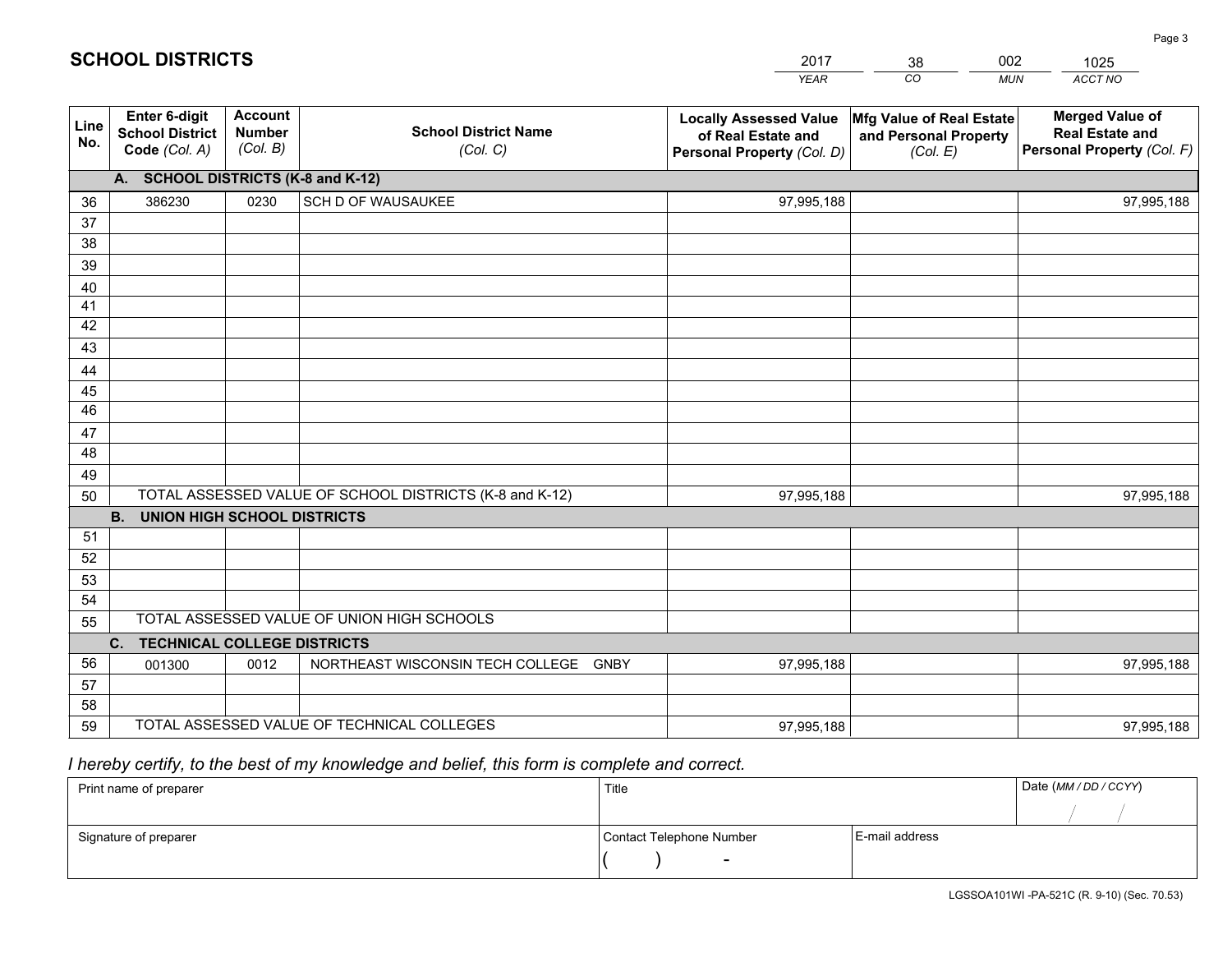|             |                                                          |                                             |                                                         | <b>YEAR</b>                                                                       | CO<br><b>MUN</b>                                              | ACCT NO                                                                        |
|-------------|----------------------------------------------------------|---------------------------------------------|---------------------------------------------------------|-----------------------------------------------------------------------------------|---------------------------------------------------------------|--------------------------------------------------------------------------------|
| Line<br>No. | Enter 6-digit<br><b>School District</b><br>Code (Col. A) | <b>Account</b><br><b>Number</b><br>(Col. B) | <b>School District Name</b><br>(Col. C)                 | <b>Locally Assessed Value</b><br>of Real Estate and<br>Personal Property (Col. D) | Mfg Value of Real Estate<br>and Personal Property<br>(Col. E) | <b>Merged Value of</b><br><b>Real Estate and</b><br>Personal Property (Col. F) |
|             | A. SCHOOL DISTRICTS (K-8 and K-12)                       |                                             |                                                         |                                                                                   |                                                               |                                                                                |
| 36          | 386230                                                   | 0230                                        | SCH D OF WAUSAUKEE                                      | 97,995,188                                                                        |                                                               | 97,995,188                                                                     |
| 37          |                                                          |                                             |                                                         |                                                                                   |                                                               |                                                                                |
| 38          |                                                          |                                             |                                                         |                                                                                   |                                                               |                                                                                |
| 39          |                                                          |                                             |                                                         |                                                                                   |                                                               |                                                                                |
| 40          |                                                          |                                             |                                                         |                                                                                   |                                                               |                                                                                |
| 41          |                                                          |                                             |                                                         |                                                                                   |                                                               |                                                                                |
| 42<br>43    |                                                          |                                             |                                                         |                                                                                   |                                                               |                                                                                |
|             |                                                          |                                             |                                                         |                                                                                   |                                                               |                                                                                |
| 44<br>45    |                                                          |                                             |                                                         |                                                                                   |                                                               |                                                                                |
| 46          |                                                          |                                             |                                                         |                                                                                   |                                                               |                                                                                |
| 47          |                                                          |                                             |                                                         |                                                                                   |                                                               |                                                                                |
| 48          |                                                          |                                             |                                                         |                                                                                   |                                                               |                                                                                |
| 49          |                                                          |                                             |                                                         |                                                                                   |                                                               |                                                                                |
| 50          |                                                          |                                             | TOTAL ASSESSED VALUE OF SCHOOL DISTRICTS (K-8 and K-12) | 97,995,188                                                                        |                                                               | 97,995,188                                                                     |
|             | <b>B.</b><br><b>UNION HIGH SCHOOL DISTRICTS</b>          |                                             |                                                         |                                                                                   |                                                               |                                                                                |
| 51          |                                                          |                                             |                                                         |                                                                                   |                                                               |                                                                                |
| 52          |                                                          |                                             |                                                         |                                                                                   |                                                               |                                                                                |
| 53          |                                                          |                                             |                                                         |                                                                                   |                                                               |                                                                                |
| 54          |                                                          |                                             |                                                         |                                                                                   |                                                               |                                                                                |
| 55          |                                                          |                                             | TOTAL ASSESSED VALUE OF UNION HIGH SCHOOLS              |                                                                                   |                                                               |                                                                                |
|             | C.<br><b>TECHNICAL COLLEGE DISTRICTS</b>                 |                                             |                                                         |                                                                                   |                                                               |                                                                                |
| 56          | 001300                                                   | 0012                                        | NORTHEAST WISCONSIN TECH COLLEGE GNBY                   | 97,995,188                                                                        |                                                               | 97,995,188                                                                     |
| 57          |                                                          |                                             |                                                         |                                                                                   |                                                               |                                                                                |
| 58          |                                                          |                                             |                                                         |                                                                                   |                                                               |                                                                                |
| 59          |                                                          |                                             | TOTAL ASSESSED VALUE OF TECHNICAL COLLEGES              | 97,995,188                                                                        |                                                               | 97,995,188                                                                     |

2017

38

002

## *I hereby certify, to the best of my knowledge and belief, this form is complete and correct.*

**SCHOOL DISTRICTS**

| Print name of preparer | Title                    |                | Date (MM / DD / CCYY) |
|------------------------|--------------------------|----------------|-----------------------|
|                        |                          |                |                       |
| Signature of preparer  | Contact Telephone Number | E-mail address |                       |
|                        | $\sim$                   |                |                       |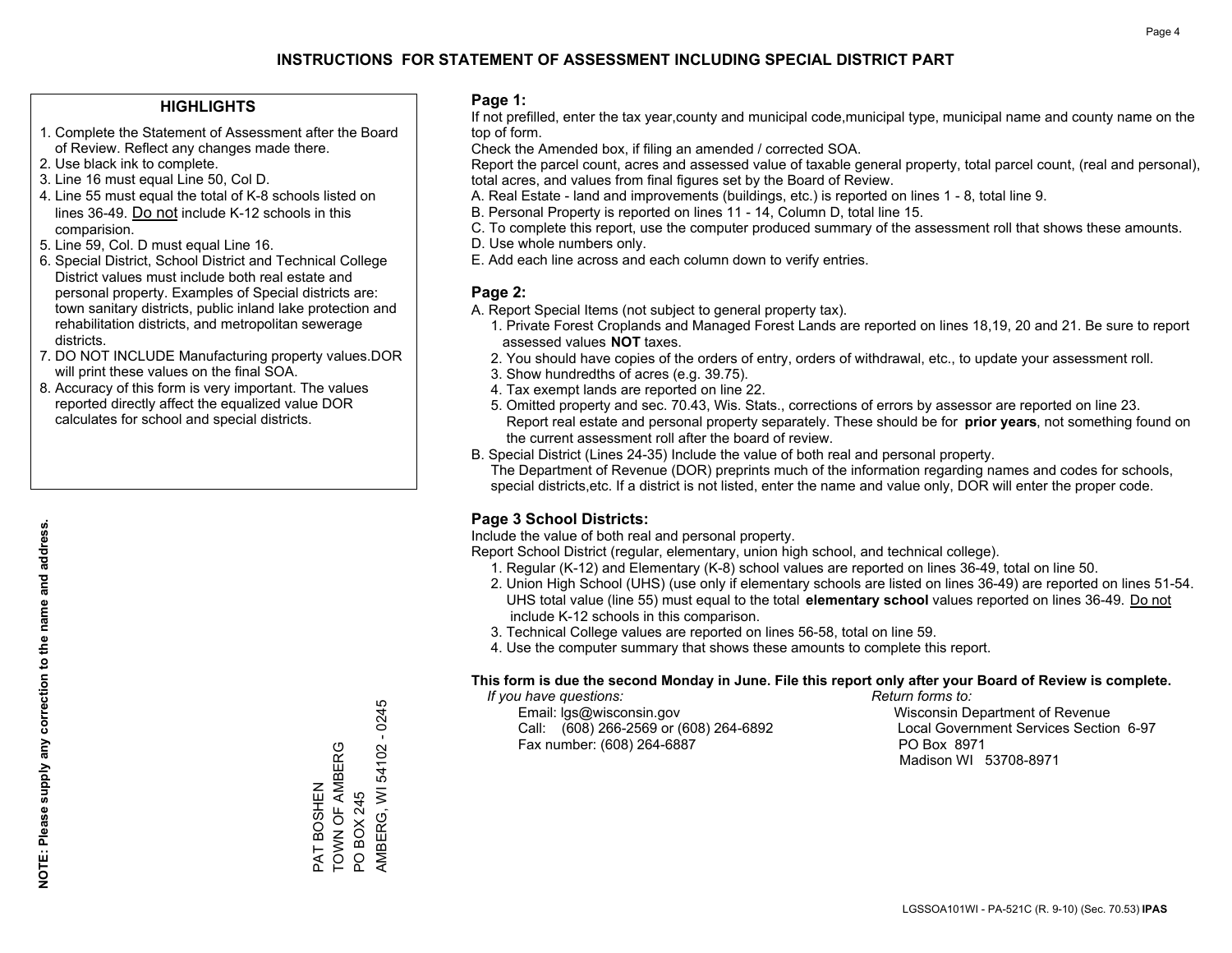#### **HIGHLIGHTS**

- 1. Complete the Statement of Assessment after the Board of Review. Reflect any changes made there.
- 2. Use black ink to complete.
- 3. Line 16 must equal Line 50, Col D.
- 4. Line 55 must equal the total of K-8 schools listed on lines 36-49. Do not include K-12 schools in this comparision.
- 5. Line 59, Col. D must equal Line 16.
- 6. Special District, School District and Technical College District values must include both real estate and personal property. Examples of Special districts are: town sanitary districts, public inland lake protection and rehabilitation districts, and metropolitan sewerage districts.
- 7. DO NOT INCLUDE Manufacturing property values.DOR will print these values on the final SOA.

PAT BOSHEN TOWN OF AMBERG

TOWN OF AMBERG PAT BOSHEN

PO BOX 245

PO BOX 245

AMBERG, WI 54102 - 0245

AMBERG, WI 54102 - 0245

 8. Accuracy of this form is very important. The values reported directly affect the equalized value DOR calculates for school and special districts.

#### **Page 1:**

 If not prefilled, enter the tax year,county and municipal code,municipal type, municipal name and county name on the top of form.

Check the Amended box, if filing an amended / corrected SOA.

 Report the parcel count, acres and assessed value of taxable general property, total parcel count, (real and personal), total acres, and values from final figures set by the Board of Review.

- A. Real Estate land and improvements (buildings, etc.) is reported on lines 1 8, total line 9.
- B. Personal Property is reported on lines 11 14, Column D, total line 15.
- C. To complete this report, use the computer produced summary of the assessment roll that shows these amounts.
- D. Use whole numbers only.
- E. Add each line across and each column down to verify entries.

### **Page 2:**

- A. Report Special Items (not subject to general property tax).
- 1. Private Forest Croplands and Managed Forest Lands are reported on lines 18,19, 20 and 21. Be sure to report assessed values **NOT** taxes.
- 2. You should have copies of the orders of entry, orders of withdrawal, etc., to update your assessment roll.
	- 3. Show hundredths of acres (e.g. 39.75).
- 4. Tax exempt lands are reported on line 22.
- 5. Omitted property and sec. 70.43, Wis. Stats., corrections of errors by assessor are reported on line 23. Report real estate and personal property separately. These should be for **prior years**, not something found on the current assessment roll after the board of review.
- B. Special District (Lines 24-35) Include the value of both real and personal property.

 The Department of Revenue (DOR) preprints much of the information regarding names and codes for schools, special districts,etc. If a district is not listed, enter the name and value only, DOR will enter the proper code.

### **Page 3 School Districts:**

Include the value of both real and personal property.

Report School District (regular, elementary, union high school, and technical college).

- 1. Regular (K-12) and Elementary (K-8) school values are reported on lines 36-49, total on line 50.
- 2. Union High School (UHS) (use only if elementary schools are listed on lines 36-49) are reported on lines 51-54. UHS total value (line 55) must equal to the total **elementary school** values reported on lines 36-49. Do notinclude K-12 schools in this comparison.
- 3. Technical College values are reported on lines 56-58, total on line 59.
- 4. Use the computer summary that shows these amounts to complete this report.

#### **This form is due the second Monday in June. File this report only after your Board of Review is complete.**

 *If you have questions: Return forms to:*

 Email: lgs@wisconsin.gov Wisconsin Department of RevenueCall:  $(608)$  266-2569 or  $(608)$  264-6892 Fax number: (608) 264-6887 PO Box 8971

Local Government Services Section 6-97

Madison WI 53708-8971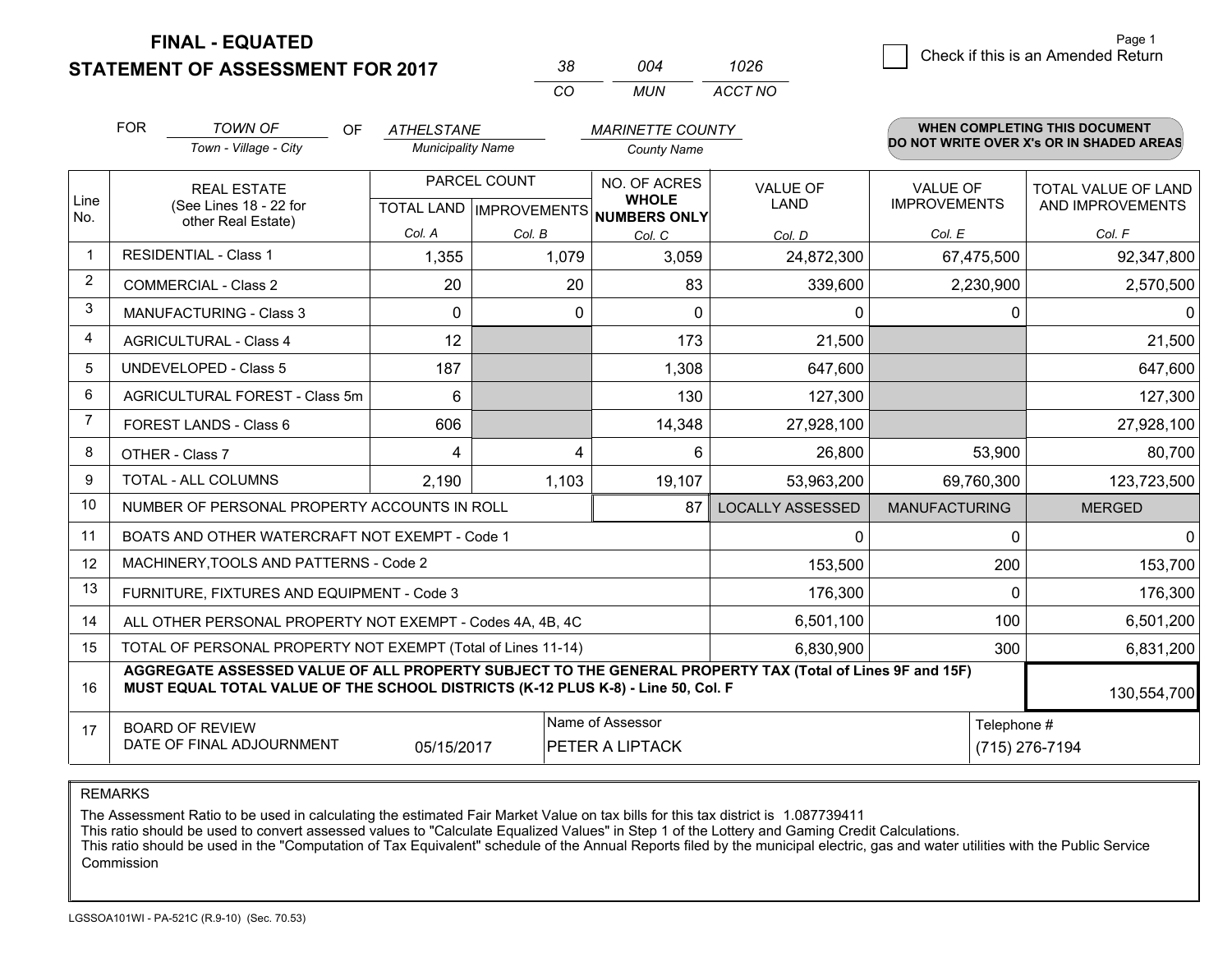**STATEMENT OF ASSESSMENT FOR 2017** 

| 38  | 004   | 1026    |
|-----|-------|---------|
| CO. | MI IN | ACCT NO |

|                | <b>FOR</b> | <b>TOWN OF</b><br><b>OF</b>                                                                                                                                                                  | <b>ATHELSTANE</b>                                    |        | <b>MARINETTE COUNTY</b>             |                                |                                        | WHEN COMPLETING THIS DOCUMENT            |
|----------------|------------|----------------------------------------------------------------------------------------------------------------------------------------------------------------------------------------------|------------------------------------------------------|--------|-------------------------------------|--------------------------------|----------------------------------------|------------------------------------------|
|                |            | Town - Village - City                                                                                                                                                                        | <b>Municipality Name</b>                             |        | <b>County Name</b>                  |                                |                                        | DO NOT WRITE OVER X's OR IN SHADED AREAS |
| Line           |            | <b>REAL ESTATE</b><br>(See Lines 18 - 22 for                                                                                                                                                 | PARCEL COUNT<br>TOTAL LAND IMPROVEMENTS NUMBERS ONLY |        | NO. OF ACRES<br><b>WHOLE</b>        | <b>VALUE OF</b><br><b>LAND</b> | <b>VALUE OF</b><br><b>IMPROVEMENTS</b> | TOTAL VALUE OF LAND<br>AND IMPROVEMENTS  |
| No.            |            | other Real Estate)                                                                                                                                                                           | Col. A                                               | Col. B | Col. C                              | Col. D                         | Col. E                                 | Col. F                                   |
|                |            | <b>RESIDENTIAL - Class 1</b>                                                                                                                                                                 | 1,355                                                | 1,079  | 3,059                               | 24,872,300                     | 67,475,500                             | 92,347,800                               |
| 2              |            | <b>COMMERCIAL - Class 2</b>                                                                                                                                                                  | 20                                                   | 20     | 83                                  | 339,600                        | 2,230,900                              | 2,570,500                                |
| 3              |            | <b>MANUFACTURING - Class 3</b>                                                                                                                                                               | $\Omega$                                             | 0      | $\Omega$                            | 0                              | $\Omega$                               | $\mathbf{0}$                             |
| 4              |            | <b>AGRICULTURAL - Class 4</b>                                                                                                                                                                | 12                                                   |        | 173                                 | 21,500                         |                                        | 21,500                                   |
| 5              |            | <b>UNDEVELOPED - Class 5</b>                                                                                                                                                                 | 187                                                  |        | 1,308                               | 647,600                        |                                        | 647,600                                  |
| 6              |            | AGRICULTURAL FOREST - Class 5m                                                                                                                                                               | 6                                                    |        | 130                                 | 127,300                        |                                        | 127,300                                  |
| $\overline{7}$ |            | FOREST LANDS - Class 6                                                                                                                                                                       | 606                                                  |        | 14,348                              | 27,928,100                     |                                        | 27,928,100                               |
| 8              |            | OTHER - Class 7                                                                                                                                                                              | 4                                                    | 4      | 6                                   | 26,800                         | 53,900                                 | 80,700                                   |
| 9              |            | TOTAL - ALL COLUMNS                                                                                                                                                                          | 2,190                                                | 1,103  | 19,107                              | 53,963,200                     | 69,760,300                             | 123,723,500                              |
| 10             |            | NUMBER OF PERSONAL PROPERTY ACCOUNTS IN ROLL                                                                                                                                                 |                                                      |        | 87                                  | <b>LOCALLY ASSESSED</b>        | <b>MANUFACTURING</b>                   | <b>MERGED</b>                            |
| 11             |            | BOATS AND OTHER WATERCRAFT NOT EXEMPT - Code 1                                                                                                                                               |                                                      |        |                                     | 0                              | $\Omega$                               | 0                                        |
| 12             |            | MACHINERY, TOOLS AND PATTERNS - Code 2                                                                                                                                                       |                                                      |        |                                     | 153,500                        | 200                                    | 153,700                                  |
| 13             |            | FURNITURE, FIXTURES AND EQUIPMENT - Code 3                                                                                                                                                   |                                                      |        |                                     | 176,300                        | $\Omega$                               | 176,300                                  |
| 14             |            | ALL OTHER PERSONAL PROPERTY NOT EXEMPT - Codes 4A, 4B, 4C                                                                                                                                    |                                                      |        |                                     | 6,501,100                      | 100                                    | 6,501,200                                |
| 15             |            | TOTAL OF PERSONAL PROPERTY NOT EXEMPT (Total of Lines 11-14)                                                                                                                                 |                                                      |        |                                     | 6,830,900                      | 300                                    | 6,831,200                                |
| 16             |            | AGGREGATE ASSESSED VALUE OF ALL PROPERTY SUBJECT TO THE GENERAL PROPERTY TAX (Total of Lines 9F and 15F)<br>MUST EQUAL TOTAL VALUE OF THE SCHOOL DISTRICTS (K-12 PLUS K-8) - Line 50, Col. F |                                                      |        |                                     |                                |                                        | 130,554,700                              |
| 17             |            | <b>BOARD OF REVIEW</b><br>DATE OF FINAL ADJOURNMENT                                                                                                                                          | 05/15/2017                                           |        | Name of Assessor<br>PETER A LIPTACK | Telephone #<br>(715) 276-7194  |                                        |                                          |

REMARKS

The Assessment Ratio to be used in calculating the estimated Fair Market Value on tax bills for this tax district is 1.087739411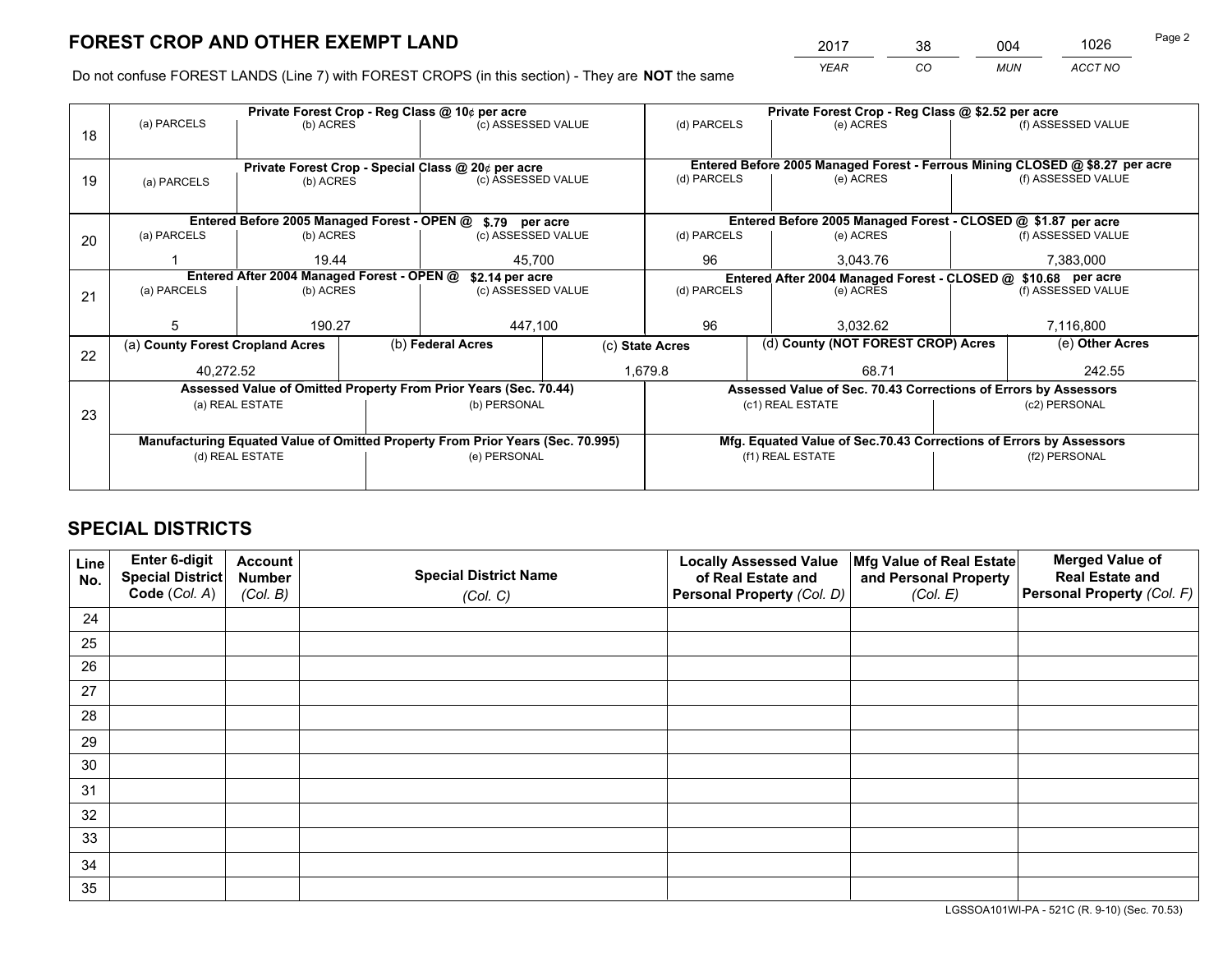*YEAR CO MUN ACCT NO* <sup>2017</sup> <sup>38</sup> <sup>004</sup> <sup>1026</sup>

Do not confuse FOREST LANDS (Line 7) with FOREST CROPS (in this section) - They are **NOT** the same

|    |                                                               |                                 |  | Private Forest Crop - Reg Class @ 10¢ per acre                                 |             | Private Forest Crop - Reg Class @ \$2.52 per acre |           |                                                                 |                                                                              |                    |
|----|---------------------------------------------------------------|---------------------------------|--|--------------------------------------------------------------------------------|-------------|---------------------------------------------------|-----------|-----------------------------------------------------------------|------------------------------------------------------------------------------|--------------------|
| 18 | (a) PARCELS                                                   | (b) ACRES                       |  | (c) ASSESSED VALUE                                                             |             | (d) PARCELS                                       |           | (e) ACRES                                                       |                                                                              | (f) ASSESSED VALUE |
|    |                                                               |                                 |  |                                                                                |             |                                                   |           |                                                                 |                                                                              |                    |
|    | Private Forest Crop - Special Class @ 20¢ per acre            |                                 |  |                                                                                |             |                                                   |           |                                                                 | Entered Before 2005 Managed Forest - Ferrous Mining CLOSED @ \$8.27 per acre |                    |
| 19 | (a) PARCELS                                                   | (c) ASSESSED VALUE<br>(b) ACRES |  |                                                                                | (d) PARCELS |                                                   | (e) ACRES |                                                                 | (f) ASSESSED VALUE                                                           |                    |
|    |                                                               |                                 |  |                                                                                |             |                                                   |           |                                                                 |                                                                              |                    |
|    |                                                               |                                 |  | Entered Before 2005 Managed Forest - OPEN @ \$.79 per acre                     |             |                                                   |           | Entered Before 2005 Managed Forest - CLOSED @ \$1.87 per acre   |                                                                              |                    |
| 20 | (a) PARCELS                                                   | (b) ACRES                       |  | (c) ASSESSED VALUE                                                             |             | (d) PARCELS                                       |           | (e) ACRES                                                       |                                                                              | (f) ASSESSED VALUE |
|    |                                                               | 19.44<br>45.700                 |  |                                                                                | 96          |                                                   | 3.043.76  |                                                                 | 7,383,000                                                                    |                    |
|    | Entered After 2004 Managed Forest - OPEN @<br>\$2.14 per acre |                                 |  |                                                                                |             |                                                   |           | Entered After 2004 Managed Forest - CLOSED @ \$10.68 per acre   |                                                                              |                    |
| 21 | (a) PARCELS                                                   | (b) ACRES                       |  | (c) ASSESSED VALUE                                                             |             | (d) PARCELS                                       |           | (e) ACRES                                                       |                                                                              | (f) ASSESSED VALUE |
|    |                                                               |                                 |  |                                                                                |             |                                                   |           |                                                                 |                                                                              |                    |
|    | 5                                                             | 190.27                          |  | 447,100                                                                        |             | 96                                                |           | 3.032.62                                                        |                                                                              | 7,116,800          |
| 22 | (a) County Forest Cropland Acres                              |                                 |  | (b) Federal Acres                                                              |             | (c) State Acres                                   |           | (d) County (NOT FOREST CROP) Acres                              |                                                                              | (e) Other Acres    |
|    | 40,272.52                                                     |                                 |  |                                                                                |             | 1,679.8<br>68.71                                  |           |                                                                 |                                                                              | 242.55             |
|    |                                                               |                                 |  | Assessed Value of Omitted Property From Prior Years (Sec. 70.44)               |             |                                                   |           | Assessed Value of Sec. 70.43 Corrections of Errors by Assessors |                                                                              |                    |
| 23 |                                                               | (a) REAL ESTATE                 |  | (b) PERSONAL                                                                   |             |                                                   |           | (c1) REAL ESTATE                                                |                                                                              | (c2) PERSONAL      |
|    |                                                               |                                 |  |                                                                                |             |                                                   |           |                                                                 |                                                                              |                    |
|    |                                                               |                                 |  | Manufacturing Equated Value of Omitted Property From Prior Years (Sec. 70.995) |             |                                                   |           |                                                                 | Mfg. Equated Value of Sec.70.43 Corrections of Errors by Assessors           |                    |
|    |                                                               | (d) REAL ESTATE                 |  | (e) PERSONAL                                                                   |             | (f1) REAL ESTATE                                  |           |                                                                 | (f2) PERSONAL                                                                |                    |
|    |                                                               |                                 |  |                                                                                |             |                                                   |           |                                                                 |                                                                              |                    |

## **SPECIAL DISTRICTS**

| Line<br>No. | Enter 6-digit<br><b>Special District</b> | <b>Account</b><br><b>Number</b> | <b>Special District Name</b> | <b>Locally Assessed Value</b><br>of Real Estate and | Mfg Value of Real Estate<br>and Personal Property | <b>Merged Value of</b><br><b>Real Estate and</b> |
|-------------|------------------------------------------|---------------------------------|------------------------------|-----------------------------------------------------|---------------------------------------------------|--------------------------------------------------|
|             | Code (Col. A)                            | (Col. B)                        | (Col. C)                     | Personal Property (Col. D)                          | (Col. E)                                          | Personal Property (Col. F)                       |
| 24          |                                          |                                 |                              |                                                     |                                                   |                                                  |
| 25          |                                          |                                 |                              |                                                     |                                                   |                                                  |
| 26          |                                          |                                 |                              |                                                     |                                                   |                                                  |
| 27          |                                          |                                 |                              |                                                     |                                                   |                                                  |
| 28          |                                          |                                 |                              |                                                     |                                                   |                                                  |
| 29          |                                          |                                 |                              |                                                     |                                                   |                                                  |
| 30          |                                          |                                 |                              |                                                     |                                                   |                                                  |
| 31          |                                          |                                 |                              |                                                     |                                                   |                                                  |
| 32          |                                          |                                 |                              |                                                     |                                                   |                                                  |
| 33          |                                          |                                 |                              |                                                     |                                                   |                                                  |
| 34          |                                          |                                 |                              |                                                     |                                                   |                                                  |
| 35          |                                          |                                 |                              |                                                     |                                                   |                                                  |

LGSSOA101WI-PA - 521C (R. 9-10) (Sec. 70.53)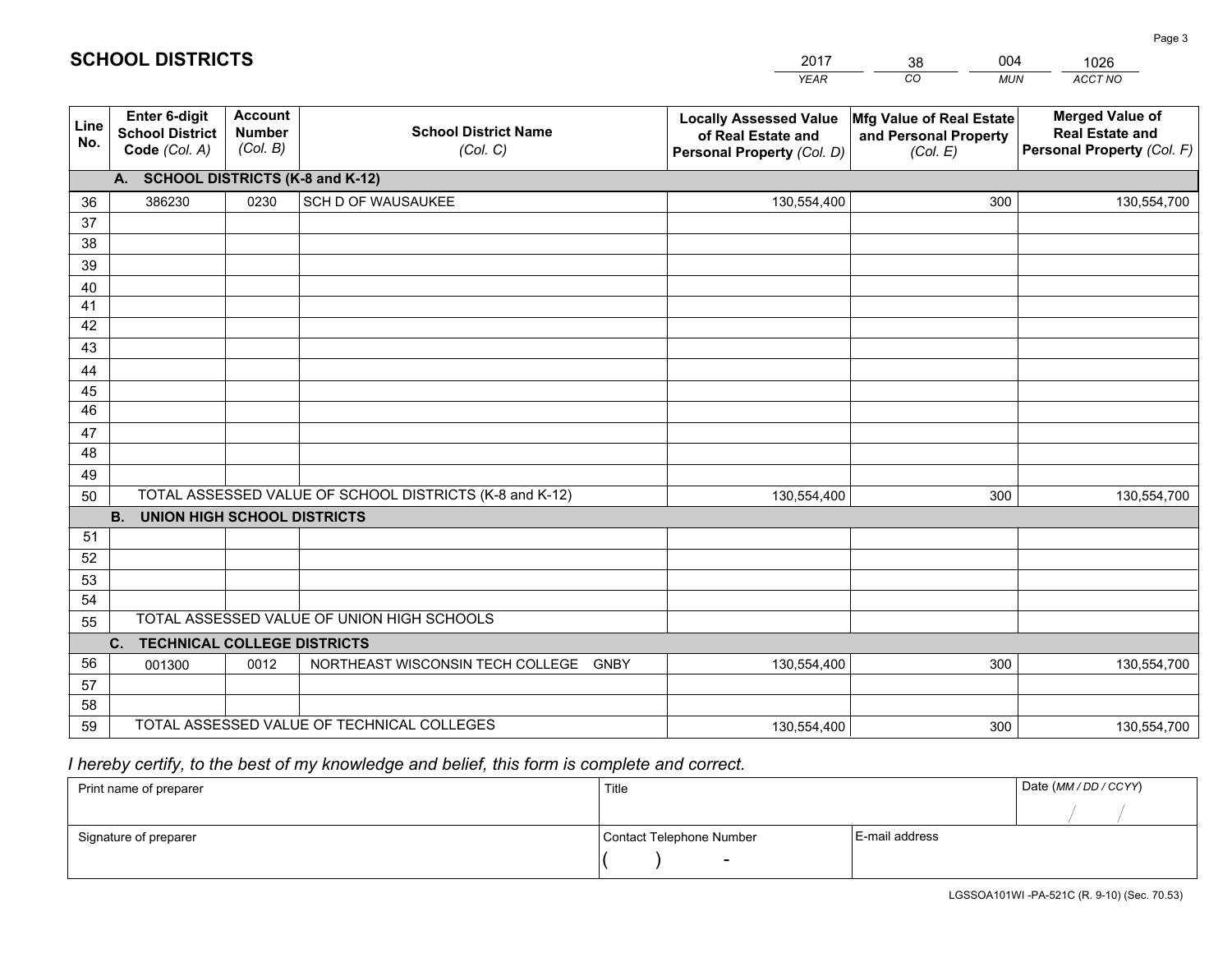|             |                                                                 |                                             |                                                         | <b>YEAR</b>                                                                       | CO<br><b>MUN</b>                                              | ACCT NO                                                                        |
|-------------|-----------------------------------------------------------------|---------------------------------------------|---------------------------------------------------------|-----------------------------------------------------------------------------------|---------------------------------------------------------------|--------------------------------------------------------------------------------|
| Line<br>No. | <b>Enter 6-digit</b><br><b>School District</b><br>Code (Col. A) | <b>Account</b><br><b>Number</b><br>(Col. B) | <b>School District Name</b><br>(Col. C)                 | <b>Locally Assessed Value</b><br>of Real Estate and<br>Personal Property (Col. D) | Mfg Value of Real Estate<br>and Personal Property<br>(Col. E) | <b>Merged Value of</b><br><b>Real Estate and</b><br>Personal Property (Col. F) |
|             | A. SCHOOL DISTRICTS (K-8 and K-12)                              |                                             |                                                         |                                                                                   |                                                               |                                                                                |
| 36          | 386230                                                          | 0230                                        | SCH D OF WAUSAUKEE                                      | 130,554,400                                                                       | 300                                                           | 130,554,700                                                                    |
| 37          |                                                                 |                                             |                                                         |                                                                                   |                                                               |                                                                                |
| 38          |                                                                 |                                             |                                                         |                                                                                   |                                                               |                                                                                |
| 39          |                                                                 |                                             |                                                         |                                                                                   |                                                               |                                                                                |
| 40          |                                                                 |                                             |                                                         |                                                                                   |                                                               |                                                                                |
| 41          |                                                                 |                                             |                                                         |                                                                                   |                                                               |                                                                                |
| 42<br>43    |                                                                 |                                             |                                                         |                                                                                   |                                                               |                                                                                |
|             |                                                                 |                                             |                                                         |                                                                                   |                                                               |                                                                                |
| 44<br>45    |                                                                 |                                             |                                                         |                                                                                   |                                                               |                                                                                |
| 46          |                                                                 |                                             |                                                         |                                                                                   |                                                               |                                                                                |
| 47          |                                                                 |                                             |                                                         |                                                                                   |                                                               |                                                                                |
| 48          |                                                                 |                                             |                                                         |                                                                                   |                                                               |                                                                                |
| 49          |                                                                 |                                             |                                                         |                                                                                   |                                                               |                                                                                |
| 50          |                                                                 |                                             | TOTAL ASSESSED VALUE OF SCHOOL DISTRICTS (K-8 and K-12) | 130,554,400                                                                       | 300                                                           | 130,554,700                                                                    |
|             | <b>B.</b><br><b>UNION HIGH SCHOOL DISTRICTS</b>                 |                                             |                                                         |                                                                                   |                                                               |                                                                                |
| 51          |                                                                 |                                             |                                                         |                                                                                   |                                                               |                                                                                |
| 52          |                                                                 |                                             |                                                         |                                                                                   |                                                               |                                                                                |
| 53          |                                                                 |                                             |                                                         |                                                                                   |                                                               |                                                                                |
| 54          |                                                                 |                                             |                                                         |                                                                                   |                                                               |                                                                                |
| 55          |                                                                 |                                             | TOTAL ASSESSED VALUE OF UNION HIGH SCHOOLS              |                                                                                   |                                                               |                                                                                |
|             | C.<br><b>TECHNICAL COLLEGE DISTRICTS</b>                        |                                             |                                                         |                                                                                   |                                                               |                                                                                |
| 56          | 001300                                                          | 0012                                        | NORTHEAST WISCONSIN TECH COLLEGE<br><b>GNBY</b>         | 130,554,400                                                                       | 300                                                           | 130,554,700                                                                    |
| 57          |                                                                 |                                             |                                                         |                                                                                   |                                                               |                                                                                |
| 58          |                                                                 |                                             |                                                         |                                                                                   |                                                               |                                                                                |
| 59          |                                                                 |                                             | TOTAL ASSESSED VALUE OF TECHNICAL COLLEGES              | 130,554,400                                                                       | 300                                                           | 130,554,700                                                                    |

2017

38

004

 *I hereby certify, to the best of my knowledge and belief, this form is complete and correct.*

**SCHOOL DISTRICTS**

| Print name of preparer | Title                    |                | Date (MM / DD / CCYY) |
|------------------------|--------------------------|----------------|-----------------------|
|                        |                          |                |                       |
| Signature of preparer  | Contact Telephone Number | E-mail address |                       |
|                        | $\sim$                   |                |                       |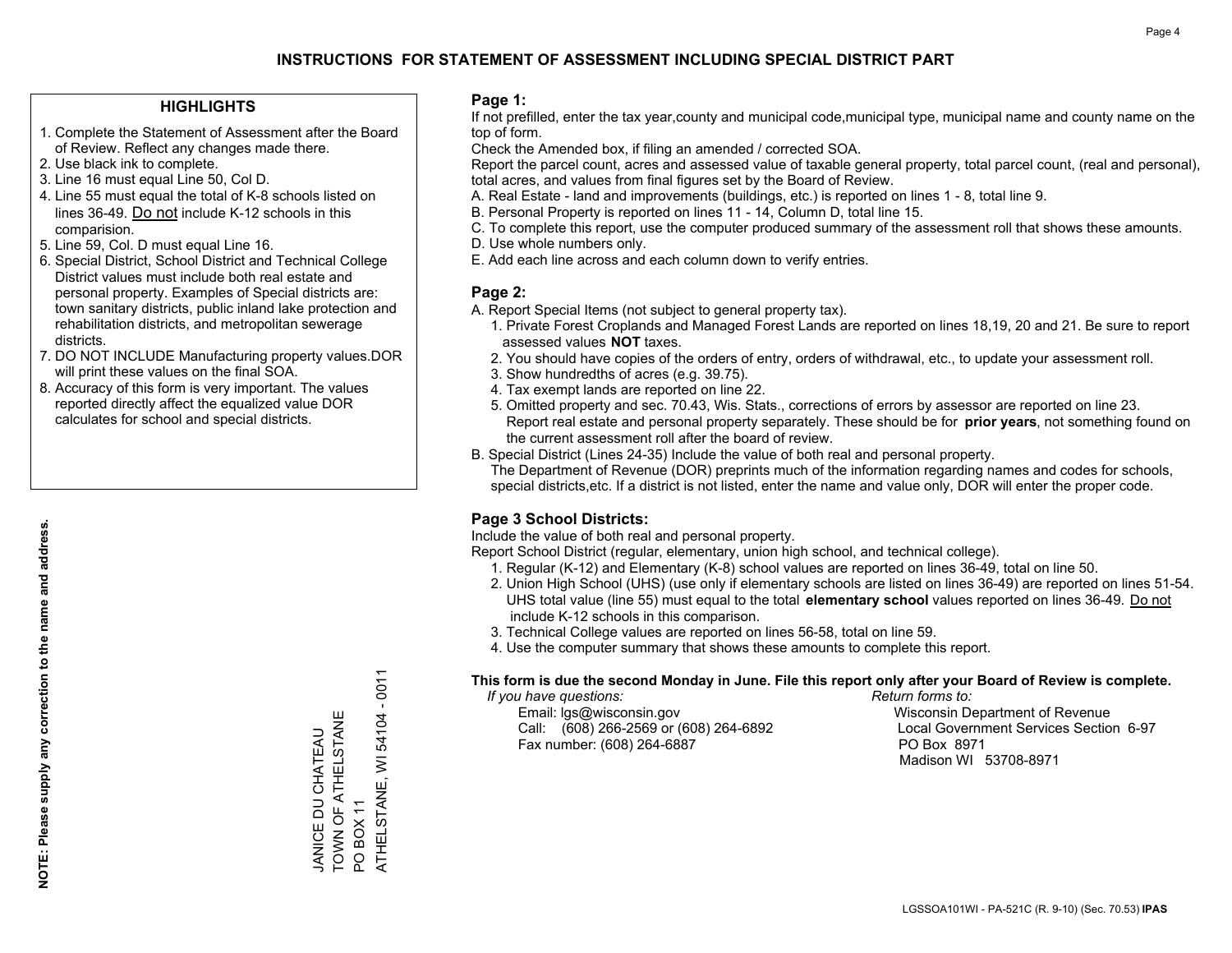#### **HIGHLIGHTS**

- 1. Complete the Statement of Assessment after the Board of Review. Reflect any changes made there.
- 2. Use black ink to complete.
- 3. Line 16 must equal Line 50, Col D.
- 4. Line 55 must equal the total of K-8 schools listed on lines 36-49. Do not include K-12 schools in this comparision.
- 5. Line 59, Col. D must equal Line 16.
- 6. Special District, School District and Technical College District values must include both real estate and personal property. Examples of Special districts are: town sanitary districts, public inland lake protection and rehabilitation districts, and metropolitan sewerage districts.
- 7. DO NOT INCLUDE Manufacturing property values.DOR will print these values on the final SOA.
- 8. Accuracy of this form is very important. The values reported directly affect the equalized value DOR calculates for school and special districts.

#### **Page 1:**

 If not prefilled, enter the tax year,county and municipal code,municipal type, municipal name and county name on the top of form.

Check the Amended box, if filing an amended / corrected SOA.

 Report the parcel count, acres and assessed value of taxable general property, total parcel count, (real and personal), total acres, and values from final figures set by the Board of Review.

- A. Real Estate land and improvements (buildings, etc.) is reported on lines 1 8, total line 9.
- B. Personal Property is reported on lines 11 14, Column D, total line 15.
- C. To complete this report, use the computer produced summary of the assessment roll that shows these amounts.
- D. Use whole numbers only.
- E. Add each line across and each column down to verify entries.

#### **Page 2:**

- A. Report Special Items (not subject to general property tax).
- 1. Private Forest Croplands and Managed Forest Lands are reported on lines 18,19, 20 and 21. Be sure to report assessed values **NOT** taxes.
- 2. You should have copies of the orders of entry, orders of withdrawal, etc., to update your assessment roll.
	- 3. Show hundredths of acres (e.g. 39.75).
- 4. Tax exempt lands are reported on line 22.
- 5. Omitted property and sec. 70.43, Wis. Stats., corrections of errors by assessor are reported on line 23. Report real estate and personal property separately. These should be for **prior years**, not something found on the current assessment roll after the board of review.
- B. Special District (Lines 24-35) Include the value of both real and personal property.

 The Department of Revenue (DOR) preprints much of the information regarding names and codes for schools, special districts,etc. If a district is not listed, enter the name and value only, DOR will enter the proper code.

### **Page 3 School Districts:**

Include the value of both real and personal property.

Report School District (regular, elementary, union high school, and technical college).

- 1. Regular (K-12) and Elementary (K-8) school values are reported on lines 36-49, total on line 50.
- 2. Union High School (UHS) (use only if elementary schools are listed on lines 36-49) are reported on lines 51-54. UHS total value (line 55) must equal to the total **elementary school** values reported on lines 36-49. Do notinclude K-12 schools in this comparison.
- 3. Technical College values are reported on lines 56-58, total on line 59.
- 4. Use the computer summary that shows these amounts to complete this report.

#### **This form is due the second Monday in June. File this report only after your Board of Review is complete.**

 *If you have questions: Return forms to:*

 Email: lgs@wisconsin.gov Wisconsin Department of RevenueCall:  $(608)$  266-2569 or  $(608)$  264-6892 Fax number: (608) 264-6887 PO Box 8971

Local Government Services Section 6-97 Madison WI 53708-8971

54104 - 0011 ATHELSTANE, WI 54104 - 0011 TOWN OF ATHELSTANE TOWN OF ATHELSTANE **JANICE DU CHATEAU** JANICE DU CHATEAU ATHELSTANE, WI POBOX<sub>11</sub> PO BOX 11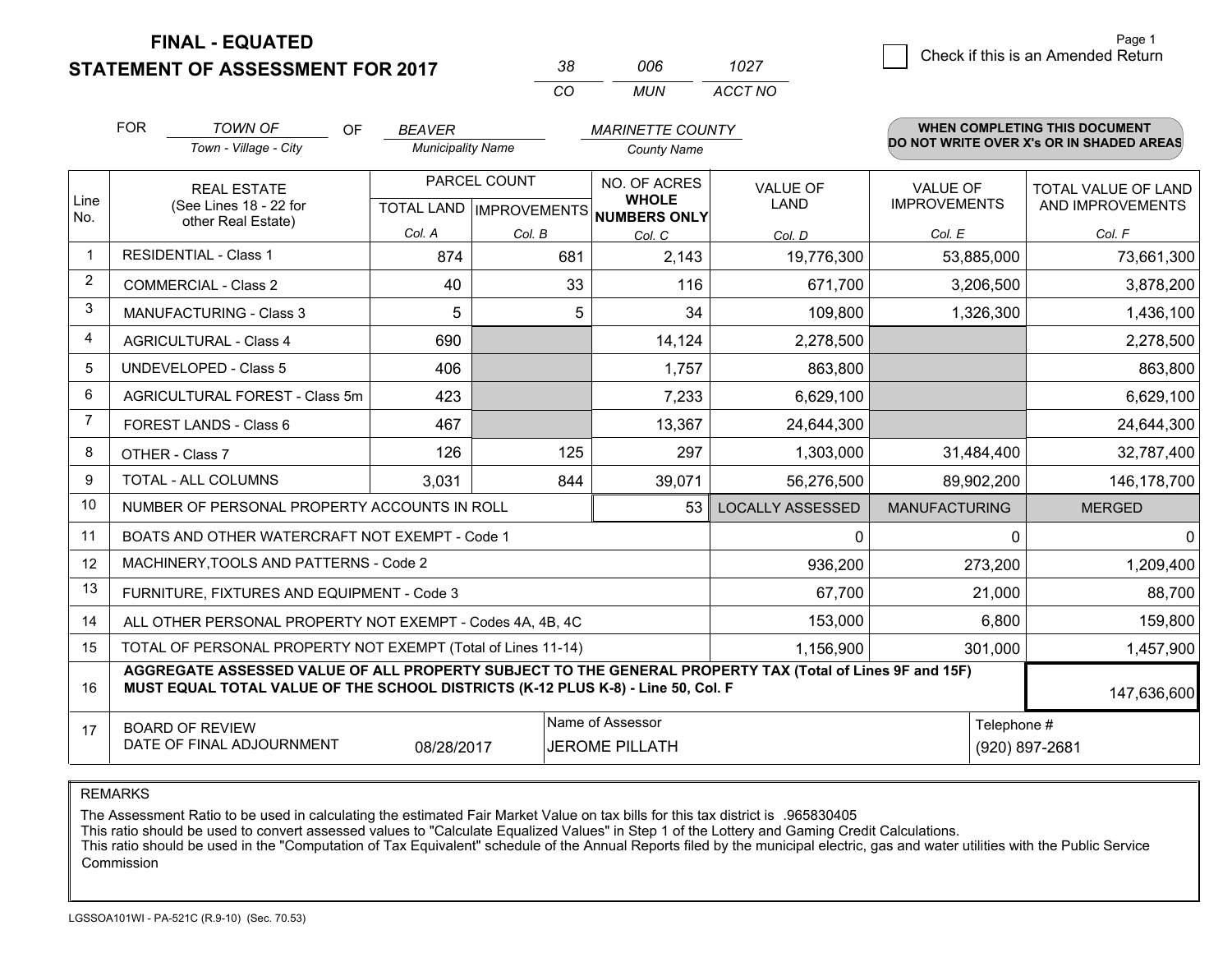**STATEMENT OF ASSESSMENT FOR 2017** 

| 38  | กกล | 1027    |
|-----|-----|---------|
| CO. | MUN | ACCT NO |

|                | <b>FOR</b>                                                                                                                                                                                   | <b>TOWN OF</b><br>OF                                         | <b>BEAVER</b>            |                                      | <b>MARINETTE COUNTY</b>      |                         |                      | <b>WHEN COMPLETING THIS DOCUMENT</b>     |
|----------------|----------------------------------------------------------------------------------------------------------------------------------------------------------------------------------------------|--------------------------------------------------------------|--------------------------|--------------------------------------|------------------------------|-------------------------|----------------------|------------------------------------------|
|                |                                                                                                                                                                                              | Town - Village - City                                        | <b>Municipality Name</b> |                                      | <b>County Name</b>           |                         |                      | DO NOT WRITE OVER X's OR IN SHADED AREAS |
|                |                                                                                                                                                                                              | <b>REAL ESTATE</b>                                           |                          | PARCEL COUNT                         | NO. OF ACRES<br><b>WHOLE</b> | <b>VALUE OF</b>         | <b>VALUE OF</b>      | <b>TOTAL VALUE OF LAND</b>               |
| Line<br>No.    | (See Lines 18 - 22 for<br>other Real Estate)                                                                                                                                                 |                                                              |                          | TOTAL LAND IMPROVEMENTS NUMBERS ONLY | <b>LAND</b>                  | <b>IMPROVEMENTS</b>     | AND IMPROVEMENTS     |                                          |
|                |                                                                                                                                                                                              |                                                              | Col. A                   | Col. B                               | Col. C                       | Col. D                  | Col. E               | Col. F                                   |
| -1             | <b>RESIDENTIAL - Class 1</b>                                                                                                                                                                 |                                                              | 874                      | 681                                  | 2,143                        | 19,776,300              | 53,885,000           | 73,661,300                               |
| 2              |                                                                                                                                                                                              | <b>COMMERCIAL - Class 2</b>                                  | 40                       | 33                                   | 116                          | 671,700                 | 3,206,500            | 3,878,200                                |
| 3              |                                                                                                                                                                                              | <b>MANUFACTURING - Class 3</b>                               | 5                        | 5                                    | 34                           | 109,800                 | 1,326,300            | 1,436,100                                |
| 4              |                                                                                                                                                                                              | <b>AGRICULTURAL - Class 4</b>                                | 690                      |                                      | 14,124                       | 2,278,500               |                      | 2,278,500                                |
| 5              |                                                                                                                                                                                              | <b>UNDEVELOPED - Class 5</b>                                 | 406                      |                                      | 1,757                        | 863,800                 |                      | 863,800                                  |
| 6              |                                                                                                                                                                                              | AGRICULTURAL FOREST - Class 5m                               | 423                      |                                      | 7,233                        | 6,629,100               |                      | 6,629,100                                |
| $\overline{7}$ |                                                                                                                                                                                              | FOREST LANDS - Class 6                                       | 467                      |                                      | 13,367                       | 24,644,300              |                      | 24,644,300                               |
| 8              |                                                                                                                                                                                              | OTHER - Class 7                                              | 126                      | 125                                  | 297                          | 1,303,000               | 31,484,400           | 32,787,400                               |
| 9              |                                                                                                                                                                                              | TOTAL - ALL COLUMNS                                          | 3,031                    | 844                                  | 39,071                       | 56,276,500              | 89,902,200           | 146,178,700                              |
| 10             |                                                                                                                                                                                              | NUMBER OF PERSONAL PROPERTY ACCOUNTS IN ROLL                 |                          |                                      | 53                           | <b>LOCALLY ASSESSED</b> | <b>MANUFACTURING</b> | <b>MERGED</b>                            |
| 11             |                                                                                                                                                                                              | BOATS AND OTHER WATERCRAFT NOT EXEMPT - Code 1               |                          |                                      |                              | 0                       | 0                    | 0                                        |
| 12             |                                                                                                                                                                                              | MACHINERY, TOOLS AND PATTERNS - Code 2                       |                          |                                      |                              | 936,200                 | 273,200              | 1,209,400                                |
| 13             |                                                                                                                                                                                              | FURNITURE, FIXTURES AND EQUIPMENT - Code 3                   |                          |                                      |                              | 67,700                  | 21,000               | 88,700                                   |
| 14             |                                                                                                                                                                                              | ALL OTHER PERSONAL PROPERTY NOT EXEMPT - Codes 4A, 4B, 4C    |                          |                                      |                              | 153,000                 | 6,800                | 159,800                                  |
| 15             |                                                                                                                                                                                              | TOTAL OF PERSONAL PROPERTY NOT EXEMPT (Total of Lines 11-14) |                          |                                      |                              | 1,156,900               | 301,000              | 1,457,900                                |
| 16             | AGGREGATE ASSESSED VALUE OF ALL PROPERTY SUBJECT TO THE GENERAL PROPERTY TAX (Total of Lines 9F and 15F)<br>MUST EQUAL TOTAL VALUE OF THE SCHOOL DISTRICTS (K-12 PLUS K-8) - Line 50, Col. F |                                                              |                          |                                      |                              |                         | 147,636,600          |                                          |
| 17             |                                                                                                                                                                                              | <b>BOARD OF REVIEW</b>                                       |                          |                                      | Name of Assessor             |                         | Telephone #          |                                          |
|                | DATE OF FINAL ADJOURNMENT<br><b>JEROME PILLATH</b><br>(920) 897-2681<br>08/28/2017                                                                                                           |                                                              |                          |                                      |                              |                         |                      |                                          |

REMARKS

The Assessment Ratio to be used in calculating the estimated Fair Market Value on tax bills for this tax district is .965830405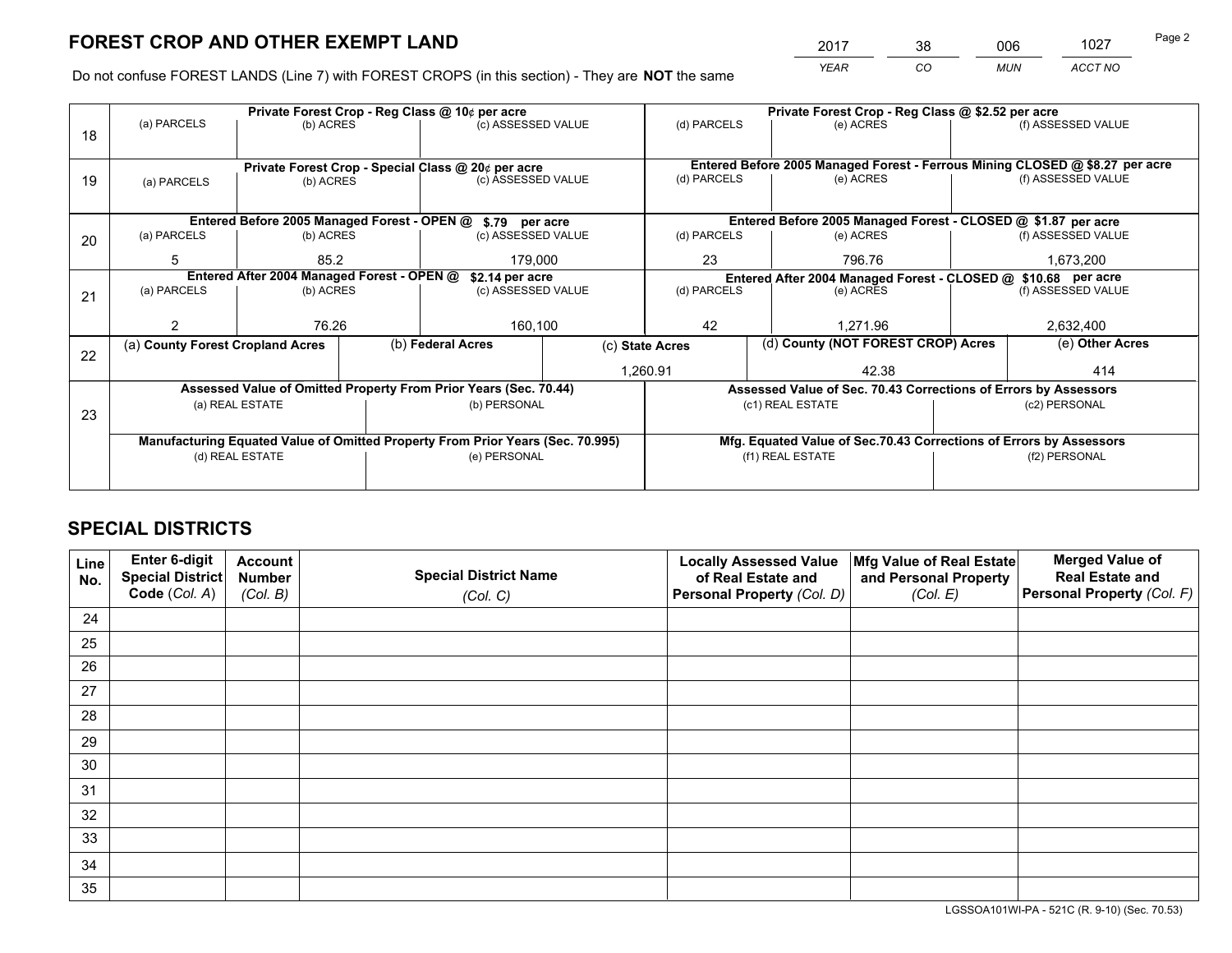*YEAR CO MUN ACCT NO* 2017 38 006 1027 Page 2

Do not confuse FOREST LANDS (Line 7) with FOREST CROPS (in this section) - They are **NOT** the same

|             |                            |                                                                                 |                                                  |                                                                                                                   | Private Forest Crop - Reg Class @ \$2.52 per acre                                                                                                                                                                                                                                                                                                                                                                                       |    |                            |                                                        |                                                                                                                                                                                                                                                           |  |
|-------------|----------------------------|---------------------------------------------------------------------------------|--------------------------------------------------|-------------------------------------------------------------------------------------------------------------------|-----------------------------------------------------------------------------------------------------------------------------------------------------------------------------------------------------------------------------------------------------------------------------------------------------------------------------------------------------------------------------------------------------------------------------------------|----|----------------------------|--------------------------------------------------------|-----------------------------------------------------------------------------------------------------------------------------------------------------------------------------------------------------------------------------------------------------------|--|
|             |                            |                                                                                 |                                                  |                                                                                                                   | (d) PARCELS                                                                                                                                                                                                                                                                                                                                                                                                                             |    | (e) ACRES                  |                                                        | (f) ASSESSED VALUE                                                                                                                                                                                                                                        |  |
|             |                            |                                                                                 |                                                  |                                                                                                                   |                                                                                                                                                                                                                                                                                                                                                                                                                                         |    |                            |                                                        |                                                                                                                                                                                                                                                           |  |
|             |                            |                                                                                 |                                                  |                                                                                                                   |                                                                                                                                                                                                                                                                                                                                                                                                                                         |    |                            |                                                        |                                                                                                                                                                                                                                                           |  |
| (a) PARCELS |                            |                                                                                 |                                                  |                                                                                                                   |                                                                                                                                                                                                                                                                                                                                                                                                                                         |    |                            |                                                        | (f) ASSESSED VALUE                                                                                                                                                                                                                                        |  |
|             |                            |                                                                                 |                                                  |                                                                                                                   |                                                                                                                                                                                                                                                                                                                                                                                                                                         |    |                            |                                                        |                                                                                                                                                                                                                                                           |  |
|             |                            |                                                                                 |                                                  |                                                                                                                   |                                                                                                                                                                                                                                                                                                                                                                                                                                         |    |                            |                                                        |                                                                                                                                                                                                                                                           |  |
| (a) PARCELS |                            |                                                                                 |                                                  |                                                                                                                   | (d) PARCELS                                                                                                                                                                                                                                                                                                                                                                                                                             |    | (e) ACRES                  |                                                        | (f) ASSESSED VALUE                                                                                                                                                                                                                                        |  |
| 5           | 85.2                       |                                                                                 |                                                  |                                                                                                                   | 23                                                                                                                                                                                                                                                                                                                                                                                                                                      |    | 796.76                     |                                                        | 1,673,200                                                                                                                                                                                                                                                 |  |
|             |                            |                                                                                 |                                                  | Entered After 2004 Managed Forest - CLOSED @ \$10.68 per acre                                                     |                                                                                                                                                                                                                                                                                                                                                                                                                                         |    |                            |                                                        |                                                                                                                                                                                                                                                           |  |
|             |                            |                                                                                 |                                                  |                                                                                                                   |                                                                                                                                                                                                                                                                                                                                                                                                                                         |    |                            |                                                        | (f) ASSESSED VALUE                                                                                                                                                                                                                                        |  |
|             |                            |                                                                                 |                                                  |                                                                                                                   |                                                                                                                                                                                                                                                                                                                                                                                                                                         |    |                            |                                                        |                                                                                                                                                                                                                                                           |  |
| 2           |                            |                                                                                 |                                                  |                                                                                                                   |                                                                                                                                                                                                                                                                                                                                                                                                                                         |    |                            |                                                        | 2,632,400                                                                                                                                                                                                                                                 |  |
|             |                            |                                                                                 |                                                  | (c) State Acres                                                                                                   |                                                                                                                                                                                                                                                                                                                                                                                                                                         |    |                            |                                                        | (e) Other Acres                                                                                                                                                                                                                                           |  |
|             |                            |                                                                                 |                                                  | 1,260.91                                                                                                          |                                                                                                                                                                                                                                                                                                                                                                                                                                         |    | 42.38                      |                                                        | 414                                                                                                                                                                                                                                                       |  |
|             |                            |                                                                                 |                                                  |                                                                                                                   | Assessed Value of Sec. 70.43 Corrections of Errors by Assessors                                                                                                                                                                                                                                                                                                                                                                         |    |                            |                                                        |                                                                                                                                                                                                                                                           |  |
|             |                            |                                                                                 |                                                  |                                                                                                                   |                                                                                                                                                                                                                                                                                                                                                                                                                                         |    |                            |                                                        | (c2) PERSONAL                                                                                                                                                                                                                                             |  |
|             |                            |                                                                                 |                                                  |                                                                                                                   |                                                                                                                                                                                                                                                                                                                                                                                                                                         |    |                            |                                                        |                                                                                                                                                                                                                                                           |  |
|             |                            |                                                                                 |                                                  |                                                                                                                   |                                                                                                                                                                                                                                                                                                                                                                                                                                         |    |                            |                                                        |                                                                                                                                                                                                                                                           |  |
|             |                            |                                                                                 |                                                  |                                                                                                                   | (f1) REAL ESTATE                                                                                                                                                                                                                                                                                                                                                                                                                        |    |                            | (f2) PERSONAL                                          |                                                                                                                                                                                                                                                           |  |
|             |                            |                                                                                 |                                                  |                                                                                                                   |                                                                                                                                                                                                                                                                                                                                                                                                                                         |    |                            |                                                        |                                                                                                                                                                                                                                                           |  |
|             | (a) PARCELS<br>(a) PARCELS | 76.26<br>(a) County Forest Cropland Acres<br>(a) REAL ESTATE<br>(d) REAL ESTATE | (b) ACRES<br>(b) ACRES<br>(b) ACRES<br>(b) ACRES | Private Forest Crop - Reg Class @ 10¢ per acre<br>Entered After 2004 Managed Forest - OPEN @<br>(b) Federal Acres | (c) ASSESSED VALUE<br>Private Forest Crop - Special Class @ 20¢ per acre<br>(c) ASSESSED VALUE<br>Entered Before 2005 Managed Forest - OPEN @ \$.79 per acre<br>(c) ASSESSED VALUE<br>179,000<br>\$2.14 per acre<br>(c) ASSESSED VALUE<br>160,100<br>Assessed Value of Omitted Property From Prior Years (Sec. 70.44)<br>(b) PERSONAL<br>Manufacturing Equated Value of Omitted Property From Prior Years (Sec. 70.995)<br>(e) PERSONAL | 42 | (d) PARCELS<br>(d) PARCELS | (e) ACRES<br>(e) ACRES<br>1.271.96<br>(c1) REAL ESTATE | Entered Before 2005 Managed Forest - Ferrous Mining CLOSED @ \$8.27 per acre<br>Entered Before 2005 Managed Forest - CLOSED @ \$1.87 per acre<br>(d) County (NOT FOREST CROP) Acres<br>Mfg. Equated Value of Sec.70.43 Corrections of Errors by Assessors |  |

## **SPECIAL DISTRICTS**

| Line<br>No. | Enter 6-digit<br><b>Special District</b><br>Code (Col. A) | <b>Account</b><br><b>Number</b><br>(Col. B) | <b>Special District Name</b><br>(Col. C) | <b>Locally Assessed Value</b><br>of Real Estate and<br>Personal Property (Col. D) | Mfg Value of Real Estate<br>and Personal Property<br>(Col. E) | <b>Merged Value of</b><br><b>Real Estate and</b><br>Personal Property (Col. F) |
|-------------|-----------------------------------------------------------|---------------------------------------------|------------------------------------------|-----------------------------------------------------------------------------------|---------------------------------------------------------------|--------------------------------------------------------------------------------|
| 24          |                                                           |                                             |                                          |                                                                                   |                                                               |                                                                                |
| 25          |                                                           |                                             |                                          |                                                                                   |                                                               |                                                                                |
| 26          |                                                           |                                             |                                          |                                                                                   |                                                               |                                                                                |
| 27          |                                                           |                                             |                                          |                                                                                   |                                                               |                                                                                |
| 28          |                                                           |                                             |                                          |                                                                                   |                                                               |                                                                                |
| 29          |                                                           |                                             |                                          |                                                                                   |                                                               |                                                                                |
| 30          |                                                           |                                             |                                          |                                                                                   |                                                               |                                                                                |
| 31          |                                                           |                                             |                                          |                                                                                   |                                                               |                                                                                |
| 32          |                                                           |                                             |                                          |                                                                                   |                                                               |                                                                                |
| 33          |                                                           |                                             |                                          |                                                                                   |                                                               |                                                                                |
| 34          |                                                           |                                             |                                          |                                                                                   |                                                               |                                                                                |
| 35          |                                                           |                                             |                                          |                                                                                   |                                                               |                                                                                |

LGSSOA101WI-PA - 521C (R. 9-10) (Sec. 70.53)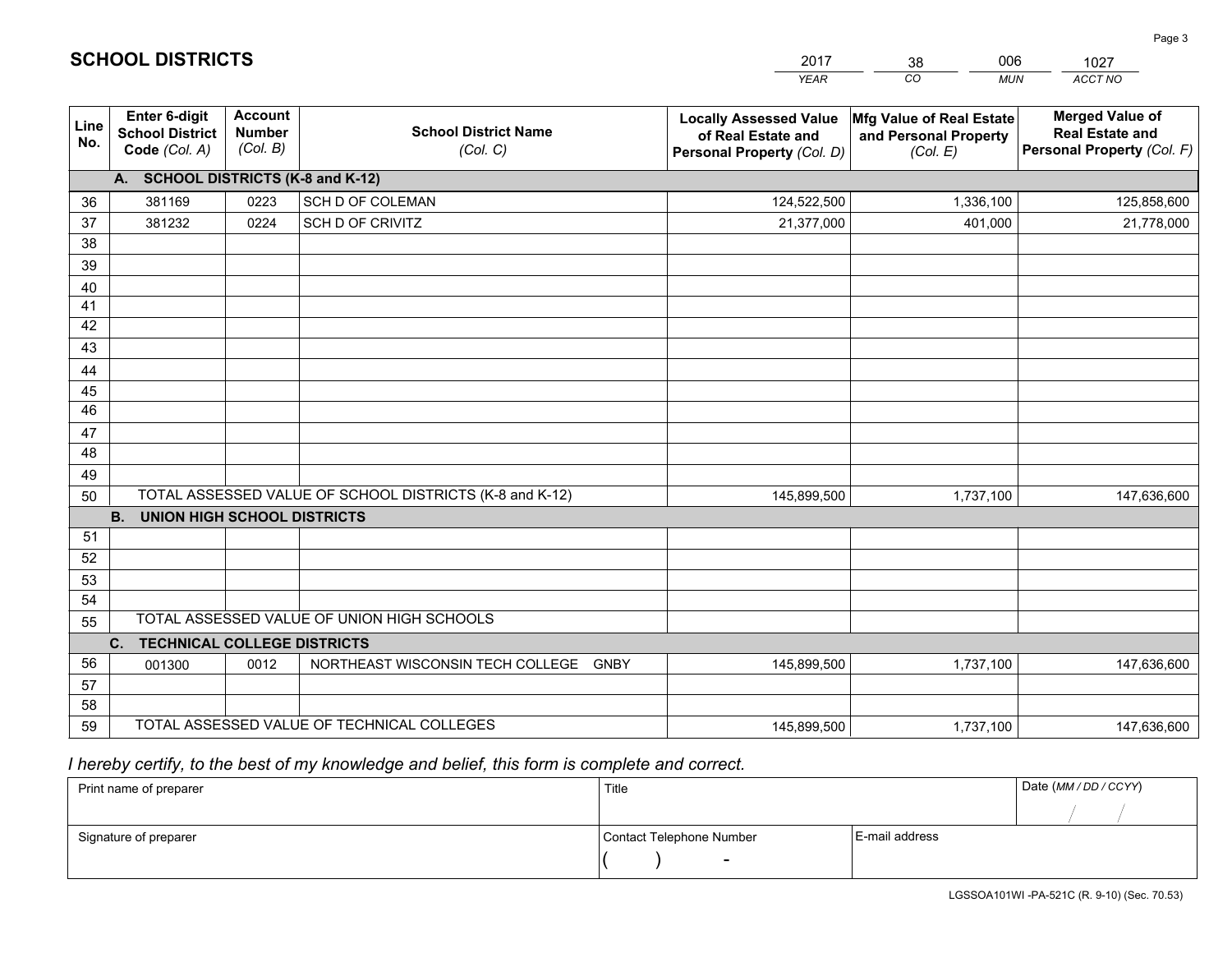|                 |                                                                 |                                             |                                                         | <b>YEAR</b>                                                                       | CO<br><b>MUN</b>                                              | ACCT NO                                                                        |  |
|-----------------|-----------------------------------------------------------------|---------------------------------------------|---------------------------------------------------------|-----------------------------------------------------------------------------------|---------------------------------------------------------------|--------------------------------------------------------------------------------|--|
| Line<br>No.     | <b>Enter 6-digit</b><br><b>School District</b><br>Code (Col. A) | <b>Account</b><br><b>Number</b><br>(Col. B) | <b>School District Name</b><br>(Col. C)                 | <b>Locally Assessed Value</b><br>of Real Estate and<br>Personal Property (Col. D) | Mfg Value of Real Estate<br>and Personal Property<br>(Col. E) | <b>Merged Value of</b><br><b>Real Estate and</b><br>Personal Property (Col. F) |  |
|                 | A. SCHOOL DISTRICTS (K-8 and K-12)                              |                                             |                                                         |                                                                                   |                                                               |                                                                                |  |
| 36              | 381169                                                          | 0223                                        | SCH D OF COLEMAN                                        | 124,522,500                                                                       | 1,336,100                                                     | 125,858,600                                                                    |  |
| 37              | 381232                                                          | 0224                                        | SCH D OF CRIVITZ                                        | 21,377,000                                                                        | 401,000                                                       | 21,778,000                                                                     |  |
| 38              |                                                                 |                                             |                                                         |                                                                                   |                                                               |                                                                                |  |
| 39              |                                                                 |                                             |                                                         |                                                                                   |                                                               |                                                                                |  |
| 40              |                                                                 |                                             |                                                         |                                                                                   |                                                               |                                                                                |  |
| 41              |                                                                 |                                             |                                                         |                                                                                   |                                                               |                                                                                |  |
| 42<br>43        |                                                                 |                                             |                                                         |                                                                                   |                                                               |                                                                                |  |
|                 |                                                                 |                                             |                                                         |                                                                                   |                                                               |                                                                                |  |
| 44<br>45        |                                                                 |                                             |                                                         |                                                                                   |                                                               |                                                                                |  |
| $\overline{46}$ |                                                                 |                                             |                                                         |                                                                                   |                                                               |                                                                                |  |
| 47              |                                                                 |                                             |                                                         |                                                                                   |                                                               |                                                                                |  |
| 48              |                                                                 |                                             |                                                         |                                                                                   |                                                               |                                                                                |  |
| 49              |                                                                 |                                             |                                                         |                                                                                   |                                                               |                                                                                |  |
| 50              |                                                                 |                                             | TOTAL ASSESSED VALUE OF SCHOOL DISTRICTS (K-8 and K-12) | 145,899,500                                                                       | 1,737,100                                                     | 147,636,600                                                                    |  |
|                 | <b>B.</b><br><b>UNION HIGH SCHOOL DISTRICTS</b>                 |                                             |                                                         |                                                                                   |                                                               |                                                                                |  |
| 51              |                                                                 |                                             |                                                         |                                                                                   |                                                               |                                                                                |  |
| 52              |                                                                 |                                             |                                                         |                                                                                   |                                                               |                                                                                |  |
| 53              |                                                                 |                                             |                                                         |                                                                                   |                                                               |                                                                                |  |
| 54              |                                                                 |                                             |                                                         |                                                                                   |                                                               |                                                                                |  |
| 55              |                                                                 |                                             | TOTAL ASSESSED VALUE OF UNION HIGH SCHOOLS              |                                                                                   |                                                               |                                                                                |  |
|                 | C.<br><b>TECHNICAL COLLEGE DISTRICTS</b>                        |                                             |                                                         |                                                                                   |                                                               |                                                                                |  |
| 56              | 001300                                                          | 0012                                        | NORTHEAST WISCONSIN TECH COLLEGE GNBY                   | 145,899,500                                                                       | 1,737,100                                                     | 147,636,600                                                                    |  |
| 57<br>58        |                                                                 |                                             |                                                         |                                                                                   |                                                               |                                                                                |  |
| 59              |                                                                 |                                             | TOTAL ASSESSED VALUE OF TECHNICAL COLLEGES              | 145,899,500                                                                       | 1,737,100                                                     | 147,636,600                                                                    |  |
|                 |                                                                 |                                             |                                                         |                                                                                   |                                                               |                                                                                |  |

2017

38

006

 *I hereby certify, to the best of my knowledge and belief, this form is complete and correct.*

**SCHOOL DISTRICTS**

| Print name of preparer | Title                    |                | Date (MM / DD / CCYY) |
|------------------------|--------------------------|----------------|-----------------------|
|                        |                          |                |                       |
| Signature of preparer  | Contact Telephone Number | E-mail address |                       |
|                        | $\sim$                   |                |                       |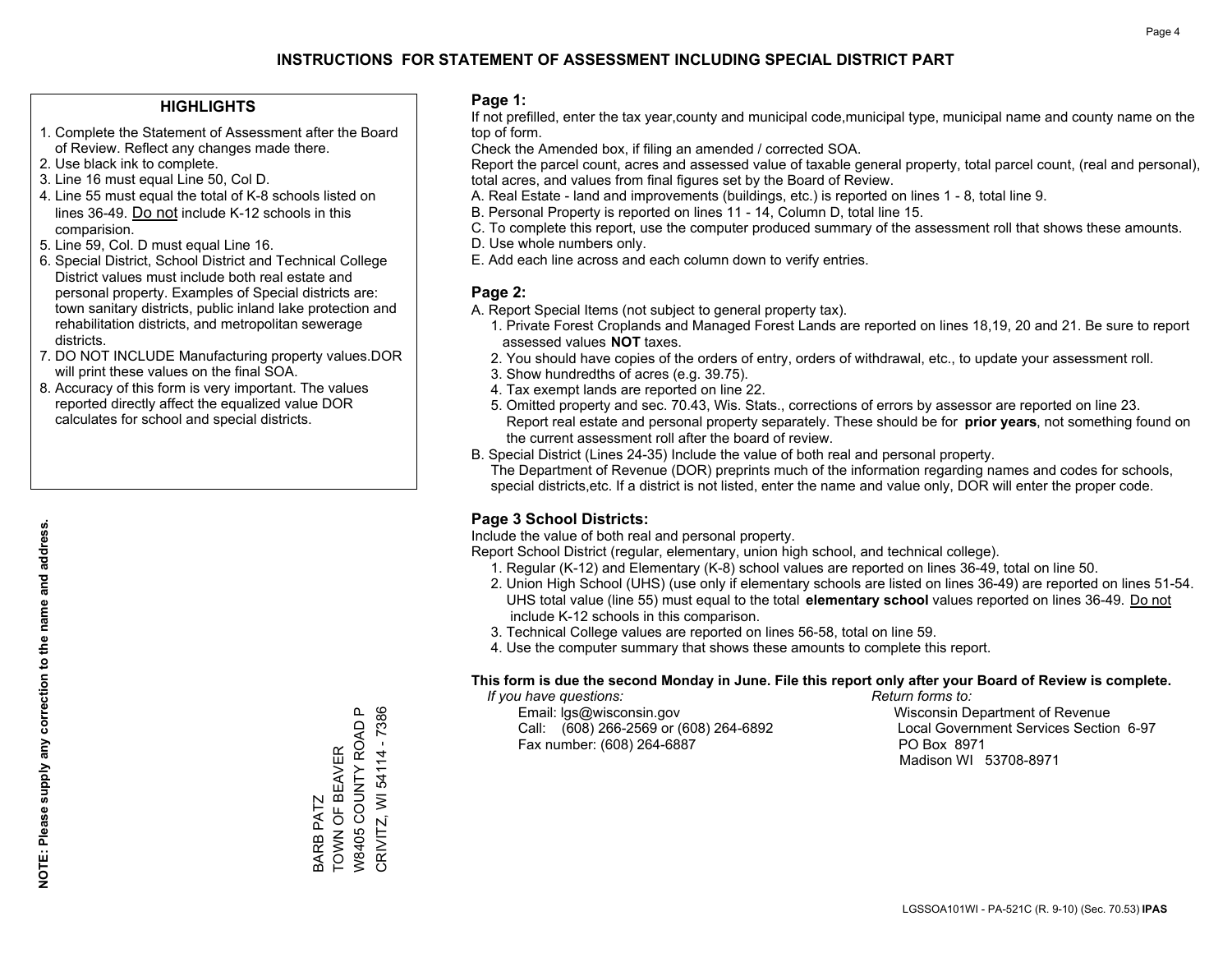#### **HIGHLIGHTS**

- 1. Complete the Statement of Assessment after the Board of Review. Reflect any changes made there.
- 2. Use black ink to complete.
- 3. Line 16 must equal Line 50, Col D.
- 4. Line 55 must equal the total of K-8 schools listed on lines 36-49. Do not include K-12 schools in this comparision.
- 5. Line 59, Col. D must equal Line 16.
- 6. Special District, School District and Technical College District values must include both real estate and personal property. Examples of Special districts are: town sanitary districts, public inland lake protection and rehabilitation districts, and metropolitan sewerage districts.
- 7. DO NOT INCLUDE Manufacturing property values.DOR will print these values on the final SOA.

BARB PATZ

TOWN OF BEAVER W8405 COUNTY ROAD P CRIVITZ, WI 54114 - 7386

BARB PATZ<br>TOWN OF BEAVER

CRIVITZ, WI 54114 - 7386

௨

W8405 COUNTY ROAD

 8. Accuracy of this form is very important. The values reported directly affect the equalized value DOR calculates for school and special districts.

#### **Page 1:**

 If not prefilled, enter the tax year,county and municipal code,municipal type, municipal name and county name on the top of form.

Check the Amended box, if filing an amended / corrected SOA.

 Report the parcel count, acres and assessed value of taxable general property, total parcel count, (real and personal), total acres, and values from final figures set by the Board of Review.

- A. Real Estate land and improvements (buildings, etc.) is reported on lines 1 8, total line 9.
- B. Personal Property is reported on lines 11 14, Column D, total line 15.
- C. To complete this report, use the computer produced summary of the assessment roll that shows these amounts.
- D. Use whole numbers only.
- E. Add each line across and each column down to verify entries.

#### **Page 2:**

- A. Report Special Items (not subject to general property tax).
- 1. Private Forest Croplands and Managed Forest Lands are reported on lines 18,19, 20 and 21. Be sure to report assessed values **NOT** taxes.
- 2. You should have copies of the orders of entry, orders of withdrawal, etc., to update your assessment roll.
	- 3. Show hundredths of acres (e.g. 39.75).
- 4. Tax exempt lands are reported on line 22.
- 5. Omitted property and sec. 70.43, Wis. Stats., corrections of errors by assessor are reported on line 23. Report real estate and personal property separately. These should be for **prior years**, not something found on the current assessment roll after the board of review.
- B. Special District (Lines 24-35) Include the value of both real and personal property.

 The Department of Revenue (DOR) preprints much of the information regarding names and codes for schools, special districts,etc. If a district is not listed, enter the name and value only, DOR will enter the proper code.

### **Page 3 School Districts:**

Include the value of both real and personal property.

Report School District (regular, elementary, union high school, and technical college).

- 1. Regular (K-12) and Elementary (K-8) school values are reported on lines 36-49, total on line 50.
- 2. Union High School (UHS) (use only if elementary schools are listed on lines 36-49) are reported on lines 51-54. UHS total value (line 55) must equal to the total **elementary school** values reported on lines 36-49. Do notinclude K-12 schools in this comparison.
- 3. Technical College values are reported on lines 56-58, total on line 59.
- 4. Use the computer summary that shows these amounts to complete this report.

#### **This form is due the second Monday in June. File this report only after your Board of Review is complete.**

 *If you have questions: Return forms to:*

 Email: lgs@wisconsin.gov Wisconsin Department of RevenueCall:  $(608)$  266-2569 or  $(608)$  264-6892 Fax number: (608) 264-6887 PO Box 8971

Local Government Services Section 6-97 Madison WI 53708-8971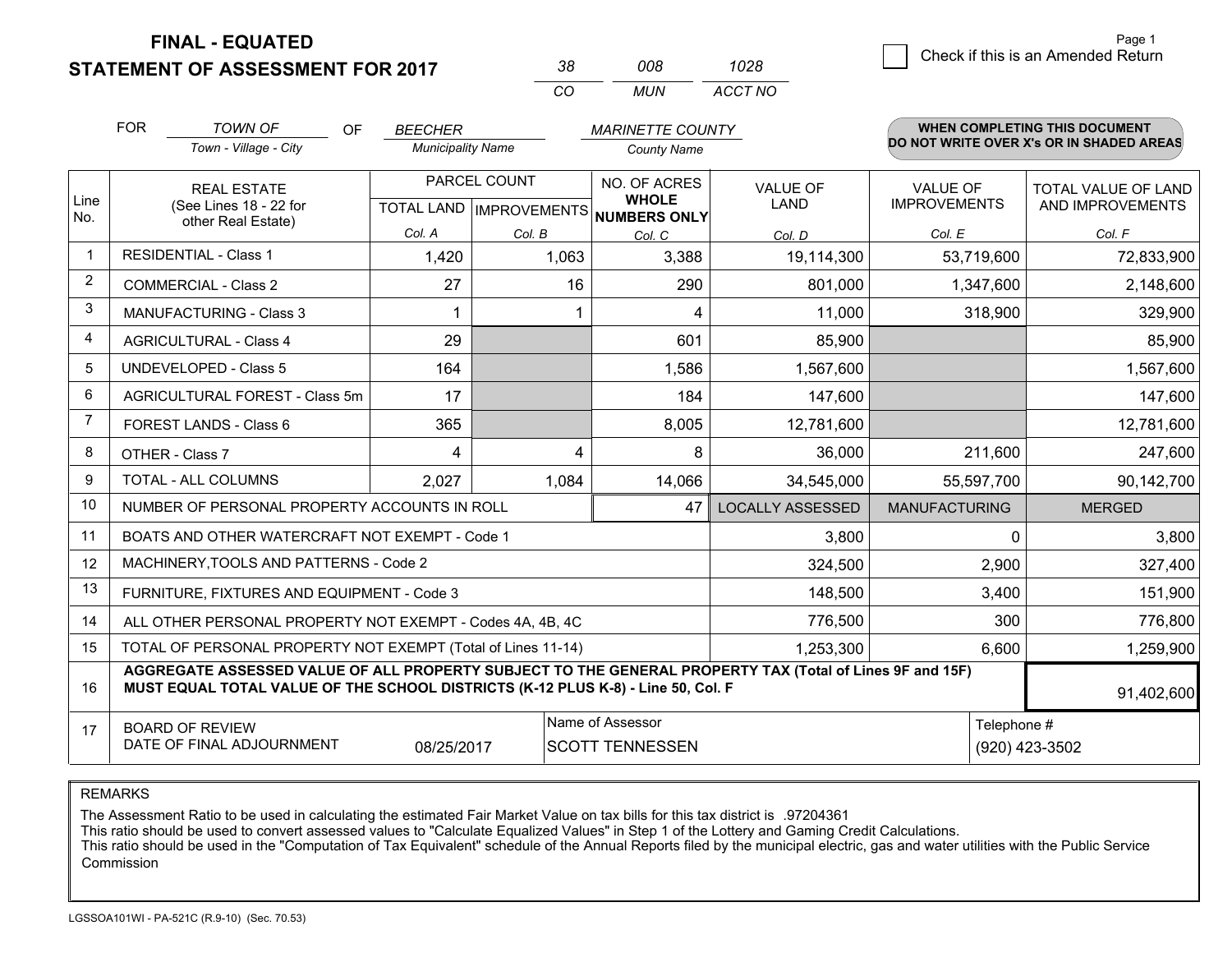**STATEMENT OF ASSESSMENT FOR 2017** 

| 3×       | nnr   | 1028    |
|----------|-------|---------|
| $\alpha$ | MI IN | ACCT NO |

|                         | <b>FOR</b><br><b>TOWN OF</b><br><b>OF</b><br><b>BEECHER</b><br><b>MARINETTE COUNTY</b> |                                                                                                                                                                                              |                          |              |                                     | <b>WHEN COMPLETING THIS DOCUMENT</b> |                                          |                     |
|-------------------------|----------------------------------------------------------------------------------------|----------------------------------------------------------------------------------------------------------------------------------------------------------------------------------------------|--------------------------|--------------|-------------------------------------|--------------------------------------|------------------------------------------|---------------------|
|                         |                                                                                        | Town - Village - City                                                                                                                                                                        | <b>Municipality Name</b> |              | <b>County Name</b>                  |                                      | DO NOT WRITE OVER X's OR IN SHADED AREAS |                     |
| Line                    |                                                                                        | <b>REAL ESTATE</b>                                                                                                                                                                           |                          | PARCEL COUNT | NO. OF ACRES<br><b>WHOLE</b>        | <b>VALUE OF</b>                      | <b>VALUE OF</b>                          | TOTAL VALUE OF LAND |
| No.                     |                                                                                        | (See Lines 18 - 22 for<br>other Real Estate)                                                                                                                                                 |                          |              | TOTAL LAND MPROVEMENTS NUMBERS ONLY | LAND                                 | <b>IMPROVEMENTS</b>                      | AND IMPROVEMENTS    |
|                         |                                                                                        |                                                                                                                                                                                              | Col. A                   | Col. B       | Col. C                              | Col. D                               | Col. E                                   | Col. F              |
| $\overline{\mathbf{1}}$ |                                                                                        | <b>RESIDENTIAL - Class 1</b>                                                                                                                                                                 | 1,420                    | 1,063        | 3,388                               | 19,114,300                           | 53,719,600                               | 72,833,900          |
| 2                       |                                                                                        | <b>COMMERCIAL - Class 2</b>                                                                                                                                                                  | 27                       | 16           | 290                                 | 801,000                              | 1,347,600                                | 2,148,600           |
| 3                       |                                                                                        | MANUFACTURING - Class 3                                                                                                                                                                      |                          |              | 4                                   | 11,000                               | 318,900                                  | 329,900             |
| 4                       |                                                                                        | <b>AGRICULTURAL - Class 4</b>                                                                                                                                                                | 29                       |              | 601                                 | 85,900                               |                                          | 85,900              |
| 5                       |                                                                                        | UNDEVELOPED - Class 5                                                                                                                                                                        | 164                      |              | 1,586                               | 1,567,600                            |                                          | 1,567,600           |
| 6                       |                                                                                        | AGRICULTURAL FOREST - Class 5m                                                                                                                                                               | 17                       |              | 184                                 | 147,600                              |                                          | 147,600             |
| $\overline{7}$          | FOREST LANDS - Class 6                                                                 |                                                                                                                                                                                              | 365                      |              | 8,005                               | 12,781,600                           |                                          | 12,781,600          |
| 8                       |                                                                                        | OTHER - Class 7                                                                                                                                                                              | 4                        | 4            | 8                                   | 36,000                               | 211,600                                  | 247,600             |
| 9                       |                                                                                        | TOTAL - ALL COLUMNS                                                                                                                                                                          | 2,027                    | 1,084        | 14,066                              | 34,545,000                           | 55,597,700                               | 90,142,700          |
| 10                      |                                                                                        | NUMBER OF PERSONAL PROPERTY ACCOUNTS IN ROLL                                                                                                                                                 |                          |              | 47                                  | <b>LOCALLY ASSESSED</b>              | <b>MANUFACTURING</b>                     | <b>MERGED</b>       |
| 11                      |                                                                                        | BOATS AND OTHER WATERCRAFT NOT EXEMPT - Code 1                                                                                                                                               |                          |              |                                     | 3,800                                | 0                                        | 3,800               |
| 12                      |                                                                                        | MACHINERY, TOOLS AND PATTERNS - Code 2                                                                                                                                                       |                          |              |                                     | 324,500                              | 2,900                                    | 327,400             |
| 13                      |                                                                                        | FURNITURE, FIXTURES AND EQUIPMENT - Code 3                                                                                                                                                   |                          |              |                                     | 148,500                              | 3,400                                    | 151,900             |
| 14                      |                                                                                        | ALL OTHER PERSONAL PROPERTY NOT EXEMPT - Codes 4A, 4B, 4C                                                                                                                                    |                          |              |                                     | 776,500                              | 300                                      | 776,800             |
| 15                      |                                                                                        | TOTAL OF PERSONAL PROPERTY NOT EXEMPT (Total of Lines 11-14)                                                                                                                                 |                          |              |                                     | 1,253,300                            | 6,600                                    | 1,259,900           |
| 16                      |                                                                                        | AGGREGATE ASSESSED VALUE OF ALL PROPERTY SUBJECT TO THE GENERAL PROPERTY TAX (Total of Lines 9F and 15F)<br>MUST EQUAL TOTAL VALUE OF THE SCHOOL DISTRICTS (K-12 PLUS K-8) - Line 50, Col. F |                          |              |                                     |                                      |                                          | 91,402,600          |
| 17                      |                                                                                        | <b>BOARD OF REVIEW</b>                                                                                                                                                                       |                          |              | Name of Assessor                    |                                      | Telephone #                              |                     |
|                         | DATE OF FINAL ADJOURNMENT<br><b>SCOTT TENNESSEN</b><br>08/25/2017                      |                                                                                                                                                                                              |                          |              |                                     |                                      |                                          | (920) 423-3502      |

REMARKS

The Assessment Ratio to be used in calculating the estimated Fair Market Value on tax bills for this tax district is .97204361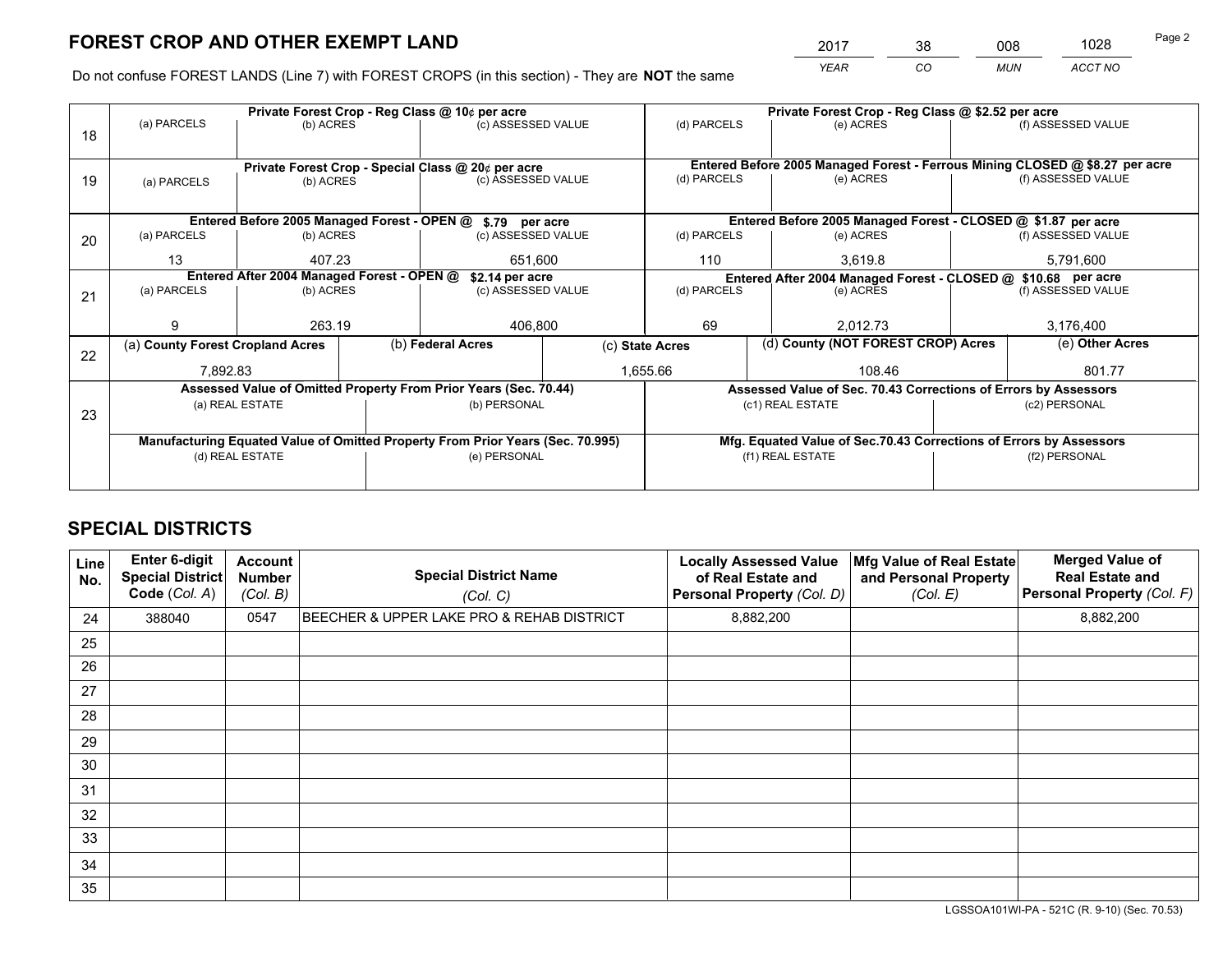*YEAR CO MUN ACCT NO* <sup>2017</sup> <sup>38</sup> <sup>008</sup> <sup>1028</sup>

Do not confuse FOREST LANDS (Line 7) with FOREST CROPS (in this section) - They are **NOT** the same

|    |                                            |                   |                 | Private Forest Crop - Reg Class @ 10¢ per acre                                 |                 | Private Forest Crop - Reg Class @ \$2.52 per acre             |         |                                                                    |                    |                                                                              |
|----|--------------------------------------------|-------------------|-----------------|--------------------------------------------------------------------------------|-----------------|---------------------------------------------------------------|---------|--------------------------------------------------------------------|--------------------|------------------------------------------------------------------------------|
| 18 | (a) PARCELS                                | (b) ACRES         |                 | (c) ASSESSED VALUE                                                             |                 | (d) PARCELS                                                   |         | (e) ACRES                                                          |                    | (f) ASSESSED VALUE                                                           |
|    |                                            |                   |                 | Private Forest Crop - Special Class @ 20¢ per acre                             |                 |                                                               |         |                                                                    |                    | Entered Before 2005 Managed Forest - Ferrous Mining CLOSED @ \$8.27 per acre |
| 19 | (b) ACRES<br>(a) PARCELS                   |                   |                 | (c) ASSESSED VALUE                                                             |                 | (d) PARCELS                                                   |         | (e) ACRES                                                          |                    | (f) ASSESSED VALUE                                                           |
|    |                                            |                   |                 | Entered Before 2005 Managed Forest - OPEN @ \$.79 per acre                     |                 |                                                               |         | Entered Before 2005 Managed Forest - CLOSED @ \$1.87 per acre      |                    |                                                                              |
| 20 | (a) PARCELS                                | (b) ACRES         |                 | (c) ASSESSED VALUE                                                             |                 | (d) PARCELS<br>(e) ACRES                                      |         |                                                                    |                    | (f) ASSESSED VALUE                                                           |
|    | 13                                         | 407.23<br>651,600 |                 |                                                                                | 110             |                                                               | 3.619.8 |                                                                    | 5,791,600          |                                                                              |
|    | Entered After 2004 Managed Forest - OPEN @ |                   | \$2.14 per acre |                                                                                |                 | Entered After 2004 Managed Forest - CLOSED @ \$10.68 per acre |         |                                                                    |                    |                                                                              |
| 21 | (a) PARCELS                                | (b) ACRES         |                 | (c) ASSESSED VALUE                                                             |                 | (d) PARCELS<br>(e) ACRES                                      |         |                                                                    | (f) ASSESSED VALUE |                                                                              |
|    |                                            |                   |                 |                                                                                |                 |                                                               |         |                                                                    |                    |                                                                              |
|    | 9                                          | 263.19            |                 | 406,800                                                                        |                 | 69<br>2,012.73                                                |         |                                                                    | 3,176,400          |                                                                              |
| 22 | (a) County Forest Cropland Acres           |                   |                 | (b) Federal Acres                                                              | (c) State Acres |                                                               |         | (d) County (NOT FOREST CROP) Acres                                 |                    | (e) Other Acres                                                              |
|    | 7,892.83                                   |                   |                 |                                                                                | 1,655.66        |                                                               |         | 108.46                                                             |                    | 801.77                                                                       |
|    |                                            |                   |                 | Assessed Value of Omitted Property From Prior Years (Sec. 70.44)               |                 |                                                               |         | Assessed Value of Sec. 70.43 Corrections of Errors by Assessors    |                    |                                                                              |
| 23 |                                            | (a) REAL ESTATE   |                 | (b) PERSONAL                                                                   |                 |                                                               |         | (c1) REAL ESTATE                                                   |                    | (c2) PERSONAL                                                                |
|    |                                            |                   |                 |                                                                                |                 |                                                               |         |                                                                    |                    |                                                                              |
|    |                                            |                   |                 | Manufacturing Equated Value of Omitted Property From Prior Years (Sec. 70.995) |                 |                                                               |         | Mfg. Equated Value of Sec.70.43 Corrections of Errors by Assessors |                    |                                                                              |
|    |                                            | (d) REAL ESTATE   |                 | (e) PERSONAL                                                                   |                 | (f1) REAL ESTATE                                              |         |                                                                    | (f2) PERSONAL      |                                                                              |
|    |                                            |                   |                 |                                                                                |                 |                                                               |         |                                                                    |                    |                                                                              |

## **SPECIAL DISTRICTS**

| Line<br>No. | Enter 6-digit<br><b>Special District</b><br>Code (Col. A) | <b>Account</b><br><b>Number</b><br>(Col. B) | <b>Special District Name</b><br>(Col. C)  | <b>Locally Assessed Value</b><br>of Real Estate and<br>Personal Property (Col. D) | Mfg Value of Real Estate<br>and Personal Property<br>(Col. E) | <b>Merged Value of</b><br><b>Real Estate and</b><br>Personal Property (Col. F) |
|-------------|-----------------------------------------------------------|---------------------------------------------|-------------------------------------------|-----------------------------------------------------------------------------------|---------------------------------------------------------------|--------------------------------------------------------------------------------|
| 24          | 388040                                                    | 0547                                        | BEECHER & UPPER LAKE PRO & REHAB DISTRICT | 8,882,200                                                                         |                                                               | 8,882,200                                                                      |
| 25          |                                                           |                                             |                                           |                                                                                   |                                                               |                                                                                |
| 26          |                                                           |                                             |                                           |                                                                                   |                                                               |                                                                                |
| 27          |                                                           |                                             |                                           |                                                                                   |                                                               |                                                                                |
| 28          |                                                           |                                             |                                           |                                                                                   |                                                               |                                                                                |
| 29          |                                                           |                                             |                                           |                                                                                   |                                                               |                                                                                |
| 30          |                                                           |                                             |                                           |                                                                                   |                                                               |                                                                                |
| 31          |                                                           |                                             |                                           |                                                                                   |                                                               |                                                                                |
| 32          |                                                           |                                             |                                           |                                                                                   |                                                               |                                                                                |
| 33          |                                                           |                                             |                                           |                                                                                   |                                                               |                                                                                |
| 34          |                                                           |                                             |                                           |                                                                                   |                                                               |                                                                                |
| 35          |                                                           |                                             |                                           |                                                                                   |                                                               |                                                                                |

LGSSOA101WI-PA - 521C (R. 9-10) (Sec. 70.53)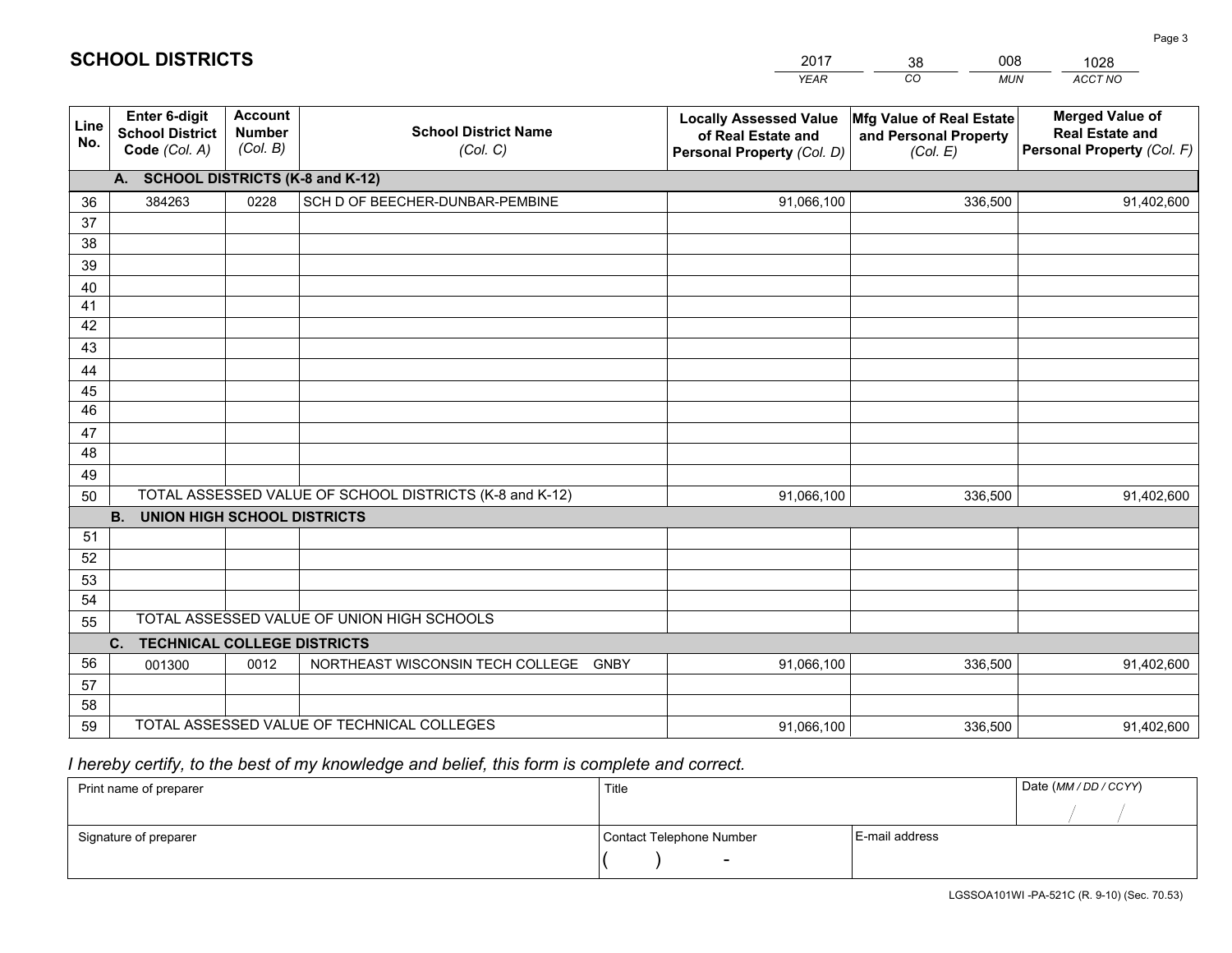|             |                                                          |                                             |                                                         | <b>YEAR</b>                                                                       | $\overline{co}$<br><b>MUN</b>                                 | ACCT NO                                                                        |
|-------------|----------------------------------------------------------|---------------------------------------------|---------------------------------------------------------|-----------------------------------------------------------------------------------|---------------------------------------------------------------|--------------------------------------------------------------------------------|
| Line<br>No. | Enter 6-digit<br><b>School District</b><br>Code (Col. A) | <b>Account</b><br><b>Number</b><br>(Col. B) | <b>School District Name</b><br>(Col. C)                 | <b>Locally Assessed Value</b><br>of Real Estate and<br>Personal Property (Col. D) | Mfg Value of Real Estate<br>and Personal Property<br>(Col. E) | <b>Merged Value of</b><br><b>Real Estate and</b><br>Personal Property (Col. F) |
|             | A. SCHOOL DISTRICTS (K-8 and K-12)                       |                                             |                                                         |                                                                                   |                                                               |                                                                                |
| 36          | 384263                                                   | 0228                                        | SCH D OF BEECHER-DUNBAR-PEMBINE                         | 91,066,100                                                                        | 336,500                                                       | 91,402,600                                                                     |
| 37          |                                                          |                                             |                                                         |                                                                                   |                                                               |                                                                                |
| 38          |                                                          |                                             |                                                         |                                                                                   |                                                               |                                                                                |
| 39          |                                                          |                                             |                                                         |                                                                                   |                                                               |                                                                                |
| 40          |                                                          |                                             |                                                         |                                                                                   |                                                               |                                                                                |
| 41          |                                                          |                                             |                                                         |                                                                                   |                                                               |                                                                                |
| 42<br>43    |                                                          |                                             |                                                         |                                                                                   |                                                               |                                                                                |
|             |                                                          |                                             |                                                         |                                                                                   |                                                               |                                                                                |
| 44<br>45    |                                                          |                                             |                                                         |                                                                                   |                                                               |                                                                                |
| 46          |                                                          |                                             |                                                         |                                                                                   |                                                               |                                                                                |
| 47          |                                                          |                                             |                                                         |                                                                                   |                                                               |                                                                                |
| 48          |                                                          |                                             |                                                         |                                                                                   |                                                               |                                                                                |
| 49          |                                                          |                                             |                                                         |                                                                                   |                                                               |                                                                                |
| 50          |                                                          |                                             | TOTAL ASSESSED VALUE OF SCHOOL DISTRICTS (K-8 and K-12) | 91,066,100                                                                        | 336,500                                                       | 91,402,600                                                                     |
|             | <b>B.</b><br><b>UNION HIGH SCHOOL DISTRICTS</b>          |                                             |                                                         |                                                                                   |                                                               |                                                                                |
| 51          |                                                          |                                             |                                                         |                                                                                   |                                                               |                                                                                |
| 52          |                                                          |                                             |                                                         |                                                                                   |                                                               |                                                                                |
| 53          |                                                          |                                             |                                                         |                                                                                   |                                                               |                                                                                |
| 54          |                                                          |                                             |                                                         |                                                                                   |                                                               |                                                                                |
| 55          |                                                          |                                             | TOTAL ASSESSED VALUE OF UNION HIGH SCHOOLS              |                                                                                   |                                                               |                                                                                |
|             | C.<br><b>TECHNICAL COLLEGE DISTRICTS</b>                 |                                             |                                                         |                                                                                   |                                                               |                                                                                |
| 56          | 001300                                                   | 0012                                        | NORTHEAST WISCONSIN TECH COLLEGE GNBY                   | 91,066,100                                                                        | 336,500                                                       | 91,402,600                                                                     |
| 57<br>58    |                                                          |                                             |                                                         |                                                                                   |                                                               |                                                                                |
| 59          |                                                          |                                             | TOTAL ASSESSED VALUE OF TECHNICAL COLLEGES              | 91,066,100                                                                        | 336,500                                                       | 91,402,600                                                                     |
|             |                                                          |                                             |                                                         |                                                                                   |                                                               |                                                                                |

2017

38

008

 *I hereby certify, to the best of my knowledge and belief, this form is complete and correct.*

**SCHOOL DISTRICTS**

| Print name of preparer | Title                    |                | Date (MM/DD/CCYY) |
|------------------------|--------------------------|----------------|-------------------|
|                        |                          |                |                   |
| Signature of preparer  | Contact Telephone Number | E-mail address |                   |
|                        | $\overline{\phantom{0}}$ |                |                   |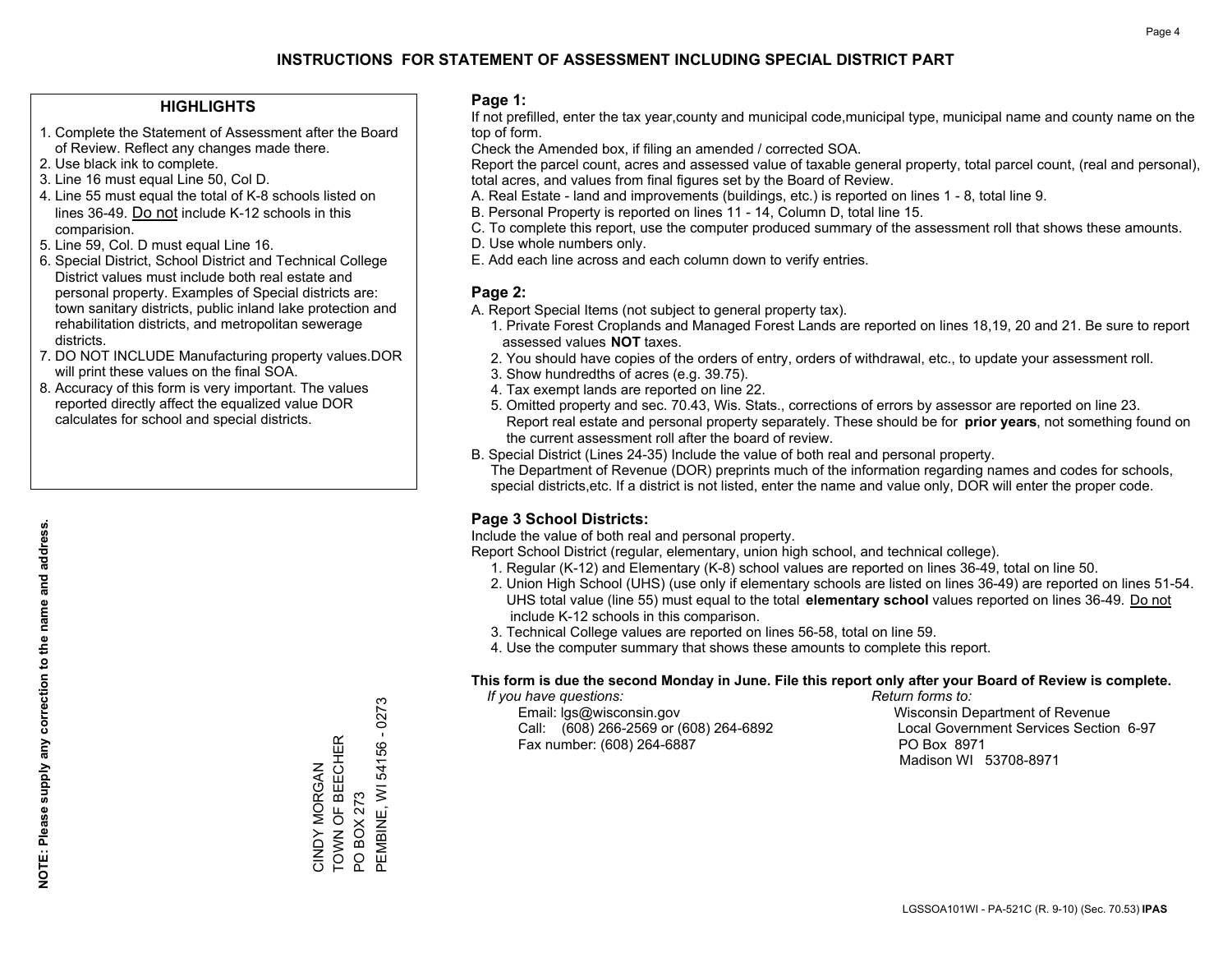#### **HIGHLIGHTS**

- 1. Complete the Statement of Assessment after the Board of Review. Reflect any changes made there.
- 2. Use black ink to complete.
- 3. Line 16 must equal Line 50, Col D.
- 4. Line 55 must equal the total of K-8 schools listed on lines 36-49. Do not include K-12 schools in this comparision.
- 5. Line 59, Col. D must equal Line 16.
- 6. Special District, School District and Technical College District values must include both real estate and personal property. Examples of Special districts are: town sanitary districts, public inland lake protection and rehabilitation districts, and metropolitan sewerage districts.
- 7. DO NOT INCLUDE Manufacturing property values.DOR will print these values on the final SOA.
- 8. Accuracy of this form is very important. The values reported directly affect the equalized value DOR calculates for school and special districts.

#### **Page 1:**

 If not prefilled, enter the tax year,county and municipal code,municipal type, municipal name and county name on the top of form.

Check the Amended box, if filing an amended / corrected SOA.

 Report the parcel count, acres and assessed value of taxable general property, total parcel count, (real and personal), total acres, and values from final figures set by the Board of Review.

- A. Real Estate land and improvements (buildings, etc.) is reported on lines 1 8, total line 9.
- B. Personal Property is reported on lines 11 14, Column D, total line 15.
- C. To complete this report, use the computer produced summary of the assessment roll that shows these amounts.
- D. Use whole numbers only.
- E. Add each line across and each column down to verify entries.

#### **Page 2:**

- A. Report Special Items (not subject to general property tax).
- 1. Private Forest Croplands and Managed Forest Lands are reported on lines 18,19, 20 and 21. Be sure to report assessed values **NOT** taxes.
- 2. You should have copies of the orders of entry, orders of withdrawal, etc., to update your assessment roll.
	- 3. Show hundredths of acres (e.g. 39.75).
- 4. Tax exempt lands are reported on line 22.
- 5. Omitted property and sec. 70.43, Wis. Stats., corrections of errors by assessor are reported on line 23. Report real estate and personal property separately. These should be for **prior years**, not something found on the current assessment roll after the board of review.
- B. Special District (Lines 24-35) Include the value of both real and personal property.

 The Department of Revenue (DOR) preprints much of the information regarding names and codes for schools, special districts,etc. If a district is not listed, enter the name and value only, DOR will enter the proper code.

### **Page 3 School Districts:**

Include the value of both real and personal property.

Report School District (regular, elementary, union high school, and technical college).

- 1. Regular (K-12) and Elementary (K-8) school values are reported on lines 36-49, total on line 50.
- 2. Union High School (UHS) (use only if elementary schools are listed on lines 36-49) are reported on lines 51-54. UHS total value (line 55) must equal to the total **elementary school** values reported on lines 36-49. Do notinclude K-12 schools in this comparison.
- 3. Technical College values are reported on lines 56-58, total on line 59.
- 4. Use the computer summary that shows these amounts to complete this report.

#### **This form is due the second Monday in June. File this report only after your Board of Review is complete.**

 *If you have questions: Return forms to:*

 Email: lgs@wisconsin.gov Wisconsin Department of RevenueCall:  $(608)$  266-2569 or  $(608)$  264-6892 Fax number: (608) 264-6887 PO Box 8971

Local Government Services Section 6-97 Madison WI 53708-8971

PEMBINE, WI 54156 - 0273 PEMBINE, WI 54156 - 0273 TOWN OF BEECHER CINDY MORGAN<br>TOWN OF BEECHER CINDY MORGAN PO BOX 273 PO BOX 273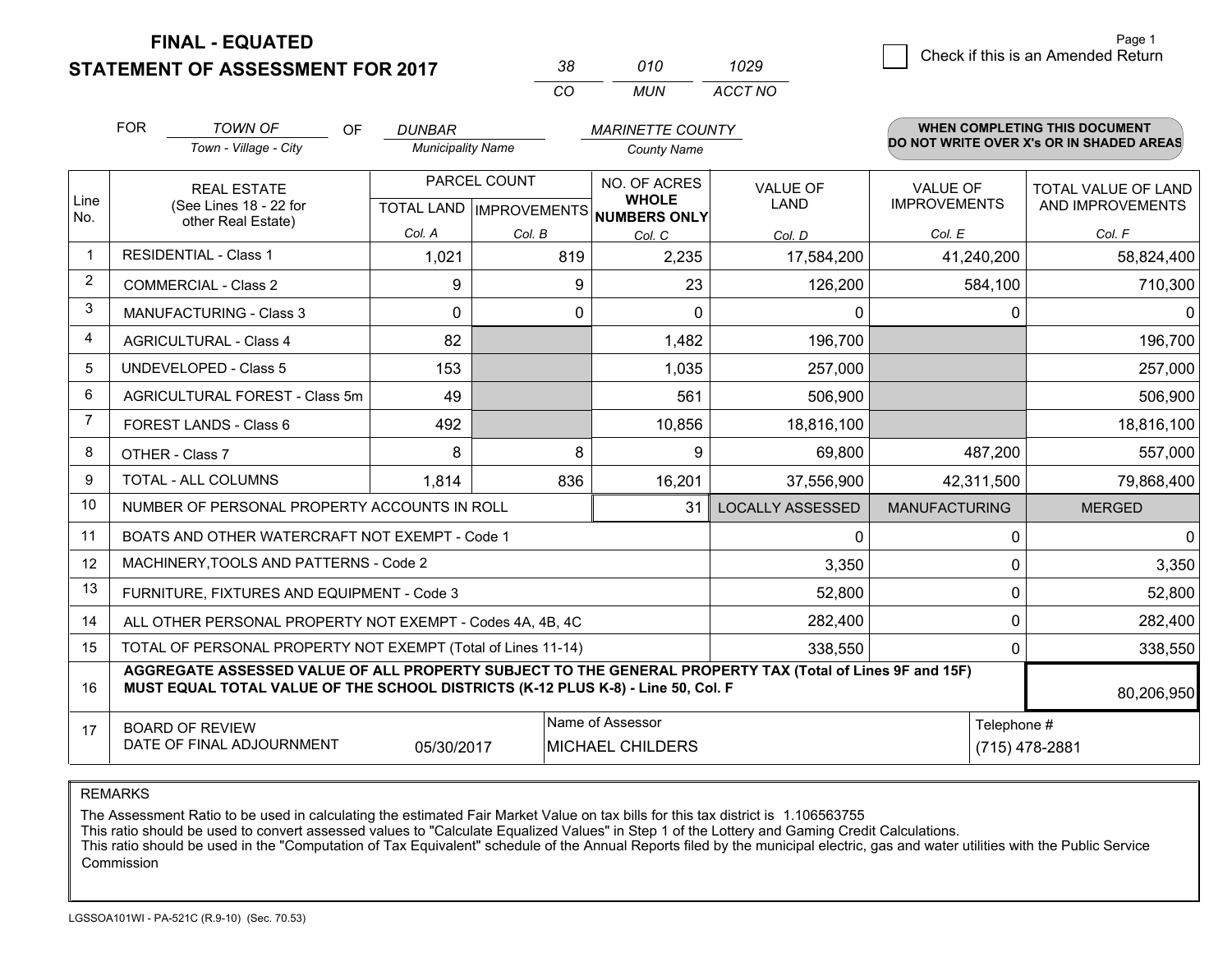**STATEMENT OF ASSESSMENT FOR 2017** 

| 38. | 010   | 1029    |
|-----|-------|---------|
| CO. | MI IN | ACCT NO |

|                | <b>FOR</b><br><b>TOWN OF</b><br>OF<br><b>DUNBAR</b><br><b>MARINETTE COUNTY</b>                                                                                                               |                                                              |                          | <b>WHEN COMPLETING THIS DOCUMENT</b> |                                      |                         |                                          |                            |  |
|----------------|----------------------------------------------------------------------------------------------------------------------------------------------------------------------------------------------|--------------------------------------------------------------|--------------------------|--------------------------------------|--------------------------------------|-------------------------|------------------------------------------|----------------------------|--|
|                |                                                                                                                                                                                              | Town - Village - City                                        | <b>Municipality Name</b> |                                      | <b>County Name</b>                   |                         | DO NOT WRITE OVER X's OR IN SHADED AREAS |                            |  |
| Line           |                                                                                                                                                                                              | <b>REAL ESTATE</b>                                           |                          | PARCEL COUNT                         | NO. OF ACRES<br><b>WHOLE</b>         | <b>VALUE OF</b>         | <b>VALUE OF</b>                          | TOTAL VALUE OF LAND        |  |
| No.            |                                                                                                                                                                                              | (See Lines 18 - 22 for<br>other Real Estate)                 |                          |                                      | TOTAL LAND IMPROVEMENTS NUMBERS ONLY | LAND                    | <b>IMPROVEMENTS</b>                      | AND IMPROVEMENTS           |  |
|                |                                                                                                                                                                                              |                                                              | Col. A                   | Col. B                               | Col. C                               | Col. D                  | Col. E                                   | Col. F                     |  |
| $\mathbf 1$    |                                                                                                                                                                                              | <b>RESIDENTIAL - Class 1</b>                                 | 1,021                    | 819                                  | 2,235                                | 17,584,200              | 41,240,200                               | 58,824,400                 |  |
| $\overline{2}$ |                                                                                                                                                                                              | <b>COMMERCIAL - Class 2</b>                                  | 9                        | 9                                    | 23                                   | 126,200                 | 584,100                                  | 710,300                    |  |
| 3              |                                                                                                                                                                                              | <b>MANUFACTURING - Class 3</b>                               | $\Omega$                 | 0                                    | $\Omega$                             | 0                       |                                          | 0<br>0                     |  |
| $\overline{4}$ |                                                                                                                                                                                              | <b>AGRICULTURAL - Class 4</b>                                | 82                       |                                      | 1,482                                | 196,700                 |                                          | 196,700                    |  |
| 5              |                                                                                                                                                                                              | <b>UNDEVELOPED - Class 5</b>                                 | 153                      |                                      | 1,035                                | 257,000                 |                                          | 257,000                    |  |
| 6              |                                                                                                                                                                                              | AGRICULTURAL FOREST - Class 5m                               | 49                       |                                      | 561                                  | 506,900                 |                                          | 506,900                    |  |
| $\overline{7}$ |                                                                                                                                                                                              | FOREST LANDS - Class 6                                       | 492                      |                                      | 10,856                               | 18,816,100              |                                          | 18,816,100                 |  |
| 8              |                                                                                                                                                                                              | OTHER - Class 7                                              | 8                        | 8                                    | 9                                    | 69,800                  | 487,200                                  | 557,000                    |  |
| 9              |                                                                                                                                                                                              | TOTAL - ALL COLUMNS                                          | 1,814                    | 836                                  | 16,201                               | 37,556,900              | 42,311,500                               | 79,868,400                 |  |
| 10             |                                                                                                                                                                                              | NUMBER OF PERSONAL PROPERTY ACCOUNTS IN ROLL                 |                          |                                      | 31                                   | <b>LOCALLY ASSESSED</b> | <b>MANUFACTURING</b>                     | <b>MERGED</b>              |  |
| 11             |                                                                                                                                                                                              | BOATS AND OTHER WATERCRAFT NOT EXEMPT - Code 1               |                          |                                      |                                      | $\mathbf{0}$            |                                          | $\mathbf 0$<br>$\mathbf 0$ |  |
| 12             |                                                                                                                                                                                              | MACHINERY, TOOLS AND PATTERNS - Code 2                       |                          |                                      |                                      | 3,350                   |                                          | 3,350<br>0                 |  |
| 13             |                                                                                                                                                                                              | FURNITURE, FIXTURES AND EQUIPMENT - Code 3                   |                          |                                      |                                      | 52,800                  |                                          | 0<br>52,800                |  |
| 14             |                                                                                                                                                                                              | ALL OTHER PERSONAL PROPERTY NOT EXEMPT - Codes 4A, 4B, 4C    |                          |                                      |                                      | 282,400                 |                                          | $\mathbf 0$<br>282,400     |  |
| 15             |                                                                                                                                                                                              | TOTAL OF PERSONAL PROPERTY NOT EXEMPT (Total of Lines 11-14) |                          |                                      |                                      | 338,550                 |                                          | 0<br>338,550               |  |
| 16             | AGGREGATE ASSESSED VALUE OF ALL PROPERTY SUBJECT TO THE GENERAL PROPERTY TAX (Total of Lines 9F and 15F)<br>MUST EQUAL TOTAL VALUE OF THE SCHOOL DISTRICTS (K-12 PLUS K-8) - Line 50, Col. F |                                                              |                          |                                      |                                      |                         |                                          | 80,206,950                 |  |
| 17             |                                                                                                                                                                                              | <b>BOARD OF REVIEW</b>                                       |                          |                                      | Name of Assessor                     |                         |                                          | Telephone #                |  |
|                | DATE OF FINAL ADJOURNMENT<br>MICHAEL CHILDERS<br>05/30/2017                                                                                                                                  |                                                              |                          |                                      |                                      |                         |                                          | (715) 478-2881             |  |

REMARKS

The Assessment Ratio to be used in calculating the estimated Fair Market Value on tax bills for this tax district is 1.106563755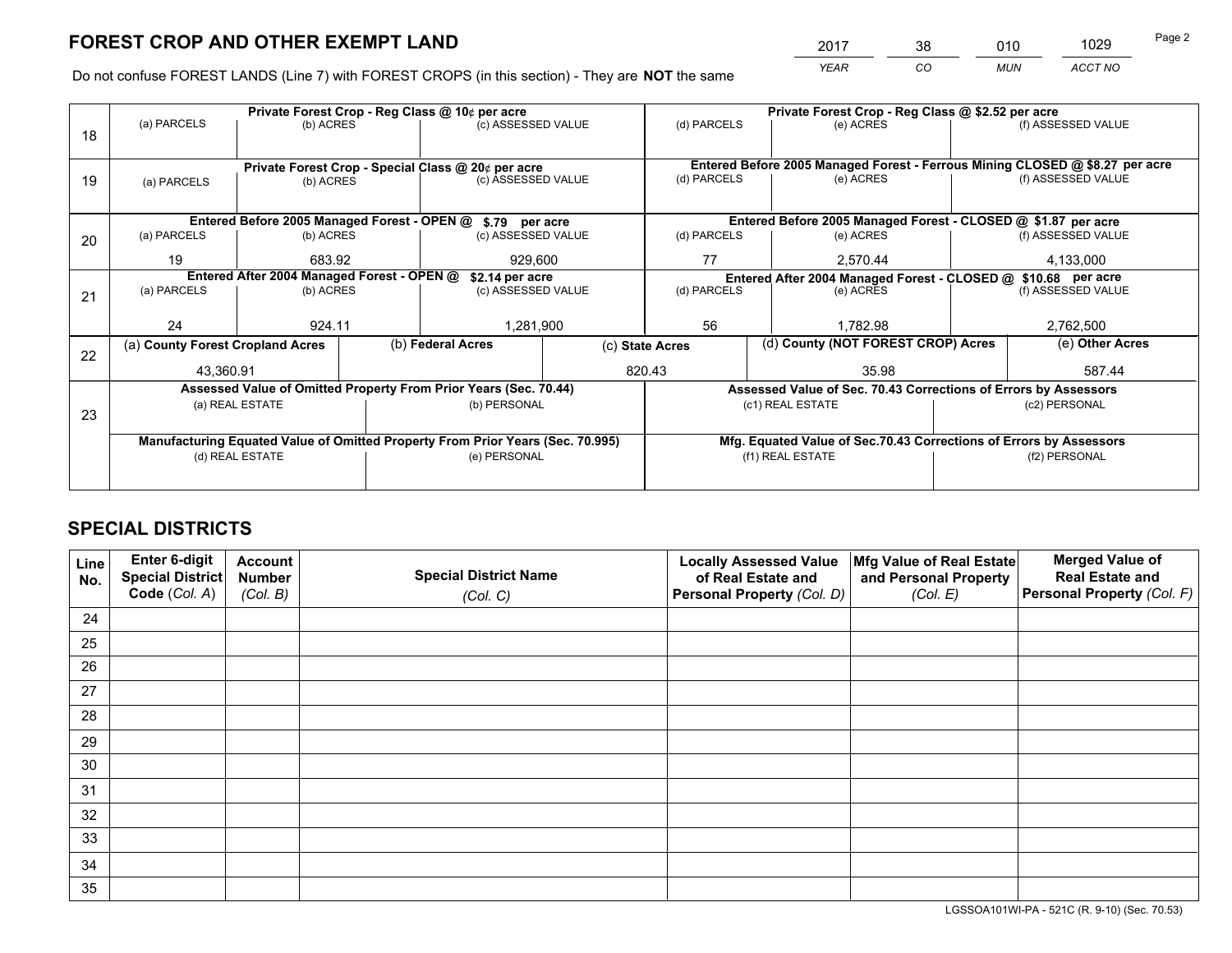*YEAR CO MUN ACCT NO* <sup>2017</sup> <sup>38</sup> <sup>010</sup> <sup>1029</sup>

Do not confuse FOREST LANDS (Line 7) with FOREST CROPS (in this section) - They are **NOT** the same

|    |                                                                                |                 |  | Private Forest Crop - Reg Class @ 10¢ per acre                   |  | Private Forest Crop - Reg Class @ \$2.52 per acre             |                                                                              |  |                    |  |
|----|--------------------------------------------------------------------------------|-----------------|--|------------------------------------------------------------------|--|---------------------------------------------------------------|------------------------------------------------------------------------------|--|--------------------|--|
| 18 | (a) PARCELS                                                                    | (b) ACRES       |  | (c) ASSESSED VALUE                                               |  | (d) PARCELS                                                   | (e) ACRES                                                                    |  | (f) ASSESSED VALUE |  |
|    |                                                                                |                 |  |                                                                  |  |                                                               |                                                                              |  |                    |  |
|    |                                                                                |                 |  | Private Forest Crop - Special Class @ 20¢ per acre               |  |                                                               | Entered Before 2005 Managed Forest - Ferrous Mining CLOSED @ \$8.27 per acre |  |                    |  |
| 19 | (b) ACRES<br>(a) PARCELS                                                       |                 |  | (c) ASSESSED VALUE                                               |  | (d) PARCELS                                                   | (e) ACRES                                                                    |  | (f) ASSESSED VALUE |  |
|    |                                                                                |                 |  |                                                                  |  |                                                               |                                                                              |  |                    |  |
|    |                                                                                |                 |  | Entered Before 2005 Managed Forest - OPEN @ \$.79 per acre       |  |                                                               | Entered Before 2005 Managed Forest - CLOSED @ \$1.87 per acre                |  |                    |  |
| 20 | (a) PARCELS                                                                    | (b) ACRES       |  | (c) ASSESSED VALUE                                               |  | (d) PARCELS                                                   | (e) ACRES                                                                    |  | (f) ASSESSED VALUE |  |
|    | 19                                                                             | 683.92          |  | 929,600                                                          |  | 77                                                            | 2,570.44                                                                     |  | 4,133,000          |  |
|    | Entered After 2004 Managed Forest - OPEN @<br>\$2.14 per acre                  |                 |  |                                                                  |  | Entered After 2004 Managed Forest - CLOSED @ \$10.68 per acre |                                                                              |  |                    |  |
| 21 | (a) PARCELS                                                                    | (b) ACRES       |  | (c) ASSESSED VALUE                                               |  | (d) PARCELS                                                   | (e) ACRES                                                                    |  |                    |  |
|    |                                                                                |                 |  |                                                                  |  |                                                               |                                                                              |  |                    |  |
|    | 24                                                                             | 924.11          |  | 1,281,900                                                        |  | 56<br>1,782.98                                                |                                                                              |  | 2,762,500          |  |
| 22 | (a) County Forest Cropland Acres                                               |                 |  | (b) Federal Acres                                                |  | (d) County (NOT FOREST CROP) Acres<br>(c) State Acres         |                                                                              |  | (e) Other Acres    |  |
|    | 43,360.91                                                                      |                 |  |                                                                  |  | 820.43                                                        | 35.98                                                                        |  | 587.44             |  |
|    |                                                                                |                 |  | Assessed Value of Omitted Property From Prior Years (Sec. 70.44) |  |                                                               | Assessed Value of Sec. 70.43 Corrections of Errors by Assessors              |  |                    |  |
| 23 |                                                                                | (a) REAL ESTATE |  | (b) PERSONAL                                                     |  |                                                               | (c1) REAL ESTATE                                                             |  | (c2) PERSONAL      |  |
|    |                                                                                |                 |  |                                                                  |  |                                                               |                                                                              |  |                    |  |
|    | Manufacturing Equated Value of Omitted Property From Prior Years (Sec. 70.995) |                 |  |                                                                  |  |                                                               | Mfg. Equated Value of Sec.70.43 Corrections of Errors by Assessors           |  |                    |  |
|    | (d) REAL ESTATE                                                                |                 |  | (e) PERSONAL                                                     |  | (f1) REAL ESTATE                                              |                                                                              |  | (f2) PERSONAL      |  |
|    |                                                                                |                 |  |                                                                  |  |                                                               |                                                                              |  |                    |  |
|    |                                                                                |                 |  |                                                                  |  |                                                               |                                                                              |  |                    |  |

## **SPECIAL DISTRICTS**

| Line<br>No. | Enter 6-digit<br>Special District<br>Code (Col. A) | <b>Account</b><br><b>Number</b> | <b>Special District Name</b> | <b>Locally Assessed Value</b><br>of Real Estate and | Mfg Value of Real Estate<br>and Personal Property | <b>Merged Value of</b><br><b>Real Estate and</b><br>Personal Property (Col. F) |
|-------------|----------------------------------------------------|---------------------------------|------------------------------|-----------------------------------------------------|---------------------------------------------------|--------------------------------------------------------------------------------|
|             |                                                    | (Col. B)                        | (Col. C)                     | Personal Property (Col. D)                          | (Col. E)                                          |                                                                                |
| 24          |                                                    |                                 |                              |                                                     |                                                   |                                                                                |
| 25          |                                                    |                                 |                              |                                                     |                                                   |                                                                                |
| 26          |                                                    |                                 |                              |                                                     |                                                   |                                                                                |
| 27          |                                                    |                                 |                              |                                                     |                                                   |                                                                                |
| 28          |                                                    |                                 |                              |                                                     |                                                   |                                                                                |
| 29          |                                                    |                                 |                              |                                                     |                                                   |                                                                                |
| 30          |                                                    |                                 |                              |                                                     |                                                   |                                                                                |
| 31          |                                                    |                                 |                              |                                                     |                                                   |                                                                                |
| 32          |                                                    |                                 |                              |                                                     |                                                   |                                                                                |
| 33          |                                                    |                                 |                              |                                                     |                                                   |                                                                                |
| 34          |                                                    |                                 |                              |                                                     |                                                   |                                                                                |
| 35          |                                                    |                                 |                              |                                                     |                                                   |                                                                                |

LGSSOA101WI-PA - 521C (R. 9-10) (Sec. 70.53)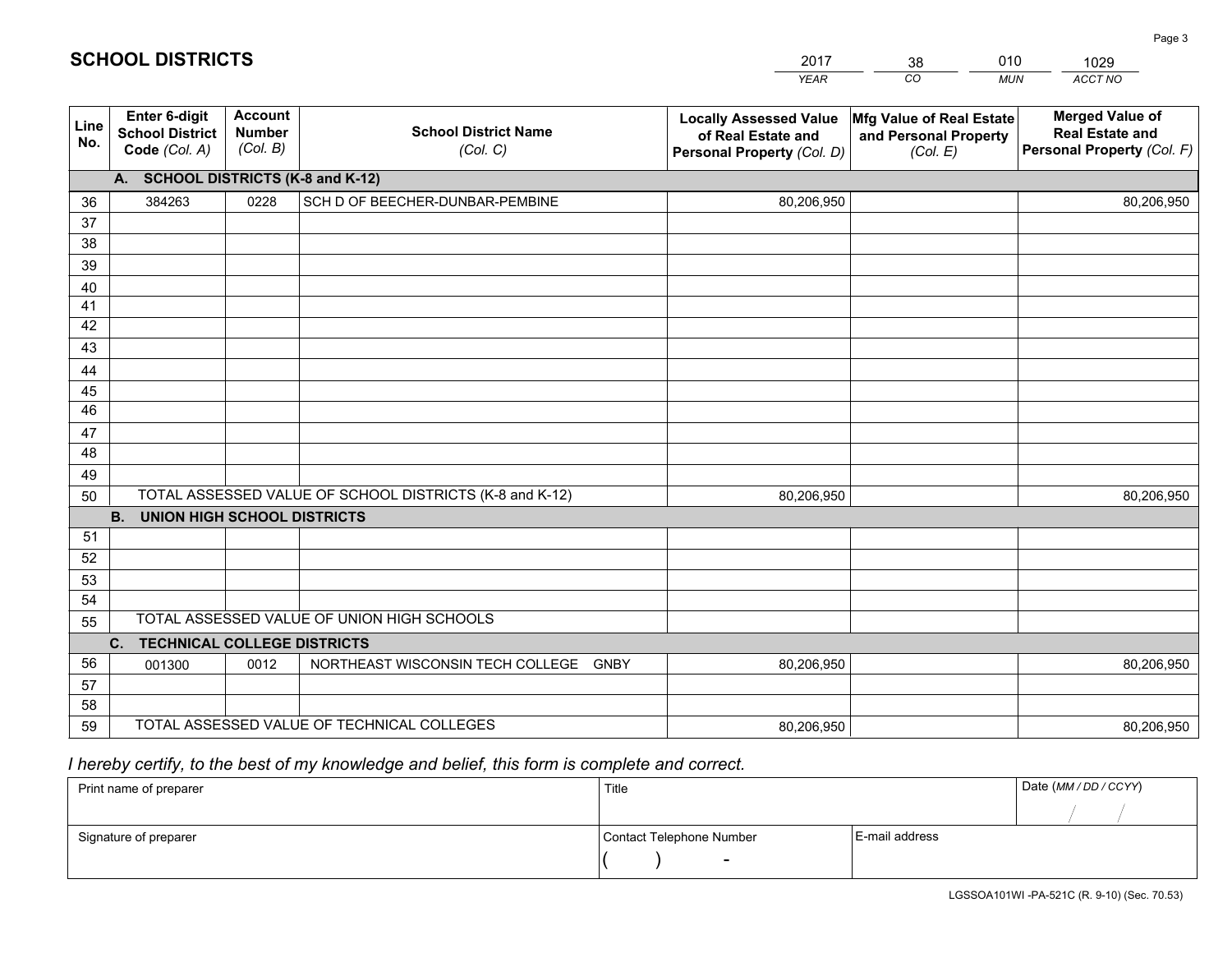|             |                                                          |                                             |                                                         | <b>YEAR</b>                                                                       | CO<br><b>MUN</b>                                              | ACCT NO                                                                        |
|-------------|----------------------------------------------------------|---------------------------------------------|---------------------------------------------------------|-----------------------------------------------------------------------------------|---------------------------------------------------------------|--------------------------------------------------------------------------------|
| Line<br>No. | Enter 6-digit<br><b>School District</b><br>Code (Col. A) | <b>Account</b><br><b>Number</b><br>(Col. B) | <b>School District Name</b><br>(Col. C)                 | <b>Locally Assessed Value</b><br>of Real Estate and<br>Personal Property (Col. D) | Mfg Value of Real Estate<br>and Personal Property<br>(Col. E) | <b>Merged Value of</b><br><b>Real Estate and</b><br>Personal Property (Col. F) |
|             | <b>SCHOOL DISTRICTS (K-8 and K-12)</b><br>A.             |                                             |                                                         |                                                                                   |                                                               |                                                                                |
| 36          | 384263                                                   | 0228                                        | SCH D OF BEECHER-DUNBAR-PEMBINE                         | 80,206,950                                                                        |                                                               | 80,206,950                                                                     |
| 37          |                                                          |                                             |                                                         |                                                                                   |                                                               |                                                                                |
| 38          |                                                          |                                             |                                                         |                                                                                   |                                                               |                                                                                |
| 39          |                                                          |                                             |                                                         |                                                                                   |                                                               |                                                                                |
| 40          |                                                          |                                             |                                                         |                                                                                   |                                                               |                                                                                |
| 41<br>42    |                                                          |                                             |                                                         |                                                                                   |                                                               |                                                                                |
| 43          |                                                          |                                             |                                                         |                                                                                   |                                                               |                                                                                |
| 44          |                                                          |                                             |                                                         |                                                                                   |                                                               |                                                                                |
| 45          |                                                          |                                             |                                                         |                                                                                   |                                                               |                                                                                |
| 46          |                                                          |                                             |                                                         |                                                                                   |                                                               |                                                                                |
| 47          |                                                          |                                             |                                                         |                                                                                   |                                                               |                                                                                |
| 48          |                                                          |                                             |                                                         |                                                                                   |                                                               |                                                                                |
| 49          |                                                          |                                             |                                                         |                                                                                   |                                                               |                                                                                |
| 50          |                                                          |                                             | TOTAL ASSESSED VALUE OF SCHOOL DISTRICTS (K-8 and K-12) | 80,206,950                                                                        |                                                               | 80,206,950                                                                     |
|             | <b>B.</b><br><b>UNION HIGH SCHOOL DISTRICTS</b>          |                                             |                                                         |                                                                                   |                                                               |                                                                                |
| 51          |                                                          |                                             |                                                         |                                                                                   |                                                               |                                                                                |
| 52          |                                                          |                                             |                                                         |                                                                                   |                                                               |                                                                                |
| 53          |                                                          |                                             |                                                         |                                                                                   |                                                               |                                                                                |
| 54          |                                                          |                                             | TOTAL ASSESSED VALUE OF UNION HIGH SCHOOLS              |                                                                                   |                                                               |                                                                                |
| 55          | C. TECHNICAL COLLEGE DISTRICTS                           |                                             |                                                         |                                                                                   |                                                               |                                                                                |
| 56          | 001300                                                   | 0012                                        | NORTHEAST WISCONSIN TECH COLLEGE<br><b>GNBY</b>         | 80,206,950                                                                        |                                                               | 80,206,950                                                                     |
| 57          |                                                          |                                             |                                                         |                                                                                   |                                                               |                                                                                |
| 58          |                                                          |                                             |                                                         |                                                                                   |                                                               |                                                                                |
| 59          |                                                          |                                             | TOTAL ASSESSED VALUE OF TECHNICAL COLLEGES              | 80,206,950                                                                        |                                                               | 80,206,950                                                                     |

## *I hereby certify, to the best of my knowledge and belief, this form is complete and correct.*

| Print name of preparer | Title                    |                | Date (MM / DD / CCYY) |
|------------------------|--------------------------|----------------|-----------------------|
|                        |                          |                |                       |
| Signature of preparer  | Contact Telephone Number | E-mail address |                       |
|                        | $\sim$                   |                |                       |

# **SCHOOL DISTRICTS**

| 2017 | 38 | 010        | 1029    |  |
|------|----|------------|---------|--|
| YEAR | CO | <b>MUN</b> | ACCT NO |  |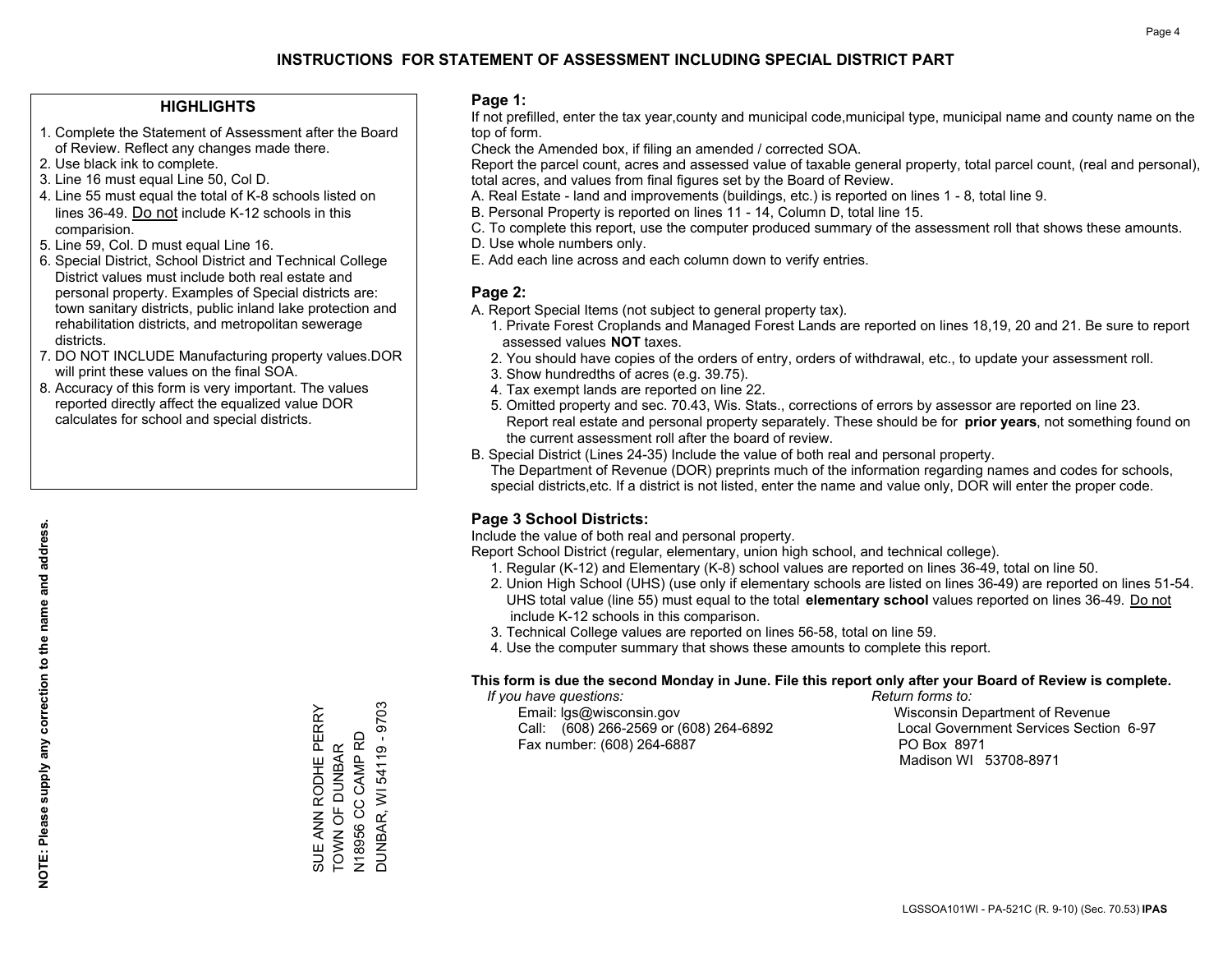#### **HIGHLIGHTS**

- 1. Complete the Statement of Assessment after the Board of Review. Reflect any changes made there.
- 2. Use black ink to complete.
- 3. Line 16 must equal Line 50, Col D.
- 4. Line 55 must equal the total of K-8 schools listed on lines 36-49. Do not include K-12 schools in this comparision.
- 5. Line 59, Col. D must equal Line 16.
- 6. Special District, School District and Technical College District values must include both real estate and personal property. Examples of Special districts are: town sanitary districts, public inland lake protection and rehabilitation districts, and metropolitan sewerage districts.
- 7. DO NOT INCLUDE Manufacturing property values.DOR will print these values on the final SOA.

SUE ANN RODHE PERRY TOWN OF DUNBAR N18956 CC CAMP RD DUNBAR, WI 54119 - 9703

SUE ANN RODHE PERRY<br>TOWN OF DUNBAR<br>N18956 CC CAMP RD<br>DUNBAR, WI 54119 - 9703

 8. Accuracy of this form is very important. The values reported directly affect the equalized value DOR calculates for school and special districts.

#### **Page 1:**

 If not prefilled, enter the tax year,county and municipal code,municipal type, municipal name and county name on the top of form.

Check the Amended box, if filing an amended / corrected SOA.

 Report the parcel count, acres and assessed value of taxable general property, total parcel count, (real and personal), total acres, and values from final figures set by the Board of Review.

- A. Real Estate land and improvements (buildings, etc.) is reported on lines 1 8, total line 9.
- B. Personal Property is reported on lines 11 14, Column D, total line 15.
- C. To complete this report, use the computer produced summary of the assessment roll that shows these amounts.
- D. Use whole numbers only.
- E. Add each line across and each column down to verify entries.

#### **Page 2:**

- A. Report Special Items (not subject to general property tax).
- 1. Private Forest Croplands and Managed Forest Lands are reported on lines 18,19, 20 and 21. Be sure to report assessed values **NOT** taxes.
- 2. You should have copies of the orders of entry, orders of withdrawal, etc., to update your assessment roll.
	- 3. Show hundredths of acres (e.g. 39.75).
- 4. Tax exempt lands are reported on line 22.
- 5. Omitted property and sec. 70.43, Wis. Stats., corrections of errors by assessor are reported on line 23. Report real estate and personal property separately. These should be for **prior years**, not something found on the current assessment roll after the board of review.
- B. Special District (Lines 24-35) Include the value of both real and personal property.

 The Department of Revenue (DOR) preprints much of the information regarding names and codes for schools, special districts,etc. If a district is not listed, enter the name and value only, DOR will enter the proper code.

### **Page 3 School Districts:**

Include the value of both real and personal property.

Report School District (regular, elementary, union high school, and technical college).

- 1. Regular (K-12) and Elementary (K-8) school values are reported on lines 36-49, total on line 50.
- 2. Union High School (UHS) (use only if elementary schools are listed on lines 36-49) are reported on lines 51-54. UHS total value (line 55) must equal to the total **elementary school** values reported on lines 36-49. Do notinclude K-12 schools in this comparison.
- 3. Technical College values are reported on lines 56-58, total on line 59.
- 4. Use the computer summary that shows these amounts to complete this report.

#### **This form is due the second Monday in June. File this report only after your Board of Review is complete.**

 *If you have questions: Return forms to:*

 Email: lgs@wisconsin.gov Wisconsin Department of RevenueCall:  $(608)$  266-2569 or  $(608)$  264-6892 Fax number: (608) 264-6887 PO Box 8971

Local Government Services Section 6-97 Madison WI 53708-8971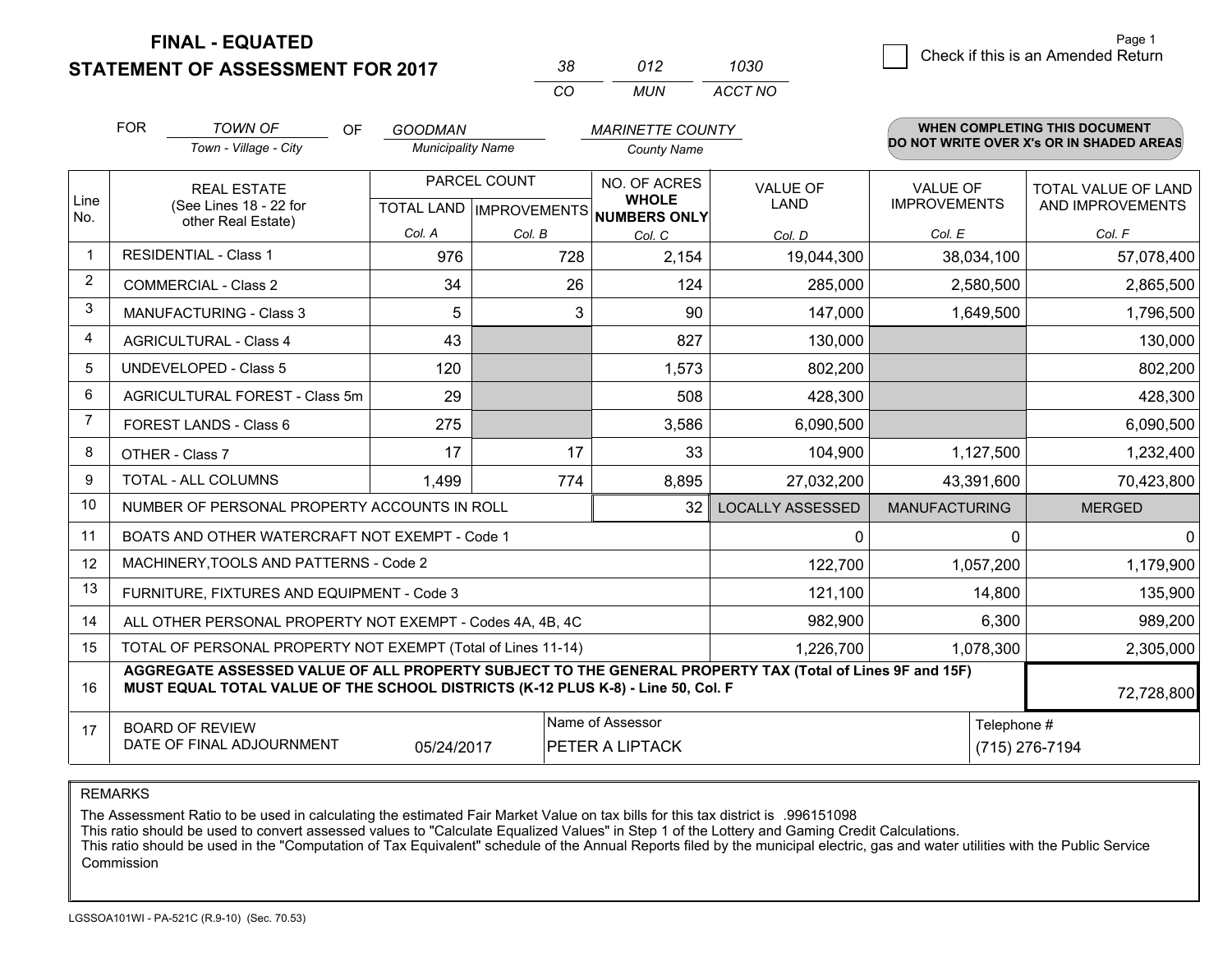**STATEMENT OF ASSESSMENT FOR 2017** 

| 38.      | 012 | 1030    |
|----------|-----|---------|
| $\alpha$ | MUN | ACCT NO |

|                | <b>FOR</b>                                                                                                                                                                                   | <b>TOWN OF</b><br><b>OF</b><br><b>GOODMAN</b><br><b>MARINETTE COUNTY</b> |                          |              | WHEN COMPLETING THIS DOCUMENT                                        |                                |                                        |                                          |
|----------------|----------------------------------------------------------------------------------------------------------------------------------------------------------------------------------------------|--------------------------------------------------------------------------|--------------------------|--------------|----------------------------------------------------------------------|--------------------------------|----------------------------------------|------------------------------------------|
|                |                                                                                                                                                                                              | Town - Village - City                                                    | <b>Municipality Name</b> |              | <b>County Name</b>                                                   |                                |                                        | DO NOT WRITE OVER X's OR IN SHADED AREAS |
| Line           |                                                                                                                                                                                              | <b>REAL ESTATE</b><br>(See Lines 18 - 22 for                             |                          | PARCEL COUNT | NO. OF ACRES<br><b>WHOLE</b><br>TOTAL LAND IMPROVEMENTS NUMBERS ONLY | <b>VALUE OF</b><br><b>LAND</b> | <b>VALUE OF</b><br><b>IMPROVEMENTS</b> | TOTAL VALUE OF LAND<br>AND IMPROVEMENTS  |
| No.            |                                                                                                                                                                                              | other Real Estate)                                                       | Col. A                   | Col. B       | Col. C                                                               | Col. D                         | Col. E                                 | Col. F                                   |
| $\mathbf{1}$   |                                                                                                                                                                                              | <b>RESIDENTIAL - Class 1</b>                                             | 976                      | 728          | 2,154                                                                | 19,044,300                     | 38,034,100                             | 57,078,400                               |
| $\overline{2}$ |                                                                                                                                                                                              | <b>COMMERCIAL - Class 2</b>                                              | 34                       | 26           | 124                                                                  | 285,000                        | 2,580,500                              | 2,865,500                                |
| 3              |                                                                                                                                                                                              | <b>MANUFACTURING - Class 3</b>                                           | 5                        | 3            | 90                                                                   | 147,000                        | 1,649,500                              | 1,796,500                                |
| 4              |                                                                                                                                                                                              | <b>AGRICULTURAL - Class 4</b>                                            | 43                       |              | 827                                                                  | 130,000                        |                                        | 130,000                                  |
| 5              |                                                                                                                                                                                              | <b>UNDEVELOPED - Class 5</b>                                             | 120                      |              | 1,573                                                                | 802,200                        |                                        | 802,200                                  |
| 6              |                                                                                                                                                                                              | AGRICULTURAL FOREST - Class 5m                                           | 29                       |              | 508                                                                  | 428,300                        |                                        | 428,300                                  |
| 7              |                                                                                                                                                                                              | FOREST LANDS - Class 6                                                   | 275                      |              | 3,586                                                                | 6,090,500                      |                                        | 6,090,500                                |
| 8              |                                                                                                                                                                                              | OTHER - Class 7                                                          | 17                       | 17           | 33                                                                   | 104,900                        | 1,127,500                              | 1,232,400                                |
| 9              |                                                                                                                                                                                              | TOTAL - ALL COLUMNS                                                      | 1,499                    | 774          | 8,895                                                                | 27,032,200                     | 43,391,600                             | 70,423,800                               |
| 10             |                                                                                                                                                                                              | NUMBER OF PERSONAL PROPERTY ACCOUNTS IN ROLL                             |                          |              | 32                                                                   | <b>LOCALLY ASSESSED</b>        | <b>MANUFACTURING</b>                   | <b>MERGED</b>                            |
| 11             |                                                                                                                                                                                              | BOATS AND OTHER WATERCRAFT NOT EXEMPT - Code 1                           |                          |              |                                                                      | 0                              | 0                                      | $\mathbf{0}$                             |
| 12             |                                                                                                                                                                                              | MACHINERY, TOOLS AND PATTERNS - Code 2                                   |                          |              |                                                                      | 122,700                        | 1,057,200                              | 1,179,900                                |
| 13             |                                                                                                                                                                                              | FURNITURE, FIXTURES AND EQUIPMENT - Code 3                               |                          |              |                                                                      | 121,100                        | 14,800                                 | 135,900                                  |
| 14             |                                                                                                                                                                                              | ALL OTHER PERSONAL PROPERTY NOT EXEMPT - Codes 4A, 4B, 4C                |                          |              |                                                                      | 982,900                        | 6,300                                  | 989,200                                  |
| 15             |                                                                                                                                                                                              | TOTAL OF PERSONAL PROPERTY NOT EXEMPT (Total of Lines 11-14)             |                          |              |                                                                      | 1,226,700                      | 1,078,300                              | 2,305,000                                |
| 16             | AGGREGATE ASSESSED VALUE OF ALL PROPERTY SUBJECT TO THE GENERAL PROPERTY TAX (Total of Lines 9F and 15F)<br>MUST EQUAL TOTAL VALUE OF THE SCHOOL DISTRICTS (K-12 PLUS K-8) - Line 50, Col. F |                                                                          |                          |              |                                                                      |                                |                                        | 72,728,800                               |
| 17             | Name of Assessor<br><b>BOARD OF REVIEW</b><br>DATE OF FINAL ADJOURNMENT<br>05/24/2017<br>PETER A LIPTACK                                                                                     |                                                                          |                          |              |                                                                      |                                |                                        | Telephone #<br>(715) 276-7194            |

REMARKS

The Assessment Ratio to be used in calculating the estimated Fair Market Value on tax bills for this tax district is .996151098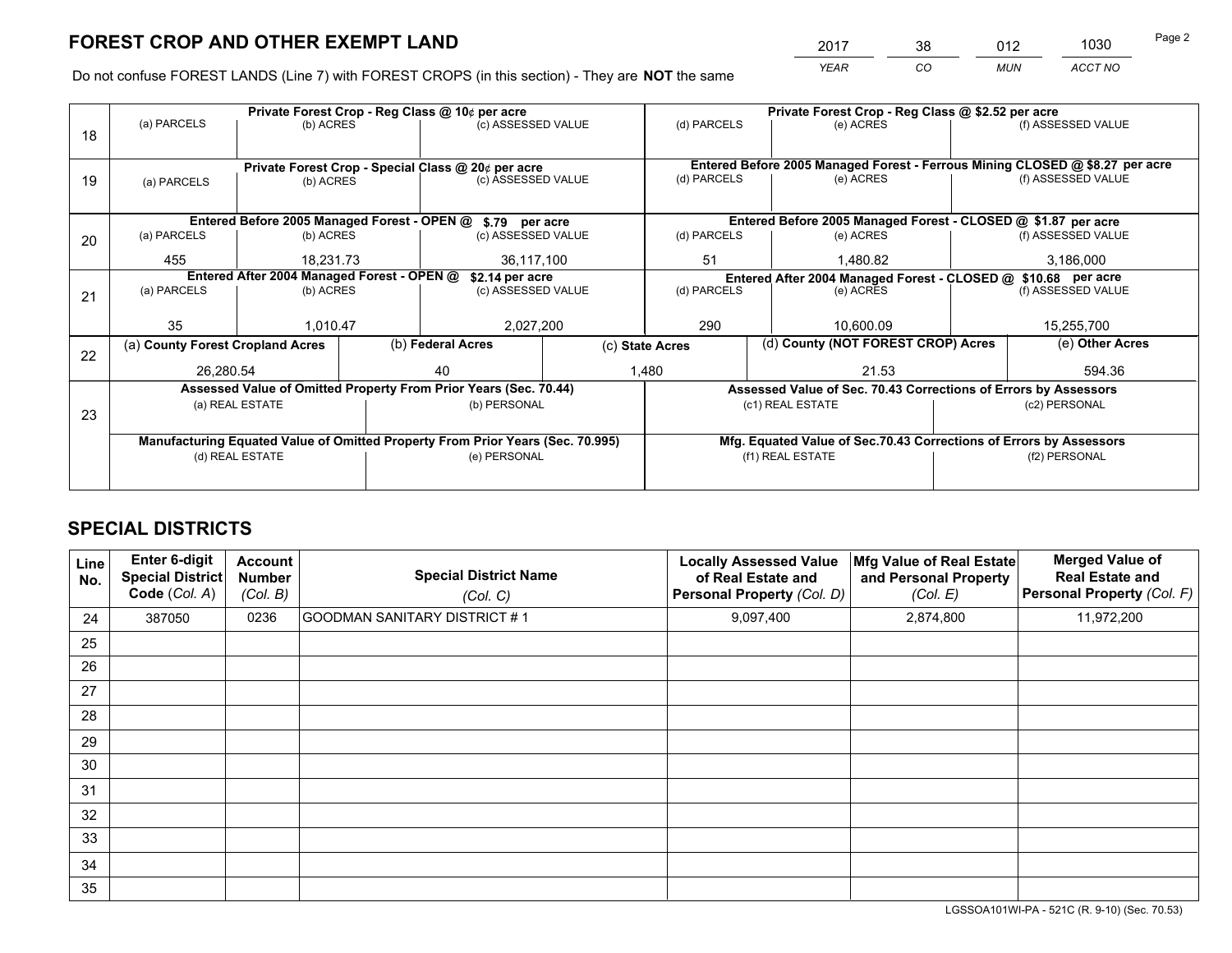*YEAR CO MUN ACCT NO* <sup>2017</sup> <sup>38</sup> <sup>012</sup> <sup>1030</sup>

Do not confuse FOREST LANDS (Line 7) with FOREST CROPS (in this section) - They are **NOT** the same

|                                                                                |                   |                                                                  |                                                                           |                                                                                                                   | Private Forest Crop - Reg Class @ \$2.52 per acre                                                                                                                                                                                                                                      |                                 |               |                    |                                                                                                                                                                                                                                                                                                                         |  |
|--------------------------------------------------------------------------------|-------------------|------------------------------------------------------------------|---------------------------------------------------------------------------|-------------------------------------------------------------------------------------------------------------------|----------------------------------------------------------------------------------------------------------------------------------------------------------------------------------------------------------------------------------------------------------------------------------------|---------------------------------|---------------|--------------------|-------------------------------------------------------------------------------------------------------------------------------------------------------------------------------------------------------------------------------------------------------------------------------------------------------------------------|--|
|                                                                                |                   |                                                                  |                                                                           |                                                                                                                   | (d) PARCELS                                                                                                                                                                                                                                                                            |                                 | (e) ACRES     |                    | (f) ASSESSED VALUE                                                                                                                                                                                                                                                                                                      |  |
|                                                                                |                   |                                                                  |                                                                           |                                                                                                                   |                                                                                                                                                                                                                                                                                        |                                 |               |                    |                                                                                                                                                                                                                                                                                                                         |  |
|                                                                                |                   |                                                                  |                                                                           |                                                                                                                   |                                                                                                                                                                                                                                                                                        |                                 |               |                    |                                                                                                                                                                                                                                                                                                                         |  |
| (a) PARCELS                                                                    |                   |                                                                  |                                                                           |                                                                                                                   |                                                                                                                                                                                                                                                                                        |                                 | (e) ACRES     |                    | (f) ASSESSED VALUE                                                                                                                                                                                                                                                                                                      |  |
|                                                                                |                   |                                                                  |                                                                           |                                                                                                                   |                                                                                                                                                                                                                                                                                        |                                 |               |                    |                                                                                                                                                                                                                                                                                                                         |  |
|                                                                                |                   |                                                                  |                                                                           |                                                                                                                   |                                                                                                                                                                                                                                                                                        |                                 |               |                    |                                                                                                                                                                                                                                                                                                                         |  |
| (a) PARCELS                                                                    |                   |                                                                  |                                                                           |                                                                                                                   | (d) PARCELS                                                                                                                                                                                                                                                                            |                                 | (e) ACRES     |                    | (f) ASSESSED VALUE                                                                                                                                                                                                                                                                                                      |  |
| 455                                                                            |                   |                                                                  | 36,117,100                                                                |                                                                                                                   | 51                                                                                                                                                                                                                                                                                     |                                 | 1,480.82      |                    | 3,186,000                                                                                                                                                                                                                                                                                                               |  |
| \$2.14 per acre                                                                |                   |                                                                  |                                                                           |                                                                                                                   |                                                                                                                                                                                                                                                                                        |                                 |               |                    |                                                                                                                                                                                                                                                                                                                         |  |
| (a) PARCELS                                                                    |                   |                                                                  | (c) ASSESSED VALUE                                                        |                                                                                                                   | (d) PARCELS                                                                                                                                                                                                                                                                            |                                 | (e) ACRES     | (f) ASSESSED VALUE |                                                                                                                                                                                                                                                                                                                         |  |
|                                                                                |                   |                                                                  |                                                                           |                                                                                                                   |                                                                                                                                                                                                                                                                                        |                                 |               |                    |                                                                                                                                                                                                                                                                                                                         |  |
|                                                                                |                   |                                                                  | 2,027,200                                                                 |                                                                                                                   |                                                                                                                                                                                                                                                                                        |                                 | 10.600.09     | 15,255,700         |                                                                                                                                                                                                                                                                                                                         |  |
|                                                                                |                   |                                                                  |                                                                           |                                                                                                                   |                                                                                                                                                                                                                                                                                        |                                 |               |                    | (e) Other Acres                                                                                                                                                                                                                                                                                                         |  |
|                                                                                |                   |                                                                  | 40                                                                        |                                                                                                                   |                                                                                                                                                                                                                                                                                        | 21.53                           |               |                    | 594.36                                                                                                                                                                                                                                                                                                                  |  |
|                                                                                |                   |                                                                  |                                                                           |                                                                                                                   |                                                                                                                                                                                                                                                                                        |                                 |               |                    |                                                                                                                                                                                                                                                                                                                         |  |
|                                                                                |                   |                                                                  |                                                                           |                                                                                                                   |                                                                                                                                                                                                                                                                                        |                                 |               |                    | (c2) PERSONAL                                                                                                                                                                                                                                                                                                           |  |
|                                                                                |                   |                                                                  |                                                                           |                                                                                                                   |                                                                                                                                                                                                                                                                                        |                                 |               |                    |                                                                                                                                                                                                                                                                                                                         |  |
| Manufacturing Equated Value of Omitted Property From Prior Years (Sec. 70.995) |                   |                                                                  |                                                                           |                                                                                                                   | Mfg. Equated Value of Sec.70.43 Corrections of Errors by Assessors                                                                                                                                                                                                                     |                                 |               |                    |                                                                                                                                                                                                                                                                                                                         |  |
| (d) REAL ESTATE                                                                |                   |                                                                  |                                                                           |                                                                                                                   | (f1) REAL ESTATE                                                                                                                                                                                                                                                                       |                                 | (f2) PERSONAL |                    |                                                                                                                                                                                                                                                                                                                         |  |
|                                                                                |                   |                                                                  |                                                                           |                                                                                                                   |                                                                                                                                                                                                                                                                                        |                                 |               |                    |                                                                                                                                                                                                                                                                                                                         |  |
|                                                                                | (a) PARCELS<br>35 | (a) County Forest Cropland Acres<br>26,280.54<br>(a) REAL ESTATE | (b) ACRES<br>(b) ACRES<br>(b) ACRES<br>18.231.73<br>(b) ACRES<br>1.010.47 | Private Forest Crop - Reg Class @ 10¢ per acre<br>Entered After 2004 Managed Forest - OPEN @<br>(b) Federal Acres | (c) ASSESSED VALUE<br>Private Forest Crop - Special Class @ 20¢ per acre<br>(c) ASSESSED VALUE<br>Entered Before 2005 Managed Forest - OPEN @ \$.79 per acre<br>(c) ASSESSED VALUE<br>Assessed Value of Omitted Property From Prior Years (Sec. 70.44)<br>(b) PERSONAL<br>(e) PERSONAL | 290<br>(c) State Acres<br>1,480 | (d) PARCELS   | (c1) REAL ESTATE   | Entered Before 2005 Managed Forest - Ferrous Mining CLOSED @ \$8.27 per acre<br>Entered Before 2005 Managed Forest - CLOSED @ \$1.87 per acre<br>Entered After 2004 Managed Forest - CLOSED @ \$10.68 per acre<br>(d) County (NOT FOREST CROP) Acres<br>Assessed Value of Sec. 70.43 Corrections of Errors by Assessors |  |

## **SPECIAL DISTRICTS**

| Line<br>No. | Enter 6-digit<br><b>Special District</b><br>Code (Col. A) | <b>Account</b><br><b>Number</b><br>(Col. B) | <b>Special District Name</b><br>(Col. C) | <b>Locally Assessed Value</b><br>of Real Estate and<br><b>Personal Property (Col. D)</b> | Mfg Value of Real Estate<br>and Personal Property<br>(Col. E) | <b>Merged Value of</b><br><b>Real Estate and</b><br>Personal Property (Col. F) |
|-------------|-----------------------------------------------------------|---------------------------------------------|------------------------------------------|------------------------------------------------------------------------------------------|---------------------------------------------------------------|--------------------------------------------------------------------------------|
| 24          | 387050                                                    | 0236                                        | <b>GOODMAN SANITARY DISTRICT #1</b>      | 9,097,400                                                                                | 2,874,800                                                     | 11,972,200                                                                     |
| 25          |                                                           |                                             |                                          |                                                                                          |                                                               |                                                                                |
| 26          |                                                           |                                             |                                          |                                                                                          |                                                               |                                                                                |
| 27          |                                                           |                                             |                                          |                                                                                          |                                                               |                                                                                |
| 28          |                                                           |                                             |                                          |                                                                                          |                                                               |                                                                                |
| 29          |                                                           |                                             |                                          |                                                                                          |                                                               |                                                                                |
| 30          |                                                           |                                             |                                          |                                                                                          |                                                               |                                                                                |
| 31          |                                                           |                                             |                                          |                                                                                          |                                                               |                                                                                |
| 32          |                                                           |                                             |                                          |                                                                                          |                                                               |                                                                                |
| 33          |                                                           |                                             |                                          |                                                                                          |                                                               |                                                                                |
| 34          |                                                           |                                             |                                          |                                                                                          |                                                               |                                                                                |
| 35          |                                                           |                                             |                                          |                                                                                          |                                                               |                                                                                |

LGSSOA101WI-PA - 521C (R. 9-10) (Sec. 70.53)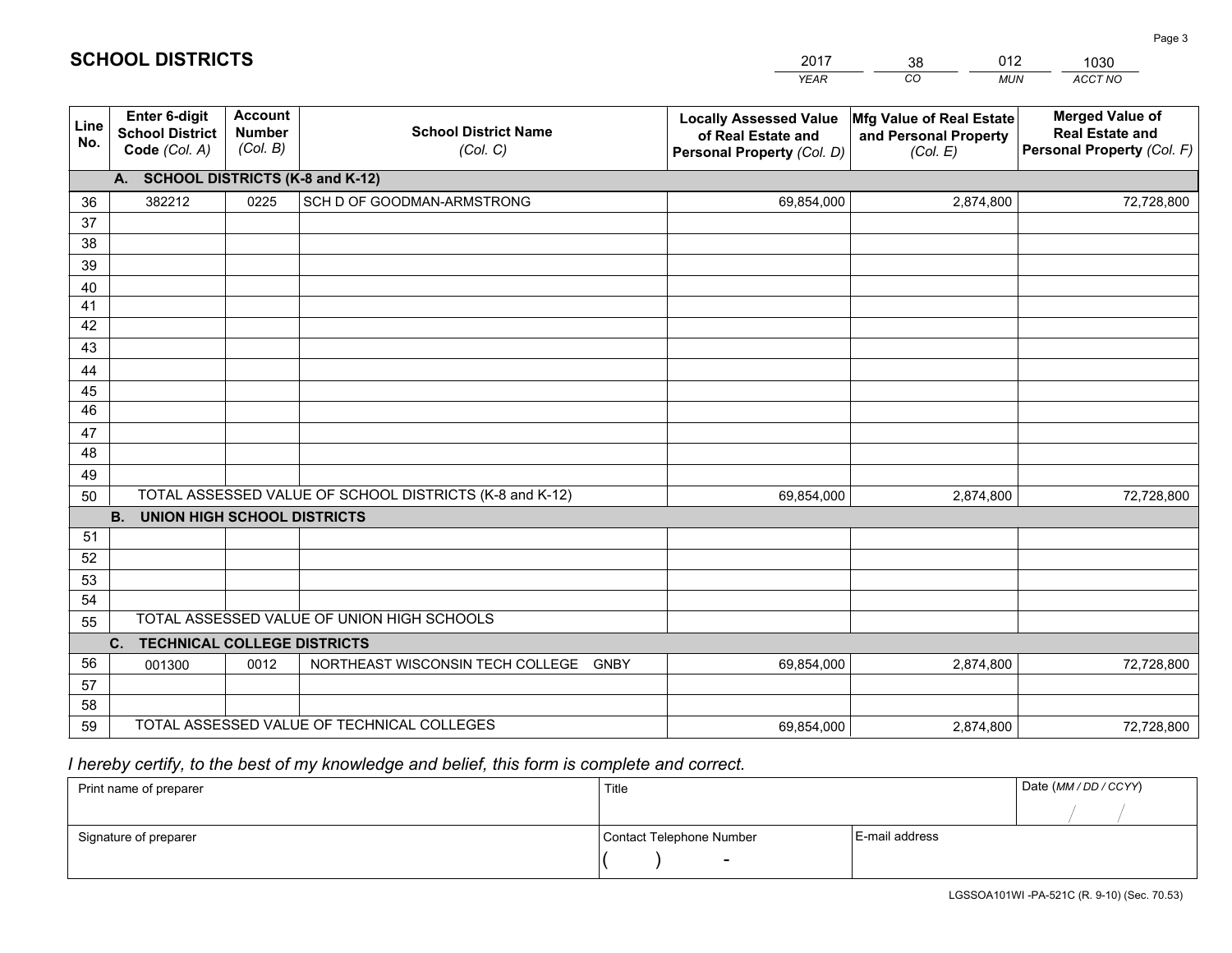|             |                                                          |                                             |                                                         | <b>YEAR</b>                                                                       | CO<br><b>MUN</b>                                              | ACCT NO                                                                        |
|-------------|----------------------------------------------------------|---------------------------------------------|---------------------------------------------------------|-----------------------------------------------------------------------------------|---------------------------------------------------------------|--------------------------------------------------------------------------------|
| Line<br>No. | Enter 6-digit<br><b>School District</b><br>Code (Col. A) | <b>Account</b><br><b>Number</b><br>(Col. B) | <b>School District Name</b><br>(Col. C)                 | <b>Locally Assessed Value</b><br>of Real Estate and<br>Personal Property (Col. D) | Mfg Value of Real Estate<br>and Personal Property<br>(Col. E) | <b>Merged Value of</b><br><b>Real Estate and</b><br>Personal Property (Col. F) |
|             | A. SCHOOL DISTRICTS (K-8 and K-12)                       |                                             |                                                         |                                                                                   |                                                               |                                                                                |
| 36          | 382212                                                   | 0225                                        | SCH D OF GOODMAN-ARMSTRONG                              | 69,854,000                                                                        | 2,874,800                                                     | 72,728,800                                                                     |
| 37          |                                                          |                                             |                                                         |                                                                                   |                                                               |                                                                                |
| 38          |                                                          |                                             |                                                         |                                                                                   |                                                               |                                                                                |
| 39          |                                                          |                                             |                                                         |                                                                                   |                                                               |                                                                                |
| 40          |                                                          |                                             |                                                         |                                                                                   |                                                               |                                                                                |
| 41<br>42    |                                                          |                                             |                                                         |                                                                                   |                                                               |                                                                                |
| 43          |                                                          |                                             |                                                         |                                                                                   |                                                               |                                                                                |
| 44          |                                                          |                                             |                                                         |                                                                                   |                                                               |                                                                                |
| 45          |                                                          |                                             |                                                         |                                                                                   |                                                               |                                                                                |
| 46          |                                                          |                                             |                                                         |                                                                                   |                                                               |                                                                                |
| 47          |                                                          |                                             |                                                         |                                                                                   |                                                               |                                                                                |
| 48          |                                                          |                                             |                                                         |                                                                                   |                                                               |                                                                                |
| 49          |                                                          |                                             |                                                         |                                                                                   |                                                               |                                                                                |
| 50          |                                                          |                                             | TOTAL ASSESSED VALUE OF SCHOOL DISTRICTS (K-8 and K-12) | 69,854,000                                                                        | 2,874,800                                                     | 72,728,800                                                                     |
|             | <b>B.</b><br><b>UNION HIGH SCHOOL DISTRICTS</b>          |                                             |                                                         |                                                                                   |                                                               |                                                                                |
| 51          |                                                          |                                             |                                                         |                                                                                   |                                                               |                                                                                |
| 52          |                                                          |                                             |                                                         |                                                                                   |                                                               |                                                                                |
| 53<br>54    |                                                          |                                             |                                                         |                                                                                   |                                                               |                                                                                |
| 55          |                                                          |                                             | TOTAL ASSESSED VALUE OF UNION HIGH SCHOOLS              |                                                                                   |                                                               |                                                                                |
|             | C.<br><b>TECHNICAL COLLEGE DISTRICTS</b>                 |                                             |                                                         |                                                                                   |                                                               |                                                                                |
| 56          | 001300                                                   | 0012                                        | NORTHEAST WISCONSIN TECH COLLEGE GNBY                   | 69,854,000                                                                        | 2,874,800                                                     | 72,728,800                                                                     |
| 57          |                                                          |                                             |                                                         |                                                                                   |                                                               |                                                                                |
| 58          |                                                          |                                             |                                                         |                                                                                   |                                                               |                                                                                |
| 59          |                                                          |                                             | TOTAL ASSESSED VALUE OF TECHNICAL COLLEGES              | 69,854,000                                                                        | 2,874,800                                                     | 72,728,800                                                                     |

2017

38

012

 *I hereby certify, to the best of my knowledge and belief, this form is complete and correct.*

**SCHOOL DISTRICTS**

| Print name of preparer | Title                    |                | Date (MM / DD / CCYY) |
|------------------------|--------------------------|----------------|-----------------------|
|                        |                          |                |                       |
| Signature of preparer  | Contact Telephone Number | E-mail address |                       |
|                        | $\overline{\phantom{0}}$ |                |                       |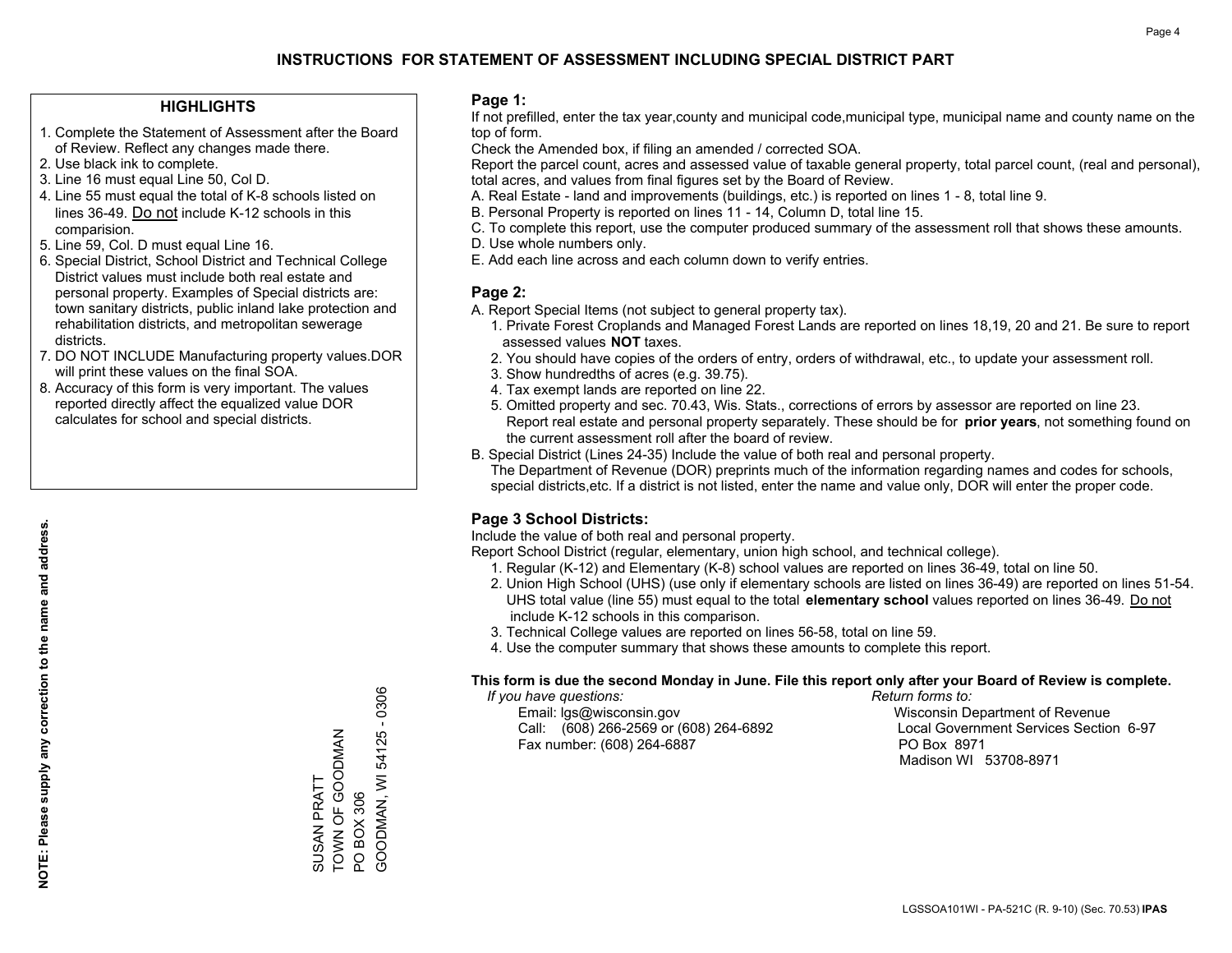#### **HIGHLIGHTS**

- 1. Complete the Statement of Assessment after the Board of Review. Reflect any changes made there.
- 2. Use black ink to complete.
- 3. Line 16 must equal Line 50, Col D.
- 4. Line 55 must equal the total of K-8 schools listed on lines 36-49. Do not include K-12 schools in this comparision.
- 5. Line 59, Col. D must equal Line 16.
- 6. Special District, School District and Technical College District values must include both real estate and personal property. Examples of Special districts are: town sanitary districts, public inland lake protection and rehabilitation districts, and metropolitan sewerage districts.
- 7. DO NOT INCLUDE Manufacturing property values.DOR will print these values on the final SOA.
- 8. Accuracy of this form is very important. The values reported directly affect the equalized value DOR calculates for school and special districts.

#### **Page 1:**

 If not prefilled, enter the tax year,county and municipal code,municipal type, municipal name and county name on the top of form.

Check the Amended box, if filing an amended / corrected SOA.

 Report the parcel count, acres and assessed value of taxable general property, total parcel count, (real and personal), total acres, and values from final figures set by the Board of Review.

- A. Real Estate land and improvements (buildings, etc.) is reported on lines 1 8, total line 9.
- B. Personal Property is reported on lines 11 14, Column D, total line 15.
- C. To complete this report, use the computer produced summary of the assessment roll that shows these amounts.
- D. Use whole numbers only.
- E. Add each line across and each column down to verify entries.

### **Page 2:**

- A. Report Special Items (not subject to general property tax).
- 1. Private Forest Croplands and Managed Forest Lands are reported on lines 18,19, 20 and 21. Be sure to report assessed values **NOT** taxes.
- 2. You should have copies of the orders of entry, orders of withdrawal, etc., to update your assessment roll.
	- 3. Show hundredths of acres (e.g. 39.75).
- 4. Tax exempt lands are reported on line 22.
- 5. Omitted property and sec. 70.43, Wis. Stats., corrections of errors by assessor are reported on line 23. Report real estate and personal property separately. These should be for **prior years**, not something found on the current assessment roll after the board of review.
- B. Special District (Lines 24-35) Include the value of both real and personal property.
- The Department of Revenue (DOR) preprints much of the information regarding names and codes for schools, special districts,etc. If a district is not listed, enter the name and value only, DOR will enter the proper code.

## **Page 3 School Districts:**

Include the value of both real and personal property.

Report School District (regular, elementary, union high school, and technical college).

- 1. Regular (K-12) and Elementary (K-8) school values are reported on lines 36-49, total on line 50.
- 2. Union High School (UHS) (use only if elementary schools are listed on lines 36-49) are reported on lines 51-54. UHS total value (line 55) must equal to the total **elementary school** values reported on lines 36-49. Do notinclude K-12 schools in this comparison.
- 3. Technical College values are reported on lines 56-58, total on line 59.
- 4. Use the computer summary that shows these amounts to complete this report.

#### **This form is due the second Monday in June. File this report only after your Board of Review is complete.**

 *If you have questions: Return forms to:*

 Email: lgs@wisconsin.gov Wisconsin Department of RevenueCall:  $(608)$  266-2569 or  $(608)$  264-6892 Fax number: (608) 264-6887 PO Box 8971

Local Government Services Section 6-97 Madison WI 53708-8971

GOODMAN, WI 54125 - 0306 GOODMAN, WI 54125 - 0306 TOWN OF GOODMAN TOWN OF GOODMAN SUSAN PRATT SUSAN PRATT PO BOX 306 PO BOX 306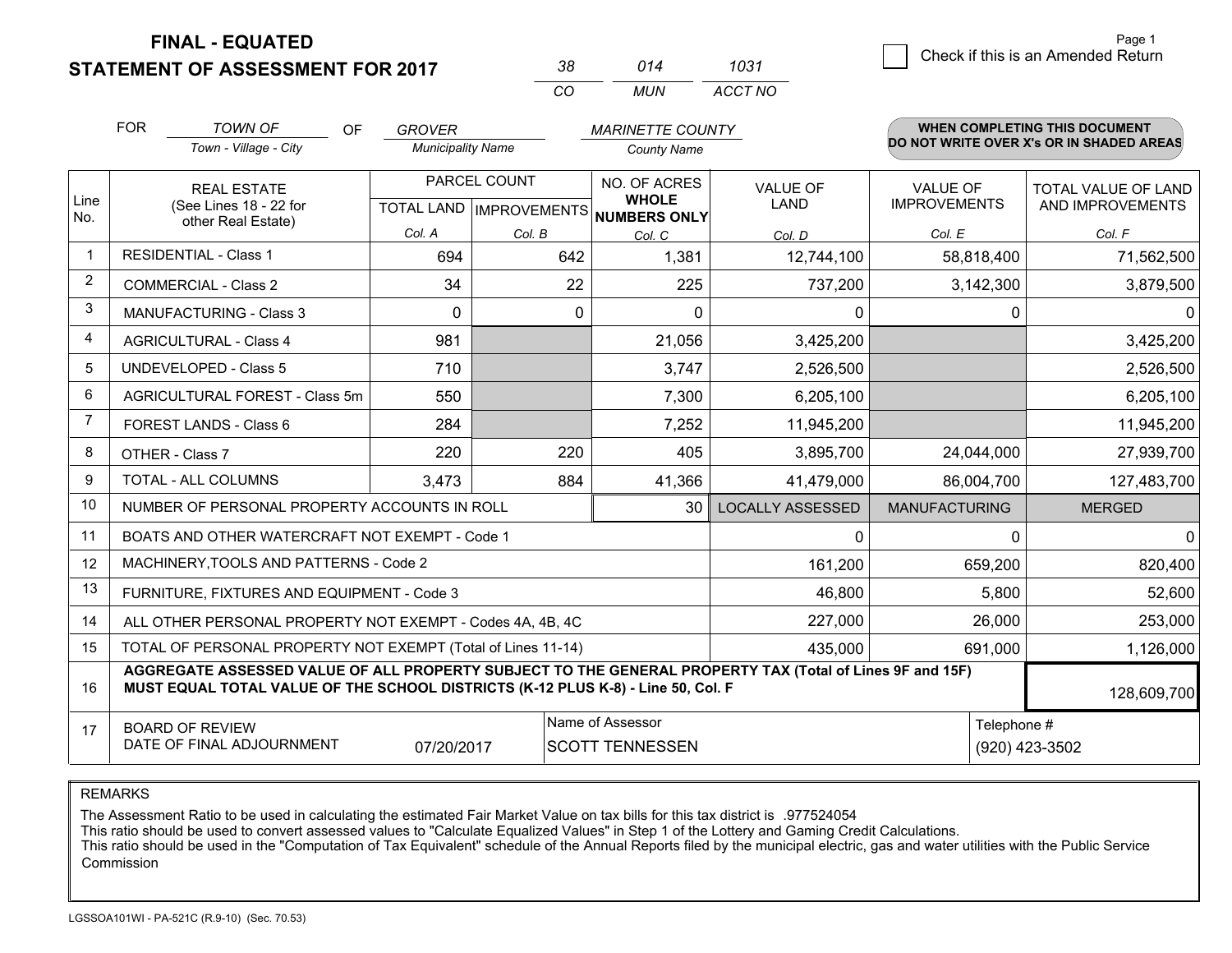**STATEMENT OF ASSESSMENT FOR 2017** 

| 38. | 014 | 1031    |
|-----|-----|---------|
| CO. | MUN | ACCT NO |

|                | <b>FOR</b>                                                                                                                                                                                   | <b>TOWN OF</b><br><b>OF</b><br><b>GROVER</b><br><b>MARINETTE COUNTY</b>                   |                          |               | WHEN COMPLETING THIS DOCUMENT |                                |                                        |                                                |
|----------------|----------------------------------------------------------------------------------------------------------------------------------------------------------------------------------------------|-------------------------------------------------------------------------------------------|--------------------------|---------------|-------------------------------|--------------------------------|----------------------------------------|------------------------------------------------|
|                |                                                                                                                                                                                              | Town - Village - City                                                                     | <b>Municipality Name</b> |               | <b>County Name</b>            |                                |                                        | DO NOT WRITE OVER X's OR IN SHADED AREAS       |
| Line           |                                                                                                                                                                                              | PARCEL COUNT<br><b>REAL ESTATE</b><br>(See Lines 18 - 22 for<br>TOTAL LAND   IMPROVEMENTS |                          |               | NO. OF ACRES<br><b>WHOLE</b>  | <b>VALUE OF</b><br><b>LAND</b> | <b>VALUE OF</b><br><b>IMPROVEMENTS</b> | <b>TOTAL VALUE OF LAND</b><br>AND IMPROVEMENTS |
| No.            |                                                                                                                                                                                              | other Real Estate)                                                                        | Col. A                   |               | NUMBERS ONLY                  |                                |                                        |                                                |
| $\mathbf{1}$   |                                                                                                                                                                                              | <b>RESIDENTIAL - Class 1</b>                                                              | 694                      | Col. B<br>642 | Col. C<br>1,381               | Col. D<br>12,744,100           | Col. E<br>58,818,400                   | Col. F<br>71,562,500                           |
| $\overline{2}$ |                                                                                                                                                                                              | <b>COMMERCIAL - Class 2</b>                                                               | 34                       | 22            | 225                           | 737,200                        | 3,142,300                              | 3,879,500                                      |
| 3              |                                                                                                                                                                                              | <b>MANUFACTURING - Class 3</b>                                                            | 0                        | 0             | $\Omega$                      | 0                              | 0                                      | $\mathbf{0}$                                   |
| 4              |                                                                                                                                                                                              | <b>AGRICULTURAL - Class 4</b>                                                             | 981                      |               | 21,056                        | 3,425,200                      |                                        | 3,425,200                                      |
| 5              |                                                                                                                                                                                              | <b>UNDEVELOPED - Class 5</b>                                                              | 710                      |               | 3,747                         | 2,526,500                      |                                        | 2,526,500                                      |
| 6              |                                                                                                                                                                                              | AGRICULTURAL FOREST - Class 5m                                                            | 550                      |               | 7,300                         | 6,205,100                      |                                        | 6,205,100                                      |
| $\overline{7}$ | FOREST LANDS - Class 6                                                                                                                                                                       |                                                                                           | 284                      |               | 7,252                         | 11,945,200                     |                                        | 11,945,200                                     |
| 8              |                                                                                                                                                                                              | OTHER - Class 7                                                                           | 220                      | 220           | 405                           | 3,895,700                      | 24,044,000                             | 27,939,700                                     |
| 9              |                                                                                                                                                                                              | TOTAL - ALL COLUMNS                                                                       | 3,473                    | 884           | 41,366                        | 41,479,000                     | 86,004,700                             | 127,483,700                                    |
| 10             |                                                                                                                                                                                              | NUMBER OF PERSONAL PROPERTY ACCOUNTS IN ROLL                                              |                          |               | 30                            | <b>LOCALLY ASSESSED</b>        | <b>MANUFACTURING</b>                   | <b>MERGED</b>                                  |
| 11             |                                                                                                                                                                                              | BOATS AND OTHER WATERCRAFT NOT EXEMPT - Code 1                                            |                          |               |                               | 0                              | 0                                      | 0                                              |
| 12             |                                                                                                                                                                                              | MACHINERY, TOOLS AND PATTERNS - Code 2                                                    |                          |               |                               | 161,200                        | 659,200                                | 820,400                                        |
| 13             |                                                                                                                                                                                              | FURNITURE, FIXTURES AND EQUIPMENT - Code 3                                                |                          |               |                               | 46,800                         | 5,800                                  | 52,600                                         |
| 14             |                                                                                                                                                                                              | ALL OTHER PERSONAL PROPERTY NOT EXEMPT - Codes 4A, 4B, 4C                                 |                          |               |                               | 227,000                        | 26,000                                 | 253,000                                        |
| 15             |                                                                                                                                                                                              | TOTAL OF PERSONAL PROPERTY NOT EXEMPT (Total of Lines 11-14)                              |                          |               |                               | 435,000                        | 691,000                                | 1,126,000                                      |
| 16             | AGGREGATE ASSESSED VALUE OF ALL PROPERTY SUBJECT TO THE GENERAL PROPERTY TAX (Total of Lines 9F and 15F)<br>MUST EQUAL TOTAL VALUE OF THE SCHOOL DISTRICTS (K-12 PLUS K-8) - Line 50, Col. F |                                                                                           |                          |               |                               |                                |                                        | 128,609,700                                    |
| 17             | Name of Assessor<br>Telephone #<br><b>BOARD OF REVIEW</b>                                                                                                                                    |                                                                                           |                          |               |                               |                                |                                        |                                                |
|                | DATE OF FINAL ADJOURNMENT<br>07/20/2017<br><b>SCOTT TENNESSEN</b><br>(920) 423-3502                                                                                                          |                                                                                           |                          |               |                               |                                |                                        |                                                |

REMARKS

The Assessment Ratio to be used in calculating the estimated Fair Market Value on tax bills for this tax district is .977524054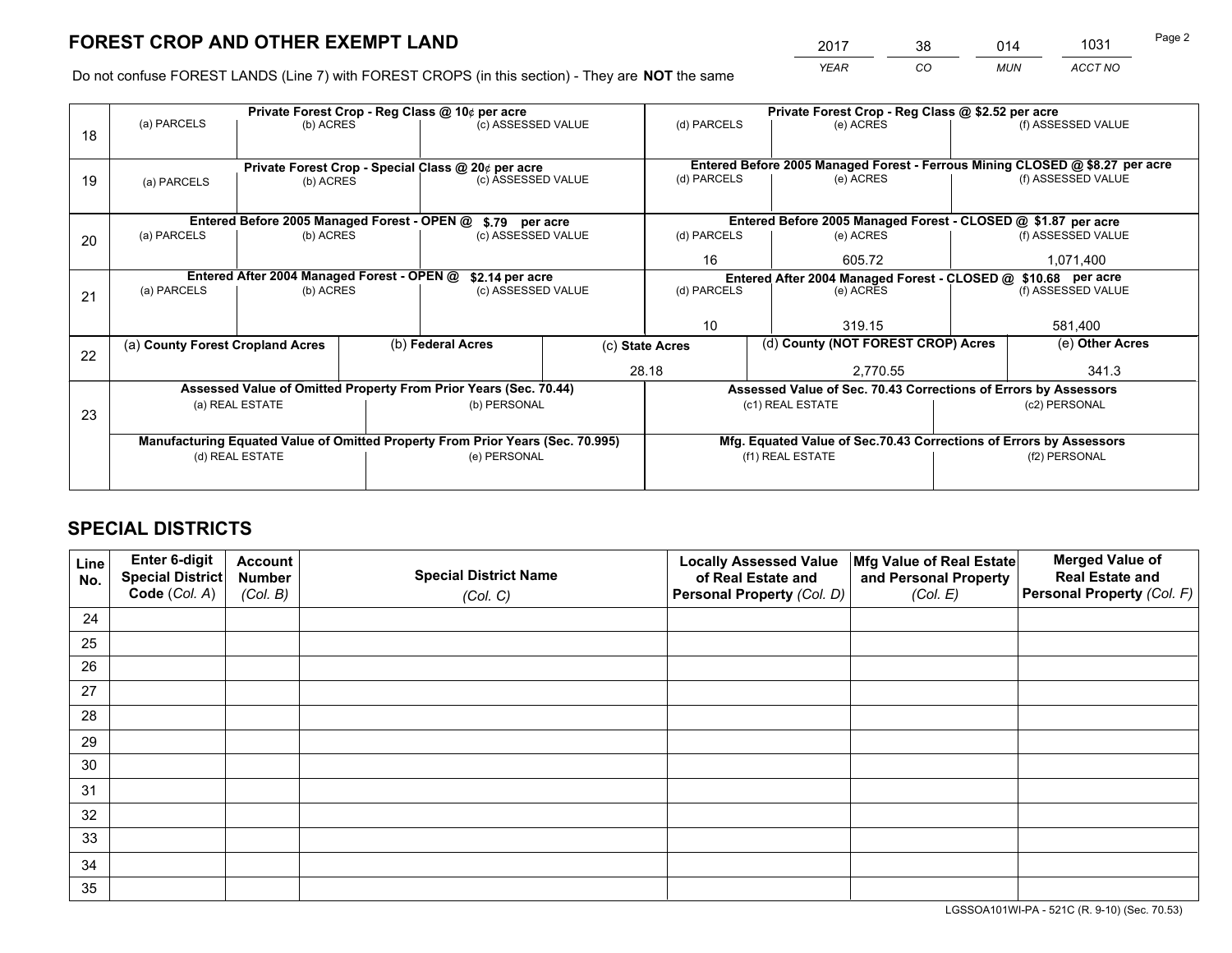*YEAR CO MUN ACCT NO* <sup>2017</sup> <sup>38</sup> <sup>014</sup> <sup>1031</sup>

Do not confuse FOREST LANDS (Line 7) with FOREST CROPS (in this section) - They are **NOT** the same

|    | Private Forest Crop - Reg Class @ 10¢ per acre                                 |                                             |  |                                                                  |                    |                                                                              | Private Forest Crop - Reg Class @ \$2.52 per acre                            |  |                    |  |
|----|--------------------------------------------------------------------------------|---------------------------------------------|--|------------------------------------------------------------------|--------------------|------------------------------------------------------------------------------|------------------------------------------------------------------------------|--|--------------------|--|
| 18 | (a) PARCELS                                                                    | (b) ACRES                                   |  | (c) ASSESSED VALUE                                               |                    | (d) PARCELS                                                                  | (e) ACRES                                                                    |  | (f) ASSESSED VALUE |  |
|    |                                                                                |                                             |  |                                                                  |                    |                                                                              |                                                                              |  |                    |  |
|    |                                                                                |                                             |  | Private Forest Crop - Special Class @ 20¢ per acre               |                    |                                                                              | Entered Before 2005 Managed Forest - Ferrous Mining CLOSED @ \$8.27 per acre |  |                    |  |
| 19 | (a) PARCELS                                                                    | (b) ACRES                                   |  | (c) ASSESSED VALUE                                               |                    | (d) PARCELS                                                                  | (e) ACRES                                                                    |  | (f) ASSESSED VALUE |  |
|    |                                                                                |                                             |  |                                                                  |                    |                                                                              |                                                                              |  |                    |  |
|    |                                                                                | Entered Before 2005 Managed Forest - OPEN @ |  | \$.79 per acre                                                   |                    |                                                                              | Entered Before 2005 Managed Forest - CLOSED @ \$1.87 per acre                |  |                    |  |
| 20 | (a) PARCELS                                                                    | (b) ACRES                                   |  | (c) ASSESSED VALUE                                               |                    | (d) PARCELS                                                                  | (e) ACRES                                                                    |  | (f) ASSESSED VALUE |  |
|    |                                                                                |                                             |  |                                                                  |                    | 16                                                                           | 605.72                                                                       |  |                    |  |
|    | Entered After 2004 Managed Forest - OPEN @<br>\$2.14 per acre                  |                                             |  |                                                                  |                    | Entered After 2004 Managed Forest - CLOSED @ \$10.68 per acre<br>(d) PARCELS |                                                                              |  |                    |  |
| 21 | (a) PARCELS                                                                    | (b) ACRES                                   |  |                                                                  | (c) ASSESSED VALUE |                                                                              | (e) ACRES                                                                    |  | (f) ASSESSED VALUE |  |
|    |                                                                                |                                             |  |                                                                  |                    |                                                                              |                                                                              |  |                    |  |
|    |                                                                                |                                             |  |                                                                  |                    | 10                                                                           | 319.15                                                                       |  | 581,400            |  |
| 22 | (a) County Forest Cropland Acres                                               |                                             |  | (b) Federal Acres                                                |                    | (c) State Acres                                                              | (d) County (NOT FOREST CROP) Acres                                           |  | (e) Other Acres    |  |
|    |                                                                                |                                             |  |                                                                  |                    | 28.18                                                                        | 2,770.55                                                                     |  | 341.3              |  |
|    |                                                                                |                                             |  | Assessed Value of Omitted Property From Prior Years (Sec. 70.44) |                    |                                                                              | Assessed Value of Sec. 70.43 Corrections of Errors by Assessors              |  |                    |  |
| 23 |                                                                                | (a) REAL ESTATE                             |  | (b) PERSONAL                                                     |                    |                                                                              | (c1) REAL ESTATE                                                             |  | (c2) PERSONAL      |  |
|    |                                                                                |                                             |  |                                                                  |                    |                                                                              |                                                                              |  |                    |  |
|    | Manufacturing Equated Value of Omitted Property From Prior Years (Sec. 70.995) |                                             |  |                                                                  |                    |                                                                              | Mfg. Equated Value of Sec.70.43 Corrections of Errors by Assessors           |  |                    |  |
|    |                                                                                | (d) REAL ESTATE                             |  | (e) PERSONAL                                                     |                    |                                                                              | (f1) REAL ESTATE                                                             |  | (f2) PERSONAL      |  |
|    |                                                                                |                                             |  |                                                                  |                    |                                                                              |                                                                              |  |                    |  |

## **SPECIAL DISTRICTS**

| Line<br>No. | Enter 6-digit<br>Special District<br>Code (Col. A) | <b>Account</b><br><b>Number</b> | <b>Special District Name</b> | <b>Locally Assessed Value</b><br>of Real Estate and | Mfg Value of Real Estate<br>and Personal Property | <b>Merged Value of</b><br><b>Real Estate and</b><br>Personal Property (Col. F) |
|-------------|----------------------------------------------------|---------------------------------|------------------------------|-----------------------------------------------------|---------------------------------------------------|--------------------------------------------------------------------------------|
|             |                                                    | (Col. B)                        | (Col. C)                     | Personal Property (Col. D)                          | (Col. E)                                          |                                                                                |
| 24          |                                                    |                                 |                              |                                                     |                                                   |                                                                                |
| 25          |                                                    |                                 |                              |                                                     |                                                   |                                                                                |
| 26          |                                                    |                                 |                              |                                                     |                                                   |                                                                                |
| 27          |                                                    |                                 |                              |                                                     |                                                   |                                                                                |
| 28          |                                                    |                                 |                              |                                                     |                                                   |                                                                                |
| 29          |                                                    |                                 |                              |                                                     |                                                   |                                                                                |
| 30          |                                                    |                                 |                              |                                                     |                                                   |                                                                                |
| 31          |                                                    |                                 |                              |                                                     |                                                   |                                                                                |
| 32          |                                                    |                                 |                              |                                                     |                                                   |                                                                                |
| 33          |                                                    |                                 |                              |                                                     |                                                   |                                                                                |
| 34          |                                                    |                                 |                              |                                                     |                                                   |                                                                                |
| 35          |                                                    |                                 |                              |                                                     |                                                   |                                                                                |

LGSSOA101WI-PA - 521C (R. 9-10) (Sec. 70.53)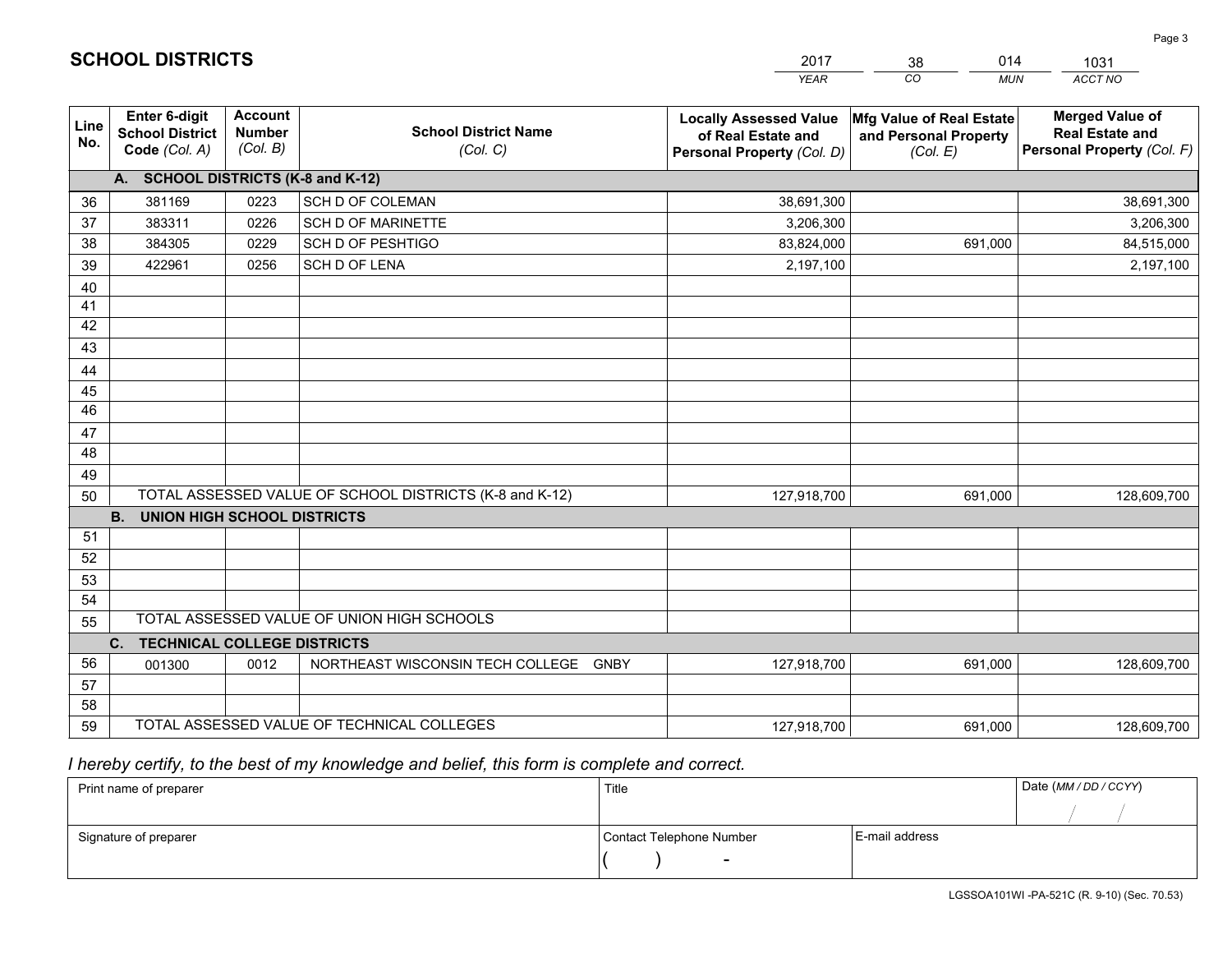|             |                                                          |                                             |                                                         | <b>YEAR</b>                                                                       | CO<br><b>MUN</b>                                              | <b>ACCT NO</b>                                                                 |
|-------------|----------------------------------------------------------|---------------------------------------------|---------------------------------------------------------|-----------------------------------------------------------------------------------|---------------------------------------------------------------|--------------------------------------------------------------------------------|
| Line<br>No. | Enter 6-digit<br><b>School District</b><br>Code (Col. A) | <b>Account</b><br><b>Number</b><br>(Col. B) | <b>School District Name</b><br>(Col. C)                 | <b>Locally Assessed Value</b><br>of Real Estate and<br>Personal Property (Col. D) | Mfg Value of Real Estate<br>and Personal Property<br>(Col. E) | <b>Merged Value of</b><br><b>Real Estate and</b><br>Personal Property (Col. F) |
|             | A. SCHOOL DISTRICTS (K-8 and K-12)                       |                                             |                                                         |                                                                                   |                                                               |                                                                                |
| 36          | 381169                                                   | 0223                                        | SCH D OF COLEMAN                                        | 38,691,300                                                                        |                                                               | 38,691,300                                                                     |
| 37          | 383311                                                   | 0226                                        | <b>SCH D OF MARINETTE</b>                               | 3,206,300                                                                         |                                                               | 3,206,300                                                                      |
| 38          | 384305                                                   | 0229                                        | <b>SCH D OF PESHTIGO</b>                                | 83,824,000                                                                        | 691,000                                                       | 84,515,000                                                                     |
| 39          | 422961                                                   | 0256                                        | <b>SCH D OF LENA</b>                                    | 2,197,100                                                                         |                                                               | 2,197,100                                                                      |
| 40          |                                                          |                                             |                                                         |                                                                                   |                                                               |                                                                                |
| 41          |                                                          |                                             |                                                         |                                                                                   |                                                               |                                                                                |
| 42          |                                                          |                                             |                                                         |                                                                                   |                                                               |                                                                                |
| 43          |                                                          |                                             |                                                         |                                                                                   |                                                               |                                                                                |
| 44          |                                                          |                                             |                                                         |                                                                                   |                                                               |                                                                                |
| 45          |                                                          |                                             |                                                         |                                                                                   |                                                               |                                                                                |
| 46          |                                                          |                                             |                                                         |                                                                                   |                                                               |                                                                                |
| 47          |                                                          |                                             |                                                         |                                                                                   |                                                               |                                                                                |
| 48          |                                                          |                                             |                                                         |                                                                                   |                                                               |                                                                                |
| 49          |                                                          |                                             |                                                         |                                                                                   |                                                               |                                                                                |
| 50          |                                                          |                                             | TOTAL ASSESSED VALUE OF SCHOOL DISTRICTS (K-8 and K-12) | 127,918,700                                                                       | 691,000                                                       | 128,609,700                                                                    |
|             | <b>B.</b><br><b>UNION HIGH SCHOOL DISTRICTS</b>          |                                             |                                                         |                                                                                   |                                                               |                                                                                |
| 51          |                                                          |                                             |                                                         |                                                                                   |                                                               |                                                                                |
| 52          |                                                          |                                             |                                                         |                                                                                   |                                                               |                                                                                |
| 53          |                                                          |                                             |                                                         |                                                                                   |                                                               |                                                                                |
| 54          |                                                          |                                             | TOTAL ASSESSED VALUE OF UNION HIGH SCHOOLS              |                                                                                   |                                                               |                                                                                |
| 55          |                                                          |                                             |                                                         |                                                                                   |                                                               |                                                                                |
| 56          | C.<br><b>TECHNICAL COLLEGE DISTRICTS</b>                 |                                             |                                                         |                                                                                   |                                                               |                                                                                |
| 57          | 001300                                                   | 0012                                        | NORTHEAST WISCONSIN TECH COLLEGE GNBY                   | 127,918,700                                                                       | 691,000                                                       | 128,609,700                                                                    |
| 58          |                                                          |                                             |                                                         |                                                                                   |                                                               |                                                                                |
| 59          |                                                          |                                             | TOTAL ASSESSED VALUE OF TECHNICAL COLLEGES              | 127,918,700                                                                       | 691,000                                                       | 128,609,700                                                                    |
|             |                                                          |                                             |                                                         |                                                                                   |                                                               |                                                                                |

2017

38

014

 *I hereby certify, to the best of my knowledge and belief, this form is complete and correct.*

**SCHOOL DISTRICTS**

| Print name of preparer | Title                    |                | Date (MM/DD/CCYY) |
|------------------------|--------------------------|----------------|-------------------|
|                        |                          |                |                   |
| Signature of preparer  | Contact Telephone Number | E-mail address |                   |
|                        | $\overline{\phantom{0}}$ |                |                   |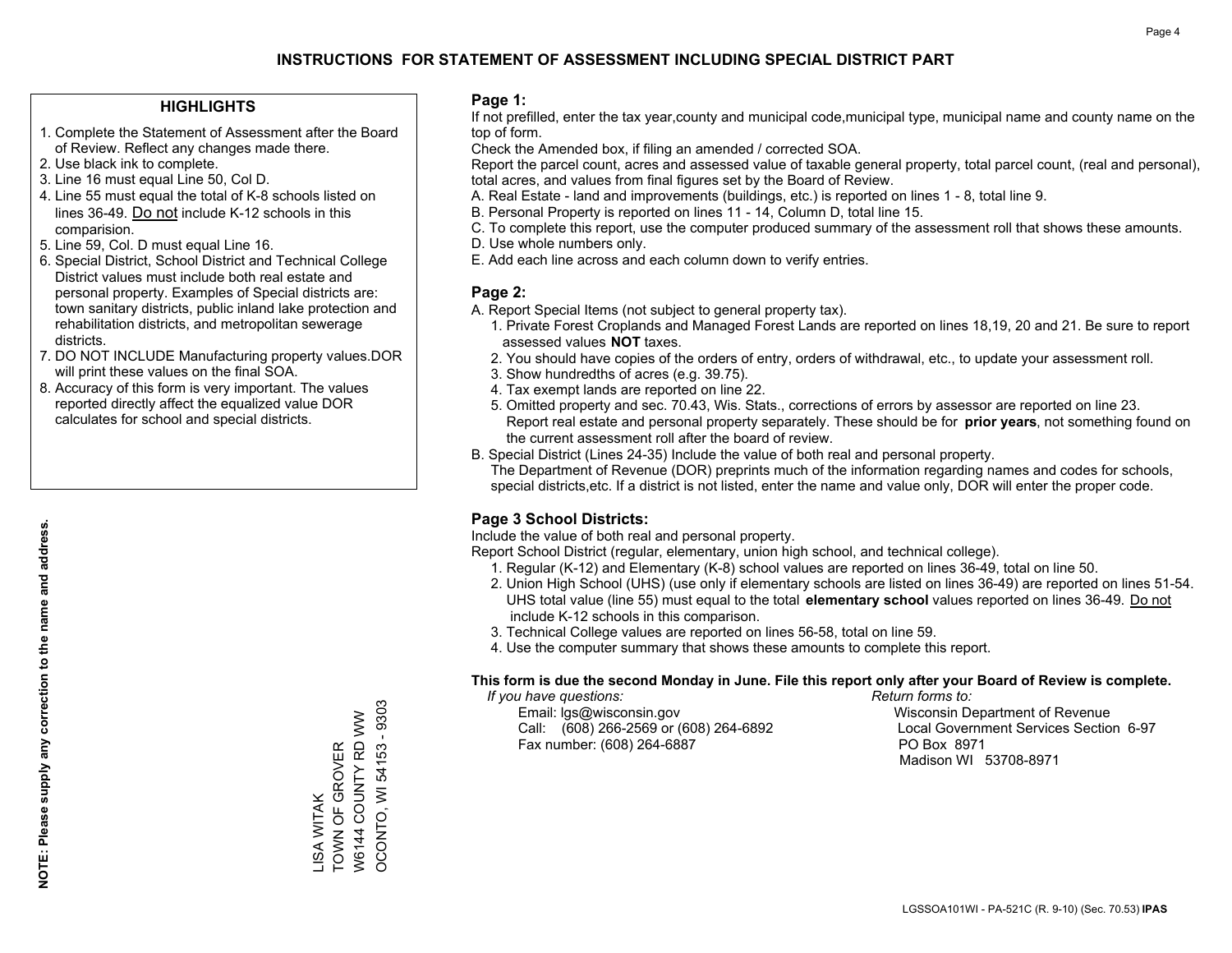#### **HIGHLIGHTS**

- 1. Complete the Statement of Assessment after the Board of Review. Reflect any changes made there.
- 2. Use black ink to complete.
- 3. Line 16 must equal Line 50, Col D.
- 4. Line 55 must equal the total of K-8 schools listed on lines 36-49. Do not include K-12 schools in this comparision.
- 5. Line 59, Col. D must equal Line 16.
- 6. Special District, School District and Technical College District values must include both real estate and personal property. Examples of Special districts are: town sanitary districts, public inland lake protection and rehabilitation districts, and metropolitan sewerage districts.
- 7. DO NOT INCLUDE Manufacturing property values.DOR will print these values on the final SOA.
- 8. Accuracy of this form is very important. The values reported directly affect the equalized value DOR calculates for school and special districts.

#### **Page 1:**

 If not prefilled, enter the tax year,county and municipal code,municipal type, municipal name and county name on the top of form.

Check the Amended box, if filing an amended / corrected SOA.

 Report the parcel count, acres and assessed value of taxable general property, total parcel count, (real and personal), total acres, and values from final figures set by the Board of Review.

- A. Real Estate land and improvements (buildings, etc.) is reported on lines 1 8, total line 9.
- B. Personal Property is reported on lines 11 14, Column D, total line 15.
- C. To complete this report, use the computer produced summary of the assessment roll that shows these amounts.
- D. Use whole numbers only.
- E. Add each line across and each column down to verify entries.

#### **Page 2:**

- A. Report Special Items (not subject to general property tax).
- 1. Private Forest Croplands and Managed Forest Lands are reported on lines 18,19, 20 and 21. Be sure to report assessed values **NOT** taxes.
- 2. You should have copies of the orders of entry, orders of withdrawal, etc., to update your assessment roll.
	- 3. Show hundredths of acres (e.g. 39.75).
- 4. Tax exempt lands are reported on line 22.
- 5. Omitted property and sec. 70.43, Wis. Stats., corrections of errors by assessor are reported on line 23. Report real estate and personal property separately. These should be for **prior years**, not something found on the current assessment roll after the board of review.
- B. Special District (Lines 24-35) Include the value of both real and personal property.

 The Department of Revenue (DOR) preprints much of the information regarding names and codes for schools, special districts,etc. If a district is not listed, enter the name and value only, DOR will enter the proper code.

### **Page 3 School Districts:**

Include the value of both real and personal property.

Report School District (regular, elementary, union high school, and technical college).

- 1. Regular (K-12) and Elementary (K-8) school values are reported on lines 36-49, total on line 50.
- 2. Union High School (UHS) (use only if elementary schools are listed on lines 36-49) are reported on lines 51-54. UHS total value (line 55) must equal to the total **elementary school** values reported on lines 36-49. Do notinclude K-12 schools in this comparison.
- 3. Technical College values are reported on lines 56-58, total on line 59.
- 4. Use the computer summary that shows these amounts to complete this report.

#### **This form is due the second Monday in June. File this report only after your Board of Review is complete.**

 *If you have questions: Return forms to:*

 Email: lgs@wisconsin.gov Wisconsin Department of RevenueCall:  $(608)$  266-2569 or  $(608)$  264-6892 Fax number: (608) 264-6887 PO Box 8971

Local Government Services Section 6-97 Madison WI 53708-8971

LISA WITAK

TOWN OF GROVER W6144 COUNTY RD WW OCONTO, WI 54153 - 9303

LISA WITAK<br>TOWN OF GROVER

OCONTO, WI 54153 - 9303 W6144 COUNTY RD WW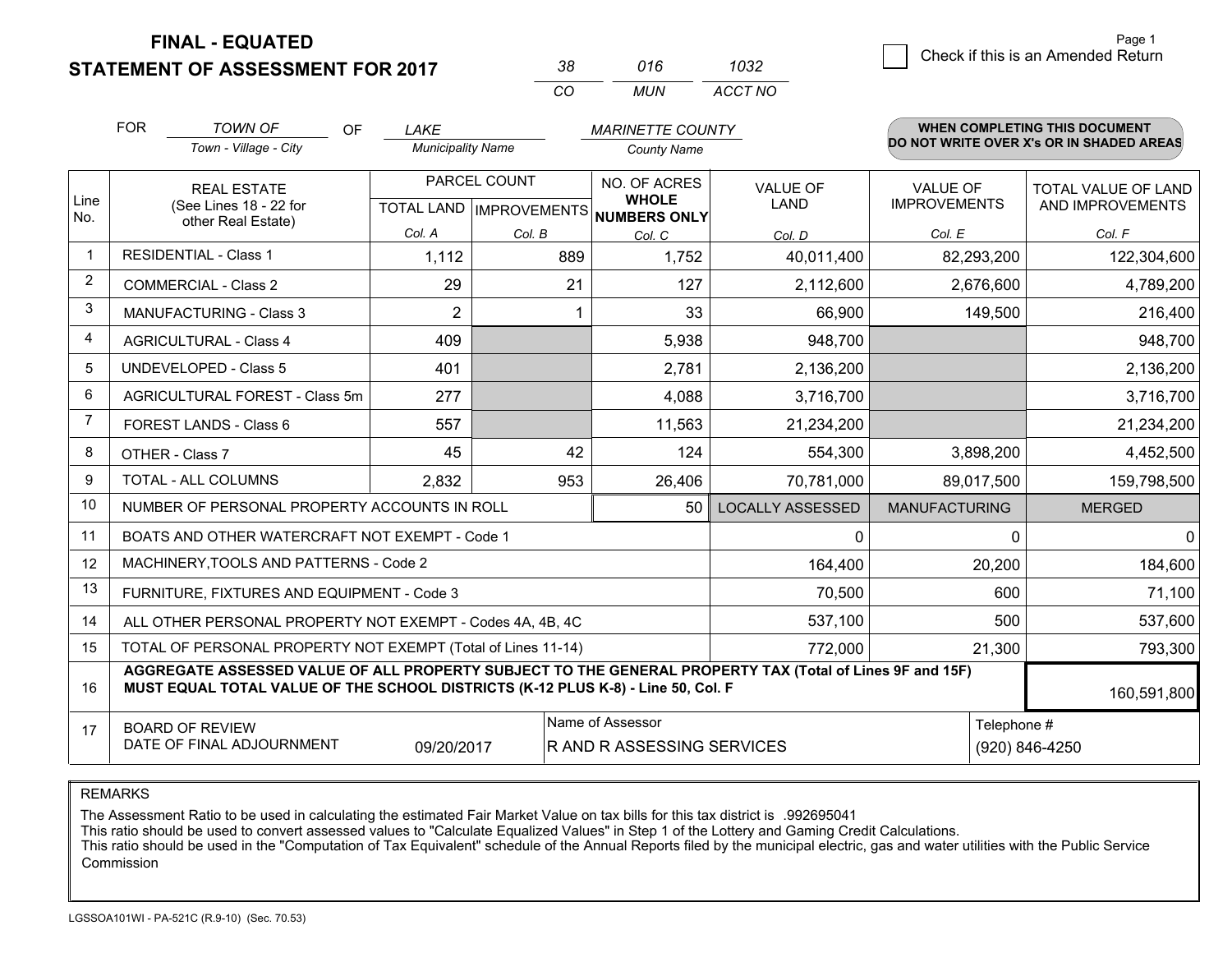**STATEMENT OF ASSESSMENT FOR 2017** 

| 38. | 016 | 1032    |
|-----|-----|---------|
| CO. | MUN | ACCT NO |

|                | <b>FOR</b>                                                                                                                                                                                   | <b>TOWN OF</b><br><b>OF</b>                                  | <b>LAKE</b>              |        | <b>MARINETTE COUNTY</b>              |                                |                                        | <b>WHEN COMPLETING THIS DOCUMENT</b><br>DO NOT WRITE OVER X's OR IN SHADED AREAS |  |  |
|----------------|----------------------------------------------------------------------------------------------------------------------------------------------------------------------------------------------|--------------------------------------------------------------|--------------------------|--------|--------------------------------------|--------------------------------|----------------------------------------|----------------------------------------------------------------------------------|--|--|
|                |                                                                                                                                                                                              | Town - Village - City                                        | <b>Municipality Name</b> |        | <b>County Name</b>                   |                                |                                        |                                                                                  |  |  |
| Line           | <b>REAL ESTATE</b><br>(See Lines 18 - 22 for                                                                                                                                                 |                                                              | PARCEL COUNT             |        | NO. OF ACRES<br><b>WHOLE</b>         | <b>VALUE OF</b><br><b>LAND</b> | <b>VALUE OF</b><br><b>IMPROVEMENTS</b> | TOTAL VALUE OF LAND<br>AND IMPROVEMENTS                                          |  |  |
| No.            |                                                                                                                                                                                              | other Real Estate)                                           |                          |        | TOTAL LAND IMPROVEMENTS NUMBERS ONLY |                                |                                        |                                                                                  |  |  |
|                |                                                                                                                                                                                              |                                                              | Col. A                   | Col. B | Col. C                               | Col. D                         | Col. E                                 | Col. F                                                                           |  |  |
| $\mathbf 1$    |                                                                                                                                                                                              | <b>RESIDENTIAL - Class 1</b>                                 | 1,112                    | 889    | 1,752                                | 40,011,400                     | 82,293,200                             | 122,304,600                                                                      |  |  |
| 2              |                                                                                                                                                                                              | <b>COMMERCIAL - Class 2</b>                                  | 29                       | 21     | 127                                  | 2,112,600                      | 2,676,600                              | 4,789,200                                                                        |  |  |
| 3              |                                                                                                                                                                                              | <b>MANUFACTURING - Class 3</b>                               | 2                        |        | 33                                   | 66,900                         | 149,500                                | 216,400                                                                          |  |  |
| 4              |                                                                                                                                                                                              | <b>AGRICULTURAL - Class 4</b>                                | 409                      |        | 5,938                                | 948,700                        |                                        | 948,700                                                                          |  |  |
| 5              |                                                                                                                                                                                              | <b>UNDEVELOPED - Class 5</b>                                 | 401                      |        | 2,781                                | 2,136,200                      |                                        | 2,136,200                                                                        |  |  |
| 6              |                                                                                                                                                                                              | AGRICULTURAL FOREST - Class 5m                               | 277                      |        | 4,088                                | 3,716,700                      |                                        | 3,716,700                                                                        |  |  |
| $\overline{7}$ |                                                                                                                                                                                              | FOREST LANDS - Class 6                                       | 557                      |        | 11,563                               | 21,234,200                     |                                        | 21,234,200                                                                       |  |  |
| 8              |                                                                                                                                                                                              | OTHER - Class 7                                              | 45                       | 42     | 124                                  | 554,300                        | 3,898,200                              | 4,452,500                                                                        |  |  |
| 9              |                                                                                                                                                                                              | TOTAL - ALL COLUMNS                                          | 2,832                    | 953    | 26,406                               | 70,781,000                     | 89,017,500                             | 159,798,500                                                                      |  |  |
| 10             |                                                                                                                                                                                              | NUMBER OF PERSONAL PROPERTY ACCOUNTS IN ROLL                 |                          |        | 50                                   | <b>LOCALLY ASSESSED</b>        | <b>MANUFACTURING</b>                   | <b>MERGED</b>                                                                    |  |  |
| 11             |                                                                                                                                                                                              | BOATS AND OTHER WATERCRAFT NOT EXEMPT - Code 1               |                          |        |                                      | $\mathbf{0}$                   | $\Omega$                               | $\Omega$                                                                         |  |  |
| 12             |                                                                                                                                                                                              | MACHINERY, TOOLS AND PATTERNS - Code 2                       |                          |        |                                      | 164,400                        | 20,200                                 | 184,600                                                                          |  |  |
| 13             |                                                                                                                                                                                              | FURNITURE, FIXTURES AND EQUIPMENT - Code 3                   |                          |        |                                      | 70,500                         | 600                                    | 71,100                                                                           |  |  |
| 14             |                                                                                                                                                                                              | ALL OTHER PERSONAL PROPERTY NOT EXEMPT - Codes 4A, 4B, 4C    |                          |        |                                      | 537,100                        | 500                                    | 537,600                                                                          |  |  |
| 15             |                                                                                                                                                                                              | TOTAL OF PERSONAL PROPERTY NOT EXEMPT (Total of Lines 11-14) |                          |        |                                      | 772,000                        | 21,300                                 | 793,300                                                                          |  |  |
| 16             | AGGREGATE ASSESSED VALUE OF ALL PROPERTY SUBJECT TO THE GENERAL PROPERTY TAX (Total of Lines 9F and 15F)<br>MUST EQUAL TOTAL VALUE OF THE SCHOOL DISTRICTS (K-12 PLUS K-8) - Line 50, Col. F |                                                              |                          |        |                                      |                                |                                        | 160,591,800                                                                      |  |  |
| 17             | Name of Assessor<br>Telephone #<br><b>BOARD OF REVIEW</b>                                                                                                                                    |                                                              |                          |        |                                      |                                |                                        |                                                                                  |  |  |
|                | DATE OF FINAL ADJOURNMENT<br>R AND R ASSESSING SERVICES<br>09/20/2017                                                                                                                        |                                                              |                          |        |                                      |                                | (920) 846-4250                         |                                                                                  |  |  |

REMARKS

The Assessment Ratio to be used in calculating the estimated Fair Market Value on tax bills for this tax district is .992695041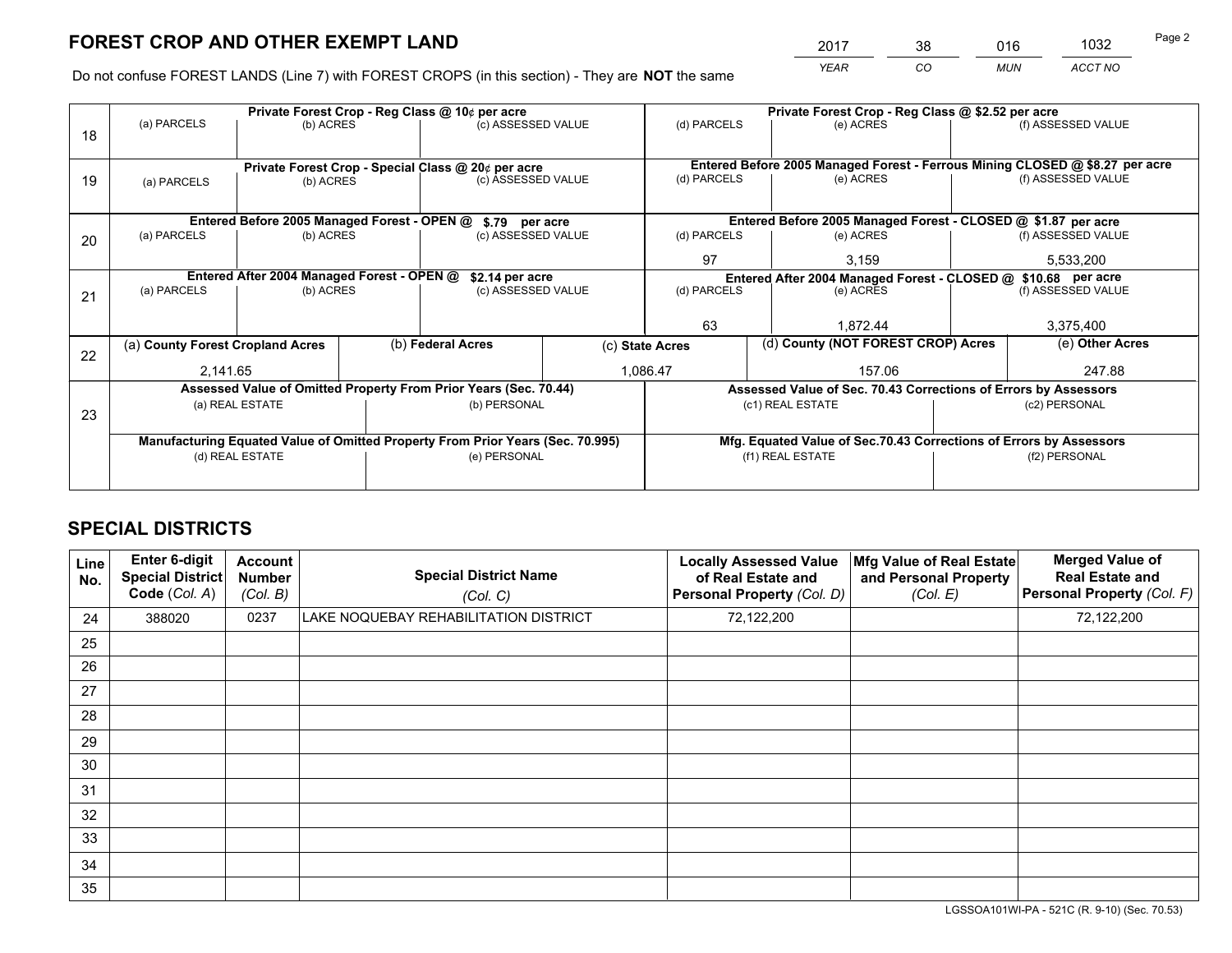*YEAR CO MUN ACCT NO* <sup>2017</sup> <sup>38</sup> <sup>016</sup> <sup>1032</sup> Page 2

Do not confuse FOREST LANDS (Line 7) with FOREST CROPS (in this section) - They are **NOT** the same

|    | Private Forest Crop - Reg Class @ 10¢ per acre                                 |                                             |  |                                                                  |                    |                                                               | Private Forest Crop - Reg Class @ \$2.52 per acre                            |               |                    |  |
|----|--------------------------------------------------------------------------------|---------------------------------------------|--|------------------------------------------------------------------|--------------------|---------------------------------------------------------------|------------------------------------------------------------------------------|---------------|--------------------|--|
| 18 | (a) PARCELS                                                                    | (b) ACRES                                   |  | (c) ASSESSED VALUE                                               |                    | (d) PARCELS                                                   | (e) ACRES                                                                    |               | (f) ASSESSED VALUE |  |
|    |                                                                                |                                             |  |                                                                  |                    |                                                               |                                                                              |               |                    |  |
|    |                                                                                |                                             |  | Private Forest Crop - Special Class @ 20¢ per acre               |                    |                                                               | Entered Before 2005 Managed Forest - Ferrous Mining CLOSED @ \$8.27 per acre |               |                    |  |
| 19 | (a) PARCELS                                                                    | (b) ACRES                                   |  | (c) ASSESSED VALUE                                               |                    | (d) PARCELS                                                   | (e) ACRES                                                                    |               | (f) ASSESSED VALUE |  |
|    |                                                                                |                                             |  |                                                                  |                    |                                                               |                                                                              |               |                    |  |
|    |                                                                                | Entered Before 2005 Managed Forest - OPEN @ |  | \$.79 per acre                                                   |                    |                                                               | Entered Before 2005 Managed Forest - CLOSED @ \$1.87 per acre                |               |                    |  |
| 20 | (a) PARCELS                                                                    | (b) ACRES                                   |  | (c) ASSESSED VALUE                                               |                    | (d) PARCELS                                                   | (e) ACRES                                                                    |               | (f) ASSESSED VALUE |  |
|    |                                                                                |                                             |  |                                                                  | 97                 | 3,159                                                         |                                                                              |               |                    |  |
|    | Entered After 2004 Managed Forest - OPEN @<br>\$2.14 per acre                  |                                             |  |                                                                  |                    | Entered After 2004 Managed Forest - CLOSED @ \$10.68 per acre |                                                                              |               |                    |  |
| 21 | (a) PARCELS                                                                    | (b) ACRES                                   |  |                                                                  | (c) ASSESSED VALUE |                                                               | (d) PARCELS<br>(e) ACRES                                                     |               | (f) ASSESSED VALUE |  |
|    |                                                                                |                                             |  |                                                                  |                    |                                                               |                                                                              |               |                    |  |
|    |                                                                                |                                             |  |                                                                  |                    | 63                                                            | 1.872.44                                                                     |               | 3,375,400          |  |
| 22 | (a) County Forest Cropland Acres                                               |                                             |  | (b) Federal Acres                                                | (c) State Acres    |                                                               | (d) County (NOT FOREST CROP) Acres                                           |               | (e) Other Acres    |  |
|    | 2,141.65                                                                       |                                             |  | 1,086.47                                                         |                    | 157.06                                                        |                                                                              |               | 247.88             |  |
|    |                                                                                |                                             |  | Assessed Value of Omitted Property From Prior Years (Sec. 70.44) |                    |                                                               | Assessed Value of Sec. 70.43 Corrections of Errors by Assessors              |               |                    |  |
| 23 |                                                                                | (a) REAL ESTATE                             |  | (b) PERSONAL                                                     |                    |                                                               | (c1) REAL ESTATE                                                             |               | (c2) PERSONAL      |  |
|    |                                                                                |                                             |  |                                                                  |                    |                                                               |                                                                              |               |                    |  |
|    | Manufacturing Equated Value of Omitted Property From Prior Years (Sec. 70.995) |                                             |  |                                                                  |                    |                                                               | Mfg. Equated Value of Sec.70.43 Corrections of Errors by Assessors           |               |                    |  |
|    |                                                                                | (d) REAL ESTATE                             |  | (e) PERSONAL                                                     |                    |                                                               | (f1) REAL ESTATE                                                             | (f2) PERSONAL |                    |  |
|    |                                                                                |                                             |  |                                                                  |                    |                                                               |                                                                              |               |                    |  |

## **SPECIAL DISTRICTS**

| Line<br>No. | Enter 6-digit<br>Special District<br>Code (Col. A) | <b>Account</b><br><b>Number</b><br>(Col. B) | <b>Special District Name</b><br>(Col. C) | <b>Locally Assessed Value</b><br>of Real Estate and<br>Personal Property (Col. D) | Mfg Value of Real Estate<br>and Personal Property<br>(Col. E) | <b>Merged Value of</b><br><b>Real Estate and</b><br>Personal Property (Col. F) |
|-------------|----------------------------------------------------|---------------------------------------------|------------------------------------------|-----------------------------------------------------------------------------------|---------------------------------------------------------------|--------------------------------------------------------------------------------|
| 24          | 388020                                             | 0237                                        | LAKE NOQUEBAY REHABILITATION DISTRICT    | 72,122,200                                                                        |                                                               | 72,122,200                                                                     |
| 25          |                                                    |                                             |                                          |                                                                                   |                                                               |                                                                                |
| 26          |                                                    |                                             |                                          |                                                                                   |                                                               |                                                                                |
| 27          |                                                    |                                             |                                          |                                                                                   |                                                               |                                                                                |
| 28          |                                                    |                                             |                                          |                                                                                   |                                                               |                                                                                |
| 29          |                                                    |                                             |                                          |                                                                                   |                                                               |                                                                                |
| 30          |                                                    |                                             |                                          |                                                                                   |                                                               |                                                                                |
| 31          |                                                    |                                             |                                          |                                                                                   |                                                               |                                                                                |
| 32          |                                                    |                                             |                                          |                                                                                   |                                                               |                                                                                |
| 33          |                                                    |                                             |                                          |                                                                                   |                                                               |                                                                                |
| 34          |                                                    |                                             |                                          |                                                                                   |                                                               |                                                                                |
| 35          |                                                    |                                             |                                          |                                                                                   |                                                               |                                                                                |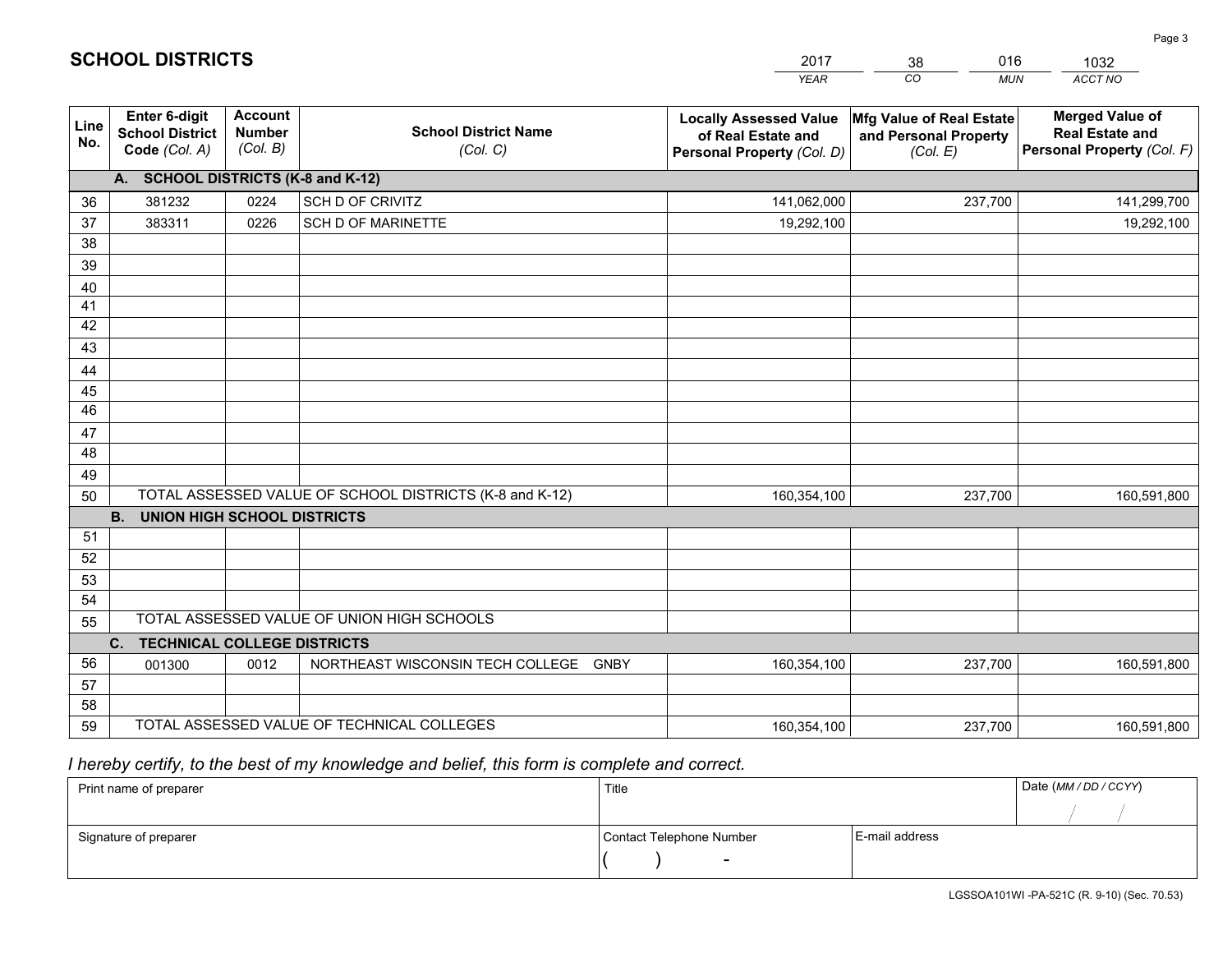|                 |                                                                 |                                             |                                                         | <b>YEAR</b>                                                                       | CO<br><b>MUN</b>                                              | ACCT NO                                                                        |
|-----------------|-----------------------------------------------------------------|---------------------------------------------|---------------------------------------------------------|-----------------------------------------------------------------------------------|---------------------------------------------------------------|--------------------------------------------------------------------------------|
| Line<br>No.     | <b>Enter 6-digit</b><br><b>School District</b><br>Code (Col. A) | <b>Account</b><br><b>Number</b><br>(Col. B) | <b>School District Name</b><br>(Col. C)                 | <b>Locally Assessed Value</b><br>of Real Estate and<br>Personal Property (Col. D) | Mfg Value of Real Estate<br>and Personal Property<br>(Col. E) | <b>Merged Value of</b><br><b>Real Estate and</b><br>Personal Property (Col. F) |
|                 | A. SCHOOL DISTRICTS (K-8 and K-12)                              |                                             |                                                         |                                                                                   |                                                               |                                                                                |
| 36              | 381232                                                          | 0224                                        | SCH D OF CRIVITZ                                        | 141,062,000                                                                       | 237,700                                                       | 141,299,700                                                                    |
| 37              | 383311                                                          | 0226                                        | <b>SCH D OF MARINETTE</b>                               | 19,292,100                                                                        |                                                               | 19,292,100                                                                     |
| 38              |                                                                 |                                             |                                                         |                                                                                   |                                                               |                                                                                |
| 39              |                                                                 |                                             |                                                         |                                                                                   |                                                               |                                                                                |
| 40              |                                                                 |                                             |                                                         |                                                                                   |                                                               |                                                                                |
| 41              |                                                                 |                                             |                                                         |                                                                                   |                                                               |                                                                                |
| 42<br>43        |                                                                 |                                             |                                                         |                                                                                   |                                                               |                                                                                |
|                 |                                                                 |                                             |                                                         |                                                                                   |                                                               |                                                                                |
| 44<br>45        |                                                                 |                                             |                                                         |                                                                                   |                                                               |                                                                                |
| $\overline{46}$ |                                                                 |                                             |                                                         |                                                                                   |                                                               |                                                                                |
| 47              |                                                                 |                                             |                                                         |                                                                                   |                                                               |                                                                                |
| 48              |                                                                 |                                             |                                                         |                                                                                   |                                                               |                                                                                |
| 49              |                                                                 |                                             |                                                         |                                                                                   |                                                               |                                                                                |
| 50              |                                                                 |                                             | TOTAL ASSESSED VALUE OF SCHOOL DISTRICTS (K-8 and K-12) | 160,354,100                                                                       | 237,700                                                       | 160,591,800                                                                    |
|                 | <b>B.</b><br><b>UNION HIGH SCHOOL DISTRICTS</b>                 |                                             |                                                         |                                                                                   |                                                               |                                                                                |
| 51              |                                                                 |                                             |                                                         |                                                                                   |                                                               |                                                                                |
| 52              |                                                                 |                                             |                                                         |                                                                                   |                                                               |                                                                                |
| 53              |                                                                 |                                             |                                                         |                                                                                   |                                                               |                                                                                |
| 54              |                                                                 |                                             |                                                         |                                                                                   |                                                               |                                                                                |
| 55              |                                                                 |                                             | TOTAL ASSESSED VALUE OF UNION HIGH SCHOOLS              |                                                                                   |                                                               |                                                                                |
|                 | C.<br><b>TECHNICAL COLLEGE DISTRICTS</b>                        |                                             |                                                         |                                                                                   |                                                               |                                                                                |
| 56              | 001300                                                          | 0012                                        | NORTHEAST WISCONSIN TECH COLLEGE GNBY                   | 160,354,100                                                                       | 237,700                                                       | 160,591,800                                                                    |
| 57<br>58        |                                                                 |                                             |                                                         |                                                                                   |                                                               |                                                                                |
| 59              |                                                                 |                                             | TOTAL ASSESSED VALUE OF TECHNICAL COLLEGES              | 160,354,100                                                                       | 237,700                                                       | 160,591,800                                                                    |
|                 |                                                                 |                                             |                                                         |                                                                                   |                                                               |                                                                                |

 *I hereby certify, to the best of my knowledge and belief, this form is complete and correct.*

| Print name of preparer | Title                    |                | Date (MM / DD / CCYY) |
|------------------------|--------------------------|----------------|-----------------------|
|                        |                          |                |                       |
| Signature of preparer  | Contact Telephone Number | E-mail address |                       |
|                        | $\sim$                   |                |                       |

| <b>SCHOOL DISTRICTS</b> |  |
|-------------------------|--|
|-------------------------|--|

201738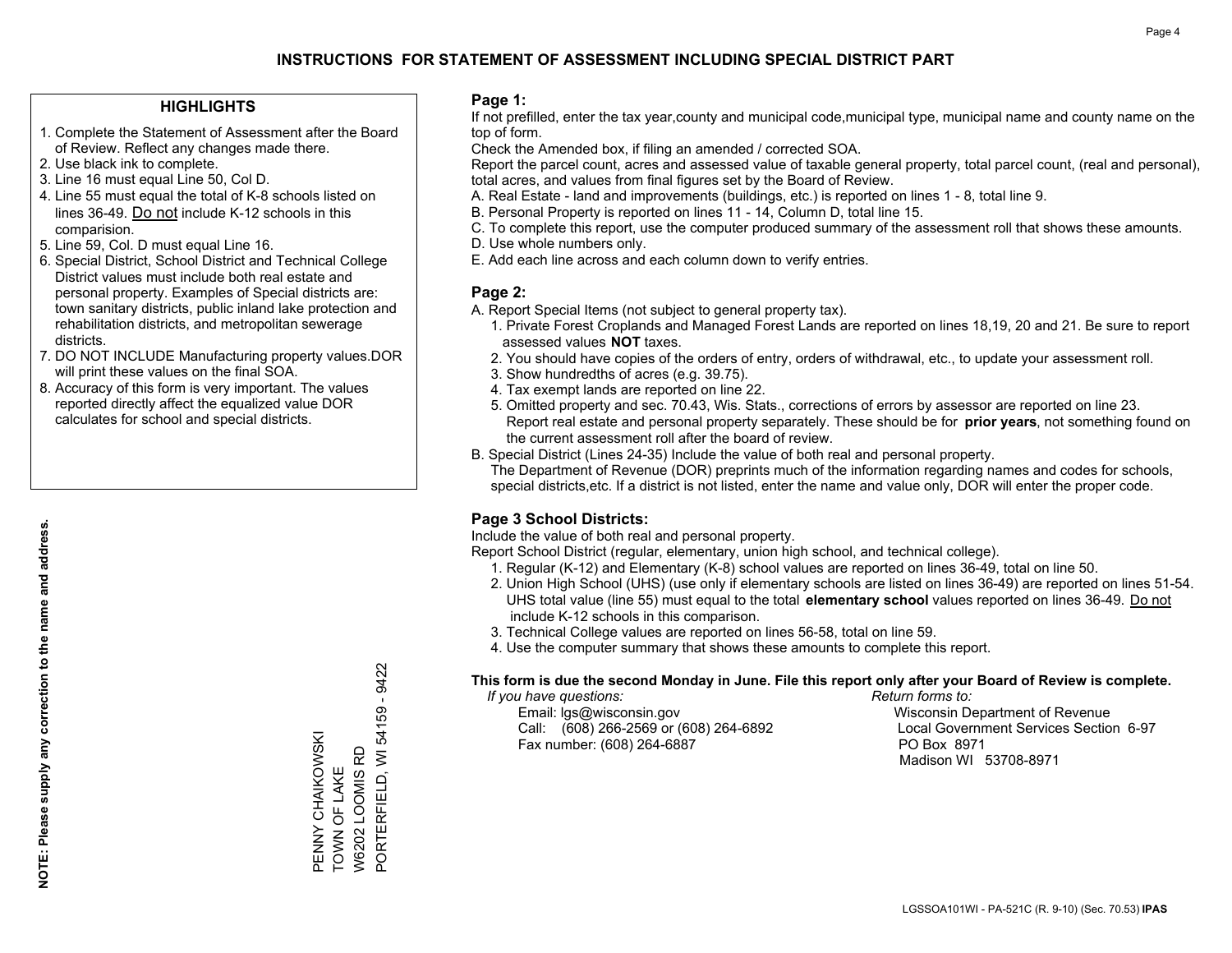#### **HIGHLIGHTS**

- 1. Complete the Statement of Assessment after the Board of Review. Reflect any changes made there.
- 2. Use black ink to complete.
- 3. Line 16 must equal Line 50, Col D.
- 4. Line 55 must equal the total of K-8 schools listed on lines 36-49. Do not include K-12 schools in this comparision.
- 5. Line 59, Col. D must equal Line 16.
- 6. Special District, School District and Technical College District values must include both real estate and personal property. Examples of Special districts are: town sanitary districts, public inland lake protection and rehabilitation districts, and metropolitan sewerage districts.
- 7. DO NOT INCLUDE Manufacturing property values.DOR will print these values on the final SOA.

PENNY CHAIKOWSKI TOWN OF LAKE W6202 LOOMIS RD

PENNY CHAIKOWSKI<br>TOWN OF LAKE W6202 LOOMIS RD PORTERFIELD, WI

PORTERFIELD, WI 54159 - 9422

54159 - 9422

 8. Accuracy of this form is very important. The values reported directly affect the equalized value DOR calculates for school and special districts.

#### **Page 1:**

 If not prefilled, enter the tax year,county and municipal code,municipal type, municipal name and county name on the top of form.

Check the Amended box, if filing an amended / corrected SOA.

 Report the parcel count, acres and assessed value of taxable general property, total parcel count, (real and personal), total acres, and values from final figures set by the Board of Review.

- A. Real Estate land and improvements (buildings, etc.) is reported on lines 1 8, total line 9.
- B. Personal Property is reported on lines 11 14, Column D, total line 15.
- C. To complete this report, use the computer produced summary of the assessment roll that shows these amounts.
- D. Use whole numbers only.
- E. Add each line across and each column down to verify entries.

#### **Page 2:**

- A. Report Special Items (not subject to general property tax).
- 1. Private Forest Croplands and Managed Forest Lands are reported on lines 18,19, 20 and 21. Be sure to report assessed values **NOT** taxes.
- 2. You should have copies of the orders of entry, orders of withdrawal, etc., to update your assessment roll.
	- 3. Show hundredths of acres (e.g. 39.75).
- 4. Tax exempt lands are reported on line 22.
- 5. Omitted property and sec. 70.43, Wis. Stats., corrections of errors by assessor are reported on line 23. Report real estate and personal property separately. These should be for **prior years**, not something found on the current assessment roll after the board of review.
- B. Special District (Lines 24-35) Include the value of both real and personal property.
- The Department of Revenue (DOR) preprints much of the information regarding names and codes for schools, special districts,etc. If a district is not listed, enter the name and value only, DOR will enter the proper code.

### **Page 3 School Districts:**

Include the value of both real and personal property.

Report School District (regular, elementary, union high school, and technical college).

- 1. Regular (K-12) and Elementary (K-8) school values are reported on lines 36-49, total on line 50.
- 2. Union High School (UHS) (use only if elementary schools are listed on lines 36-49) are reported on lines 51-54. UHS total value (line 55) must equal to the total **elementary school** values reported on lines 36-49. Do notinclude K-12 schools in this comparison.
- 3. Technical College values are reported on lines 56-58, total on line 59.
- 4. Use the computer summary that shows these amounts to complete this report.

#### **This form is due the second Monday in June. File this report only after your Board of Review is complete.**

 *If you have questions: Return forms to:*

 Email: lgs@wisconsin.gov Wisconsin Department of RevenueCall:  $(608)$  266-2569 or  $(608)$  264-6892 Fax number: (608) 264-6887 PO Box 8971

Local Government Services Section 6-97 Madison WI 53708-8971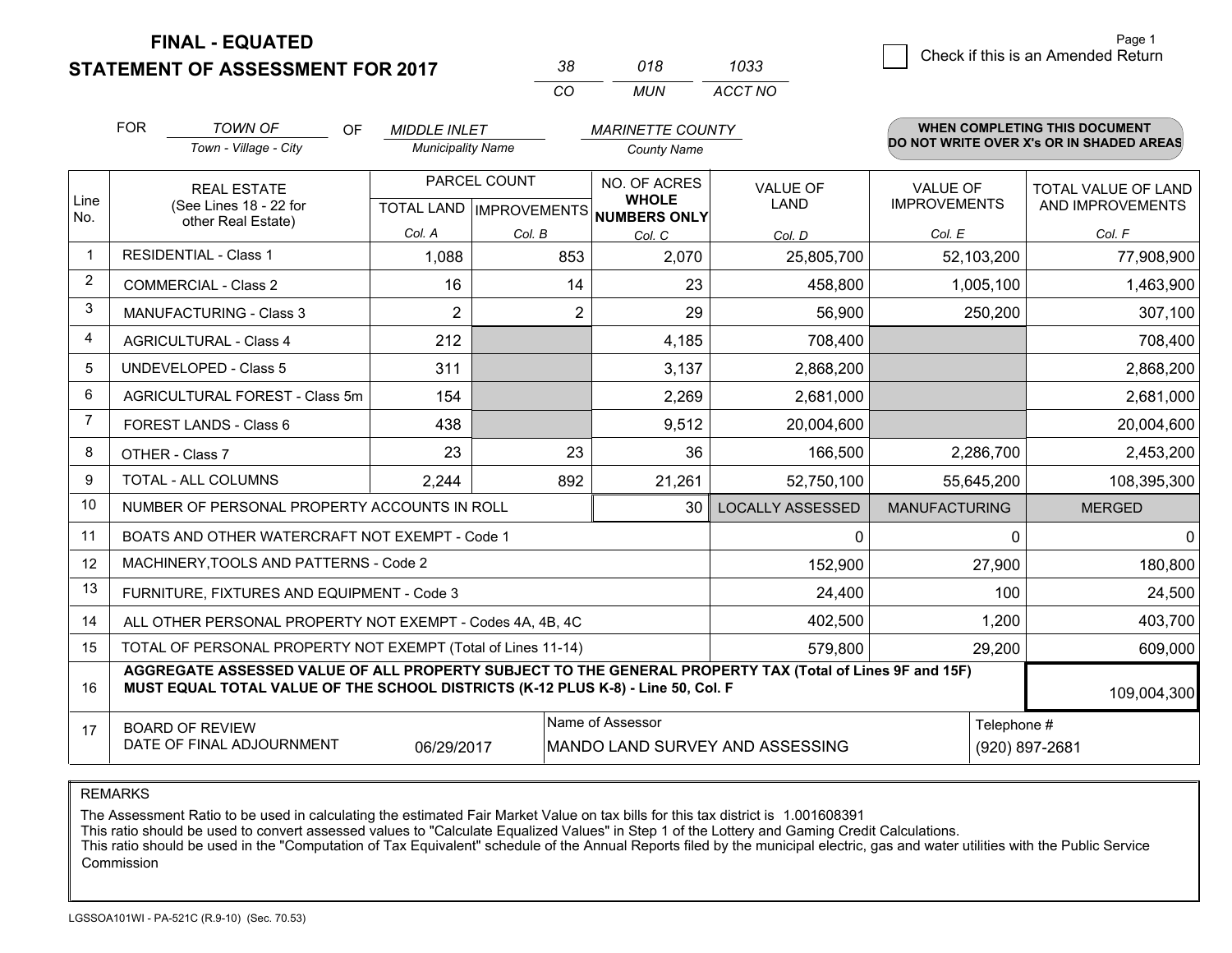**STATEMENT OF ASSESSMENT FOR 2017** 

| 38. | 018 | 1033    |
|-----|-----|---------|
| CO. | MUN | ACCT NO |

|                | <b>FOR</b>                                                                                                                                                                                                  | <b>TOWN OF</b><br>OF                           | <b>MIDDLE INLET</b>                       |        | <b>MARINETTE COUNTY</b>                      |                                | <b>WHEN COMPLETING THIS DOCUMENT</b>   |                                          |  |  |
|----------------|-------------------------------------------------------------------------------------------------------------------------------------------------------------------------------------------------------------|------------------------------------------------|-------------------------------------------|--------|----------------------------------------------|--------------------------------|----------------------------------------|------------------------------------------|--|--|
|                |                                                                                                                                                                                                             | Town - Village - City                          | <b>Municipality Name</b>                  |        | <b>County Name</b>                           |                                |                                        | DO NOT WRITE OVER X's OR IN SHADED AREAS |  |  |
| Line<br>No.    |                                                                                                                                                                                                             | <b>REAL ESTATE</b><br>(See Lines 18 - 22 for   | PARCEL COUNT<br>TOTAL LAND   IMPROVEMENTS |        | NO. OF ACRES<br><b>WHOLE</b><br>NUMBERS ONLY | <b>VALUE OF</b><br><b>LAND</b> | <b>VALUE OF</b><br><b>IMPROVEMENTS</b> | TOTAL VALUE OF LAND<br>AND IMPROVEMENTS  |  |  |
|                | other Real Estate)                                                                                                                                                                                          |                                                | Col. A                                    | Col. B | Col. C                                       | Col. D                         | Col. E                                 | Col. F                                   |  |  |
| 1              | <b>RESIDENTIAL - Class 1</b>                                                                                                                                                                                |                                                | 1,088                                     | 853    | 2,070                                        | 25,805,700                     | 52,103,200                             | 77,908,900                               |  |  |
| $\overline{2}$ |                                                                                                                                                                                                             | <b>COMMERCIAL - Class 2</b>                    | 16                                        | 14     | 23                                           | 458,800                        | 1,005,100                              | 1,463,900                                |  |  |
| 3              |                                                                                                                                                                                                             | <b>MANUFACTURING - Class 3</b>                 | 2                                         | 2      | 29                                           | 56,900                         | 250,200                                | 307,100                                  |  |  |
| $\overline{4}$ |                                                                                                                                                                                                             | <b>AGRICULTURAL - Class 4</b>                  | 212                                       |        | 4,185                                        | 708,400                        |                                        | 708,400                                  |  |  |
| 5              | <b>UNDEVELOPED - Class 5</b>                                                                                                                                                                                |                                                | 311                                       |        | 3,137                                        | 2,868,200                      |                                        | 2,868,200                                |  |  |
| 6              |                                                                                                                                                                                                             | AGRICULTURAL FOREST - Class 5m                 | 154                                       |        | 2,269                                        | 2,681,000                      |                                        | 2,681,000                                |  |  |
| 7              | FOREST LANDS - Class 6                                                                                                                                                                                      |                                                | 438                                       |        | 9,512                                        | 20,004,600                     |                                        | 20,004,600                               |  |  |
| 8              | OTHER - Class 7                                                                                                                                                                                             |                                                | 23                                        | 23     | 36                                           | 166,500                        | 2,286,700                              | 2,453,200                                |  |  |
| 9              | TOTAL - ALL COLUMNS                                                                                                                                                                                         |                                                | 2,244                                     | 892    | 21,261                                       | 52,750,100                     | 55,645,200                             | 108,395,300                              |  |  |
| 10             |                                                                                                                                                                                                             | NUMBER OF PERSONAL PROPERTY ACCOUNTS IN ROLL   |                                           |        | 30                                           | <b>LOCALLY ASSESSED</b>        | <b>MANUFACTURING</b>                   | <b>MERGED</b>                            |  |  |
| 11             |                                                                                                                                                                                                             | BOATS AND OTHER WATERCRAFT NOT EXEMPT - Code 1 |                                           |        |                                              | 0                              | $\Omega$                               | $\mathbf{0}$                             |  |  |
| 12             |                                                                                                                                                                                                             | MACHINERY, TOOLS AND PATTERNS - Code 2         |                                           |        |                                              | 152,900                        | 27,900                                 | 180,800                                  |  |  |
| 13             | FURNITURE, FIXTURES AND EQUIPMENT - Code 3<br>24,400                                                                                                                                                        |                                                |                                           |        |                                              |                                |                                        | 100<br>24,500                            |  |  |
| 14             | ALL OTHER PERSONAL PROPERTY NOT EXEMPT - Codes 4A, 4B, 4C                                                                                                                                                   | 1,200                                          | 403,700                                   |        |                                              |                                |                                        |                                          |  |  |
| 15             | TOTAL OF PERSONAL PROPERTY NOT EXEMPT (Total of Lines 11-14)<br>579,800<br>29,200                                                                                                                           |                                                |                                           |        |                                              |                                |                                        | 609,000                                  |  |  |
| 16             | AGGREGATE ASSESSED VALUE OF ALL PROPERTY SUBJECT TO THE GENERAL PROPERTY TAX (Total of Lines 9F and 15F)<br>MUST EQUAL TOTAL VALUE OF THE SCHOOL DISTRICTS (K-12 PLUS K-8) - Line 50, Col. F<br>109,004,300 |                                                |                                           |        |                                              |                                |                                        |                                          |  |  |
| 17             | Name of Assessor<br>Telephone #<br><b>BOARD OF REVIEW</b><br>DATE OF FINAL ADJOURNMENT<br>06/29/2017<br>MANDO LAND SURVEY AND ASSESSING<br>(920) 897-2681                                                   |                                                |                                           |        |                                              |                                |                                        |                                          |  |  |

REMARKS

The Assessment Ratio to be used in calculating the estimated Fair Market Value on tax bills for this tax district is 1.001608391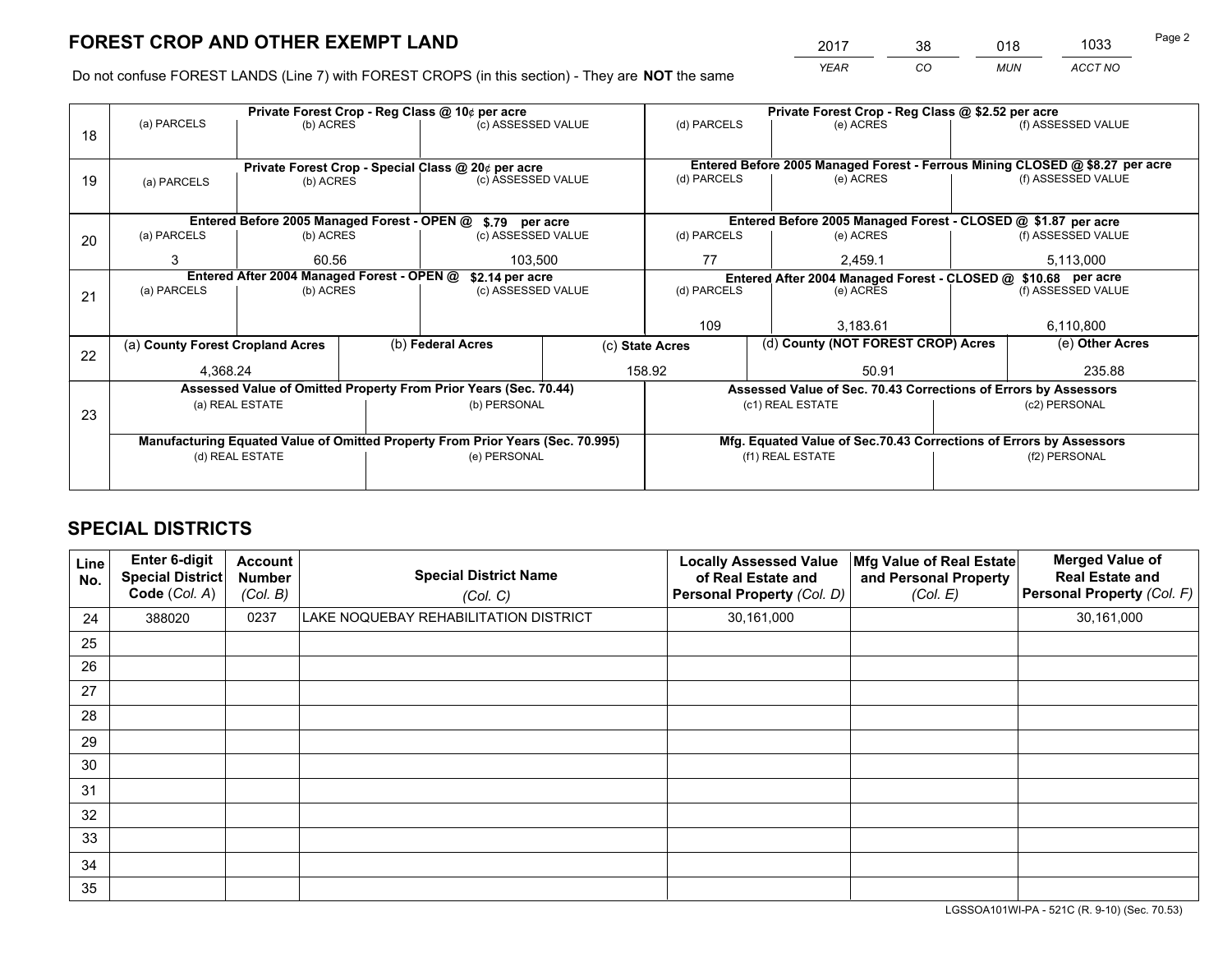*YEAR CO MUN ACCT NO* <sup>2017</sup> <sup>38</sup> <sup>018</sup> <sup>1033</sup>

Do not confuse FOREST LANDS (Line 7) with FOREST CROPS (in this section) - They are **NOT** the same

|    | Private Forest Crop - Reg Class @ 10¢ per acre                                                                                                       |                                                    |                    |                                                            |                          |                                                               | Private Forest Crop - Reg Class @ \$2.52 per acre               |                                                               |                    |                                                                              |
|----|------------------------------------------------------------------------------------------------------------------------------------------------------|----------------------------------------------------|--------------------|------------------------------------------------------------|--------------------------|---------------------------------------------------------------|-----------------------------------------------------------------|---------------------------------------------------------------|--------------------|------------------------------------------------------------------------------|
| 18 | (a) PARCELS                                                                                                                                          | (b) ACRES                                          |                    | (c) ASSESSED VALUE                                         |                          | (d) PARCELS                                                   |                                                                 | (e) ACRES                                                     |                    | (f) ASSESSED VALUE                                                           |
|    |                                                                                                                                                      |                                                    |                    |                                                            |                          |                                                               |                                                                 |                                                               |                    |                                                                              |
|    |                                                                                                                                                      |                                                    |                    |                                                            |                          |                                                               |                                                                 |                                                               |                    | Entered Before 2005 Managed Forest - Ferrous Mining CLOSED @ \$8.27 per acre |
| 19 | Private Forest Crop - Special Class @ 20¢ per acre<br>(b) ACRES<br>(a) PARCELS                                                                       |                                                    | (c) ASSESSED VALUE |                                                            | (d) PARCELS              |                                                               | (e) ACRES                                                       |                                                               | (f) ASSESSED VALUE |                                                                              |
|    |                                                                                                                                                      |                                                    |                    |                                                            |                          |                                                               |                                                                 |                                                               |                    |                                                                              |
|    |                                                                                                                                                      |                                                    |                    | Entered Before 2005 Managed Forest - OPEN @ \$.79 per acre |                          |                                                               |                                                                 | Entered Before 2005 Managed Forest - CLOSED @ \$1.87 per acre |                    |                                                                              |
| 20 | (a) PARCELS                                                                                                                                          | (b) ACRES                                          |                    | (c) ASSESSED VALUE                                         |                          | (d) PARCELS                                                   |                                                                 | (e) ACRES                                                     | (f) ASSESSED VALUE |                                                                              |
|    | 3                                                                                                                                                    | 60.56                                              |                    | 103.500                                                    |                          | 77                                                            |                                                                 | 2.459.1                                                       |                    | 5,113,000                                                                    |
|    |                                                                                                                                                      | Entered After 2004 Managed Forest - OPEN @         |                    |                                                            |                          | Entered After 2004 Managed Forest - CLOSED @ \$10.68 per acre |                                                                 |                                                               |                    |                                                                              |
|    | (a) PARCELS                                                                                                                                          | \$2.14 per acre<br>(c) ASSESSED VALUE<br>(b) ACRES |                    |                                                            | (d) PARCELS<br>(e) ACRES |                                                               |                                                                 | (f) ASSESSED VALUE                                            |                    |                                                                              |
| 21 |                                                                                                                                                      |                                                    |                    |                                                            |                          |                                                               |                                                                 |                                                               |                    |                                                                              |
|    |                                                                                                                                                      |                                                    |                    |                                                            |                          | 109<br>3.183.61                                               |                                                                 |                                                               |                    | 6,110,800                                                                    |
|    |                                                                                                                                                      |                                                    |                    | (b) Federal Acres                                          |                          | (d) County (NOT FOREST CROP) Acres<br>(c) State Acres         |                                                                 |                                                               | (e) Other Acres    |                                                                              |
| 22 | (a) County Forest Cropland Acres                                                                                                                     |                                                    |                    |                                                            |                          |                                                               |                                                                 |                                                               |                    |                                                                              |
|    | 4,368.24                                                                                                                                             |                                                    |                    |                                                            |                          | 158.92<br>50.91                                               |                                                                 |                                                               | 235.88             |                                                                              |
|    | Assessed Value of Omitted Property From Prior Years (Sec. 70.44)                                                                                     |                                                    |                    |                                                            |                          |                                                               | Assessed Value of Sec. 70.43 Corrections of Errors by Assessors |                                                               |                    |                                                                              |
|    | (a) REAL ESTATE                                                                                                                                      |                                                    |                    | (b) PERSONAL                                               |                          | (c1) REAL ESTATE                                              |                                                                 |                                                               | (c2) PERSONAL      |                                                                              |
| 23 |                                                                                                                                                      |                                                    |                    |                                                            |                          |                                                               |                                                                 |                                                               |                    |                                                                              |
|    | Manufacturing Equated Value of Omitted Property From Prior Years (Sec. 70.995)<br>Mfg. Equated Value of Sec.70.43 Corrections of Errors by Assessors |                                                    |                    |                                                            |                          |                                                               |                                                                 |                                                               |                    |                                                                              |
|    | (d) REAL ESTATE<br>(e) PERSONAL                                                                                                                      |                                                    | (f1) REAL ESTATE   |                                                            |                          | (f2) PERSONAL                                                 |                                                                 |                                                               |                    |                                                                              |
|    |                                                                                                                                                      |                                                    |                    |                                                            |                          |                                                               |                                                                 |                                                               |                    |                                                                              |
|    |                                                                                                                                                      |                                                    |                    |                                                            |                          |                                                               |                                                                 |                                                               |                    |                                                                              |

## **SPECIAL DISTRICTS**

| Line<br>No. | <b>Enter 6-digit</b><br><b>Special District</b><br>Code (Col. A) | <b>Account</b><br><b>Number</b><br>(Col. B) | <b>Special District Name</b><br>(Col. C) | <b>Locally Assessed Value</b><br>of Real Estate and<br>Personal Property (Col. D) | Mfg Value of Real Estate<br>and Personal Property<br>(Col. E) | <b>Merged Value of</b><br><b>Real Estate and</b><br>Personal Property (Col. F) |
|-------------|------------------------------------------------------------------|---------------------------------------------|------------------------------------------|-----------------------------------------------------------------------------------|---------------------------------------------------------------|--------------------------------------------------------------------------------|
| 24          | 388020                                                           | 0237                                        | LAKE NOQUEBAY REHABILITATION DISTRICT    | 30,161,000                                                                        |                                                               | 30,161,000                                                                     |
| 25          |                                                                  |                                             |                                          |                                                                                   |                                                               |                                                                                |
| 26          |                                                                  |                                             |                                          |                                                                                   |                                                               |                                                                                |
| 27          |                                                                  |                                             |                                          |                                                                                   |                                                               |                                                                                |
| 28          |                                                                  |                                             |                                          |                                                                                   |                                                               |                                                                                |
| 29          |                                                                  |                                             |                                          |                                                                                   |                                                               |                                                                                |
| 30          |                                                                  |                                             |                                          |                                                                                   |                                                               |                                                                                |
| 31          |                                                                  |                                             |                                          |                                                                                   |                                                               |                                                                                |
| 32          |                                                                  |                                             |                                          |                                                                                   |                                                               |                                                                                |
| 33          |                                                                  |                                             |                                          |                                                                                   |                                                               |                                                                                |
| 34          |                                                                  |                                             |                                          |                                                                                   |                                                               |                                                                                |
| 35          |                                                                  |                                             |                                          |                                                                                   |                                                               |                                                                                |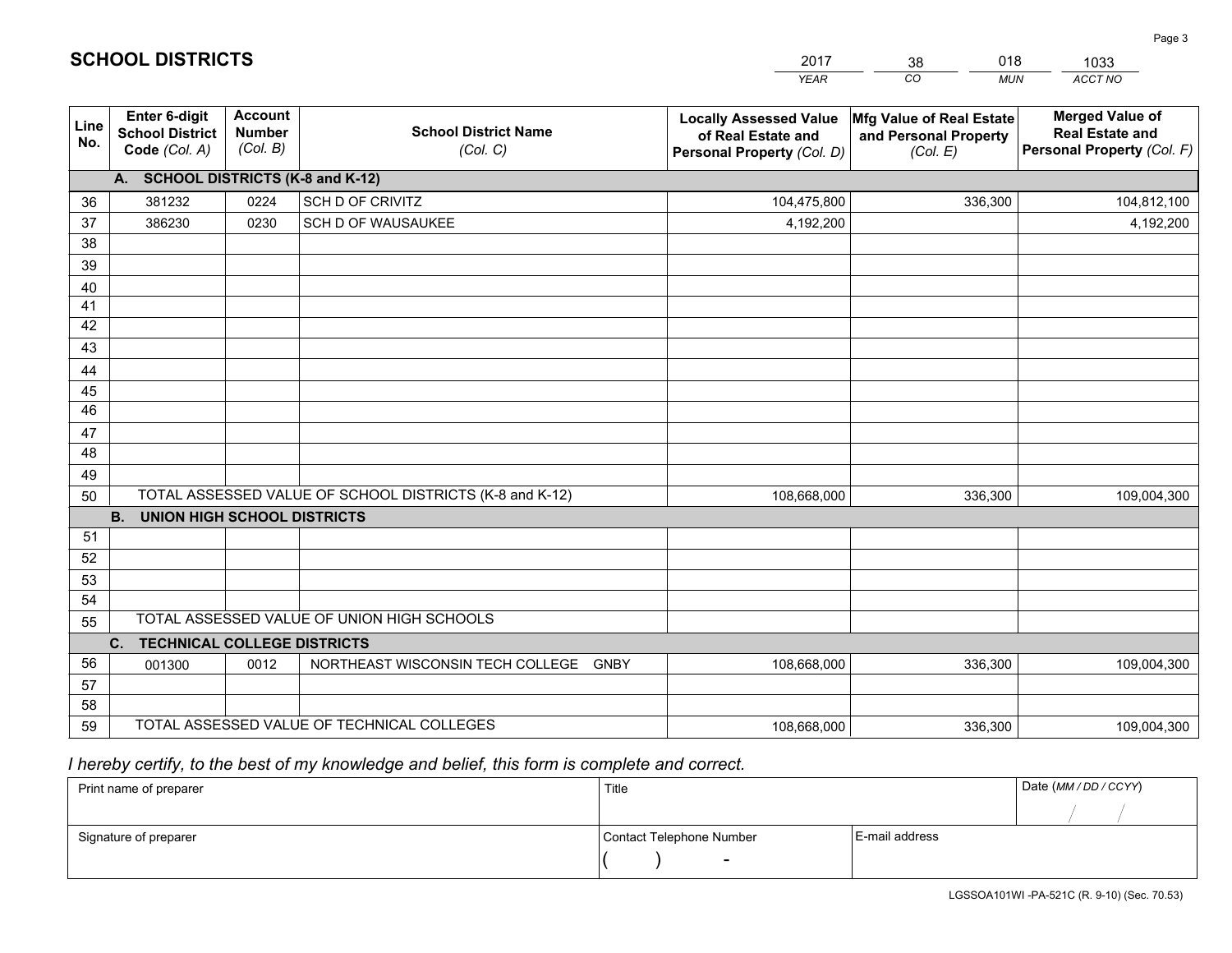|             |                                                                 |                                             |                                                         | <b>YEAR</b>                                                                       | CO<br><b>MUN</b>                                              | ACCT NO                                                                        |
|-------------|-----------------------------------------------------------------|---------------------------------------------|---------------------------------------------------------|-----------------------------------------------------------------------------------|---------------------------------------------------------------|--------------------------------------------------------------------------------|
| Line<br>No. | <b>Enter 6-digit</b><br><b>School District</b><br>Code (Col. A) | <b>Account</b><br><b>Number</b><br>(Col. B) | <b>School District Name</b><br>(Col. C)                 | <b>Locally Assessed Value</b><br>of Real Estate and<br>Personal Property (Col. D) | Mfg Value of Real Estate<br>and Personal Property<br>(Col. E) | <b>Merged Value of</b><br><b>Real Estate and</b><br>Personal Property (Col. F) |
|             | A. SCHOOL DISTRICTS (K-8 and K-12)                              |                                             |                                                         |                                                                                   |                                                               |                                                                                |
| 36          | 381232                                                          | 0224                                        | SCH D OF CRIVITZ                                        | 104,475,800                                                                       | 336,300                                                       | 104,812,100                                                                    |
| 37          | 386230                                                          | 0230                                        | SCH D OF WAUSAUKEE                                      | 4,192,200                                                                         |                                                               | 4,192,200                                                                      |
| 38          |                                                                 |                                             |                                                         |                                                                                   |                                                               |                                                                                |
| 39          |                                                                 |                                             |                                                         |                                                                                   |                                                               |                                                                                |
| 40          |                                                                 |                                             |                                                         |                                                                                   |                                                               |                                                                                |
| 41          |                                                                 |                                             |                                                         |                                                                                   |                                                               |                                                                                |
| 42          |                                                                 |                                             |                                                         |                                                                                   |                                                               |                                                                                |
| 43          |                                                                 |                                             |                                                         |                                                                                   |                                                               |                                                                                |
| 44          |                                                                 |                                             |                                                         |                                                                                   |                                                               |                                                                                |
| 45<br>46    |                                                                 |                                             |                                                         |                                                                                   |                                                               |                                                                                |
| 47          |                                                                 |                                             |                                                         |                                                                                   |                                                               |                                                                                |
| 48          |                                                                 |                                             |                                                         |                                                                                   |                                                               |                                                                                |
| 49          |                                                                 |                                             |                                                         |                                                                                   |                                                               |                                                                                |
| 50          |                                                                 |                                             | TOTAL ASSESSED VALUE OF SCHOOL DISTRICTS (K-8 and K-12) | 108,668,000                                                                       | 336,300                                                       | 109,004,300                                                                    |
|             | <b>B.</b><br><b>UNION HIGH SCHOOL DISTRICTS</b>                 |                                             |                                                         |                                                                                   |                                                               |                                                                                |
| 51          |                                                                 |                                             |                                                         |                                                                                   |                                                               |                                                                                |
| 52          |                                                                 |                                             |                                                         |                                                                                   |                                                               |                                                                                |
| 53          |                                                                 |                                             |                                                         |                                                                                   |                                                               |                                                                                |
| 54          |                                                                 |                                             |                                                         |                                                                                   |                                                               |                                                                                |
| 55          |                                                                 |                                             | TOTAL ASSESSED VALUE OF UNION HIGH SCHOOLS              |                                                                                   |                                                               |                                                                                |
|             | C.<br><b>TECHNICAL COLLEGE DISTRICTS</b>                        |                                             |                                                         |                                                                                   |                                                               |                                                                                |
| 56          | 001300                                                          | 0012                                        | NORTHEAST WISCONSIN TECH COLLEGE GNBY                   | 108,668,000                                                                       | 336,300                                                       | 109,004,300                                                                    |
| 57          |                                                                 |                                             |                                                         |                                                                                   |                                                               |                                                                                |
| 58          |                                                                 |                                             |                                                         |                                                                                   |                                                               |                                                                                |
| 59          |                                                                 |                                             | TOTAL ASSESSED VALUE OF TECHNICAL COLLEGES              | 108,668,000                                                                       | 336,300                                                       | 109,004,300                                                                    |

2017

38

018

 *I hereby certify, to the best of my knowledge and belief, this form is complete and correct.*

**SCHOOL DISTRICTS**

| Print name of preparer | Title                    | Date (MM / DD / CCYY) |  |
|------------------------|--------------------------|-----------------------|--|
|                        |                          |                       |  |
| Signature of preparer  | Contact Telephone Number | E-mail address        |  |
|                        | $\overline{\phantom{0}}$ |                       |  |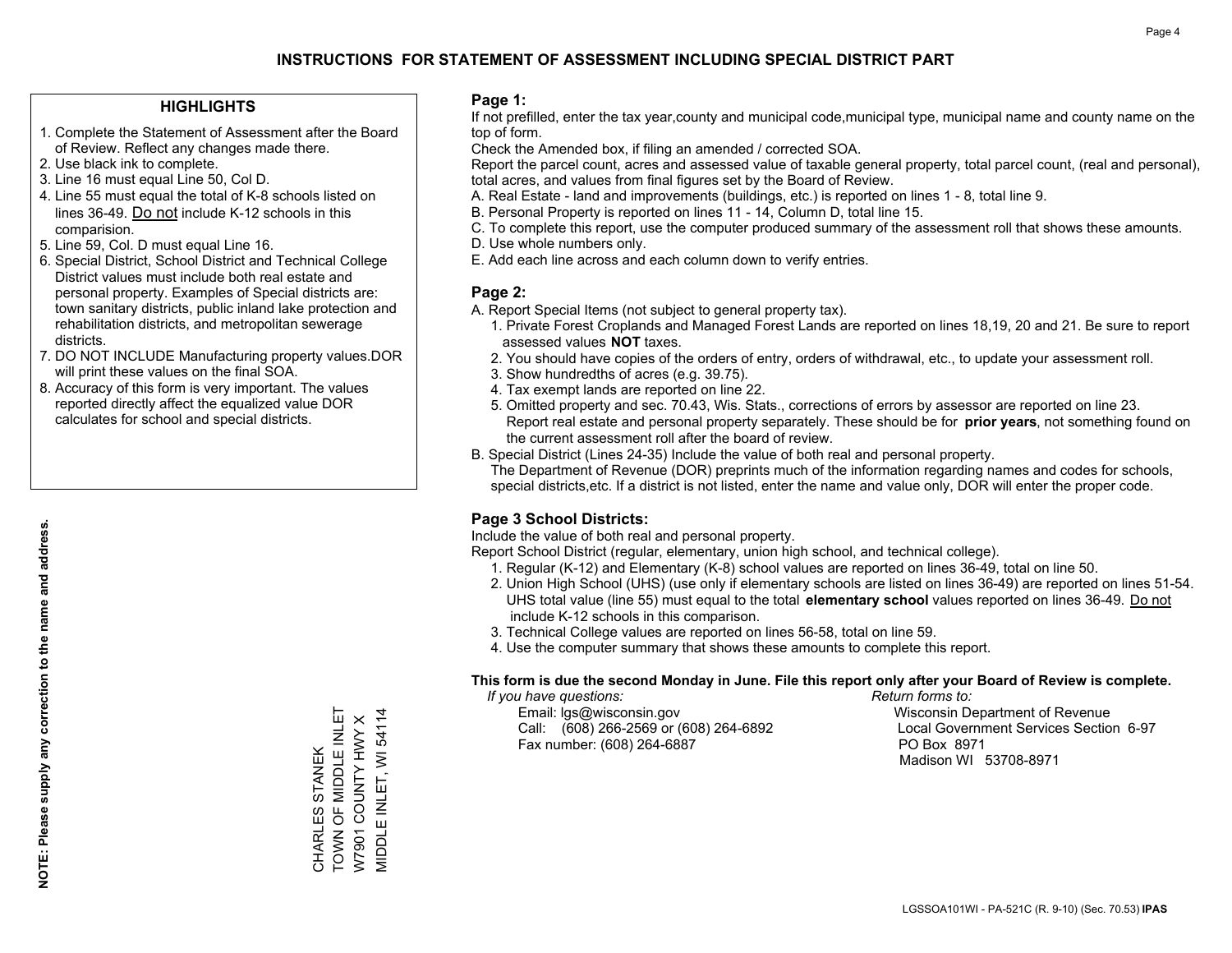#### **HIGHLIGHTS**

- 1. Complete the Statement of Assessment after the Board of Review. Reflect any changes made there.
- 2. Use black ink to complete.
- 3. Line 16 must equal Line 50, Col D.
- 4. Line 55 must equal the total of K-8 schools listed on lines 36-49. Do not include K-12 schools in this comparision.
- 5. Line 59, Col. D must equal Line 16.
- 6. Special District, School District and Technical College District values must include both real estate and personal property. Examples of Special districts are: town sanitary districts, public inland lake protection and rehabilitation districts, and metropolitan sewerage districts.
- 7. DO NOT INCLUDE Manufacturing property values.DOR will print these values on the final SOA.
- 8. Accuracy of this form is very important. The values reported directly affect the equalized value DOR calculates for school and special districts.

#### **Page 1:**

 If not prefilled, enter the tax year,county and municipal code,municipal type, municipal name and county name on the top of form.

Check the Amended box, if filing an amended / corrected SOA.

 Report the parcel count, acres and assessed value of taxable general property, total parcel count, (real and personal), total acres, and values from final figures set by the Board of Review.

- A. Real Estate land and improvements (buildings, etc.) is reported on lines 1 8, total line 9.
- B. Personal Property is reported on lines 11 14, Column D, total line 15.
- C. To complete this report, use the computer produced summary of the assessment roll that shows these amounts.
- D. Use whole numbers only.
- E. Add each line across and each column down to verify entries.

#### **Page 2:**

- A. Report Special Items (not subject to general property tax).
- 1. Private Forest Croplands and Managed Forest Lands are reported on lines 18,19, 20 and 21. Be sure to report assessed values **NOT** taxes.
- 2. You should have copies of the orders of entry, orders of withdrawal, etc., to update your assessment roll.
	- 3. Show hundredths of acres (e.g. 39.75).
- 4. Tax exempt lands are reported on line 22.
- 5. Omitted property and sec. 70.43, Wis. Stats., corrections of errors by assessor are reported on line 23. Report real estate and personal property separately. These should be for **prior years**, not something found on the current assessment roll after the board of review.
- B. Special District (Lines 24-35) Include the value of both real and personal property.

 The Department of Revenue (DOR) preprints much of the information regarding names and codes for schools, special districts,etc. If a district is not listed, enter the name and value only, DOR will enter the proper code.

### **Page 3 School Districts:**

Include the value of both real and personal property.

Report School District (regular, elementary, union high school, and technical college).

- 1. Regular (K-12) and Elementary (K-8) school values are reported on lines 36-49, total on line 50.
- 2. Union High School (UHS) (use only if elementary schools are listed on lines 36-49) are reported on lines 51-54. UHS total value (line 55) must equal to the total **elementary school** values reported on lines 36-49. Do notinclude K-12 schools in this comparison.
- 3. Technical College values are reported on lines 56-58, total on line 59.
- 4. Use the computer summary that shows these amounts to complete this report.

#### **This form is due the second Monday in June. File this report only after your Board of Review is complete.**

 *If you have questions: Return forms to:*

 Email: lgs@wisconsin.gov Wisconsin Department of RevenueCall:  $(608)$  266-2569 or  $(608)$  264-6892 Fax number: (608) 264-6887 PO Box 8971

Local Government Services Section 6-97 Madison WI 53708-8971

CHARLES STANEK<br>TOWN OF MIDDLE INLET<br>W7901 COUNTY HWY X TOWN OF MIDDLE INLET MIDDLE INLET, WI 54114 MIDDLE INLET, WI 54114 W7901 COUNTY HWY X CHARLES STANEK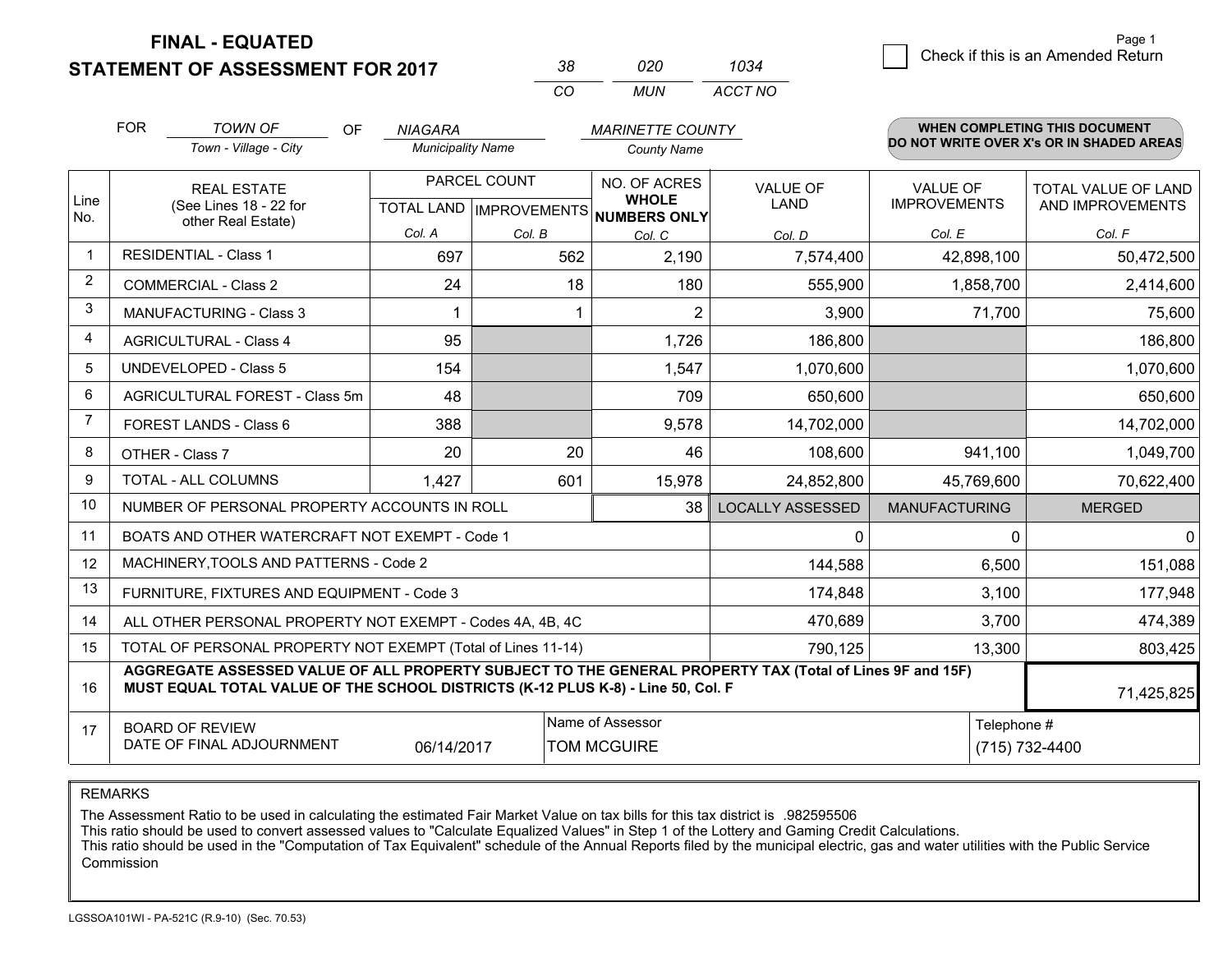**STATEMENT OF ASSESSMENT FOR 2017** 

| 38. | חכח   | 1034    |
|-----|-------|---------|
| CO. | MI IN | ACCT NO |

|                | <b>FOR</b>                                                                                                                                                                                   | <b>TOWN OF</b><br><b>OF</b>                                  | <b>NIAGARA</b>           |              | <b>MARINETTE COUNTY</b>                              |                         |                      | WHEN COMPLETING THIS DOCUMENT<br>DO NOT WRITE OVER X's OR IN SHADED AREAS |
|----------------|----------------------------------------------------------------------------------------------------------------------------------------------------------------------------------------------|--------------------------------------------------------------|--------------------------|--------------|------------------------------------------------------|-------------------------|----------------------|---------------------------------------------------------------------------|
|                |                                                                                                                                                                                              | Town - Village - City                                        | <b>Municipality Name</b> |              | <b>County Name</b>                                   |                         |                      |                                                                           |
|                | <b>REAL ESTATE</b>                                                                                                                                                                           |                                                              |                          | PARCEL COUNT | NO. OF ACRES                                         | <b>VALUE OF</b>         | <b>VALUE OF</b>      | TOTAL VALUE OF LAND                                                       |
| Line<br>No.    |                                                                                                                                                                                              | (See Lines 18 - 22 for<br>other Real Estate)                 |                          |              | <b>WHOLE</b><br>TOTAL LAND IMPROVEMENTS NUMBERS ONLY | <b>LAND</b>             | <b>IMPROVEMENTS</b>  | AND IMPROVEMENTS                                                          |
|                |                                                                                                                                                                                              |                                                              | Col. A                   | Col. B       | Col. C                                               | Col. D                  | Col. E               | Col. F                                                                    |
| -1             |                                                                                                                                                                                              | <b>RESIDENTIAL - Class 1</b>                                 | 697                      | 562          | 2,190                                                | 7,574,400               | 42,898,100           | 50,472,500                                                                |
| 2              |                                                                                                                                                                                              | <b>COMMERCIAL - Class 2</b>                                  | 24                       | 18           | 180                                                  | 555,900                 | 1,858,700            | 2,414,600                                                                 |
| 3              |                                                                                                                                                                                              | <b>MANUFACTURING - Class 3</b>                               |                          |              | 2                                                    | 3,900                   | 71,700               | 75,600                                                                    |
| 4              |                                                                                                                                                                                              | <b>AGRICULTURAL - Class 4</b>                                | 95                       |              | 1,726                                                | 186,800                 |                      | 186,800                                                                   |
| 5              |                                                                                                                                                                                              | UNDEVELOPED - Class 5                                        | 154                      |              | 1,547                                                | 1,070,600               |                      | 1,070,600                                                                 |
| 6              |                                                                                                                                                                                              | AGRICULTURAL FOREST - Class 5m                               | 48                       |              | 709                                                  | 650,600                 |                      | 650,600                                                                   |
| $\overline{7}$ |                                                                                                                                                                                              | FOREST LANDS - Class 6                                       | 388                      |              | 9,578                                                | 14,702,000              |                      | 14,702,000                                                                |
| 8              |                                                                                                                                                                                              | OTHER - Class 7                                              | 20                       | 20           | 46                                                   | 108,600                 | 941,100              | 1,049,700                                                                 |
| 9              |                                                                                                                                                                                              | TOTAL - ALL COLUMNS                                          | 1,427                    | 601          | 15,978                                               | 24,852,800              | 45,769,600           | 70,622,400                                                                |
| 10             |                                                                                                                                                                                              | NUMBER OF PERSONAL PROPERTY ACCOUNTS IN ROLL                 |                          |              | 38                                                   | <b>LOCALLY ASSESSED</b> | <b>MANUFACTURING</b> | <b>MERGED</b>                                                             |
| 11             |                                                                                                                                                                                              | BOATS AND OTHER WATERCRAFT NOT EXEMPT - Code 1               |                          |              |                                                      | $\Omega$                | $\Omega$             | $\Omega$                                                                  |
| 12             |                                                                                                                                                                                              | MACHINERY, TOOLS AND PATTERNS - Code 2                       |                          |              |                                                      | 144,588                 | 6,500                | 151,088                                                                   |
| 13             |                                                                                                                                                                                              | FURNITURE, FIXTURES AND EQUIPMENT - Code 3                   |                          |              |                                                      | 174,848                 | 3,100                | 177,948                                                                   |
| 14             |                                                                                                                                                                                              | ALL OTHER PERSONAL PROPERTY NOT EXEMPT - Codes 4A, 4B, 4C    |                          |              |                                                      | 470,689                 | 3,700                | 474,389                                                                   |
| 15             |                                                                                                                                                                                              | TOTAL OF PERSONAL PROPERTY NOT EXEMPT (Total of Lines 11-14) |                          |              |                                                      | 790,125                 | 13,300               | 803,425                                                                   |
| 16             | AGGREGATE ASSESSED VALUE OF ALL PROPERTY SUBJECT TO THE GENERAL PROPERTY TAX (Total of Lines 9F and 15F)<br>MUST EQUAL TOTAL VALUE OF THE SCHOOL DISTRICTS (K-12 PLUS K-8) - Line 50, Col. F |                                                              |                          |              |                                                      |                         | 71,425,825           |                                                                           |
| 17             | Name of Assessor<br>Telephone #<br><b>BOARD OF REVIEW</b><br>DATE OF FINAL ADJOURNMENT<br>06/14/2017<br><b>TOM MCGUIRE</b>                                                                   |                                                              |                          |              |                                                      |                         | (715) 732-4400       |                                                                           |

REMARKS

The Assessment Ratio to be used in calculating the estimated Fair Market Value on tax bills for this tax district is .982595506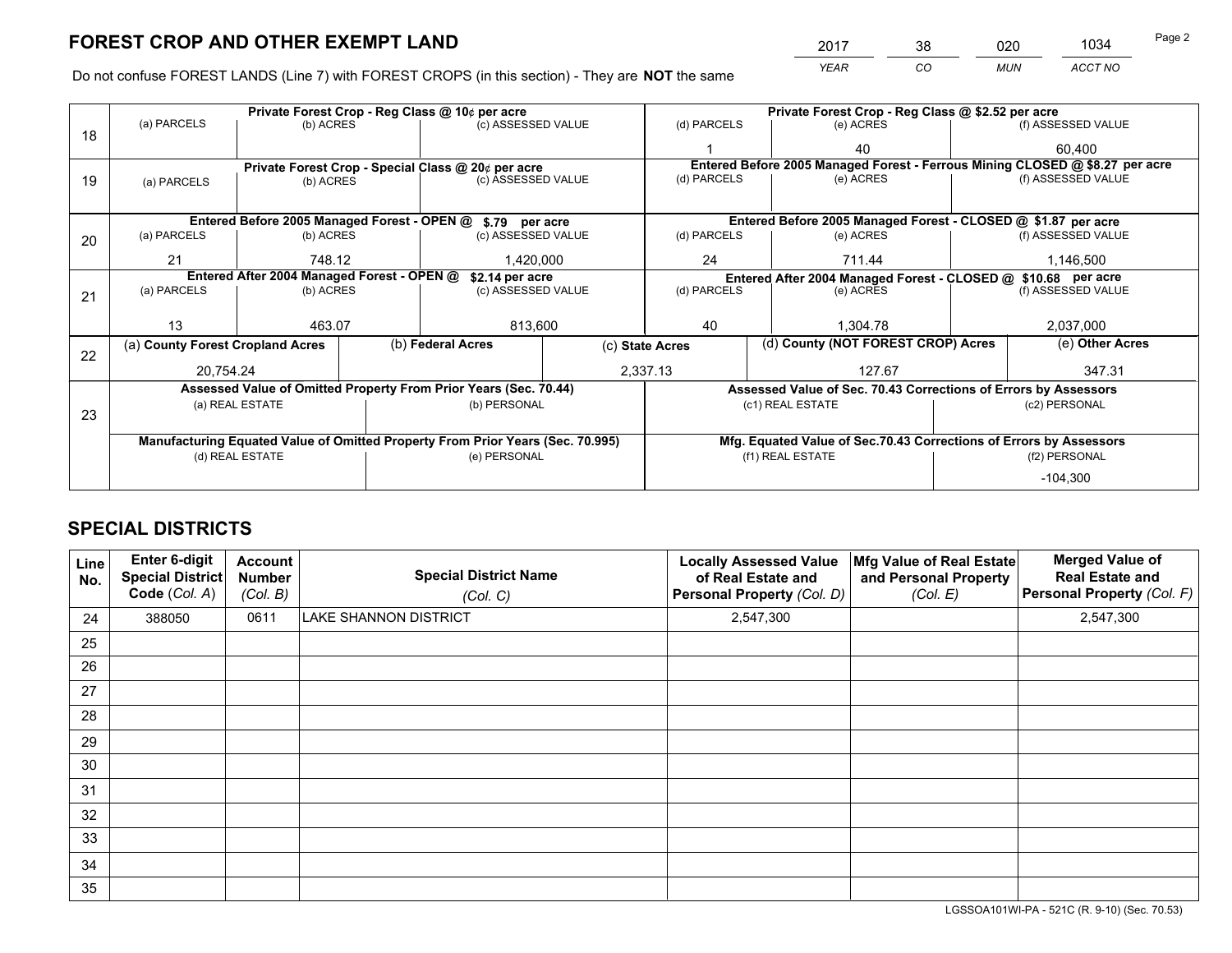*YEAR CO MUN ACCT NO* <sup>2017</sup> <sup>38</sup> <sup>020</sup> <sup>1034</sup> Page 2

Do not confuse FOREST LANDS (Line 7) with FOREST CROPS (in this section) - They are **NOT** the same

|    |                                                                                |                 |  | Private Forest Crop - Reg Class @ 10¢ per acre                   |                 | Private Forest Crop - Reg Class @ \$2.52 per acre |                                                                              |                                                                    |               |                    |
|----|--------------------------------------------------------------------------------|-----------------|--|------------------------------------------------------------------|-----------------|---------------------------------------------------|------------------------------------------------------------------------------|--------------------------------------------------------------------|---------------|--------------------|
| 18 | (a) PARCELS                                                                    | (b) ACRES       |  | (c) ASSESSED VALUE                                               |                 | (d) PARCELS                                       |                                                                              | (e) ACRES                                                          |               | (f) ASSESSED VALUE |
|    |                                                                                |                 |  |                                                                  |                 |                                                   |                                                                              | 40                                                                 |               | 60.400             |
|    |                                                                                |                 |  | Private Forest Crop - Special Class @ 20¢ per acre               |                 |                                                   | Entered Before 2005 Managed Forest - Ferrous Mining CLOSED @ \$8.27 per acre |                                                                    |               |                    |
| 19 | (a) PARCELS                                                                    | (b) ACRES       |  | (c) ASSESSED VALUE                                               |                 | (d) PARCELS                                       |                                                                              | (e) ACRES                                                          |               | (f) ASSESSED VALUE |
|    |                                                                                |                 |  |                                                                  |                 |                                                   |                                                                              |                                                                    |               |                    |
|    |                                                                                |                 |  | Entered Before 2005 Managed Forest - OPEN @ \$.79 per acre       |                 |                                                   |                                                                              | Entered Before 2005 Managed Forest - CLOSED @ \$1.87 per acre      |               |                    |
| 20 | (a) PARCELS                                                                    | (b) ACRES       |  | (c) ASSESSED VALUE                                               |                 | (d) PARCELS                                       |                                                                              | (e) ACRES                                                          |               | (f) ASSESSED VALUE |
|    | 21                                                                             | 748.12          |  | 1.420.000                                                        |                 | 24<br>711.44                                      |                                                                              | 1,146,500                                                          |               |                    |
|    | Entered After 2004 Managed Forest - OPEN @<br>\$2.14 per acre                  |                 |  |                                                                  |                 |                                                   |                                                                              | Entered After 2004 Managed Forest - CLOSED @ \$10.68 per acre      |               |                    |
| 21 | (a) PARCELS                                                                    | (b) ACRES       |  | (c) ASSESSED VALUE                                               |                 | (d) PARCELS                                       |                                                                              | (e) ACRES                                                          |               | (f) ASSESSED VALUE |
|    |                                                                                |                 |  |                                                                  |                 |                                                   |                                                                              |                                                                    |               |                    |
|    | 13                                                                             | 463.07          |  | 813,600                                                          |                 | 40                                                |                                                                              | 1.304.78                                                           |               | 2,037,000          |
| 22 | (a) County Forest Cropland Acres                                               |                 |  | (b) Federal Acres                                                | (c) State Acres |                                                   |                                                                              | (d) County (NOT FOREST CROP) Acres                                 |               | (e) Other Acres    |
|    | 20,754.24                                                                      |                 |  |                                                                  |                 | 2,337.13<br>127.67                                |                                                                              |                                                                    |               | 347.31             |
|    |                                                                                |                 |  | Assessed Value of Omitted Property From Prior Years (Sec. 70.44) |                 |                                                   |                                                                              | Assessed Value of Sec. 70.43 Corrections of Errors by Assessors    |               |                    |
| 23 |                                                                                | (a) REAL ESTATE |  | (b) PERSONAL                                                     |                 |                                                   |                                                                              | (c1) REAL ESTATE                                                   |               | (c2) PERSONAL      |
|    |                                                                                |                 |  |                                                                  |                 |                                                   |                                                                              |                                                                    |               |                    |
|    | Manufacturing Equated Value of Omitted Property From Prior Years (Sec. 70.995) |                 |  |                                                                  |                 |                                                   |                                                                              | Mfg. Equated Value of Sec.70.43 Corrections of Errors by Assessors |               |                    |
|    |                                                                                | (d) REAL ESTATE |  | (e) PERSONAL                                                     |                 | (f1) REAL ESTATE                                  |                                                                              |                                                                    | (f2) PERSONAL |                    |
|    |                                                                                |                 |  |                                                                  |                 |                                                   |                                                                              |                                                                    |               | $-104,300$         |

## **SPECIAL DISTRICTS**

| Line<br>No. | Enter 6-digit<br><b>Special District</b><br>Code (Col. A) | <b>Account</b><br><b>Number</b><br>(Col. B) | <b>Special District Name</b><br>(Col. C) | <b>Locally Assessed Value</b><br>of Real Estate and<br>Personal Property (Col. D) | Mfg Value of Real Estate<br>and Personal Property<br>(Col. E) | <b>Merged Value of</b><br><b>Real Estate and</b><br>Personal Property (Col. F) |
|-------------|-----------------------------------------------------------|---------------------------------------------|------------------------------------------|-----------------------------------------------------------------------------------|---------------------------------------------------------------|--------------------------------------------------------------------------------|
| 24          | 388050                                                    | 0611                                        | LAKE SHANNON DISTRICT                    | 2,547,300                                                                         |                                                               | 2,547,300                                                                      |
| 25          |                                                           |                                             |                                          |                                                                                   |                                                               |                                                                                |
| 26          |                                                           |                                             |                                          |                                                                                   |                                                               |                                                                                |
| 27          |                                                           |                                             |                                          |                                                                                   |                                                               |                                                                                |
| 28          |                                                           |                                             |                                          |                                                                                   |                                                               |                                                                                |
| 29          |                                                           |                                             |                                          |                                                                                   |                                                               |                                                                                |
| 30          |                                                           |                                             |                                          |                                                                                   |                                                               |                                                                                |
| 31          |                                                           |                                             |                                          |                                                                                   |                                                               |                                                                                |
| 32          |                                                           |                                             |                                          |                                                                                   |                                                               |                                                                                |
| 33          |                                                           |                                             |                                          |                                                                                   |                                                               |                                                                                |
| 34          |                                                           |                                             |                                          |                                                                                   |                                                               |                                                                                |
| 35          |                                                           |                                             |                                          |                                                                                   |                                                               |                                                                                |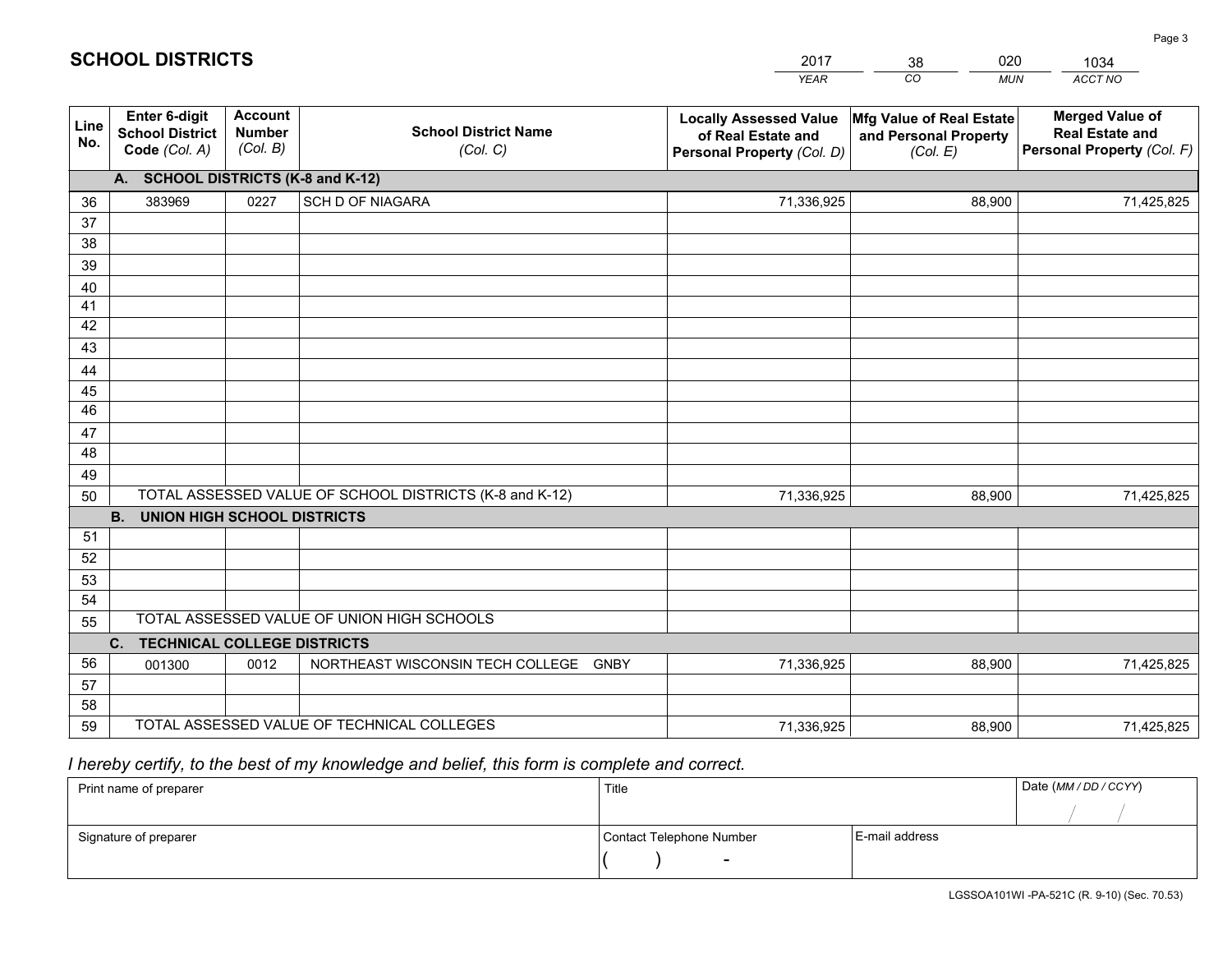|                 |                                                                 |                                             |                                                         | <b>YEAR</b>                                                                       | CO<br><b>MUN</b>                                              | ACCT NO                                                                        |
|-----------------|-----------------------------------------------------------------|---------------------------------------------|---------------------------------------------------------|-----------------------------------------------------------------------------------|---------------------------------------------------------------|--------------------------------------------------------------------------------|
| Line<br>No.     | <b>Enter 6-digit</b><br><b>School District</b><br>Code (Col. A) | <b>Account</b><br><b>Number</b><br>(Col. B) | <b>School District Name</b><br>(Col. C)                 | <b>Locally Assessed Value</b><br>of Real Estate and<br>Personal Property (Col. D) | Mfg Value of Real Estate<br>and Personal Property<br>(Col. E) | <b>Merged Value of</b><br><b>Real Estate and</b><br>Personal Property (Col. F) |
|                 | A. SCHOOL DISTRICTS (K-8 and K-12)                              |                                             |                                                         |                                                                                   |                                                               |                                                                                |
| 36              | 383969                                                          | 0227                                        | <b>SCH D OF NIAGARA</b>                                 | 71,336,925                                                                        | 88,900                                                        | 71,425,825                                                                     |
| 37              |                                                                 |                                             |                                                         |                                                                                   |                                                               |                                                                                |
| 38              |                                                                 |                                             |                                                         |                                                                                   |                                                               |                                                                                |
| 39              |                                                                 |                                             |                                                         |                                                                                   |                                                               |                                                                                |
| 40              |                                                                 |                                             |                                                         |                                                                                   |                                                               |                                                                                |
| 41<br>42        |                                                                 |                                             |                                                         |                                                                                   |                                                               |                                                                                |
| 43              |                                                                 |                                             |                                                         |                                                                                   |                                                               |                                                                                |
|                 |                                                                 |                                             |                                                         |                                                                                   |                                                               |                                                                                |
| 44<br>45        |                                                                 |                                             |                                                         |                                                                                   |                                                               |                                                                                |
| $\overline{46}$ |                                                                 |                                             |                                                         |                                                                                   |                                                               |                                                                                |
| 47              |                                                                 |                                             |                                                         |                                                                                   |                                                               |                                                                                |
| 48              |                                                                 |                                             |                                                         |                                                                                   |                                                               |                                                                                |
| 49              |                                                                 |                                             |                                                         |                                                                                   |                                                               |                                                                                |
| 50              |                                                                 |                                             | TOTAL ASSESSED VALUE OF SCHOOL DISTRICTS (K-8 and K-12) | 71,336,925                                                                        | 88,900                                                        | 71,425,825                                                                     |
|                 | <b>B.</b><br><b>UNION HIGH SCHOOL DISTRICTS</b>                 |                                             |                                                         |                                                                                   |                                                               |                                                                                |
| 51              |                                                                 |                                             |                                                         |                                                                                   |                                                               |                                                                                |
| 52              |                                                                 |                                             |                                                         |                                                                                   |                                                               |                                                                                |
| 53              |                                                                 |                                             |                                                         |                                                                                   |                                                               |                                                                                |
| 54              |                                                                 |                                             |                                                         |                                                                                   |                                                               |                                                                                |
| 55              |                                                                 |                                             | TOTAL ASSESSED VALUE OF UNION HIGH SCHOOLS              |                                                                                   |                                                               |                                                                                |
|                 | C.<br><b>TECHNICAL COLLEGE DISTRICTS</b>                        |                                             |                                                         |                                                                                   |                                                               |                                                                                |
| 56              | 001300                                                          | 0012                                        | NORTHEAST WISCONSIN TECH COLLEGE<br><b>GNBY</b>         | 71,336,925                                                                        | 88,900                                                        | 71,425,825                                                                     |
| 57              |                                                                 |                                             |                                                         |                                                                                   |                                                               |                                                                                |
| 58<br>59        |                                                                 |                                             | TOTAL ASSESSED VALUE OF TECHNICAL COLLEGES              | 71,336,925                                                                        | 88,900                                                        |                                                                                |
|                 |                                                                 |                                             |                                                         |                                                                                   |                                                               | 71,425,825                                                                     |

# *I hereby certify, to the best of my knowledge and belief, this form is complete and correct.*

**SCHOOL DISTRICTS**

| Print name of preparer | Title                    |                | Date (MM / DD / CCYY) |
|------------------------|--------------------------|----------------|-----------------------|
|                        |                          |                |                       |
| Signature of preparer  | Contact Telephone Number | E-mail address |                       |
|                        | $\sim$                   |                |                       |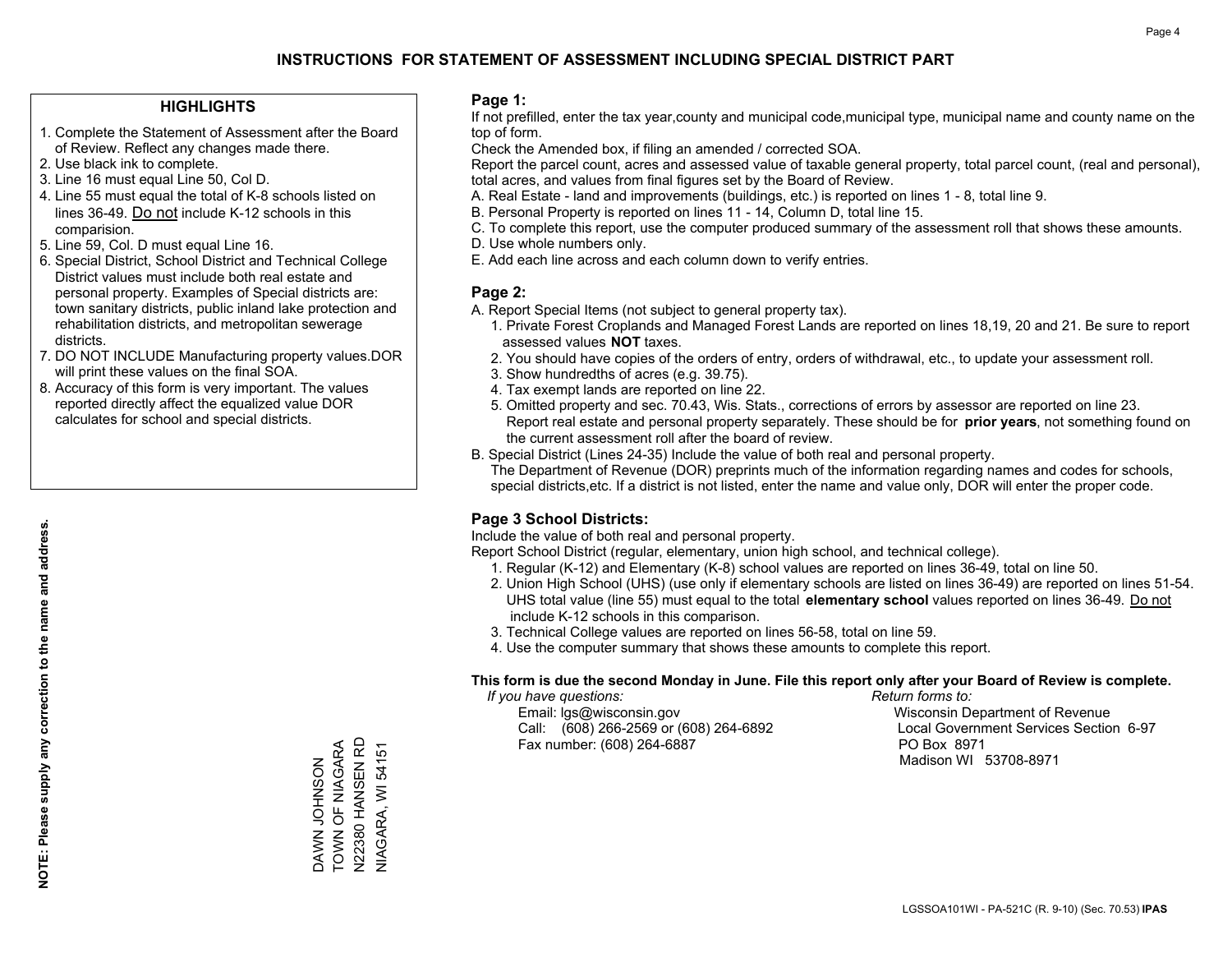#### **HIGHLIGHTS**

- 1. Complete the Statement of Assessment after the Board of Review. Reflect any changes made there.
- 2. Use black ink to complete.
- 3. Line 16 must equal Line 50, Col D.
- 4. Line 55 must equal the total of K-8 schools listed on lines 36-49. Do not include K-12 schools in this comparision.
- 5. Line 59, Col. D must equal Line 16.
- 6. Special District, School District and Technical College District values must include both real estate and personal property. Examples of Special districts are: town sanitary districts, public inland lake protection and rehabilitation districts, and metropolitan sewerage districts.
- 7. DO NOT INCLUDE Manufacturing property values.DOR will print these values on the final SOA.
- 8. Accuracy of this form is very important. The values reported directly affect the equalized value DOR calculates for school and special districts.

#### **Page 1:**

 If not prefilled, enter the tax year,county and municipal code,municipal type, municipal name and county name on the top of form.

Check the Amended box, if filing an amended / corrected SOA.

 Report the parcel count, acres and assessed value of taxable general property, total parcel count, (real and personal), total acres, and values from final figures set by the Board of Review.

- A. Real Estate land and improvements (buildings, etc.) is reported on lines 1 8, total line 9.
- B. Personal Property is reported on lines 11 14, Column D, total line 15.
- C. To complete this report, use the computer produced summary of the assessment roll that shows these amounts.
- D. Use whole numbers only.
- E. Add each line across and each column down to verify entries.

#### **Page 2:**

- A. Report Special Items (not subject to general property tax).
- 1. Private Forest Croplands and Managed Forest Lands are reported on lines 18,19, 20 and 21. Be sure to report assessed values **NOT** taxes.
- 2. You should have copies of the orders of entry, orders of withdrawal, etc., to update your assessment roll.
	- 3. Show hundredths of acres (e.g. 39.75).
- 4. Tax exempt lands are reported on line 22.
- 5. Omitted property and sec. 70.43, Wis. Stats., corrections of errors by assessor are reported on line 23. Report real estate and personal property separately. These should be for **prior years**, not something found on the current assessment roll after the board of review.
- B. Special District (Lines 24-35) Include the value of both real and personal property.
- The Department of Revenue (DOR) preprints much of the information regarding names and codes for schools, special districts,etc. If a district is not listed, enter the name and value only, DOR will enter the proper code.

### **Page 3 School Districts:**

Include the value of both real and personal property.

Report School District (regular, elementary, union high school, and technical college).

- 1. Regular (K-12) and Elementary (K-8) school values are reported on lines 36-49, total on line 50.
- 2. Union High School (UHS) (use only if elementary schools are listed on lines 36-49) are reported on lines 51-54. UHS total value (line 55) must equal to the total **elementary school** values reported on lines 36-49. Do notinclude K-12 schools in this comparison.
- 3. Technical College values are reported on lines 56-58, total on line 59.
- 4. Use the computer summary that shows these amounts to complete this report.

#### **This form is due the second Monday in June. File this report only after your Board of Review is complete.**

 *If you have questions: Return forms to:*

 Email: lgs@wisconsin.gov Wisconsin Department of RevenueCall:  $(608)$  266-2569 or  $(608)$  264-6892 Fax number: (608) 264-6887 PO Box 8971

Local Government Services Section 6-97

Madison WI 53708-8971

TOWN OF NIAGARA V22380 HANSEN RD N22380 HANSEN RD DAWN JOHNSON<br>TOWN OF NIAGARA **VIAGARA, WI 54151** NIAGARA, WI 54151 ZOSNHOT NAVA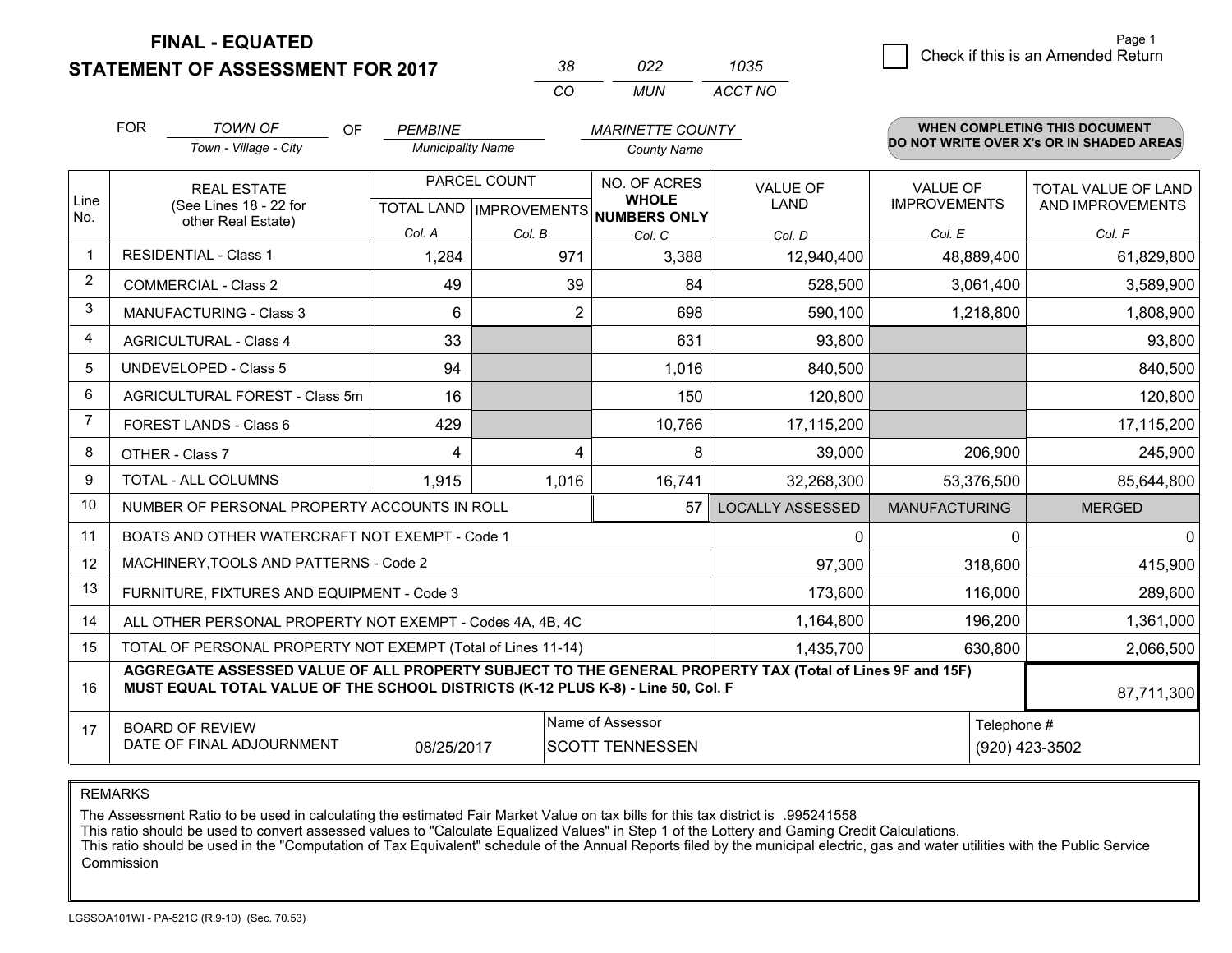**STATEMENT OF ASSESSMENT FOR 2017** 

| 38       | פפח   | 1035    |
|----------|-------|---------|
| $\cdots$ | MI IN | ACCT NO |

|                | <b>FOR</b>                                                                                                      | <b>TOWN OF</b><br><b>OF</b>                                                                                                                                                                  | <b>PEMBINE</b>           |                | <b>MARINETTE COUNTY</b>                                                  |                                |                                 | <b>WHEN COMPLETING THIS DOCUMENT</b>     |
|----------------|-----------------------------------------------------------------------------------------------------------------|----------------------------------------------------------------------------------------------------------------------------------------------------------------------------------------------|--------------------------|----------------|--------------------------------------------------------------------------|--------------------------------|---------------------------------|------------------------------------------|
|                |                                                                                                                 | Town - Village - City                                                                                                                                                                        | <b>Municipality Name</b> |                | <b>County Name</b>                                                       |                                |                                 | DO NOT WRITE OVER X's OR IN SHADED AREAS |
| Line<br>No.    | <b>REAL ESTATE</b><br>(See Lines 18 - 22 for<br>other Real Estate)                                              |                                                                                                                                                                                              |                          | PARCEL COUNT   | NO. OF ACRES<br><b>WHOLE</b><br>TOTAL LAND   IMPROVEMENTS   NUMBERS ONLY | <b>VALUE OF</b><br><b>LAND</b> | VALUE OF<br><b>IMPROVEMENTS</b> | TOTAL VALUE OF LAND<br>AND IMPROVEMENTS  |
|                |                                                                                                                 |                                                                                                                                                                                              | Col. A                   | Col. B         | Col. C                                                                   | Col. D                         | Col. E                          | Col. F                                   |
| -1             | <b>RESIDENTIAL - Class 1</b>                                                                                    |                                                                                                                                                                                              | 1,284                    | 971            | 3,388                                                                    | 12,940,400                     | 48,889,400                      | 61,829,800                               |
| 2              |                                                                                                                 | <b>COMMERCIAL - Class 2</b>                                                                                                                                                                  | 49                       | 39             | 84                                                                       | 528,500                        | 3,061,400                       | 3,589,900                                |
| 3              |                                                                                                                 | <b>MANUFACTURING - Class 3</b>                                                                                                                                                               | 6                        | $\overline{2}$ | 698                                                                      | 590,100                        | 1,218,800                       | 1,808,900                                |
| 4              |                                                                                                                 | <b>AGRICULTURAL - Class 4</b>                                                                                                                                                                | 33                       |                | 631                                                                      | 93,800                         |                                 | 93,800                                   |
| 5              |                                                                                                                 | <b>UNDEVELOPED - Class 5</b>                                                                                                                                                                 | 94                       |                | 1,016                                                                    | 840,500                        |                                 | 840,500                                  |
| 6              |                                                                                                                 | AGRICULTURAL FOREST - Class 5m                                                                                                                                                               | 16                       |                | 150                                                                      | 120,800                        |                                 | 120,800                                  |
| $\overline{7}$ | FOREST LANDS - Class 6                                                                                          |                                                                                                                                                                                              | 429                      |                | 10,766                                                                   | 17,115,200                     |                                 | 17,115,200                               |
| 8              |                                                                                                                 | OTHER - Class 7                                                                                                                                                                              | 4                        | 4              | 8                                                                        | 39,000                         | 206,900                         | 245,900                                  |
| 9              |                                                                                                                 | TOTAL - ALL COLUMNS                                                                                                                                                                          | 1,915                    | 1,016          | 16,741                                                                   | 32,268,300                     | 53,376,500                      | 85,644,800                               |
| 10             |                                                                                                                 | NUMBER OF PERSONAL PROPERTY ACCOUNTS IN ROLL                                                                                                                                                 |                          |                | 57                                                                       | <b>LOCALLY ASSESSED</b>        | <b>MANUFACTURING</b>            | <b>MERGED</b>                            |
| 11             |                                                                                                                 | BOATS AND OTHER WATERCRAFT NOT EXEMPT - Code 1                                                                                                                                               |                          |                |                                                                          | $\mathbf 0$                    | $\Omega$                        | $\Omega$                                 |
| 12             |                                                                                                                 | MACHINERY, TOOLS AND PATTERNS - Code 2                                                                                                                                                       |                          |                |                                                                          | 97,300                         | 318,600                         | 415,900                                  |
| 13             |                                                                                                                 | FURNITURE, FIXTURES AND EQUIPMENT - Code 3                                                                                                                                                   |                          |                |                                                                          | 173,600                        | 116,000                         | 289,600                                  |
| 14             |                                                                                                                 | ALL OTHER PERSONAL PROPERTY NOT EXEMPT - Codes 4A, 4B, 4C                                                                                                                                    |                          |                |                                                                          | 1,164,800                      | 196,200                         | 1,361,000                                |
| 15             |                                                                                                                 | TOTAL OF PERSONAL PROPERTY NOT EXEMPT (Total of Lines 11-14)                                                                                                                                 |                          |                |                                                                          | 1,435,700                      | 630,800                         | 2,066,500                                |
| 16             |                                                                                                                 | AGGREGATE ASSESSED VALUE OF ALL PROPERTY SUBJECT TO THE GENERAL PROPERTY TAX (Total of Lines 9F and 15F)<br>MUST EQUAL TOTAL VALUE OF THE SCHOOL DISTRICTS (K-12 PLUS K-8) - Line 50, Col. F |                          |                |                                                                          |                                |                                 | 87,711,300                               |
| 17             | Name of Assessor<br><b>BOARD OF REVIEW</b><br>DATE OF FINAL ADJOURNMENT<br>08/25/2017<br><b>SCOTT TENNESSEN</b> |                                                                                                                                                                                              |                          |                |                                                                          |                                | Telephone #                     | (920) 423-3502                           |

REMARKS

The Assessment Ratio to be used in calculating the estimated Fair Market Value on tax bills for this tax district is .995241558<br>This ratio should be used to convert assessed values to "Calculate Equalized Values" in Step 1 Commission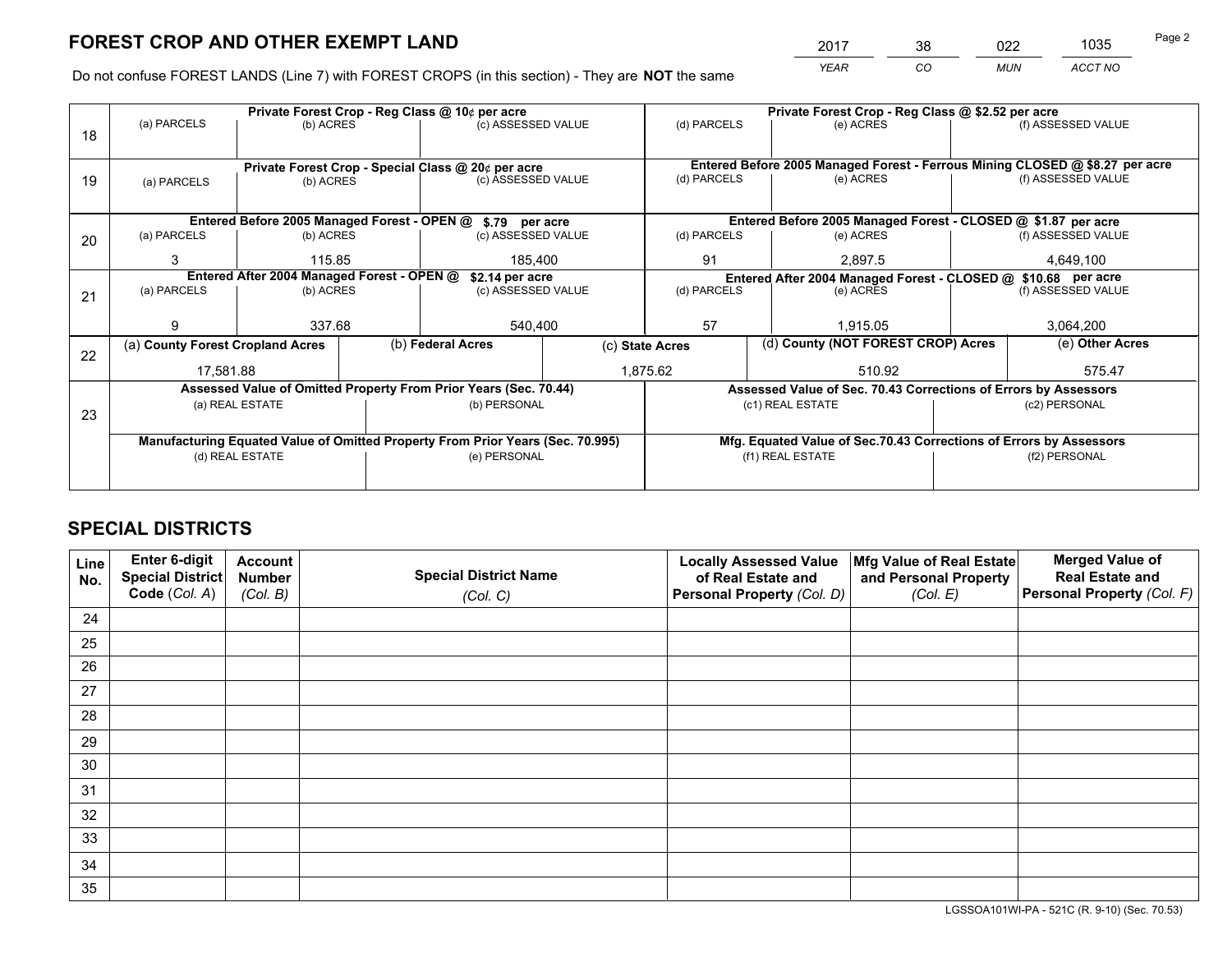*YEAR CO MUN ACCT NO* <sup>2017</sup> <sup>38</sup> <sup>022</sup> <sup>1035</sup> Page 2

Do not confuse FOREST LANDS (Line 7) with FOREST CROPS (in this section) - They are **NOT** the same

|    |                                                                                |                                            |  | Private Forest Crop - Reg Class @ 10¢ per acre                   |                                   | Private Forest Crop - Reg Class @ \$2.52 per acre             |                                                                              |                                    |                    |  |
|----|--------------------------------------------------------------------------------|--------------------------------------------|--|------------------------------------------------------------------|-----------------------------------|---------------------------------------------------------------|------------------------------------------------------------------------------|------------------------------------|--------------------|--|
| 18 | (a) PARCELS                                                                    | (b) ACRES                                  |  | (c) ASSESSED VALUE                                               |                                   | (d) PARCELS                                                   | (e) ACRES                                                                    |                                    | (f) ASSESSED VALUE |  |
|    |                                                                                |                                            |  |                                                                  |                                   |                                                               |                                                                              |                                    |                    |  |
|    |                                                                                |                                            |  | Private Forest Crop - Special Class @ 20¢ per acre               |                                   |                                                               | Entered Before 2005 Managed Forest - Ferrous Mining CLOSED @ \$8.27 per acre |                                    |                    |  |
| 19 | (b) ACRES<br>(a) PARCELS                                                       |                                            |  | (c) ASSESSED VALUE                                               |                                   | (d) PARCELS                                                   | (e) ACRES                                                                    |                                    | (f) ASSESSED VALUE |  |
|    |                                                                                |                                            |  |                                                                  |                                   |                                                               |                                                                              |                                    |                    |  |
|    |                                                                                |                                            |  | Entered Before 2005 Managed Forest - OPEN @ \$.79 per acre       |                                   |                                                               | Entered Before 2005 Managed Forest - CLOSED @ \$1.87 per acre                |                                    |                    |  |
| 20 | (a) PARCELS                                                                    | (b) ACRES                                  |  | (c) ASSESSED VALUE                                               |                                   | (d) PARCELS                                                   | (e) ACRES                                                                    |                                    | (f) ASSESSED VALUE |  |
|    | 3                                                                              | 115.85                                     |  | 185.400                                                          |                                   | 91                                                            | 2,897.5                                                                      |                                    | 4,649,100          |  |
|    |                                                                                | Entered After 2004 Managed Forest - OPEN @ |  | \$2.14 per acre                                                  |                                   | Entered After 2004 Managed Forest - CLOSED @ \$10.68 per acre |                                                                              |                                    |                    |  |
| 21 | (a) PARCELS                                                                    | (b) ACRES                                  |  |                                                                  | (d) PARCELS<br>(c) ASSESSED VALUE |                                                               | (e) ACRES                                                                    |                                    |                    |  |
|    |                                                                                |                                            |  |                                                                  |                                   |                                                               |                                                                              |                                    |                    |  |
|    | g                                                                              | 337.68                                     |  | 540,400                                                          |                                   | 57                                                            | 1,915.05                                                                     |                                    | 3,064,200          |  |
| 22 | (a) County Forest Cropland Acres                                               |                                            |  | (b) Federal Acres                                                |                                   | (c) State Acres                                               |                                                                              | (d) County (NOT FOREST CROP) Acres |                    |  |
|    | 17,581.88                                                                      |                                            |  |                                                                  |                                   | 1,875.62<br>510.92                                            |                                                                              |                                    | 575.47             |  |
|    |                                                                                |                                            |  | Assessed Value of Omitted Property From Prior Years (Sec. 70.44) |                                   |                                                               | Assessed Value of Sec. 70.43 Corrections of Errors by Assessors              |                                    |                    |  |
|    |                                                                                | (a) REAL ESTATE                            |  | (b) PERSONAL                                                     |                                   |                                                               | (c1) REAL ESTATE                                                             |                                    | (c2) PERSONAL      |  |
| 23 |                                                                                |                                            |  |                                                                  |                                   |                                                               |                                                                              |                                    |                    |  |
|    | Manufacturing Equated Value of Omitted Property From Prior Years (Sec. 70.995) |                                            |  |                                                                  |                                   |                                                               | Mfg. Equated Value of Sec.70.43 Corrections of Errors by Assessors           |                                    |                    |  |
|    |                                                                                | (d) REAL ESTATE                            |  | (e) PERSONAL                                                     |                                   | (f1) REAL ESTATE                                              |                                                                              |                                    | (f2) PERSONAL      |  |
|    |                                                                                |                                            |  |                                                                  |                                   |                                                               |                                                                              |                                    |                    |  |

## **SPECIAL DISTRICTS**

| Line<br>No. | Enter 6-digit<br><b>Special District</b> | <b>Account</b><br><b>Number</b> | <b>Special District Name</b> | <b>Locally Assessed Value</b><br>of Real Estate and | Mfg Value of Real Estate<br>and Personal Property | <b>Merged Value of</b><br><b>Real Estate and</b> |
|-------------|------------------------------------------|---------------------------------|------------------------------|-----------------------------------------------------|---------------------------------------------------|--------------------------------------------------|
|             | Code (Col. A)                            | (Col. B)                        | (Col. C)                     | Personal Property (Col. D)                          | (Col. E)                                          | Personal Property (Col. F)                       |
| 24          |                                          |                                 |                              |                                                     |                                                   |                                                  |
| 25          |                                          |                                 |                              |                                                     |                                                   |                                                  |
| 26          |                                          |                                 |                              |                                                     |                                                   |                                                  |
| 27          |                                          |                                 |                              |                                                     |                                                   |                                                  |
| 28          |                                          |                                 |                              |                                                     |                                                   |                                                  |
| 29          |                                          |                                 |                              |                                                     |                                                   |                                                  |
| 30          |                                          |                                 |                              |                                                     |                                                   |                                                  |
| 31          |                                          |                                 |                              |                                                     |                                                   |                                                  |
| 32          |                                          |                                 |                              |                                                     |                                                   |                                                  |
| 33          |                                          |                                 |                              |                                                     |                                                   |                                                  |
| 34          |                                          |                                 |                              |                                                     |                                                   |                                                  |
| 35          |                                          |                                 |                              |                                                     |                                                   |                                                  |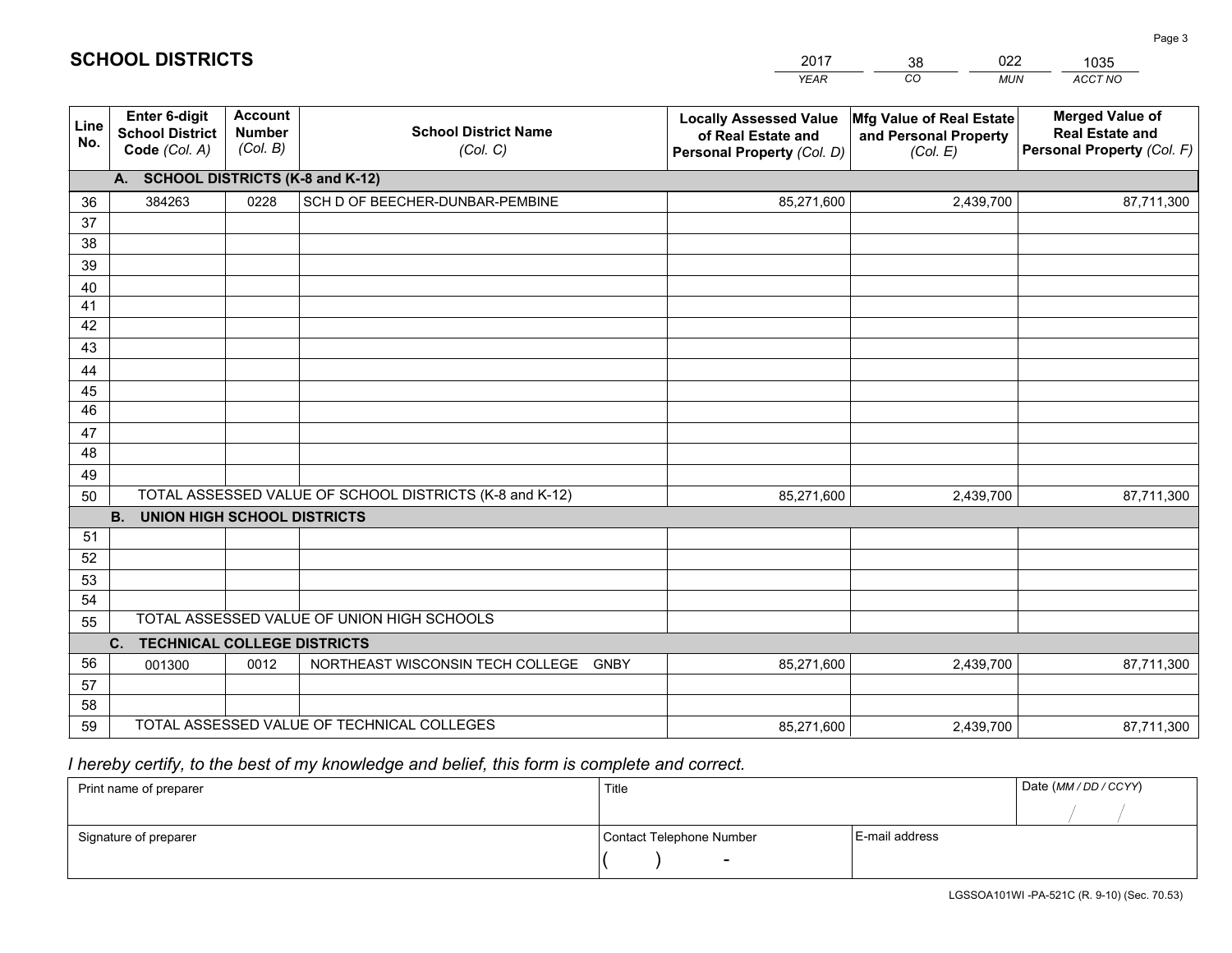|             |                                                          |                                             |                                                         | <b>YEAR</b>                                                                       | CO<br><b>MUN</b>                                              | ACCT NO                                                                        |
|-------------|----------------------------------------------------------|---------------------------------------------|---------------------------------------------------------|-----------------------------------------------------------------------------------|---------------------------------------------------------------|--------------------------------------------------------------------------------|
| Line<br>No. | Enter 6-digit<br><b>School District</b><br>Code (Col. A) | <b>Account</b><br><b>Number</b><br>(Col. B) | <b>School District Name</b><br>(Col. C)                 | <b>Locally Assessed Value</b><br>of Real Estate and<br>Personal Property (Col. D) | Mfg Value of Real Estate<br>and Personal Property<br>(Col. E) | <b>Merged Value of</b><br><b>Real Estate and</b><br>Personal Property (Col. F) |
|             | A. SCHOOL DISTRICTS (K-8 and K-12)                       |                                             |                                                         |                                                                                   |                                                               |                                                                                |
| 36          | 384263                                                   | 0228                                        | SCH D OF BEECHER-DUNBAR-PEMBINE                         | 85,271,600                                                                        | 2,439,700                                                     | 87,711,300                                                                     |
| 37          |                                                          |                                             |                                                         |                                                                                   |                                                               |                                                                                |
| 38          |                                                          |                                             |                                                         |                                                                                   |                                                               |                                                                                |
| 39          |                                                          |                                             |                                                         |                                                                                   |                                                               |                                                                                |
| 40          |                                                          |                                             |                                                         |                                                                                   |                                                               |                                                                                |
| 41<br>42    |                                                          |                                             |                                                         |                                                                                   |                                                               |                                                                                |
| 43          |                                                          |                                             |                                                         |                                                                                   |                                                               |                                                                                |
| 44          |                                                          |                                             |                                                         |                                                                                   |                                                               |                                                                                |
| 45          |                                                          |                                             |                                                         |                                                                                   |                                                               |                                                                                |
| 46          |                                                          |                                             |                                                         |                                                                                   |                                                               |                                                                                |
| 47          |                                                          |                                             |                                                         |                                                                                   |                                                               |                                                                                |
| 48          |                                                          |                                             |                                                         |                                                                                   |                                                               |                                                                                |
| 49          |                                                          |                                             |                                                         |                                                                                   |                                                               |                                                                                |
| 50          |                                                          |                                             | TOTAL ASSESSED VALUE OF SCHOOL DISTRICTS (K-8 and K-12) | 85,271,600                                                                        | 2,439,700                                                     | 87,711,300                                                                     |
|             | <b>B.</b><br><b>UNION HIGH SCHOOL DISTRICTS</b>          |                                             |                                                         |                                                                                   |                                                               |                                                                                |
| 51          |                                                          |                                             |                                                         |                                                                                   |                                                               |                                                                                |
| 52          |                                                          |                                             |                                                         |                                                                                   |                                                               |                                                                                |
| 53<br>54    |                                                          |                                             |                                                         |                                                                                   |                                                               |                                                                                |
| 55          |                                                          |                                             | TOTAL ASSESSED VALUE OF UNION HIGH SCHOOLS              |                                                                                   |                                                               |                                                                                |
|             | C.<br><b>TECHNICAL COLLEGE DISTRICTS</b>                 |                                             |                                                         |                                                                                   |                                                               |                                                                                |
| 56          | 001300                                                   | 0012                                        | NORTHEAST WISCONSIN TECH COLLEGE GNBY                   | 85,271,600                                                                        | 2,439,700                                                     | 87,711,300                                                                     |
| 57          |                                                          |                                             |                                                         |                                                                                   |                                                               |                                                                                |
| 58          |                                                          |                                             |                                                         |                                                                                   |                                                               |                                                                                |
| 59          |                                                          |                                             | TOTAL ASSESSED VALUE OF TECHNICAL COLLEGES              | 85,271,600                                                                        | 2,439,700                                                     | 87,711,300                                                                     |

38

022

 *I hereby certify, to the best of my knowledge and belief, this form is complete and correct.*

**SCHOOL DISTRICTS**

| Print name of preparer | Title                    |                | Date (MM / DD / CCYY) |
|------------------------|--------------------------|----------------|-----------------------|
|                        |                          |                |                       |
| Signature of preparer  | Contact Telephone Number | E-mail address |                       |
|                        |                          |                |                       |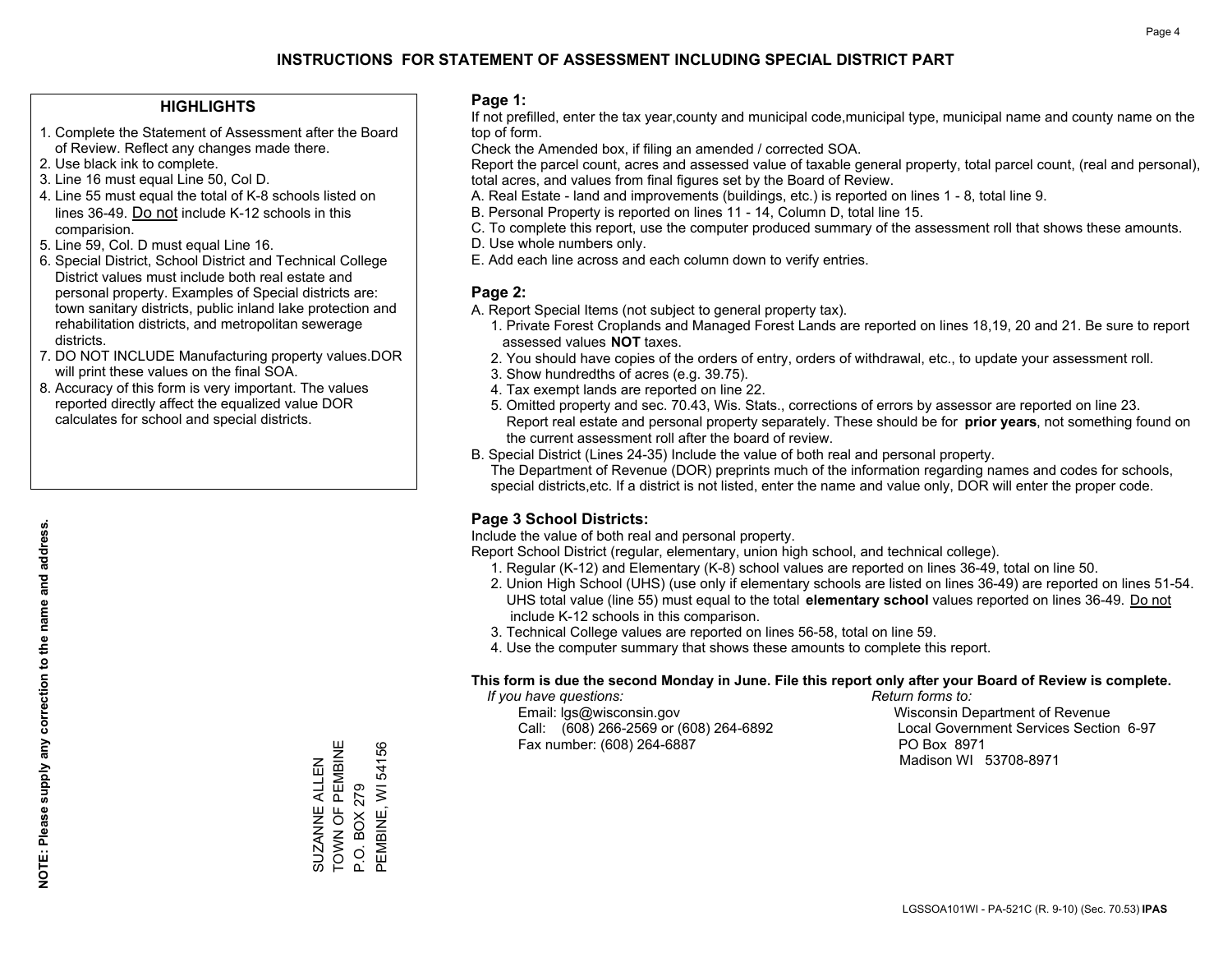#### **HIGHLIGHTS**

- 1. Complete the Statement of Assessment after the Board of Review. Reflect any changes made there.
- 2. Use black ink to complete.
- 3. Line 16 must equal Line 50, Col D.
- 4. Line 55 must equal the total of K-8 schools listed on lines 36-49. Do not include K-12 schools in this comparision.
- 5. Line 59, Col. D must equal Line 16.
- 6. Special District, School District and Technical College District values must include both real estate and personal property. Examples of Special districts are: town sanitary districts, public inland lake protection and rehabilitation districts, and metropolitan sewerage districts.
- 7. DO NOT INCLUDE Manufacturing property values.DOR will print these values on the final SOA.
- 8. Accuracy of this form is very important. The values reported directly affect the equalized value DOR calculates for school and special districts.

#### **Page 1:**

 If not prefilled, enter the tax year,county and municipal code,municipal type, municipal name and county name on the top of form.

Check the Amended box, if filing an amended / corrected SOA.

 Report the parcel count, acres and assessed value of taxable general property, total parcel count, (real and personal), total acres, and values from final figures set by the Board of Review.

- A. Real Estate land and improvements (buildings, etc.) is reported on lines 1 8, total line 9.
- B. Personal Property is reported on lines 11 14, Column D, total line 15.
- C. To complete this report, use the computer produced summary of the assessment roll that shows these amounts.
- D. Use whole numbers only.
- E. Add each line across and each column down to verify entries.

#### **Page 2:**

- A. Report Special Items (not subject to general property tax).
- 1. Private Forest Croplands and Managed Forest Lands are reported on lines 18,19, 20 and 21. Be sure to report assessed values **NOT** taxes.
- 2. You should have copies of the orders of entry, orders of withdrawal, etc., to update your assessment roll.
	- 3. Show hundredths of acres (e.g. 39.75).
- 4. Tax exempt lands are reported on line 22.
- 5. Omitted property and sec. 70.43, Wis. Stats., corrections of errors by assessor are reported on line 23. Report real estate and personal property separately. These should be for **prior years**, not something found on the current assessment roll after the board of review.
- B. Special District (Lines 24-35) Include the value of both real and personal property.
- The Department of Revenue (DOR) preprints much of the information regarding names and codes for schools, special districts,etc. If a district is not listed, enter the name and value only, DOR will enter the proper code.

### **Page 3 School Districts:**

Include the value of both real and personal property.

Report School District (regular, elementary, union high school, and technical college).

- 1. Regular (K-12) and Elementary (K-8) school values are reported on lines 36-49, total on line 50.
- 2. Union High School (UHS) (use only if elementary schools are listed on lines 36-49) are reported on lines 51-54. UHS total value (line 55) must equal to the total **elementary school** values reported on lines 36-49. Do notinclude K-12 schools in this comparison.
- 3. Technical College values are reported on lines 56-58, total on line 59.
- 4. Use the computer summary that shows these amounts to complete this report.

#### **This form is due the second Monday in June. File this report only after your Board of Review is complete.**

 *If you have questions: Return forms to:*

 Email: lgs@wisconsin.gov Wisconsin Department of RevenueCall:  $(608)$  266-2569 or  $(608)$  264-6892 Fax number: (608) 264-6887 PO Box 8971

Local Government Services Section 6-97 Madison WI 53708-8971

TOWN OF PEMBINE SUZANNE ALLEN<br>TOWN OF PEMBINE PEMBINE, WI 54156 PEMBINE, WI 54156 SUZANNE ALLEN P.O. BOX 279 P.O. BOX 279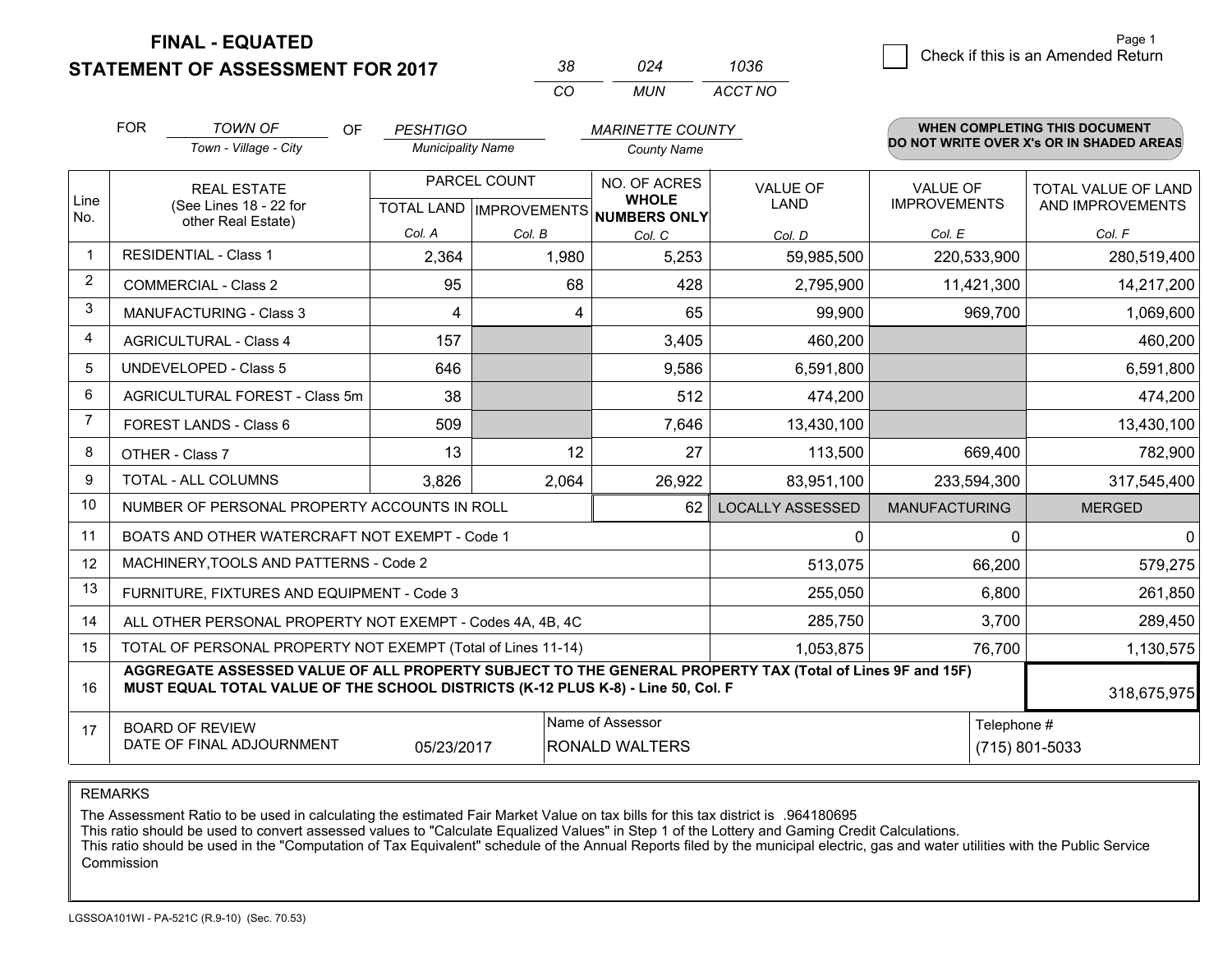**STATEMENT OF ASSESSMENT FOR 2017** 

| 38. | በ24   | 1036    |
|-----|-------|---------|
| CO. | MI IN | ACCT NO |

|                | <b>FOR</b>                                                                                                                                                                                   | <b>TOWN OF</b><br><b>OF</b>                         | <b>PESHTIGO</b>          |              | <b>MARINETTE COUNTY</b>                                              |                                |                                        | WHEN COMPLETING THIS DOCUMENT            |
|----------------|----------------------------------------------------------------------------------------------------------------------------------------------------------------------------------------------|-----------------------------------------------------|--------------------------|--------------|----------------------------------------------------------------------|--------------------------------|----------------------------------------|------------------------------------------|
|                |                                                                                                                                                                                              | Town - Village - City                               | <b>Municipality Name</b> |              | <b>County Name</b>                                                   |                                |                                        | DO NOT WRITE OVER X's OR IN SHADED AREAS |
| Line           |                                                                                                                                                                                              | <b>REAL ESTATE</b><br>(See Lines 18 - 22 for        |                          | PARCEL COUNT | NO. OF ACRES<br><b>WHOLE</b><br>TOTAL LAND IMPROVEMENTS NUMBERS ONLY | <b>VALUE OF</b><br><b>LAND</b> | <b>VALUE OF</b><br><b>IMPROVEMENTS</b> | TOTAL VALUE OF LAND<br>AND IMPROVEMENTS  |
| No.            |                                                                                                                                                                                              | other Real Estate)                                  | Col. A                   | Col. B       | Col. C                                                               | Col. D                         | Col. E                                 | Col. F                                   |
| $\mathbf{1}$   |                                                                                                                                                                                              | <b>RESIDENTIAL - Class 1</b>                        | 2,364                    | 1,980        | 5,253                                                                | 59,985,500                     | 220,533,900                            | 280,519,400                              |
| $\overline{2}$ |                                                                                                                                                                                              | <b>COMMERCIAL - Class 2</b>                         | 95                       | 68           | 428                                                                  | 2,795,900                      | 11,421,300                             | 14,217,200                               |
| 3              |                                                                                                                                                                                              | <b>MANUFACTURING - Class 3</b>                      | 4                        | 4            | 65                                                                   | 99,900                         | 969,700                                | 1,069,600                                |
| 4              |                                                                                                                                                                                              | <b>AGRICULTURAL - Class 4</b>                       | 157                      |              | 3,405                                                                | 460,200                        |                                        | 460,200                                  |
| 5              |                                                                                                                                                                                              | <b>UNDEVELOPED - Class 5</b>                        | 646                      |              | 9,586                                                                | 6,591,800                      |                                        | 6,591,800                                |
| 6              |                                                                                                                                                                                              | AGRICULTURAL FOREST - Class 5m                      | 38                       |              | 512                                                                  | 474,200                        |                                        | 474,200                                  |
| 7              |                                                                                                                                                                                              | FOREST LANDS - Class 6                              | 509                      |              | 7,646                                                                | 13,430,100                     |                                        | 13,430,100                               |
| 8              |                                                                                                                                                                                              | OTHER - Class 7                                     | 13                       | 12           | 27                                                                   | 113,500                        | 669,400                                | 782,900                                  |
| 9              |                                                                                                                                                                                              | TOTAL - ALL COLUMNS                                 | 3,826                    | 2,064        | 26,922                                                               | 83,951,100                     | 233,594,300                            | 317,545,400                              |
| 10             |                                                                                                                                                                                              | NUMBER OF PERSONAL PROPERTY ACCOUNTS IN ROLL        |                          |              | 62                                                                   | <b>LOCALLY ASSESSED</b>        | <b>MANUFACTURING</b>                   | <b>MERGED</b>                            |
| 11             |                                                                                                                                                                                              | BOATS AND OTHER WATERCRAFT NOT EXEMPT - Code 1      |                          |              |                                                                      | 0                              |                                        | $\mathbf 0$<br>0                         |
| 12             |                                                                                                                                                                                              | MACHINERY, TOOLS AND PATTERNS - Code 2              |                          |              |                                                                      | 513,075                        | 66,200                                 | 579,275                                  |
| 13             |                                                                                                                                                                                              | FURNITURE, FIXTURES AND EQUIPMENT - Code 3          |                          |              |                                                                      | 255,050                        | 6,800                                  | 261,850                                  |
| 14             | ALL OTHER PERSONAL PROPERTY NOT EXEMPT - Codes 4A, 4B, 4C                                                                                                                                    |                                                     |                          |              |                                                                      | 285,750                        | 3,700                                  | 289,450                                  |
| 15             | TOTAL OF PERSONAL PROPERTY NOT EXEMPT (Total of Lines 11-14)                                                                                                                                 |                                                     |                          |              |                                                                      | 1,053,875                      | 76,700                                 | 1,130,575                                |
| 16             | AGGREGATE ASSESSED VALUE OF ALL PROPERTY SUBJECT TO THE GENERAL PROPERTY TAX (Total of Lines 9F and 15F)<br>MUST EQUAL TOTAL VALUE OF THE SCHOOL DISTRICTS (K-12 PLUS K-8) - Line 50, Col. F |                                                     |                          |              |                                                                      |                                | 318,675,975                            |                                          |
| 17             |                                                                                                                                                                                              | <b>BOARD OF REVIEW</b><br>DATE OF FINAL ADJOURNMENT | 05/23/2017               |              | Name of Assessor<br><b>RONALD WALTERS</b>                            |                                |                                        | Telephone #<br>(715) 801-5033            |

REMARKS

The Assessment Ratio to be used in calculating the estimated Fair Market Value on tax bills for this tax district is .964180695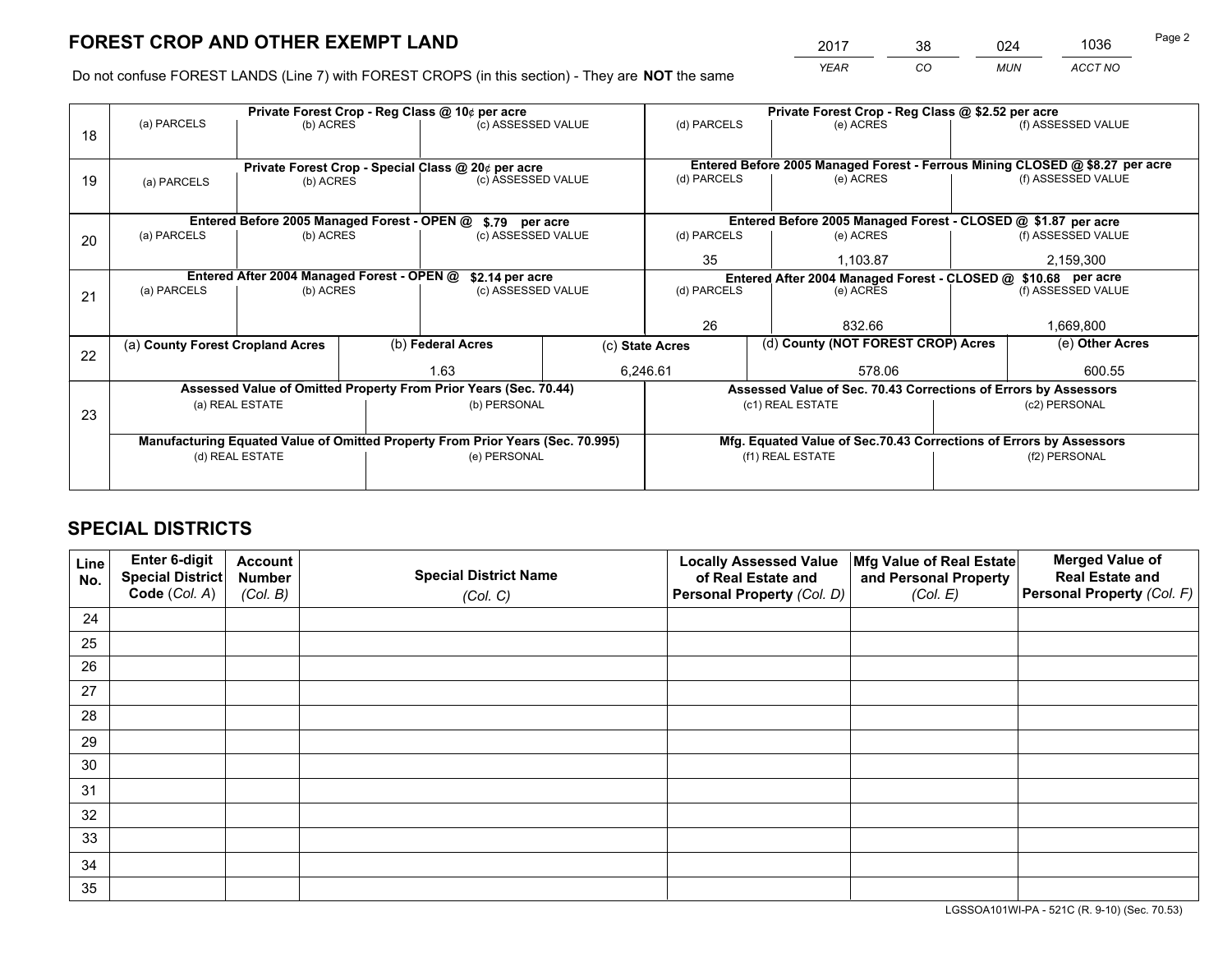*YEAR CO MUN ACCT NO* <sup>2017</sup> <sup>38</sup> <sup>024</sup> <sup>1036</sup> Page 2

Do not confuse FOREST LANDS (Line 7) with FOREST CROPS (in this section) - They are **NOT** the same

|    |                                                                                |                                             |  | Private Forest Crop - Reg Class @ 10¢ per acre                   |      | Private Forest Crop - Reg Class @ \$2.52 per acre             |                                                                              |               |                    |  |
|----|--------------------------------------------------------------------------------|---------------------------------------------|--|------------------------------------------------------------------|------|---------------------------------------------------------------|------------------------------------------------------------------------------|---------------|--------------------|--|
| 18 | (a) PARCELS                                                                    | (b) ACRES                                   |  | (c) ASSESSED VALUE                                               |      | (d) PARCELS                                                   | (e) ACRES                                                                    |               | (f) ASSESSED VALUE |  |
|    |                                                                                |                                             |  |                                                                  |      |                                                               |                                                                              |               |                    |  |
|    |                                                                                |                                             |  | Private Forest Crop - Special Class @ 20¢ per acre               |      |                                                               | Entered Before 2005 Managed Forest - Ferrous Mining CLOSED @ \$8.27 per acre |               |                    |  |
| 19 | (a) PARCELS                                                                    | (b) ACRES                                   |  | (c) ASSESSED VALUE                                               |      | (d) PARCELS                                                   | (e) ACRES                                                                    |               | (f) ASSESSED VALUE |  |
|    |                                                                                |                                             |  |                                                                  |      |                                                               |                                                                              |               |                    |  |
|    |                                                                                | Entered Before 2005 Managed Forest - OPEN @ |  | \$.79 per acre                                                   |      |                                                               | Entered Before 2005 Managed Forest - CLOSED @ \$1.87 per acre                |               |                    |  |
| 20 | (a) PARCELS                                                                    | (b) ACRES                                   |  | (c) ASSESSED VALUE                                               |      | (d) PARCELS                                                   | (e) ACRES                                                                    |               | (f) ASSESSED VALUE |  |
|    |                                                                                |                                             |  |                                                                  |      |                                                               | 1,103.87                                                                     |               | 2,159,300          |  |
|    | Entered After 2004 Managed Forest - OPEN @<br>\$2.14 per acre                  |                                             |  |                                                                  |      | Entered After 2004 Managed Forest - CLOSED @ \$10.68 per acre |                                                                              |               |                    |  |
| 21 | (a) PARCELS                                                                    | (b) ACRES                                   |  | (c) ASSESSED VALUE                                               |      | (d) PARCELS                                                   | (e) ACRES                                                                    |               |                    |  |
|    |                                                                                |                                             |  |                                                                  |      |                                                               |                                                                              |               |                    |  |
|    |                                                                                |                                             |  |                                                                  |      | 26                                                            | 832.66                                                                       |               | 1,669,800          |  |
| 22 | (a) County Forest Cropland Acres                                               |                                             |  | (b) Federal Acres                                                |      | (c) State Acres                                               | (d) County (NOT FOREST CROP) Acres                                           |               | (e) Other Acres    |  |
|    |                                                                                |                                             |  |                                                                  | 1.63 |                                                               | 6,246.61<br>578.06                                                           |               | 600.55             |  |
|    |                                                                                |                                             |  | Assessed Value of Omitted Property From Prior Years (Sec. 70.44) |      |                                                               | Assessed Value of Sec. 70.43 Corrections of Errors by Assessors              |               |                    |  |
|    |                                                                                | (a) REAL ESTATE                             |  | (b) PERSONAL                                                     |      |                                                               | (c1) REAL ESTATE                                                             |               | (c2) PERSONAL      |  |
| 23 |                                                                                |                                             |  |                                                                  |      |                                                               |                                                                              |               |                    |  |
|    | Manufacturing Equated Value of Omitted Property From Prior Years (Sec. 70.995) |                                             |  |                                                                  |      |                                                               | Mfg. Equated Value of Sec.70.43 Corrections of Errors by Assessors           |               |                    |  |
|    |                                                                                | (d) REAL ESTATE                             |  | (e) PERSONAL                                                     |      |                                                               | (f1) REAL ESTATE                                                             | (f2) PERSONAL |                    |  |
|    |                                                                                |                                             |  |                                                                  |      |                                                               |                                                                              |               |                    |  |

## **SPECIAL DISTRICTS**

| Line<br>No. | Enter 6-digit<br><b>Special District</b><br>Code (Col. A) | <b>Account</b><br><b>Number</b><br>(Col. B) | <b>Special District Name</b><br>(Col. C) | <b>Locally Assessed Value</b><br>of Real Estate and<br>Personal Property (Col. D) | Mfg Value of Real Estate<br>and Personal Property<br>(Col. E) | <b>Merged Value of</b><br><b>Real Estate and</b><br>Personal Property (Col. F) |
|-------------|-----------------------------------------------------------|---------------------------------------------|------------------------------------------|-----------------------------------------------------------------------------------|---------------------------------------------------------------|--------------------------------------------------------------------------------|
| 24          |                                                           |                                             |                                          |                                                                                   |                                                               |                                                                                |
| 25          |                                                           |                                             |                                          |                                                                                   |                                                               |                                                                                |
| 26          |                                                           |                                             |                                          |                                                                                   |                                                               |                                                                                |
| 27          |                                                           |                                             |                                          |                                                                                   |                                                               |                                                                                |
| 28          |                                                           |                                             |                                          |                                                                                   |                                                               |                                                                                |
| 29          |                                                           |                                             |                                          |                                                                                   |                                                               |                                                                                |
| 30          |                                                           |                                             |                                          |                                                                                   |                                                               |                                                                                |
| 31          |                                                           |                                             |                                          |                                                                                   |                                                               |                                                                                |
| 32          |                                                           |                                             |                                          |                                                                                   |                                                               |                                                                                |
| 33          |                                                           |                                             |                                          |                                                                                   |                                                               |                                                                                |
| 34          |                                                           |                                             |                                          |                                                                                   |                                                               |                                                                                |
| 35          |                                                           |                                             |                                          |                                                                                   |                                                               |                                                                                |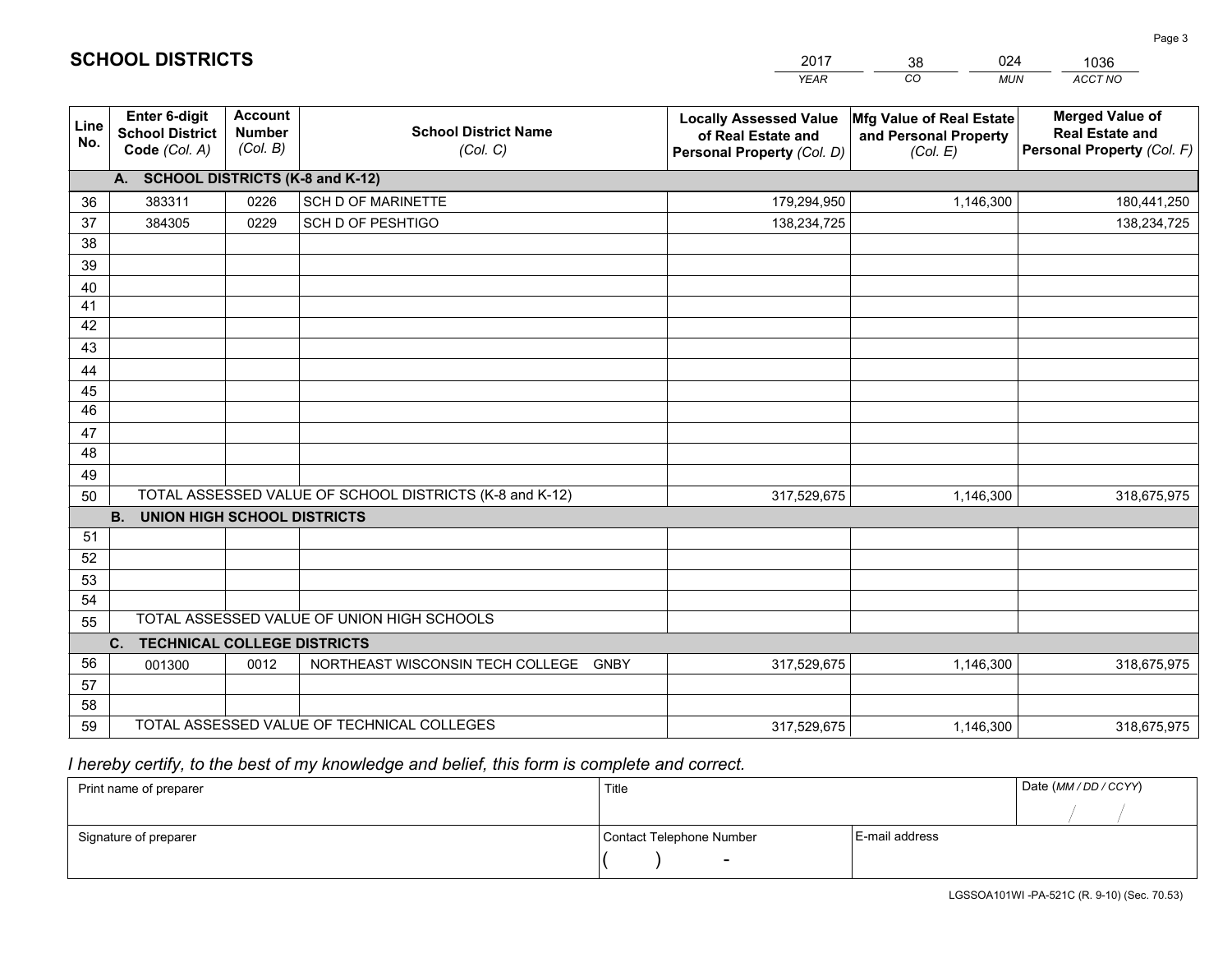|             |                                                                 |                                             |                                                         | <b>YEAR</b>                                                                       | CO<br><b>MUN</b>                                              | ACCT NO                                                                        |
|-------------|-----------------------------------------------------------------|---------------------------------------------|---------------------------------------------------------|-----------------------------------------------------------------------------------|---------------------------------------------------------------|--------------------------------------------------------------------------------|
| Line<br>No. | <b>Enter 6-digit</b><br><b>School District</b><br>Code (Col. A) | <b>Account</b><br><b>Number</b><br>(Col. B) | <b>School District Name</b><br>(Col. C)                 | <b>Locally Assessed Value</b><br>of Real Estate and<br>Personal Property (Col. D) | Mfg Value of Real Estate<br>and Personal Property<br>(Col. E) | <b>Merged Value of</b><br><b>Real Estate and</b><br>Personal Property (Col. F) |
|             | A. SCHOOL DISTRICTS (K-8 and K-12)                              |                                             |                                                         |                                                                                   |                                                               |                                                                                |
| 36          | 383311                                                          | 0226                                        | SCH D OF MARINETTE                                      | 179,294,950                                                                       | 1,146,300                                                     | 180,441,250                                                                    |
| 37          | 384305                                                          | 0229                                        | SCH D OF PESHTIGO                                       | 138,234,725                                                                       |                                                               | 138,234,725                                                                    |
| 38          |                                                                 |                                             |                                                         |                                                                                   |                                                               |                                                                                |
| 39          |                                                                 |                                             |                                                         |                                                                                   |                                                               |                                                                                |
| 40          |                                                                 |                                             |                                                         |                                                                                   |                                                               |                                                                                |
| 41          |                                                                 |                                             |                                                         |                                                                                   |                                                               |                                                                                |
| 42          |                                                                 |                                             |                                                         |                                                                                   |                                                               |                                                                                |
| 43          |                                                                 |                                             |                                                         |                                                                                   |                                                               |                                                                                |
| 44<br>45    |                                                                 |                                             |                                                         |                                                                                   |                                                               |                                                                                |
| 46          |                                                                 |                                             |                                                         |                                                                                   |                                                               |                                                                                |
| 47          |                                                                 |                                             |                                                         |                                                                                   |                                                               |                                                                                |
| 48          |                                                                 |                                             |                                                         |                                                                                   |                                                               |                                                                                |
| 49          |                                                                 |                                             |                                                         |                                                                                   |                                                               |                                                                                |
| 50          |                                                                 |                                             | TOTAL ASSESSED VALUE OF SCHOOL DISTRICTS (K-8 and K-12) | 317,529,675                                                                       | 1,146,300                                                     | 318,675,975                                                                    |
|             | <b>B.</b><br><b>UNION HIGH SCHOOL DISTRICTS</b>                 |                                             |                                                         |                                                                                   |                                                               |                                                                                |
| 51          |                                                                 |                                             |                                                         |                                                                                   |                                                               |                                                                                |
| 52          |                                                                 |                                             |                                                         |                                                                                   |                                                               |                                                                                |
| 53          |                                                                 |                                             |                                                         |                                                                                   |                                                               |                                                                                |
| 54          |                                                                 |                                             |                                                         |                                                                                   |                                                               |                                                                                |
| 55          |                                                                 |                                             | TOTAL ASSESSED VALUE OF UNION HIGH SCHOOLS              |                                                                                   |                                                               |                                                                                |
|             | C.<br><b>TECHNICAL COLLEGE DISTRICTS</b>                        |                                             |                                                         |                                                                                   |                                                               |                                                                                |
| 56          | 001300                                                          | 0012                                        | NORTHEAST WISCONSIN TECH COLLEGE GNBY                   | 317,529,675                                                                       | 1,146,300                                                     | 318,675,975                                                                    |
| 57          |                                                                 |                                             |                                                         |                                                                                   |                                                               |                                                                                |
| 58<br>59    |                                                                 |                                             | TOTAL ASSESSED VALUE OF TECHNICAL COLLEGES              |                                                                                   | 1,146,300                                                     | 318,675,975                                                                    |
|             |                                                                 |                                             |                                                         | 317,529,675                                                                       |                                                               |                                                                                |

38

024

 *I hereby certify, to the best of my knowledge and belief, this form is complete and correct.*

**SCHOOL DISTRICTS**

| Print name of preparer | Title                    |                | Date (MM / DD / CCYY) |
|------------------------|--------------------------|----------------|-----------------------|
|                        |                          |                |                       |
| Signature of preparer  | Contact Telephone Number | E-mail address |                       |
|                        | $\sim$                   |                |                       |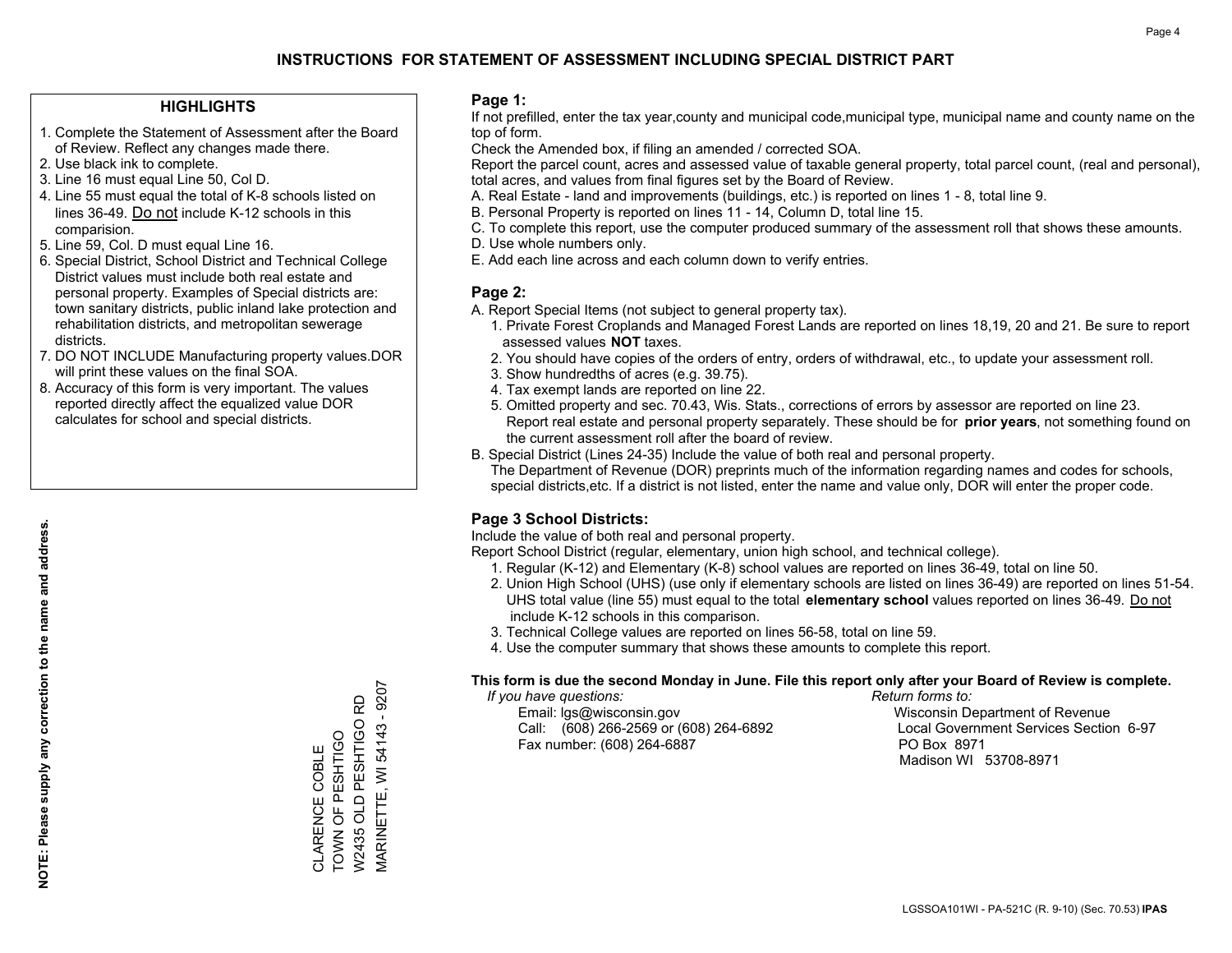#### **HIGHLIGHTS**

- 1. Complete the Statement of Assessment after the Board of Review. Reflect any changes made there.
- 2. Use black ink to complete.
- 3. Line 16 must equal Line 50, Col D.
- 4. Line 55 must equal the total of K-8 schools listed on lines 36-49. Do not include K-12 schools in this comparision.
- 5. Line 59, Col. D must equal Line 16.
- 6. Special District, School District and Technical College District values must include both real estate and personal property. Examples of Special districts are: town sanitary districts, public inland lake protection and rehabilitation districts, and metropolitan sewerage districts.
- 7. DO NOT INCLUDE Manufacturing property values.DOR will print these values on the final SOA.
- 8. Accuracy of this form is very important. The values reported directly affect the equalized value DOR calculates for school and special districts.

#### **Page 1:**

 If not prefilled, enter the tax year,county and municipal code,municipal type, municipal name and county name on the top of form.

Check the Amended box, if filing an amended / corrected SOA.

 Report the parcel count, acres and assessed value of taxable general property, total parcel count, (real and personal), total acres, and values from final figures set by the Board of Review.

- A. Real Estate land and improvements (buildings, etc.) is reported on lines 1 8, total line 9.
- B. Personal Property is reported on lines 11 14, Column D, total line 15.
- C. To complete this report, use the computer produced summary of the assessment roll that shows these amounts.
- D. Use whole numbers only.
- E. Add each line across and each column down to verify entries.

### **Page 2:**

- A. Report Special Items (not subject to general property tax).
- 1. Private Forest Croplands and Managed Forest Lands are reported on lines 18,19, 20 and 21. Be sure to report assessed values **NOT** taxes.
- 2. You should have copies of the orders of entry, orders of withdrawal, etc., to update your assessment roll.
	- 3. Show hundredths of acres (e.g. 39.75).
- 4. Tax exempt lands are reported on line 22.
- 5. Omitted property and sec. 70.43, Wis. Stats., corrections of errors by assessor are reported on line 23. Report real estate and personal property separately. These should be for **prior years**, not something found on the current assessment roll after the board of review.
- B. Special District (Lines 24-35) Include the value of both real and personal property.
- The Department of Revenue (DOR) preprints much of the information regarding names and codes for schools, special districts,etc. If a district is not listed, enter the name and value only, DOR will enter the proper code.

## **Page 3 School Districts:**

Include the value of both real and personal property.

Report School District (regular, elementary, union high school, and technical college).

- 1. Regular (K-12) and Elementary (K-8) school values are reported on lines 36-49, total on line 50.
- 2. Union High School (UHS) (use only if elementary schools are listed on lines 36-49) are reported on lines 51-54. UHS total value (line 55) must equal to the total **elementary school** values reported on lines 36-49. Do notinclude K-12 schools in this comparison.
- 3. Technical College values are reported on lines 56-58, total on line 59.
- 4. Use the computer summary that shows these amounts to complete this report.

#### **This form is due the second Monday in June. File this report only after your Board of Review is complete.**

 *If you have questions: Return forms to:*

 Email: lgs@wisconsin.gov Wisconsin Department of RevenueCall:  $(608)$  266-2569 or  $(608)$  264-6892 Fax number: (608) 264-6887 PO Box 8971

Local Government Services Section 6-97

Madison WI 53708-8971

**MARINETTE, WI 54143 - 9207** MARINETTE, WI 54143 - 9207 W2435 OLD PESHTIGO RD W2435 OLD PESHTIGO RD CLARENCE COBLE<br>TOWN OF PESHTIGO TOWN OF PESHTIGO CLARENCE COBLE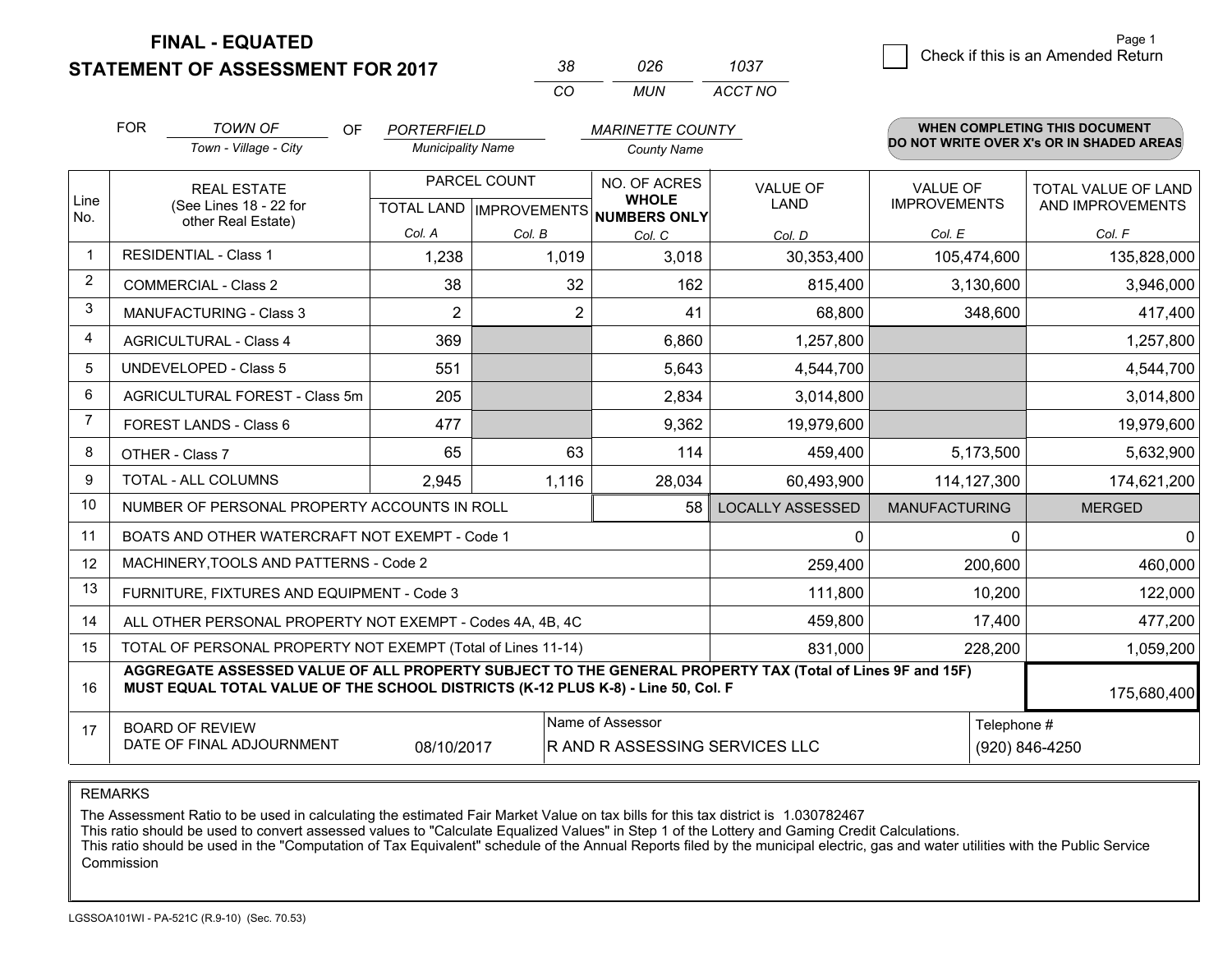**STATEMENT OF ASSESSMENT FOR 2017** 

| 38 | กวค | 1037    |
|----|-----|---------|
| (  | MUN | ACCT NO |

|                | <b>FOR</b>                                                                                                                                                                                   | <b>TOWN OF</b><br>OF<br><b>PORTERFIELD</b><br><b>MARINETTE COUNTY</b> |                          |                                           | WHEN COMPLETING THIS DOCUMENT                |                                |                                        |                                          |
|----------------|----------------------------------------------------------------------------------------------------------------------------------------------------------------------------------------------|-----------------------------------------------------------------------|--------------------------|-------------------------------------------|----------------------------------------------|--------------------------------|----------------------------------------|------------------------------------------|
|                |                                                                                                                                                                                              | Town - Village - City                                                 | <b>Municipality Name</b> |                                           | <b>County Name</b>                           |                                |                                        | DO NOT WRITE OVER X's OR IN SHADED AREAS |
| Line           |                                                                                                                                                                                              | <b>REAL ESTATE</b><br>(See Lines 18 - 22 for                          |                          | PARCEL COUNT<br>TOTAL LAND   IMPROVEMENTS | NO. OF ACRES<br><b>WHOLE</b><br>NUMBERS ONLY | <b>VALUE OF</b><br><b>LAND</b> | <b>VALUE OF</b><br><b>IMPROVEMENTS</b> | TOTAL VALUE OF LAND<br>AND IMPROVEMENTS  |
| No.            |                                                                                                                                                                                              | other Real Estate)                                                    | Col. A                   | Col. B                                    | Col. C                                       | Col. D                         | Col. E                                 | Col. F                                   |
|                |                                                                                                                                                                                              | <b>RESIDENTIAL - Class 1</b>                                          | 1,238                    | 1,019                                     | 3,018                                        | 30,353,400                     | 105,474,600                            | 135,828,000                              |
| 2              |                                                                                                                                                                                              | <b>COMMERCIAL - Class 2</b>                                           | 38                       | 32                                        | 162                                          | 815,400                        | 3,130,600                              | 3,946,000                                |
| 3              |                                                                                                                                                                                              | <b>MANUFACTURING - Class 3</b>                                        | $\overline{2}$           | 2                                         | 41                                           | 68,800                         | 348,600                                | 417,400                                  |
| 4              |                                                                                                                                                                                              | <b>AGRICULTURAL - Class 4</b>                                         | 369                      |                                           | 6,860                                        | 1,257,800                      |                                        | 1,257,800                                |
| 5              |                                                                                                                                                                                              | <b>UNDEVELOPED - Class 5</b>                                          | 551                      |                                           | 5,643                                        | 4,544,700                      |                                        | 4,544,700                                |
| 6              |                                                                                                                                                                                              | AGRICULTURAL FOREST - Class 5m                                        | 205                      |                                           | 2,834                                        | 3,014,800                      |                                        | 3,014,800                                |
| $\overline{7}$ |                                                                                                                                                                                              | FOREST LANDS - Class 6                                                | 477                      |                                           | 9,362                                        | 19,979,600                     |                                        | 19,979,600                               |
| 8              |                                                                                                                                                                                              | OTHER - Class 7                                                       | 65                       | 63                                        | 114                                          | 459,400                        | 5,173,500                              | 5,632,900                                |
| 9              |                                                                                                                                                                                              | TOTAL - ALL COLUMNS                                                   | 2,945                    | 1,116                                     | 28,034                                       | 60,493,900                     | 114, 127, 300                          | 174,621,200                              |
| 10             |                                                                                                                                                                                              | NUMBER OF PERSONAL PROPERTY ACCOUNTS IN ROLL                          |                          |                                           | 58                                           | <b>LOCALLY ASSESSED</b>        | <b>MANUFACTURING</b>                   | <b>MERGED</b>                            |
| 11             |                                                                                                                                                                                              | BOATS AND OTHER WATERCRAFT NOT EXEMPT - Code 1                        |                          |                                           |                                              | 0                              | $\Omega$                               | $\mathbf{0}$                             |
| 12             |                                                                                                                                                                                              | MACHINERY, TOOLS AND PATTERNS - Code 2                                |                          |                                           |                                              | 259,400                        | 200,600                                | 460,000                                  |
| 13             |                                                                                                                                                                                              | FURNITURE, FIXTURES AND EQUIPMENT - Code 3                            |                          |                                           |                                              | 111,800                        | 10,200                                 | 122,000                                  |
| 14             |                                                                                                                                                                                              | ALL OTHER PERSONAL PROPERTY NOT EXEMPT - Codes 4A, 4B, 4C             |                          |                                           |                                              | 459,800                        | 17,400                                 | 477,200                                  |
| 15             | TOTAL OF PERSONAL PROPERTY NOT EXEMPT (Total of Lines 11-14)                                                                                                                                 |                                                                       |                          |                                           |                                              | 831,000                        | 228,200                                | 1,059,200                                |
| 16             | AGGREGATE ASSESSED VALUE OF ALL PROPERTY SUBJECT TO THE GENERAL PROPERTY TAX (Total of Lines 9F and 15F)<br>MUST EQUAL TOTAL VALUE OF THE SCHOOL DISTRICTS (K-12 PLUS K-8) - Line 50, Col. F |                                                                       |                          |                                           |                                              |                                | 175,680,400                            |                                          |
| 17             | Name of Assessor<br>Telephone #<br><b>BOARD OF REVIEW</b><br>DATE OF FINAL ADJOURNMENT<br>08/10/2017<br>R AND R ASSESSING SERVICES LLC<br>(920) 846-4250                                     |                                                                       |                          |                                           |                                              |                                |                                        |                                          |

REMARKS

The Assessment Ratio to be used in calculating the estimated Fair Market Value on tax bills for this tax district is 1.030782467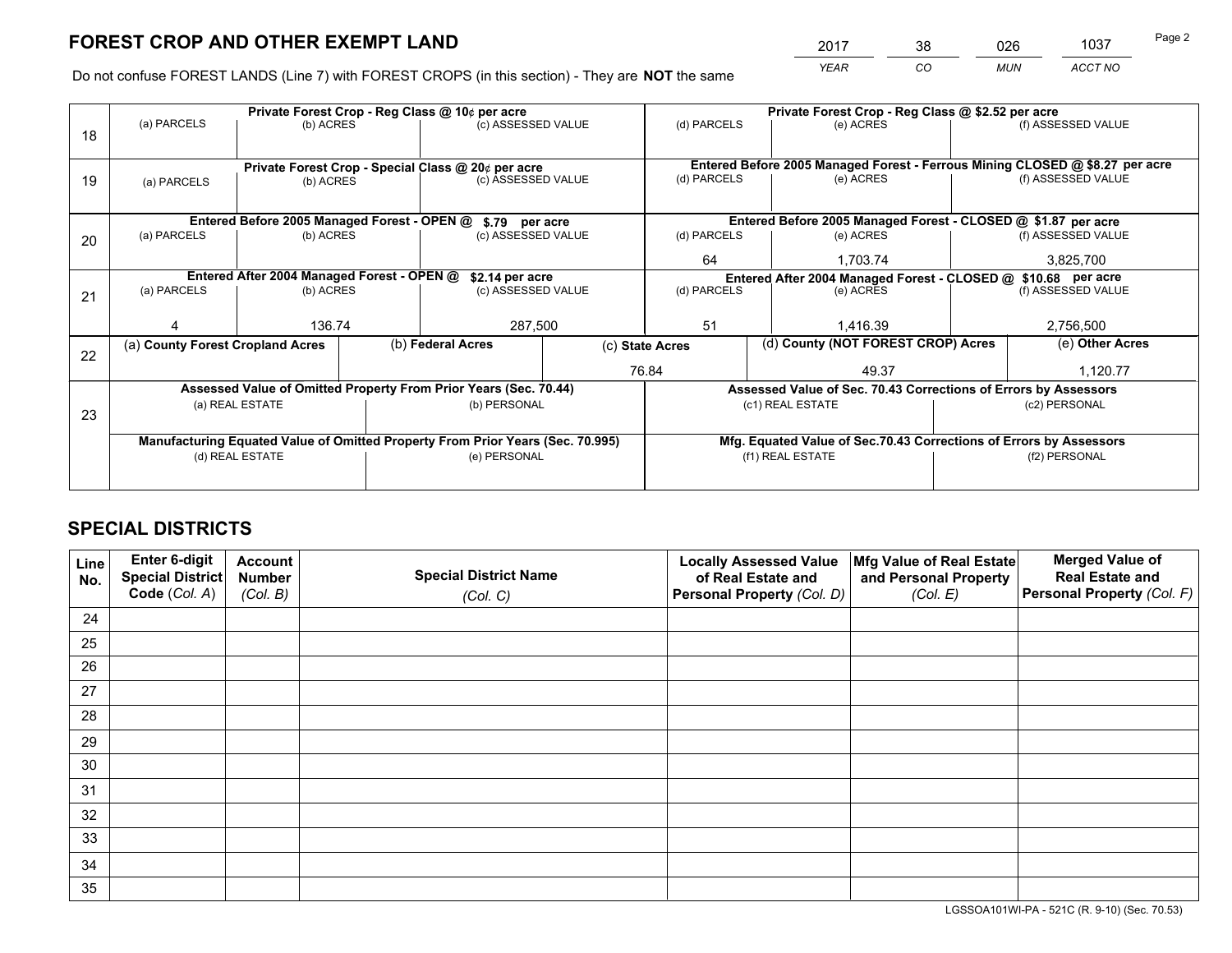*YEAR CO MUN ACCT NO* <sup>2017</sup> <sup>38</sup> <sup>026</sup> <sup>1037</sup> Page 2

Do not confuse FOREST LANDS (Line 7) with FOREST CROPS (in this section) - They are **NOT** the same

| (f) ASSESSED VALUE<br>Entered Before 2005 Managed Forest - Ferrous Mining CLOSED @ \$8.27 per acre<br>(f) ASSESSED VALUE |  |  |  |
|--------------------------------------------------------------------------------------------------------------------------|--|--|--|
|                                                                                                                          |  |  |  |
|                                                                                                                          |  |  |  |
|                                                                                                                          |  |  |  |
|                                                                                                                          |  |  |  |
|                                                                                                                          |  |  |  |
| Entered Before 2005 Managed Forest - CLOSED @ \$1.87 per acre                                                            |  |  |  |
| (f) ASSESSED VALUE                                                                                                       |  |  |  |
| 3,825,700                                                                                                                |  |  |  |
| Entered After 2004 Managed Forest - CLOSED @ \$10.68 per acre<br>(d) PARCELS<br>(e) ACRES                                |  |  |  |
| (f) ASSESSED VALUE                                                                                                       |  |  |  |
|                                                                                                                          |  |  |  |
| 2,756,500                                                                                                                |  |  |  |
| (e) Other Acres                                                                                                          |  |  |  |
| 1,120.77                                                                                                                 |  |  |  |
| Assessed Value of Sec. 70.43 Corrections of Errors by Assessors                                                          |  |  |  |
| (c2) PERSONAL                                                                                                            |  |  |  |
|                                                                                                                          |  |  |  |
| Mfg. Equated Value of Sec.70.43 Corrections of Errors by Assessors                                                       |  |  |  |
| (f2) PERSONAL                                                                                                            |  |  |  |
|                                                                                                                          |  |  |  |
|                                                                                                                          |  |  |  |

## **SPECIAL DISTRICTS**

| Line<br>No. | Enter 6-digit<br>Special District<br>Code (Col. A) | <b>Account</b><br><b>Number</b> | <b>Special District Name</b> | <b>Locally Assessed Value</b><br>of Real Estate and | Mfg Value of Real Estate<br>and Personal Property | <b>Merged Value of</b><br><b>Real Estate and</b><br>Personal Property (Col. F) |
|-------------|----------------------------------------------------|---------------------------------|------------------------------|-----------------------------------------------------|---------------------------------------------------|--------------------------------------------------------------------------------|
|             |                                                    | (Col. B)                        | (Col. C)                     | Personal Property (Col. D)                          | (Col. E)                                          |                                                                                |
| 24          |                                                    |                                 |                              |                                                     |                                                   |                                                                                |
| 25          |                                                    |                                 |                              |                                                     |                                                   |                                                                                |
| 26          |                                                    |                                 |                              |                                                     |                                                   |                                                                                |
| 27          |                                                    |                                 |                              |                                                     |                                                   |                                                                                |
| 28          |                                                    |                                 |                              |                                                     |                                                   |                                                                                |
| 29          |                                                    |                                 |                              |                                                     |                                                   |                                                                                |
| 30          |                                                    |                                 |                              |                                                     |                                                   |                                                                                |
| 31          |                                                    |                                 |                              |                                                     |                                                   |                                                                                |
| 32          |                                                    |                                 |                              |                                                     |                                                   |                                                                                |
| 33          |                                                    |                                 |                              |                                                     |                                                   |                                                                                |
| 34          |                                                    |                                 |                              |                                                     |                                                   |                                                                                |
| 35          |                                                    |                                 |                              |                                                     |                                                   |                                                                                |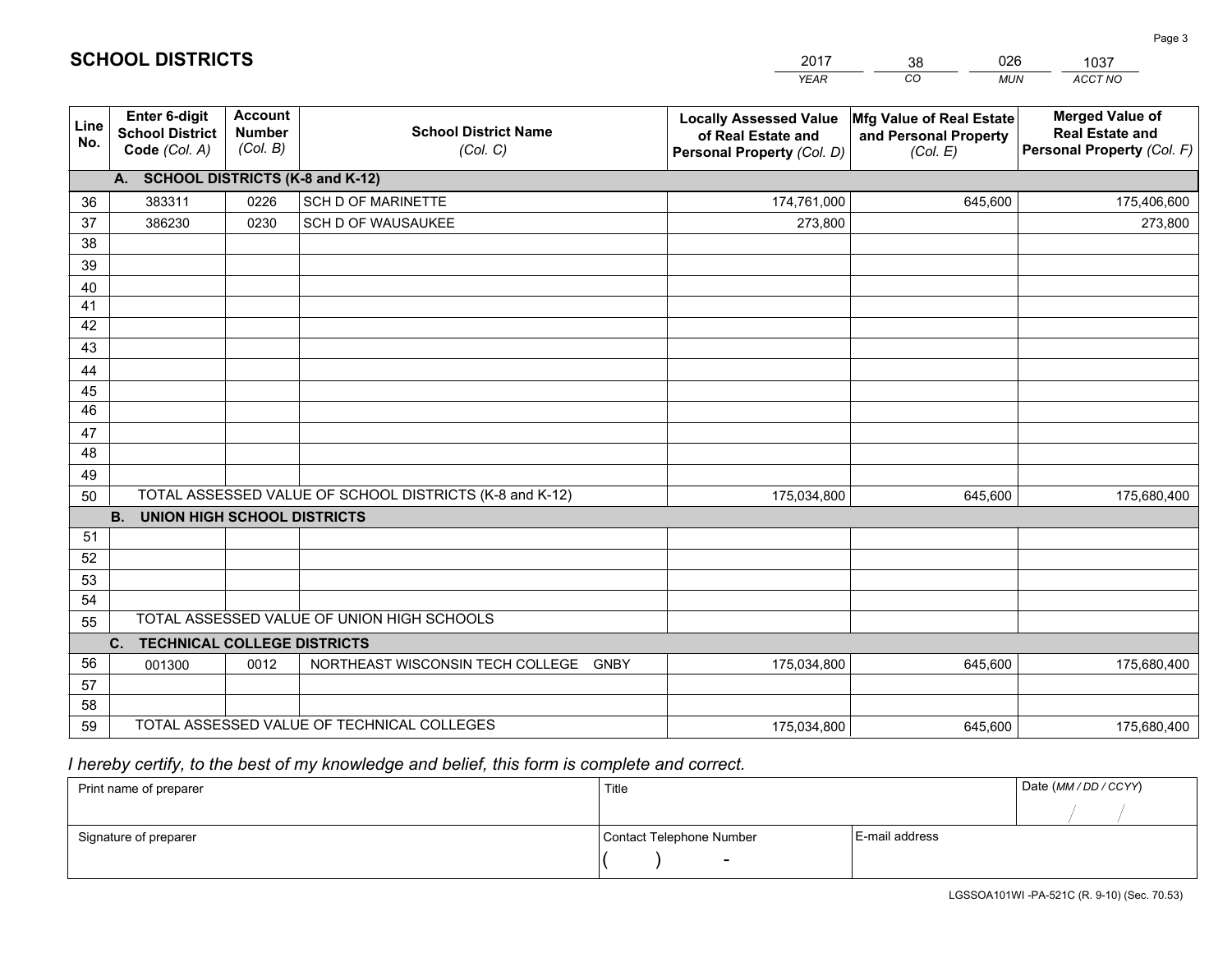|             |                                                                 |                                             |                                                         | <b>YEAR</b>                                                                       | CO<br><b>MUN</b>                                              | <b>ACCT NO</b>                                                                 |
|-------------|-----------------------------------------------------------------|---------------------------------------------|---------------------------------------------------------|-----------------------------------------------------------------------------------|---------------------------------------------------------------|--------------------------------------------------------------------------------|
| Line<br>No. | <b>Enter 6-digit</b><br><b>School District</b><br>Code (Col. A) | <b>Account</b><br><b>Number</b><br>(Col. B) | <b>School District Name</b><br>(Col. C)                 | <b>Locally Assessed Value</b><br>of Real Estate and<br>Personal Property (Col. D) | Mfg Value of Real Estate<br>and Personal Property<br>(Col. E) | <b>Merged Value of</b><br><b>Real Estate and</b><br>Personal Property (Col. F) |
|             | A. SCHOOL DISTRICTS (K-8 and K-12)                              |                                             |                                                         |                                                                                   |                                                               |                                                                                |
| 36          | 383311                                                          | 0226                                        | SCH D OF MARINETTE                                      | 174,761,000                                                                       | 645,600                                                       | 175,406,600                                                                    |
| 37          | 386230                                                          | 0230                                        | SCH D OF WAUSAUKEE                                      | 273,800                                                                           |                                                               | 273,800                                                                        |
| 38          |                                                                 |                                             |                                                         |                                                                                   |                                                               |                                                                                |
| 39          |                                                                 |                                             |                                                         |                                                                                   |                                                               |                                                                                |
| 40          |                                                                 |                                             |                                                         |                                                                                   |                                                               |                                                                                |
| 41          |                                                                 |                                             |                                                         |                                                                                   |                                                               |                                                                                |
| 42          |                                                                 |                                             |                                                         |                                                                                   |                                                               |                                                                                |
| 43          |                                                                 |                                             |                                                         |                                                                                   |                                                               |                                                                                |
| 44<br>45    |                                                                 |                                             |                                                         |                                                                                   |                                                               |                                                                                |
| 46          |                                                                 |                                             |                                                         |                                                                                   |                                                               |                                                                                |
| 47          |                                                                 |                                             |                                                         |                                                                                   |                                                               |                                                                                |
| 48          |                                                                 |                                             |                                                         |                                                                                   |                                                               |                                                                                |
| 49          |                                                                 |                                             |                                                         |                                                                                   |                                                               |                                                                                |
| 50          |                                                                 |                                             | TOTAL ASSESSED VALUE OF SCHOOL DISTRICTS (K-8 and K-12) | 175,034,800                                                                       | 645,600                                                       | 175,680,400                                                                    |
|             | <b>B.</b><br><b>UNION HIGH SCHOOL DISTRICTS</b>                 |                                             |                                                         |                                                                                   |                                                               |                                                                                |
| 51          |                                                                 |                                             |                                                         |                                                                                   |                                                               |                                                                                |
| 52          |                                                                 |                                             |                                                         |                                                                                   |                                                               |                                                                                |
| 53          |                                                                 |                                             |                                                         |                                                                                   |                                                               |                                                                                |
| 54          |                                                                 |                                             |                                                         |                                                                                   |                                                               |                                                                                |
| 55          |                                                                 |                                             | TOTAL ASSESSED VALUE OF UNION HIGH SCHOOLS              |                                                                                   |                                                               |                                                                                |
|             | C.<br><b>TECHNICAL COLLEGE DISTRICTS</b>                        |                                             |                                                         |                                                                                   |                                                               |                                                                                |
| 56          | 001300                                                          | 0012                                        | NORTHEAST WISCONSIN TECH COLLEGE<br><b>GNBY</b>         | 175,034,800                                                                       | 645,600                                                       | 175,680,400                                                                    |
| 57          |                                                                 |                                             |                                                         |                                                                                   |                                                               |                                                                                |
| 58<br>59    |                                                                 |                                             | TOTAL ASSESSED VALUE OF TECHNICAL COLLEGES              |                                                                                   |                                                               |                                                                                |
|             |                                                                 |                                             |                                                         | 175,034,800                                                                       | 645,600                                                       | 175,680,400                                                                    |

38

026

 *I hereby certify, to the best of my knowledge and belief, this form is complete and correct.*

**SCHOOL DISTRICTS**

| Print name of preparer | Title                    |                | Date (MM / DD / CCYY) |
|------------------------|--------------------------|----------------|-----------------------|
|                        |                          |                |                       |
| Signature of preparer  | Contact Telephone Number | E-mail address |                       |
|                        | $\sim$                   |                |                       |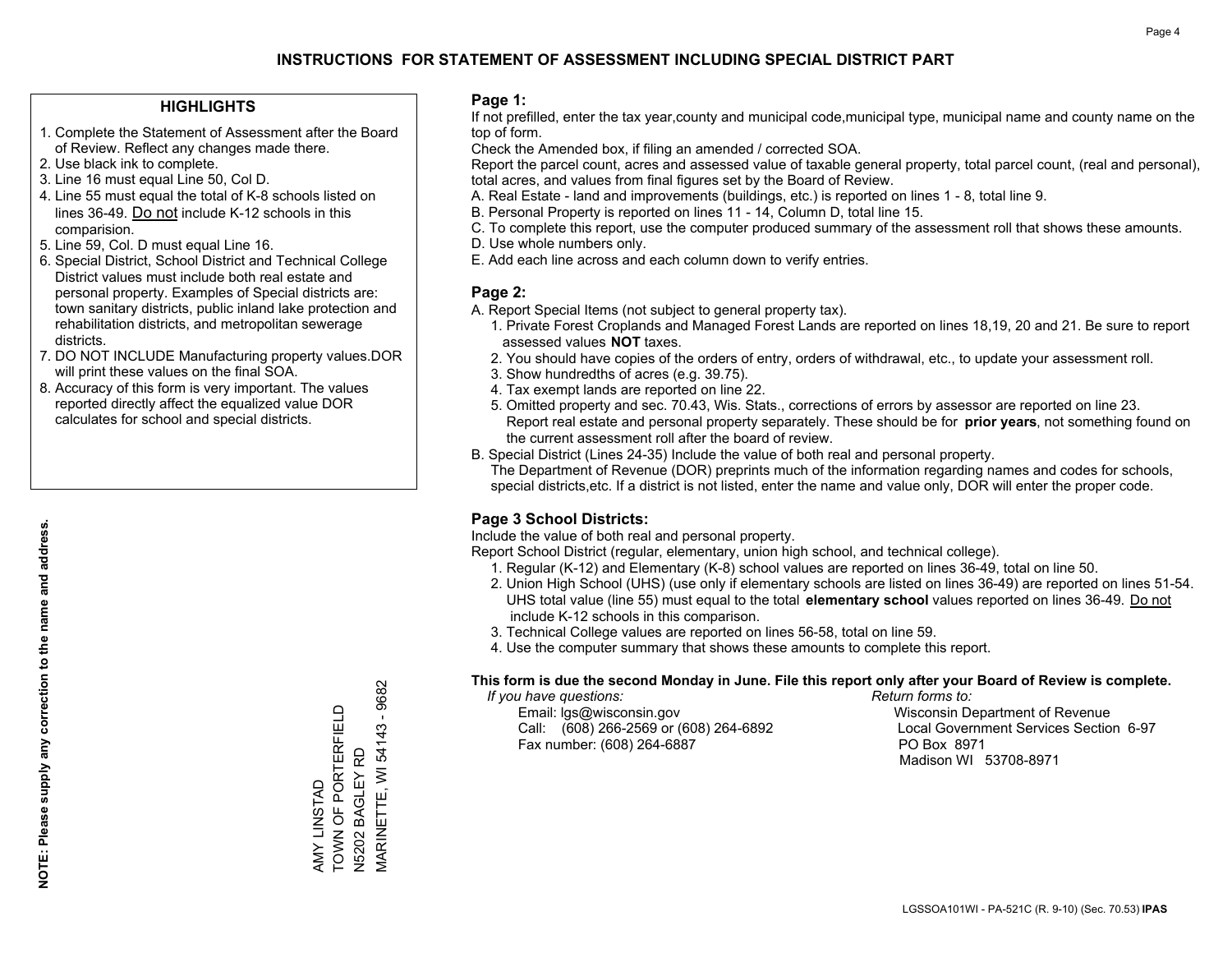#### **HIGHLIGHTS**

- 1. Complete the Statement of Assessment after the Board of Review. Reflect any changes made there.
- 2. Use black ink to complete.
- 3. Line 16 must equal Line 50, Col D.
- 4. Line 55 must equal the total of K-8 schools listed on lines 36-49. Do not include K-12 schools in this comparision.
- 5. Line 59, Col. D must equal Line 16.
- 6. Special District, School District and Technical College District values must include both real estate and personal property. Examples of Special districts are: town sanitary districts, public inland lake protection and rehabilitation districts, and metropolitan sewerage districts.
- 7. DO NOT INCLUDE Manufacturing property values.DOR will print these values on the final SOA.

AMY LINSTAD

AMY LINSTAD

TOWN OF PORTERFIELD

TOWN OF PORTERFIELD

N5202 BAGLEY RD

N5202 BAGLEY RD<br>MARINETTE, WI 54143

MARINETTE, WI 54143 - 9682

9682

 $\overline{\phantom{a}}$ 

 8. Accuracy of this form is very important. The values reported directly affect the equalized value DOR calculates for school and special districts.

#### **Page 1:**

 If not prefilled, enter the tax year,county and municipal code,municipal type, municipal name and county name on the top of form.

Check the Amended box, if filing an amended / corrected SOA.

 Report the parcel count, acres and assessed value of taxable general property, total parcel count, (real and personal), total acres, and values from final figures set by the Board of Review.

- A. Real Estate land and improvements (buildings, etc.) is reported on lines 1 8, total line 9.
- B. Personal Property is reported on lines 11 14, Column D, total line 15.
- C. To complete this report, use the computer produced summary of the assessment roll that shows these amounts.
- D. Use whole numbers only.
- E. Add each line across and each column down to verify entries.

#### **Page 2:**

- A. Report Special Items (not subject to general property tax).
- 1. Private Forest Croplands and Managed Forest Lands are reported on lines 18,19, 20 and 21. Be sure to report assessed values **NOT** taxes.
- 2. You should have copies of the orders of entry, orders of withdrawal, etc., to update your assessment roll.
	- 3. Show hundredths of acres (e.g. 39.75).
- 4. Tax exempt lands are reported on line 22.
- 5. Omitted property and sec. 70.43, Wis. Stats., corrections of errors by assessor are reported on line 23. Report real estate and personal property separately. These should be for **prior years**, not something found on the current assessment roll after the board of review.
- B. Special District (Lines 24-35) Include the value of both real and personal property.
- The Department of Revenue (DOR) preprints much of the information regarding names and codes for schools, special districts,etc. If a district is not listed, enter the name and value only, DOR will enter the proper code.

### **Page 3 School Districts:**

Include the value of both real and personal property.

Report School District (regular, elementary, union high school, and technical college).

- 1. Regular (K-12) and Elementary (K-8) school values are reported on lines 36-49, total on line 50.
- 2. Union High School (UHS) (use only if elementary schools are listed on lines 36-49) are reported on lines 51-54. UHS total value (line 55) must equal to the total **elementary school** values reported on lines 36-49. Do notinclude K-12 schools in this comparison.
- 3. Technical College values are reported on lines 56-58, total on line 59.
- 4. Use the computer summary that shows these amounts to complete this report.

#### **This form is due the second Monday in June. File this report only after your Board of Review is complete.**

 *If you have questions: Return forms to:*

 Email: lgs@wisconsin.gov Wisconsin Department of RevenueCall:  $(608)$  266-2569 or  $(608)$  264-6892 Fax number: (608) 264-6887 PO Box 8971

Local Government Services Section 6-97 Madison WI 53708-8971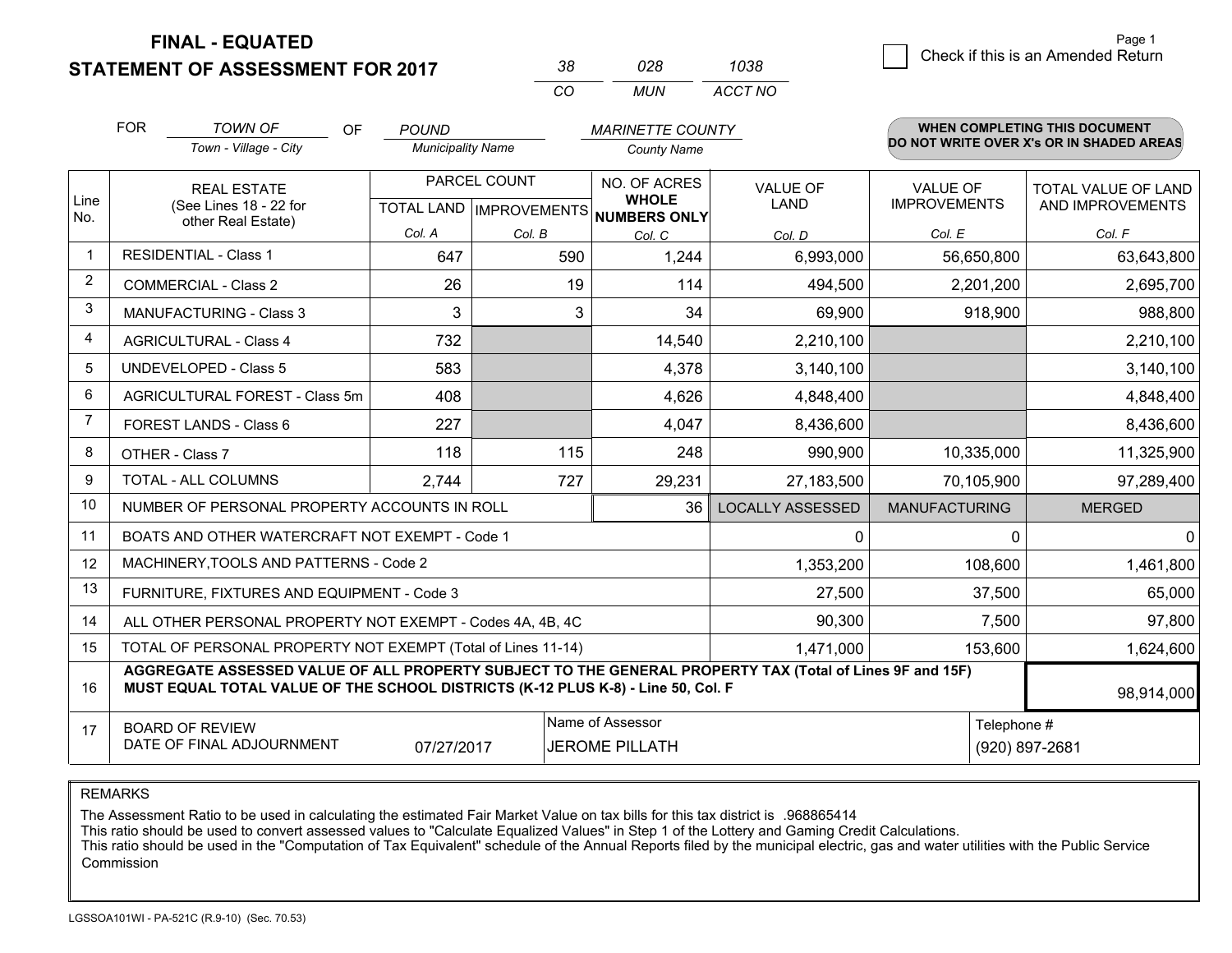**STATEMENT OF ASSESSMENT FOR 2017** 

| 38. | 028. | 1038    |
|-----|------|---------|
| CO. | MUN  | ACCT NO |

|             | <b>FOR</b>                                                                                                                                                                                   | <b>TOWN OF</b><br><b>OF</b>                                  | <b>POUND</b>             |              | <b>MARINETTE COUNTY</b>                                              |                                |                                        | WHEN COMPLETING THIS DOCUMENT            |
|-------------|----------------------------------------------------------------------------------------------------------------------------------------------------------------------------------------------|--------------------------------------------------------------|--------------------------|--------------|----------------------------------------------------------------------|--------------------------------|----------------------------------------|------------------------------------------|
|             |                                                                                                                                                                                              | Town - Village - City                                        | <b>Municipality Name</b> |              | <b>County Name</b>                                                   |                                |                                        | DO NOT WRITE OVER X's OR IN SHADED AREAS |
| Line<br>No. |                                                                                                                                                                                              | <b>REAL ESTATE</b><br>(See Lines 18 - 22 for                 |                          | PARCEL COUNT | NO. OF ACRES<br><b>WHOLE</b><br>TOTAL LAND IMPROVEMENTS NUMBERS ONLY | <b>VALUE OF</b><br><b>LAND</b> | <b>VALUE OF</b><br><b>IMPROVEMENTS</b> | TOTAL VALUE OF LAND<br>AND IMPROVEMENTS  |
|             |                                                                                                                                                                                              | other Real Estate)                                           | Col. A                   | Col. B       | Col. C                                                               | Col. D                         | Col. E                                 | Col. F                                   |
| -1          |                                                                                                                                                                                              | <b>RESIDENTIAL - Class 1</b>                                 | 647                      | 590          | 1,244                                                                | 6,993,000                      | 56,650,800                             | 63,643,800                               |
| 2           |                                                                                                                                                                                              | <b>COMMERCIAL - Class 2</b>                                  | 26                       | 19           | 114                                                                  | 494,500                        | 2,201,200                              | 2,695,700                                |
| 3           |                                                                                                                                                                                              | <b>MANUFACTURING - Class 3</b>                               | 3                        | 3            | 34                                                                   | 69,900                         | 918,900                                | 988,800                                  |
| 4           |                                                                                                                                                                                              | <b>AGRICULTURAL - Class 4</b>                                | 732                      |              | 14,540                                                               | 2,210,100                      |                                        | 2,210,100                                |
| 5           |                                                                                                                                                                                              | <b>UNDEVELOPED - Class 5</b>                                 | 583                      |              | 4,378                                                                | 3,140,100                      |                                        | 3,140,100                                |
| 6           | AGRICULTURAL FOREST - Class 5m                                                                                                                                                               |                                                              | 408                      |              | 4,626                                                                | 4,848,400                      |                                        | 4,848,400                                |
| 7           |                                                                                                                                                                                              | FOREST LANDS - Class 6                                       | 227                      |              | 4,047                                                                | 8,436,600                      |                                        | 8,436,600                                |
| 8           |                                                                                                                                                                                              | OTHER - Class 7                                              | 118                      | 115          | 248                                                                  | 990,900                        | 10,335,000                             | 11,325,900                               |
| 9           |                                                                                                                                                                                              | TOTAL - ALL COLUMNS                                          | 2,744                    | 727          | 29,231                                                               | 27,183,500                     | 70,105,900                             | 97,289,400                               |
| 10          |                                                                                                                                                                                              | NUMBER OF PERSONAL PROPERTY ACCOUNTS IN ROLL                 |                          |              | 36                                                                   | <b>LOCALLY ASSESSED</b>        | <b>MANUFACTURING</b>                   | <b>MERGED</b>                            |
| 11          |                                                                                                                                                                                              | BOATS AND OTHER WATERCRAFT NOT EXEMPT - Code 1               |                          |              |                                                                      | 0                              | 0                                      | $\mathbf 0$                              |
| 12          |                                                                                                                                                                                              | MACHINERY, TOOLS AND PATTERNS - Code 2                       |                          |              |                                                                      | 1,353,200                      | 108,600                                | 1,461,800                                |
| 13          |                                                                                                                                                                                              | FURNITURE, FIXTURES AND EQUIPMENT - Code 3                   |                          |              |                                                                      | 27,500                         | 37,500                                 | 65,000                                   |
| 14          |                                                                                                                                                                                              | ALL OTHER PERSONAL PROPERTY NOT EXEMPT - Codes 4A, 4B, 4C    |                          |              |                                                                      | 90,300                         | 7,500                                  | 97,800                                   |
| 15          |                                                                                                                                                                                              | TOTAL OF PERSONAL PROPERTY NOT EXEMPT (Total of Lines 11-14) |                          |              |                                                                      | 1,471,000                      | 153,600                                | 1,624,600                                |
| 16          | AGGREGATE ASSESSED VALUE OF ALL PROPERTY SUBJECT TO THE GENERAL PROPERTY TAX (Total of Lines 9F and 15F)<br>MUST EQUAL TOTAL VALUE OF THE SCHOOL DISTRICTS (K-12 PLUS K-8) - Line 50, Col. F |                                                              |                          |              |                                                                      |                                |                                        | 98,914,000                               |
| 17          | Name of Assessor<br>Telephone #<br><b>BOARD OF REVIEW</b><br>DATE OF FINAL ADJOURNMENT<br>07/27/2017<br><b>JEROME PILLATH</b>                                                                |                                                              |                          |              |                                                                      |                                | (920) 897-2681                         |                                          |

REMARKS

The Assessment Ratio to be used in calculating the estimated Fair Market Value on tax bills for this tax district is .968865414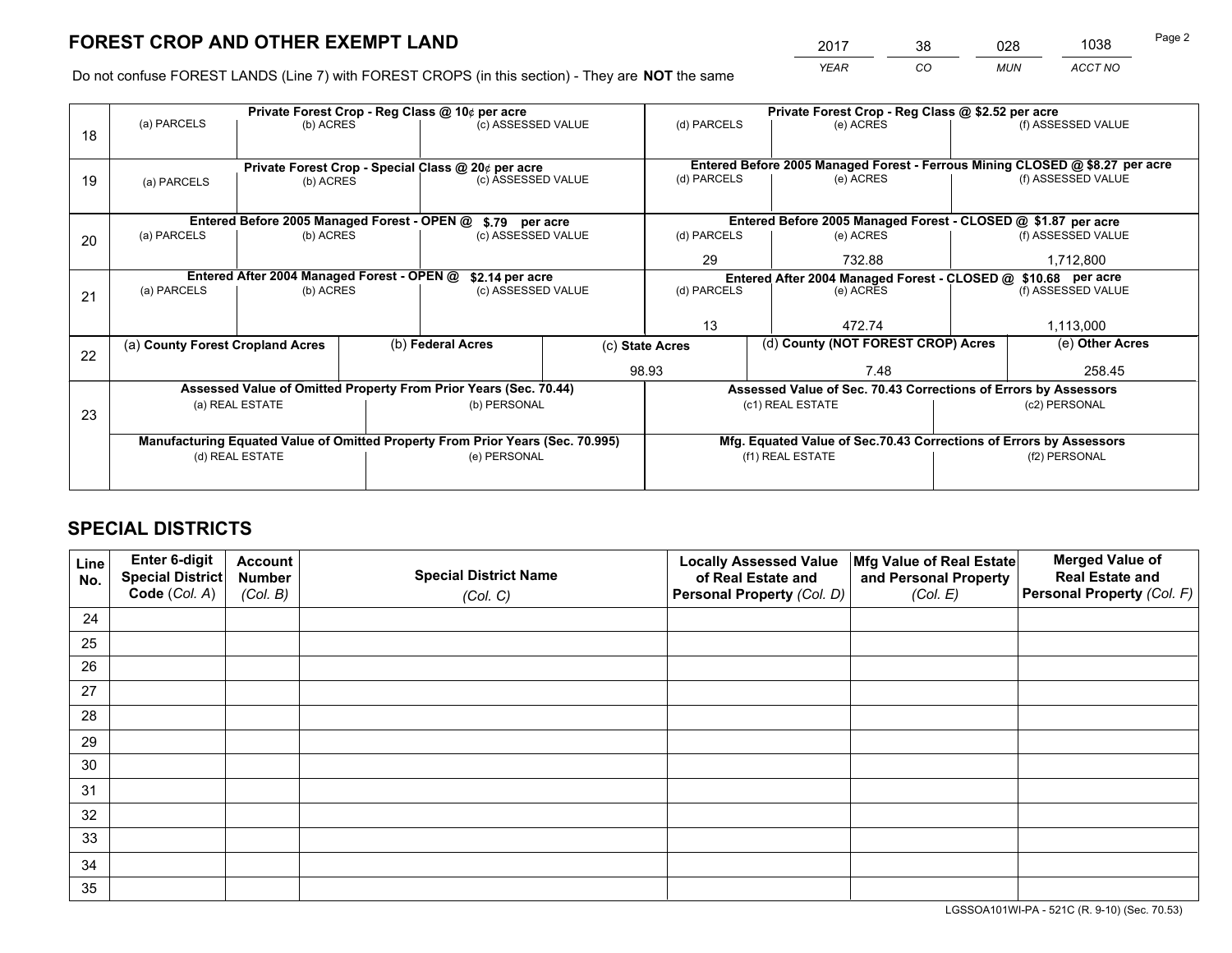*YEAR CO MUN ACCT NO* <sup>2017</sup> <sup>38</sup> <sup>028</sup> <sup>1038</sup>

Do not confuse FOREST LANDS (Line 7) with FOREST CROPS (in this section) - They are **NOT** the same

|    |                                                               |                                             |  | Private Forest Crop - Reg Class @ 10¢ per acre                                 |                 | Private Forest Crop - Reg Class @ \$2.52 per acre                            |                                                                    |  |                    |  |
|----|---------------------------------------------------------------|---------------------------------------------|--|--------------------------------------------------------------------------------|-----------------|------------------------------------------------------------------------------|--------------------------------------------------------------------|--|--------------------|--|
| 18 | (a) PARCELS                                                   | (b) ACRES                                   |  | (c) ASSESSED VALUE                                                             |                 | (d) PARCELS                                                                  | (e) ACRES                                                          |  | (f) ASSESSED VALUE |  |
|    |                                                               |                                             |  |                                                                                |                 |                                                                              |                                                                    |  |                    |  |
|    |                                                               |                                             |  | Private Forest Crop - Special Class @ 20¢ per acre                             |                 | Entered Before 2005 Managed Forest - Ferrous Mining CLOSED @ \$8.27 per acre |                                                                    |  |                    |  |
| 19 | (a) PARCELS                                                   | (b) ACRES                                   |  | (c) ASSESSED VALUE                                                             |                 | (d) PARCELS                                                                  | (e) ACRES                                                          |  | (f) ASSESSED VALUE |  |
|    |                                                               |                                             |  |                                                                                |                 |                                                                              |                                                                    |  |                    |  |
|    |                                                               | Entered Before 2005 Managed Forest - OPEN @ |  | \$.79 per acre                                                                 |                 |                                                                              | Entered Before 2005 Managed Forest - CLOSED @ \$1.87 per acre      |  |                    |  |
| 20 | (a) PARCELS                                                   | (b) ACRES                                   |  | (c) ASSESSED VALUE                                                             |                 | (d) PARCELS                                                                  | (e) ACRES                                                          |  | (f) ASSESSED VALUE |  |
|    |                                                               |                                             |  |                                                                                |                 | 29                                                                           | 732.88                                                             |  | 1,712,800          |  |
|    | Entered After 2004 Managed Forest - OPEN @<br>\$2.14 per acre |                                             |  |                                                                                |                 | Entered After 2004 Managed Forest - CLOSED @ \$10.68 per acre                |                                                                    |  |                    |  |
| 21 | (a) PARCELS                                                   | (b) ACRES                                   |  | (c) ASSESSED VALUE                                                             |                 | (d) PARCELS<br>(e) ACRES                                                     |                                                                    |  | (f) ASSESSED VALUE |  |
|    |                                                               |                                             |  |                                                                                |                 |                                                                              |                                                                    |  |                    |  |
|    |                                                               |                                             |  |                                                                                |                 | 13                                                                           | 472.74                                                             |  |                    |  |
| 22 | (a) County Forest Cropland Acres                              |                                             |  | (b) Federal Acres                                                              | (c) State Acres |                                                                              | (d) County (NOT FOREST CROP) Acres                                 |  | (e) Other Acres    |  |
|    |                                                               |                                             |  |                                                                                | 98.93           |                                                                              | 7.48                                                               |  | 258.45             |  |
|    |                                                               |                                             |  | Assessed Value of Omitted Property From Prior Years (Sec. 70.44)               |                 |                                                                              | Assessed Value of Sec. 70.43 Corrections of Errors by Assessors    |  |                    |  |
|    |                                                               | (a) REAL ESTATE                             |  | (b) PERSONAL                                                                   |                 |                                                                              | (c1) REAL ESTATE                                                   |  | (c2) PERSONAL      |  |
| 23 |                                                               |                                             |  |                                                                                |                 |                                                                              |                                                                    |  |                    |  |
|    |                                                               |                                             |  | Manufacturing Equated Value of Omitted Property From Prior Years (Sec. 70.995) |                 |                                                                              | Mfg. Equated Value of Sec.70.43 Corrections of Errors by Assessors |  |                    |  |
|    |                                                               | (d) REAL ESTATE                             |  | (e) PERSONAL                                                                   |                 | (f1) REAL ESTATE                                                             |                                                                    |  | (f2) PERSONAL      |  |
|    |                                                               |                                             |  |                                                                                |                 |                                                                              |                                                                    |  |                    |  |
|    |                                                               |                                             |  |                                                                                |                 |                                                                              |                                                                    |  |                    |  |

## **SPECIAL DISTRICTS**

| Line<br>No. | Enter 6-digit<br><b>Special District</b> | <b>Account</b><br><b>Number</b> | <b>Special District Name</b> | <b>Locally Assessed Value</b><br>of Real Estate and | Mfg Value of Real Estate<br>and Personal Property | <b>Merged Value of</b><br><b>Real Estate and</b> |
|-------------|------------------------------------------|---------------------------------|------------------------------|-----------------------------------------------------|---------------------------------------------------|--------------------------------------------------|
|             | Code (Col. A)                            | (Col. B)                        | (Col. C)                     | Personal Property (Col. D)                          | (Col. E)                                          | Personal Property (Col. F)                       |
| 24          |                                          |                                 |                              |                                                     |                                                   |                                                  |
| 25          |                                          |                                 |                              |                                                     |                                                   |                                                  |
| 26          |                                          |                                 |                              |                                                     |                                                   |                                                  |
| 27          |                                          |                                 |                              |                                                     |                                                   |                                                  |
| 28          |                                          |                                 |                              |                                                     |                                                   |                                                  |
| 29          |                                          |                                 |                              |                                                     |                                                   |                                                  |
| 30          |                                          |                                 |                              |                                                     |                                                   |                                                  |
| 31          |                                          |                                 |                              |                                                     |                                                   |                                                  |
| 32          |                                          |                                 |                              |                                                     |                                                   |                                                  |
| 33          |                                          |                                 |                              |                                                     |                                                   |                                                  |
| 34          |                                          |                                 |                              |                                                     |                                                   |                                                  |
| 35          |                                          |                                 |                              |                                                     |                                                   |                                                  |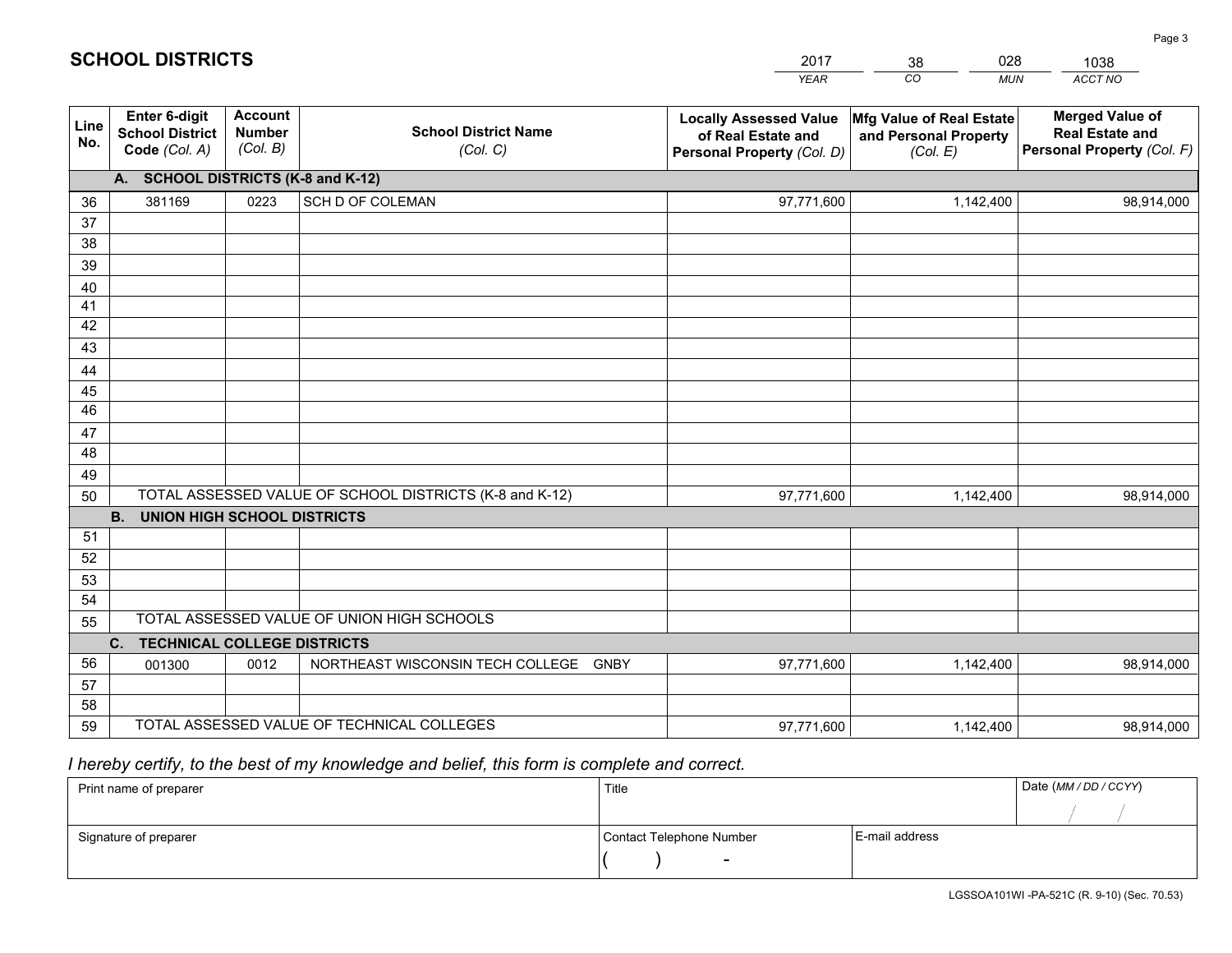|             |                                                                 |                                             |                                                         | <b>YEAR</b>                                                                       | CO<br><b>MUN</b>                                              | <b>ACCT NO</b>                                                                 |
|-------------|-----------------------------------------------------------------|---------------------------------------------|---------------------------------------------------------|-----------------------------------------------------------------------------------|---------------------------------------------------------------|--------------------------------------------------------------------------------|
| Line<br>No. | <b>Enter 6-digit</b><br><b>School District</b><br>Code (Col. A) | <b>Account</b><br><b>Number</b><br>(Col. B) | <b>School District Name</b><br>(Col. C)                 | <b>Locally Assessed Value</b><br>of Real Estate and<br>Personal Property (Col. D) | Mfg Value of Real Estate<br>and Personal Property<br>(Col. E) | <b>Merged Value of</b><br><b>Real Estate and</b><br>Personal Property (Col. F) |
|             | A. SCHOOL DISTRICTS (K-8 and K-12)                              |                                             |                                                         |                                                                                   |                                                               |                                                                                |
| 36          | 381169                                                          | 0223                                        | SCH D OF COLEMAN                                        | 97,771,600                                                                        | 1,142,400                                                     | 98,914,000                                                                     |
| 37          |                                                                 |                                             |                                                         |                                                                                   |                                                               |                                                                                |
| 38          |                                                                 |                                             |                                                         |                                                                                   |                                                               |                                                                                |
| 39          |                                                                 |                                             |                                                         |                                                                                   |                                                               |                                                                                |
| 40          |                                                                 |                                             |                                                         |                                                                                   |                                                               |                                                                                |
| 41<br>42    |                                                                 |                                             |                                                         |                                                                                   |                                                               |                                                                                |
| 43          |                                                                 |                                             |                                                         |                                                                                   |                                                               |                                                                                |
| 44          |                                                                 |                                             |                                                         |                                                                                   |                                                               |                                                                                |
| 45          |                                                                 |                                             |                                                         |                                                                                   |                                                               |                                                                                |
| 46          |                                                                 |                                             |                                                         |                                                                                   |                                                               |                                                                                |
| 47          |                                                                 |                                             |                                                         |                                                                                   |                                                               |                                                                                |
| 48          |                                                                 |                                             |                                                         |                                                                                   |                                                               |                                                                                |
| 49          |                                                                 |                                             |                                                         |                                                                                   |                                                               |                                                                                |
| 50          |                                                                 |                                             | TOTAL ASSESSED VALUE OF SCHOOL DISTRICTS (K-8 and K-12) | 97,771,600                                                                        | 1,142,400                                                     | 98,914,000                                                                     |
|             | <b>B.</b><br><b>UNION HIGH SCHOOL DISTRICTS</b>                 |                                             |                                                         |                                                                                   |                                                               |                                                                                |
| 51          |                                                                 |                                             |                                                         |                                                                                   |                                                               |                                                                                |
| 52          |                                                                 |                                             |                                                         |                                                                                   |                                                               |                                                                                |
| 53          |                                                                 |                                             |                                                         |                                                                                   |                                                               |                                                                                |
| 54          |                                                                 |                                             | TOTAL ASSESSED VALUE OF UNION HIGH SCHOOLS              |                                                                                   |                                                               |                                                                                |
| 55          |                                                                 |                                             |                                                         |                                                                                   |                                                               |                                                                                |
| 56          | C.<br><b>TECHNICAL COLLEGE DISTRICTS</b><br>001300              | 0012                                        | NORTHEAST WISCONSIN TECH COLLEGE<br><b>GNBY</b>         | 97,771,600                                                                        | 1,142,400                                                     | 98,914,000                                                                     |
| 57          |                                                                 |                                             |                                                         |                                                                                   |                                                               |                                                                                |
| 58          |                                                                 |                                             |                                                         |                                                                                   |                                                               |                                                                                |
| 59          |                                                                 |                                             | TOTAL ASSESSED VALUE OF TECHNICAL COLLEGES              | 97,771,600                                                                        | 1,142,400                                                     | 98,914,000                                                                     |

38

028

# *I hereby certify, to the best of my knowledge and belief, this form is complete and correct.*

**SCHOOL DISTRICTS**

| Print name of preparer | Title                    |                | Date (MM / DD / CCYY) |
|------------------------|--------------------------|----------------|-----------------------|
|                        |                          |                |                       |
| Signature of preparer  | Contact Telephone Number | E-mail address |                       |
|                        | $\overline{\phantom{0}}$ |                |                       |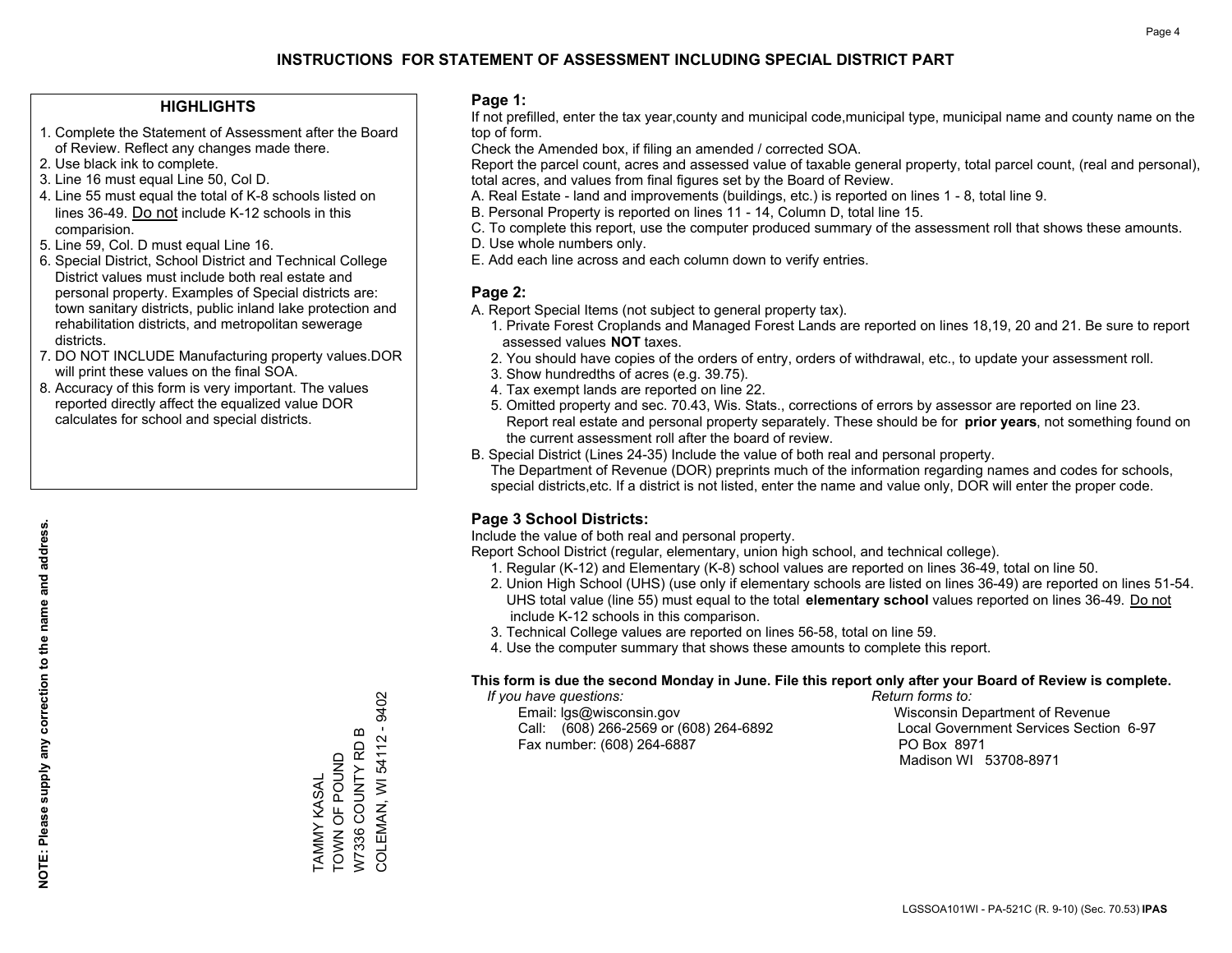#### **HIGHLIGHTS**

- 1. Complete the Statement of Assessment after the Board of Review. Reflect any changes made there.
- 2. Use black ink to complete.
- 3. Line 16 must equal Line 50, Col D.
- 4. Line 55 must equal the total of K-8 schools listed on lines 36-49. Do not include K-12 schools in this comparision.
- 5. Line 59, Col. D must equal Line 16.
- 6. Special District, School District and Technical College District values must include both real estate and personal property. Examples of Special districts are: town sanitary districts, public inland lake protection and rehabilitation districts, and metropolitan sewerage districts.
- 7. DO NOT INCLUDE Manufacturing property values.DOR will print these values on the final SOA.

TAMMY KASAL TOWN OF POUND W7336 COUNTY RD B COLEMAN, WI 54112 - 9402

COLEMAN, WI 54112 - 9402 W7336 COUNTY RD B TAMMY KASAL<br>TOWN OF POUND

 8. Accuracy of this form is very important. The values reported directly affect the equalized value DOR calculates for school and special districts.

#### **Page 1:**

 If not prefilled, enter the tax year,county and municipal code,municipal type, municipal name and county name on the top of form.

Check the Amended box, if filing an amended / corrected SOA.

 Report the parcel count, acres and assessed value of taxable general property, total parcel count, (real and personal), total acres, and values from final figures set by the Board of Review.

- A. Real Estate land and improvements (buildings, etc.) is reported on lines 1 8, total line 9.
- B. Personal Property is reported on lines 11 14, Column D, total line 15.
- C. To complete this report, use the computer produced summary of the assessment roll that shows these amounts.
- D. Use whole numbers only.
- E. Add each line across and each column down to verify entries.

#### **Page 2:**

- A. Report Special Items (not subject to general property tax).
- 1. Private Forest Croplands and Managed Forest Lands are reported on lines 18,19, 20 and 21. Be sure to report assessed values **NOT** taxes.
- 2. You should have copies of the orders of entry, orders of withdrawal, etc., to update your assessment roll.
	- 3. Show hundredths of acres (e.g. 39.75).
- 4. Tax exempt lands are reported on line 22.
- 5. Omitted property and sec. 70.43, Wis. Stats., corrections of errors by assessor are reported on line 23. Report real estate and personal property separately. These should be for **prior years**, not something found on the current assessment roll after the board of review.
- B. Special District (Lines 24-35) Include the value of both real and personal property.

 The Department of Revenue (DOR) preprints much of the information regarding names and codes for schools, special districts,etc. If a district is not listed, enter the name and value only, DOR will enter the proper code.

### **Page 3 School Districts:**

Include the value of both real and personal property.

Report School District (regular, elementary, union high school, and technical college).

- 1. Regular (K-12) and Elementary (K-8) school values are reported on lines 36-49, total on line 50.
- 2. Union High School (UHS) (use only if elementary schools are listed on lines 36-49) are reported on lines 51-54. UHS total value (line 55) must equal to the total **elementary school** values reported on lines 36-49. Do notinclude K-12 schools in this comparison.
- 3. Technical College values are reported on lines 56-58, total on line 59.
- 4. Use the computer summary that shows these amounts to complete this report.

#### **This form is due the second Monday in June. File this report only after your Board of Review is complete.**

 *If you have questions: Return forms to:*

 Email: lgs@wisconsin.gov Wisconsin Department of RevenueCall:  $(608)$  266-2569 or  $(608)$  264-6892 Fax number: (608) 264-6887 PO Box 8971

Local Government Services Section 6-97 Madison WI 53708-8971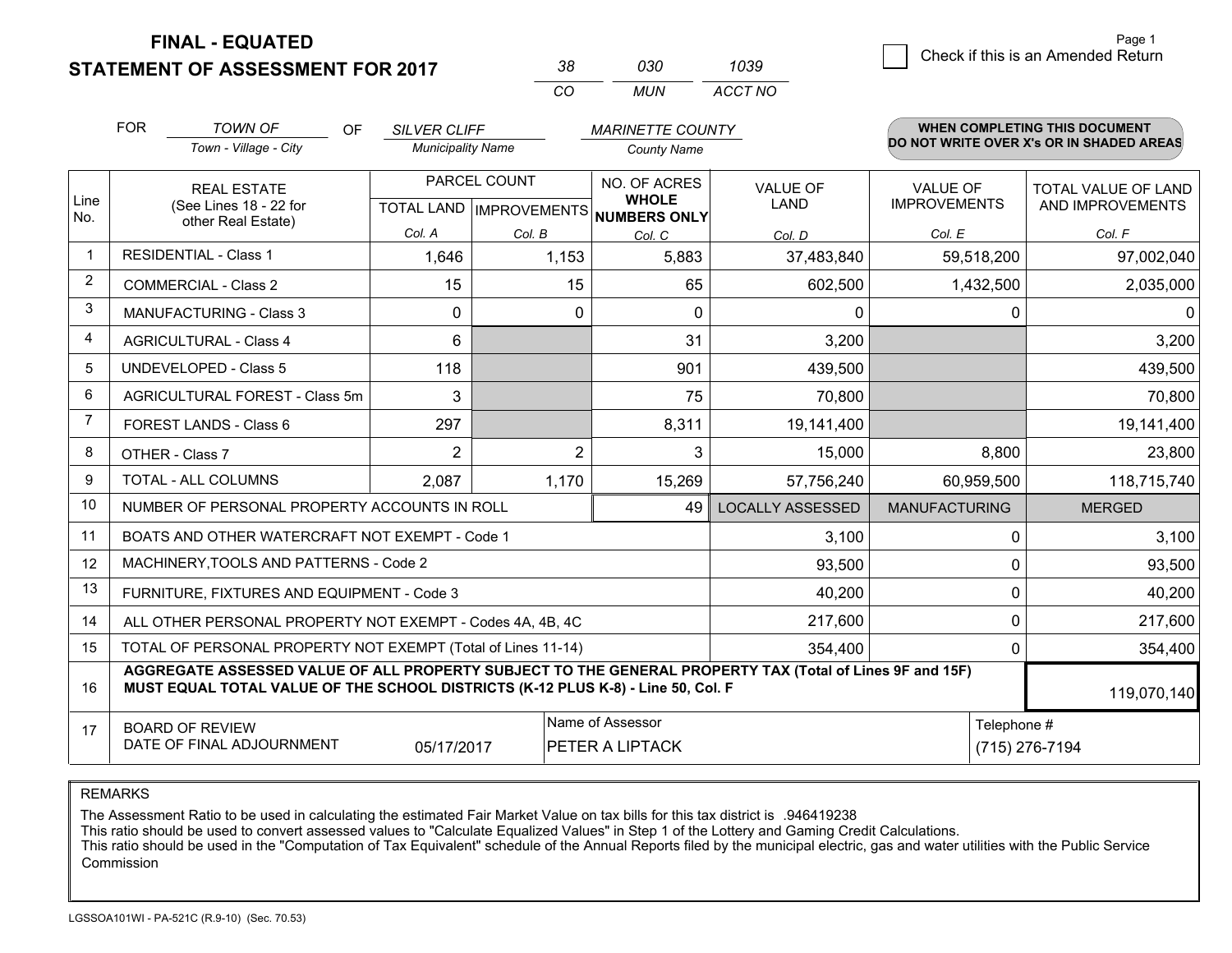**STATEMENT OF ASSESSMENT FOR 2017** 

| 38. | റദറ   | 1039    |
|-----|-------|---------|
| CO. | MI IN | ACCT NO |

|                | <b>FOR</b>                                                                                                                                                                                   | <b>TOWN OF</b><br>OF                                      | <b>SILVER CLIFF</b>      |                                          | <b>MARINETTE COUNTY</b>      |                         |                      | WHEN COMPLETING THIS DOCUMENT            |
|----------------|----------------------------------------------------------------------------------------------------------------------------------------------------------------------------------------------|-----------------------------------------------------------|--------------------------|------------------------------------------|------------------------------|-------------------------|----------------------|------------------------------------------|
|                |                                                                                                                                                                                              | Town - Village - City                                     | <b>Municipality Name</b> |                                          | <b>County Name</b>           |                         |                      | DO NOT WRITE OVER X's OR IN SHADED AREAS |
|                |                                                                                                                                                                                              | <b>REAL ESTATE</b>                                        |                          | PARCEL COUNT                             | NO. OF ACRES<br><b>WHOLE</b> | <b>VALUE OF</b>         | <b>VALUE OF</b>      | TOTAL VALUE OF LAND                      |
| Line<br>No.    | (See Lines 18 - 22 for<br>other Real Estate)                                                                                                                                                 |                                                           |                          | TOTAL LAND   IMPROVEMENTS   NUMBERS ONLY | LAND                         | <b>IMPROVEMENTS</b>     | AND IMPROVEMENTS     |                                          |
|                |                                                                                                                                                                                              |                                                           | Col. A                   | Col. B                                   | Col. C                       | Col. D                  | Col. E               | Col. F                                   |
|                |                                                                                                                                                                                              | <b>RESIDENTIAL - Class 1</b>                              | 1,646                    | 1,153                                    | 5,883                        | 37,483,840              | 59,518,200           | 97,002,040                               |
| $\overline{2}$ |                                                                                                                                                                                              | <b>COMMERCIAL - Class 2</b>                               | 15                       | 15                                       | 65                           | 602,500                 | 1,432,500            | 2,035,000                                |
| 3              |                                                                                                                                                                                              | <b>MANUFACTURING - Class 3</b>                            | $\Omega$                 | 0                                        | $\Omega$                     | 0                       |                      | $\Omega$<br>$\Omega$                     |
| $\overline{4}$ |                                                                                                                                                                                              | <b>AGRICULTURAL - Class 4</b>                             | 6                        |                                          | 31                           | 3,200                   |                      | 3,200                                    |
| 5              |                                                                                                                                                                                              | <b>UNDEVELOPED - Class 5</b>                              | 118                      |                                          | 901                          | 439,500                 |                      | 439,500                                  |
| 6              | AGRICULTURAL FOREST - Class 5m                                                                                                                                                               |                                                           | 3                        |                                          | 75                           | 70,800                  |                      | 70,800                                   |
| $\overline{7}$ |                                                                                                                                                                                              | FOREST LANDS - Class 6                                    | 297                      |                                          | 8,311                        | 19,141,400              |                      | 19,141,400                               |
| 8              |                                                                                                                                                                                              | OTHER - Class 7                                           | $\overline{2}$           | $\overline{2}$                           | 3                            | 15,000                  | 8,800                | 23,800                                   |
| 9              |                                                                                                                                                                                              | TOTAL - ALL COLUMNS                                       | 2,087                    | 1,170                                    | 15,269                       | 57,756,240              | 60,959,500           | 118,715,740                              |
| 10             |                                                                                                                                                                                              | NUMBER OF PERSONAL PROPERTY ACCOUNTS IN ROLL              |                          |                                          | 49                           | <b>LOCALLY ASSESSED</b> | <b>MANUFACTURING</b> | <b>MERGED</b>                            |
| 11             |                                                                                                                                                                                              | BOATS AND OTHER WATERCRAFT NOT EXEMPT - Code 1            |                          |                                          |                              | 3,100                   |                      | 3,100<br>$\Omega$                        |
| 12             |                                                                                                                                                                                              | MACHINERY, TOOLS AND PATTERNS - Code 2                    |                          |                                          |                              | 93,500                  |                      | $\mathbf 0$<br>93,500                    |
| 13             |                                                                                                                                                                                              | FURNITURE, FIXTURES AND EQUIPMENT - Code 3                |                          |                                          |                              | 40,200                  |                      | $\mathbf 0$<br>40,200                    |
| 14             |                                                                                                                                                                                              | ALL OTHER PERSONAL PROPERTY NOT EXEMPT - Codes 4A, 4B, 4C |                          |                                          |                              | 217,600                 |                      | $\mathbf 0$<br>217,600                   |
| 15             | TOTAL OF PERSONAL PROPERTY NOT EXEMPT (Total of Lines 11-14)                                                                                                                                 |                                                           |                          |                                          |                              |                         |                      | 354,400<br>$\mathbf 0$                   |
| 16             | AGGREGATE ASSESSED VALUE OF ALL PROPERTY SUBJECT TO THE GENERAL PROPERTY TAX (Total of Lines 9F and 15F)<br>MUST EQUAL TOTAL VALUE OF THE SCHOOL DISTRICTS (K-12 PLUS K-8) - Line 50, Col. F |                                                           |                          |                                          |                              |                         | 119,070,140          |                                          |
| 17             |                                                                                                                                                                                              | <b>BOARD OF REVIEW</b>                                    |                          |                                          | Name of Assessor             |                         |                      | Telephone #                              |
|                | DATE OF FINAL ADJOURNMENT<br>05/17/2017<br>PETER A LIPTACK                                                                                                                                   |                                                           |                          |                                          |                              |                         | (715) 276-7194       |                                          |

REMARKS

The Assessment Ratio to be used in calculating the estimated Fair Market Value on tax bills for this tax district is .946419238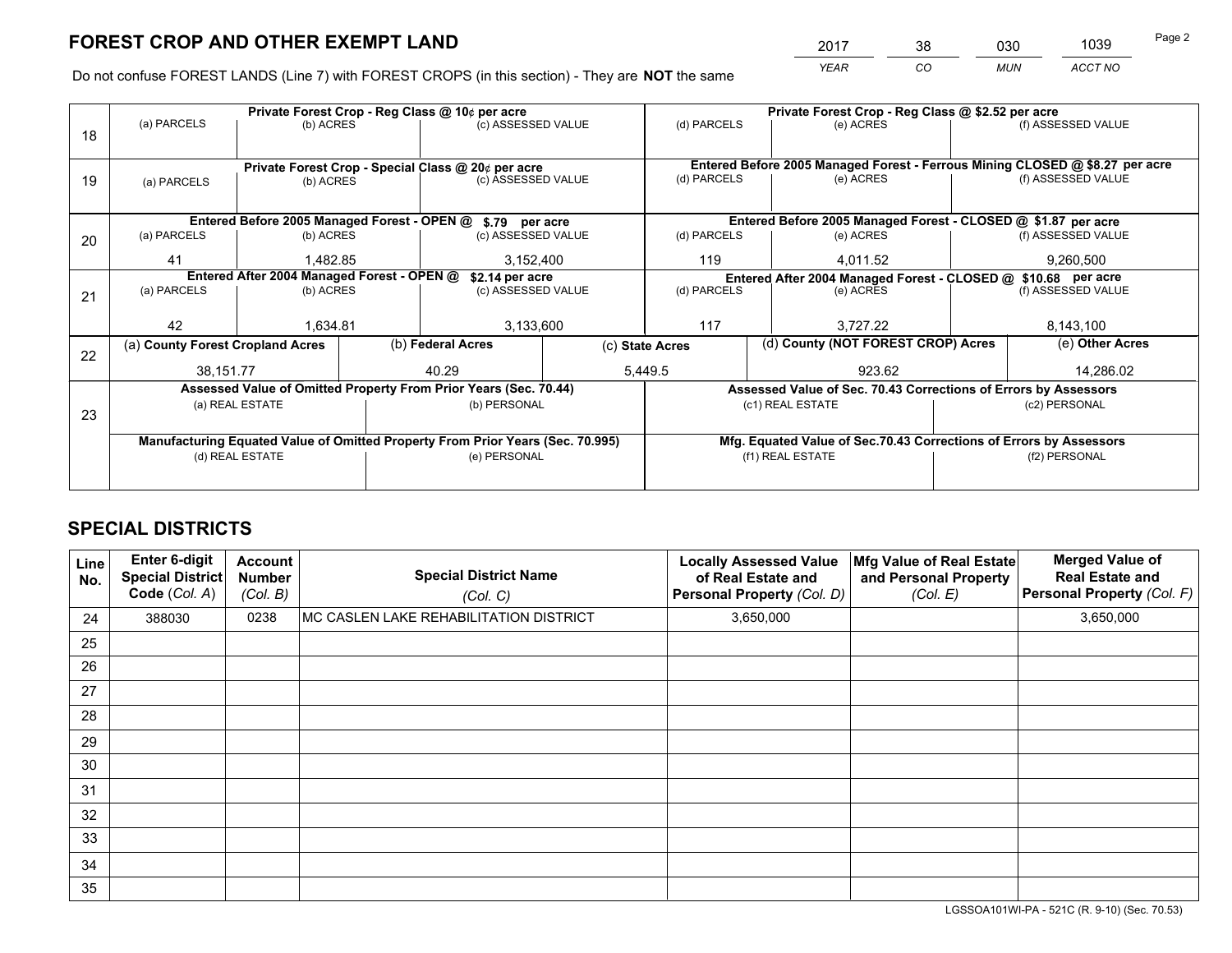*YEAR CO MUN ACCT NO* <sup>2017</sup> <sup>38</sup> <sup>030</sup> <sup>1039</sup>

Do not confuse FOREST LANDS (Line 7) with FOREST CROPS (in this section) - They are **NOT** the same

|    |                                                                                |                 |              | Private Forest Crop - Reg Class @ 10¢ per acre                   |                 | Private Forest Crop - Reg Class @ \$2.52 per acre             |                                                                              |                                                                    |               |                    |  |
|----|--------------------------------------------------------------------------------|-----------------|--------------|------------------------------------------------------------------|-----------------|---------------------------------------------------------------|------------------------------------------------------------------------------|--------------------------------------------------------------------|---------------|--------------------|--|
| 18 | (a) PARCELS                                                                    | (b) ACRES       |              | (c) ASSESSED VALUE                                               |                 | (d) PARCELS                                                   |                                                                              | (e) ACRES                                                          |               | (f) ASSESSED VALUE |  |
|    |                                                                                |                 |              |                                                                  |                 |                                                               |                                                                              |                                                                    |               |                    |  |
|    | Private Forest Crop - Special Class @ 20¢ per acre                             |                 |              |                                                                  |                 |                                                               | Entered Before 2005 Managed Forest - Ferrous Mining CLOSED @ \$8.27 per acre |                                                                    |               |                    |  |
| 19 | (a) PARCELS                                                                    | (b) ACRES       |              | (c) ASSESSED VALUE                                               |                 | (d) PARCELS                                                   |                                                                              | (e) ACRES                                                          |               | (f) ASSESSED VALUE |  |
|    |                                                                                |                 |              |                                                                  |                 |                                                               |                                                                              |                                                                    |               |                    |  |
|    |                                                                                |                 |              | Entered Before 2005 Managed Forest - OPEN @ \$.79 per acre       |                 |                                                               |                                                                              | Entered Before 2005 Managed Forest - CLOSED @ \$1.87 per acre      |               |                    |  |
| 20 | (a) PARCELS                                                                    | (b) ACRES       |              | (c) ASSESSED VALUE                                               |                 | (d) PARCELS                                                   |                                                                              | (e) ACRES                                                          |               | (f) ASSESSED VALUE |  |
|    | 41                                                                             | 1.482.85        |              | 3,152,400                                                        |                 | 119                                                           |                                                                              | 4.011.52                                                           |               | 9,260,500          |  |
|    | Entered After 2004 Managed Forest - OPEN @<br>\$2.14 per acre                  |                 |              |                                                                  |                 | Entered After 2004 Managed Forest - CLOSED @ \$10.68 per acre |                                                                              |                                                                    |               |                    |  |
| 21 | (a) PARCELS                                                                    | (b) ACRES       |              | (c) ASSESSED VALUE                                               |                 | (d) PARCELS<br>(e) ACRES                                      |                                                                              | (f) ASSESSED VALUE                                                 |               |                    |  |
|    |                                                                                |                 |              |                                                                  |                 |                                                               |                                                                              |                                                                    |               |                    |  |
|    | 42                                                                             | 1,634.81        |              | 3,133,600                                                        |                 | 117<br>3.727.22                                               |                                                                              |                                                                    | 8,143,100     |                    |  |
| 22 | (a) County Forest Cropland Acres                                               |                 |              | (b) Federal Acres                                                | (c) State Acres |                                                               |                                                                              | (d) County (NOT FOREST CROP) Acres                                 |               | (e) Other Acres    |  |
|    | 38,151.77                                                                      |                 |              | 40.29                                                            |                 | 5,449.5                                                       | 923.62                                                                       |                                                                    |               | 14,286.02          |  |
|    |                                                                                |                 |              | Assessed Value of Omitted Property From Prior Years (Sec. 70.44) |                 |                                                               |                                                                              | Assessed Value of Sec. 70.43 Corrections of Errors by Assessors    |               |                    |  |
| 23 |                                                                                | (a) REAL ESTATE |              | (b) PERSONAL                                                     |                 |                                                               |                                                                              | (c1) REAL ESTATE                                                   |               | (c2) PERSONAL      |  |
|    |                                                                                |                 |              |                                                                  |                 |                                                               |                                                                              |                                                                    |               |                    |  |
|    | Manufacturing Equated Value of Omitted Property From Prior Years (Sec. 70.995) |                 |              |                                                                  |                 |                                                               |                                                                              | Mfg. Equated Value of Sec.70.43 Corrections of Errors by Assessors |               |                    |  |
|    | (d) REAL ESTATE                                                                |                 | (e) PERSONAL |                                                                  |                 |                                                               | (f1) REAL ESTATE                                                             |                                                                    | (f2) PERSONAL |                    |  |
|    |                                                                                |                 |              |                                                                  |                 |                                                               |                                                                              |                                                                    |               |                    |  |

## **SPECIAL DISTRICTS**

| Line<br>No. | Enter 6-digit<br><b>Special District</b><br>Code (Col. A) | <b>Account</b><br><b>Number</b><br>(Col. B) | <b>Special District Name</b><br>(Col. C) | <b>Locally Assessed Value</b><br>of Real Estate and<br>Personal Property (Col. D) | Mfg Value of Real Estate<br>and Personal Property<br>(Col. E) | <b>Merged Value of</b><br><b>Real Estate and</b><br>Personal Property (Col. F) |
|-------------|-----------------------------------------------------------|---------------------------------------------|------------------------------------------|-----------------------------------------------------------------------------------|---------------------------------------------------------------|--------------------------------------------------------------------------------|
| 24          | 388030                                                    | 0238                                        | MC CASLEN LAKE REHABILITATION DISTRICT   | 3,650,000                                                                         |                                                               | 3,650,000                                                                      |
| 25          |                                                           |                                             |                                          |                                                                                   |                                                               |                                                                                |
| 26          |                                                           |                                             |                                          |                                                                                   |                                                               |                                                                                |
| 27          |                                                           |                                             |                                          |                                                                                   |                                                               |                                                                                |
| 28          |                                                           |                                             |                                          |                                                                                   |                                                               |                                                                                |
| 29          |                                                           |                                             |                                          |                                                                                   |                                                               |                                                                                |
| 30          |                                                           |                                             |                                          |                                                                                   |                                                               |                                                                                |
| 31          |                                                           |                                             |                                          |                                                                                   |                                                               |                                                                                |
| 32          |                                                           |                                             |                                          |                                                                                   |                                                               |                                                                                |
| 33          |                                                           |                                             |                                          |                                                                                   |                                                               |                                                                                |
| 34          |                                                           |                                             |                                          |                                                                                   |                                                               |                                                                                |
| 35          |                                                           |                                             |                                          |                                                                                   |                                                               |                                                                                |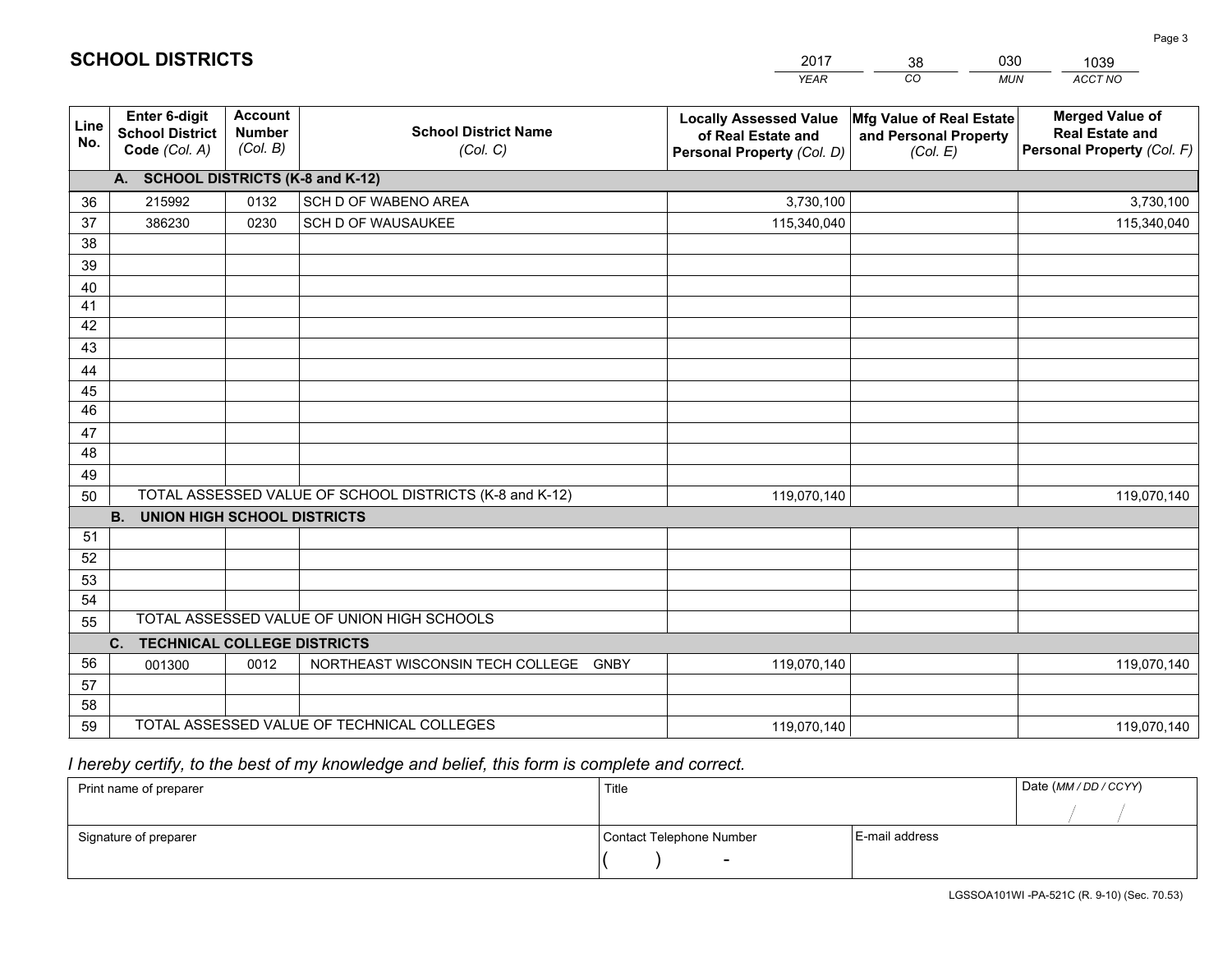|             |                                                          |                                             |                                                         | <b>YEAR</b>                                                                       | CO<br><b>MUN</b>                                              | ACCT NO                                                                        |
|-------------|----------------------------------------------------------|---------------------------------------------|---------------------------------------------------------|-----------------------------------------------------------------------------------|---------------------------------------------------------------|--------------------------------------------------------------------------------|
| Line<br>No. | Enter 6-digit<br><b>School District</b><br>Code (Col. A) | <b>Account</b><br><b>Number</b><br>(Col. B) | <b>School District Name</b><br>(Col. C)                 | <b>Locally Assessed Value</b><br>of Real Estate and<br>Personal Property (Col. D) | Mfg Value of Real Estate<br>and Personal Property<br>(Col. E) | <b>Merged Value of</b><br><b>Real Estate and</b><br>Personal Property (Col. F) |
|             | A. SCHOOL DISTRICTS (K-8 and K-12)                       |                                             |                                                         |                                                                                   |                                                               |                                                                                |
| 36          | 215992                                                   | 0132                                        | SCH D OF WABENO AREA                                    | 3,730,100                                                                         |                                                               | 3,730,100                                                                      |
| 37          | 386230                                                   | 0230                                        | SCH D OF WAUSAUKEE                                      | 115,340,040                                                                       |                                                               | 115,340,040                                                                    |
| 38          |                                                          |                                             |                                                         |                                                                                   |                                                               |                                                                                |
| 39          |                                                          |                                             |                                                         |                                                                                   |                                                               |                                                                                |
| 40          |                                                          |                                             |                                                         |                                                                                   |                                                               |                                                                                |
| 41          |                                                          |                                             |                                                         |                                                                                   |                                                               |                                                                                |
| 42          |                                                          |                                             |                                                         |                                                                                   |                                                               |                                                                                |
| 43          |                                                          |                                             |                                                         |                                                                                   |                                                               |                                                                                |
| 44          |                                                          |                                             |                                                         |                                                                                   |                                                               |                                                                                |
| 45<br>46    |                                                          |                                             |                                                         |                                                                                   |                                                               |                                                                                |
| 47          |                                                          |                                             |                                                         |                                                                                   |                                                               |                                                                                |
| 48          |                                                          |                                             |                                                         |                                                                                   |                                                               |                                                                                |
| 49          |                                                          |                                             |                                                         |                                                                                   |                                                               |                                                                                |
| 50          |                                                          |                                             | TOTAL ASSESSED VALUE OF SCHOOL DISTRICTS (K-8 and K-12) | 119,070,140                                                                       |                                                               | 119,070,140                                                                    |
|             | <b>UNION HIGH SCHOOL DISTRICTS</b><br>B.                 |                                             |                                                         |                                                                                   |                                                               |                                                                                |
| 51          |                                                          |                                             |                                                         |                                                                                   |                                                               |                                                                                |
| 52          |                                                          |                                             |                                                         |                                                                                   |                                                               |                                                                                |
| 53          |                                                          |                                             |                                                         |                                                                                   |                                                               |                                                                                |
| 54          |                                                          |                                             |                                                         |                                                                                   |                                                               |                                                                                |
| 55          |                                                          |                                             | TOTAL ASSESSED VALUE OF UNION HIGH SCHOOLS              |                                                                                   |                                                               |                                                                                |
|             | <b>TECHNICAL COLLEGE DISTRICTS</b><br>C.                 |                                             |                                                         |                                                                                   |                                                               |                                                                                |
| 56          | 001300                                                   | 0012                                        | NORTHEAST WISCONSIN TECH COLLEGE GNBY                   | 119,070,140                                                                       |                                                               | 119,070,140                                                                    |
| 57          |                                                          |                                             |                                                         |                                                                                   |                                                               |                                                                                |
| 58          |                                                          |                                             |                                                         |                                                                                   |                                                               |                                                                                |
| 59          |                                                          |                                             | TOTAL ASSESSED VALUE OF TECHNICAL COLLEGES              | 119,070,140                                                                       |                                                               | 119,070,140                                                                    |

38

030

# *I hereby certify, to the best of my knowledge and belief, this form is complete and correct.*

**SCHOOL DISTRICTS**

| Print name of preparer | Title                    |                | Date (MM / DD / CCYY) |
|------------------------|--------------------------|----------------|-----------------------|
|                        |                          |                |                       |
| Signature of preparer  | Contact Telephone Number | E-mail address |                       |
|                        | $\sim$                   |                |                       |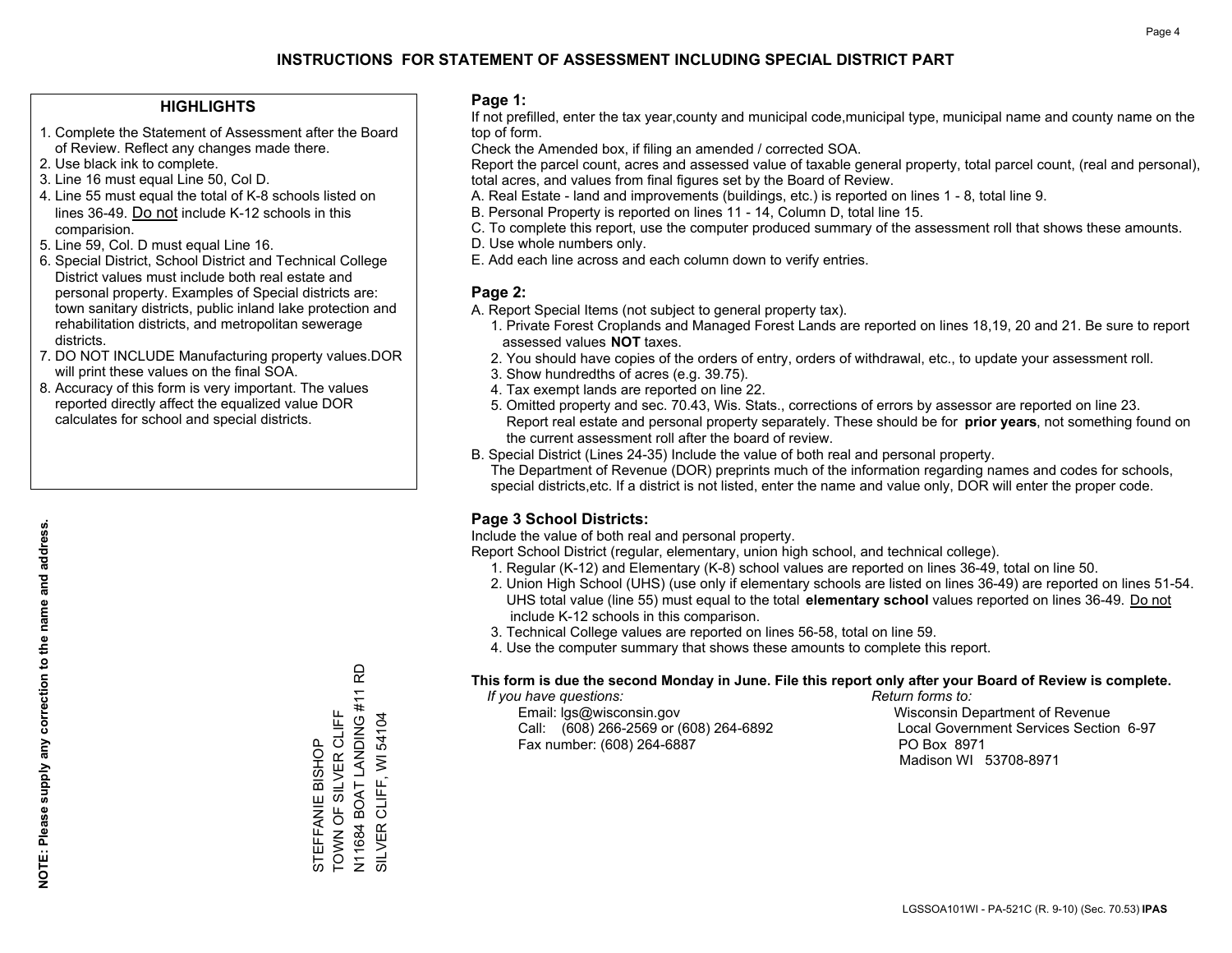#### **HIGHLIGHTS**

- 1. Complete the Statement of Assessment after the Board of Review. Reflect any changes made there.
- 2. Use black ink to complete.
- 3. Line 16 must equal Line 50, Col D.
- 4. Line 55 must equal the total of K-8 schools listed on lines 36-49. Do not include K-12 schools in this comparision.
- 5. Line 59, Col. D must equal Line 16.
- 6. Special District, School District and Technical College District values must include both real estate and personal property. Examples of Special districts are: town sanitary districts, public inland lake protection and rehabilitation districts, and metropolitan sewerage districts.
- 7. DO NOT INCLUDE Manufacturing property values.DOR will print these values on the final SOA.

STEFFANIE BISHOP TOWN OF SILVER CLIFF N11684 BOAT LANDING #11 RD

TOWN OF SILVER CLIFF STEFFANIE BISHOP

SILVER CLIFF, WI 54104

N11684 BOAT LANDING #11 I<br>SILVER CLIFF, WI 54104

윤

 8. Accuracy of this form is very important. The values reported directly affect the equalized value DOR calculates for school and special districts.

#### **Page 1:**

 If not prefilled, enter the tax year,county and municipal code,municipal type, municipal name and county name on the top of form.

Check the Amended box, if filing an amended / corrected SOA.

 Report the parcel count, acres and assessed value of taxable general property, total parcel count, (real and personal), total acres, and values from final figures set by the Board of Review.

- A. Real Estate land and improvements (buildings, etc.) is reported on lines 1 8, total line 9.
- B. Personal Property is reported on lines 11 14, Column D, total line 15.
- C. To complete this report, use the computer produced summary of the assessment roll that shows these amounts.
- D. Use whole numbers only.
- E. Add each line across and each column down to verify entries.

#### **Page 2:**

- A. Report Special Items (not subject to general property tax).
- 1. Private Forest Croplands and Managed Forest Lands are reported on lines 18,19, 20 and 21. Be sure to report assessed values **NOT** taxes.
- 2. You should have copies of the orders of entry, orders of withdrawal, etc., to update your assessment roll.
	- 3. Show hundredths of acres (e.g. 39.75).
- 4. Tax exempt lands are reported on line 22.
- 5. Omitted property and sec. 70.43, Wis. Stats., corrections of errors by assessor are reported on line 23. Report real estate and personal property separately. These should be for **prior years**, not something found on the current assessment roll after the board of review.
- B. Special District (Lines 24-35) Include the value of both real and personal property.
- The Department of Revenue (DOR) preprints much of the information regarding names and codes for schools, special districts,etc. If a district is not listed, enter the name and value only, DOR will enter the proper code.

### **Page 3 School Districts:**

Include the value of both real and personal property.

Report School District (regular, elementary, union high school, and technical college).

- 1. Regular (K-12) and Elementary (K-8) school values are reported on lines 36-49, total on line 50.
- 2. Union High School (UHS) (use only if elementary schools are listed on lines 36-49) are reported on lines 51-54. UHS total value (line 55) must equal to the total **elementary school** values reported on lines 36-49. Do notinclude K-12 schools in this comparison.
- 3. Technical College values are reported on lines 56-58, total on line 59.
- 4. Use the computer summary that shows these amounts to complete this report.

#### **This form is due the second Monday in June. File this report only after your Board of Review is complete.**

 *If you have questions: Return forms to:*

 Email: lgs@wisconsin.gov Wisconsin Department of RevenueCall:  $(608)$  266-2569 or  $(608)$  264-6892 Fax number: (608) 264-6887 PO Box 8971

Local Government Services Section 6-97 Madison WI 53708-8971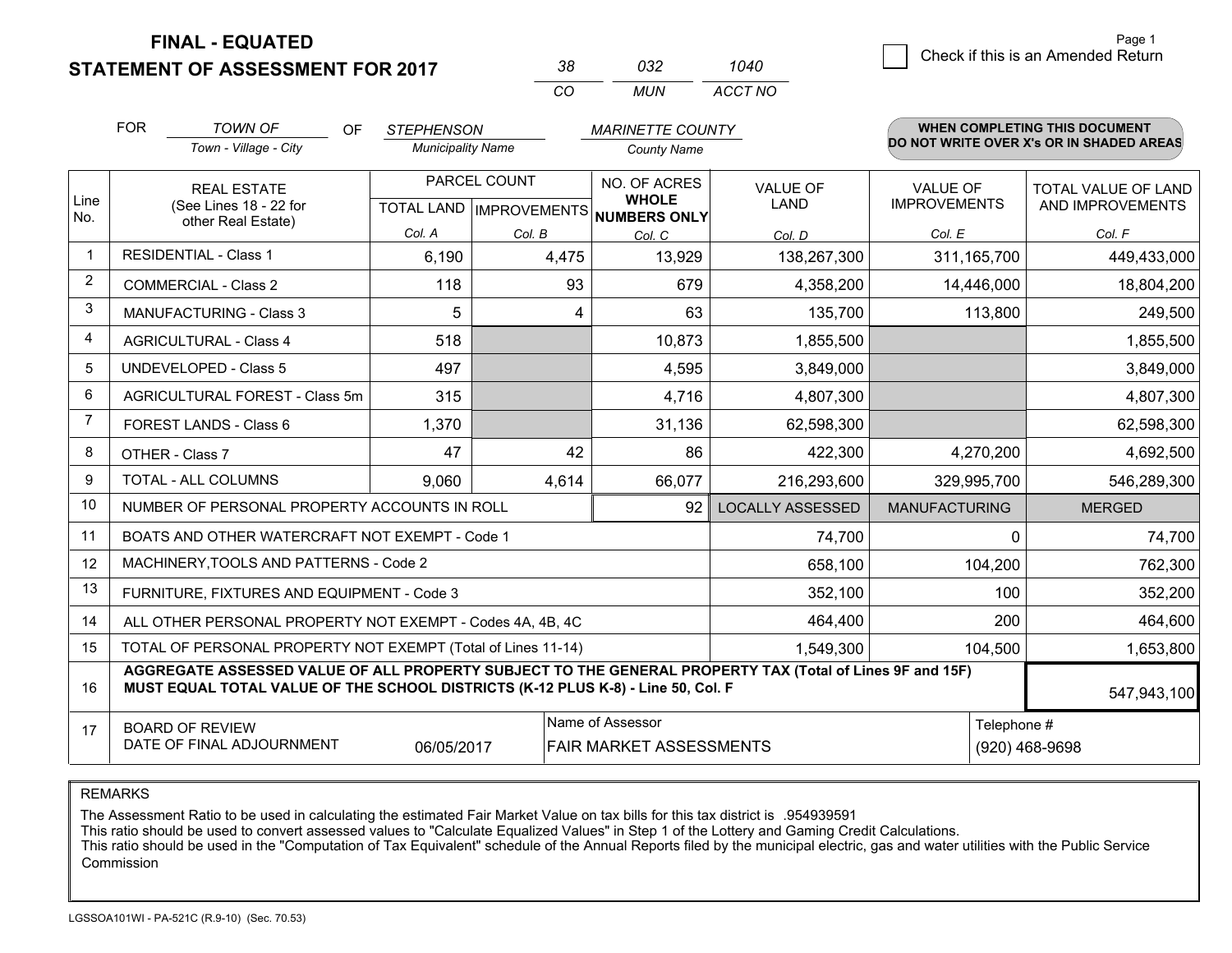**STATEMENT OF ASSESSMENT FOR 2017** 

| 38. | 032   | 1040    |
|-----|-------|---------|
| CO. | MI IN | ACCT NO |

|                | <b>FOR</b><br><b>TOWN OF</b><br><b>OF</b><br><b>STEPHENSON</b>                                                                                                                               |                                                              | <b>MARINETTE COUNTY</b>  |              |                                                                      | WHEN COMPLETING THIS DOCUMENT<br>DO NOT WRITE OVER X's OR IN SHADED AREAS |                                        |                                         |
|----------------|----------------------------------------------------------------------------------------------------------------------------------------------------------------------------------------------|--------------------------------------------------------------|--------------------------|--------------|----------------------------------------------------------------------|---------------------------------------------------------------------------|----------------------------------------|-----------------------------------------|
|                |                                                                                                                                                                                              | Town - Village - City                                        | <b>Municipality Name</b> |              | <b>County Name</b>                                                   |                                                                           |                                        |                                         |
| Line<br>No.    | <b>REAL ESTATE</b><br>(See Lines 18 - 22 for                                                                                                                                                 |                                                              |                          | PARCEL COUNT | NO. OF ACRES<br><b>WHOLE</b><br>TOTAL LAND IMPROVEMENTS NUMBERS ONLY | <b>VALUE OF</b><br><b>LAND</b>                                            | <b>VALUE OF</b><br><b>IMPROVEMENTS</b> | TOTAL VALUE OF LAND<br>AND IMPROVEMENTS |
|                |                                                                                                                                                                                              | other Real Estate)                                           | Col. A                   | Col. B       | Col. C                                                               | Col. D                                                                    | Col. E                                 | Col. F                                  |
| -1             |                                                                                                                                                                                              | <b>RESIDENTIAL - Class 1</b>                                 | 6,190                    | 4,475        | 13,929                                                               | 138,267,300                                                               | 311,165,700                            | 449,433,000                             |
| 2              |                                                                                                                                                                                              | <b>COMMERCIAL - Class 2</b>                                  | 118                      | 93           | 679                                                                  | 4,358,200                                                                 | 14,446,000                             | 18,804,200                              |
| 3              |                                                                                                                                                                                              | <b>MANUFACTURING - Class 3</b>                               | 5                        | 4            | 63                                                                   | 135,700                                                                   | 113,800                                | 249,500                                 |
| 4              |                                                                                                                                                                                              | <b>AGRICULTURAL - Class 4</b>                                | 518                      |              | 10,873                                                               | 1,855,500                                                                 |                                        | 1,855,500                               |
| 5              |                                                                                                                                                                                              | UNDEVELOPED - Class 5                                        | 497                      |              | 4,595                                                                | 3,849,000                                                                 |                                        | 3,849,000                               |
| 6              | AGRICULTURAL FOREST - Class 5m                                                                                                                                                               |                                                              | 315                      |              | 4,716                                                                | 4,807,300                                                                 |                                        | 4,807,300                               |
| $\overline{7}$ |                                                                                                                                                                                              | FOREST LANDS - Class 6                                       | 1,370                    |              | 31,136                                                               | 62,598,300                                                                |                                        | 62,598,300                              |
| 8              |                                                                                                                                                                                              | OTHER - Class 7                                              | 47                       | 42           | 86                                                                   | 422,300                                                                   | 4,270,200                              | 4,692,500                               |
| 9              |                                                                                                                                                                                              | TOTAL - ALL COLUMNS                                          | 9,060                    | 4,614        | 66,077                                                               | 216,293,600                                                               | 329,995,700                            | 546,289,300                             |
| 10             |                                                                                                                                                                                              | NUMBER OF PERSONAL PROPERTY ACCOUNTS IN ROLL                 |                          |              | 92                                                                   | <b>LOCALLY ASSESSED</b>                                                   | <b>MANUFACTURING</b>                   | <b>MERGED</b>                           |
| 11             |                                                                                                                                                                                              | BOATS AND OTHER WATERCRAFT NOT EXEMPT - Code 1               |                          |              |                                                                      | 74,700                                                                    | 0                                      | 74,700                                  |
| 12             |                                                                                                                                                                                              | MACHINERY, TOOLS AND PATTERNS - Code 2                       |                          |              |                                                                      | 658,100                                                                   | 104,200                                | 762,300                                 |
| 13             |                                                                                                                                                                                              | FURNITURE, FIXTURES AND EQUIPMENT - Code 3                   |                          |              |                                                                      | 352,100                                                                   | 100                                    | 352,200                                 |
| 14             |                                                                                                                                                                                              | ALL OTHER PERSONAL PROPERTY NOT EXEMPT - Codes 4A, 4B, 4C    |                          |              |                                                                      | 464,400                                                                   | 200                                    | 464,600                                 |
| 15             |                                                                                                                                                                                              | TOTAL OF PERSONAL PROPERTY NOT EXEMPT (Total of Lines 11-14) |                          |              |                                                                      | 1,549,300                                                                 | 104,500                                | 1,653,800                               |
| 16             | AGGREGATE ASSESSED VALUE OF ALL PROPERTY SUBJECT TO THE GENERAL PROPERTY TAX (Total of Lines 9F and 15F)<br>MUST EQUAL TOTAL VALUE OF THE SCHOOL DISTRICTS (K-12 PLUS K-8) - Line 50, Col. F |                                                              |                          |              |                                                                      |                                                                           |                                        | 547,943,100                             |
| 17             | Name of Assessor<br><b>BOARD OF REVIEW</b><br>DATE OF FINAL ADJOURNMENT<br>06/05/2017<br>FAIR MARKET ASSESSMENTS                                                                             |                                                              |                          |              |                                                                      |                                                                           | Telephone #                            | (920) 468-9698                          |

REMARKS

The Assessment Ratio to be used in calculating the estimated Fair Market Value on tax bills for this tax district is .954939591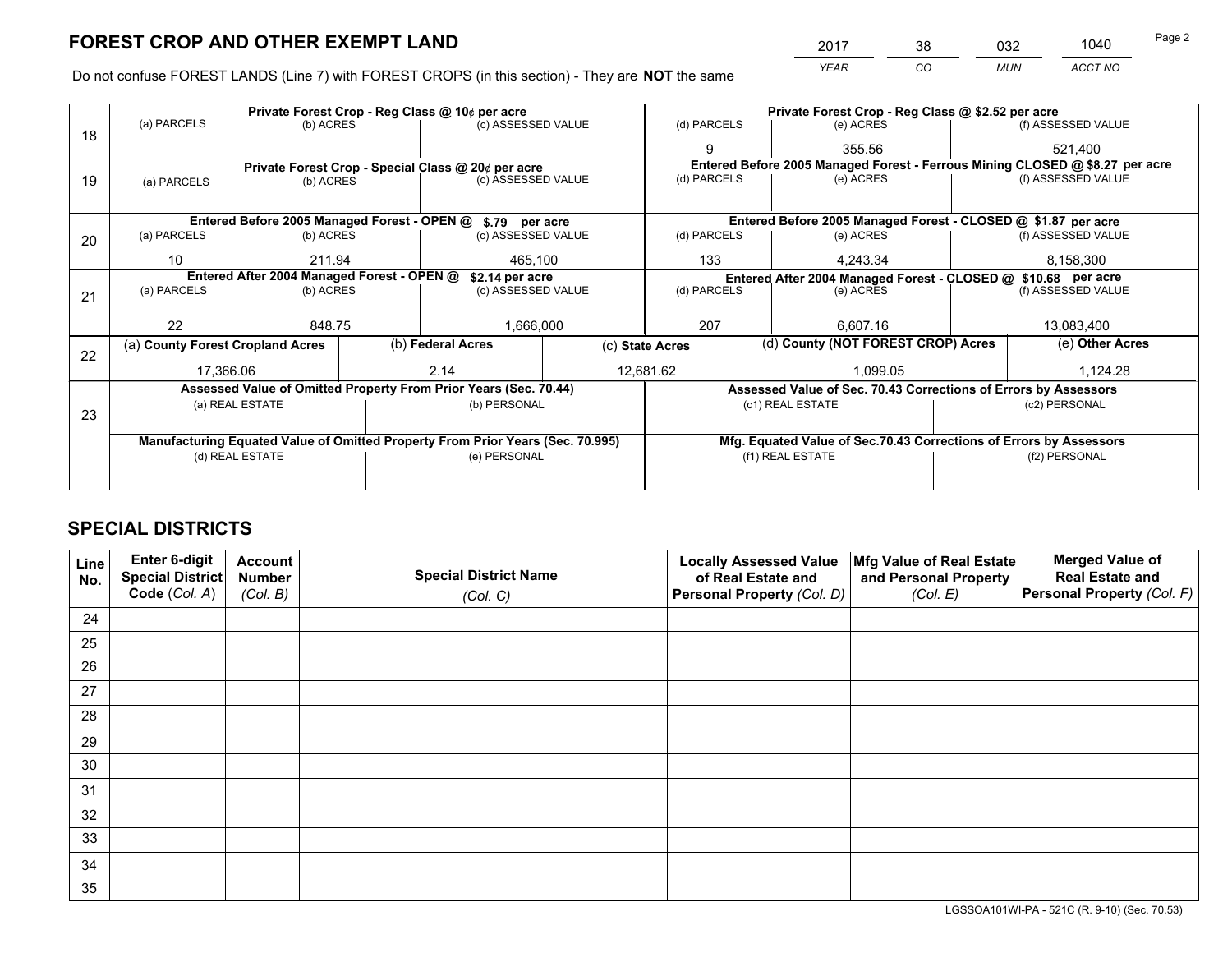*YEAR CO MUN ACCT NO* <sup>2017</sup> <sup>38</sup> <sup>032</sup> <sup>1040</sup>

Do not confuse FOREST LANDS (Line 7) with FOREST CROPS (in this section) - They are **NOT** the same

|    |                                                                                | Private Forest Crop - Reg Class @ 10¢ per acre                   |                   |                    |  | Private Forest Crop - Reg Class @ \$2.52 per acre             |                                                                              |                                                                    |                 |                    |
|----|--------------------------------------------------------------------------------|------------------------------------------------------------------|-------------------|--------------------|--|---------------------------------------------------------------|------------------------------------------------------------------------------|--------------------------------------------------------------------|-----------------|--------------------|
| 18 | (a) PARCELS                                                                    | (b) ACRES                                                        |                   | (c) ASSESSED VALUE |  | (d) PARCELS                                                   |                                                                              | (e) ACRES                                                          |                 | (f) ASSESSED VALUE |
|    |                                                                                |                                                                  |                   |                    |  | 9                                                             |                                                                              | 355.56                                                             |                 | 521,400            |
|    |                                                                                | Private Forest Crop - Special Class @ 20¢ per acre               |                   |                    |  |                                                               | Entered Before 2005 Managed Forest - Ferrous Mining CLOSED @ \$8.27 per acre |                                                                    |                 |                    |
| 19 | (a) PARCELS                                                                    | (b) ACRES                                                        |                   | (c) ASSESSED VALUE |  | (d) PARCELS                                                   |                                                                              | (e) ACRES                                                          |                 | (f) ASSESSED VALUE |
|    |                                                                                |                                                                  |                   |                    |  |                                                               |                                                                              |                                                                    |                 |                    |
|    |                                                                                | Entered Before 2005 Managed Forest - OPEN @ \$.79 per acre       |                   |                    |  |                                                               |                                                                              | Entered Before 2005 Managed Forest - CLOSED @ \$1.87 per acre      |                 |                    |
| 20 | (a) PARCELS                                                                    | (b) ACRES                                                        |                   | (c) ASSESSED VALUE |  | (d) PARCELS                                                   |                                                                              | (e) ACRES                                                          |                 | (f) ASSESSED VALUE |
|    | 10                                                                             | 211.94                                                           |                   | 465.100            |  | 133                                                           | 4.243.34                                                                     |                                                                    | 8,158,300       |                    |
|    | Entered After 2004 Managed Forest - OPEN @<br>\$2.14 per acre                  |                                                                  |                   |                    |  | Entered After 2004 Managed Forest - CLOSED @ \$10.68 per acre |                                                                              |                                                                    |                 |                    |
| 21 | (a) PARCELS                                                                    | (b) ACRES                                                        |                   | (c) ASSESSED VALUE |  | (d) PARCELS                                                   |                                                                              | (e) ACRES                                                          |                 | (f) ASSESSED VALUE |
|    |                                                                                |                                                                  |                   |                    |  |                                                               |                                                                              |                                                                    |                 |                    |
|    | 22                                                                             | 848.75                                                           |                   | 1,666,000          |  | 207<br>6,607.16                                               |                                                                              |                                                                    | 13,083,400      |                    |
| 22 | (a) County Forest Cropland Acres                                               |                                                                  | (b) Federal Acres |                    |  | (d) County (NOT FOREST CROP) Acres<br>(c) State Acres         |                                                                              |                                                                    | (e) Other Acres |                    |
|    | 17,366.06                                                                      |                                                                  | 2.14              |                    |  | 12,681.62                                                     |                                                                              | 1,099.05                                                           |                 | 1,124.28           |
|    |                                                                                | Assessed Value of Omitted Property From Prior Years (Sec. 70.44) |                   |                    |  |                                                               |                                                                              | Assessed Value of Sec. 70.43 Corrections of Errors by Assessors    |                 |                    |
|    |                                                                                | (a) REAL ESTATE                                                  |                   | (b) PERSONAL       |  |                                                               |                                                                              | (c1) REAL ESTATE                                                   |                 | (c2) PERSONAL      |
| 23 |                                                                                |                                                                  |                   |                    |  |                                                               |                                                                              |                                                                    |                 |                    |
|    | Manufacturing Equated Value of Omitted Property From Prior Years (Sec. 70.995) |                                                                  |                   |                    |  |                                                               |                                                                              | Mfg. Equated Value of Sec.70.43 Corrections of Errors by Assessors |                 |                    |
|    |                                                                                | (d) REAL ESTATE                                                  |                   | (e) PERSONAL       |  |                                                               |                                                                              | (f1) REAL ESTATE                                                   | (f2) PERSONAL   |                    |
|    |                                                                                |                                                                  |                   |                    |  |                                                               |                                                                              |                                                                    |                 |                    |

## **SPECIAL DISTRICTS**

| Line<br>No. | Enter 6-digit<br><b>Special District</b> | <b>Account</b><br><b>Number</b> | <b>Special District Name</b> | <b>Locally Assessed Value</b><br>of Real Estate and | Mfg Value of Real Estate<br>and Personal Property | <b>Merged Value of</b><br><b>Real Estate and</b> |
|-------------|------------------------------------------|---------------------------------|------------------------------|-----------------------------------------------------|---------------------------------------------------|--------------------------------------------------|
|             | Code (Col. A)                            | (Col. B)                        | (Col. C)                     | Personal Property (Col. D)                          | (Col. E)                                          | Personal Property (Col. F)                       |
| 24          |                                          |                                 |                              |                                                     |                                                   |                                                  |
| 25          |                                          |                                 |                              |                                                     |                                                   |                                                  |
| 26          |                                          |                                 |                              |                                                     |                                                   |                                                  |
| 27          |                                          |                                 |                              |                                                     |                                                   |                                                  |
| 28          |                                          |                                 |                              |                                                     |                                                   |                                                  |
| 29          |                                          |                                 |                              |                                                     |                                                   |                                                  |
| 30          |                                          |                                 |                              |                                                     |                                                   |                                                  |
| 31          |                                          |                                 |                              |                                                     |                                                   |                                                  |
| 32          |                                          |                                 |                              |                                                     |                                                   |                                                  |
| 33          |                                          |                                 |                              |                                                     |                                                   |                                                  |
| 34          |                                          |                                 |                              |                                                     |                                                   |                                                  |
| 35          |                                          |                                 |                              |                                                     |                                                   |                                                  |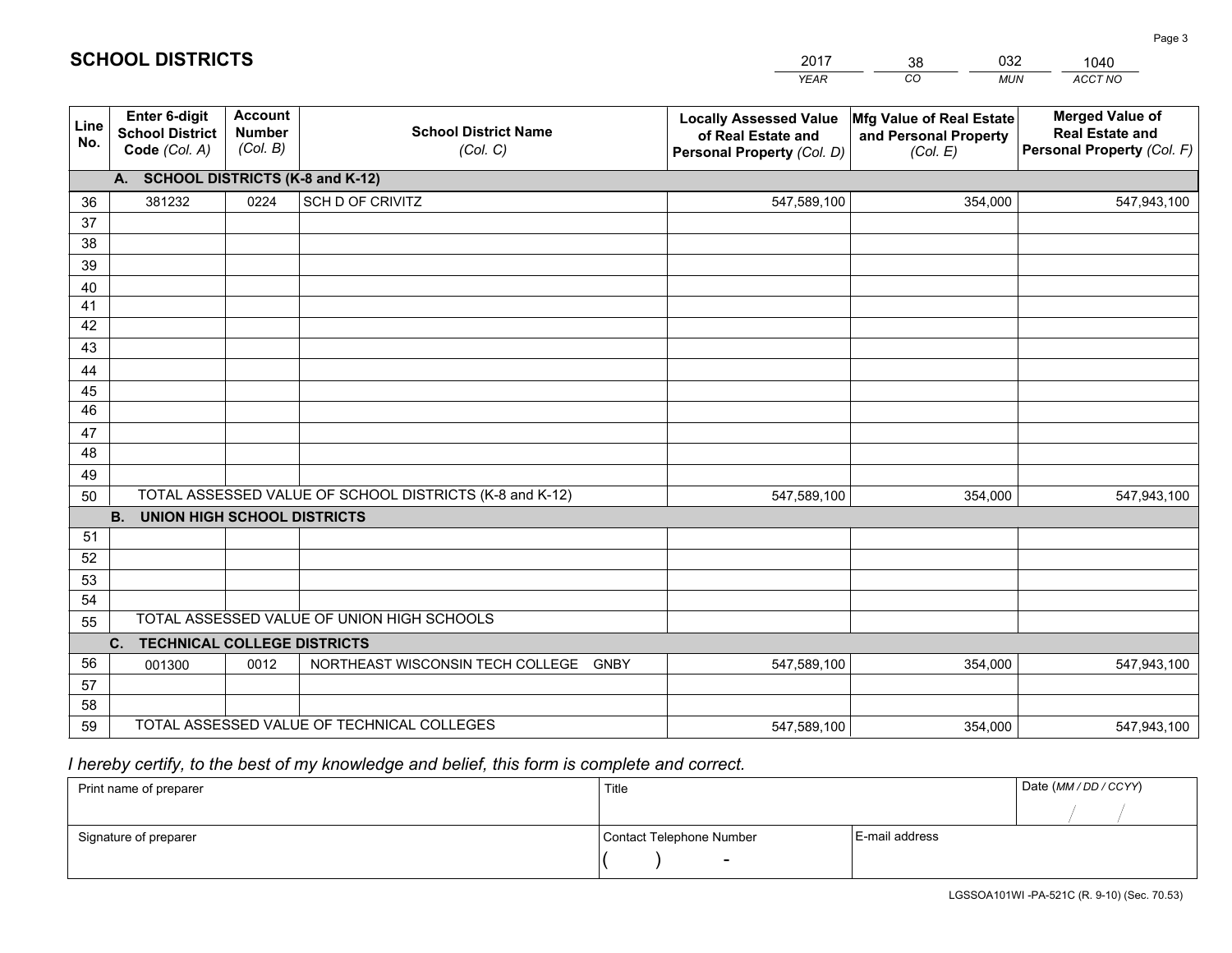|                 |                                                                 |                                             |                                                         | <b>YEAR</b>                                                                       | CO<br><b>MUN</b>                                              | ACCT NO                                                                        |
|-----------------|-----------------------------------------------------------------|---------------------------------------------|---------------------------------------------------------|-----------------------------------------------------------------------------------|---------------------------------------------------------------|--------------------------------------------------------------------------------|
| Line<br>No.     | <b>Enter 6-digit</b><br><b>School District</b><br>Code (Col. A) | <b>Account</b><br><b>Number</b><br>(Col. B) | <b>School District Name</b><br>(Col. C)                 | <b>Locally Assessed Value</b><br>of Real Estate and<br>Personal Property (Col. D) | Mfg Value of Real Estate<br>and Personal Property<br>(Col. E) | <b>Merged Value of</b><br><b>Real Estate and</b><br>Personal Property (Col. F) |
|                 | A. SCHOOL DISTRICTS (K-8 and K-12)                              |                                             |                                                         |                                                                                   |                                                               |                                                                                |
| 36              | 381232                                                          | 0224                                        | SCH D OF CRIVITZ                                        | 547,589,100                                                                       | 354,000                                                       | 547,943,100                                                                    |
| 37              |                                                                 |                                             |                                                         |                                                                                   |                                                               |                                                                                |
| 38              |                                                                 |                                             |                                                         |                                                                                   |                                                               |                                                                                |
| 39              |                                                                 |                                             |                                                         |                                                                                   |                                                               |                                                                                |
| 40              |                                                                 |                                             |                                                         |                                                                                   |                                                               |                                                                                |
| 41<br>42        |                                                                 |                                             |                                                         |                                                                                   |                                                               |                                                                                |
| 43              |                                                                 |                                             |                                                         |                                                                                   |                                                               |                                                                                |
| 44              |                                                                 |                                             |                                                         |                                                                                   |                                                               |                                                                                |
| 45              |                                                                 |                                             |                                                         |                                                                                   |                                                               |                                                                                |
| $\overline{46}$ |                                                                 |                                             |                                                         |                                                                                   |                                                               |                                                                                |
| 47              |                                                                 |                                             |                                                         |                                                                                   |                                                               |                                                                                |
| 48              |                                                                 |                                             |                                                         |                                                                                   |                                                               |                                                                                |
| 49              |                                                                 |                                             |                                                         |                                                                                   |                                                               |                                                                                |
| 50              |                                                                 |                                             | TOTAL ASSESSED VALUE OF SCHOOL DISTRICTS (K-8 and K-12) | 547,589,100                                                                       | 354,000                                                       | 547,943,100                                                                    |
|                 | <b>B.</b><br><b>UNION HIGH SCHOOL DISTRICTS</b>                 |                                             |                                                         |                                                                                   |                                                               |                                                                                |
| 51              |                                                                 |                                             |                                                         |                                                                                   |                                                               |                                                                                |
| 52              |                                                                 |                                             |                                                         |                                                                                   |                                                               |                                                                                |
| 53              |                                                                 |                                             |                                                         |                                                                                   |                                                               |                                                                                |
| 54              |                                                                 |                                             | TOTAL ASSESSED VALUE OF UNION HIGH SCHOOLS              |                                                                                   |                                                               |                                                                                |
| 55              |                                                                 |                                             |                                                         |                                                                                   |                                                               |                                                                                |
| 56              | C.<br><b>TECHNICAL COLLEGE DISTRICTS</b>                        | 0012                                        | NORTHEAST WISCONSIN TECH COLLEGE<br><b>GNBY</b>         | 547,589,100                                                                       | 354,000                                                       |                                                                                |
| 57              | 001300                                                          |                                             |                                                         |                                                                                   |                                                               | 547,943,100                                                                    |
| 58              |                                                                 |                                             |                                                         |                                                                                   |                                                               |                                                                                |
| 59              |                                                                 |                                             | TOTAL ASSESSED VALUE OF TECHNICAL COLLEGES              | 547,589,100                                                                       | 354,000                                                       | 547,943,100                                                                    |

38

032

 *I hereby certify, to the best of my knowledge and belief, this form is complete and correct.*

**SCHOOL DISTRICTS**

| Print name of preparer | Title                    |                | Date (MM/DD/CCYY) |
|------------------------|--------------------------|----------------|-------------------|
|                        |                          |                |                   |
| Signature of preparer  | Contact Telephone Number | E-mail address |                   |
|                        | $\overline{\phantom{0}}$ |                |                   |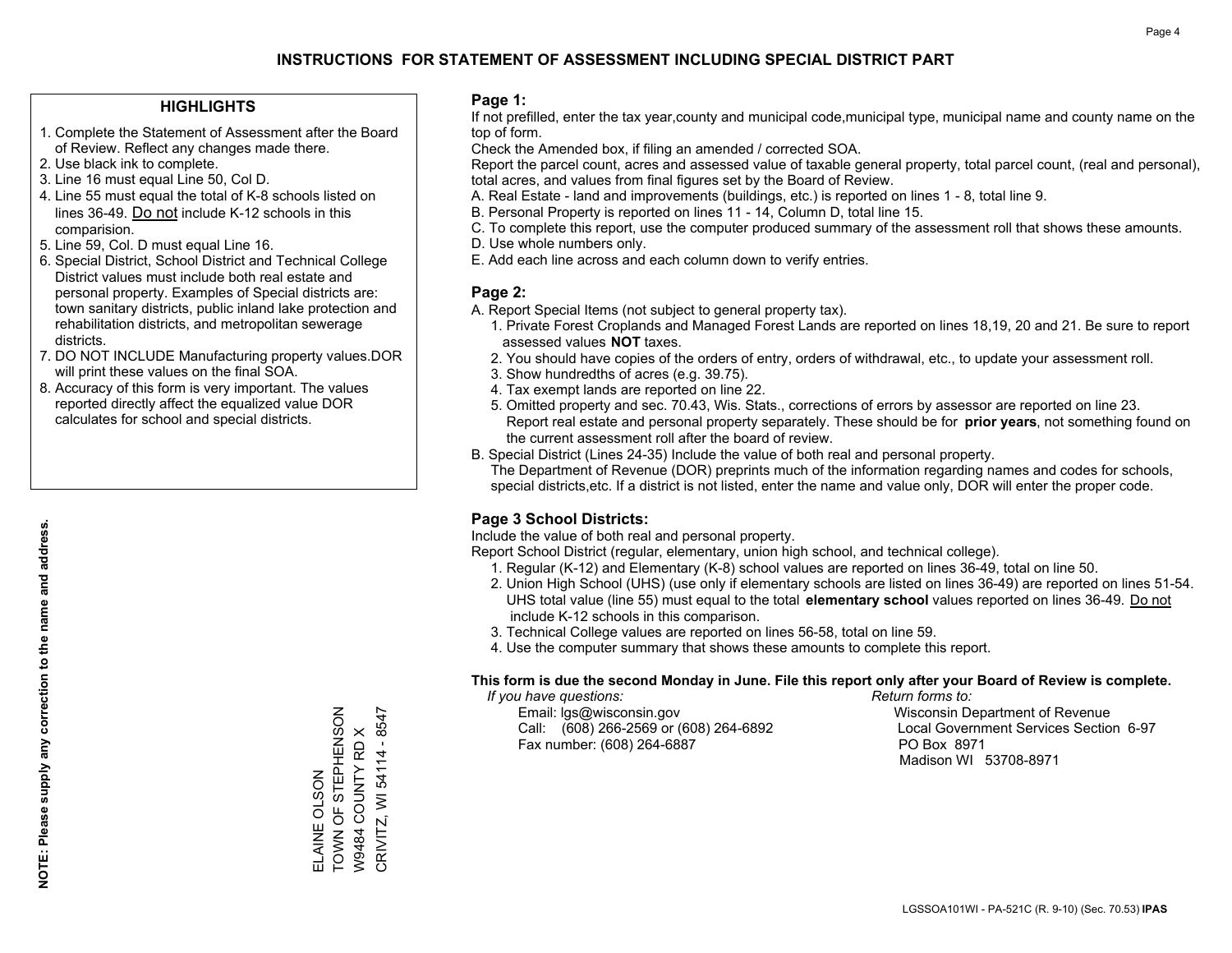#### **HIGHLIGHTS**

- 1. Complete the Statement of Assessment after the Board of Review. Reflect any changes made there.
- 2. Use black ink to complete.
- 3. Line 16 must equal Line 50, Col D.
- 4. Line 55 must equal the total of K-8 schools listed on lines 36-49. Do not include K-12 schools in this comparision.
- 5. Line 59, Col. D must equal Line 16.
- 6. Special District, School District and Technical College District values must include both real estate and personal property. Examples of Special districts are: town sanitary districts, public inland lake protection and rehabilitation districts, and metropolitan sewerage districts.
- 7. DO NOT INCLUDE Manufacturing property values.DOR will print these values on the final SOA.
- 8. Accuracy of this form is very important. The values reported directly affect the equalized value DOR calculates for school and special districts.

#### **Page 1:**

 If not prefilled, enter the tax year,county and municipal code,municipal type, municipal name and county name on the top of form.

Check the Amended box, if filing an amended / corrected SOA.

 Report the parcel count, acres and assessed value of taxable general property, total parcel count, (real and personal), total acres, and values from final figures set by the Board of Review.

- A. Real Estate land and improvements (buildings, etc.) is reported on lines 1 8, total line 9.
- B. Personal Property is reported on lines 11 14, Column D, total line 15.
- C. To complete this report, use the computer produced summary of the assessment roll that shows these amounts.
- D. Use whole numbers only.
- E. Add each line across and each column down to verify entries.

#### **Page 2:**

- A. Report Special Items (not subject to general property tax).
- 1. Private Forest Croplands and Managed Forest Lands are reported on lines 18,19, 20 and 21. Be sure to report assessed values **NOT** taxes.
- 2. You should have copies of the orders of entry, orders of withdrawal, etc., to update your assessment roll.
	- 3. Show hundredths of acres (e.g. 39.75).
- 4. Tax exempt lands are reported on line 22.
- 5. Omitted property and sec. 70.43, Wis. Stats., corrections of errors by assessor are reported on line 23. Report real estate and personal property separately. These should be for **prior years**, not something found on the current assessment roll after the board of review.
- B. Special District (Lines 24-35) Include the value of both real and personal property.

 The Department of Revenue (DOR) preprints much of the information regarding names and codes for schools, special districts,etc. If a district is not listed, enter the name and value only, DOR will enter the proper code.

### **Page 3 School Districts:**

Include the value of both real and personal property.

Report School District (regular, elementary, union high school, and technical college).

- 1. Regular (K-12) and Elementary (K-8) school values are reported on lines 36-49, total on line 50.
- 2. Union High School (UHS) (use only if elementary schools are listed on lines 36-49) are reported on lines 51-54. UHS total value (line 55) must equal to the total **elementary school** values reported on lines 36-49. Do notinclude K-12 schools in this comparison.
- 3. Technical College values are reported on lines 56-58, total on line 59.
- 4. Use the computer summary that shows these amounts to complete this report.

#### **This form is due the second Monday in June. File this report only after your Board of Review is complete.**

 *If you have questions: Return forms to:*

 Email: lgs@wisconsin.gov Wisconsin Department of RevenueCall:  $(608)$  266-2569 or  $(608)$  264-6892 Fax number: (608) 264-6887 PO Box 8971

Local Government Services Section 6-97 Madison WI 53708-8971

ELAINE OLSON

TOWN OF STEPHENSON W9484 COUNTY RD X CRIVITZ, WI 54114 - 8547

CRIVITZ, WI 54114 - 8547 W9484 COUNTY RD X

ELAINE OLSON<br>TOWN OF STEPHENSON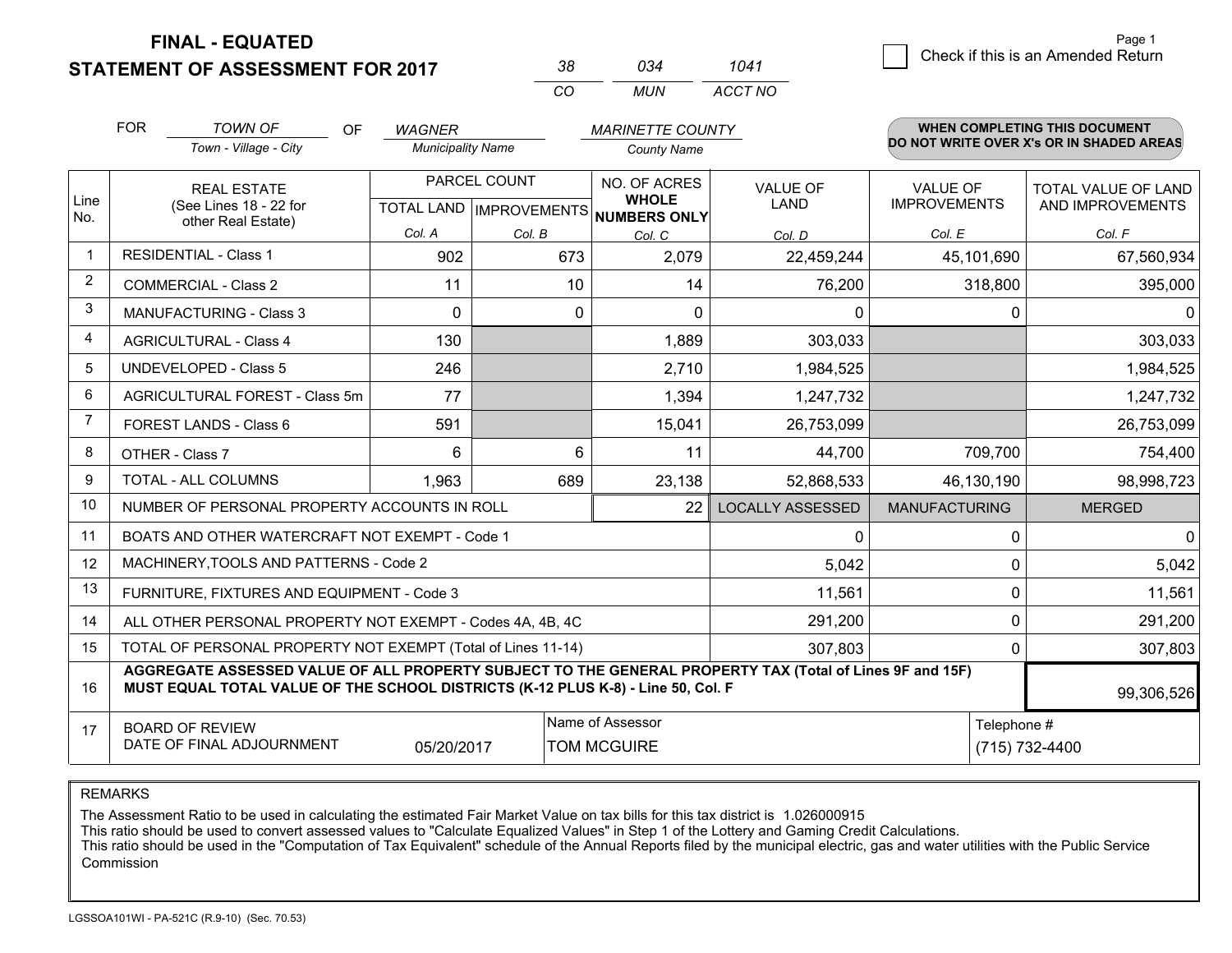**STATEMENT OF ASSESSMENT FOR 2017** 

| 38. | กว4 | 1041    |
|-----|-----|---------|
| CO. | MUN | ACCT NO |

|                | <b>FOR</b>                                                                                                                                                                                   | <b>TOWN OF</b><br>OF                                         | <b>WAGNER</b>            |              | <b>MARINETTE COUNTY</b>                                              |                                |                                        | WHEN COMPLETING THIS DOCUMENT                  |
|----------------|----------------------------------------------------------------------------------------------------------------------------------------------------------------------------------------------|--------------------------------------------------------------|--------------------------|--------------|----------------------------------------------------------------------|--------------------------------|----------------------------------------|------------------------------------------------|
|                |                                                                                                                                                                                              | Town - Village - City                                        | <b>Municipality Name</b> |              | <b>County Name</b>                                                   |                                |                                        | DO NOT WRITE OVER X's OR IN SHADED AREAS       |
| Line<br>No.    | <b>REAL ESTATE</b><br>(See Lines 18 - 22 for                                                                                                                                                 |                                                              |                          | PARCEL COUNT | NO. OF ACRES<br><b>WHOLE</b><br>TOTAL LAND IMPROVEMENTS NUMBERS ONLY | <b>VALUE OF</b><br><b>LAND</b> | <b>VALUE OF</b><br><b>IMPROVEMENTS</b> | <b>TOTAL VALUE OF LAND</b><br>AND IMPROVEMENTS |
|                |                                                                                                                                                                                              | other Real Estate)                                           | Col. A                   | Col. B       | Col. C                                                               | Col. D                         | Col. E                                 | Col. F                                         |
|                |                                                                                                                                                                                              | <b>RESIDENTIAL - Class 1</b>                                 | 902                      | 673          | 2,079                                                                | 22,459,244                     | 45,101,690                             | 67,560,934                                     |
| 2              |                                                                                                                                                                                              | <b>COMMERCIAL - Class 2</b>                                  | 11                       | 10           | 14                                                                   | 76,200                         | 318,800                                | 395,000                                        |
| 3              |                                                                                                                                                                                              | <b>MANUFACTURING - Class 3</b>                               | $\Omega$                 | 0            | $\Omega$                                                             | 0                              |                                        | $\mathbf{0}$<br>0                              |
| 4              |                                                                                                                                                                                              | <b>AGRICULTURAL - Class 4</b>                                | 130                      |              | 1,889                                                                | 303,033                        |                                        | 303,033                                        |
| 5              |                                                                                                                                                                                              | UNDEVELOPED - Class 5                                        | 246                      |              | 2,710                                                                | 1,984,525                      |                                        | 1,984,525                                      |
| 6              | AGRICULTURAL FOREST - Class 5m                                                                                                                                                               |                                                              | 77                       |              | 1,394                                                                | 1,247,732                      |                                        | 1,247,732                                      |
| $\overline{7}$ |                                                                                                                                                                                              | FOREST LANDS - Class 6                                       | 591                      |              | 15,041                                                               | 26,753,099                     |                                        | 26,753,099                                     |
| 8              |                                                                                                                                                                                              | OTHER - Class 7                                              | 6                        | 6            | 11                                                                   | 44,700                         | 709,700                                | 754,400                                        |
| 9              |                                                                                                                                                                                              | TOTAL - ALL COLUMNS                                          | 1,963                    | 689          | 23,138                                                               | 52,868,533                     | 46,130,190                             | 98,998,723                                     |
| 10             |                                                                                                                                                                                              | NUMBER OF PERSONAL PROPERTY ACCOUNTS IN ROLL                 |                          |              | 22                                                                   | <b>LOCALLY ASSESSED</b>        | <b>MANUFACTURING</b>                   | <b>MERGED</b>                                  |
| 11             |                                                                                                                                                                                              | BOATS AND OTHER WATERCRAFT NOT EXEMPT - Code 1               |                          |              |                                                                      | 0                              |                                        | $\Omega$<br>$\Omega$                           |
| 12             |                                                                                                                                                                                              | MACHINERY, TOOLS AND PATTERNS - Code 2                       |                          |              |                                                                      | 5,042                          |                                        | 5,042<br>$\mathbf 0$                           |
| 13             |                                                                                                                                                                                              | FURNITURE, FIXTURES AND EQUIPMENT - Code 3                   |                          |              |                                                                      | 11,561                         |                                        | $\mathbf 0$<br>11,561                          |
| 14             |                                                                                                                                                                                              | ALL OTHER PERSONAL PROPERTY NOT EXEMPT - Codes 4A, 4B, 4C    |                          |              |                                                                      | 291,200                        |                                        | $\Omega$<br>291,200                            |
| 15             |                                                                                                                                                                                              | TOTAL OF PERSONAL PROPERTY NOT EXEMPT (Total of Lines 11-14) |                          |              |                                                                      | 307,803                        |                                        | 307,803<br>0                                   |
| 16             | AGGREGATE ASSESSED VALUE OF ALL PROPERTY SUBJECT TO THE GENERAL PROPERTY TAX (Total of Lines 9F and 15F)<br>MUST EQUAL TOTAL VALUE OF THE SCHOOL DISTRICTS (K-12 PLUS K-8) - Line 50, Col. F |                                                              |                          |              |                                                                      |                                | 99,306,526                             |                                                |
| 17             | Name of Assessor<br>Telephone #<br><b>BOARD OF REVIEW</b><br>DATE OF FINAL ADJOURNMENT<br><b>TOM MCGUIRE</b><br>05/20/2017                                                                   |                                                              |                          |              |                                                                      | (715) 732-4400                 |                                        |                                                |

REMARKS

The Assessment Ratio to be used in calculating the estimated Fair Market Value on tax bills for this tax district is 1.026000915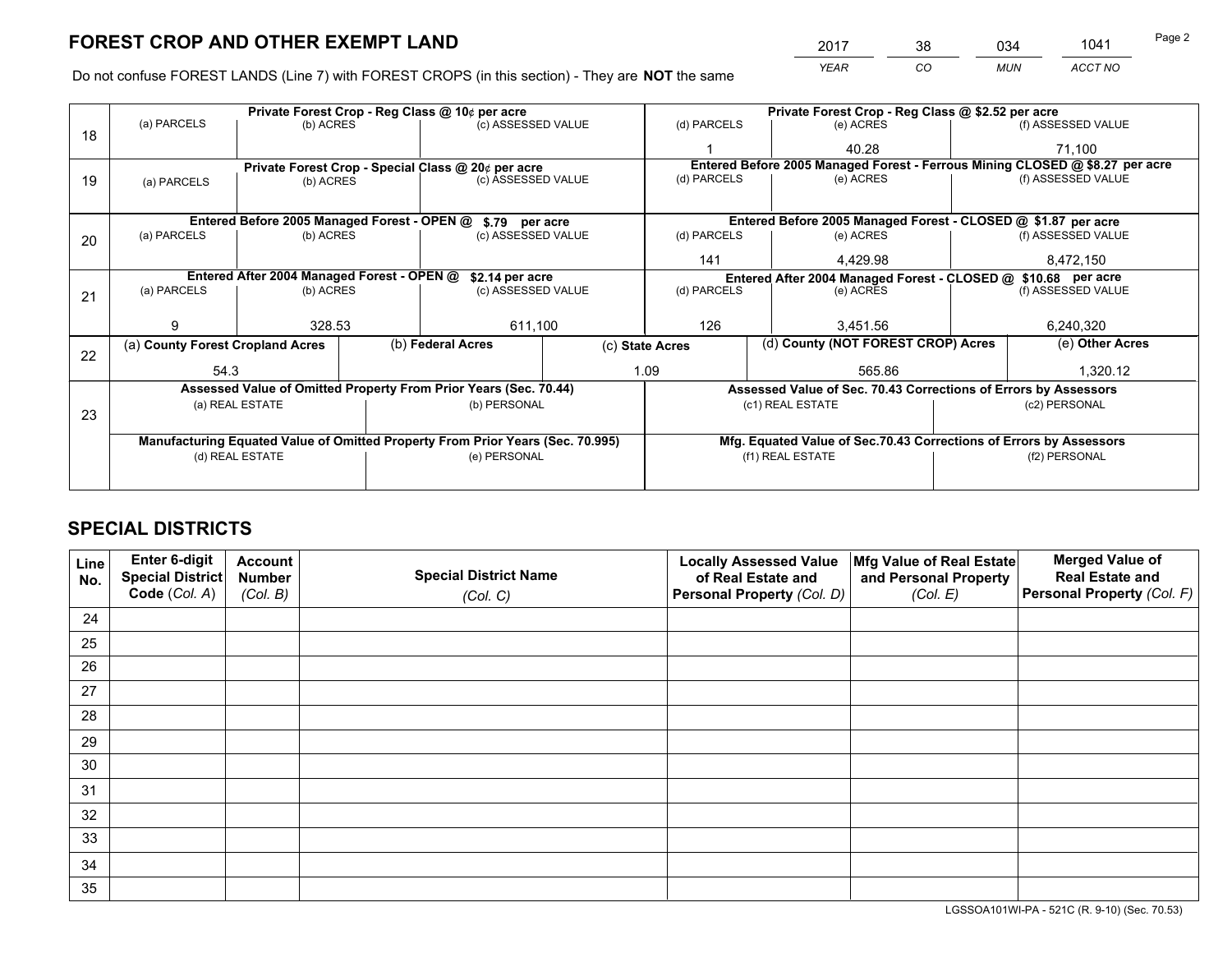*YEAR CO MUN ACCT NO* <sup>2017</sup> <sup>38</sup> <sup>034</sup> <sup>1041</sup> Page 2

Do not confuse FOREST LANDS (Line 7) with FOREST CROPS (in this section) - They are **NOT** the same

|    |                                                                                |                 |  | Private Forest Crop - Reg Class @ 10¢ per acre                   |                                                               |                                                                    | Private Forest Crop - Reg Class @ \$2.52 per acre                            |                                    |                    |  |
|----|--------------------------------------------------------------------------------|-----------------|--|------------------------------------------------------------------|---------------------------------------------------------------|--------------------------------------------------------------------|------------------------------------------------------------------------------|------------------------------------|--------------------|--|
| 18 | (a) PARCELS                                                                    | (b) ACRES       |  | (c) ASSESSED VALUE                                               |                                                               | (d) PARCELS                                                        | (e) ACRES                                                                    |                                    | (f) ASSESSED VALUE |  |
|    |                                                                                |                 |  |                                                                  |                                                               |                                                                    | 40.28                                                                        |                                    | 71,100             |  |
|    |                                                                                |                 |  | Private Forest Crop - Special Class @ 20¢ per acre               |                                                               |                                                                    | Entered Before 2005 Managed Forest - Ferrous Mining CLOSED @ \$8.27 per acre |                                    |                    |  |
| 19 | (a) PARCELS                                                                    | (b) ACRES       |  | (c) ASSESSED VALUE                                               |                                                               | (d) PARCELS                                                        | (e) ACRES                                                                    |                                    | (f) ASSESSED VALUE |  |
|    |                                                                                |                 |  |                                                                  |                                                               |                                                                    |                                                                              |                                    |                    |  |
|    |                                                                                |                 |  | Entered Before 2005 Managed Forest - OPEN @ \$.79 per acre       |                                                               |                                                                    | Entered Before 2005 Managed Forest - CLOSED @ \$1.87 per acre                |                                    |                    |  |
| 20 | (a) PARCELS                                                                    | (b) ACRES       |  | (c) ASSESSED VALUE                                               |                                                               | (d) PARCELS                                                        | (e) ACRES                                                                    |                                    | (f) ASSESSED VALUE |  |
|    |                                                                                |                 |  |                                                                  |                                                               | 141                                                                | 4,429.98                                                                     |                                    | 8,472,150          |  |
|    | Entered After 2004 Managed Forest - OPEN @<br>\$2.14 per acre                  |                 |  |                                                                  | Entered After 2004 Managed Forest - CLOSED @ \$10.68 per acre |                                                                    |                                                                              |                                    |                    |  |
| 21 | (a) PARCELS                                                                    | (b) ACRES       |  | (c) ASSESSED VALUE                                               |                                                               | (d) PARCELS<br>(e) ACRES                                           |                                                                              |                                    | (f) ASSESSED VALUE |  |
|    |                                                                                |                 |  |                                                                  |                                                               |                                                                    |                                                                              |                                    |                    |  |
|    | 9                                                                              | 328.53          |  | 611,100                                                          |                                                               | 126                                                                | 3.451.56                                                                     |                                    | 6,240,320          |  |
| 22 | (a) County Forest Cropland Acres                                               |                 |  | (b) Federal Acres                                                | (c) State Acres                                               |                                                                    |                                                                              | (d) County (NOT FOREST CROP) Acres |                    |  |
|    | 54.3                                                                           |                 |  |                                                                  |                                                               | 1.09                                                               | 565.86                                                                       |                                    | 1,320.12           |  |
|    |                                                                                |                 |  | Assessed Value of Omitted Property From Prior Years (Sec. 70.44) |                                                               | Assessed Value of Sec. 70.43 Corrections of Errors by Assessors    |                                                                              |                                    |                    |  |
|    |                                                                                | (a) REAL ESTATE |  | (b) PERSONAL                                                     |                                                               |                                                                    | (c1) REAL ESTATE                                                             |                                    | (c2) PERSONAL      |  |
| 23 |                                                                                |                 |  |                                                                  |                                                               |                                                                    |                                                                              |                                    |                    |  |
|    | Manufacturing Equated Value of Omitted Property From Prior Years (Sec. 70.995) |                 |  |                                                                  |                                                               | Mfg. Equated Value of Sec.70.43 Corrections of Errors by Assessors |                                                                              |                                    |                    |  |
|    | (d) REAL ESTATE                                                                |                 |  | (e) PERSONAL                                                     |                                                               | (f1) REAL ESTATE                                                   |                                                                              |                                    | (f2) PERSONAL      |  |
|    |                                                                                |                 |  |                                                                  |                                                               |                                                                    |                                                                              |                                    |                    |  |

## **SPECIAL DISTRICTS**

| Line<br>No. | Enter 6-digit<br>Special District<br>Code (Col. A) | <b>Account</b><br><b>Number</b><br>(Col. B) | <b>Special District Name</b><br>(Col. C) | <b>Locally Assessed Value</b><br>of Real Estate and<br>Personal Property (Col. D) | Mfg Value of Real Estate<br>and Personal Property<br>(Col. E) | <b>Merged Value of</b><br><b>Real Estate and</b><br>Personal Property (Col. F) |
|-------------|----------------------------------------------------|---------------------------------------------|------------------------------------------|-----------------------------------------------------------------------------------|---------------------------------------------------------------|--------------------------------------------------------------------------------|
| 24          |                                                    |                                             |                                          |                                                                                   |                                                               |                                                                                |
| 25          |                                                    |                                             |                                          |                                                                                   |                                                               |                                                                                |
| 26          |                                                    |                                             |                                          |                                                                                   |                                                               |                                                                                |
| 27          |                                                    |                                             |                                          |                                                                                   |                                                               |                                                                                |
| 28          |                                                    |                                             |                                          |                                                                                   |                                                               |                                                                                |
| 29          |                                                    |                                             |                                          |                                                                                   |                                                               |                                                                                |
| 30          |                                                    |                                             |                                          |                                                                                   |                                                               |                                                                                |
| 31          |                                                    |                                             |                                          |                                                                                   |                                                               |                                                                                |
| 32          |                                                    |                                             |                                          |                                                                                   |                                                               |                                                                                |
| 33          |                                                    |                                             |                                          |                                                                                   |                                                               |                                                                                |
| 34          |                                                    |                                             |                                          |                                                                                   |                                                               |                                                                                |
| 35          |                                                    |                                             |                                          |                                                                                   |                                                               |                                                                                |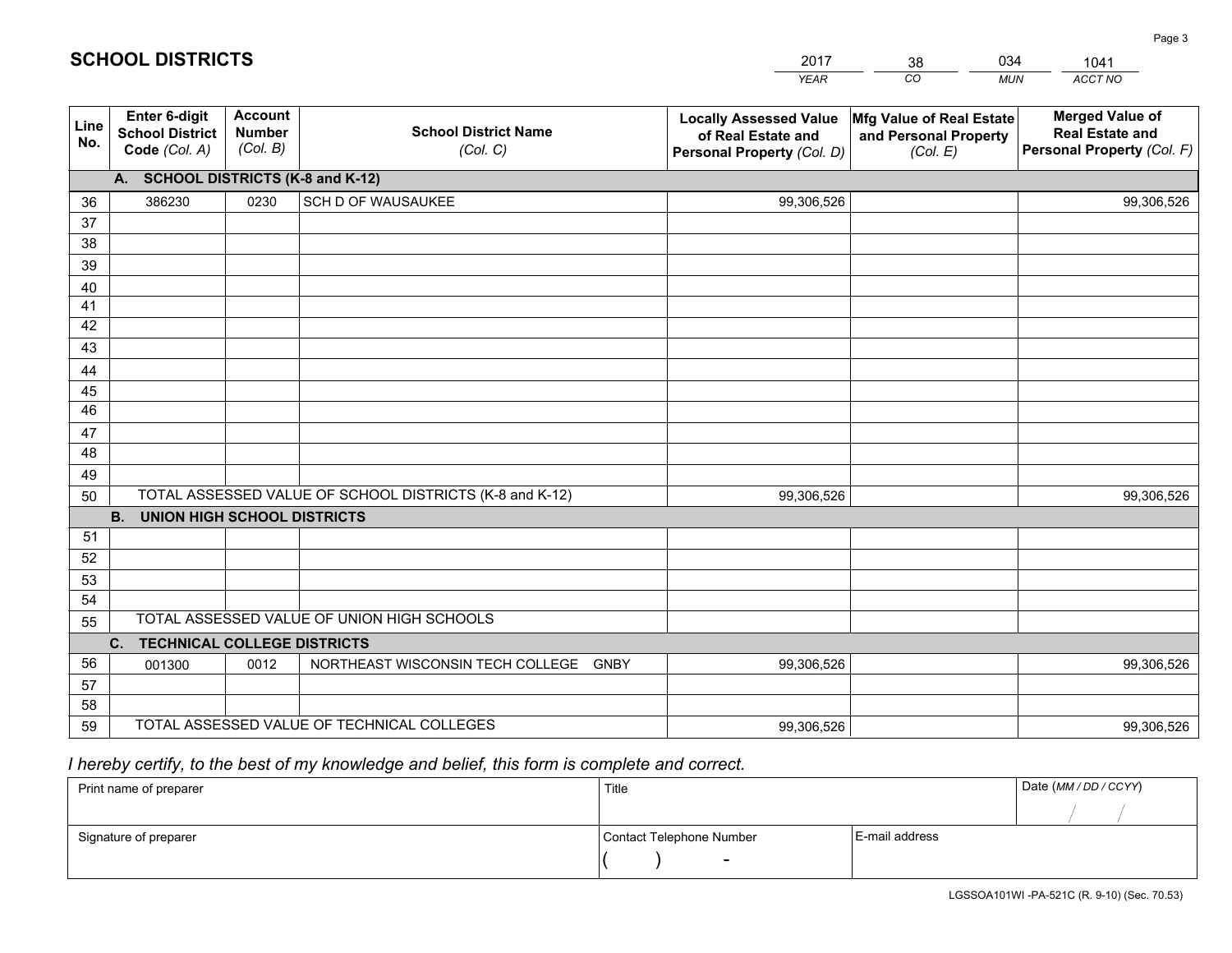|             |                                                                 |                                             |                                                         | <b>YEAR</b>                                                                       | CO<br><b>MUN</b>                                              | ACCT NO                                                                        |
|-------------|-----------------------------------------------------------------|---------------------------------------------|---------------------------------------------------------|-----------------------------------------------------------------------------------|---------------------------------------------------------------|--------------------------------------------------------------------------------|
| Line<br>No. | <b>Enter 6-digit</b><br><b>School District</b><br>Code (Col. A) | <b>Account</b><br><b>Number</b><br>(Col. B) | <b>School District Name</b><br>(Col. C)                 | <b>Locally Assessed Value</b><br>of Real Estate and<br>Personal Property (Col. D) | Mfg Value of Real Estate<br>and Personal Property<br>(Col. E) | <b>Merged Value of</b><br><b>Real Estate and</b><br>Personal Property (Col. F) |
|             | A. SCHOOL DISTRICTS (K-8 and K-12)                              |                                             |                                                         |                                                                                   |                                                               |                                                                                |
| 36          | 386230                                                          | 0230                                        | SCH D OF WAUSAUKEE                                      | 99,306,526                                                                        |                                                               | 99,306,526                                                                     |
| 37          |                                                                 |                                             |                                                         |                                                                                   |                                                               |                                                                                |
| 38          |                                                                 |                                             |                                                         |                                                                                   |                                                               |                                                                                |
| 39          |                                                                 |                                             |                                                         |                                                                                   |                                                               |                                                                                |
| 40          |                                                                 |                                             |                                                         |                                                                                   |                                                               |                                                                                |
| 41          |                                                                 |                                             |                                                         |                                                                                   |                                                               |                                                                                |
| 42<br>43    |                                                                 |                                             |                                                         |                                                                                   |                                                               |                                                                                |
|             |                                                                 |                                             |                                                         |                                                                                   |                                                               |                                                                                |
| 44<br>45    |                                                                 |                                             |                                                         |                                                                                   |                                                               |                                                                                |
| 46          |                                                                 |                                             |                                                         |                                                                                   |                                                               |                                                                                |
| 47          |                                                                 |                                             |                                                         |                                                                                   |                                                               |                                                                                |
| 48          |                                                                 |                                             |                                                         |                                                                                   |                                                               |                                                                                |
| 49          |                                                                 |                                             |                                                         |                                                                                   |                                                               |                                                                                |
| 50          |                                                                 |                                             | TOTAL ASSESSED VALUE OF SCHOOL DISTRICTS (K-8 and K-12) | 99,306,526                                                                        |                                                               | 99,306,526                                                                     |
|             | <b>B.</b><br><b>UNION HIGH SCHOOL DISTRICTS</b>                 |                                             |                                                         |                                                                                   |                                                               |                                                                                |
| 51          |                                                                 |                                             |                                                         |                                                                                   |                                                               |                                                                                |
| 52          |                                                                 |                                             |                                                         |                                                                                   |                                                               |                                                                                |
| 53          |                                                                 |                                             |                                                         |                                                                                   |                                                               |                                                                                |
| 54          |                                                                 |                                             |                                                         |                                                                                   |                                                               |                                                                                |
| 55          |                                                                 |                                             | TOTAL ASSESSED VALUE OF UNION HIGH SCHOOLS              |                                                                                   |                                                               |                                                                                |
|             | C.<br><b>TECHNICAL COLLEGE DISTRICTS</b>                        |                                             |                                                         |                                                                                   |                                                               |                                                                                |
| 56          | 001300                                                          | 0012                                        | NORTHEAST WISCONSIN TECH COLLEGE GNBY                   | 99,306,526                                                                        |                                                               | 99,306,526                                                                     |
| 57          |                                                                 |                                             |                                                         |                                                                                   |                                                               |                                                                                |
| 58          |                                                                 |                                             |                                                         |                                                                                   |                                                               |                                                                                |
| 59          |                                                                 |                                             | TOTAL ASSESSED VALUE OF TECHNICAL COLLEGES              | 99,306,526                                                                        |                                                               | 99,306,526                                                                     |

38

034

 *I hereby certify, to the best of my knowledge and belief, this form is complete and correct.*

**SCHOOL DISTRICTS**

| Print name of preparer | Title                    |                | Date (MM/DD/CCYY) |
|------------------------|--------------------------|----------------|-------------------|
|                        |                          |                |                   |
| Signature of preparer  | Contact Telephone Number | E-mail address |                   |
|                        | $\overline{\phantom{0}}$ |                |                   |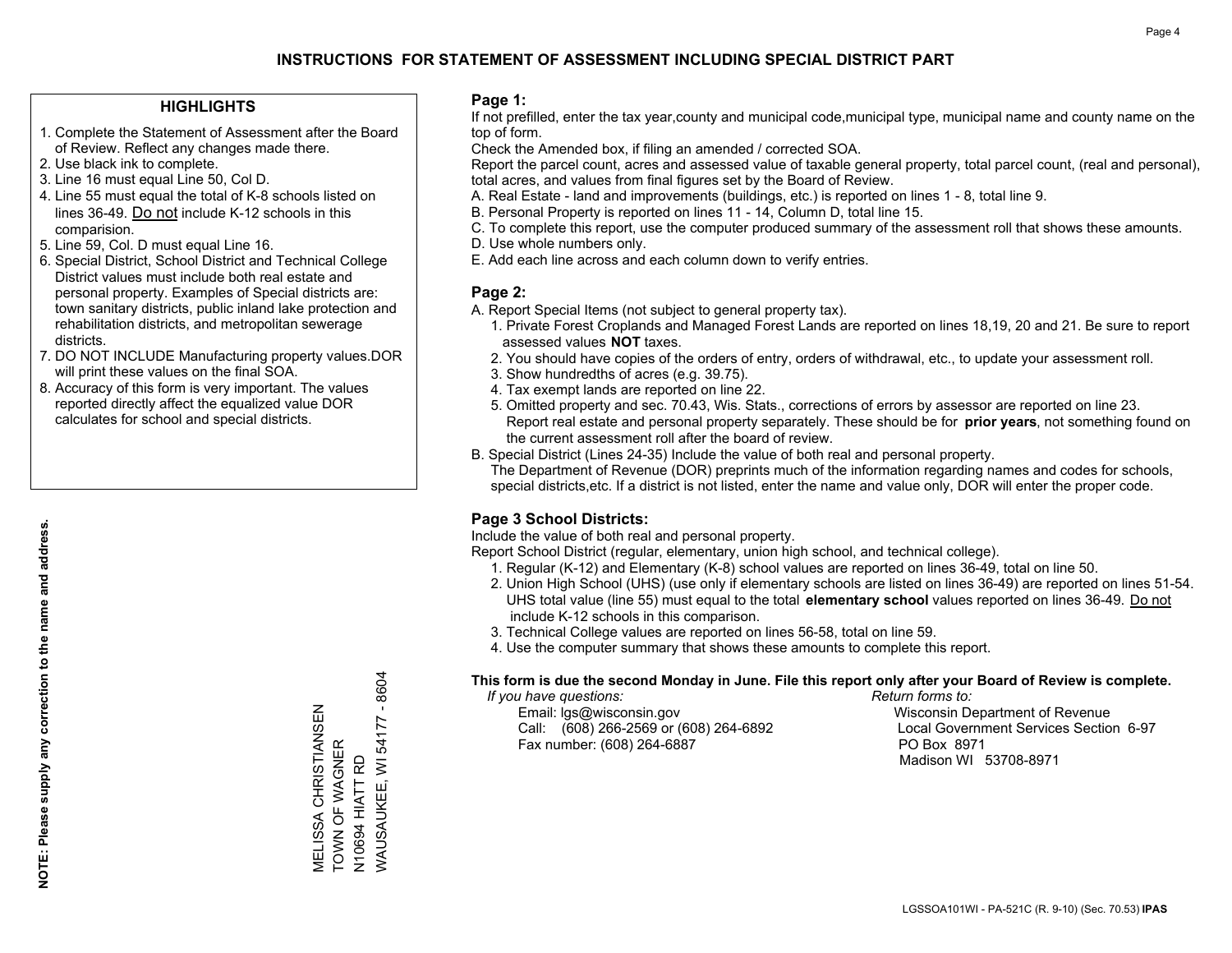#### **HIGHLIGHTS**

- 1. Complete the Statement of Assessment after the Board of Review. Reflect any changes made there.
- 2. Use black ink to complete.
- 3. Line 16 must equal Line 50, Col D.
- 4. Line 55 must equal the total of K-8 schools listed on lines 36-49. Do not include K-12 schools in this comparision.
- 5. Line 59, Col. D must equal Line 16.
- 6. Special District, School District and Technical College District values must include both real estate and personal property. Examples of Special districts are: town sanitary districts, public inland lake protection and rehabilitation districts, and metropolitan sewerage districts.
- 7. DO NOT INCLUDE Manufacturing property values.DOR will print these values on the final SOA.
- 8. Accuracy of this form is very important. The values reported directly affect the equalized value DOR calculates for school and special districts.

#### **Page 1:**

 If not prefilled, enter the tax year,county and municipal code,municipal type, municipal name and county name on the top of form.

Check the Amended box, if filing an amended / corrected SOA.

 Report the parcel count, acres and assessed value of taxable general property, total parcel count, (real and personal), total acres, and values from final figures set by the Board of Review.

- A. Real Estate land and improvements (buildings, etc.) is reported on lines 1 8, total line 9.
- B. Personal Property is reported on lines 11 14, Column D, total line 15.
- C. To complete this report, use the computer produced summary of the assessment roll that shows these amounts.
- D. Use whole numbers only.
- E. Add each line across and each column down to verify entries.

#### **Page 2:**

- A. Report Special Items (not subject to general property tax).
- 1. Private Forest Croplands and Managed Forest Lands are reported on lines 18,19, 20 and 21. Be sure to report assessed values **NOT** taxes.
- 2. You should have copies of the orders of entry, orders of withdrawal, etc., to update your assessment roll.
	- 3. Show hundredths of acres (e.g. 39.75).
- 4. Tax exempt lands are reported on line 22.
- 5. Omitted property and sec. 70.43, Wis. Stats., corrections of errors by assessor are reported on line 23. Report real estate and personal property separately. These should be for **prior years**, not something found on the current assessment roll after the board of review.
- B. Special District (Lines 24-35) Include the value of both real and personal property.

 The Department of Revenue (DOR) preprints much of the information regarding names and codes for schools, special districts,etc. If a district is not listed, enter the name and value only, DOR will enter the proper code.

### **Page 3 School Districts:**

Include the value of both real and personal property.

Report School District (regular, elementary, union high school, and technical college).

- 1. Regular (K-12) and Elementary (K-8) school values are reported on lines 36-49, total on line 50.
- 2. Union High School (UHS) (use only if elementary schools are listed on lines 36-49) are reported on lines 51-54. UHS total value (line 55) must equal to the total **elementary school** values reported on lines 36-49. Do notinclude K-12 schools in this comparison.
- 3. Technical College values are reported on lines 56-58, total on line 59.
- 4. Use the computer summary that shows these amounts to complete this report.

#### **This form is due the second Monday in June. File this report only after your Board of Review is complete.**

 *If you have questions: Return forms to:*

 Email: lgs@wisconsin.gov Wisconsin Department of RevenueCall:  $(608)$  266-2569 or  $(608)$  264-6892 Fax number: (608) 264-6887 PO Box 8971

Local Government Services Section 6-97 Madison WI 53708-8971

 $-8604$ WAUSAUKEE, WI 54177 - 8604 MELISSA CHRISTIANSEN<br>TOWN OF WAGNER MELISSA CHRISTIANSEN **NAUSAUKEE, WI 54177** TOWN OF WAGNER N10694 HIATT RD N10694 HIATT RD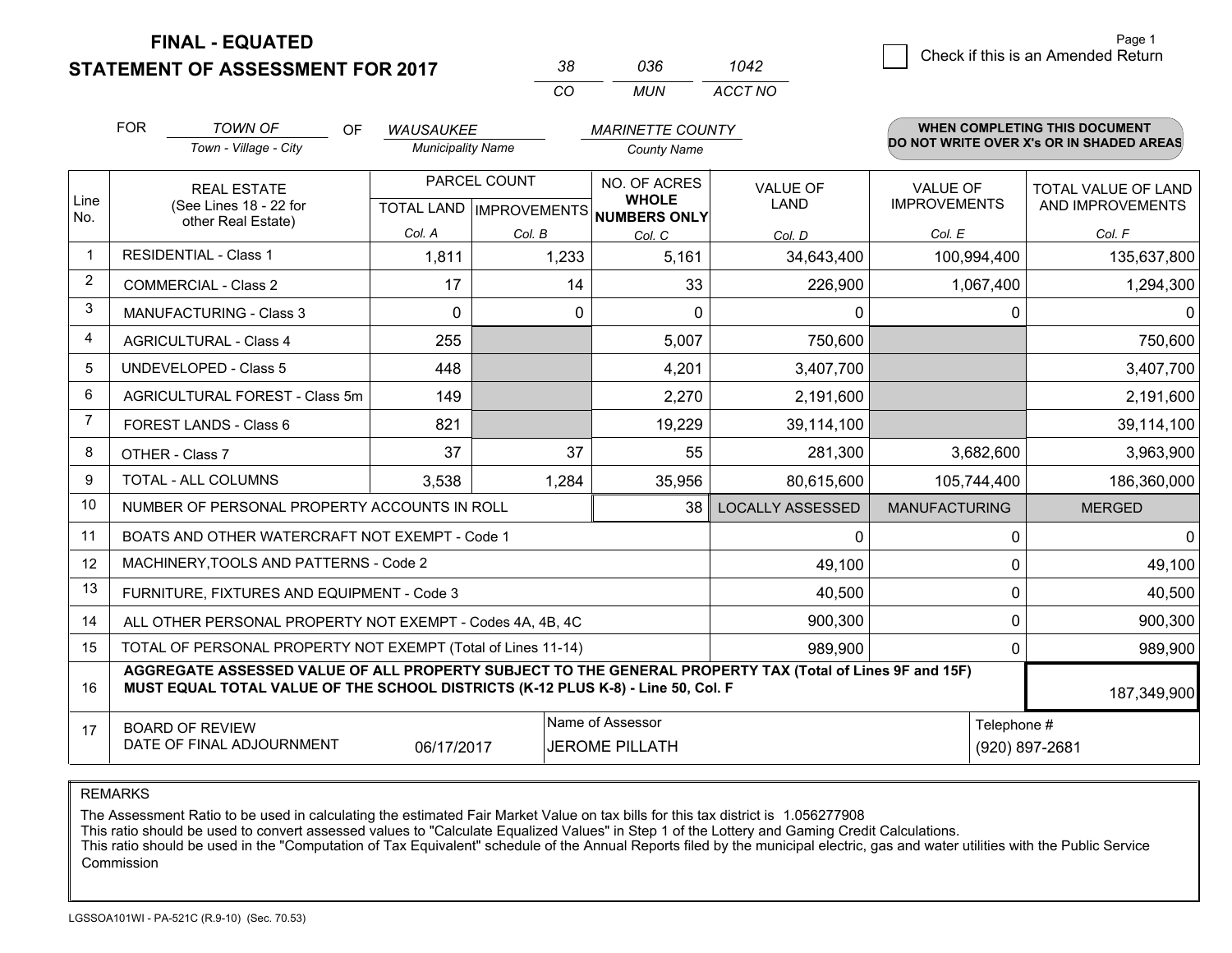**STATEMENT OF ASSESSMENT FOR 2017** 

| 38  | การค | 1042    |  |
|-----|------|---------|--|
| CO. | MUN  | ACCT NO |  |

|                | <b>FOR</b>                                                                                                                                                                                                  | <b>TOWN OF</b><br><b>OF</b>            | <b>WAUSAUKEE</b>                                     |          | <b>MARINETTE COUNTY</b>      |                                |                                        | <b>WHEN COMPLETING THIS DOCUMENT</b>     |
|----------------|-------------------------------------------------------------------------------------------------------------------------------------------------------------------------------------------------------------|----------------------------------------|------------------------------------------------------|----------|------------------------------|--------------------------------|----------------------------------------|------------------------------------------|
|                |                                                                                                                                                                                                             | Town - Village - City                  | <b>Municipality Name</b>                             |          | <b>County Name</b>           |                                |                                        | DO NOT WRITE OVER X's OR IN SHADED AREAS |
| Line<br>No.    | <b>REAL ESTATE</b><br>(See Lines 18 - 22 for                                                                                                                                                                |                                        | PARCEL COUNT<br>TOTAL LAND IMPROVEMENTS NUMBERS ONLY |          | NO. OF ACRES<br><b>WHOLE</b> | <b>VALUE OF</b><br><b>LAND</b> | <b>VALUE OF</b><br><b>IMPROVEMENTS</b> | TOTAL VALUE OF LAND<br>AND IMPROVEMENTS  |
|                |                                                                                                                                                                                                             | other Real Estate)                     | Col. A                                               | Col. B   | Col. C                       | Col. D                         | Col. E                                 | Col. F                                   |
| $\overline{1}$ |                                                                                                                                                                                                             | <b>RESIDENTIAL - Class 1</b>           | 1,811                                                | 1,233    | 5,161                        | 34,643,400                     | 100,994,400                            | 135,637,800                              |
| 2              |                                                                                                                                                                                                             | <b>COMMERCIAL - Class 2</b>            | 17                                                   | 14       | 33                           | 226,900                        | 1,067,400                              | 1,294,300                                |
| 3              |                                                                                                                                                                                                             | <b>MANUFACTURING - Class 3</b>         | $\Omega$                                             | $\Omega$ | $\Omega$                     | 0                              | $\mathbf 0$                            | $\mathbf 0$                              |
| $\overline{4}$ |                                                                                                                                                                                                             | <b>AGRICULTURAL - Class 4</b>          | 255                                                  |          | 5,007                        | 750,600                        |                                        | 750,600                                  |
| 5              |                                                                                                                                                                                                             | <b>UNDEVELOPED - Class 5</b>           | 448                                                  |          | 4,201                        | 3,407,700                      |                                        | 3,407,700                                |
| 6              |                                                                                                                                                                                                             | AGRICULTURAL FOREST - Class 5m         | 149                                                  |          | 2,270                        | 2,191,600                      |                                        | 2,191,600                                |
| $\overline{7}$ |                                                                                                                                                                                                             | FOREST LANDS - Class 6                 | 821                                                  |          | 19,229                       | 39,114,100                     |                                        | 39,114,100                               |
| 8              |                                                                                                                                                                                                             | OTHER - Class 7                        | 37                                                   | 37       | 55                           | 281,300                        | 3,682,600                              | 3,963,900                                |
| 9              | TOTAL - ALL COLUMNS                                                                                                                                                                                         |                                        | 3,538                                                | 1,284    | 35,956                       | 80,615,600                     | 105,744,400                            | 186,360,000                              |
| 10             | NUMBER OF PERSONAL PROPERTY ACCOUNTS IN ROLL<br>38                                                                                                                                                          |                                        |                                                      |          |                              | <b>LOCALLY ASSESSED</b>        | <b>MANUFACTURING</b>                   | <b>MERGED</b>                            |
| 11             | BOATS AND OTHER WATERCRAFT NOT EXEMPT - Code 1<br>0                                                                                                                                                         |                                        |                                                      |          |                              |                                |                                        | $\mathbf 0$                              |
| 12             |                                                                                                                                                                                                             | MACHINERY, TOOLS AND PATTERNS - Code 2 |                                                      |          |                              | 49,100                         | $\mathbf 0$                            | 49,100                                   |
| 13             | FURNITURE, FIXTURES AND EQUIPMENT - Code 3<br>40,500                                                                                                                                                        |                                        |                                                      |          |                              |                                | $\mathbf{0}$                           | 40,500                                   |
| 14             | 900,300<br>0<br>ALL OTHER PERSONAL PROPERTY NOT EXEMPT - Codes 4A, 4B, 4C                                                                                                                                   |                                        |                                                      |          |                              |                                |                                        | 900,300                                  |
| 15             | TOTAL OF PERSONAL PROPERTY NOT EXEMPT (Total of Lines 11-14)<br>989.900<br>$\mathbf{0}$                                                                                                                     |                                        |                                                      |          |                              |                                | 989,900                                |                                          |
| 16             | AGGREGATE ASSESSED VALUE OF ALL PROPERTY SUBJECT TO THE GENERAL PROPERTY TAX (Total of Lines 9F and 15F)<br>MUST EQUAL TOTAL VALUE OF THE SCHOOL DISTRICTS (K-12 PLUS K-8) - Line 50, Col. F<br>187,349,900 |                                        |                                                      |          |                              |                                |                                        |                                          |
| 17             | Name of Assessor<br>Telephone #<br><b>BOARD OF REVIEW</b><br>DATE OF FINAL ADJOURNMENT<br>06/17/2017<br><b>JEROME PILLATH</b><br>(920) 897-2681                                                             |                                        |                                                      |          |                              |                                |                                        |                                          |

REMARKS

The Assessment Ratio to be used in calculating the estimated Fair Market Value on tax bills for this tax district is 1.056277908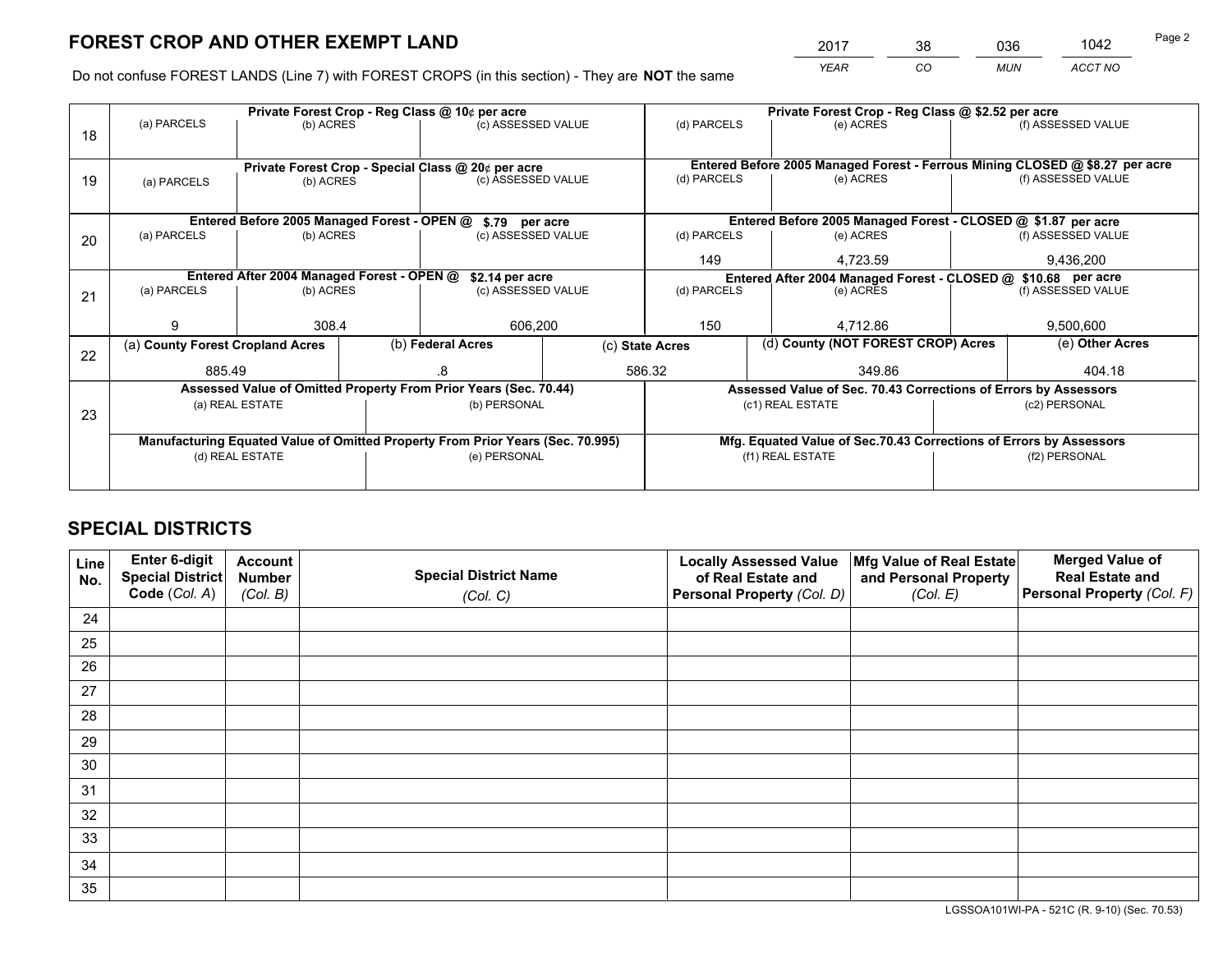*YEAR CO MUN ACCT NO* <sup>2017</sup> <sup>38</sup> <sup>036</sup> <sup>1042</sup>

Do not confuse FOREST LANDS (Line 7) with FOREST CROPS (in this section) - They are **NOT** the same

| Private Forest Crop - Reg Class @ 10¢ per acre                                 |                            |  |                                     |                                                                                                                | Private Forest Crop - Reg Class @ \$2.52 per acre                                                                                                                                                                             |                              |                    |                                                                                                     |
|--------------------------------------------------------------------------------|----------------------------|--|-------------------------------------|----------------------------------------------------------------------------------------------------------------|-------------------------------------------------------------------------------------------------------------------------------------------------------------------------------------------------------------------------------|------------------------------|--------------------|-----------------------------------------------------------------------------------------------------|
|                                                                                |                            |  |                                     |                                                                                                                | (d) PARCELS                                                                                                                                                                                                                   | (e) ACRES                    |                    | (f) ASSESSED VALUE                                                                                  |
|                                                                                |                            |  |                                     |                                                                                                                |                                                                                                                                                                                                                               |                              |                    |                                                                                                     |
|                                                                                |                            |  |                                     |                                                                                                                | Entered Before 2005 Managed Forest - Ferrous Mining CLOSED @ \$8.27 per acre                                                                                                                                                  |                              |                    |                                                                                                     |
|                                                                                |                            |  |                                     |                                                                                                                |                                                                                                                                                                                                                               |                              |                    | (f) ASSESSED VALUE                                                                                  |
|                                                                                |                            |  |                                     |                                                                                                                |                                                                                                                                                                                                                               |                              |                    |                                                                                                     |
|                                                                                |                            |  |                                     |                                                                                                                |                                                                                                                                                                                                                               |                              |                    |                                                                                                     |
| (a) PARCELS                                                                    | (b) ACRES                  |  | (c) ASSESSED VALUE                  |                                                                                                                | (d) PARCELS                                                                                                                                                                                                                   | (e) ACRES                    |                    | (f) ASSESSED VALUE                                                                                  |
|                                                                                |                            |  |                                     |                                                                                                                |                                                                                                                                                                                                                               | 4.723.59                     |                    | 9,436,200                                                                                           |
|                                                                                |                            |  |                                     |                                                                                                                | Entered After 2004 Managed Forest - CLOSED @ \$10.68 per acre                                                                                                                                                                 |                              |                    |                                                                                                     |
| (a) PARCELS                                                                    |                            |  |                                     |                                                                                                                | (d) PARCELS<br>(e) ACRES                                                                                                                                                                                                      |                              | (f) ASSESSED VALUE |                                                                                                     |
|                                                                                |                            |  |                                     |                                                                                                                |                                                                                                                                                                                                                               |                              |                    |                                                                                                     |
| g                                                                              | 308.4                      |  | 606,200                             |                                                                                                                | 150                                                                                                                                                                                                                           | 4.712.86                     |                    | 9,500,600                                                                                           |
| (a) County Forest Cropland Acres                                               |                            |  |                                     | (c) State Acres                                                                                                |                                                                                                                                                                                                                               |                              |                    | (e) Other Acres                                                                                     |
| 885.49                                                                         |                            |  |                                     |                                                                                                                | 349.86                                                                                                                                                                                                                        |                              | 404.18             |                                                                                                     |
|                                                                                |                            |  |                                     |                                                                                                                | Assessed Value of Sec. 70.43 Corrections of Errors by Assessors                                                                                                                                                               |                              |                    |                                                                                                     |
| (a) REAL ESTATE                                                                |                            |  | (b) PERSONAL                        |                                                                                                                | (c1) REAL ESTATE                                                                                                                                                                                                              |                              | (c2) PERSONAL      |                                                                                                     |
|                                                                                |                            |  |                                     |                                                                                                                |                                                                                                                                                                                                                               |                              |                    |                                                                                                     |
| Manufacturing Equated Value of Omitted Property From Prior Years (Sec. 70.995) |                            |  |                                     |                                                                                                                | Mfg. Equated Value of Sec.70.43 Corrections of Errors by Assessors                                                                                                                                                            |                              |                    |                                                                                                     |
| (d) REAL ESTATE                                                                |                            |  | (e) PERSONAL                        |                                                                                                                | (f1) REAL ESTATE                                                                                                                                                                                                              |                              | (f2) PERSONAL      |                                                                                                     |
|                                                                                |                            |  |                                     |                                                                                                                |                                                                                                                                                                                                                               |                              |                    |                                                                                                     |
|                                                                                | (a) PARCELS<br>(a) PARCELS |  | (b) ACRES<br>(b) ACRES<br>(b) ACRES | Entered Before 2005 Managed Forest - OPEN @<br>Entered After 2004 Managed Forest - OPEN @<br>(b) Federal Acres | (c) ASSESSED VALUE<br>Private Forest Crop - Special Class @ 20¢ per acre<br>(c) ASSESSED VALUE<br>\$.79 per acre<br>\$2.14 per acre<br>(c) ASSESSED VALUE<br>Assessed Value of Omitted Property From Prior Years (Sec. 70.44) | (d) PARCELS<br>149<br>586.32 | (e) ACRES          | Entered Before 2005 Managed Forest - CLOSED @ \$1.87 per acre<br>(d) County (NOT FOREST CROP) Acres |

## **SPECIAL DISTRICTS**

| Line<br>No. | Enter 6-digit<br><b>Special District</b> | <b>Account</b><br><b>Number</b> | <b>Special District Name</b> | <b>Locally Assessed Value</b><br>of Real Estate and | Mfg Value of Real Estate<br>and Personal Property | <b>Merged Value of</b><br><b>Real Estate and</b> |
|-------------|------------------------------------------|---------------------------------|------------------------------|-----------------------------------------------------|---------------------------------------------------|--------------------------------------------------|
|             | Code (Col. A)                            | (Col. B)                        | (Col. C)                     | Personal Property (Col. D)                          | (Col. E)                                          | Personal Property (Col. F)                       |
| 24          |                                          |                                 |                              |                                                     |                                                   |                                                  |
| 25          |                                          |                                 |                              |                                                     |                                                   |                                                  |
| 26          |                                          |                                 |                              |                                                     |                                                   |                                                  |
| 27          |                                          |                                 |                              |                                                     |                                                   |                                                  |
| 28          |                                          |                                 |                              |                                                     |                                                   |                                                  |
| 29          |                                          |                                 |                              |                                                     |                                                   |                                                  |
| 30          |                                          |                                 |                              |                                                     |                                                   |                                                  |
| 31          |                                          |                                 |                              |                                                     |                                                   |                                                  |
| 32          |                                          |                                 |                              |                                                     |                                                   |                                                  |
| 33          |                                          |                                 |                              |                                                     |                                                   |                                                  |
| 34          |                                          |                                 |                              |                                                     |                                                   |                                                  |
| 35          |                                          |                                 |                              |                                                     |                                                   |                                                  |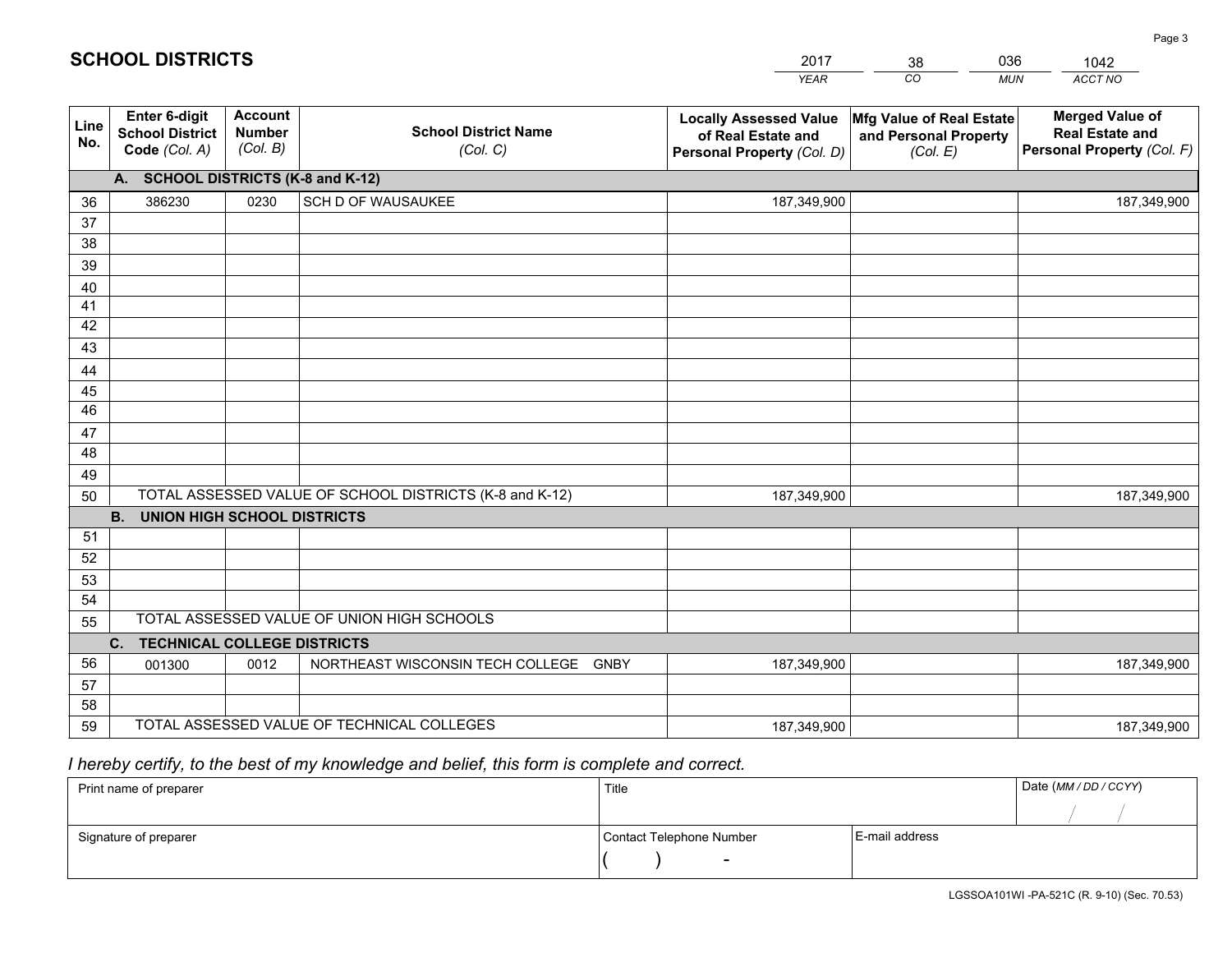|             |                                                                 |                                             |                                                         | <b>YEAR</b>                                                                       | CO<br><b>MUN</b>                                              | ACCT NO                                                                        |
|-------------|-----------------------------------------------------------------|---------------------------------------------|---------------------------------------------------------|-----------------------------------------------------------------------------------|---------------------------------------------------------------|--------------------------------------------------------------------------------|
| Line<br>No. | <b>Enter 6-digit</b><br><b>School District</b><br>Code (Col. A) | <b>Account</b><br><b>Number</b><br>(Col. B) | <b>School District Name</b><br>(Col. C)                 | <b>Locally Assessed Value</b><br>of Real Estate and<br>Personal Property (Col. D) | Mfg Value of Real Estate<br>and Personal Property<br>(Col. E) | <b>Merged Value of</b><br><b>Real Estate and</b><br>Personal Property (Col. F) |
|             | A. SCHOOL DISTRICTS (K-8 and K-12)                              |                                             |                                                         |                                                                                   |                                                               |                                                                                |
| 36          | 386230                                                          | 0230                                        | SCH D OF WAUSAUKEE                                      | 187,349,900                                                                       |                                                               | 187,349,900                                                                    |
| 37          |                                                                 |                                             |                                                         |                                                                                   |                                                               |                                                                                |
| 38          |                                                                 |                                             |                                                         |                                                                                   |                                                               |                                                                                |
| 39          |                                                                 |                                             |                                                         |                                                                                   |                                                               |                                                                                |
| 40          |                                                                 |                                             |                                                         |                                                                                   |                                                               |                                                                                |
| 41          |                                                                 |                                             |                                                         |                                                                                   |                                                               |                                                                                |
| 42          |                                                                 |                                             |                                                         |                                                                                   |                                                               |                                                                                |
| 43          |                                                                 |                                             |                                                         |                                                                                   |                                                               |                                                                                |
| 44          |                                                                 |                                             |                                                         |                                                                                   |                                                               |                                                                                |
| 45<br>46    |                                                                 |                                             |                                                         |                                                                                   |                                                               |                                                                                |
| 47          |                                                                 |                                             |                                                         |                                                                                   |                                                               |                                                                                |
| 48          |                                                                 |                                             |                                                         |                                                                                   |                                                               |                                                                                |
| 49          |                                                                 |                                             |                                                         |                                                                                   |                                                               |                                                                                |
| 50          |                                                                 |                                             | TOTAL ASSESSED VALUE OF SCHOOL DISTRICTS (K-8 and K-12) | 187,349,900                                                                       |                                                               | 187,349,900                                                                    |
|             | <b>B.</b><br><b>UNION HIGH SCHOOL DISTRICTS</b>                 |                                             |                                                         |                                                                                   |                                                               |                                                                                |
| 51          |                                                                 |                                             |                                                         |                                                                                   |                                                               |                                                                                |
| 52          |                                                                 |                                             |                                                         |                                                                                   |                                                               |                                                                                |
| 53          |                                                                 |                                             |                                                         |                                                                                   |                                                               |                                                                                |
| 54          |                                                                 |                                             |                                                         |                                                                                   |                                                               |                                                                                |
| 55          |                                                                 |                                             | TOTAL ASSESSED VALUE OF UNION HIGH SCHOOLS              |                                                                                   |                                                               |                                                                                |
|             | C.<br><b>TECHNICAL COLLEGE DISTRICTS</b>                        |                                             |                                                         |                                                                                   |                                                               |                                                                                |
| 56          | 001300                                                          | 0012                                        | NORTHEAST WISCONSIN TECH COLLEGE<br>GNBY                | 187,349,900                                                                       |                                                               | 187,349,900                                                                    |
| 57          |                                                                 |                                             |                                                         |                                                                                   |                                                               |                                                                                |
| 58          |                                                                 |                                             |                                                         |                                                                                   |                                                               |                                                                                |
| 59          |                                                                 |                                             | TOTAL ASSESSED VALUE OF TECHNICAL COLLEGES              | 187,349,900                                                                       |                                                               | 187,349,900                                                                    |

38

036

# *I hereby certify, to the best of my knowledge and belief, this form is complete and correct.*

**SCHOOL DISTRICTS**

| Print name of preparer | Title                    | Date (MM / DD / CCYY) |  |
|------------------------|--------------------------|-----------------------|--|
|                        |                          |                       |  |
| Signature of preparer  | Contact Telephone Number | E-mail address        |  |
|                        | $\overline{\phantom{0}}$ |                       |  |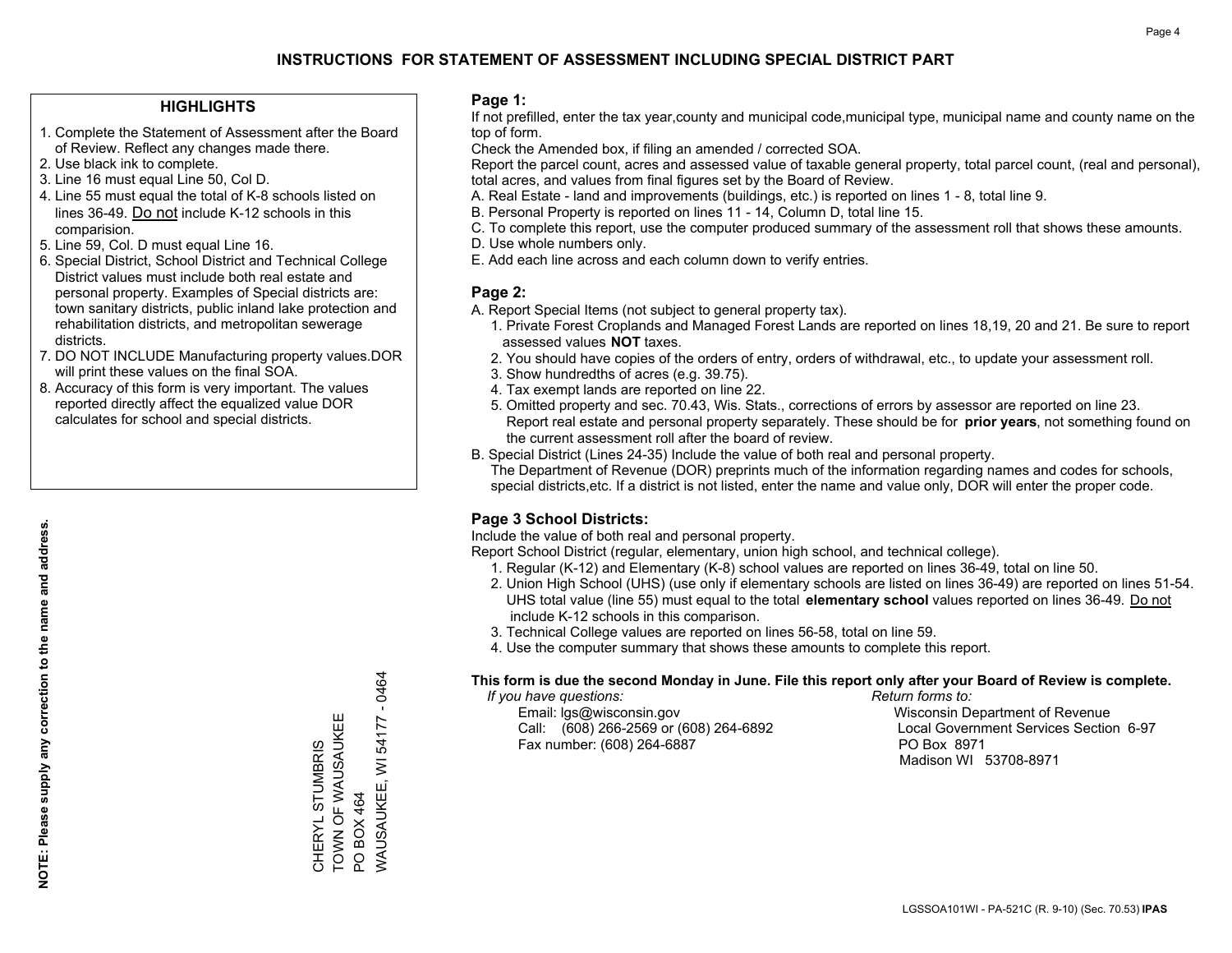#### **HIGHLIGHTS**

- 1. Complete the Statement of Assessment after the Board of Review. Reflect any changes made there.
- 2. Use black ink to complete.
- 3. Line 16 must equal Line 50, Col D.
- 4. Line 55 must equal the total of K-8 schools listed on lines 36-49. Do not include K-12 schools in this comparision.
- 5. Line 59, Col. D must equal Line 16.
- 6. Special District, School District and Technical College District values must include both real estate and personal property. Examples of Special districts are: town sanitary districts, public inland lake protection and rehabilitation districts, and metropolitan sewerage districts.
- 7. DO NOT INCLUDE Manufacturing property values.DOR will print these values on the final SOA.
- 8. Accuracy of this form is very important. The values reported directly affect the equalized value DOR calculates for school and special districts.

#### **Page 1:**

 If not prefilled, enter the tax year,county and municipal code,municipal type, municipal name and county name on the top of form.

Check the Amended box, if filing an amended / corrected SOA.

 Report the parcel count, acres and assessed value of taxable general property, total parcel count, (real and personal), total acres, and values from final figures set by the Board of Review.

- A. Real Estate land and improvements (buildings, etc.) is reported on lines 1 8, total line 9.
- B. Personal Property is reported on lines 11 14, Column D, total line 15.
- C. To complete this report, use the computer produced summary of the assessment roll that shows these amounts.
- D. Use whole numbers only.
- E. Add each line across and each column down to verify entries.

#### **Page 2:**

- A. Report Special Items (not subject to general property tax).
- 1. Private Forest Croplands and Managed Forest Lands are reported on lines 18,19, 20 and 21. Be sure to report assessed values **NOT** taxes.
- 2. You should have copies of the orders of entry, orders of withdrawal, etc., to update your assessment roll.
	- 3. Show hundredths of acres (e.g. 39.75).
- 4. Tax exempt lands are reported on line 22.
- 5. Omitted property and sec. 70.43, Wis. Stats., corrections of errors by assessor are reported on line 23. Report real estate and personal property separately. These should be for **prior years**, not something found on the current assessment roll after the board of review.
- B. Special District (Lines 24-35) Include the value of both real and personal property.

 The Department of Revenue (DOR) preprints much of the information regarding names and codes for schools, special districts,etc. If a district is not listed, enter the name and value only, DOR will enter the proper code.

### **Page 3 School Districts:**

Include the value of both real and personal property.

Report School District (regular, elementary, union high school, and technical college).

- 1. Regular (K-12) and Elementary (K-8) school values are reported on lines 36-49, total on line 50.
- 2. Union High School (UHS) (use only if elementary schools are listed on lines 36-49) are reported on lines 51-54. UHS total value (line 55) must equal to the total **elementary school** values reported on lines 36-49. Do notinclude K-12 schools in this comparison.
- 3. Technical College values are reported on lines 56-58, total on line 59.
- 4. Use the computer summary that shows these amounts to complete this report.

#### **This form is due the second Monday in June. File this report only after your Board of Review is complete.**

 *If you have questions: Return forms to:*

 Email: lgs@wisconsin.gov Wisconsin Department of RevenueCall:  $(608)$  266-2569 or  $(608)$  264-6892 Fax number: (608) 264-6887 PO Box 8971

Local Government Services Section 6-97 Madison WI 53708-8971

 $-0464$ WAUSAUKEE, WI 54177 - 0464 TOWN OF WAUSAUKEE TOWN OF WAUSAUKEE WAUSAUKEE, WI 54177 CHERYL STUMBRIS CHERYL STUMBRIS PO BOX 464 PO BOX 464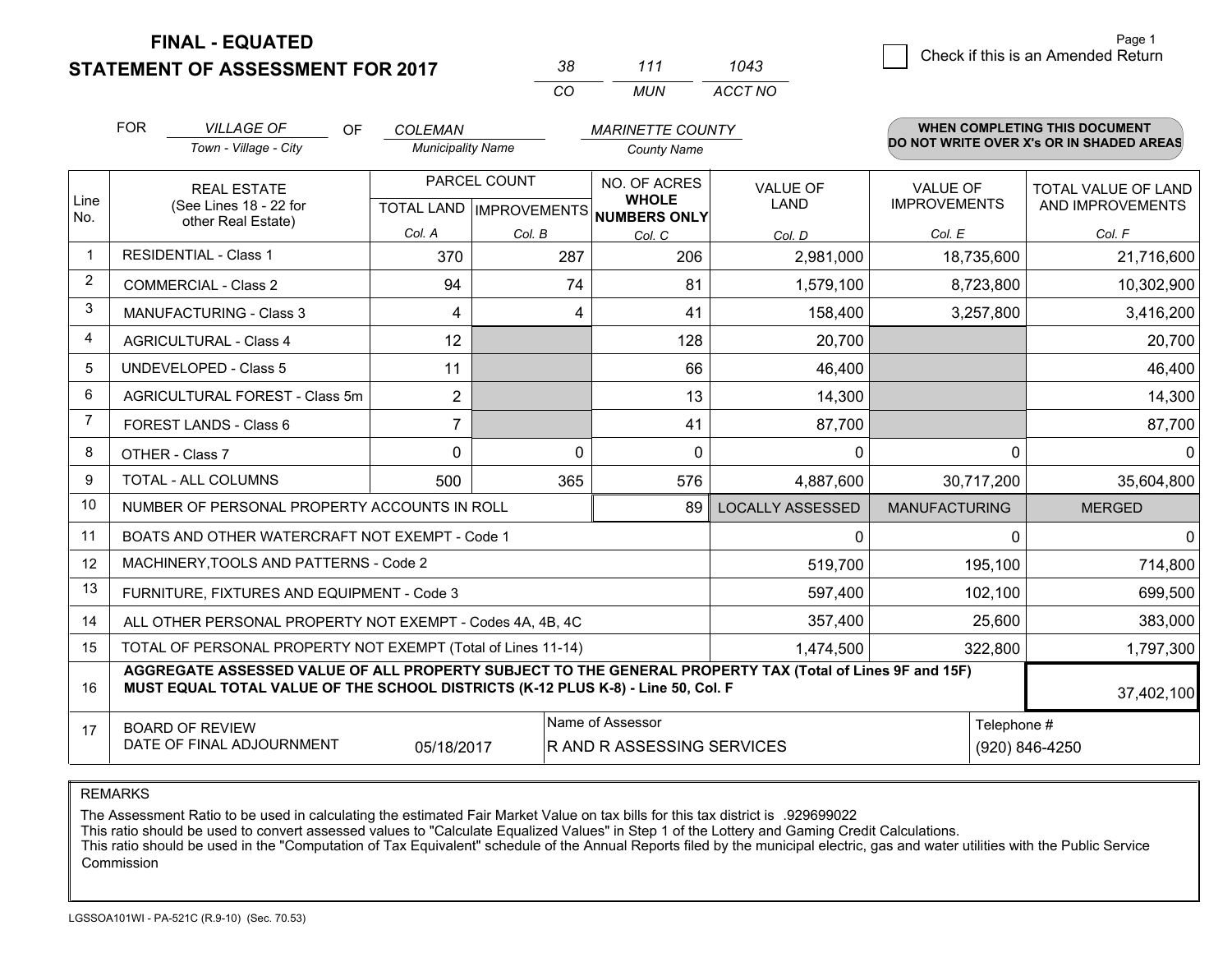**STATEMENT OF ASSESSMENT FOR 2017** 

| 38. | 111 | 1043    |
|-----|-----|---------|
| CO. | MUN | ACCT NO |

|      | <b>FOR</b>                                                                                                                                           | <b>VILLAGE OF</b><br><b>OF</b>                                                                                                                                                               | <b>COLEMAN</b>           |                                           | <b>MARINETTE COUNTY</b>       |                                |                                        | <b>WHEN COMPLETING THIS DOCUMENT</b>     |
|------|------------------------------------------------------------------------------------------------------------------------------------------------------|----------------------------------------------------------------------------------------------------------------------------------------------------------------------------------------------|--------------------------|-------------------------------------------|-------------------------------|--------------------------------|----------------------------------------|------------------------------------------|
|      |                                                                                                                                                      | Town - Village - City                                                                                                                                                                        | <b>Municipality Name</b> |                                           | <b>County Name</b>            |                                |                                        | DO NOT WRITE OVER X's OR IN SHADED AREAS |
| Line |                                                                                                                                                      | <b>REAL ESTATE</b><br>(See Lines 18 - 22 for                                                                                                                                                 |                          | PARCEL COUNT<br>TOTAL LAND   IMPROVEMENTS | NO. OF ACRES<br><b>WHOLE</b>  | <b>VALUE OF</b><br><b>LAND</b> | <b>VALUE OF</b><br><b>IMPROVEMENTS</b> | TOTAL VALUE OF LAND<br>AND IMPROVEMENTS  |
| No.  |                                                                                                                                                      | other Real Estate)                                                                                                                                                                           | Col. A                   | Col. B                                    | <b>NUMBERS ONLY</b><br>Col. C | Col. D                         | Col. E                                 | Col. F                                   |
|      |                                                                                                                                                      | <b>RESIDENTIAL - Class 1</b>                                                                                                                                                                 | 370                      | 287                                       | 206                           | 2,981,000                      | 18,735,600                             | 21,716,600                               |
| 2    |                                                                                                                                                      | <b>COMMERCIAL - Class 2</b>                                                                                                                                                                  | 94                       | 74                                        | 81                            | 1,579,100                      | 8,723,800                              | 10,302,900                               |
| 3    |                                                                                                                                                      | <b>MANUFACTURING - Class 3</b>                                                                                                                                                               | 4                        | 4                                         | 41                            | 158,400                        | 3,257,800                              | 3,416,200                                |
| 4    |                                                                                                                                                      | <b>AGRICULTURAL - Class 4</b>                                                                                                                                                                | 12                       |                                           | 128                           | 20,700                         |                                        | 20,700                                   |
| 5    |                                                                                                                                                      | <b>UNDEVELOPED - Class 5</b>                                                                                                                                                                 | 11                       |                                           | 66                            | 46,400                         |                                        | 46,400                                   |
| 6    |                                                                                                                                                      | AGRICULTURAL FOREST - Class 5m                                                                                                                                                               | $\overline{2}$           |                                           | 13                            | 14,300                         |                                        | 14,300                                   |
| 7    |                                                                                                                                                      | FOREST LANDS - Class 6                                                                                                                                                                       | 7                        |                                           | 41                            | 87,700                         |                                        | 87,700                                   |
| 8    |                                                                                                                                                      | OTHER - Class 7                                                                                                                                                                              | $\Omega$                 | $\Omega$                                  | $\Omega$                      | $\Omega$                       | 0                                      | 0                                        |
| 9    |                                                                                                                                                      | TOTAL - ALL COLUMNS                                                                                                                                                                          | 500                      | 365                                       | 576                           | 4,887,600                      | 30,717,200                             | 35,604,800                               |
| 10   |                                                                                                                                                      | NUMBER OF PERSONAL PROPERTY ACCOUNTS IN ROLL                                                                                                                                                 |                          |                                           | 89                            | <b>LOCALLY ASSESSED</b>        | <b>MANUFACTURING</b>                   | <b>MERGED</b>                            |
| 11   |                                                                                                                                                      | BOATS AND OTHER WATERCRAFT NOT EXEMPT - Code 1                                                                                                                                               |                          |                                           |                               | 0                              | 0                                      | 0                                        |
| 12   |                                                                                                                                                      | MACHINERY, TOOLS AND PATTERNS - Code 2                                                                                                                                                       |                          |                                           |                               | 519,700                        | 195,100                                | 714,800                                  |
| 13   |                                                                                                                                                      | FURNITURE, FIXTURES AND EQUIPMENT - Code 3                                                                                                                                                   |                          |                                           |                               | 597,400                        | 102,100                                | 699,500                                  |
| 14   |                                                                                                                                                      | ALL OTHER PERSONAL PROPERTY NOT EXEMPT - Codes 4A, 4B, 4C                                                                                                                                    |                          |                                           |                               | 357,400                        | 25,600                                 | 383,000                                  |
| 15   |                                                                                                                                                      | TOTAL OF PERSONAL PROPERTY NOT EXEMPT (Total of Lines 11-14)                                                                                                                                 |                          |                                           |                               | 1,474,500                      | 322,800                                | 1,797,300                                |
| 16   |                                                                                                                                                      | AGGREGATE ASSESSED VALUE OF ALL PROPERTY SUBJECT TO THE GENERAL PROPERTY TAX (Total of Lines 9F and 15F)<br>MUST EQUAL TOTAL VALUE OF THE SCHOOL DISTRICTS (K-12 PLUS K-8) - Line 50, Col. F |                          |                                           |                               |                                |                                        | 37,402,100                               |
| 17   | Name of Assessor<br>Telephone #<br><b>BOARD OF REVIEW</b><br>DATE OF FINAL ADJOURNMENT<br>05/18/2017<br>R AND R ASSESSING SERVICES<br>(920) 846-4250 |                                                                                                                                                                                              |                          |                                           |                               |                                |                                        |                                          |

#### REMARKS

The Assessment Ratio to be used in calculating the estimated Fair Market Value on tax bills for this tax district is .929699022<br>This ratio should be used to convert assessed values to "Calculate Equalized Values" in Step 1 Commission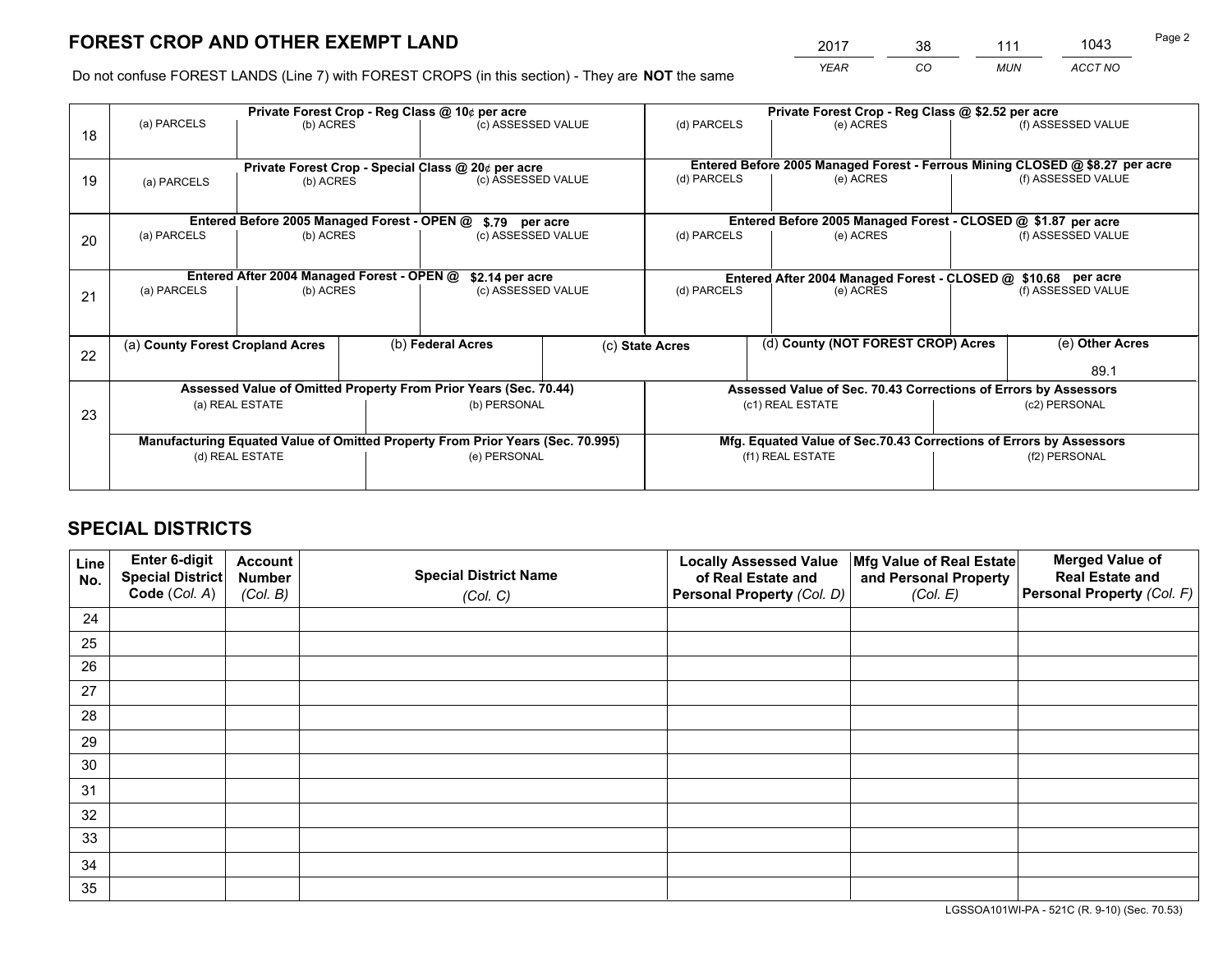*YEAR CO MUN ACCT NO* <sup>2017</sup> <sup>38</sup> <sup>111</sup> <sup>1043</sup>

Do not confuse FOREST LANDS (Line 7) with FOREST CROPS (in this section) - They are **NOT** the same

|    |                                                               |                                             |  | Private Forest Crop - Reg Class @ 10¢ per acre                                 |  | Private Forest Crop - Reg Class @ \$2.52 per acre             |                                                                              |                                                                    |                    |  |
|----|---------------------------------------------------------------|---------------------------------------------|--|--------------------------------------------------------------------------------|--|---------------------------------------------------------------|------------------------------------------------------------------------------|--------------------------------------------------------------------|--------------------|--|
| 18 | (a) PARCELS                                                   | (b) ACRES                                   |  | (c) ASSESSED VALUE                                                             |  | (d) PARCELS                                                   | (e) ACRES                                                                    |                                                                    | (f) ASSESSED VALUE |  |
|    |                                                               |                                             |  |                                                                                |  |                                                               |                                                                              |                                                                    |                    |  |
|    | Private Forest Crop - Special Class @ 20¢ per acre            |                                             |  |                                                                                |  |                                                               | Entered Before 2005 Managed Forest - Ferrous Mining CLOSED @ \$8.27 per acre |                                                                    |                    |  |
| 19 | (a) PARCELS                                                   | (b) ACRES                                   |  | (c) ASSESSED VALUE                                                             |  | (d) PARCELS                                                   | (e) ACRES                                                                    |                                                                    | (f) ASSESSED VALUE |  |
|    |                                                               |                                             |  |                                                                                |  |                                                               |                                                                              |                                                                    |                    |  |
|    |                                                               | Entered Before 2005 Managed Forest - OPEN @ |  | \$.79 per acre                                                                 |  |                                                               | Entered Before 2005 Managed Forest - CLOSED @ \$1.87 per acre                |                                                                    |                    |  |
| 20 | (a) PARCELS                                                   | (b) ACRES                                   |  | (c) ASSESSED VALUE                                                             |  | (d) PARCELS                                                   | (e) ACRES                                                                    |                                                                    | (f) ASSESSED VALUE |  |
|    |                                                               |                                             |  |                                                                                |  |                                                               |                                                                              |                                                                    |                    |  |
|    | Entered After 2004 Managed Forest - OPEN @<br>\$2.14 per acre |                                             |  |                                                                                |  | Entered After 2004 Managed Forest - CLOSED @ \$10.68 per acre |                                                                              |                                                                    |                    |  |
| 21 | (a) PARCELS                                                   | (b) ACRES                                   |  | (c) ASSESSED VALUE                                                             |  | (d) PARCELS<br>(e) ACRES                                      |                                                                              |                                                                    | (f) ASSESSED VALUE |  |
|    |                                                               |                                             |  |                                                                                |  |                                                               |                                                                              |                                                                    |                    |  |
|    |                                                               |                                             |  |                                                                                |  |                                                               |                                                                              |                                                                    |                    |  |
| 22 | (a) County Forest Cropland Acres                              |                                             |  | (b) Federal Acres<br>(c) State Acres                                           |  |                                                               | (d) County (NOT FOREST CROP) Acres                                           |                                                                    | (e) Other Acres    |  |
|    |                                                               |                                             |  |                                                                                |  |                                                               |                                                                              |                                                                    | 89.1               |  |
|    |                                                               |                                             |  | Assessed Value of Omitted Property From Prior Years (Sec. 70.44)               |  |                                                               | Assessed Value of Sec. 70.43 Corrections of Errors by Assessors              |                                                                    |                    |  |
| 23 |                                                               | (a) REAL ESTATE                             |  | (b) PERSONAL                                                                   |  |                                                               | (c1) REAL ESTATE                                                             |                                                                    | (c2) PERSONAL      |  |
|    |                                                               |                                             |  |                                                                                |  |                                                               |                                                                              |                                                                    |                    |  |
|    |                                                               |                                             |  | Manufacturing Equated Value of Omitted Property From Prior Years (Sec. 70.995) |  |                                                               |                                                                              | Mfg. Equated Value of Sec.70.43 Corrections of Errors by Assessors |                    |  |
|    |                                                               | (d) REAL ESTATE                             |  | (e) PERSONAL                                                                   |  | (f1) REAL ESTATE                                              |                                                                              | (f2) PERSONAL                                                      |                    |  |
|    |                                                               |                                             |  |                                                                                |  |                                                               |                                                                              |                                                                    |                    |  |

## **SPECIAL DISTRICTS**

| Line<br>No. | Enter 6-digit<br>Special District<br>Code (Col. A) | <b>Account</b><br><b>Number</b> | <b>Special District Name</b> | <b>Locally Assessed Value</b><br>of Real Estate and | Mfg Value of Real Estate<br>and Personal Property | <b>Merged Value of</b><br><b>Real Estate and</b><br>Personal Property (Col. F) |
|-------------|----------------------------------------------------|---------------------------------|------------------------------|-----------------------------------------------------|---------------------------------------------------|--------------------------------------------------------------------------------|
|             |                                                    | (Col. B)                        | (Col. C)                     | Personal Property (Col. D)                          | (Col. E)                                          |                                                                                |
| 24          |                                                    |                                 |                              |                                                     |                                                   |                                                                                |
| 25          |                                                    |                                 |                              |                                                     |                                                   |                                                                                |
| 26          |                                                    |                                 |                              |                                                     |                                                   |                                                                                |
| 27          |                                                    |                                 |                              |                                                     |                                                   |                                                                                |
| 28          |                                                    |                                 |                              |                                                     |                                                   |                                                                                |
| 29          |                                                    |                                 |                              |                                                     |                                                   |                                                                                |
| 30          |                                                    |                                 |                              |                                                     |                                                   |                                                                                |
| 31          |                                                    |                                 |                              |                                                     |                                                   |                                                                                |
| 32          |                                                    |                                 |                              |                                                     |                                                   |                                                                                |
| 33          |                                                    |                                 |                              |                                                     |                                                   |                                                                                |
| 34          |                                                    |                                 |                              |                                                     |                                                   |                                                                                |
| 35          |                                                    |                                 |                              |                                                     |                                                   |                                                                                |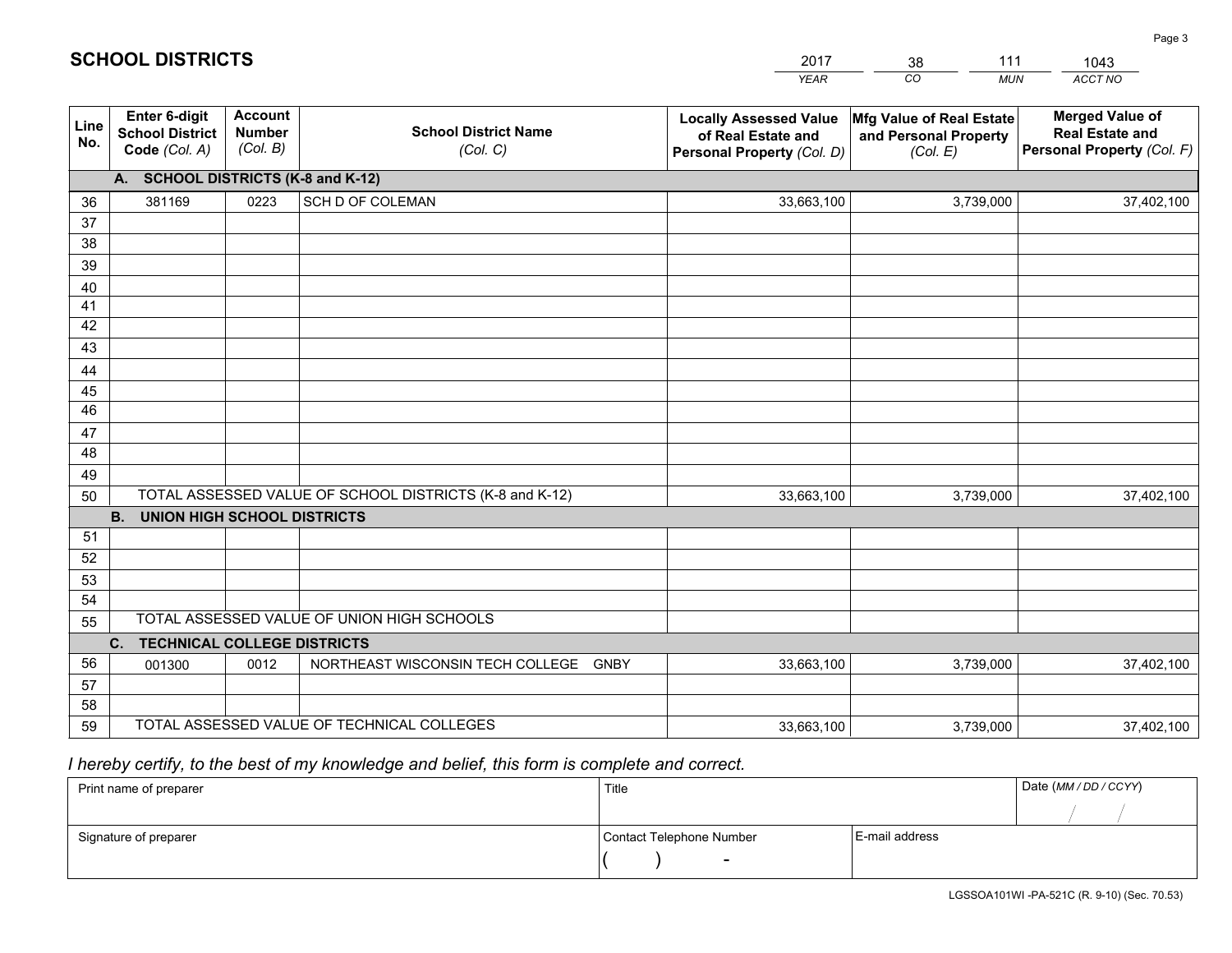|             |                                                          |                                             |                                                         | YEAR                                                                              | CO.<br><b>MUN</b>                                             | ACCT NO                                                                        |
|-------------|----------------------------------------------------------|---------------------------------------------|---------------------------------------------------------|-----------------------------------------------------------------------------------|---------------------------------------------------------------|--------------------------------------------------------------------------------|
| Line<br>No. | Enter 6-digit<br><b>School District</b><br>Code (Col. A) | <b>Account</b><br><b>Number</b><br>(Col. B) | <b>School District Name</b><br>(Col. C)                 | <b>Locally Assessed Value</b><br>of Real Estate and<br>Personal Property (Col. D) | Mfg Value of Real Estate<br>and Personal Property<br>(Col. E) | <b>Merged Value of</b><br><b>Real Estate and</b><br>Personal Property (Col. F) |
|             | A. SCHOOL DISTRICTS (K-8 and K-12)                       |                                             |                                                         |                                                                                   |                                                               |                                                                                |
| 36          | 381169                                                   | 0223                                        | SCH D OF COLEMAN                                        | 33,663,100                                                                        | 3,739,000                                                     | 37,402,100                                                                     |
| 37          |                                                          |                                             |                                                         |                                                                                   |                                                               |                                                                                |
| 38          |                                                          |                                             |                                                         |                                                                                   |                                                               |                                                                                |
| 39          |                                                          |                                             |                                                         |                                                                                   |                                                               |                                                                                |
| 40          |                                                          |                                             |                                                         |                                                                                   |                                                               |                                                                                |
| 41<br>42    |                                                          |                                             |                                                         |                                                                                   |                                                               |                                                                                |
| 43          |                                                          |                                             |                                                         |                                                                                   |                                                               |                                                                                |
| 44          |                                                          |                                             |                                                         |                                                                                   |                                                               |                                                                                |
| 45          |                                                          |                                             |                                                         |                                                                                   |                                                               |                                                                                |
| 46          |                                                          |                                             |                                                         |                                                                                   |                                                               |                                                                                |
| 47          |                                                          |                                             |                                                         |                                                                                   |                                                               |                                                                                |
| 48          |                                                          |                                             |                                                         |                                                                                   |                                                               |                                                                                |
| 49          |                                                          |                                             |                                                         |                                                                                   |                                                               |                                                                                |
| 50          |                                                          |                                             | TOTAL ASSESSED VALUE OF SCHOOL DISTRICTS (K-8 and K-12) | 33,663,100                                                                        | 3,739,000                                                     | 37,402,100                                                                     |
|             | <b>B.</b><br>UNION HIGH SCHOOL DISTRICTS                 |                                             |                                                         |                                                                                   |                                                               |                                                                                |
| 51          |                                                          |                                             |                                                         |                                                                                   |                                                               |                                                                                |
| 52          |                                                          |                                             |                                                         |                                                                                   |                                                               |                                                                                |
| 53<br>54    |                                                          |                                             |                                                         |                                                                                   |                                                               |                                                                                |
| 55          |                                                          |                                             | TOTAL ASSESSED VALUE OF UNION HIGH SCHOOLS              |                                                                                   |                                                               |                                                                                |
|             | C.<br><b>TECHNICAL COLLEGE DISTRICTS</b>                 |                                             |                                                         |                                                                                   |                                                               |                                                                                |
| 56          | 001300                                                   | 0012                                        | NORTHEAST WISCONSIN TECH COLLEGE<br><b>GNBY</b>         | 33,663,100                                                                        | 3,739,000                                                     | 37,402,100                                                                     |
| 57          |                                                          |                                             |                                                         |                                                                                   |                                                               |                                                                                |
| 58          |                                                          |                                             |                                                         |                                                                                   |                                                               |                                                                                |
| 59          |                                                          |                                             | TOTAL ASSESSED VALUE OF TECHNICAL COLLEGES              | 33,663,100                                                                        | 3,739,000                                                     | 37,402,100                                                                     |

38

111

 *I hereby certify, to the best of my knowledge and belief, this form is complete and correct.*

**SCHOOL DISTRICTS**

| Print name of preparer | Title                    |                | Date (MM / DD / CCYY) |
|------------------------|--------------------------|----------------|-----------------------|
|                        |                          |                |                       |
| Signature of preparer  | Contact Telephone Number | E-mail address |                       |
|                        | $\sim$                   |                |                       |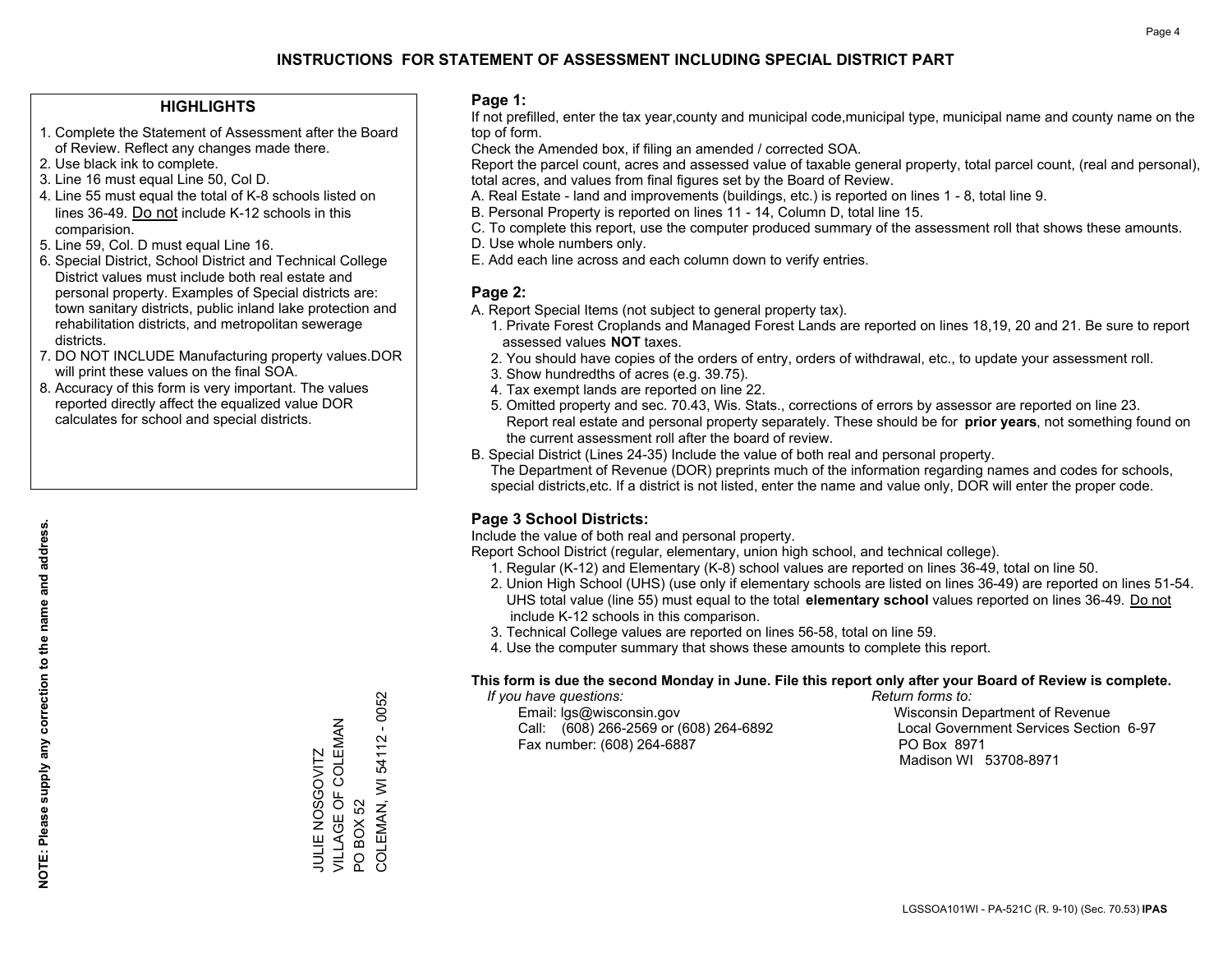## **HIGHLIGHTS**

- 1. Complete the Statement of Assessment after the Board of Review. Reflect any changes made there.
- 2. Use black ink to complete.
- 3. Line 16 must equal Line 50, Col D.
- 4. Line 55 must equal the total of K-8 schools listed on lines 36-49. Do not include K-12 schools in this comparision.
- 5. Line 59, Col. D must equal Line 16.
- 6. Special District, School District and Technical College District values must include both real estate and personal property. Examples of Special districts are: town sanitary districts, public inland lake protection and rehabilitation districts, and metropolitan sewerage districts.
- 7. DO NOT INCLUDE Manufacturing property values.DOR will print these values on the final SOA.

JULIE NOSGOVITZ VILLAGE OF COLEMAN

JULIE NOSGOVITZ<br>VILLAGE OF COLEMAN

PO BOX 52

 $\overline{S}$ 

**BOX 52** 

COLEMAN, WI 54112 - 0052

COLEMAN, WI 54112 - 0052

 8. Accuracy of this form is very important. The values reported directly affect the equalized value DOR calculates for school and special districts.

### **Page 1:**

 If not prefilled, enter the tax year,county and municipal code,municipal type, municipal name and county name on the top of form.

Check the Amended box, if filing an amended / corrected SOA.

 Report the parcel count, acres and assessed value of taxable general property, total parcel count, (real and personal), total acres, and values from final figures set by the Board of Review.

- A. Real Estate land and improvements (buildings, etc.) is reported on lines 1 8, total line 9.
- B. Personal Property is reported on lines 11 14, Column D, total line 15.
- C. To complete this report, use the computer produced summary of the assessment roll that shows these amounts.
- D. Use whole numbers only.
- E. Add each line across and each column down to verify entries.

## **Page 2:**

- A. Report Special Items (not subject to general property tax).
- 1. Private Forest Croplands and Managed Forest Lands are reported on lines 18,19, 20 and 21. Be sure to report assessed values **NOT** taxes.
- 2. You should have copies of the orders of entry, orders of withdrawal, etc., to update your assessment roll.
	- 3. Show hundredths of acres (e.g. 39.75).
- 4. Tax exempt lands are reported on line 22.
- 5. Omitted property and sec. 70.43, Wis. Stats., corrections of errors by assessor are reported on line 23. Report real estate and personal property separately. These should be for **prior years**, not something found on the current assessment roll after the board of review.
- B. Special District (Lines 24-35) Include the value of both real and personal property.

 The Department of Revenue (DOR) preprints much of the information regarding names and codes for schools, special districts,etc. If a district is not listed, enter the name and value only, DOR will enter the proper code.

## **Page 3 School Districts:**

Include the value of both real and personal property.

Report School District (regular, elementary, union high school, and technical college).

- 1. Regular (K-12) and Elementary (K-8) school values are reported on lines 36-49, total on line 50.
- 2. Union High School (UHS) (use only if elementary schools are listed on lines 36-49) are reported on lines 51-54. UHS total value (line 55) must equal to the total **elementary school** values reported on lines 36-49. Do notinclude K-12 schools in this comparison.
- 3. Technical College values are reported on lines 56-58, total on line 59.
- 4. Use the computer summary that shows these amounts to complete this report.

#### **This form is due the second Monday in June. File this report only after your Board of Review is complete.**

 *If you have questions: Return forms to:*

 Email: lgs@wisconsin.gov Wisconsin Department of RevenueCall:  $(608)$  266-2569 or  $(608)$  264-6892 Fax number: (608) 264-6887 PO Box 8971

Local Government Services Section 6-97 Madison WI 53708-8971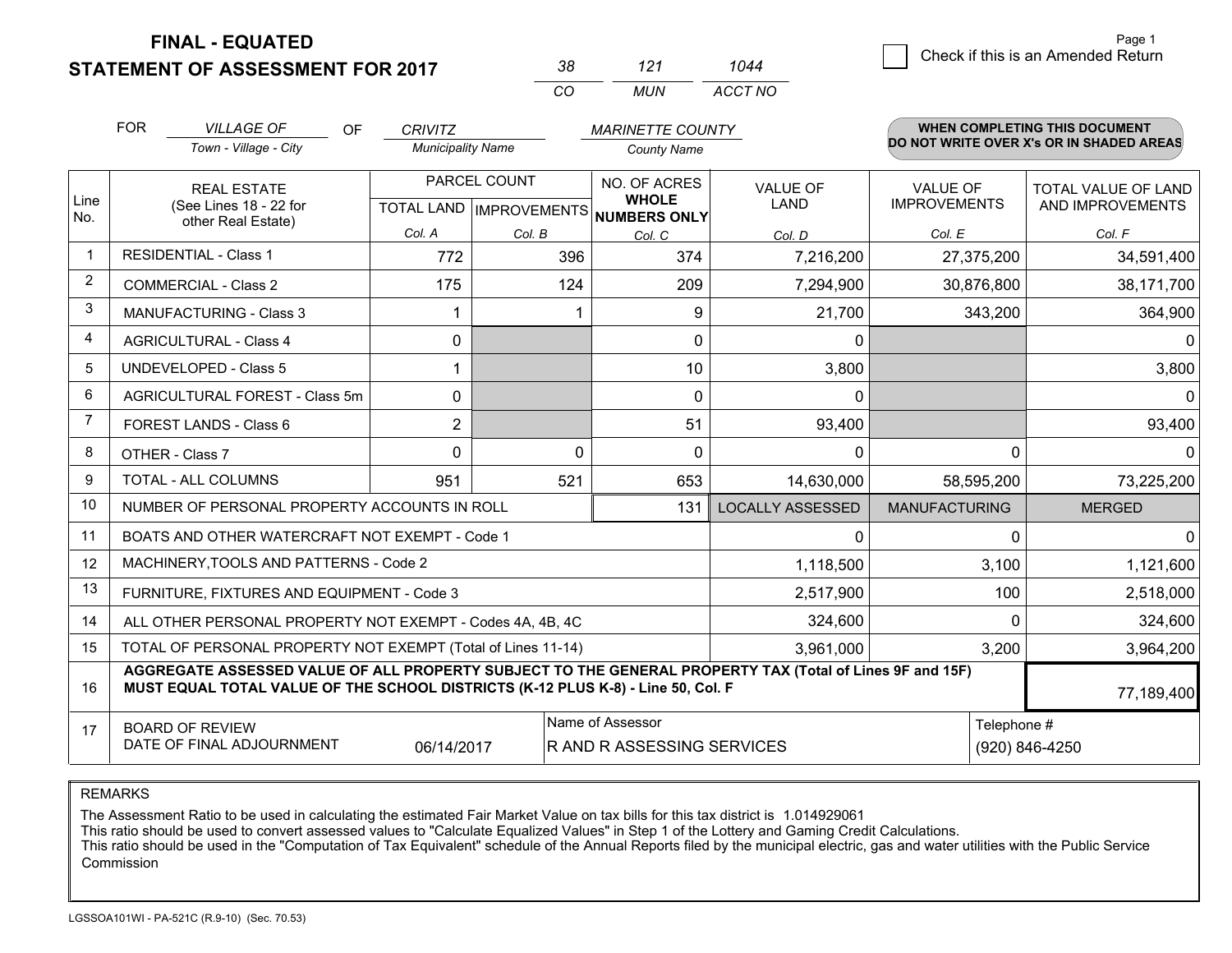**STATEMENT OF ASSESSMENT FOR 2017** 

| 38       | 121 | 1044    |
|----------|-----|---------|
| $\alpha$ | MUN | ACCT NO |

|                | <b>FOR</b><br><b>VILLAGE OF</b><br><b>OF</b><br><b>MARINETTE COUNTY</b><br><b>CRIVITZ</b>                                                                                                    |                          |                |                                      |              |             |                         |                      | WHEN COMPLETING THIS DOCUMENT<br>DO NOT WRITE OVER X's OR IN SHADED AREAS |                     |
|----------------|----------------------------------------------------------------------------------------------------------------------------------------------------------------------------------------------|--------------------------|----------------|--------------------------------------|--------------|-------------|-------------------------|----------------------|---------------------------------------------------------------------------|---------------------|
|                | Town - Village - City                                                                                                                                                                        | <b>Municipality Name</b> |                | <b>County Name</b>                   |              |             |                         |                      |                                                                           |                     |
|                | <b>REAL ESTATE</b>                                                                                                                                                                           |                          |                | PARCEL COUNT                         | NO. OF ACRES |             | <b>VALUE OF</b>         | <b>VALUE OF</b>      |                                                                           | TOTAL VALUE OF LAND |
| Line<br>No.    | (See Lines 18 - 22 for<br>other Real Estate)                                                                                                                                                 |                          |                | TOTAL LAND IMPROVEMENTS NUMBERS ONLY | <b>WHOLE</b> |             | LAND                    | <b>IMPROVEMENTS</b>  |                                                                           | AND IMPROVEMENTS    |
|                |                                                                                                                                                                                              |                          | Col. A         | Col. B                               | Col. C       |             | Col. D                  | Col. E               |                                                                           | Col. F              |
| $\mathbf{1}$   | <b>RESIDENTIAL - Class 1</b>                                                                                                                                                                 |                          | 772            | 396                                  |              | 374         | 7,216,200               |                      | 27,375,200                                                                | 34,591,400          |
| $\overline{2}$ | <b>COMMERCIAL - Class 2</b>                                                                                                                                                                  |                          | 175            | 124                                  |              | 209         | 7,294,900               |                      | 30,876,800                                                                | 38,171,700          |
| 3              | MANUFACTURING - Class 3                                                                                                                                                                      |                          |                |                                      |              | 9           | 21,700                  |                      | 343,200                                                                   | 364,900             |
| 4              | <b>AGRICULTURAL - Class 4</b>                                                                                                                                                                |                          | $\mathbf{0}$   |                                      |              | 0           | 0                       |                      |                                                                           | 0                   |
| 5              | <b>UNDEVELOPED - Class 5</b>                                                                                                                                                                 |                          |                |                                      |              | 10          | 3,800                   |                      |                                                                           | 3,800               |
| 6              | AGRICULTURAL FOREST - Class 5m                                                                                                                                                               |                          | $\Omega$       |                                      |              | $\mathbf 0$ | 0                       |                      |                                                                           | $\Omega$            |
| $\overline{7}$ | FOREST LANDS - Class 6                                                                                                                                                                       |                          | $\overline{2}$ |                                      |              | 51          | 93,400                  |                      |                                                                           | 93,400              |
| 8              | OTHER - Class 7                                                                                                                                                                              |                          | $\Omega$       |                                      | $\Omega$     | $\Omega$    | $\Omega$                |                      | $\Omega$                                                                  | $\Omega$            |
| 9              | TOTAL - ALL COLUMNS                                                                                                                                                                          |                          | 951            | 521                                  |              | 653         | 14,630,000              |                      | 58,595,200                                                                | 73,225,200          |
| 10             | NUMBER OF PERSONAL PROPERTY ACCOUNTS IN ROLL                                                                                                                                                 |                          |                |                                      |              | 131         | <b>LOCALLY ASSESSED</b> | <b>MANUFACTURING</b> |                                                                           | <b>MERGED</b>       |
| 11             | BOATS AND OTHER WATERCRAFT NOT EXEMPT - Code 1                                                                                                                                               |                          |                |                                      |              |             | 0                       |                      | 0                                                                         | 0                   |
| 12             | MACHINERY, TOOLS AND PATTERNS - Code 2                                                                                                                                                       |                          |                |                                      |              |             | 1,118,500               |                      | 3,100                                                                     | 1,121,600           |
| 13             | FURNITURE, FIXTURES AND EQUIPMENT - Code 3                                                                                                                                                   |                          |                |                                      |              |             | 2,517,900               |                      | 100                                                                       | 2,518,000           |
| 14             | ALL OTHER PERSONAL PROPERTY NOT EXEMPT - Codes 4A, 4B, 4C                                                                                                                                    |                          |                |                                      |              |             | 324,600                 |                      | $\Omega$                                                                  | 324,600             |
| 15             | TOTAL OF PERSONAL PROPERTY NOT EXEMPT (Total of Lines 11-14)                                                                                                                                 |                          |                |                                      |              |             | 3,961,000               |                      | 3,200                                                                     | 3,964,200           |
| 16             | AGGREGATE ASSESSED VALUE OF ALL PROPERTY SUBJECT TO THE GENERAL PROPERTY TAX (Total of Lines 9F and 15F)<br>MUST EQUAL TOTAL VALUE OF THE SCHOOL DISTRICTS (K-12 PLUS K-8) - Line 50, Col. F |                          |                |                                      |              |             |                         |                      | 77,189,400                                                                |                     |
| 17             | Name of Assessor<br><b>BOARD OF REVIEW</b><br>DATE OF FINAL ADJOURNMENT<br>06/14/2017<br>R AND R ASSESSING SERVICES                                                                          |                          |                |                                      |              |             | Telephone #             | (920) 846-4250       |                                                                           |                     |

REMARKS

The Assessment Ratio to be used in calculating the estimated Fair Market Value on tax bills for this tax district is 1.014929061

This ratio should be used to convert assessed values to "Calculate Equalized Values" in Step 1 of the Lottery and Gaming Credit Calculations.<br>This ratio should be used in the "Computation of Tax Equivalent" schedule of the Commission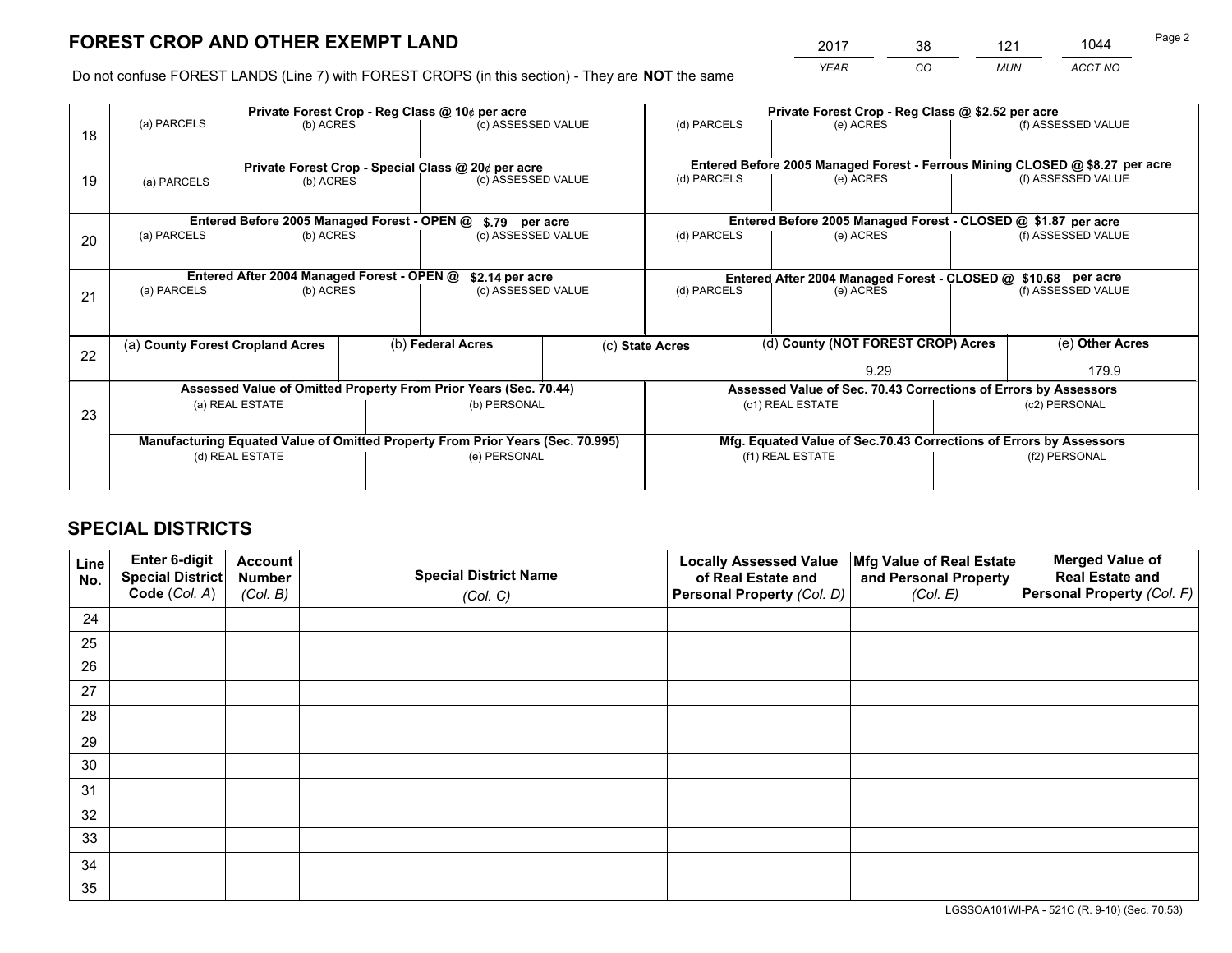*YEAR CO MUN ACCT NO* <sup>2017</sup> <sup>38</sup> <sup>121</sup> <sup>1044</sup> Page 2

Do not confuse FOREST LANDS (Line 7) with FOREST CROPS (in this section) - They are **NOT** the same

|    |                                                                                | Private Forest Crop - Reg Class @ 10¢ per acre                   |  |                                                       |  | Private Forest Crop - Reg Class @ \$2.52 per acre             |                                                                              |                    |                    |
|----|--------------------------------------------------------------------------------|------------------------------------------------------------------|--|-------------------------------------------------------|--|---------------------------------------------------------------|------------------------------------------------------------------------------|--------------------|--------------------|
| 18 | (a) PARCELS                                                                    | (b) ACRES                                                        |  | (c) ASSESSED VALUE                                    |  | (d) PARCELS                                                   | (e) ACRES                                                                    |                    | (f) ASSESSED VALUE |
|    |                                                                                | Private Forest Crop - Special Class @ 20¢ per acre               |  |                                                       |  |                                                               | Entered Before 2005 Managed Forest - Ferrous Mining CLOSED @ \$8.27 per acre |                    |                    |
| 19 | (b) ACRES<br>(a) PARCELS                                                       |                                                                  |  | (c) ASSESSED VALUE                                    |  | (d) PARCELS                                                   | (e) ACRES                                                                    |                    | (f) ASSESSED VALUE |
|    |                                                                                | Entered Before 2005 Managed Forest - OPEN @                      |  | \$.79 per acre                                        |  |                                                               | Entered Before 2005 Managed Forest - CLOSED @ \$1.87 per acre                |                    |                    |
| 20 | (a) PARCELS<br>(b) ACRES                                                       |                                                                  |  | (c) ASSESSED VALUE                                    |  | (d) PARCELS                                                   | (e) ACRES                                                                    |                    | (f) ASSESSED VALUE |
|    |                                                                                | Entered After 2004 Managed Forest - OPEN @                       |  | \$2.14 per acre                                       |  | Entered After 2004 Managed Forest - CLOSED @ \$10.68 per acre |                                                                              |                    |                    |
| 21 | (a) PARCELS                                                                    | (b) ACRES                                                        |  | (c) ASSESSED VALUE                                    |  | (d) PARCELS<br>(e) ACRES                                      |                                                                              | (f) ASSESSED VALUE |                    |
| 22 |                                                                                | (b) Federal Acres<br>(a) County Forest Cropland Acres            |  | (d) County (NOT FOREST CROP) Acres<br>(c) State Acres |  |                                                               | (e) Other Acres                                                              |                    |                    |
|    |                                                                                |                                                                  |  |                                                       |  |                                                               | 9.29                                                                         |                    | 179.9              |
|    |                                                                                | Assessed Value of Omitted Property From Prior Years (Sec. 70.44) |  |                                                       |  |                                                               | Assessed Value of Sec. 70.43 Corrections of Errors by Assessors              |                    |                    |
| 23 | (a) REAL ESTATE                                                                |                                                                  |  | (b) PERSONAL                                          |  | (c1) REAL ESTATE                                              |                                                                              | (c2) PERSONAL      |                    |
|    | Manufacturing Equated Value of Omitted Property From Prior Years (Sec. 70.995) |                                                                  |  |                                                       |  |                                                               | Mfg. Equated Value of Sec.70.43 Corrections of Errors by Assessors           |                    |                    |
|    |                                                                                | (d) REAL ESTATE                                                  |  | (e) PERSONAL                                          |  | (f1) REAL ESTATE                                              |                                                                              | (f2) PERSONAL      |                    |
|    |                                                                                |                                                                  |  |                                                       |  |                                                               |                                                                              |                    |                    |

## **SPECIAL DISTRICTS**

| Line<br>No. | Enter 6-digit<br>Special District<br>Code (Col. A) | <b>Account</b><br><b>Number</b> | <b>Special District Name</b> | <b>Locally Assessed Value</b><br>of Real Estate and | Mfg Value of Real Estate<br>and Personal Property | <b>Merged Value of</b><br><b>Real Estate and</b><br>Personal Property (Col. F) |
|-------------|----------------------------------------------------|---------------------------------|------------------------------|-----------------------------------------------------|---------------------------------------------------|--------------------------------------------------------------------------------|
|             |                                                    | (Col. B)                        | (Col. C)                     | Personal Property (Col. D)                          | (Col. E)                                          |                                                                                |
| 24          |                                                    |                                 |                              |                                                     |                                                   |                                                                                |
| 25          |                                                    |                                 |                              |                                                     |                                                   |                                                                                |
| 26          |                                                    |                                 |                              |                                                     |                                                   |                                                                                |
| 27          |                                                    |                                 |                              |                                                     |                                                   |                                                                                |
| 28          |                                                    |                                 |                              |                                                     |                                                   |                                                                                |
| 29          |                                                    |                                 |                              |                                                     |                                                   |                                                                                |
| 30          |                                                    |                                 |                              |                                                     |                                                   |                                                                                |
| 31          |                                                    |                                 |                              |                                                     |                                                   |                                                                                |
| 32          |                                                    |                                 |                              |                                                     |                                                   |                                                                                |
| 33          |                                                    |                                 |                              |                                                     |                                                   |                                                                                |
| 34          |                                                    |                                 |                              |                                                     |                                                   |                                                                                |
| 35          |                                                    |                                 |                              |                                                     |                                                   |                                                                                |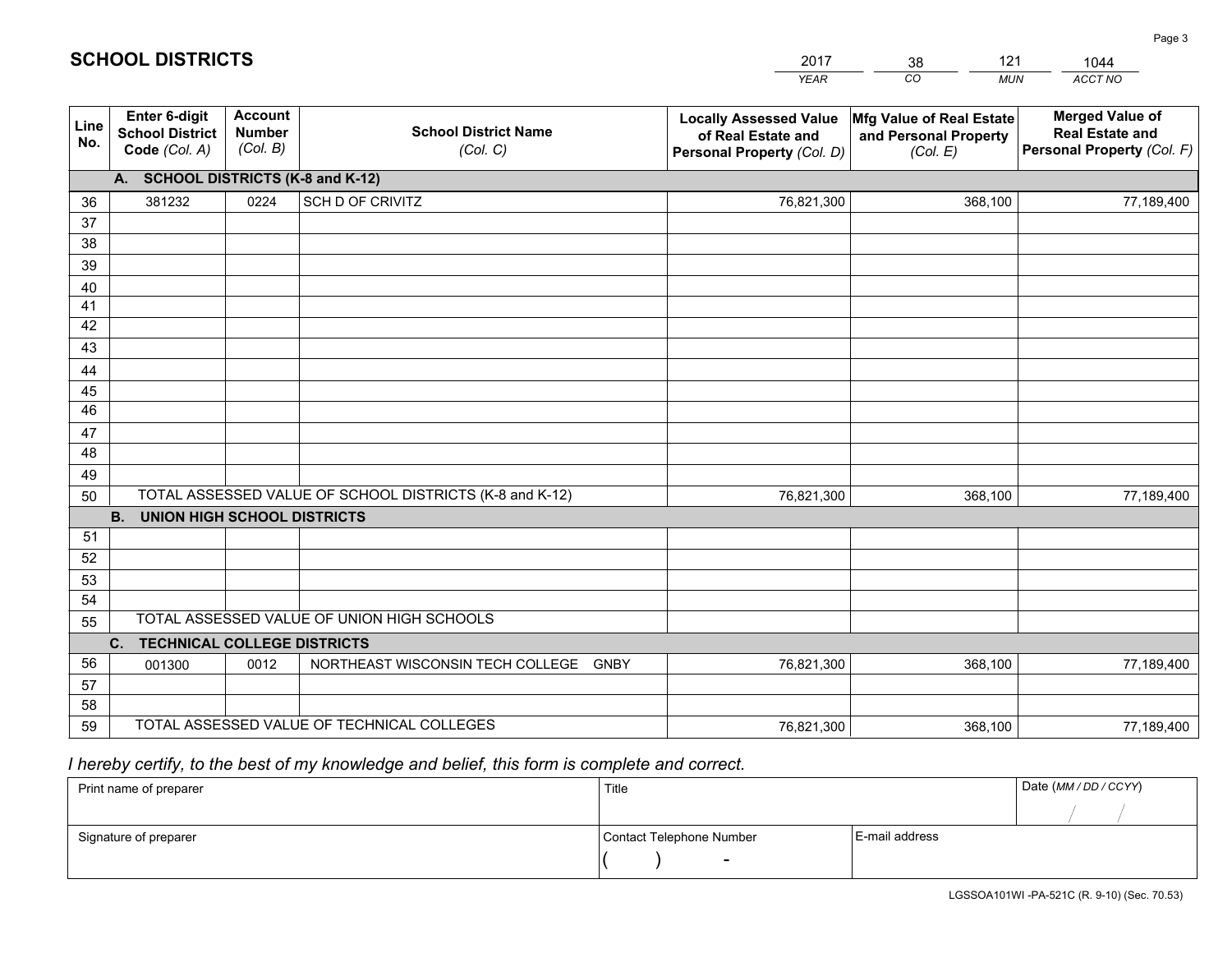|             |                                                          |                                             |                                                         | YEAR                                                                              | CO.<br><b>MUN</b>                                             | ACCT NO                                                                        |
|-------------|----------------------------------------------------------|---------------------------------------------|---------------------------------------------------------|-----------------------------------------------------------------------------------|---------------------------------------------------------------|--------------------------------------------------------------------------------|
| Line<br>No. | Enter 6-digit<br><b>School District</b><br>Code (Col. A) | <b>Account</b><br><b>Number</b><br>(Col. B) | <b>School District Name</b><br>(Col. C)                 | <b>Locally Assessed Value</b><br>of Real Estate and<br>Personal Property (Col. D) | Mfg Value of Real Estate<br>and Personal Property<br>(Col. E) | <b>Merged Value of</b><br><b>Real Estate and</b><br>Personal Property (Col. F) |
|             | A. SCHOOL DISTRICTS (K-8 and K-12)                       |                                             |                                                         |                                                                                   |                                                               |                                                                                |
| 36          | 381232                                                   | 0224                                        | SCH D OF CRIVITZ                                        | 76,821,300                                                                        | 368,100                                                       | 77,189,400                                                                     |
| 37          |                                                          |                                             |                                                         |                                                                                   |                                                               |                                                                                |
| 38          |                                                          |                                             |                                                         |                                                                                   |                                                               |                                                                                |
| 39          |                                                          |                                             |                                                         |                                                                                   |                                                               |                                                                                |
| 40          |                                                          |                                             |                                                         |                                                                                   |                                                               |                                                                                |
| 41          |                                                          |                                             |                                                         |                                                                                   |                                                               |                                                                                |
| 42<br>43    |                                                          |                                             |                                                         |                                                                                   |                                                               |                                                                                |
|             |                                                          |                                             |                                                         |                                                                                   |                                                               |                                                                                |
| 44<br>45    |                                                          |                                             |                                                         |                                                                                   |                                                               |                                                                                |
| 46          |                                                          |                                             |                                                         |                                                                                   |                                                               |                                                                                |
| 47          |                                                          |                                             |                                                         |                                                                                   |                                                               |                                                                                |
| 48          |                                                          |                                             |                                                         |                                                                                   |                                                               |                                                                                |
| 49          |                                                          |                                             |                                                         |                                                                                   |                                                               |                                                                                |
| 50          |                                                          |                                             | TOTAL ASSESSED VALUE OF SCHOOL DISTRICTS (K-8 and K-12) | 76,821,300                                                                        | 368,100                                                       | 77,189,400                                                                     |
|             | <b>B.</b><br><b>UNION HIGH SCHOOL DISTRICTS</b>          |                                             |                                                         |                                                                                   |                                                               |                                                                                |
| 51          |                                                          |                                             |                                                         |                                                                                   |                                                               |                                                                                |
| 52          |                                                          |                                             |                                                         |                                                                                   |                                                               |                                                                                |
| 53          |                                                          |                                             |                                                         |                                                                                   |                                                               |                                                                                |
| 54          |                                                          |                                             |                                                         |                                                                                   |                                                               |                                                                                |
| 55          |                                                          |                                             | TOTAL ASSESSED VALUE OF UNION HIGH SCHOOLS              |                                                                                   |                                                               |                                                                                |
|             | C.<br><b>TECHNICAL COLLEGE DISTRICTS</b>                 |                                             |                                                         |                                                                                   |                                                               |                                                                                |
| 56          | 001300                                                   | 0012                                        | NORTHEAST WISCONSIN TECH COLLEGE GNBY                   | 76,821,300                                                                        | 368,100                                                       | 77,189,400                                                                     |
| 57<br>58    |                                                          |                                             |                                                         |                                                                                   |                                                               |                                                                                |
| 59          |                                                          |                                             | TOTAL ASSESSED VALUE OF TECHNICAL COLLEGES              | 76,821,300                                                                        | 368,100                                                       | 77,189,400                                                                     |
|             |                                                          |                                             |                                                         |                                                                                   |                                                               |                                                                                |

38

121

 *I hereby certify, to the best of my knowledge and belief, this form is complete and correct.*

**SCHOOL DISTRICTS**

| Print name of preparer | Title                    |                | Date (MM / DD / CCYY) |
|------------------------|--------------------------|----------------|-----------------------|
|                        |                          |                |                       |
| Signature of preparer  | Contact Telephone Number | E-mail address |                       |
|                        | $\overline{\phantom{0}}$ |                |                       |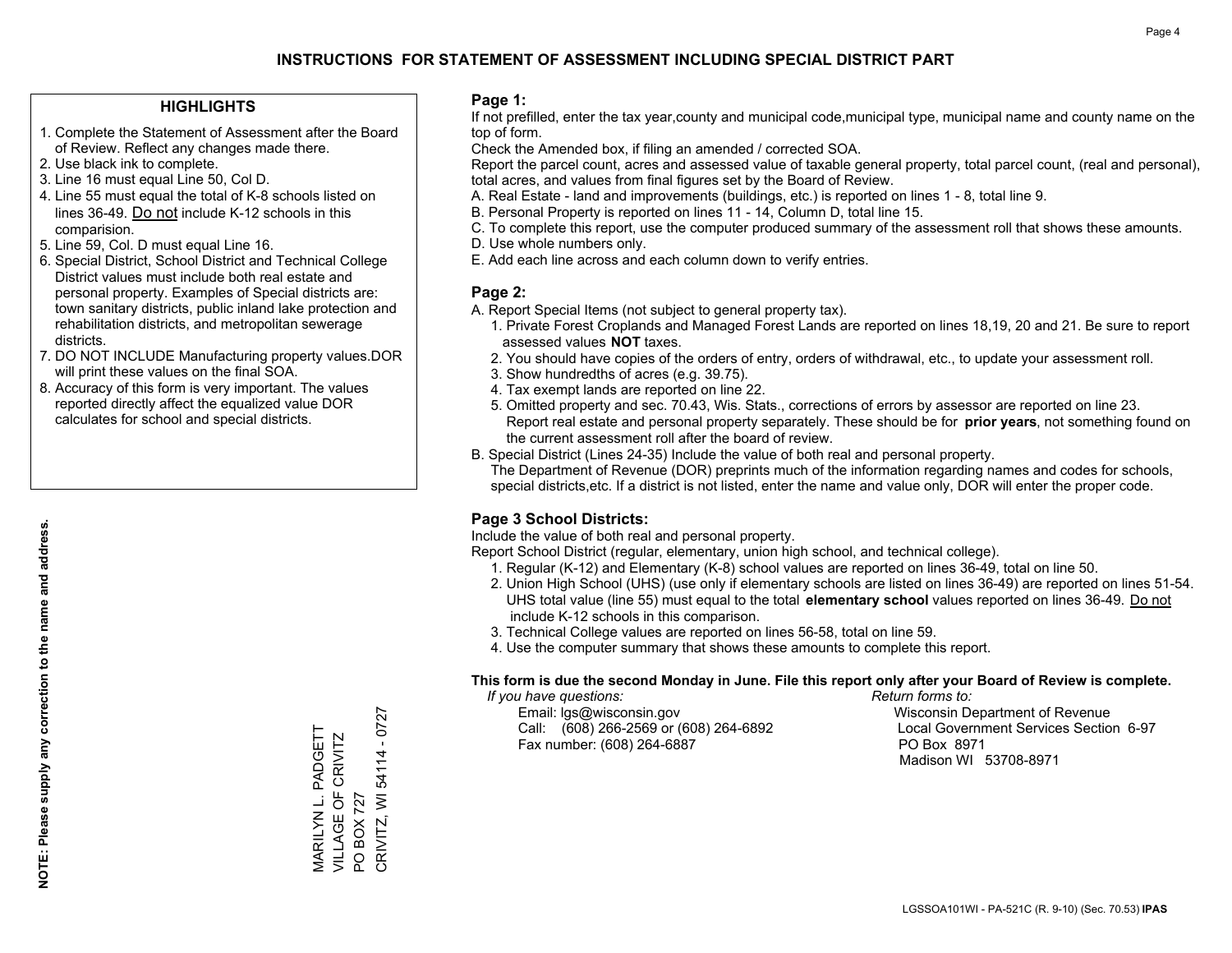## **HIGHLIGHTS**

- 1. Complete the Statement of Assessment after the Board of Review. Reflect any changes made there.
- 2. Use black ink to complete.
- 3. Line 16 must equal Line 50, Col D.
- 4. Line 55 must equal the total of K-8 schools listed on lines 36-49. Do not include K-12 schools in this comparision.
- 5. Line 59, Col. D must equal Line 16.
- 6. Special District, School District and Technical College District values must include both real estate and personal property. Examples of Special districts are: town sanitary districts, public inland lake protection and rehabilitation districts, and metropolitan sewerage districts.
- 7. DO NOT INCLUDE Manufacturing property values.DOR will print these values on the final SOA.

MARILYN L. PADGETT VILLAGE OF CRIVITZ

MARILYN L. PADGETT<br>VILLAGE OF CRIVITZ

PO BOX 727

 $\overline{S}$ 

**BOX 727** 

CRIVITZ, WI 54114 - 0727

CRIVITZ, WI 54114 - 0727

 8. Accuracy of this form is very important. The values reported directly affect the equalized value DOR calculates for school and special districts.

### **Page 1:**

 If not prefilled, enter the tax year,county and municipal code,municipal type, municipal name and county name on the top of form.

Check the Amended box, if filing an amended / corrected SOA.

 Report the parcel count, acres and assessed value of taxable general property, total parcel count, (real and personal), total acres, and values from final figures set by the Board of Review.

- A. Real Estate land and improvements (buildings, etc.) is reported on lines 1 8, total line 9.
- B. Personal Property is reported on lines 11 14, Column D, total line 15.
- C. To complete this report, use the computer produced summary of the assessment roll that shows these amounts.
- D. Use whole numbers only.
- E. Add each line across and each column down to verify entries.

## **Page 2:**

- A. Report Special Items (not subject to general property tax).
- 1. Private Forest Croplands and Managed Forest Lands are reported on lines 18,19, 20 and 21. Be sure to report assessed values **NOT** taxes.
- 2. You should have copies of the orders of entry, orders of withdrawal, etc., to update your assessment roll.
	- 3. Show hundredths of acres (e.g. 39.75).
- 4. Tax exempt lands are reported on line 22.
- 5. Omitted property and sec. 70.43, Wis. Stats., corrections of errors by assessor are reported on line 23. Report real estate and personal property separately. These should be for **prior years**, not something found on the current assessment roll after the board of review.
- B. Special District (Lines 24-35) Include the value of both real and personal property.

 The Department of Revenue (DOR) preprints much of the information regarding names and codes for schools, special districts,etc. If a district is not listed, enter the name and value only, DOR will enter the proper code.

## **Page 3 School Districts:**

Include the value of both real and personal property.

Report School District (regular, elementary, union high school, and technical college).

- 1. Regular (K-12) and Elementary (K-8) school values are reported on lines 36-49, total on line 50.
- 2. Union High School (UHS) (use only if elementary schools are listed on lines 36-49) are reported on lines 51-54. UHS total value (line 55) must equal to the total **elementary school** values reported on lines 36-49. Do notinclude K-12 schools in this comparison.
- 3. Technical College values are reported on lines 56-58, total on line 59.
- 4. Use the computer summary that shows these amounts to complete this report.

#### **This form is due the second Monday in June. File this report only after your Board of Review is complete.**

 *If you have questions: Return forms to:*

 Email: lgs@wisconsin.gov Wisconsin Department of RevenueCall:  $(608)$  266-2569 or  $(608)$  264-6892 Fax number: (608) 264-6887 PO Box 8971

Local Government Services Section 6-97 Madison WI 53708-8971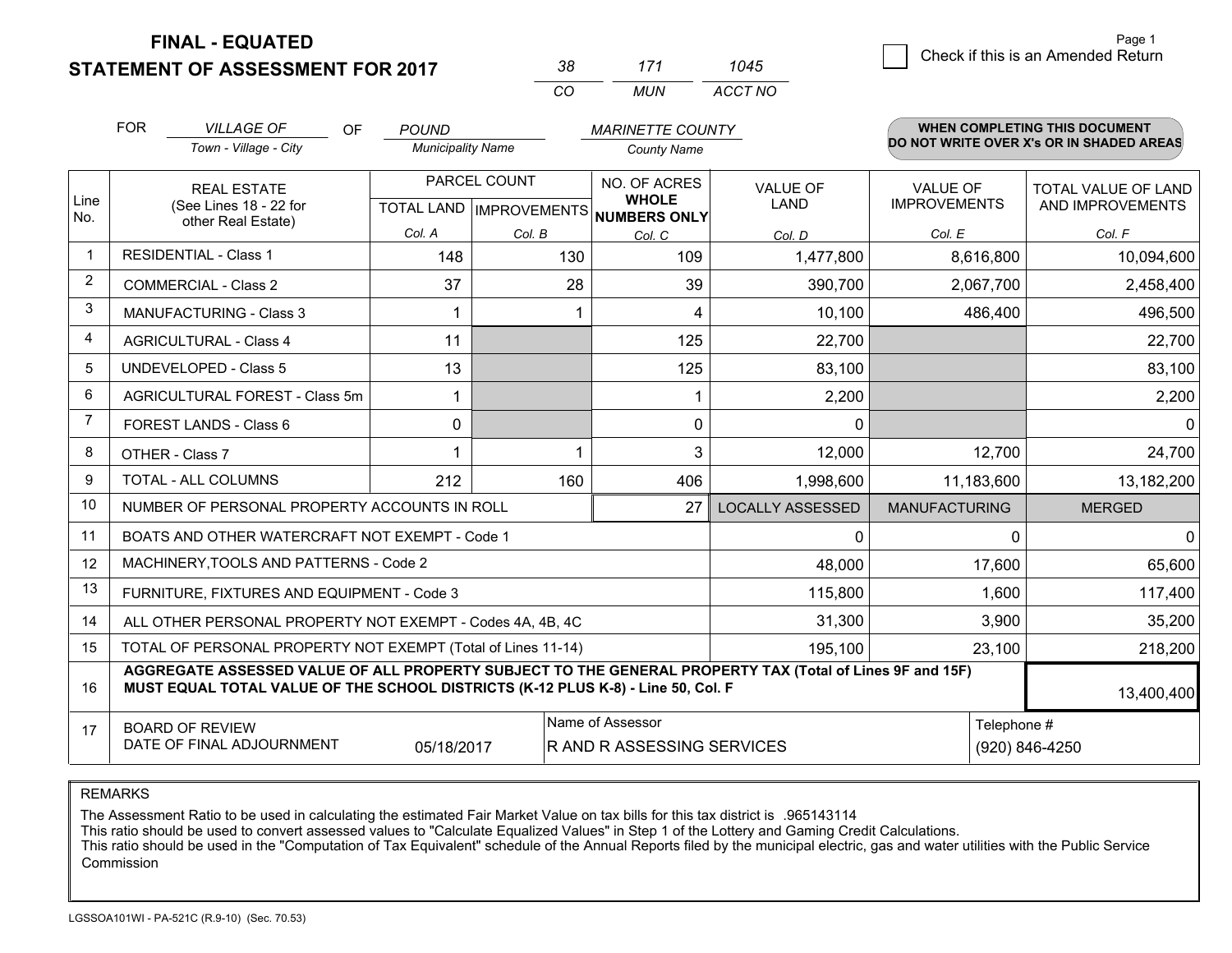**STATEMENT OF ASSESSMENT FOR 2017** 

| 38       | 7/7   | 1045    |
|----------|-------|---------|
| $\cdots$ | MI IN | ACCT NO |

| Line<br>No.<br>$\mathbf 1$ | Town - Village - City<br><b>REAL ESTATE</b><br>(See Lines 18 - 22 for<br>other Real Estate)                                                                                                  | <b>Municipality Name</b><br>PARCEL COUNT |             | <b>County Name</b>                                                   |                         |                                        | DO NOT WRITE OVER X's OR IN SHADED AREAS |
|----------------------------|----------------------------------------------------------------------------------------------------------------------------------------------------------------------------------------------|------------------------------------------|-------------|----------------------------------------------------------------------|-------------------------|----------------------------------------|------------------------------------------|
|                            |                                                                                                                                                                                              |                                          |             |                                                                      |                         |                                        |                                          |
|                            |                                                                                                                                                                                              |                                          |             | NO. OF ACRES<br><b>WHOLE</b><br>TOTAL LAND IMPROVEMENTS NUMBERS ONLY | <b>VALUE OF</b><br>LAND | <b>VALUE OF</b><br><b>IMPROVEMENTS</b> | TOTAL VALUE OF LAND<br>AND IMPROVEMENTS  |
|                            |                                                                                                                                                                                              | Col. A                                   | Col. B      | Col. C                                                               | Col. D                  | Col. E                                 | Col. F                                   |
|                            | <b>RESIDENTIAL - Class 1</b>                                                                                                                                                                 | 148                                      | 130         | 109                                                                  | 1,477,800               | 8,616,800                              | 10,094,600                               |
| $\overline{2}$             | <b>COMMERCIAL - Class 2</b>                                                                                                                                                                  | 37                                       | 28          | 39                                                                   | 390,700                 | 2,067,700                              | 2,458,400                                |
| 3                          | <b>MANUFACTURING - Class 3</b>                                                                                                                                                               | -1                                       |             | 4                                                                    | 10,100                  | 486,400                                | 496,500                                  |
| $\overline{4}$             | <b>AGRICULTURAL - Class 4</b>                                                                                                                                                                | 11                                       |             | 125                                                                  | 22,700                  |                                        | 22,700                                   |
| 5                          | <b>UNDEVELOPED - Class 5</b>                                                                                                                                                                 | 13                                       |             | 125                                                                  | 83,100                  |                                        | 83,100                                   |
| 6                          | AGRICULTURAL FOREST - Class 5m                                                                                                                                                               |                                          |             |                                                                      | 2,200                   |                                        | 2,200                                    |
| 7                          | FOREST LANDS - Class 6                                                                                                                                                                       | $\mathbf{0}$                             |             | $\mathbf{0}$                                                         | $\Omega$                |                                        | 0 <sup>1</sup>                           |
| 8                          | OTHER - Class 7                                                                                                                                                                              |                                          |             | 3                                                                    | 12,000                  | 12,700                                 | 24,700                                   |
| 9                          | TOTAL - ALL COLUMNS                                                                                                                                                                          | 212                                      | 160         | 406                                                                  | 1,998,600               | 11,183,600                             | 13,182,200                               |
| 10                         | NUMBER OF PERSONAL PROPERTY ACCOUNTS IN ROLL                                                                                                                                                 |                                          |             | 27                                                                   | <b>LOCALLY ASSESSED</b> | <b>MANUFACTURING</b>                   | <b>MERGED</b>                            |
| 11                         | BOATS AND OTHER WATERCRAFT NOT EXEMPT - Code 1                                                                                                                                               |                                          |             |                                                                      | 0                       | $\mathbf{0}$                           | $\Omega$                                 |
| 12                         | MACHINERY, TOOLS AND PATTERNS - Code 2                                                                                                                                                       |                                          |             |                                                                      | 48,000                  | 17,600                                 | 65,600                                   |
| 13                         | FURNITURE, FIXTURES AND EQUIPMENT - Code 3                                                                                                                                                   |                                          |             |                                                                      | 115,800                 | 1,600                                  | 117,400                                  |
| 14                         | ALL OTHER PERSONAL PROPERTY NOT EXEMPT - Codes 4A, 4B, 4C                                                                                                                                    |                                          |             |                                                                      | 31,300                  | 3,900                                  | 35,200                                   |
| 15                         | TOTAL OF PERSONAL PROPERTY NOT EXEMPT (Total of Lines 11-14)                                                                                                                                 |                                          |             | 195,100                                                              | 23,100                  | 218,200                                |                                          |
| 16                         | AGGREGATE ASSESSED VALUE OF ALL PROPERTY SUBJECT TO THE GENERAL PROPERTY TAX (Total of Lines 9F and 15F)<br>MUST EQUAL TOTAL VALUE OF THE SCHOOL DISTRICTS (K-12 PLUS K-8) - Line 50, Col. F |                                          |             |                                                                      |                         |                                        | 13,400,400                               |
| 17                         | <b>BOARD OF REVIEW</b><br>DATE OF FINAL ADJOURNMENT                                                                                                                                          | R AND R ASSESSING SERVICES               | Telephone # | (920) 846-4250                                                       |                         |                                        |                                          |

REMARKS

The Assessment Ratio to be used in calculating the estimated Fair Market Value on tax bills for this tax district is .965143114

This ratio should be used to convert assessed values to "Calculate Equalized Values" in Step 1 of the Lottery and Gaming Credit Calculations.<br>This ratio should be used in the "Computation of Tax Equivalent" schedule of the Commission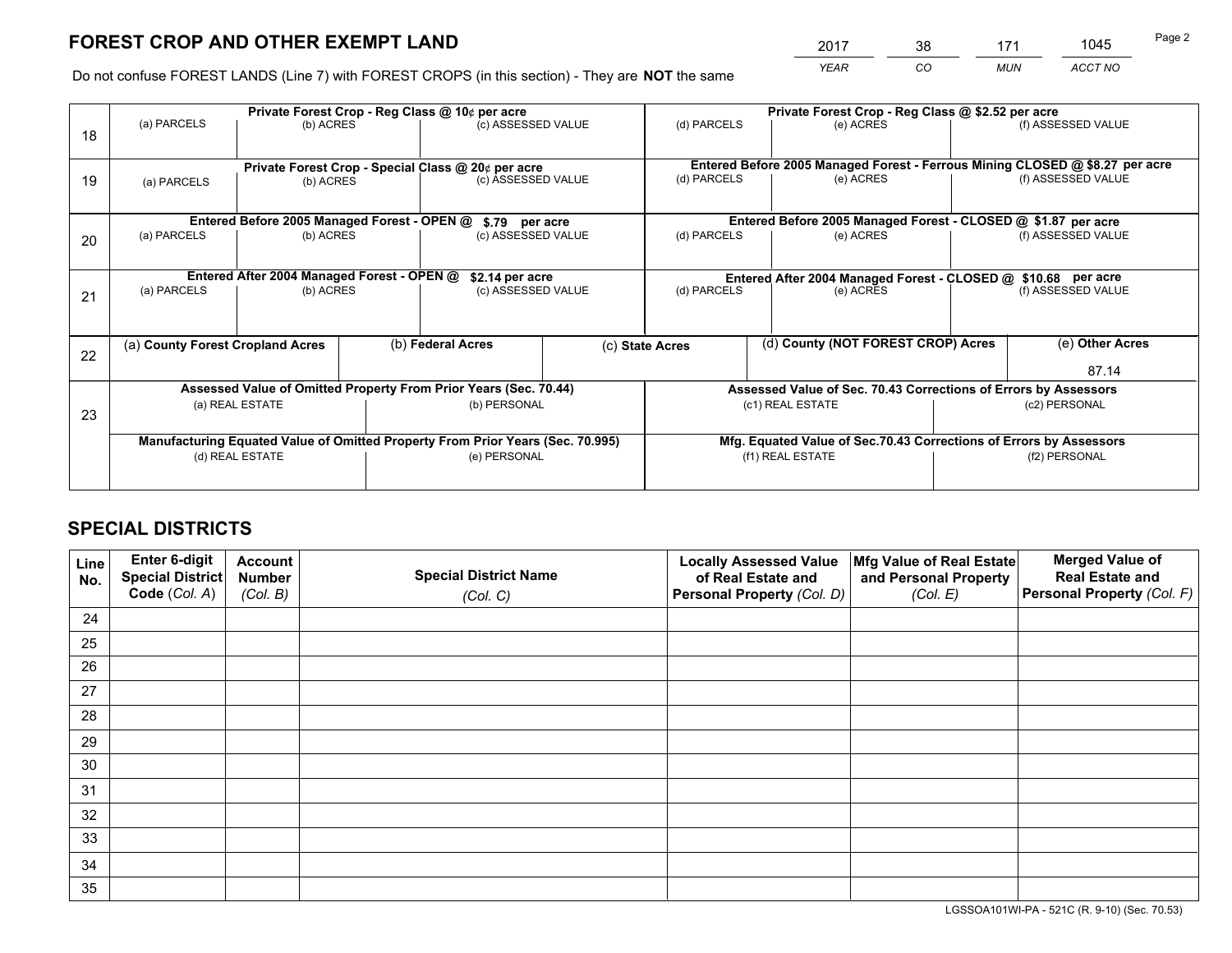*YEAR CO MUN ACCT NO* <sup>2017</sup> <sup>38</sup> <sup>171</sup> <sup>1045</sup>

Do not confuse FOREST LANDS (Line 7) with FOREST CROPS (in this section) - They are **NOT** the same

|    |                                  | Private Forest Crop - Reg Class @ 10¢ per acre |  |                                                                                |  | Private Forest Crop - Reg Class @ \$2.52 per acre |                                                                    |                                                                              |                    |  |
|----|----------------------------------|------------------------------------------------|--|--------------------------------------------------------------------------------|--|---------------------------------------------------|--------------------------------------------------------------------|------------------------------------------------------------------------------|--------------------|--|
| 18 | (a) PARCELS                      | (b) ACRES                                      |  | (c) ASSESSED VALUE                                                             |  | (d) PARCELS                                       | (e) ACRES                                                          |                                                                              | (f) ASSESSED VALUE |  |
|    |                                  |                                                |  | Private Forest Crop - Special Class @ 20¢ per acre                             |  |                                                   |                                                                    | Entered Before 2005 Managed Forest - Ferrous Mining CLOSED @ \$8.27 per acre |                    |  |
| 19 | (a) PARCELS                      | (b) ACRES                                      |  | (c) ASSESSED VALUE                                                             |  | (d) PARCELS                                       | (e) ACRES                                                          |                                                                              | (f) ASSESSED VALUE |  |
|    |                                  | Entered Before 2005 Managed Forest - OPEN @    |  | \$.79 per acre                                                                 |  |                                                   | Entered Before 2005 Managed Forest - CLOSED @ \$1.87 per acre      |                                                                              |                    |  |
|    | (a) PARCELS                      | (b) ACRES                                      |  | (c) ASSESSED VALUE                                                             |  | (d) PARCELS                                       | (e) ACRES                                                          |                                                                              | (f) ASSESSED VALUE |  |
| 20 |                                  |                                                |  |                                                                                |  |                                                   |                                                                    |                                                                              |                    |  |
|    |                                  |                                                |  | Entered After 2004 Managed Forest - OPEN @<br>\$2.14 per acre                  |  |                                                   | Entered After 2004 Managed Forest - CLOSED @ \$10.68 per acre      |                                                                              |                    |  |
| 21 | (a) PARCELS                      | (b) ACRES                                      |  | (c) ASSESSED VALUE                                                             |  | (d) PARCELS<br>(e) ACRES                          |                                                                    |                                                                              | (f) ASSESSED VALUE |  |
|    |                                  |                                                |  |                                                                                |  |                                                   |                                                                    |                                                                              |                    |  |
|    | (a) County Forest Cropland Acres |                                                |  | (b) Federal Acres                                                              |  | (c) State Acres                                   | (d) County (NOT FOREST CROP) Acres                                 |                                                                              | (e) Other Acres    |  |
| 22 |                                  |                                                |  |                                                                                |  |                                                   |                                                                    |                                                                              | 87.14              |  |
|    |                                  |                                                |  | Assessed Value of Omitted Property From Prior Years (Sec. 70.44)               |  |                                                   | Assessed Value of Sec. 70.43 Corrections of Errors by Assessors    |                                                                              |                    |  |
|    |                                  | (a) REAL ESTATE                                |  | (b) PERSONAL                                                                   |  |                                                   | (c1) REAL ESTATE                                                   |                                                                              | (c2) PERSONAL      |  |
| 23 |                                  |                                                |  |                                                                                |  |                                                   |                                                                    |                                                                              |                    |  |
|    |                                  |                                                |  | Manufacturing Equated Value of Omitted Property From Prior Years (Sec. 70.995) |  |                                                   | Mfg. Equated Value of Sec.70.43 Corrections of Errors by Assessors |                                                                              |                    |  |
|    | (d) REAL ESTATE                  |                                                |  | (e) PERSONAL                                                                   |  |                                                   | (f1) REAL ESTATE                                                   |                                                                              | (f2) PERSONAL      |  |
|    |                                  |                                                |  |                                                                                |  |                                                   |                                                                    |                                                                              |                    |  |

## **SPECIAL DISTRICTS**

| Line<br>No. | Enter 6-digit<br><b>Special District</b> | <b>Account</b><br><b>Number</b> | <b>Special District Name</b> | <b>Locally Assessed Value</b><br>of Real Estate and | Mfg Value of Real Estate<br>and Personal Property | <b>Merged Value of</b><br><b>Real Estate and</b> |
|-------------|------------------------------------------|---------------------------------|------------------------------|-----------------------------------------------------|---------------------------------------------------|--------------------------------------------------|
|             | Code (Col. A)                            | (Col. B)                        | (Col. C)                     | Personal Property (Col. D)                          | (Col. E)                                          | Personal Property (Col. F)                       |
| 24          |                                          |                                 |                              |                                                     |                                                   |                                                  |
| 25          |                                          |                                 |                              |                                                     |                                                   |                                                  |
| 26          |                                          |                                 |                              |                                                     |                                                   |                                                  |
| 27          |                                          |                                 |                              |                                                     |                                                   |                                                  |
| 28          |                                          |                                 |                              |                                                     |                                                   |                                                  |
| 29          |                                          |                                 |                              |                                                     |                                                   |                                                  |
| 30          |                                          |                                 |                              |                                                     |                                                   |                                                  |
| 31          |                                          |                                 |                              |                                                     |                                                   |                                                  |
| 32          |                                          |                                 |                              |                                                     |                                                   |                                                  |
| 33          |                                          |                                 |                              |                                                     |                                                   |                                                  |
| 34          |                                          |                                 |                              |                                                     |                                                   |                                                  |
| 35          |                                          |                                 |                              |                                                     |                                                   |                                                  |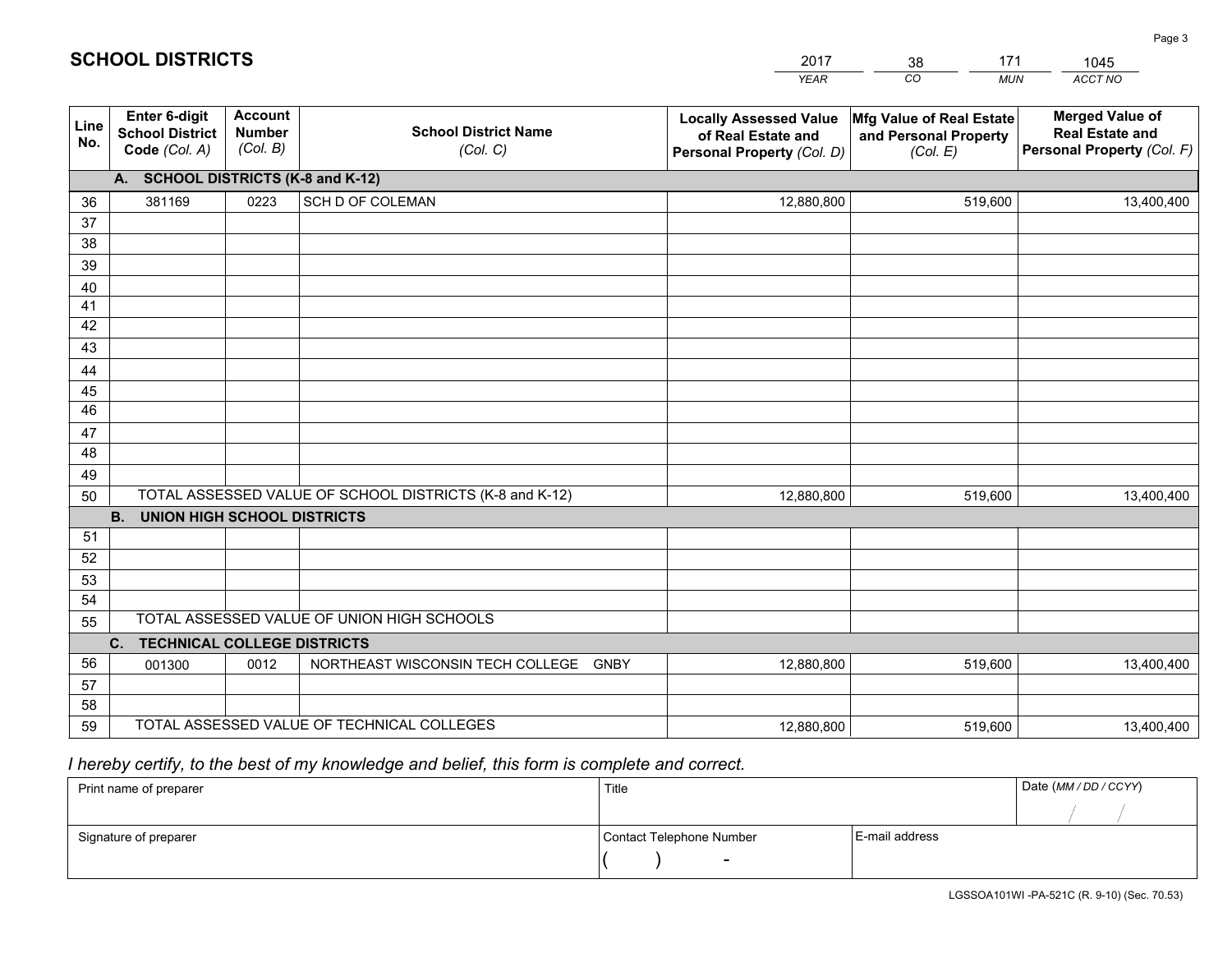|                 |                                                                 |                                             |                                                         | <b>YEAR</b>                                                                       | CO<br><b>MUN</b>                                              | ACCT NO                                                                        |
|-----------------|-----------------------------------------------------------------|---------------------------------------------|---------------------------------------------------------|-----------------------------------------------------------------------------------|---------------------------------------------------------------|--------------------------------------------------------------------------------|
| Line<br>No.     | <b>Enter 6-digit</b><br><b>School District</b><br>Code (Col. A) | <b>Account</b><br><b>Number</b><br>(Col. B) | <b>School District Name</b><br>(Col. C)                 | <b>Locally Assessed Value</b><br>of Real Estate and<br>Personal Property (Col. D) | Mfg Value of Real Estate<br>and Personal Property<br>(Col. E) | <b>Merged Value of</b><br><b>Real Estate and</b><br>Personal Property (Col. F) |
|                 | A. SCHOOL DISTRICTS (K-8 and K-12)                              |                                             |                                                         |                                                                                   |                                                               |                                                                                |
| 36              | 381169                                                          | 0223                                        | SCH D OF COLEMAN                                        | 12,880,800                                                                        | 519,600                                                       | 13,400,400                                                                     |
| 37              |                                                                 |                                             |                                                         |                                                                                   |                                                               |                                                                                |
| 38              |                                                                 |                                             |                                                         |                                                                                   |                                                               |                                                                                |
| 39              |                                                                 |                                             |                                                         |                                                                                   |                                                               |                                                                                |
| 40              |                                                                 |                                             |                                                         |                                                                                   |                                                               |                                                                                |
| 41              |                                                                 |                                             |                                                         |                                                                                   |                                                               |                                                                                |
| 42              |                                                                 |                                             |                                                         |                                                                                   |                                                               |                                                                                |
| 43              |                                                                 |                                             |                                                         |                                                                                   |                                                               |                                                                                |
| 44<br>45        |                                                                 |                                             |                                                         |                                                                                   |                                                               |                                                                                |
| $\overline{46}$ |                                                                 |                                             |                                                         |                                                                                   |                                                               |                                                                                |
| 47              |                                                                 |                                             |                                                         |                                                                                   |                                                               |                                                                                |
| 48              |                                                                 |                                             |                                                         |                                                                                   |                                                               |                                                                                |
| 49              |                                                                 |                                             |                                                         |                                                                                   |                                                               |                                                                                |
| 50              |                                                                 |                                             | TOTAL ASSESSED VALUE OF SCHOOL DISTRICTS (K-8 and K-12) | 12,880,800                                                                        | 519,600                                                       | 13,400,400                                                                     |
|                 | <b>B.</b><br><b>UNION HIGH SCHOOL DISTRICTS</b>                 |                                             |                                                         |                                                                                   |                                                               |                                                                                |
| 51              |                                                                 |                                             |                                                         |                                                                                   |                                                               |                                                                                |
| 52              |                                                                 |                                             |                                                         |                                                                                   |                                                               |                                                                                |
| 53              |                                                                 |                                             |                                                         |                                                                                   |                                                               |                                                                                |
| 54              |                                                                 |                                             |                                                         |                                                                                   |                                                               |                                                                                |
| 55              |                                                                 |                                             | TOTAL ASSESSED VALUE OF UNION HIGH SCHOOLS              |                                                                                   |                                                               |                                                                                |
|                 | C.<br><b>TECHNICAL COLLEGE DISTRICTS</b>                        |                                             |                                                         |                                                                                   |                                                               |                                                                                |
| 56              | 001300                                                          | 0012                                        | NORTHEAST WISCONSIN TECH COLLEGE GNBY                   | 12,880,800                                                                        | 519,600                                                       | 13,400,400                                                                     |
| 57              |                                                                 |                                             |                                                         |                                                                                   |                                                               |                                                                                |
| 58              |                                                                 |                                             |                                                         |                                                                                   |                                                               |                                                                                |
| 59              |                                                                 |                                             | TOTAL ASSESSED VALUE OF TECHNICAL COLLEGES              | 12,880,800                                                                        | 519,600                                                       | 13,400,400                                                                     |

 *I hereby certify, to the best of my knowledge and belief, this form is complete and correct.*

| Print name of preparer | Title                    |                | Date (MM/DD/CCYY) |
|------------------------|--------------------------|----------------|-------------------|
|                        |                          |                |                   |
| Signature of preparer  | Contact Telephone Number | E-mail address |                   |
|                        | $\overline{\phantom{0}}$ |                |                   |

| <b>SCHOOL DISTRICTS</b> |  |
|-------------------------|--|
|-------------------------|--|

201738171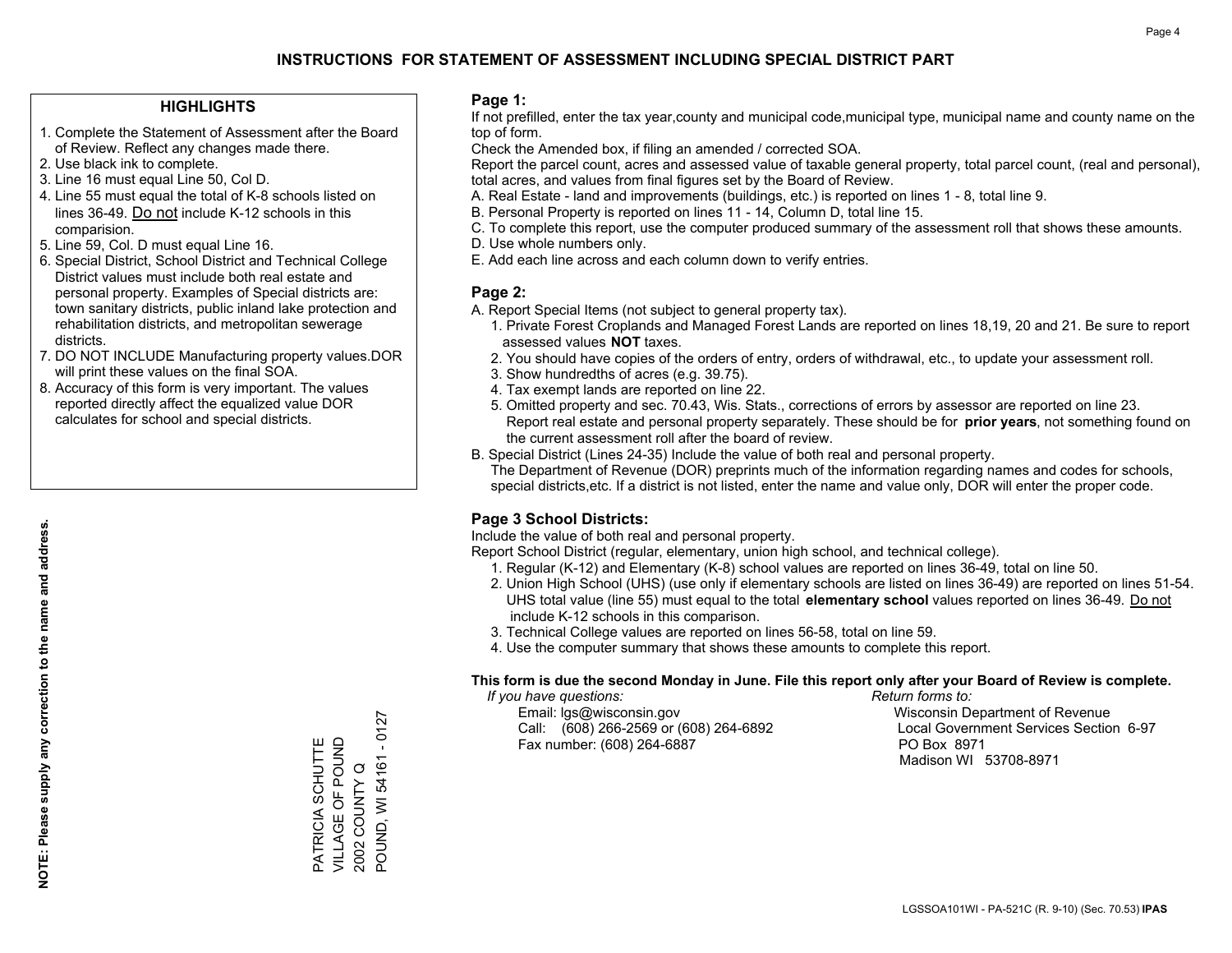## **HIGHLIGHTS**

- 1. Complete the Statement of Assessment after the Board of Review. Reflect any changes made there.
- 2. Use black ink to complete.
- 3. Line 16 must equal Line 50, Col D.
- 4. Line 55 must equal the total of K-8 schools listed on lines 36-49. Do not include K-12 schools in this comparision.
- 5. Line 59, Col. D must equal Line 16.
- 6. Special District, School District and Technical College District values must include both real estate and personal property. Examples of Special districts are: town sanitary districts, public inland lake protection and rehabilitation districts, and metropolitan sewerage districts.
- 7. DO NOT INCLUDE Manufacturing property values.DOR will print these values on the final SOA.
- 8. Accuracy of this form is very important. The values reported directly affect the equalized value DOR calculates for school and special districts.

### **Page 1:**

 If not prefilled, enter the tax year,county and municipal code,municipal type, municipal name and county name on the top of form.

Check the Amended box, if filing an amended / corrected SOA.

 Report the parcel count, acres and assessed value of taxable general property, total parcel count, (real and personal), total acres, and values from final figures set by the Board of Review.

- A. Real Estate land and improvements (buildings, etc.) is reported on lines 1 8, total line 9.
- B. Personal Property is reported on lines 11 14, Column D, total line 15.
- C. To complete this report, use the computer produced summary of the assessment roll that shows these amounts.
- D. Use whole numbers only.
- E. Add each line across and each column down to verify entries.

### **Page 2:**

- A. Report Special Items (not subject to general property tax).
- 1. Private Forest Croplands and Managed Forest Lands are reported on lines 18,19, 20 and 21. Be sure to report assessed values **NOT** taxes.
- 2. You should have copies of the orders of entry, orders of withdrawal, etc., to update your assessment roll.
	- 3. Show hundredths of acres (e.g. 39.75).
- 4. Tax exempt lands are reported on line 22.
- 5. Omitted property and sec. 70.43, Wis. Stats., corrections of errors by assessor are reported on line 23. Report real estate and personal property separately. These should be for **prior years**, not something found on the current assessment roll after the board of review.
- B. Special District (Lines 24-35) Include the value of both real and personal property.
- The Department of Revenue (DOR) preprints much of the information regarding names and codes for schools, special districts,etc. If a district is not listed, enter the name and value only, DOR will enter the proper code.

## **Page 3 School Districts:**

Include the value of both real and personal property.

Report School District (regular, elementary, union high school, and technical college).

- 1. Regular (K-12) and Elementary (K-8) school values are reported on lines 36-49, total on line 50.
- 2. Union High School (UHS) (use only if elementary schools are listed on lines 36-49) are reported on lines 51-54. UHS total value (line 55) must equal to the total **elementary school** values reported on lines 36-49. Do notinclude K-12 schools in this comparison.
- 3. Technical College values are reported on lines 56-58, total on line 59.
- 4. Use the computer summary that shows these amounts to complete this report.

#### **This form is due the second Monday in June. File this report only after your Board of Review is complete.**

 *If you have questions: Return forms to:*

 Email: lgs@wisconsin.gov Wisconsin Department of RevenueCall:  $(608)$  266-2569 or  $(608)$  264-6892 Fax number: (608) 264-6887 PO Box 8971

Local Government Services Section 6-97

Madison WI 53708-8971

**NOTE: Please supply any correction to the name and address.**

NOTE: Please supply any correction to the name and address.

POUND, WI 54161 - 0127 POUND, WI 54161 - 0127 VILLAGE OF POUND PATRICIA SCHUTTE<br>VILLAGE OF POUND PATRICIA SCHUTTE 2002 COUNTY Q 2002 COUNTY Q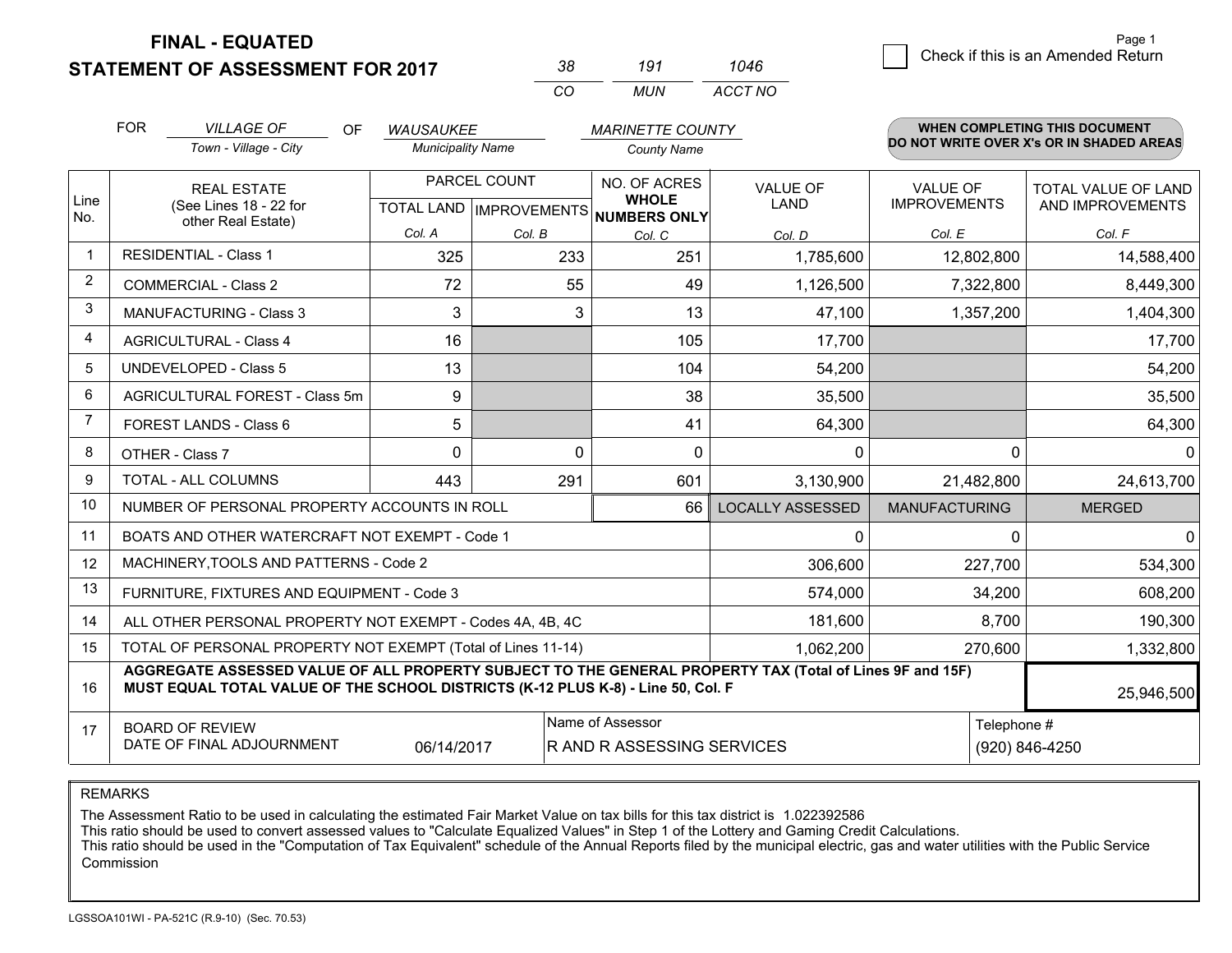**STATEMENT OF ASSESSMENT FOR 2017 FINAL - EQUATED**

| 3×  | 191 | 1046    |
|-----|-----|---------|
| ΓO. | MUN | ACCT NO |

|                | <b>FOR</b><br><b>VILLAGE OF</b><br><b>OF</b><br><b>WAUSAUKEE</b>                                                                                                                             |                                                |                                                      |          | <b>MARINETTE COUNTY</b> |                                                                |                      | WHEN COMPLETING THIS DOCUMENT            |                                         |
|----------------|----------------------------------------------------------------------------------------------------------------------------------------------------------------------------------------------|------------------------------------------------|------------------------------------------------------|----------|-------------------------|----------------------------------------------------------------|----------------------|------------------------------------------|-----------------------------------------|
|                |                                                                                                                                                                                              | Town - Village - City                          | <b>Municipality Name</b>                             |          | <b>County Name</b>      |                                                                |                      | DO NOT WRITE OVER X's OR IN SHADED AREAS |                                         |
| Line<br>No.    | <b>REAL ESTATE</b><br>(See Lines 18 - 22 for                                                                                                                                                 |                                                | PARCEL COUNT<br>TOTAL LAND IMPROVEMENTS NUMBERS ONLY |          |                         | NO. OF ACRES<br><b>VALUE OF</b><br><b>WHOLE</b><br><b>LAND</b> |                      | <b>VALUE OF</b><br><b>IMPROVEMENTS</b>   | TOTAL VALUE OF LAND<br>AND IMPROVEMENTS |
|                |                                                                                                                                                                                              | other Real Estate)                             | Col. A                                               | Col. B   | Col. C                  | Col. D                                                         | Col. E               | Col. F                                   |                                         |
| $\mathbf{1}$   | <b>RESIDENTIAL - Class 1</b>                                                                                                                                                                 |                                                | 325                                                  | 233      | 251                     | 1,785,600                                                      | 12,802,800           | 14,588,400                               |                                         |
| 2              |                                                                                                                                                                                              | <b>COMMERCIAL - Class 2</b>                    | 72                                                   | 55       | 49                      | 1,126,500                                                      | 7,322,800            | 8,449,300                                |                                         |
| 3              |                                                                                                                                                                                              | <b>MANUFACTURING - Class 3</b>                 | 3                                                    | 3        | 13                      | 47,100                                                         | 1,357,200            | 1,404,300                                |                                         |
| 4              |                                                                                                                                                                                              | <b>AGRICULTURAL - Class 4</b>                  | 16                                                   |          | 105                     | 17,700                                                         |                      | 17,700                                   |                                         |
| 5              |                                                                                                                                                                                              | <b>UNDEVELOPED - Class 5</b>                   | 13                                                   |          | 104                     | 54,200                                                         |                      | 54,200                                   |                                         |
| 6              | AGRICULTURAL FOREST - Class 5m                                                                                                                                                               |                                                | 9                                                    |          | 38                      | 35,500                                                         |                      | 35,500                                   |                                         |
| $\overline{7}$ |                                                                                                                                                                                              | FOREST LANDS - Class 6                         | 5                                                    |          | 41                      | 64,300                                                         |                      | 64,300                                   |                                         |
| 8              |                                                                                                                                                                                              | OTHER - Class 7                                | $\Omega$                                             | $\Omega$ | $\Omega$                | 0                                                              | $\Omega$             | $\Omega$                                 |                                         |
| 9              |                                                                                                                                                                                              | TOTAL - ALL COLUMNS                            | 443                                                  | 291      | 601                     | 3,130,900                                                      | 21,482,800           | 24,613,700                               |                                         |
| 10             |                                                                                                                                                                                              | NUMBER OF PERSONAL PROPERTY ACCOUNTS IN ROLL   |                                                      |          | 66                      | <b>LOCALLY ASSESSED</b>                                        | <b>MANUFACTURING</b> | <b>MERGED</b>                            |                                         |
| 11             |                                                                                                                                                                                              | BOATS AND OTHER WATERCRAFT NOT EXEMPT - Code 1 |                                                      |          |                         | 0                                                              | 0                    | 0                                        |                                         |
| 12             |                                                                                                                                                                                              | MACHINERY, TOOLS AND PATTERNS - Code 2         |                                                      |          |                         | 306,600                                                        | 227,700              | 534,300                                  |                                         |
| 13             |                                                                                                                                                                                              | FURNITURE, FIXTURES AND EQUIPMENT - Code 3     |                                                      |          |                         | 574,000                                                        | 34,200               | 608,200                                  |                                         |
| 14             | ALL OTHER PERSONAL PROPERTY NOT EXEMPT - Codes 4A, 4B, 4C                                                                                                                                    |                                                |                                                      |          |                         | 181,600                                                        | 8,700                | 190,300                                  |                                         |
| 15             | TOTAL OF PERSONAL PROPERTY NOT EXEMPT (Total of Lines 11-14)                                                                                                                                 |                                                |                                                      |          |                         | 1,062,200                                                      | 270,600              | 1,332,800                                |                                         |
| 16             | AGGREGATE ASSESSED VALUE OF ALL PROPERTY SUBJECT TO THE GENERAL PROPERTY TAX (Total of Lines 9F and 15F)<br>MUST EQUAL TOTAL VALUE OF THE SCHOOL DISTRICTS (K-12 PLUS K-8) - Line 50, Col. F |                                                |                                                      |          |                         |                                                                | 25,946,500           |                                          |                                         |
| 17             | Name of Assessor<br>Telephone #<br><b>BOARD OF REVIEW</b><br>DATE OF FINAL ADJOURNMENT<br>R AND R ASSESSING SERVICES<br>06/14/2017                                                           |                                                |                                                      |          |                         |                                                                | (920) 846-4250       |                                          |                                         |

REMARKS

The Assessment Ratio to be used in calculating the estimated Fair Market Value on tax bills for this tax district is 1.022392586

This ratio should be used to convert assessed values to "Calculate Equalized Values" in Step 1 of the Lottery and Gaming Credit Calculations.<br>This ratio should be used in the "Computation of Tax Equivalent" schedule of the Commission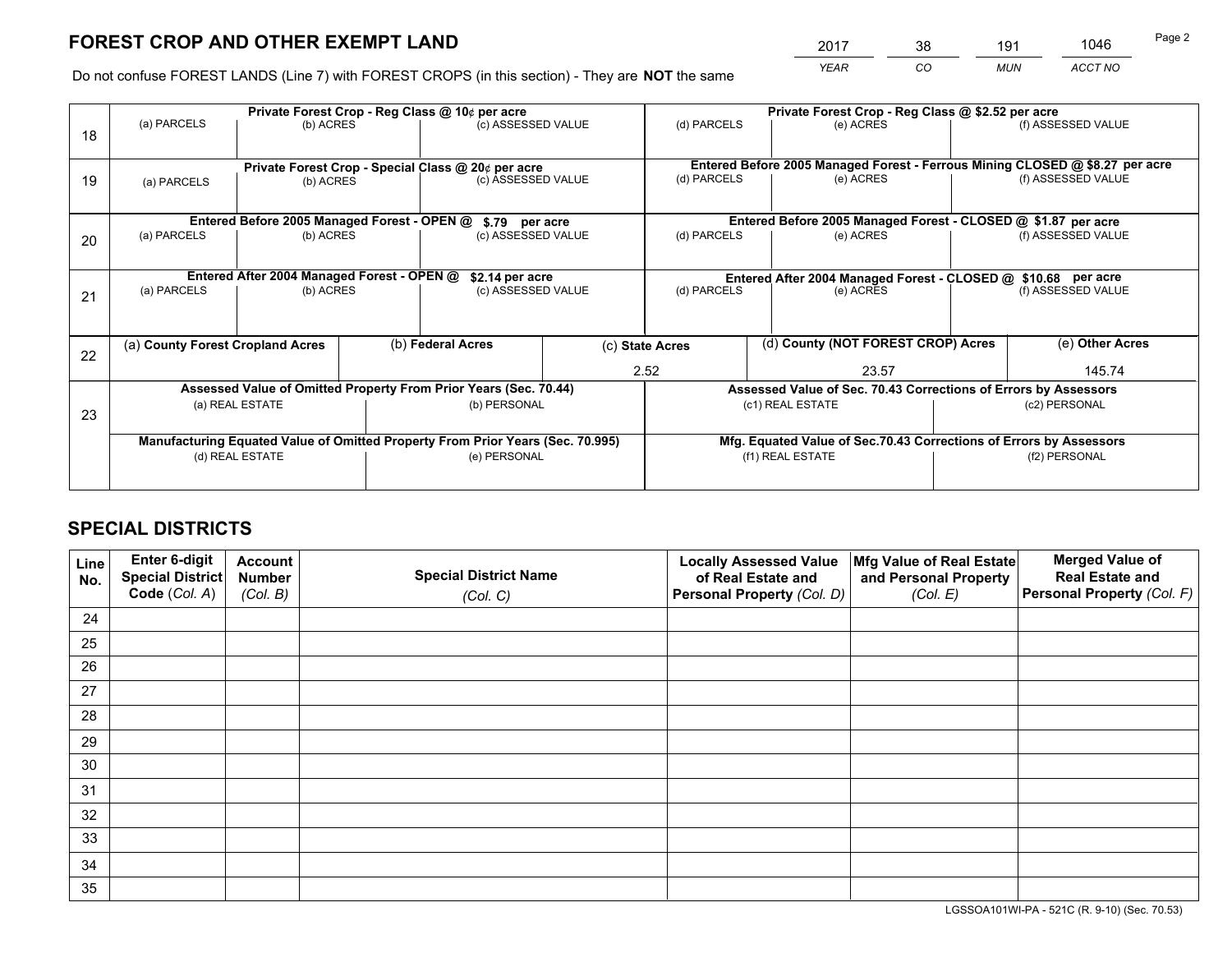*YEAR CO MUN ACCT NO* <sup>2017</sup> <sup>38</sup> <sup>191</sup> <sup>1046</sup>

Do not confuse FOREST LANDS (Line 7) with FOREST CROPS (in this section) - They are **NOT** the same

|    |                                  |                                             |                                                               | Private Forest Crop - Reg Class @ 10¢ per acre                                 |  | Private Forest Crop - Reg Class @ \$2.52 per acre             |                                                                    |  |                                                                              |  |
|----|----------------------------------|---------------------------------------------|---------------------------------------------------------------|--------------------------------------------------------------------------------|--|---------------------------------------------------------------|--------------------------------------------------------------------|--|------------------------------------------------------------------------------|--|
| 18 | (a) PARCELS                      | (b) ACRES                                   |                                                               | (c) ASSESSED VALUE                                                             |  | (d) PARCELS                                                   | (e) ACRES                                                          |  | (f) ASSESSED VALUE                                                           |  |
|    |                                  |                                             |                                                               |                                                                                |  |                                                               |                                                                    |  | Entered Before 2005 Managed Forest - Ferrous Mining CLOSED @ \$8.27 per acre |  |
| 19 | (a) PARCELS                      | (b) ACRES                                   |                                                               | Private Forest Crop - Special Class @ 20¢ per acre<br>(c) ASSESSED VALUE       |  | (d) PARCELS                                                   | (e) ACRES                                                          |  | (f) ASSESSED VALUE                                                           |  |
|    |                                  | Entered Before 2005 Managed Forest - OPEN @ |                                                               | \$.79 per acre                                                                 |  |                                                               | Entered Before 2005 Managed Forest - CLOSED @ \$1.87 per acre      |  |                                                                              |  |
|    | (a) PARCELS                      | (b) ACRES                                   |                                                               | (c) ASSESSED VALUE                                                             |  | (d) PARCELS                                                   | (e) ACRES                                                          |  | (f) ASSESSED VALUE                                                           |  |
| 20 |                                  |                                             |                                                               |                                                                                |  |                                                               |                                                                    |  |                                                                              |  |
|    |                                  |                                             | Entered After 2004 Managed Forest - OPEN @<br>\$2.14 per acre |                                                                                |  | Entered After 2004 Managed Forest - CLOSED @ \$10.68 per acre |                                                                    |  |                                                                              |  |
| 21 | (a) PARCELS                      | (b) ACRES                                   |                                                               | (c) ASSESSED VALUE                                                             |  | (d) PARCELS<br>(e) ACRES                                      |                                                                    |  | (f) ASSESSED VALUE                                                           |  |
|    |                                  |                                             |                                                               |                                                                                |  |                                                               |                                                                    |  |                                                                              |  |
| 22 | (a) County Forest Cropland Acres |                                             |                                                               | (b) Federal Acres                                                              |  | (c) State Acres                                               | (d) County (NOT FOREST CROP) Acres                                 |  | (e) Other Acres                                                              |  |
|    |                                  |                                             |                                                               |                                                                                |  | 2.52                                                          | 23.57                                                              |  | 145.74                                                                       |  |
|    |                                  |                                             |                                                               | Assessed Value of Omitted Property From Prior Years (Sec. 70.44)               |  |                                                               | Assessed Value of Sec. 70.43 Corrections of Errors by Assessors    |  |                                                                              |  |
| 23 |                                  | (a) REAL ESTATE                             |                                                               | (b) PERSONAL                                                                   |  | (c1) REAL ESTATE                                              |                                                                    |  | (c2) PERSONAL                                                                |  |
|    |                                  |                                             |                                                               |                                                                                |  |                                                               |                                                                    |  |                                                                              |  |
|    |                                  |                                             |                                                               | Manufacturing Equated Value of Omitted Property From Prior Years (Sec. 70.995) |  |                                                               | Mfg. Equated Value of Sec.70.43 Corrections of Errors by Assessors |  |                                                                              |  |
|    | (d) REAL ESTATE                  |                                             |                                                               | (e) PERSONAL                                                                   |  |                                                               | (f1) REAL ESTATE                                                   |  | (f2) PERSONAL                                                                |  |
|    |                                  |                                             |                                                               |                                                                                |  |                                                               |                                                                    |  |                                                                              |  |

## **SPECIAL DISTRICTS**

| Line<br>No. | Enter 6-digit<br>Special District<br>Code (Col. A) | <b>Account</b><br><b>Number</b> | <b>Special District Name</b> | <b>Locally Assessed Value</b><br>of Real Estate and | Mfg Value of Real Estate<br>and Personal Property | <b>Merged Value of</b><br><b>Real Estate and</b><br>Personal Property (Col. F) |
|-------------|----------------------------------------------------|---------------------------------|------------------------------|-----------------------------------------------------|---------------------------------------------------|--------------------------------------------------------------------------------|
|             |                                                    | (Col. B)                        | (Col. C)                     | Personal Property (Col. D)                          | (Col. E)                                          |                                                                                |
| 24          |                                                    |                                 |                              |                                                     |                                                   |                                                                                |
| 25          |                                                    |                                 |                              |                                                     |                                                   |                                                                                |
| 26          |                                                    |                                 |                              |                                                     |                                                   |                                                                                |
| 27          |                                                    |                                 |                              |                                                     |                                                   |                                                                                |
| 28          |                                                    |                                 |                              |                                                     |                                                   |                                                                                |
| 29          |                                                    |                                 |                              |                                                     |                                                   |                                                                                |
| 30          |                                                    |                                 |                              |                                                     |                                                   |                                                                                |
| 31          |                                                    |                                 |                              |                                                     |                                                   |                                                                                |
| 32          |                                                    |                                 |                              |                                                     |                                                   |                                                                                |
| 33          |                                                    |                                 |                              |                                                     |                                                   |                                                                                |
| 34          |                                                    |                                 |                              |                                                     |                                                   |                                                                                |
| 35          |                                                    |                                 |                              |                                                     |                                                   |                                                                                |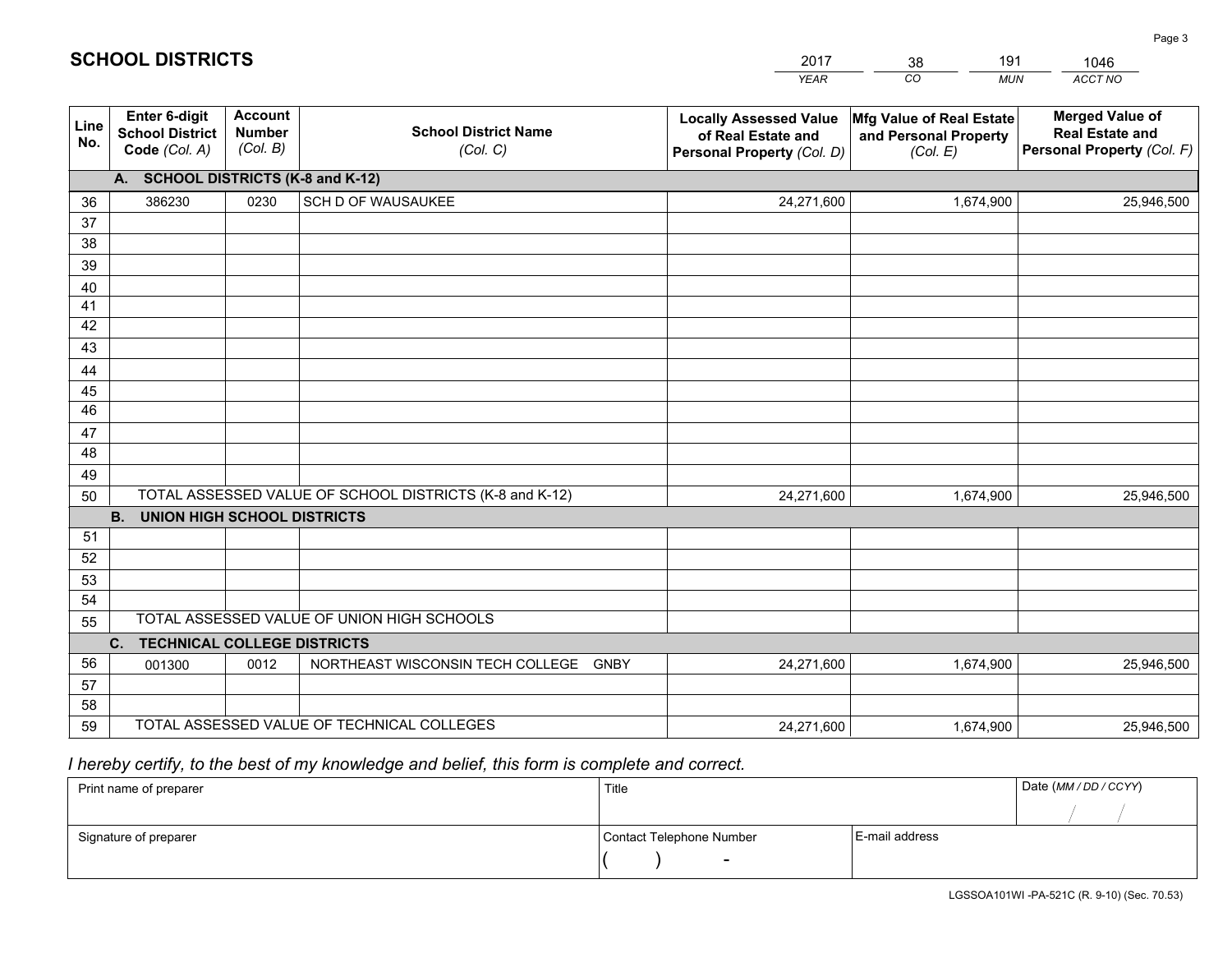|             |                                                                 |                                             |                                                         | <b>YEAR</b>                                                                       | CO<br><b>MUN</b>                                              | ACCT NO                                                                        |  |  |  |  |
|-------------|-----------------------------------------------------------------|---------------------------------------------|---------------------------------------------------------|-----------------------------------------------------------------------------------|---------------------------------------------------------------|--------------------------------------------------------------------------------|--|--|--|--|
| Line<br>No. | <b>Enter 6-digit</b><br><b>School District</b><br>Code (Col. A) | <b>Account</b><br><b>Number</b><br>(Col. B) | <b>School District Name</b><br>(Col. C)                 | <b>Locally Assessed Value</b><br>of Real Estate and<br>Personal Property (Col. D) | Mfg Value of Real Estate<br>and Personal Property<br>(Col. E) | <b>Merged Value of</b><br><b>Real Estate and</b><br>Personal Property (Col. F) |  |  |  |  |
|             | A. SCHOOL DISTRICTS (K-8 and K-12)                              |                                             |                                                         |                                                                                   |                                                               |                                                                                |  |  |  |  |
| 36          | 386230                                                          | 0230                                        | SCH D OF WAUSAUKEE                                      | 24,271,600                                                                        | 1,674,900                                                     | 25,946,500                                                                     |  |  |  |  |
| 37          |                                                                 |                                             |                                                         |                                                                                   |                                                               |                                                                                |  |  |  |  |
| 38          |                                                                 |                                             |                                                         |                                                                                   |                                                               |                                                                                |  |  |  |  |
| 39          |                                                                 |                                             |                                                         |                                                                                   |                                                               |                                                                                |  |  |  |  |
| 40          |                                                                 |                                             |                                                         |                                                                                   |                                                               |                                                                                |  |  |  |  |
| 41<br>42    |                                                                 |                                             |                                                         |                                                                                   |                                                               |                                                                                |  |  |  |  |
| 43          |                                                                 |                                             |                                                         |                                                                                   |                                                               |                                                                                |  |  |  |  |
| 44          |                                                                 |                                             |                                                         |                                                                                   |                                                               |                                                                                |  |  |  |  |
| 45          |                                                                 |                                             |                                                         |                                                                                   |                                                               |                                                                                |  |  |  |  |
| 46          |                                                                 |                                             |                                                         |                                                                                   |                                                               |                                                                                |  |  |  |  |
| 47          |                                                                 |                                             |                                                         |                                                                                   |                                                               |                                                                                |  |  |  |  |
| 48          |                                                                 |                                             |                                                         |                                                                                   |                                                               |                                                                                |  |  |  |  |
| 49          |                                                                 |                                             |                                                         |                                                                                   |                                                               |                                                                                |  |  |  |  |
| 50          |                                                                 |                                             | TOTAL ASSESSED VALUE OF SCHOOL DISTRICTS (K-8 and K-12) | 24,271,600                                                                        | 1,674,900                                                     | 25,946,500                                                                     |  |  |  |  |
|             | <b>B. UNION HIGH SCHOOL DISTRICTS</b>                           |                                             |                                                         |                                                                                   |                                                               |                                                                                |  |  |  |  |
| 51<br>52    |                                                                 |                                             |                                                         |                                                                                   |                                                               |                                                                                |  |  |  |  |
| 53          |                                                                 |                                             |                                                         |                                                                                   |                                                               |                                                                                |  |  |  |  |
| 54          |                                                                 |                                             |                                                         |                                                                                   |                                                               |                                                                                |  |  |  |  |
| 55          |                                                                 |                                             | TOTAL ASSESSED VALUE OF UNION HIGH SCHOOLS              |                                                                                   |                                                               |                                                                                |  |  |  |  |
|             | C.<br><b>TECHNICAL COLLEGE DISTRICTS</b>                        |                                             |                                                         |                                                                                   |                                                               |                                                                                |  |  |  |  |
| 56          | 001300                                                          | 0012                                        | NORTHEAST WISCONSIN TECH COLLEGE<br>GNBY                | 24,271,600                                                                        | 1,674,900                                                     | 25,946,500                                                                     |  |  |  |  |
| 57          |                                                                 |                                             |                                                         |                                                                                   |                                                               |                                                                                |  |  |  |  |
| 58          |                                                                 |                                             |                                                         |                                                                                   |                                                               |                                                                                |  |  |  |  |
| 59          |                                                                 |                                             | TOTAL ASSESSED VALUE OF TECHNICAL COLLEGES              | 24,271,600                                                                        | 1,674,900                                                     | 25,946,500                                                                     |  |  |  |  |

38

191

 *I hereby certify, to the best of my knowledge and belief, this form is complete and correct.*

**SCHOOL DISTRICTS**

| Print name of preparer | Title                    |                | Date (MM / DD / CCYY) |
|------------------------|--------------------------|----------------|-----------------------|
|                        |                          |                |                       |
| Signature of preparer  | Contact Telephone Number | E-mail address |                       |
|                        | $\overline{\phantom{0}}$ |                |                       |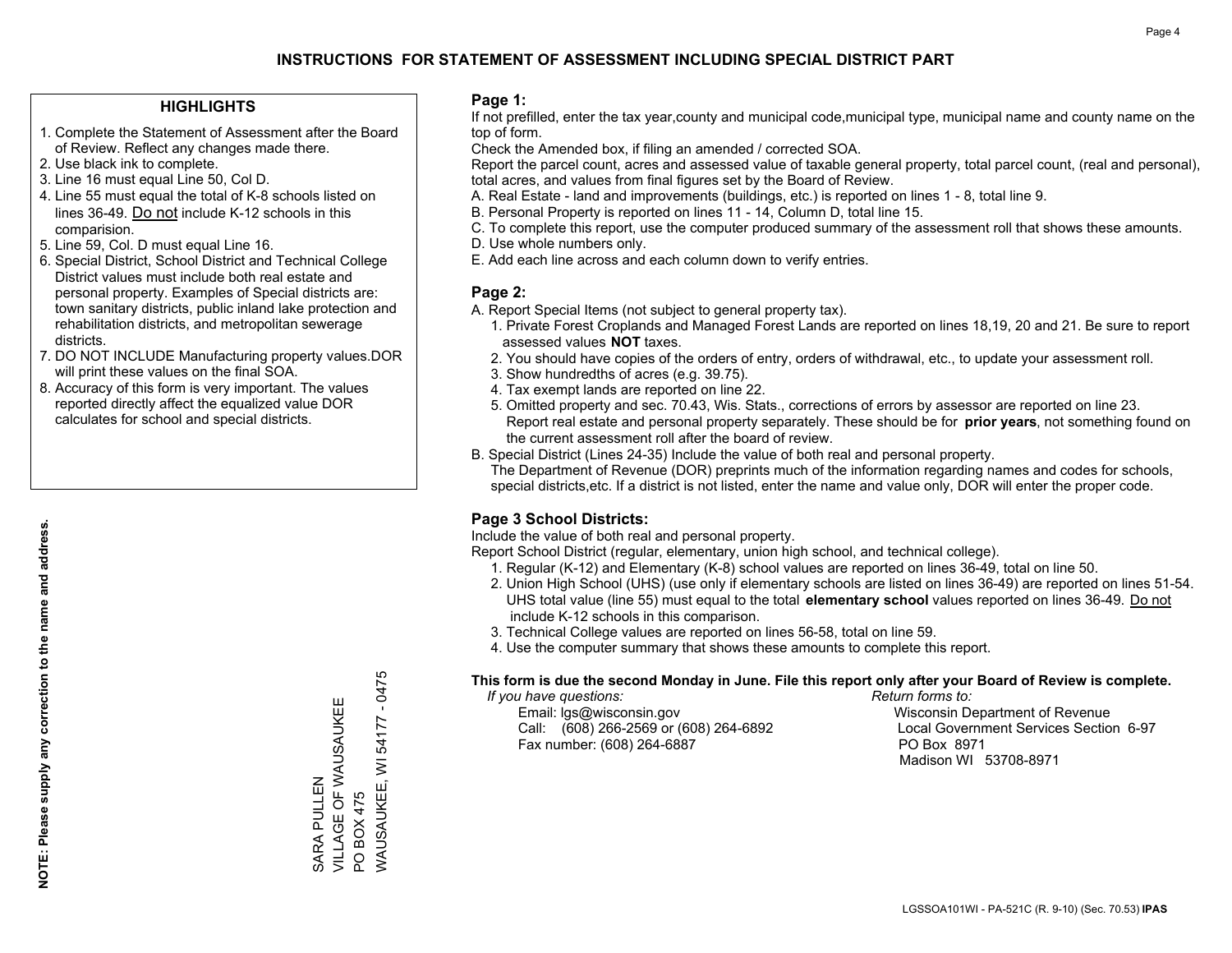## **HIGHLIGHTS**

- 1. Complete the Statement of Assessment after the Board of Review. Reflect any changes made there.
- 2. Use black ink to complete.
- 3. Line 16 must equal Line 50, Col D.
- 4. Line 55 must equal the total of K-8 schools listed on lines 36-49. Do not include K-12 schools in this comparision.
- 5. Line 59, Col. D must equal Line 16.
- 6. Special District, School District and Technical College District values must include both real estate and personal property. Examples of Special districts are: town sanitary districts, public inland lake protection and rehabilitation districts, and metropolitan sewerage districts.
- 7. DO NOT INCLUDE Manufacturing property values.DOR will print these values on the final SOA.

SARA PULLEN

VILLAGE OF WAUSAUKEE

SARA PULLEN<br>VILLAGE OF WAUSAUKEE

PO BOX 475

PO BOX 475

WAUSAUKEE, WI 54177 - 0475

WAUSAUKEE, WI 54177

 $-0475$ 

 8. Accuracy of this form is very important. The values reported directly affect the equalized value DOR calculates for school and special districts.

#### **Page 1:**

 If not prefilled, enter the tax year,county and municipal code,municipal type, municipal name and county name on the top of form.

Check the Amended box, if filing an amended / corrected SOA.

 Report the parcel count, acres and assessed value of taxable general property, total parcel count, (real and personal), total acres, and values from final figures set by the Board of Review.

- A. Real Estate land and improvements (buildings, etc.) is reported on lines 1 8, total line 9.
- B. Personal Property is reported on lines 11 14, Column D, total line 15.
- C. To complete this report, use the computer produced summary of the assessment roll that shows these amounts.
- D. Use whole numbers only.
- E. Add each line across and each column down to verify entries.

## **Page 2:**

- A. Report Special Items (not subject to general property tax).
- 1. Private Forest Croplands and Managed Forest Lands are reported on lines 18,19, 20 and 21. Be sure to report assessed values **NOT** taxes.
- 2. You should have copies of the orders of entry, orders of withdrawal, etc., to update your assessment roll.
	- 3. Show hundredths of acres (e.g. 39.75).
- 4. Tax exempt lands are reported on line 22.
- 5. Omitted property and sec. 70.43, Wis. Stats., corrections of errors by assessor are reported on line 23. Report real estate and personal property separately. These should be for **prior years**, not something found on the current assessment roll after the board of review.
- B. Special District (Lines 24-35) Include the value of both real and personal property.

 The Department of Revenue (DOR) preprints much of the information regarding names and codes for schools, special districts,etc. If a district is not listed, enter the name and value only, DOR will enter the proper code.

## **Page 3 School Districts:**

Include the value of both real and personal property.

Report School District (regular, elementary, union high school, and technical college).

- 1. Regular (K-12) and Elementary (K-8) school values are reported on lines 36-49, total on line 50.
- 2. Union High School (UHS) (use only if elementary schools are listed on lines 36-49) are reported on lines 51-54. UHS total value (line 55) must equal to the total **elementary school** values reported on lines 36-49. Do notinclude K-12 schools in this comparison.
- 3. Technical College values are reported on lines 56-58, total on line 59.
- 4. Use the computer summary that shows these amounts to complete this report.

#### **This form is due the second Monday in June. File this report only after your Board of Review is complete.**

 *If you have questions: Return forms to:*

 Email: lgs@wisconsin.gov Wisconsin Department of RevenueCall:  $(608)$  266-2569 or  $(608)$  264-6892 Fax number: (608) 264-6887 PO Box 8971

Local Government Services Section 6-97 Madison WI 53708-8971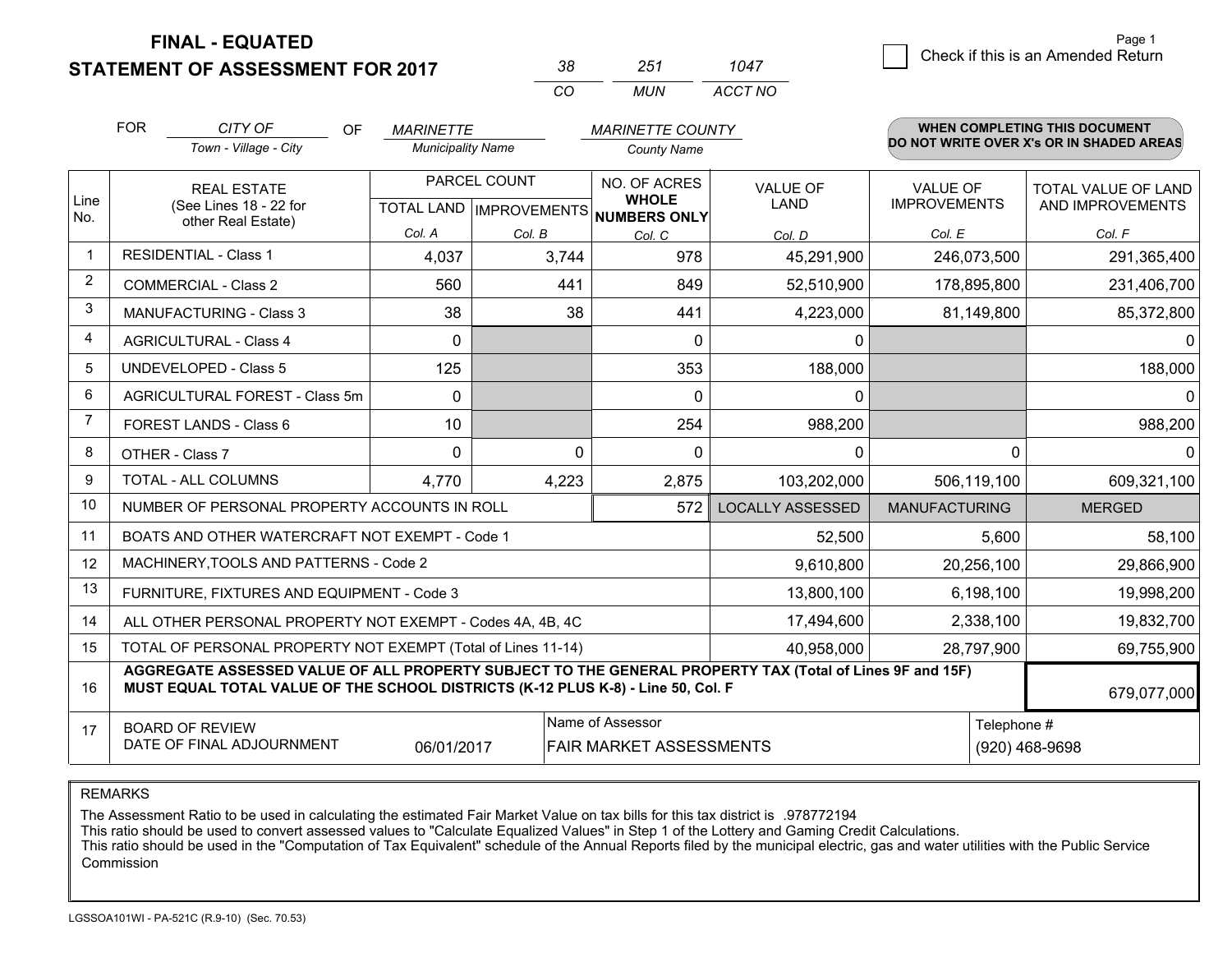**STATEMENT OF ASSESSMENT FOR 2017** 

| -38 | 251   | 1047    |
|-----|-------|---------|
| (   | MI IN | ACCT NO |

|             | <b>FOR</b><br>CITY OF<br><b>OF</b><br><b>MARINETTE</b><br><b>MARINETTE COUNTY</b>                                                                                                            |                                                              |                          |              |                                                                      | WHEN COMPLETING THIS DOCUMENT  |                                        |                                          |
|-------------|----------------------------------------------------------------------------------------------------------------------------------------------------------------------------------------------|--------------------------------------------------------------|--------------------------|--------------|----------------------------------------------------------------------|--------------------------------|----------------------------------------|------------------------------------------|
|             |                                                                                                                                                                                              | Town - Village - City                                        | <b>Municipality Name</b> |              | <b>County Name</b>                                                   |                                |                                        | DO NOT WRITE OVER X's OR IN SHADED AREAS |
| Line<br>No. | <b>REAL ESTATE</b><br>(See Lines 18 - 22 for                                                                                                                                                 |                                                              |                          | PARCEL COUNT | NO. OF ACRES<br><b>WHOLE</b><br>TOTAL LAND IMPROVEMENTS NUMBERS ONLY | <b>VALUE OF</b><br><b>LAND</b> | <b>VALUE OF</b><br><b>IMPROVEMENTS</b> | TOTAL VALUE OF LAND<br>AND IMPROVEMENTS  |
|             |                                                                                                                                                                                              | other Real Estate)                                           | Col. A                   | Col. B       | Col. C                                                               | Col. D                         | Col. E                                 | Col. F                                   |
| -1          | <b>RESIDENTIAL - Class 1</b>                                                                                                                                                                 |                                                              | 4,037                    | 3,744        | 978                                                                  | 45,291,900                     | 246,073,500                            | 291,365,400                              |
| 2           |                                                                                                                                                                                              | <b>COMMERCIAL - Class 2</b>                                  | 560                      | 441          | 849                                                                  | 52,510,900                     | 178,895,800                            | 231,406,700                              |
| 3           |                                                                                                                                                                                              | <b>MANUFACTURING - Class 3</b>                               | 38                       | 38           | 441                                                                  | 4,223,000                      | 81,149,800                             | 85,372,800                               |
| 4           |                                                                                                                                                                                              | <b>AGRICULTURAL - Class 4</b>                                | $\Omega$                 |              | $\Omega$                                                             | 0                              |                                        | $\Omega$                                 |
| 5           |                                                                                                                                                                                              | <b>UNDEVELOPED - Class 5</b>                                 | 125                      |              | 353                                                                  | 188,000                        |                                        | 188,000                                  |
| 6           |                                                                                                                                                                                              | AGRICULTURAL FOREST - Class 5m                               | $\Omega$                 |              | $\mathbf{0}$                                                         | 0                              |                                        | $\Omega$                                 |
| 7           |                                                                                                                                                                                              | FOREST LANDS - Class 6                                       | 10                       |              | 254                                                                  | 988,200                        |                                        | 988,200                                  |
| 8           |                                                                                                                                                                                              | OTHER - Class 7                                              | 0                        | $\Omega$     | $\mathbf{0}$                                                         | 0                              | $\Omega$                               | $\mathbf{0}$                             |
| 9           |                                                                                                                                                                                              | TOTAL - ALL COLUMNS                                          | 4,770                    | 4,223        | 2,875                                                                | 103,202,000                    | 506,119,100                            | 609,321,100                              |
| 10          |                                                                                                                                                                                              | NUMBER OF PERSONAL PROPERTY ACCOUNTS IN ROLL                 |                          |              | 572                                                                  | <b>LOCALLY ASSESSED</b>        | <b>MANUFACTURING</b>                   | <b>MERGED</b>                            |
| 11          |                                                                                                                                                                                              | BOATS AND OTHER WATERCRAFT NOT EXEMPT - Code 1               |                          |              |                                                                      | 52,500                         | 5,600                                  | 58,100                                   |
| 12          |                                                                                                                                                                                              | MACHINERY, TOOLS AND PATTERNS - Code 2                       |                          |              |                                                                      | 9,610,800                      | 20,256,100                             | 29,866,900                               |
| 13          |                                                                                                                                                                                              | FURNITURE, FIXTURES AND EQUIPMENT - Code 3                   |                          |              |                                                                      | 13,800,100                     | 6,198,100                              | 19,998,200                               |
| 14          |                                                                                                                                                                                              | ALL OTHER PERSONAL PROPERTY NOT EXEMPT - Codes 4A, 4B, 4C    |                          |              |                                                                      | 17,494,600                     | 2,338,100                              | 19,832,700                               |
| 15          |                                                                                                                                                                                              | TOTAL OF PERSONAL PROPERTY NOT EXEMPT (Total of Lines 11-14) |                          |              | 40,958,000                                                           | 28,797,900                     | 69,755,900                             |                                          |
| 16          | AGGREGATE ASSESSED VALUE OF ALL PROPERTY SUBJECT TO THE GENERAL PROPERTY TAX (Total of Lines 9F and 15F)<br>MUST EQUAL TOTAL VALUE OF THE SCHOOL DISTRICTS (K-12 PLUS K-8) - Line 50, Col. F |                                                              |                          |              |                                                                      |                                |                                        | 679,077,000                              |
| 17          | Name of Assessor<br><b>BOARD OF REVIEW</b><br>DATE OF FINAL ADJOURNMENT<br>06/01/2017<br>FAIR MARKET ASSESSMENTS                                                                             |                                                              |                          |              |                                                                      |                                | Telephone #                            | (920) 468-9698                           |

REMARKS

The Assessment Ratio to be used in calculating the estimated Fair Market Value on tax bills for this tax district is .978772194

This ratio should be used to convert assessed values to "Calculate Equalized Values" in Step 1 of the Lottery and Gaming Credit Calculations.<br>This ratio should be used in the "Computation of Tax Equivalent" schedule of the Commission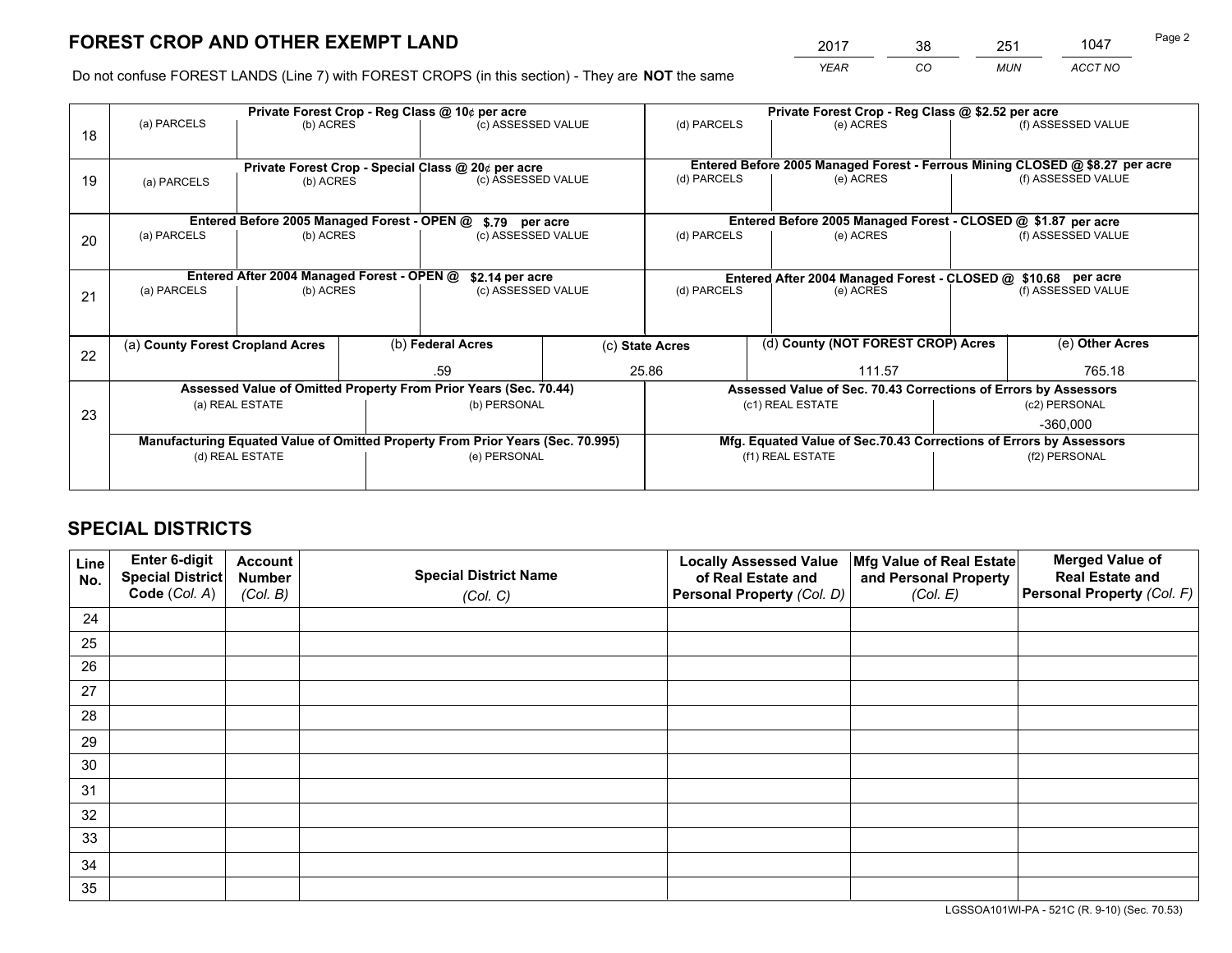*YEAR CO MUN ACCT NO* <sup>2017</sup> <sup>38</sup> <sup>251</sup> <sup>1047</sup> Page 2

Do not confuse FOREST LANDS (Line 7) with FOREST CROPS (in this section) - They are **NOT** the same

|    |                                                                                |                                             |  | Private Forest Crop - Reg Class @ 10¢ per acre                   |            | Private Forest Crop - Reg Class @ \$2.52 per acre             |                                                                 |  |                                                                              |  |
|----|--------------------------------------------------------------------------------|---------------------------------------------|--|------------------------------------------------------------------|------------|---------------------------------------------------------------|-----------------------------------------------------------------|--|------------------------------------------------------------------------------|--|
| 18 | (a) PARCELS                                                                    | (b) ACRES                                   |  | (c) ASSESSED VALUE                                               |            | (d) PARCELS                                                   | (e) ACRES                                                       |  | (f) ASSESSED VALUE                                                           |  |
|    |                                                                                |                                             |  |                                                                  |            |                                                               |                                                                 |  |                                                                              |  |
|    | Private Forest Crop - Special Class @ 20¢ per acre                             |                                             |  |                                                                  |            |                                                               |                                                                 |  | Entered Before 2005 Managed Forest - Ferrous Mining CLOSED @ \$8.27 per acre |  |
| 19 | (a) PARCELS                                                                    | (b) ACRES                                   |  | (c) ASSESSED VALUE                                               |            | (d) PARCELS                                                   | (e) ACRES                                                       |  | (f) ASSESSED VALUE                                                           |  |
|    |                                                                                |                                             |  |                                                                  |            |                                                               |                                                                 |  |                                                                              |  |
|    |                                                                                | Entered Before 2005 Managed Forest - OPEN @ |  | \$.79 per acre                                                   |            |                                                               | Entered Before 2005 Managed Forest - CLOSED @ \$1.87 per acre   |  |                                                                              |  |
| 20 | (a) PARCELS                                                                    | (b) ACRES                                   |  | (c) ASSESSED VALUE                                               |            | (d) PARCELS                                                   | (e) ACRES                                                       |  | (f) ASSESSED VALUE                                                           |  |
|    |                                                                                |                                             |  |                                                                  |            |                                                               |                                                                 |  |                                                                              |  |
|    |                                                                                | Entered After 2004 Managed Forest - OPEN @  |  | \$2.14 per acre                                                  |            | Entered After 2004 Managed Forest - CLOSED @ \$10.68 per acre |                                                                 |  |                                                                              |  |
| 21 | (a) PARCELS                                                                    | (b) ACRES                                   |  | (c) ASSESSED VALUE                                               |            | (d) PARCELS<br>(e) ACRES                                      |                                                                 |  | (f) ASSESSED VALUE                                                           |  |
|    |                                                                                |                                             |  |                                                                  |            |                                                               |                                                                 |  |                                                                              |  |
|    |                                                                                |                                             |  |                                                                  |            |                                                               |                                                                 |  |                                                                              |  |
| 22 | (a) County Forest Cropland Acres                                               |                                             |  | (b) Federal Acres                                                |            | (c) State Acres                                               | (d) County (NOT FOREST CROP) Acres                              |  | (e) Other Acres                                                              |  |
|    |                                                                                |                                             |  | .59                                                              |            | 25.86                                                         | 111.57                                                          |  | 765.18                                                                       |  |
|    |                                                                                |                                             |  | Assessed Value of Omitted Property From Prior Years (Sec. 70.44) |            |                                                               | Assessed Value of Sec. 70.43 Corrections of Errors by Assessors |  |                                                                              |  |
| 23 |                                                                                | (a) REAL ESTATE                             |  | (b) PERSONAL                                                     |            |                                                               | (c1) REAL ESTATE                                                |  | (c2) PERSONAL                                                                |  |
|    |                                                                                |                                             |  |                                                                  | $-360.000$ |                                                               |                                                                 |  |                                                                              |  |
|    | Manufacturing Equated Value of Omitted Property From Prior Years (Sec. 70.995) |                                             |  |                                                                  |            |                                                               |                                                                 |  | Mfg. Equated Value of Sec.70.43 Corrections of Errors by Assessors           |  |
|    | (d) REAL ESTATE                                                                |                                             |  | (e) PERSONAL                                                     |            | (f1) REAL ESTATE                                              |                                                                 |  | (f2) PERSONAL                                                                |  |
|    |                                                                                |                                             |  |                                                                  |            |                                                               |                                                                 |  |                                                                              |  |

## **SPECIAL DISTRICTS**

| Line<br>No. | Enter 6-digit<br><b>Special District</b> | <b>Account</b><br><b>Number</b> | <b>Special District Name</b> | <b>Locally Assessed Value</b><br>of Real Estate and | Mfg Value of Real Estate<br>and Personal Property | <b>Merged Value of</b><br><b>Real Estate and</b> |
|-------------|------------------------------------------|---------------------------------|------------------------------|-----------------------------------------------------|---------------------------------------------------|--------------------------------------------------|
|             | Code (Col. A)                            | (Col. B)                        | (Col. C)                     | Personal Property (Col. D)                          | (Col. E)                                          | Personal Property (Col. F)                       |
| 24          |                                          |                                 |                              |                                                     |                                                   |                                                  |
| 25          |                                          |                                 |                              |                                                     |                                                   |                                                  |
| 26          |                                          |                                 |                              |                                                     |                                                   |                                                  |
| 27          |                                          |                                 |                              |                                                     |                                                   |                                                  |
| 28          |                                          |                                 |                              |                                                     |                                                   |                                                  |
| 29          |                                          |                                 |                              |                                                     |                                                   |                                                  |
| 30          |                                          |                                 |                              |                                                     |                                                   |                                                  |
| 31          |                                          |                                 |                              |                                                     |                                                   |                                                  |
| 32          |                                          |                                 |                              |                                                     |                                                   |                                                  |
| 33          |                                          |                                 |                              |                                                     |                                                   |                                                  |
| 34          |                                          |                                 |                              |                                                     |                                                   |                                                  |
| 35          |                                          |                                 |                              |                                                     |                                                   |                                                  |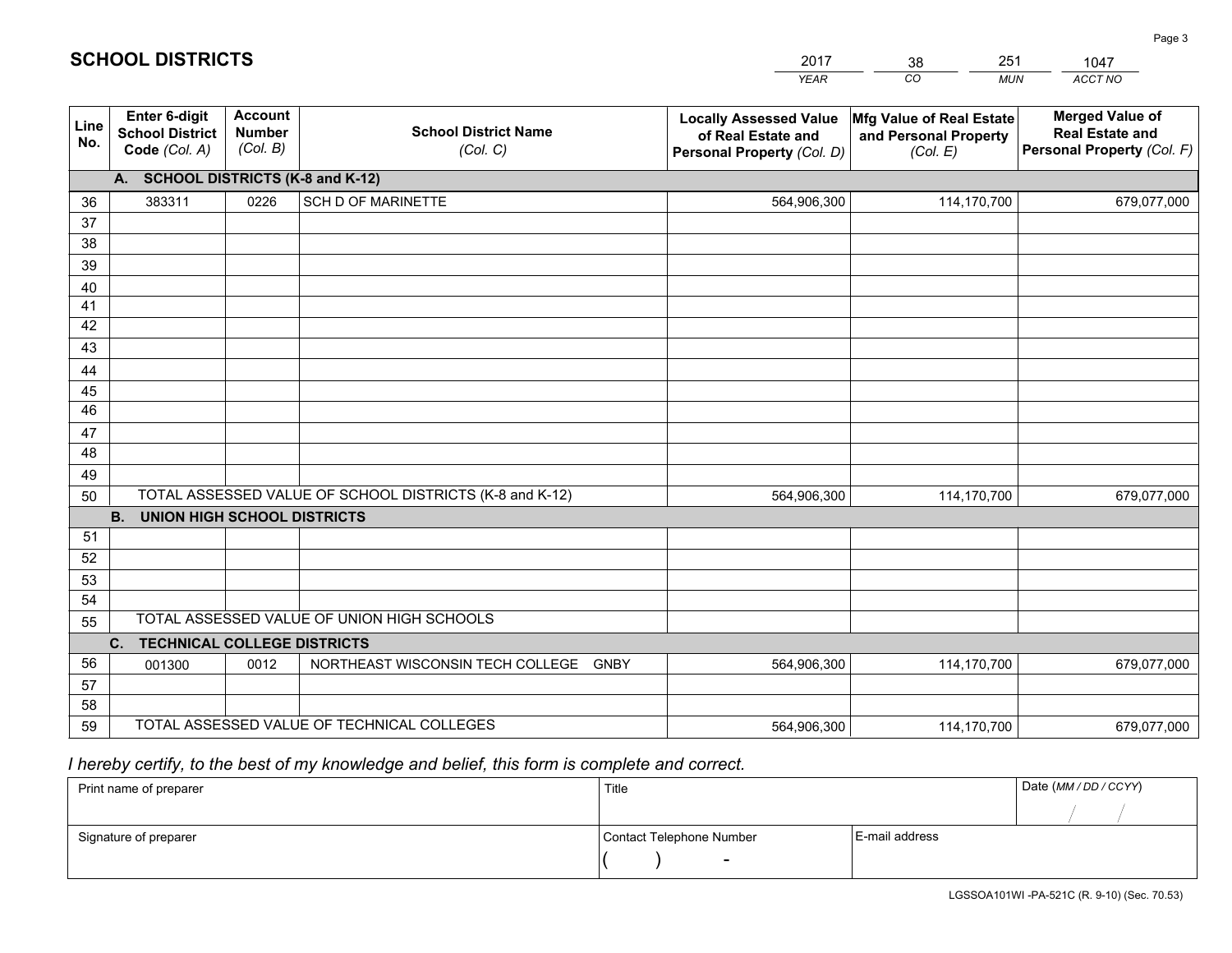|             |                                                          |                                             |                                                         | <b>YEAR</b>                                                                       | CO<br><b>MUN</b>                                              | ACCT NO                                                                        |
|-------------|----------------------------------------------------------|---------------------------------------------|---------------------------------------------------------|-----------------------------------------------------------------------------------|---------------------------------------------------------------|--------------------------------------------------------------------------------|
| Line<br>No. | Enter 6-digit<br><b>School District</b><br>Code (Col. A) | <b>Account</b><br><b>Number</b><br>(Col. B) | <b>School District Name</b><br>(Col. C)                 | <b>Locally Assessed Value</b><br>of Real Estate and<br>Personal Property (Col. D) | Mfg Value of Real Estate<br>and Personal Property<br>(Col. E) | <b>Merged Value of</b><br><b>Real Estate and</b><br>Personal Property (Col. F) |
|             | A. SCHOOL DISTRICTS (K-8 and K-12)                       |                                             |                                                         |                                                                                   |                                                               |                                                                                |
| 36          | 383311                                                   | 0226                                        | SCH D OF MARINETTE                                      | 564,906,300                                                                       | 114,170,700                                                   | 679,077,000                                                                    |
| 37          |                                                          |                                             |                                                         |                                                                                   |                                                               |                                                                                |
| 38          |                                                          |                                             |                                                         |                                                                                   |                                                               |                                                                                |
| 39          |                                                          |                                             |                                                         |                                                                                   |                                                               |                                                                                |
| 40          |                                                          |                                             |                                                         |                                                                                   |                                                               |                                                                                |
| 41<br>42    |                                                          |                                             |                                                         |                                                                                   |                                                               |                                                                                |
| 43          |                                                          |                                             |                                                         |                                                                                   |                                                               |                                                                                |
|             |                                                          |                                             |                                                         |                                                                                   |                                                               |                                                                                |
| 44<br>45    |                                                          |                                             |                                                         |                                                                                   |                                                               |                                                                                |
| 46          |                                                          |                                             |                                                         |                                                                                   |                                                               |                                                                                |
| 47          |                                                          |                                             |                                                         |                                                                                   |                                                               |                                                                                |
| 48          |                                                          |                                             |                                                         |                                                                                   |                                                               |                                                                                |
| 49          |                                                          |                                             |                                                         |                                                                                   |                                                               |                                                                                |
| 50          |                                                          |                                             | TOTAL ASSESSED VALUE OF SCHOOL DISTRICTS (K-8 and K-12) | 564,906,300                                                                       | 114,170,700                                                   | 679,077,000                                                                    |
|             | <b>B.</b><br>UNION HIGH SCHOOL DISTRICTS                 |                                             |                                                         |                                                                                   |                                                               |                                                                                |
| 51          |                                                          |                                             |                                                         |                                                                                   |                                                               |                                                                                |
| 52          |                                                          |                                             |                                                         |                                                                                   |                                                               |                                                                                |
| 53          |                                                          |                                             |                                                         |                                                                                   |                                                               |                                                                                |
| 54          |                                                          |                                             |                                                         |                                                                                   |                                                               |                                                                                |
| 55          |                                                          |                                             | TOTAL ASSESSED VALUE OF UNION HIGH SCHOOLS              |                                                                                   |                                                               |                                                                                |
|             | C.<br><b>TECHNICAL COLLEGE DISTRICTS</b>                 |                                             |                                                         |                                                                                   |                                                               |                                                                                |
| 56          | 001300                                                   | 0012                                        | NORTHEAST WISCONSIN TECH COLLEGE<br><b>GNBY</b>         | 564,906,300                                                                       | 114,170,700                                                   | 679,077,000                                                                    |
| 57<br>58    |                                                          |                                             |                                                         |                                                                                   |                                                               |                                                                                |
| 59          |                                                          |                                             | TOTAL ASSESSED VALUE OF TECHNICAL COLLEGES              | 564,906,300                                                                       | 114,170,700                                                   | 679,077,000                                                                    |
|             |                                                          |                                             |                                                         |                                                                                   |                                                               |                                                                                |

38

251

 *I hereby certify, to the best of my knowledge and belief, this form is complete and correct.*

**SCHOOL DISTRICTS**

| Print name of preparer | Title                    |                | Date (MM / DD / CCYY) |
|------------------------|--------------------------|----------------|-----------------------|
|                        |                          |                |                       |
| Signature of preparer  | Contact Telephone Number | E-mail address |                       |
|                        | $\sim$                   |                |                       |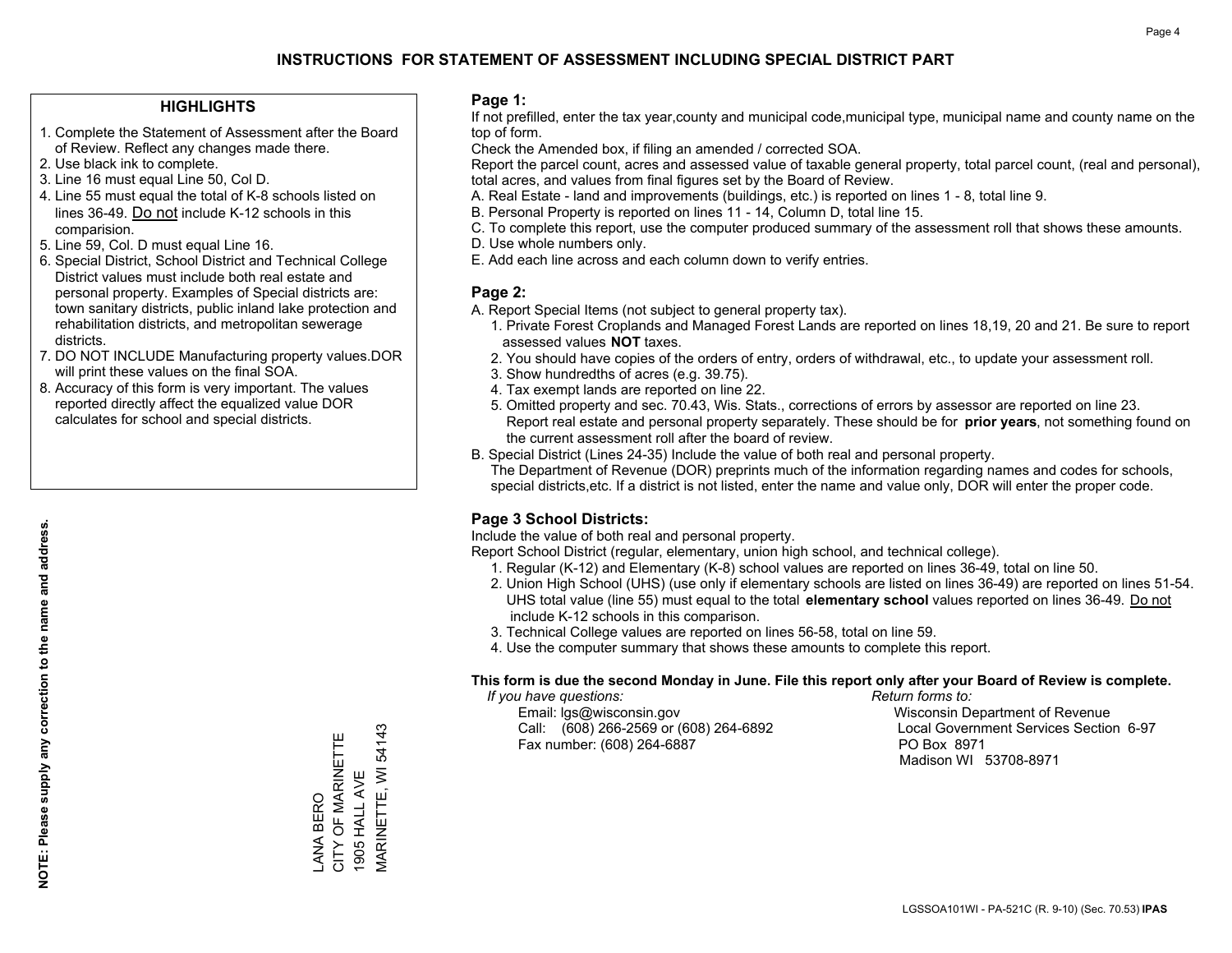## **HIGHLIGHTS**

- 1. Complete the Statement of Assessment after the Board of Review. Reflect any changes made there.
- 2. Use black ink to complete.
- 3. Line 16 must equal Line 50, Col D.
- 4. Line 55 must equal the total of K-8 schools listed on lines 36-49. Do not include K-12 schools in this comparision.
- 5. Line 59, Col. D must equal Line 16.
- 6. Special District, School District and Technical College District values must include both real estate and personal property. Examples of Special districts are: town sanitary districts, public inland lake protection and rehabilitation districts, and metropolitan sewerage districts.
- 7. DO NOT INCLUDE Manufacturing property values.DOR will print these values on the final SOA.

LANA BERO

ANA BERO

CITY OF MARINETTE 1905 HALL AVE

CITY OF MARINETTE 1905 HALL AVE MARINETTE, WI 54143

MARINETTE, WI 54143

 8. Accuracy of this form is very important. The values reported directly affect the equalized value DOR calculates for school and special districts.

### **Page 1:**

 If not prefilled, enter the tax year,county and municipal code,municipal type, municipal name and county name on the top of form.

Check the Amended box, if filing an amended / corrected SOA.

 Report the parcel count, acres and assessed value of taxable general property, total parcel count, (real and personal), total acres, and values from final figures set by the Board of Review.

- A. Real Estate land and improvements (buildings, etc.) is reported on lines 1 8, total line 9.
- B. Personal Property is reported on lines 11 14, Column D, total line 15.
- C. To complete this report, use the computer produced summary of the assessment roll that shows these amounts.
- D. Use whole numbers only.
- E. Add each line across and each column down to verify entries.

## **Page 2:**

- A. Report Special Items (not subject to general property tax).
- 1. Private Forest Croplands and Managed Forest Lands are reported on lines 18,19, 20 and 21. Be sure to report assessed values **NOT** taxes.
- 2. You should have copies of the orders of entry, orders of withdrawal, etc., to update your assessment roll.
	- 3. Show hundredths of acres (e.g. 39.75).
- 4. Tax exempt lands are reported on line 22.
- 5. Omitted property and sec. 70.43, Wis. Stats., corrections of errors by assessor are reported on line 23. Report real estate and personal property separately. These should be for **prior years**, not something found on the current assessment roll after the board of review.
- B. Special District (Lines 24-35) Include the value of both real and personal property.

 The Department of Revenue (DOR) preprints much of the information regarding names and codes for schools, special districts,etc. If a district is not listed, enter the name and value only, DOR will enter the proper code.

## **Page 3 School Districts:**

Include the value of both real and personal property.

Report School District (regular, elementary, union high school, and technical college).

- 1. Regular (K-12) and Elementary (K-8) school values are reported on lines 36-49, total on line 50.
- 2. Union High School (UHS) (use only if elementary schools are listed on lines 36-49) are reported on lines 51-54. UHS total value (line 55) must equal to the total **elementary school** values reported on lines 36-49. Do notinclude K-12 schools in this comparison.
- 3. Technical College values are reported on lines 56-58, total on line 59.
- 4. Use the computer summary that shows these amounts to complete this report.

#### **This form is due the second Monday in June. File this report only after your Board of Review is complete.**

 *If you have questions: Return forms to:*

 Email: lgs@wisconsin.gov Wisconsin Department of RevenueCall:  $(608)$  266-2569 or  $(608)$  264-6892 Fax number: (608) 264-6887 PO Box 8971

Local Government Services Section 6-97 Madison WI 53708-8971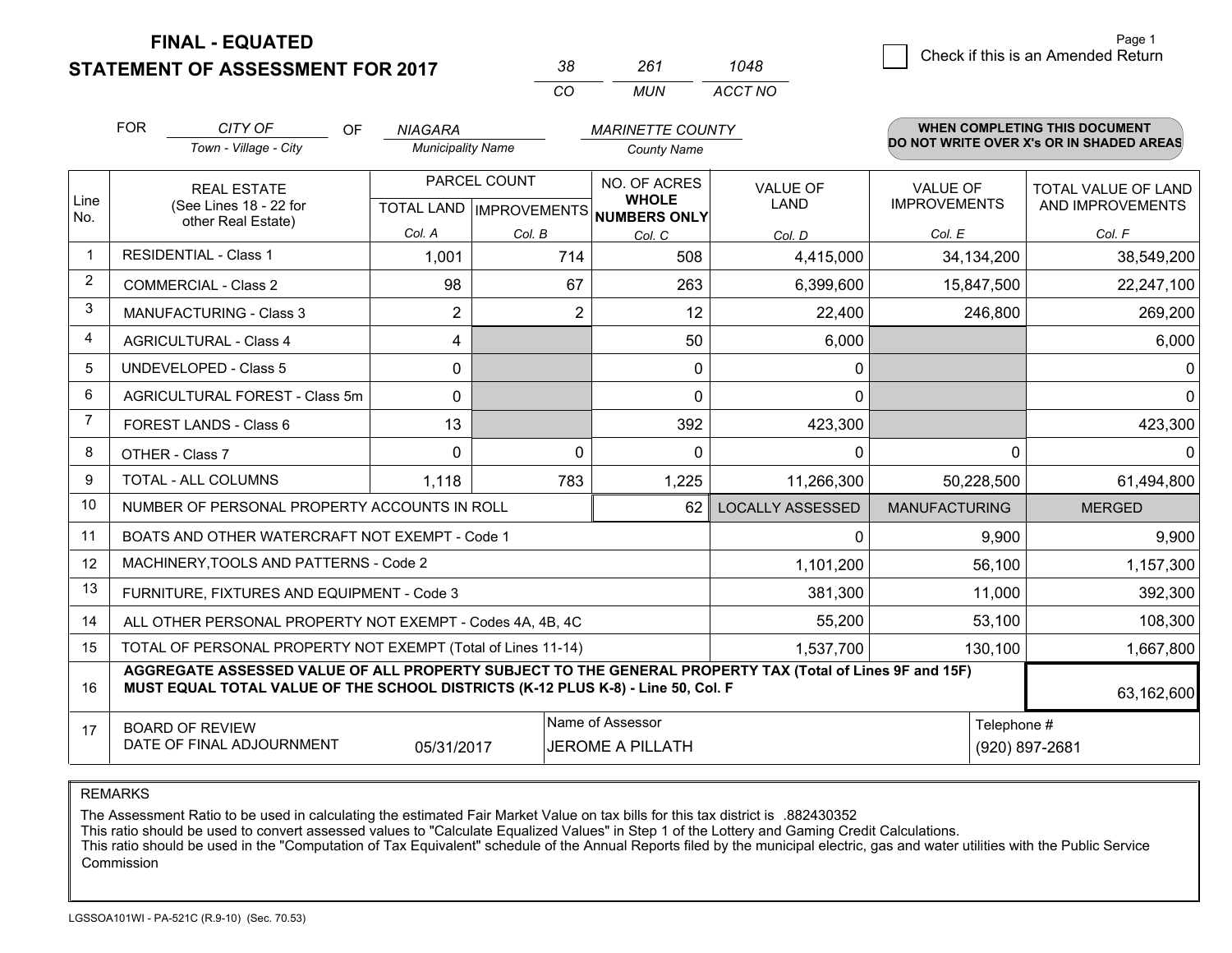**STATEMENT OF ASSESSMENT FOR 2017** 

| 38       | 261 | 1048    |
|----------|-----|---------|
| $\cdots$ | MUN | ACCT NO |

|                | <b>FOR</b>                                                                                                                                                                                   | CITY OF<br><b>OF</b>                                         | <b>NIAGARA</b>                            |                | <b>MARINETTE COUNTY</b>                      |                                |                                        | <b>WHEN COMPLETING THIS DOCUMENT</b>     |
|----------------|----------------------------------------------------------------------------------------------------------------------------------------------------------------------------------------------|--------------------------------------------------------------|-------------------------------------------|----------------|----------------------------------------------|--------------------------------|----------------------------------------|------------------------------------------|
|                |                                                                                                                                                                                              | Town - Village - City                                        | <b>Municipality Name</b>                  |                | <b>County Name</b>                           |                                |                                        | DO NOT WRITE OVER X's OR IN SHADED AREAS |
| Line<br>No.    | <b>REAL ESTATE</b><br>(See Lines 18 - 22 for                                                                                                                                                 |                                                              | PARCEL COUNT<br>TOTAL LAND   IMPROVEMENTS |                | NO. OF ACRES<br><b>WHOLE</b><br>NUMBERS ONLY | <b>VALUE OF</b><br><b>LAND</b> | <b>VALUE OF</b><br><b>IMPROVEMENTS</b> | TOTAL VALUE OF LAND<br>AND IMPROVEMENTS  |
|                |                                                                                                                                                                                              | other Real Estate)                                           | Col. A                                    | Col. B         | Col. C                                       | Col. D                         | Col. E                                 | Col. F                                   |
|                |                                                                                                                                                                                              | <b>RESIDENTIAL - Class 1</b>                                 | 1,001                                     | 714            | 508                                          | 4,415,000                      | 34,134,200                             | 38,549,200                               |
| $\overline{2}$ |                                                                                                                                                                                              | <b>COMMERCIAL - Class 2</b>                                  | 98                                        | 67             | 263                                          | 6,399,600                      | 15,847,500                             | 22,247,100                               |
| 3              |                                                                                                                                                                                              | <b>MANUFACTURING - Class 3</b>                               | $\overline{2}$                            | $\overline{2}$ | 12                                           | 22,400                         | 246,800                                | 269,200                                  |
| 4              |                                                                                                                                                                                              | <b>AGRICULTURAL - Class 4</b>                                | 4                                         |                | 50                                           | 6,000                          |                                        | 6,000                                    |
| 5              |                                                                                                                                                                                              | <b>UNDEVELOPED - Class 5</b>                                 | 0                                         |                | 0                                            | 0                              |                                        | 0                                        |
| 6              |                                                                                                                                                                                              | AGRICULTURAL FOREST - Class 5m                               | $\Omega$                                  |                | $\Omega$                                     | 0                              |                                        | 0                                        |
|                |                                                                                                                                                                                              | FOREST LANDS - Class 6                                       | 13                                        |                | 392                                          | 423,300                        |                                        | 423,300                                  |
| 8              |                                                                                                                                                                                              | OTHER - Class 7                                              | $\Omega$                                  | 0              | $\Omega$                                     | 0                              | 0                                      | 0                                        |
| 9              |                                                                                                                                                                                              | TOTAL - ALL COLUMNS                                          | 1,118                                     | 783            | 1,225                                        | 11,266,300                     | 50,228,500                             | 61,494,800                               |
| 10             |                                                                                                                                                                                              | NUMBER OF PERSONAL PROPERTY ACCOUNTS IN ROLL                 |                                           |                | 62                                           | <b>LOCALLY ASSESSED</b>        | <b>MANUFACTURING</b>                   | <b>MERGED</b>                            |
| 11             |                                                                                                                                                                                              | BOATS AND OTHER WATERCRAFT NOT EXEMPT - Code 1               |                                           |                |                                              | 0                              | 9,900                                  | 9,900                                    |
| 12             |                                                                                                                                                                                              | MACHINERY, TOOLS AND PATTERNS - Code 2                       |                                           |                |                                              | 1,101,200                      | 56,100                                 | 1,157,300                                |
| 13             |                                                                                                                                                                                              | FURNITURE, FIXTURES AND EQUIPMENT - Code 3                   |                                           |                |                                              | 381,300                        | 11,000                                 | 392,300                                  |
| 14             |                                                                                                                                                                                              | ALL OTHER PERSONAL PROPERTY NOT EXEMPT - Codes 4A, 4B, 4C    |                                           | 55,200         | 53,100                                       | 108,300                        |                                        |                                          |
| 15             |                                                                                                                                                                                              | TOTAL OF PERSONAL PROPERTY NOT EXEMPT (Total of Lines 11-14) |                                           | 1,537,700      | 130,100                                      | 1,667,800                      |                                        |                                          |
| 16             | AGGREGATE ASSESSED VALUE OF ALL PROPERTY SUBJECT TO THE GENERAL PROPERTY TAX (Total of Lines 9F and 15F)<br>MUST EQUAL TOTAL VALUE OF THE SCHOOL DISTRICTS (K-12 PLUS K-8) - Line 50, Col. F |                                                              |                                           |                |                                              |                                |                                        | 63,162,600                               |
| 17             | Name of Assessor<br>Telephone #<br><b>BOARD OF REVIEW</b><br>DATE OF FINAL ADJOURNMENT<br>05/31/2017<br><b>JEROME A PILLATH</b><br>(920) 897-2681                                            |                                                              |                                           |                |                                              |                                |                                        |                                          |

REMARKS

The Assessment Ratio to be used in calculating the estimated Fair Market Value on tax bills for this tax district is .882430352<br>This ratio should be used to convert assessed values to "Calculate Equalized Values" in Step 1 Commission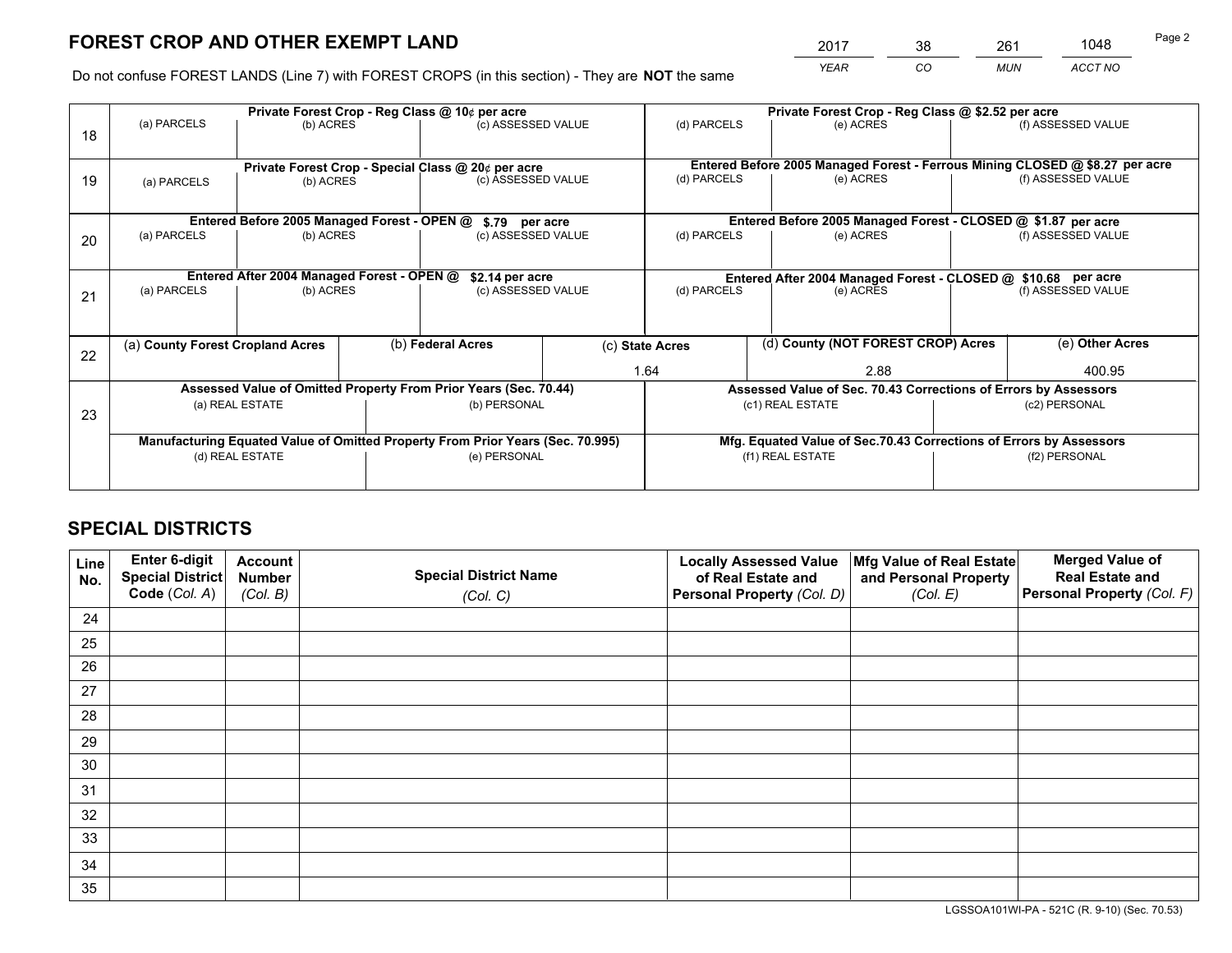*YEAR CO MUN ACCT NO* <sup>2017</sup> <sup>38</sup> <sup>261</sup> <sup>1048</sup>

Do not confuse FOREST LANDS (Line 7) with FOREST CROPS (in this section) - They are **NOT** the same

|    |                                                                                |                                                                 |  | Private Forest Crop - Reg Class @ 10¢ per acre                   |                                      | Private Forest Crop - Reg Class @ \$2.52 per acre             |                                                                              |               |                    |  |
|----|--------------------------------------------------------------------------------|-----------------------------------------------------------------|--|------------------------------------------------------------------|--------------------------------------|---------------------------------------------------------------|------------------------------------------------------------------------------|---------------|--------------------|--|
| 18 | (a) PARCELS                                                                    | (b) ACRES                                                       |  | (c) ASSESSED VALUE                                               |                                      | (d) PARCELS                                                   | (e) ACRES                                                                    |               | (f) ASSESSED VALUE |  |
|    |                                                                                |                                                                 |  |                                                                  |                                      |                                                               | Entered Before 2005 Managed Forest - Ferrous Mining CLOSED @ \$8.27 per acre |               |                    |  |
| 19 | (a) PARCELS                                                                    | Private Forest Crop - Special Class @ 20¢ per acre<br>(b) ACRES |  | (c) ASSESSED VALUE                                               |                                      | (d) PARCELS                                                   | (e) ACRES                                                                    |               | (f) ASSESSED VALUE |  |
|    |                                                                                |                                                                 |  |                                                                  |                                      |                                                               | Entered Before 2005 Managed Forest - CLOSED @ \$1.87 per acre                |               |                    |  |
| 20 | (a) PARCELS                                                                    | Entered Before 2005 Managed Forest - OPEN @<br>(b) ACRES        |  |                                                                  | \$.79 per acre<br>(c) ASSESSED VALUE |                                                               | (d) PARCELS<br>(e) ACRES                                                     |               | (f) ASSESSED VALUE |  |
|    |                                                                                | Entered After 2004 Managed Forest - OPEN @                      |  | \$2.14 per acre                                                  |                                      | Entered After 2004 Managed Forest - CLOSED @ \$10.68 per acre |                                                                              |               |                    |  |
| 21 | (a) PARCELS                                                                    | (b) ACRES                                                       |  | (c) ASSESSED VALUE                                               |                                      | (d) PARCELS                                                   | (e) ACRES                                                                    |               | (f) ASSESSED VALUE |  |
| 22 | (a) County Forest Cropland Acres                                               |                                                                 |  | (b) Federal Acres                                                |                                      | (c) State Acres                                               | (d) County (NOT FOREST CROP) Acres                                           |               | (e) Other Acres    |  |
|    |                                                                                |                                                                 |  |                                                                  |                                      | 1.64                                                          | 2.88                                                                         |               | 400.95             |  |
|    |                                                                                |                                                                 |  | Assessed Value of Omitted Property From Prior Years (Sec. 70.44) |                                      |                                                               | Assessed Value of Sec. 70.43 Corrections of Errors by Assessors              |               |                    |  |
| 23 | (a) REAL ESTATE                                                                |                                                                 |  | (b) PERSONAL                                                     |                                      | (c1) REAL ESTATE                                              |                                                                              | (c2) PERSONAL |                    |  |
|    | Manufacturing Equated Value of Omitted Property From Prior Years (Sec. 70.995) |                                                                 |  |                                                                  |                                      |                                                               | Mfg. Equated Value of Sec.70.43 Corrections of Errors by Assessors           |               |                    |  |
|    |                                                                                | (d) REAL ESTATE                                                 |  | (e) PERSONAL                                                     |                                      | (f1) REAL ESTATE                                              |                                                                              | (f2) PERSONAL |                    |  |
|    |                                                                                |                                                                 |  |                                                                  |                                      |                                                               |                                                                              |               |                    |  |

## **SPECIAL DISTRICTS**

| Line<br>No. | Enter 6-digit<br><b>Special District</b> | <b>Account</b><br><b>Number</b> | <b>Special District Name</b> | <b>Locally Assessed Value</b><br>of Real Estate and | Mfg Value of Real Estate<br>and Personal Property | <b>Merged Value of</b><br><b>Real Estate and</b> |
|-------------|------------------------------------------|---------------------------------|------------------------------|-----------------------------------------------------|---------------------------------------------------|--------------------------------------------------|
|             | Code (Col. A)                            | (Col. B)                        | (Col. C)                     | Personal Property (Col. D)                          | (Col. E)                                          | Personal Property (Col. F)                       |
| 24          |                                          |                                 |                              |                                                     |                                                   |                                                  |
| 25          |                                          |                                 |                              |                                                     |                                                   |                                                  |
| 26          |                                          |                                 |                              |                                                     |                                                   |                                                  |
| 27          |                                          |                                 |                              |                                                     |                                                   |                                                  |
| 28          |                                          |                                 |                              |                                                     |                                                   |                                                  |
| 29          |                                          |                                 |                              |                                                     |                                                   |                                                  |
| 30          |                                          |                                 |                              |                                                     |                                                   |                                                  |
| 31          |                                          |                                 |                              |                                                     |                                                   |                                                  |
| 32          |                                          |                                 |                              |                                                     |                                                   |                                                  |
| 33          |                                          |                                 |                              |                                                     |                                                   |                                                  |
| 34          |                                          |                                 |                              |                                                     |                                                   |                                                  |
| 35          |                                          |                                 |                              |                                                     |                                                   |                                                  |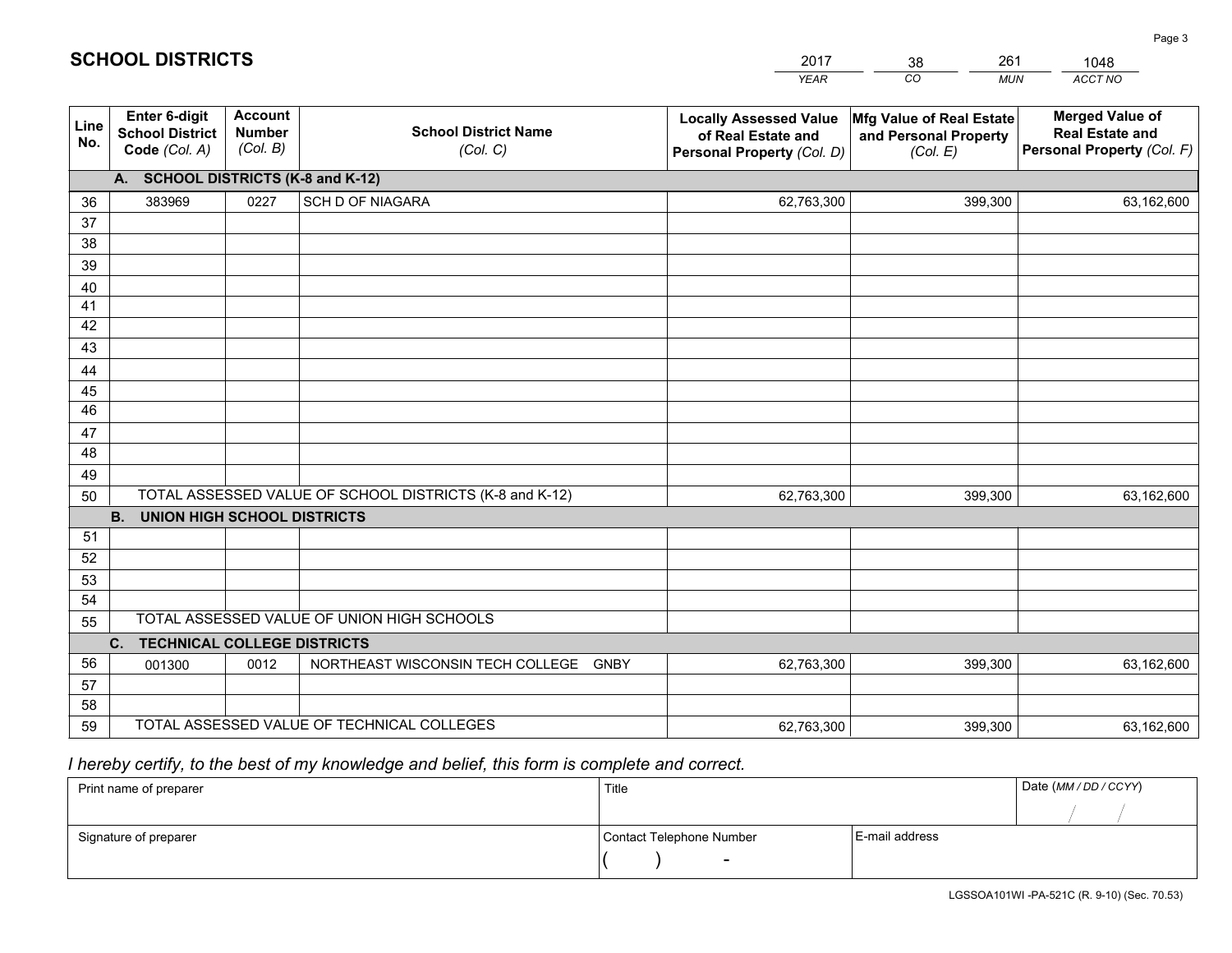|             |                                                                 |                                             |                                                         | <b>YEAR</b>                                                                       | CO<br><b>MUN</b>                                              | ACCT NO                                                                        |
|-------------|-----------------------------------------------------------------|---------------------------------------------|---------------------------------------------------------|-----------------------------------------------------------------------------------|---------------------------------------------------------------|--------------------------------------------------------------------------------|
| Line<br>No. | <b>Enter 6-digit</b><br><b>School District</b><br>Code (Col. A) | <b>Account</b><br><b>Number</b><br>(Col. B) | <b>School District Name</b><br>(Col. C)                 | <b>Locally Assessed Value</b><br>of Real Estate and<br>Personal Property (Col. D) | Mfg Value of Real Estate<br>and Personal Property<br>(Col. E) | <b>Merged Value of</b><br><b>Real Estate and</b><br>Personal Property (Col. F) |
|             | A. SCHOOL DISTRICTS (K-8 and K-12)                              |                                             |                                                         |                                                                                   |                                                               |                                                                                |
| 36          | 383969                                                          | 0227                                        | <b>SCH D OF NIAGARA</b>                                 | 62,763,300                                                                        | 399,300                                                       | 63,162,600                                                                     |
| 37          |                                                                 |                                             |                                                         |                                                                                   |                                                               |                                                                                |
| 38          |                                                                 |                                             |                                                         |                                                                                   |                                                               |                                                                                |
| 39          |                                                                 |                                             |                                                         |                                                                                   |                                                               |                                                                                |
| 40          |                                                                 |                                             |                                                         |                                                                                   |                                                               |                                                                                |
| 41<br>42    |                                                                 |                                             |                                                         |                                                                                   |                                                               |                                                                                |
| 43          |                                                                 |                                             |                                                         |                                                                                   |                                                               |                                                                                |
|             |                                                                 |                                             |                                                         |                                                                                   |                                                               |                                                                                |
| 44<br>45    |                                                                 |                                             |                                                         |                                                                                   |                                                               |                                                                                |
| 46          |                                                                 |                                             |                                                         |                                                                                   |                                                               |                                                                                |
| 47          |                                                                 |                                             |                                                         |                                                                                   |                                                               |                                                                                |
| 48          |                                                                 |                                             |                                                         |                                                                                   |                                                               |                                                                                |
| 49          |                                                                 |                                             |                                                         |                                                                                   |                                                               |                                                                                |
| 50          |                                                                 |                                             | TOTAL ASSESSED VALUE OF SCHOOL DISTRICTS (K-8 and K-12) | 62,763,300                                                                        | 399,300                                                       | 63,162,600                                                                     |
|             | <b>B.</b><br>UNION HIGH SCHOOL DISTRICTS                        |                                             |                                                         |                                                                                   |                                                               |                                                                                |
| 51          |                                                                 |                                             |                                                         |                                                                                   |                                                               |                                                                                |
| 52          |                                                                 |                                             |                                                         |                                                                                   |                                                               |                                                                                |
| 53          |                                                                 |                                             |                                                         |                                                                                   |                                                               |                                                                                |
| 54          |                                                                 |                                             |                                                         |                                                                                   |                                                               |                                                                                |
| 55          |                                                                 |                                             | TOTAL ASSESSED VALUE OF UNION HIGH SCHOOLS              |                                                                                   |                                                               |                                                                                |
|             | C.<br><b>TECHNICAL COLLEGE DISTRICTS</b>                        |                                             |                                                         |                                                                                   |                                                               |                                                                                |
| 56          | 001300                                                          | 0012                                        | NORTHEAST WISCONSIN TECH COLLEGE<br><b>GNBY</b>         | 62,763,300                                                                        | 399,300                                                       | 63,162,600                                                                     |
| 57<br>58    |                                                                 |                                             |                                                         |                                                                                   |                                                               |                                                                                |
| 59          |                                                                 |                                             | TOTAL ASSESSED VALUE OF TECHNICAL COLLEGES              | 62,763,300                                                                        | 399,300                                                       | 63,162,600                                                                     |
|             |                                                                 |                                             |                                                         |                                                                                   |                                                               |                                                                                |

38

261

 *I hereby certify, to the best of my knowledge and belief, this form is complete and correct.*

**SCHOOL DISTRICTS**

| Print name of preparer | Title                    | Date (MM / DD / CCYY) |  |
|------------------------|--------------------------|-----------------------|--|
|                        |                          |                       |  |
| Signature of preparer  | Contact Telephone Number | E-mail address        |  |
|                        | $\sim$                   |                       |  |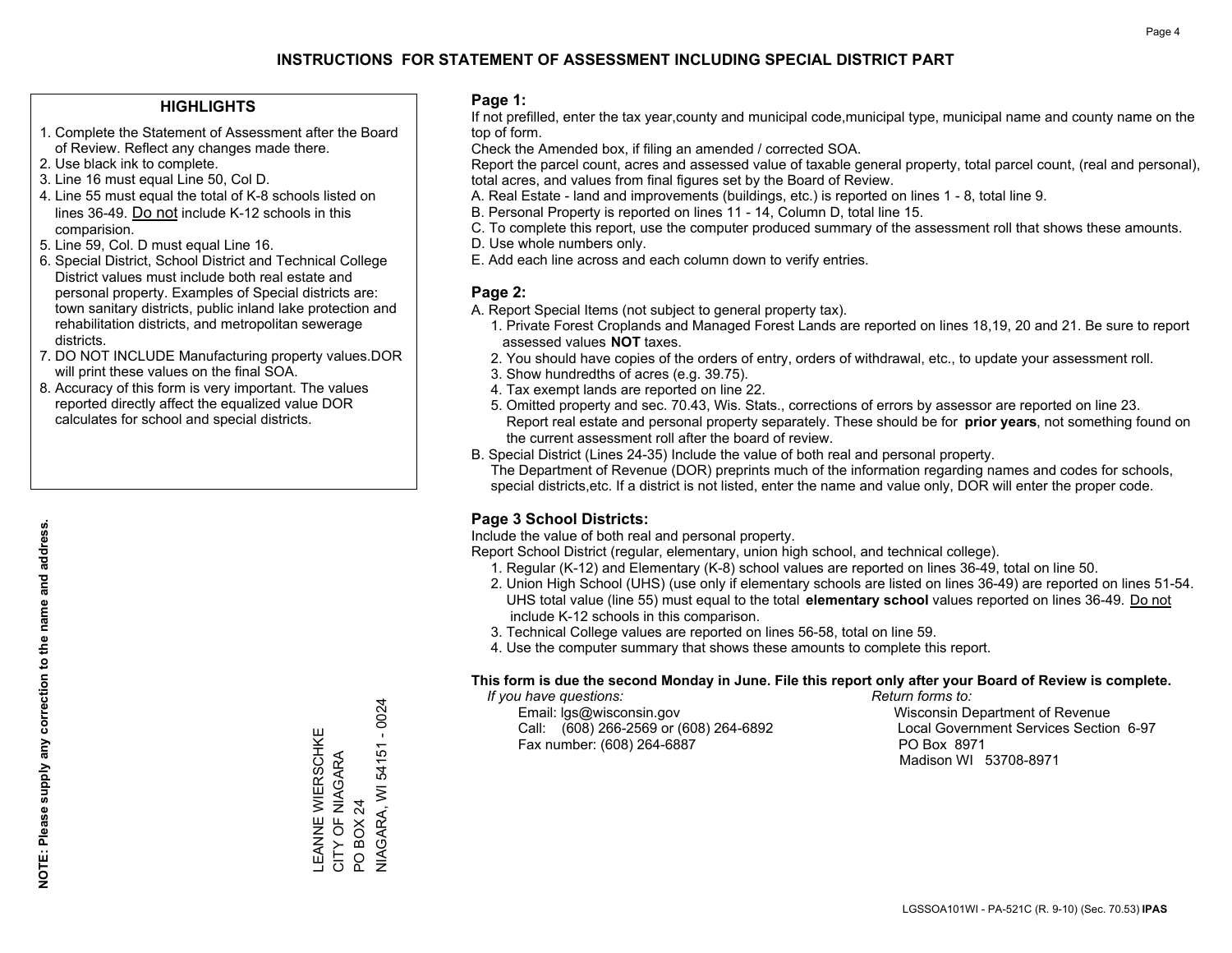## **HIGHLIGHTS**

- 1. Complete the Statement of Assessment after the Board of Review. Reflect any changes made there.
- 2. Use black ink to complete.
- 3. Line 16 must equal Line 50, Col D.
- 4. Line 55 must equal the total of K-8 schools listed on lines 36-49. Do not include K-12 schools in this comparision.
- 5. Line 59, Col. D must equal Line 16.
- 6. Special District, School District and Technical College District values must include both real estate and personal property. Examples of Special districts are: town sanitary districts, public inland lake protection and rehabilitation districts, and metropolitan sewerage districts.
- 7. DO NOT INCLUDE Manufacturing property values.DOR will print these values on the final SOA.

LEANNE WIERSCHKE CITY OF NIAGARA

LEANNE WIERSCHKE<br>CITY OF NIAGARA<br>PO BOX 24

PO BOX 24

NIAGARA, WI 54151 - 0024

**NIAGARA, WI 54151 - 0024** 

 8. Accuracy of this form is very important. The values reported directly affect the equalized value DOR calculates for school and special districts.

### **Page 1:**

 If not prefilled, enter the tax year,county and municipal code,municipal type, municipal name and county name on the top of form.

Check the Amended box, if filing an amended / corrected SOA.

 Report the parcel count, acres and assessed value of taxable general property, total parcel count, (real and personal), total acres, and values from final figures set by the Board of Review.

- A. Real Estate land and improvements (buildings, etc.) is reported on lines 1 8, total line 9.
- B. Personal Property is reported on lines 11 14, Column D, total line 15.
- C. To complete this report, use the computer produced summary of the assessment roll that shows these amounts.
- D. Use whole numbers only.
- E. Add each line across and each column down to verify entries.

## **Page 2:**

- A. Report Special Items (not subject to general property tax).
- 1. Private Forest Croplands and Managed Forest Lands are reported on lines 18,19, 20 and 21. Be sure to report assessed values **NOT** taxes.
- 2. You should have copies of the orders of entry, orders of withdrawal, etc., to update your assessment roll.
	- 3. Show hundredths of acres (e.g. 39.75).
- 4. Tax exempt lands are reported on line 22.
- 5. Omitted property and sec. 70.43, Wis. Stats., corrections of errors by assessor are reported on line 23. Report real estate and personal property separately. These should be for **prior years**, not something found on the current assessment roll after the board of review.
- B. Special District (Lines 24-35) Include the value of both real and personal property.

 The Department of Revenue (DOR) preprints much of the information regarding names and codes for schools, special districts,etc. If a district is not listed, enter the name and value only, DOR will enter the proper code.

## **Page 3 School Districts:**

Include the value of both real and personal property.

Report School District (regular, elementary, union high school, and technical college).

- 1. Regular (K-12) and Elementary (K-8) school values are reported on lines 36-49, total on line 50.
- 2. Union High School (UHS) (use only if elementary schools are listed on lines 36-49) are reported on lines 51-54. UHS total value (line 55) must equal to the total **elementary school** values reported on lines 36-49. Do notinclude K-12 schools in this comparison.
- 3. Technical College values are reported on lines 56-58, total on line 59.
- 4. Use the computer summary that shows these amounts to complete this report.

#### **This form is due the second Monday in June. File this report only after your Board of Review is complete.**

 *If you have questions: Return forms to:*

 Email: lgs@wisconsin.gov Wisconsin Department of RevenueCall:  $(608)$  266-2569 or  $(608)$  264-6892 Fax number: (608) 264-6887 PO Box 8971

Local Government Services Section 6-97 Madison WI 53708-8971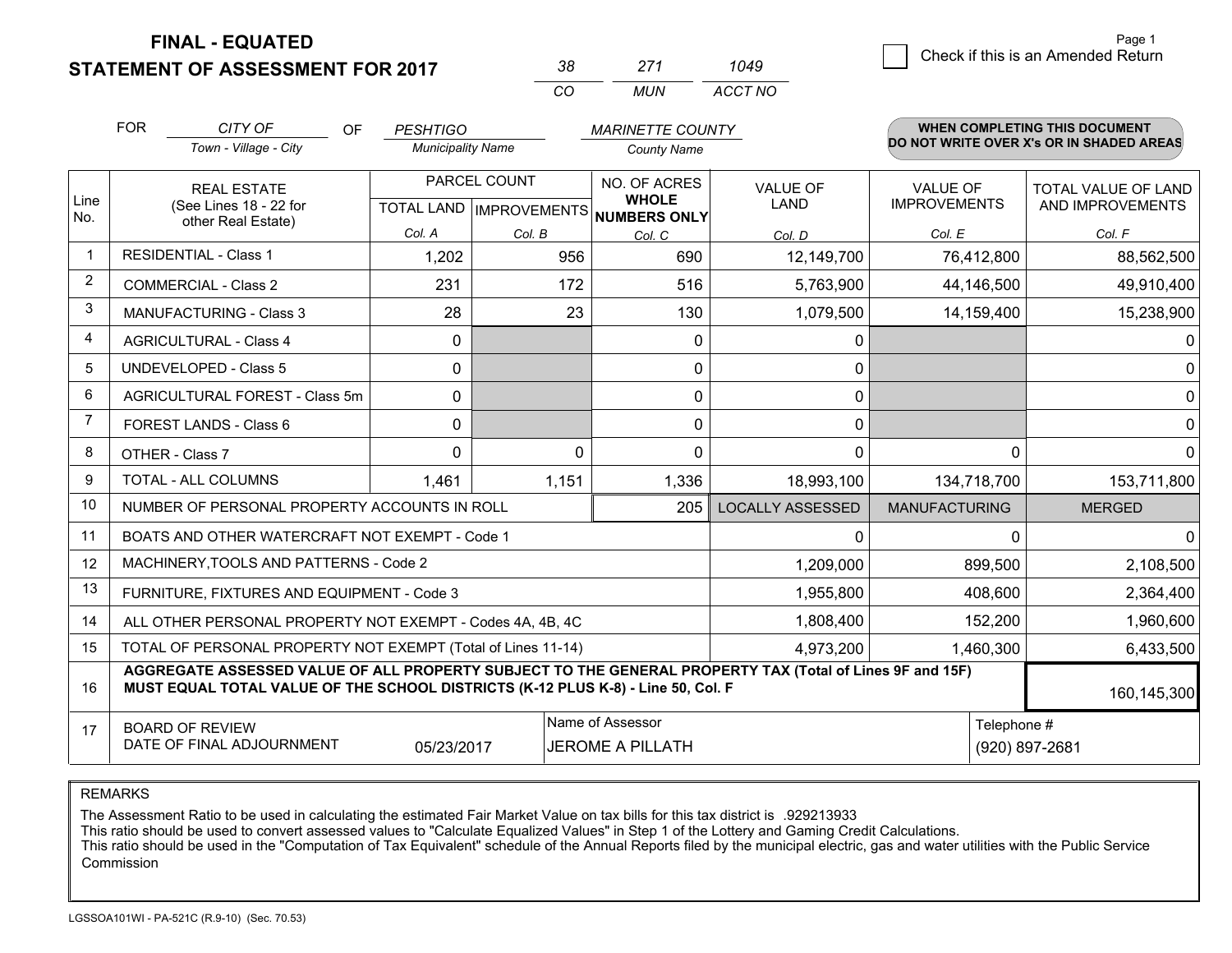**STATEMENT OF ASSESSMENT FOR 2017** 

| ≺×       | 271   | 1049    |
|----------|-------|---------|
| $\cdots$ | MI IN | ACCT NO |

|                | <b>FOR</b>                                                                                                                                                                                   | CITY OF<br>OF                                  | <b>PESHTIGO</b>          |          | <b>MARINETTE COUNTY</b>             |                         |                      | WHEN COMPLETING THIS DOCUMENT            |
|----------------|----------------------------------------------------------------------------------------------------------------------------------------------------------------------------------------------|------------------------------------------------|--------------------------|----------|-------------------------------------|-------------------------|----------------------|------------------------------------------|
|                |                                                                                                                                                                                              | Town - Village - City                          | <b>Municipality Name</b> |          | <b>County Name</b>                  |                         |                      | DO NOT WRITE OVER X's OR IN SHADED AREAS |
| Line           | <b>REAL ESTATE</b>                                                                                                                                                                           |                                                | PARCEL COUNT             |          | NO. OF ACRES<br><b>WHOLE</b>        | <b>VALUE OF</b><br>LAND | <b>VALUE OF</b>      | <b>TOTAL VALUE OF LAND</b>               |
| No.            |                                                                                                                                                                                              | (See Lines 18 - 22 for<br>other Real Estate)   |                          |          | TOTAL LAND MPROVEMENTS NUMBERS ONLY |                         | <b>IMPROVEMENTS</b>  | AND IMPROVEMENTS                         |
|                |                                                                                                                                                                                              |                                                | Col. A                   | Col. B   | Col. C                              | Col. D                  | Col. E               | Col. F                                   |
| -1             |                                                                                                                                                                                              | <b>RESIDENTIAL - Class 1</b>                   | 1,202                    | 956      | 690                                 | 12,149,700              | 76,412,800           | 88,562,500                               |
| 2              |                                                                                                                                                                                              | <b>COMMERCIAL - Class 2</b>                    | 231                      | 172      | 516                                 | 5,763,900               | 44,146,500           | 49,910,400                               |
| 3              |                                                                                                                                                                                              | <b>MANUFACTURING - Class 3</b>                 | 28                       | 23       | 130                                 | 1,079,500               | 14,159,400           | 15,238,900                               |
| 4              |                                                                                                                                                                                              | <b>AGRICULTURAL - Class 4</b>                  | 0                        |          | $\mathbf{0}$                        | 0                       |                      | 0                                        |
| 5              |                                                                                                                                                                                              | <b>UNDEVELOPED - Class 5</b>                   | $\Omega$                 |          | $\mathbf{0}$                        | 0                       |                      | $\mathbf 0$                              |
| 6              |                                                                                                                                                                                              | AGRICULTURAL FOREST - Class 5m                 | 0                        |          | $\mathbf 0$                         | 0                       |                      | $\mathbf 0$                              |
| $\overline{7}$ | FOREST LANDS - Class 6                                                                                                                                                                       |                                                | 0                        |          | $\Omega$                            | $\mathbf{0}$            |                      | $\mathbf 0$                              |
| 8              | OTHER - Class 7                                                                                                                                                                              |                                                | $\Omega$                 | $\Omega$ | $\Omega$                            | $\mathbf 0$             |                      | $\Omega$<br>$\mathbf 0$                  |
| 9              | TOTAL - ALL COLUMNS                                                                                                                                                                          |                                                | 1,461                    | 1,151    | 1,336                               | 18,993,100              | 134,718,700          | 153,711,800                              |
| 10             |                                                                                                                                                                                              | NUMBER OF PERSONAL PROPERTY ACCOUNTS IN ROLL   |                          |          | 205                                 | <b>LOCALLY ASSESSED</b> | <b>MANUFACTURING</b> | <b>MERGED</b>                            |
| 11             |                                                                                                                                                                                              | BOATS AND OTHER WATERCRAFT NOT EXEMPT - Code 1 |                          |          |                                     | 0                       |                      | $\mathbf{0}$<br>0                        |
| 12             |                                                                                                                                                                                              | MACHINERY, TOOLS AND PATTERNS - Code 2         |                          |          |                                     | 1,209,000               | 899,500              | 2,108,500                                |
| 13             |                                                                                                                                                                                              | FURNITURE, FIXTURES AND EQUIPMENT - Code 3     |                          |          |                                     | 1,955,800               | 408,600              | 2,364,400                                |
| 14             | 1,808,400<br>ALL OTHER PERSONAL PROPERTY NOT EXEMPT - Codes 4A, 4B, 4C                                                                                                                       |                                                |                          |          |                                     |                         | 152,200              | 1,960,600                                |
| 15             | TOTAL OF PERSONAL PROPERTY NOT EXEMPT (Total of Lines 11-14)<br>4,973,200                                                                                                                    |                                                |                          |          |                                     |                         | 1,460,300            | 6,433,500                                |
| 16             | AGGREGATE ASSESSED VALUE OF ALL PROPERTY SUBJECT TO THE GENERAL PROPERTY TAX (Total of Lines 9F and 15F)<br>MUST EQUAL TOTAL VALUE OF THE SCHOOL DISTRICTS (K-12 PLUS K-8) - Line 50, Col. F |                                                |                          |          |                                     |                         | 160,145,300          |                                          |
| 17             |                                                                                                                                                                                              | <b>BOARD OF REVIEW</b>                         |                          |          | Name of Assessor                    |                         |                      | Telephone #                              |
|                |                                                                                                                                                                                              | DATE OF FINAL ADJOURNMENT                      | 05/23/2017               |          | <b>JEROME A PILLATH</b>             |                         |                      | (920) 897-2681                           |

REMARKS

The Assessment Ratio to be used in calculating the estimated Fair Market Value on tax bills for this tax district is .929213933

This ratio should be used to convert assessed values to "Calculate Equalized Values" in Step 1 of the Lottery and Gaming Credit Calculations.<br>This ratio should be used in the "Computation of Tax Equivalent" schedule of the Commission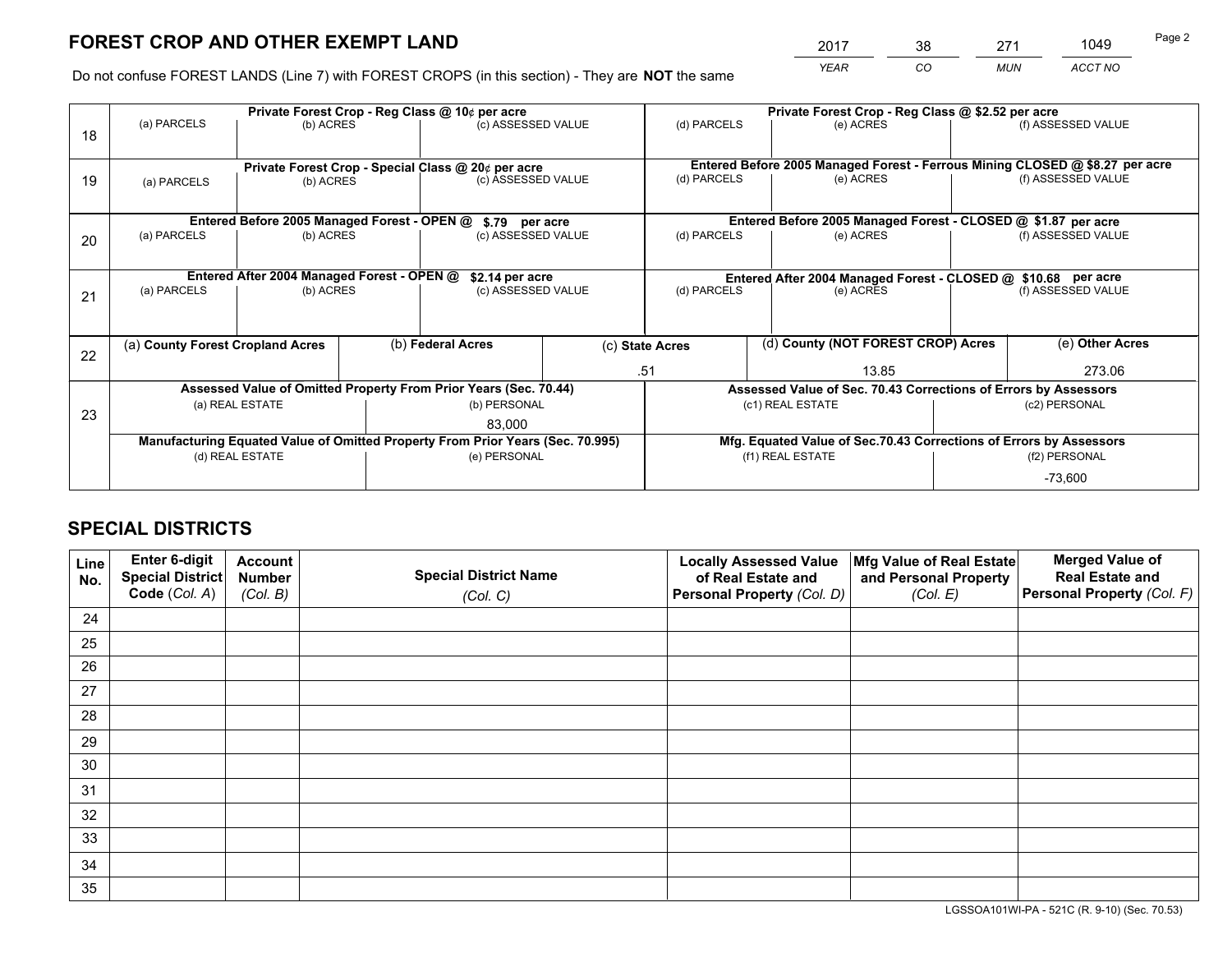*YEAR CO MUN ACCT NO* <sup>2017</sup> <sup>38</sup> <sup>271</sup> <sup>1049</sup>

Do not confuse FOREST LANDS (Line 7) with FOREST CROPS (in this section) - They are **NOT** the same

|                                                                                | Private Forest Crop - Reg Class @ 10¢ per acre        |                                                                  |                                  |                                                    |                                                                    |                                                                              | Private Forest Crop - Reg Class @ \$2.52 per acre             |                    |                    |  |
|--------------------------------------------------------------------------------|-------------------------------------------------------|------------------------------------------------------------------|----------------------------------|----------------------------------------------------|--------------------------------------------------------------------|------------------------------------------------------------------------------|---------------------------------------------------------------|--------------------|--------------------|--|
| 18                                                                             | (a) PARCELS                                           | (b) ACRES                                                        | (c) ASSESSED VALUE               |                                                    | (d) PARCELS                                                        | (e) ACRES                                                                    |                                                               | (f) ASSESSED VALUE |                    |  |
|                                                                                |                                                       |                                                                  |                                  |                                                    |                                                                    |                                                                              |                                                               |                    |                    |  |
|                                                                                |                                                       |                                                                  |                                  | Private Forest Crop - Special Class @ 20¢ per acre |                                                                    | Entered Before 2005 Managed Forest - Ferrous Mining CLOSED @ \$8.27 per acre |                                                               |                    |                    |  |
| 19                                                                             | (a) PARCELS                                           | (b) ACRES                                                        |                                  | (c) ASSESSED VALUE                                 |                                                                    | (d) PARCELS                                                                  | (e) ACRES                                                     | (f) ASSESSED VALUE |                    |  |
|                                                                                |                                                       |                                                                  |                                  |                                                    |                                                                    |                                                                              |                                                               |                    |                    |  |
|                                                                                |                                                       | Entered Before 2005 Managed Forest - OPEN @                      |                                  | \$.79 per acre                                     |                                                                    |                                                                              | Entered Before 2005 Managed Forest - CLOSED @ \$1.87 per acre |                    |                    |  |
| 20                                                                             | (a) PARCELS                                           | (b) ACRES                                                        |                                  | (c) ASSESSED VALUE                                 |                                                                    | (d) PARCELS<br>(e) ACRES                                                     |                                                               |                    | (f) ASSESSED VALUE |  |
|                                                                                |                                                       |                                                                  |                                  |                                                    |                                                                    |                                                                              |                                                               |                    |                    |  |
|                                                                                |                                                       | Entered After 2004 Managed Forest - OPEN @                       |                                  | \$2.14 per acre                                    |                                                                    | Entered After 2004 Managed Forest - CLOSED @ \$10.68 per acre                |                                                               |                    |                    |  |
| 21                                                                             | (a) PARCELS<br>(b) ACRES                              |                                                                  |                                  | (c) ASSESSED VALUE                                 |                                                                    | (d) PARCELS<br>(e) ACRES                                                     |                                                               | (f) ASSESSED VALUE |                    |  |
|                                                                                |                                                       |                                                                  |                                  |                                                    |                                                                    |                                                                              |                                                               |                    |                    |  |
|                                                                                |                                                       |                                                                  |                                  |                                                    |                                                                    |                                                                              |                                                               |                    |                    |  |
| 22                                                                             | (b) Federal Acres<br>(a) County Forest Cropland Acres |                                                                  |                                  | (c) State Acres                                    | (d) County (NOT FOREST CROP) Acres                                 |                                                                              | $\overline{(e)}$ Other Acres                                  |                    |                    |  |
|                                                                                |                                                       |                                                                  |                                  |                                                    |                                                                    | .51<br>13.85                                                                 |                                                               | 273.06             |                    |  |
|                                                                                |                                                       | Assessed Value of Omitted Property From Prior Years (Sec. 70.44) |                                  |                                                    |                                                                    | Assessed Value of Sec. 70.43 Corrections of Errors by Assessors              |                                                               |                    |                    |  |
| 23                                                                             | (a) REAL ESTATE                                       |                                                                  | (b) PERSONAL<br>(c1) REAL ESTATE |                                                    |                                                                    | (c2) PERSONAL                                                                |                                                               |                    |                    |  |
|                                                                                |                                                       |                                                                  |                                  | 83,000                                             |                                                                    |                                                                              |                                                               |                    |                    |  |
| Manufacturing Equated Value of Omitted Property From Prior Years (Sec. 70.995) |                                                       |                                                                  |                                  |                                                    | Mfg. Equated Value of Sec.70.43 Corrections of Errors by Assessors |                                                                              |                                                               |                    |                    |  |
|                                                                                |                                                       | (d) REAL ESTATE                                                  |                                  | (e) PERSONAL                                       |                                                                    | (f1) REAL ESTATE                                                             |                                                               | (f2) PERSONAL      |                    |  |
|                                                                                |                                                       |                                                                  |                                  |                                                    |                                                                    |                                                                              |                                                               |                    | $-73,600$          |  |

## **SPECIAL DISTRICTS**

| Line<br>No. | Enter 6-digit<br>Special District<br>Code (Col. A) | <b>Account</b><br><b>Number</b> | <b>Special District Name</b> | <b>Locally Assessed Value</b><br>of Real Estate and | Mfg Value of Real Estate<br>and Personal Property | <b>Merged Value of</b><br><b>Real Estate and</b><br>Personal Property (Col. F) |
|-------------|----------------------------------------------------|---------------------------------|------------------------------|-----------------------------------------------------|---------------------------------------------------|--------------------------------------------------------------------------------|
|             |                                                    | (Col. B)                        | (Col. C)                     | Personal Property (Col. D)                          | (Col. E)                                          |                                                                                |
| 24          |                                                    |                                 |                              |                                                     |                                                   |                                                                                |
| 25          |                                                    |                                 |                              |                                                     |                                                   |                                                                                |
| 26          |                                                    |                                 |                              |                                                     |                                                   |                                                                                |
| 27          |                                                    |                                 |                              |                                                     |                                                   |                                                                                |
| 28          |                                                    |                                 |                              |                                                     |                                                   |                                                                                |
| 29          |                                                    |                                 |                              |                                                     |                                                   |                                                                                |
| 30          |                                                    |                                 |                              |                                                     |                                                   |                                                                                |
| 31          |                                                    |                                 |                              |                                                     |                                                   |                                                                                |
| 32          |                                                    |                                 |                              |                                                     |                                                   |                                                                                |
| 33          |                                                    |                                 |                              |                                                     |                                                   |                                                                                |
| 34          |                                                    |                                 |                              |                                                     |                                                   |                                                                                |
| 35          |                                                    |                                 |                              |                                                     |                                                   |                                                                                |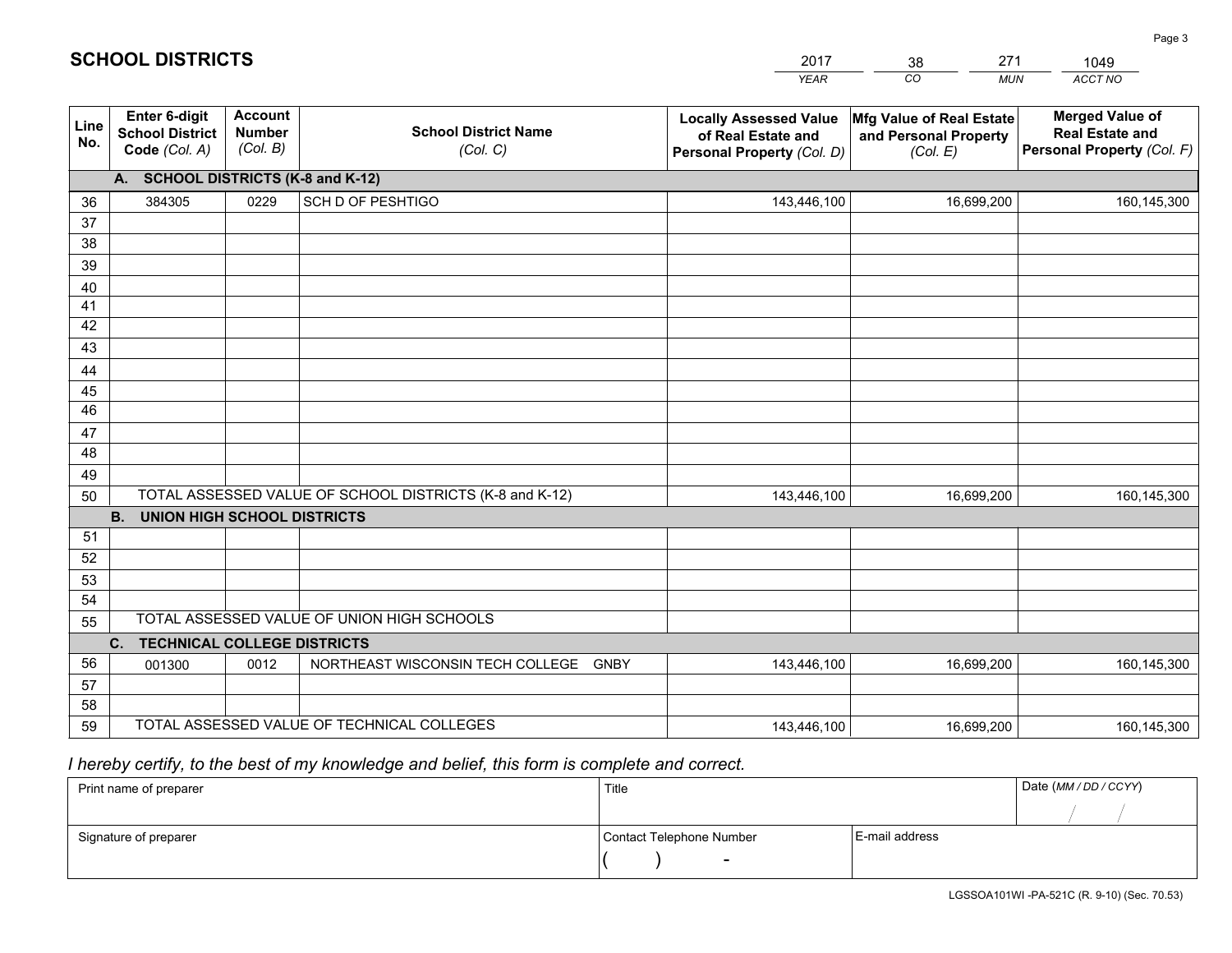|             |                                                          |                                             |                                                         | <b>YEAR</b>                                                                       | CO<br><b>MUN</b>                                              | ACCT NO                                                                        |  |
|-------------|----------------------------------------------------------|---------------------------------------------|---------------------------------------------------------|-----------------------------------------------------------------------------------|---------------------------------------------------------------|--------------------------------------------------------------------------------|--|
| Line<br>No. | Enter 6-digit<br><b>School District</b><br>Code (Col. A) | <b>Account</b><br><b>Number</b><br>(Col. B) | <b>School District Name</b><br>(Col. C)                 | <b>Locally Assessed Value</b><br>of Real Estate and<br>Personal Property (Col. D) | Mfg Value of Real Estate<br>and Personal Property<br>(Col. E) | <b>Merged Value of</b><br><b>Real Estate and</b><br>Personal Property (Col. F) |  |
|             | A. SCHOOL DISTRICTS (K-8 and K-12)                       |                                             |                                                         |                                                                                   |                                                               |                                                                                |  |
| 36          | 384305                                                   | 0229                                        | SCH D OF PESHTIGO                                       | 143,446,100                                                                       | 16,699,200                                                    | 160,145,300                                                                    |  |
| 37          |                                                          |                                             |                                                         |                                                                                   |                                                               |                                                                                |  |
| 38          |                                                          |                                             |                                                         |                                                                                   |                                                               |                                                                                |  |
| 39          |                                                          |                                             |                                                         |                                                                                   |                                                               |                                                                                |  |
| 40          |                                                          |                                             |                                                         |                                                                                   |                                                               |                                                                                |  |
| 41<br>42    |                                                          |                                             |                                                         |                                                                                   |                                                               |                                                                                |  |
| 43          |                                                          |                                             |                                                         |                                                                                   |                                                               |                                                                                |  |
|             |                                                          |                                             |                                                         |                                                                                   |                                                               |                                                                                |  |
| 44<br>45    |                                                          |                                             |                                                         |                                                                                   |                                                               |                                                                                |  |
| 46          |                                                          |                                             |                                                         |                                                                                   |                                                               |                                                                                |  |
| 47          |                                                          |                                             |                                                         |                                                                                   |                                                               |                                                                                |  |
| 48          |                                                          |                                             |                                                         |                                                                                   |                                                               |                                                                                |  |
| 49          |                                                          |                                             |                                                         |                                                                                   |                                                               |                                                                                |  |
| 50          |                                                          |                                             | TOTAL ASSESSED VALUE OF SCHOOL DISTRICTS (K-8 and K-12) | 143,446,100                                                                       | 16,699,200                                                    | 160,145,300                                                                    |  |
|             | <b>B.</b><br><b>UNION HIGH SCHOOL DISTRICTS</b>          |                                             |                                                         |                                                                                   |                                                               |                                                                                |  |
| 51          |                                                          |                                             |                                                         |                                                                                   |                                                               |                                                                                |  |
| 52          |                                                          |                                             |                                                         |                                                                                   |                                                               |                                                                                |  |
| 53          |                                                          |                                             |                                                         |                                                                                   |                                                               |                                                                                |  |
| 54          |                                                          |                                             |                                                         |                                                                                   |                                                               |                                                                                |  |
|             | TOTAL ASSESSED VALUE OF UNION HIGH SCHOOLS<br>55         |                                             |                                                         |                                                                                   |                                                               |                                                                                |  |
|             | C.<br><b>TECHNICAL COLLEGE DISTRICTS</b>                 |                                             |                                                         |                                                                                   |                                                               |                                                                                |  |
| 56          | 001300                                                   | 0012                                        | NORTHEAST WISCONSIN TECH COLLEGE<br><b>GNBY</b>         | 143,446,100                                                                       | 16,699,200                                                    | 160,145,300                                                                    |  |
| 57<br>58    |                                                          |                                             |                                                         |                                                                                   |                                                               |                                                                                |  |
| 59          |                                                          |                                             | TOTAL ASSESSED VALUE OF TECHNICAL COLLEGES              | 143,446,100                                                                       | 16,699,200                                                    | 160,145,300                                                                    |  |
|             |                                                          |                                             |                                                         |                                                                                   |                                                               |                                                                                |  |

38

271

 *I hereby certify, to the best of my knowledge and belief, this form is complete and correct.*

**SCHOOL DISTRICTS**

| Print name of preparer | Title                    | Date (MM / DD / CCYY) |  |
|------------------------|--------------------------|-----------------------|--|
|                        |                          |                       |  |
| Signature of preparer  | Contact Telephone Number | E-mail address        |  |
|                        | $\overline{\phantom{0}}$ |                       |  |